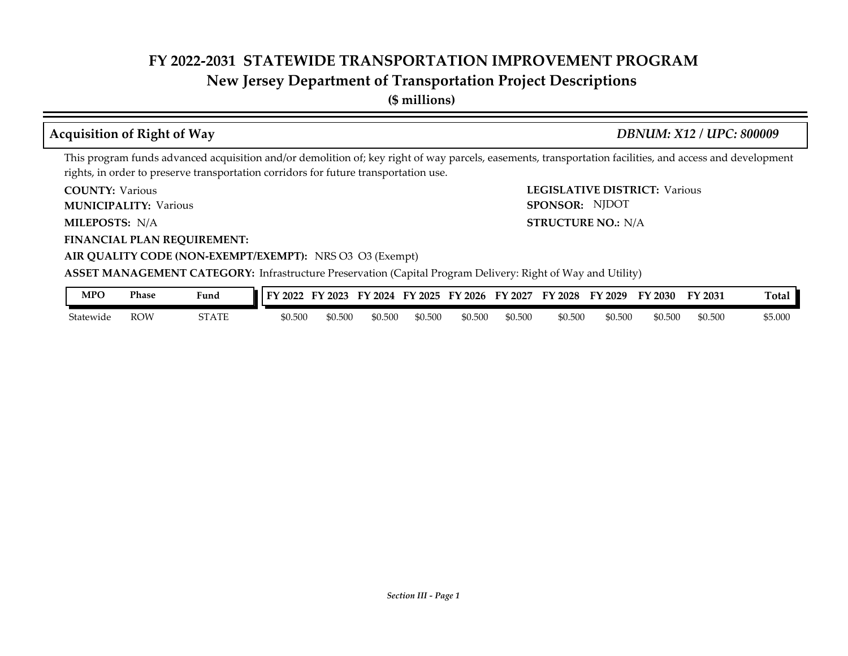### **New Jersey Department of Transportation Project Descriptions**

**(\$ millions)**

#### **Acquisition of Right of Way** *DBNUM: X12 / UPC: 800009*

This program funds advanced acquisition and/or demolition of; key right of way parcels, easements, transportation facilities, and access and development rights, in order to preserve transportation corridors for future transportation use.

**COUNTY: Various** 

**MUNICIPALITY:** Various **SPONSOR:** 

MILEPOSTS: N/A

**FINANCIAL PLAN REQUIREMENT:**

**COUNTY: LEGISLATIVE DISTRICT:** Various **MILEPOSTS: STRUCTURE NO.:** N/A SPONSOR: NJDOT

#### **AIR QUALITY CODE (NON-EXEMPT/EXEMPT):** NRS O3 O3 (Exempt)

**ASSET MANAGEMENT CATEGORY:** Infrastructure Preservation (Capital Program Delivery: Right of Way and Utility)

| MPO       | Phase | Fund<br>$\sim$ $\sim$ $\sim$                 | 2022    | --<br>2023 | 2024<br>FУ. | EV<br>12025 | $\degree$ 2026<br>FУ | 2027<br>FY | FY 2028 | FY 2029 | FY 2030 | FY 2031 | l otal  |
|-----------|-------|----------------------------------------------|---------|------------|-------------|-------------|----------------------|------------|---------|---------|---------|---------|---------|
| Statewide | row   | $C_{\rm T}$ a $T_{\rm T}$<br>. н<br>51 A I E | \$0.500 | \$0.500    | \$0.500     | \$0.500     | \$0.500              | \$0.500    | \$0.500 | \$0.500 | \$0.500 | \$0.500 | \$5.000 |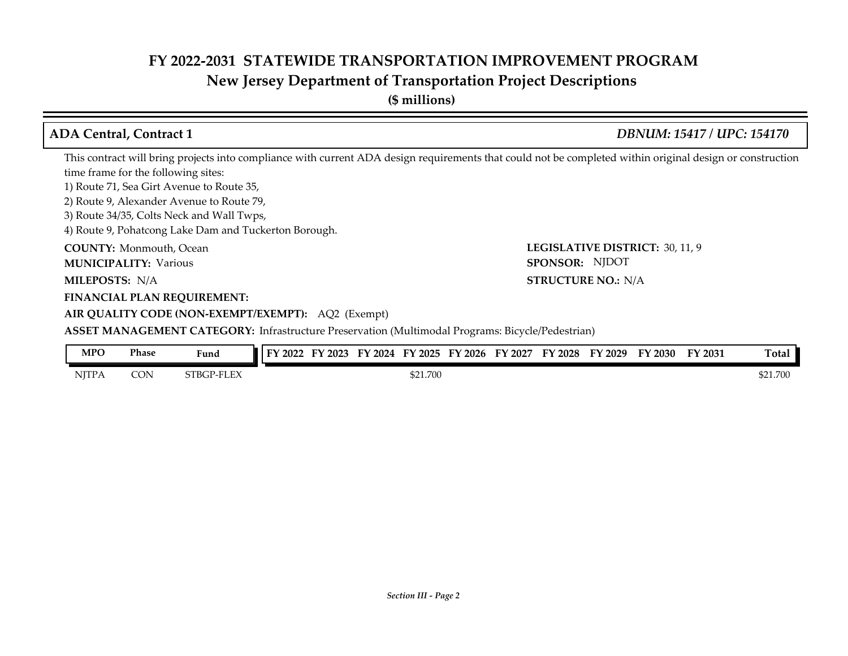## **New Jersey Department of Transportation Project Descriptions**

| <b>ADA Central, Contract 1</b>                                                                                                                            | DBNUM: 15417 / UPC: 154170      |
|-----------------------------------------------------------------------------------------------------------------------------------------------------------|---------------------------------|
| This contract will bring projects into compliance with current ADA design requirements that could not be completed within original design or construction |                                 |
| time frame for the following sites:                                                                                                                       |                                 |
| 1) Route 71, Sea Girt Avenue to Route 35,                                                                                                                 |                                 |
| 2) Route 9, Alexander Avenue to Route 79,                                                                                                                 |                                 |
| 3) Route 34/35, Colts Neck and Wall Twps,                                                                                                                 |                                 |
| 4) Route 9, Pohatcong Lake Dam and Tuckerton Borough.                                                                                                     |                                 |
| <b>COUNTY:</b> Monmouth, Ocean                                                                                                                            | LEGISLATIVE DISTRICT: 30, 11, 9 |
| <b>MUNICIPALITY: Various</b>                                                                                                                              | SPONSOR: NJDOT                  |
| <b>MILEPOSTS: N/A</b>                                                                                                                                     | <b>STRUCTURE NO.: N/A</b>       |
| <b>FINANCIAL PLAN REQUIREMENT:</b>                                                                                                                        |                                 |
| AIR QUALITY CODE (NON-EXEMPT/EXEMPT): AQ2 (Exempt)                                                                                                        |                                 |
| <b>ASSET MANAGEMENT CATEGORY:</b> Infrastructure Preservation (Multimodal Programs: Bicycle/Pedestrian)                                                   |                                 |
|                                                                                                                                                           |                                 |

| <b>MPO</b>   | Phase | Fund       | 12022<br>ТV. | $'$ 2023<br>ЕV | FY<br>$\degree$ 2024 | FY 2025  | FY 2026 | FY<br>$'$ 2027 | FY 2028 | FY 2029 | FY 2030 | FY 2031 | Total    |
|--------------|-------|------------|--------------|----------------|----------------------|----------|---------|----------------|---------|---------|---------|---------|----------|
| <b>NITPA</b> | CON   | STBGP-FLEX |              |                |                      | \$21.700 |         |                |         |         |         |         | \$21.700 |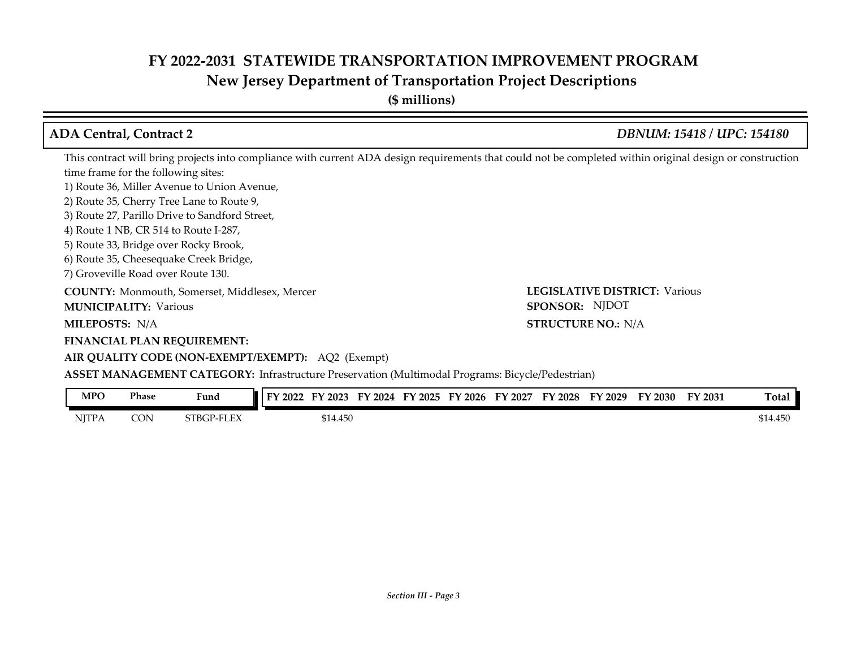**New Jersey Department of Transportation Project Descriptions**

| <b>ADA Central, Contract 2</b>                                                                                                                            | <b>DBNUM: 15418 / UPC: 154180</b>    |
|-----------------------------------------------------------------------------------------------------------------------------------------------------------|--------------------------------------|
| This contract will bring projects into compliance with current ADA design requirements that could not be completed within original design or construction |                                      |
| time frame for the following sites:                                                                                                                       |                                      |
| 1) Route 36, Miller Avenue to Union Avenue,                                                                                                               |                                      |
| 2) Route 35, Cherry Tree Lane to Route 9,                                                                                                                 |                                      |
| 3) Route 27, Parillo Drive to Sandford Street,                                                                                                            |                                      |
| 4) Route 1 NB, CR 514 to Route I-287,                                                                                                                     |                                      |
| 5) Route 33, Bridge over Rocky Brook,                                                                                                                     |                                      |
| 6) Route 35, Cheesequake Creek Bridge,                                                                                                                    |                                      |
| 7) Groveville Road over Route 130.                                                                                                                        |                                      |
| <b>COUNTY:</b> Monmouth, Somerset, Middlesex, Mercer                                                                                                      | <b>LEGISLATIVE DISTRICT: Various</b> |
| <b>MUNICIPALITY: Various</b>                                                                                                                              | SPONSOR: NJDOT                       |
| <b>MILEPOSTS: N/A</b>                                                                                                                                     | <b>STRUCTURE NO.: N/A</b>            |
| <b>FINANCIAL PLAN REQUIREMENT:</b>                                                                                                                        |                                      |
| AIR QUALITY CODE (NON-EXEMPT/EXEMPT): AQ2 (Exempt)                                                                                                        |                                      |
| <b>ASSET MANAGEMENT CATEGORY:</b> Infrastructure Preservation (Multimodal Programs: Bicycle/Pedestrian)                                                   |                                      |
|                                                                                                                                                           |                                      |

| MPO          | Phase | Fund       | FY 2022 | $'$ 2023<br>н, | FY 2024 | FY 2025 | FY 2026 | FY 2027 | FY 2028 | FY 2029 | FY 2030 | FY 2031 | <b>Total</b> |
|--------------|-------|------------|---------|----------------|---------|---------|---------|---------|---------|---------|---------|---------|--------------|
| <b>NJTPA</b> | CON   | STBGP-FLEX |         | 314.450        |         |         |         |         |         |         |         |         | \$14.450     |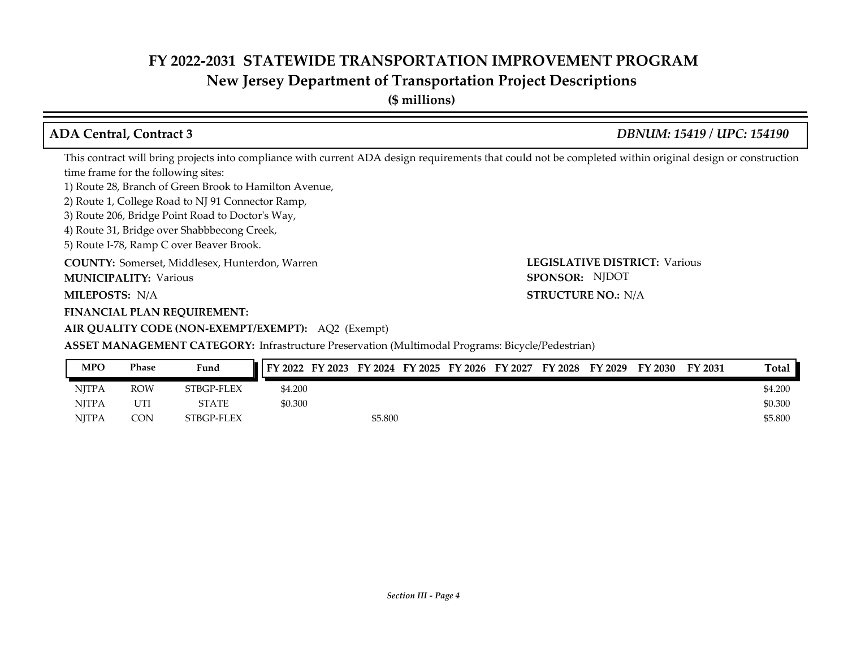## **New Jersey Department of Transportation Project Descriptions**

| <b>ADA Central, Contract 3</b>                                                                                                                            | <b>DBNUM: 15419 / UPC: 154190</b>    |
|-----------------------------------------------------------------------------------------------------------------------------------------------------------|--------------------------------------|
| This contract will bring projects into compliance with current ADA design requirements that could not be completed within original design or construction |                                      |
| time frame for the following sites:                                                                                                                       |                                      |
| 1) Route 28, Branch of Green Brook to Hamilton Avenue,                                                                                                    |                                      |
| 2) Route 1, College Road to NJ 91 Connector Ramp,                                                                                                         |                                      |
| 3) Route 206, Bridge Point Road to Doctor's Way,                                                                                                          |                                      |
| 4) Route 31, Bridge over Shabbbecong Creek,                                                                                                               |                                      |
| 5) Route I-78, Ramp C over Beaver Brook.                                                                                                                  |                                      |
| <b>COUNTY:</b> Somerset, Middlesex, Hunterdon, Warren                                                                                                     | <b>LEGISLATIVE DISTRICT: Various</b> |
| <b>MUNICIPALITY: Various</b>                                                                                                                              | SPONSOR: NJDOT                       |
| <b>MILEPOSTS: N/A</b>                                                                                                                                     | <b>STRUCTURE NO.: N/A</b>            |
| <b>FINANCIAL PLAN REQUIREMENT:</b>                                                                                                                        |                                      |
| AIR QUALITY CODE (NON-EXEMPT/EXEMPT): AQ2 (Exempt)                                                                                                        |                                      |
| <b>ASSET MANAGEMENT CATEGORY:</b> Infrastructure Preservation (Multimodal Programs: Bicycle/Pedestrian)                                                   |                                      |

| <b>MPO</b>   | Phase      | Fund         | FY 2022 FY 2023 FY 2024 FY 2025 FY 2026 FY 2027 FY 2028 FY 2029 FY 2030 |         |  |  |  | FY 2031 | Total   |
|--------------|------------|--------------|-------------------------------------------------------------------------|---------|--|--|--|---------|---------|
| <b>NITPA</b> | <b>ROW</b> | STBGP-FLEX   | \$4.200                                                                 |         |  |  |  |         | \$4.200 |
| <b>NITPA</b> | UTI        | <b>STATE</b> | \$0.300                                                                 |         |  |  |  |         | \$0.300 |
| <b>NITPA</b> | CON        | STBGP-FLEX   |                                                                         | \$5.800 |  |  |  |         | \$5.800 |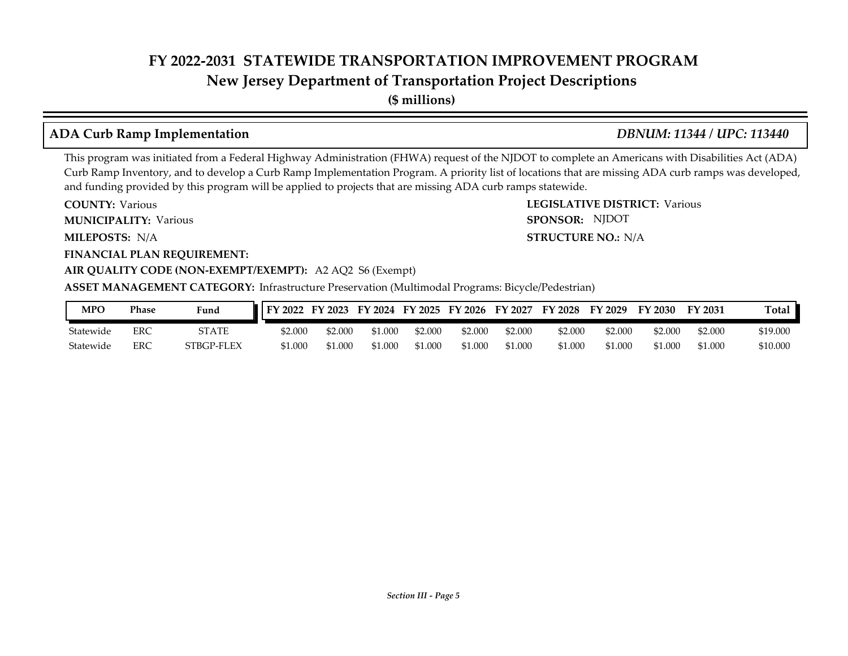### **New Jersey Department of Transportation Project Descriptions**

**(\$ millions)**

### **ADA Curb Ramp Implementation** *DBNUM: 11344 / UPC: 113440*

**STRUCTURE NO.: N/A** 

SPONSOR: NJDOT

This program was initiated from a Federal Highway Administration (FHWA) request of the NJDOT to complete an Americans with Disabilities Act (ADA) Curb Ramp Inventory, and to develop a Curb Ramp Implementation Program. A priority list of locations that are missing ADA curb ramps was developed, and funding provided by this program will be applied to projects that are missing ADA curb ramps statewide.

**COUNTY: LEGISLATIVE DISTRICT:** Various **COUNTY: Various** 

**MUNICIPALITY:** Various **SPONSOR:** 

**MILEPOSTS: STRUCTURE NO.:** N/A

**FINANCIAL PLAN REQUIREMENT:**

#### **AIR QUALITY CODE (NON-EXEMPT/EXEMPT):** A2 AQ2 S6 (Exempt)

| MPO       | Phase | Fund         | FY 2022 | FY 2023 |         |         | FY 2024 FY 2025 FY 2026 FY 2027 |         | <b>FY 2028</b> | FY 2029 | FY 2030 | FY 2031 | Total    |
|-----------|-------|--------------|---------|---------|---------|---------|---------------------------------|---------|----------------|---------|---------|---------|----------|
| Statewide | ERC   | <b>STATE</b> | \$2.000 | \$2.000 | \$1.000 | \$2.000 | \$2.000                         | \$2,000 | \$2.000        | \$2.000 | \$2.000 | \$2,000 | \$19,000 |
| Statewide | ERC   | STBGP-FLEX   | \$1.000 | 51.000  | \$1.000 | \$1.000 | \$1.000                         | \$1.000 | \$1.000        | \$1.000 | \$1.000 | \$1.000 | \$10,000 |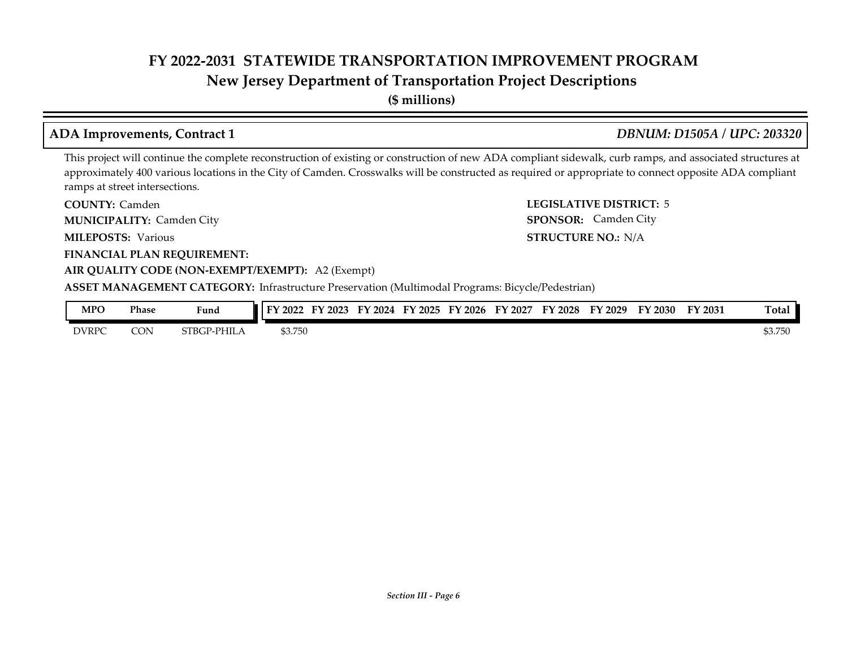### **New Jersey Department of Transportation Project Descriptions**

**(\$ millions)**

#### **ADA Improvements, Contract 1** *DBNUM: D1505A / UPC: 203320*

**STRUCTURE NO.: N/A** 

SPONSOR: Camden City

This project will continue the complete reconstruction of existing or construction of new ADA compliant sidewalk, curb ramps, and associated structures at approximately 400 various locations in the City of Camden. Crosswalks will be constructed as required or appropriate to connect opposite ADA compliant ramps at street intersections.

**COUNTY: LEGISLATIVE DISTRICT:** 5 COUNTY: Camden **MUNICIPALITY:** Camden City **SPONSOR:** 

**MILEPOSTS:** Various **STRUCTURE NO.: STRUCTURE NO.:** 

**FINANCIAL PLAN REQUIREMENT:**

#### **AIR QUALITY CODE (NON-EXEMPT/EXEMPT):** A2 (Exempt)

| MPO          | <b>Phase</b> | Fund                   | 2022    | 2023<br>ы, | 2024<br>EV | FY 2025 | FY 2026 | FY<br>2027 | <sup>T</sup> Y 2028 | '2029 | FY 2030 | $\nabla$ 2031 | Total   |
|--------------|--------------|------------------------|---------|------------|------------|---------|---------|------------|---------------------|-------|---------|---------------|---------|
| <b>DVRPC</b> | CON          | $\cdot$ PHIL.<br>STBGP | \$3.750 |            |            |         |         |            |                     |       |         |               | \$3.750 |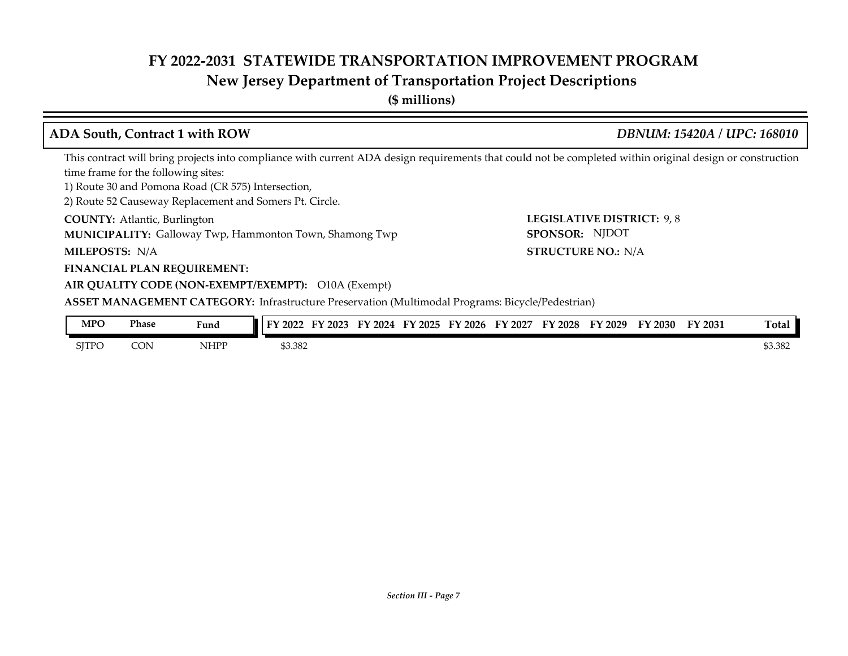#### **New Jersey Department of Transportation Project Descriptions**

**(\$ millions)**

#### **ADA South, Contract 1 with ROW** *DBNUM: 15420A / UPC: 168010*

LEGISLATIVE DISTRICT: 9,8

**STRUCTURE NO.: N/A** 

SPONSOR: NJDOT

This contract will bring projects into compliance with current ADA design requirements that could not be completed within original design or construction time frame for the following sites:

1) Route 30 and Pomona Road (CR 575) Intersection,

2) Route 52 Causeway Replacement and Somers Pt. Circle.

**COUNTY: LEGISLATIVE DISTRICT:** Atlantic, Burlington **MUNICIPALITY:** Galloway Twp, Hammonton Town, Shamong Twp **SPONSOR:** 

**MILEPOSTS: STRUCTURE NO.:** N/A

#### **FINANCIAL PLAN REQUIREMENT:**

#### **AIR QUALITY CODE (NON-EXEMPT/EXEMPT):** O10A (Exempt)

| <b>MPO</b><br>______ | <b>Phase</b><br>. | Fund | FY 2022 | $E$ V<br>$'$ 2023 | FY<br>2024 | FY 2025 | FY 2026 | FY 2027 | FY<br>12028 | FY 2029 | FY 2030 | FY 2031 | <b>Total</b> |
|----------------------|-------------------|------|---------|-------------------|------------|---------|---------|---------|-------------|---------|---------|---------|--------------|
| <b>SITPO</b>         | CON               | NHPP | \$3.382 |                   |            |         |         |         |             |         |         |         | \$3.382      |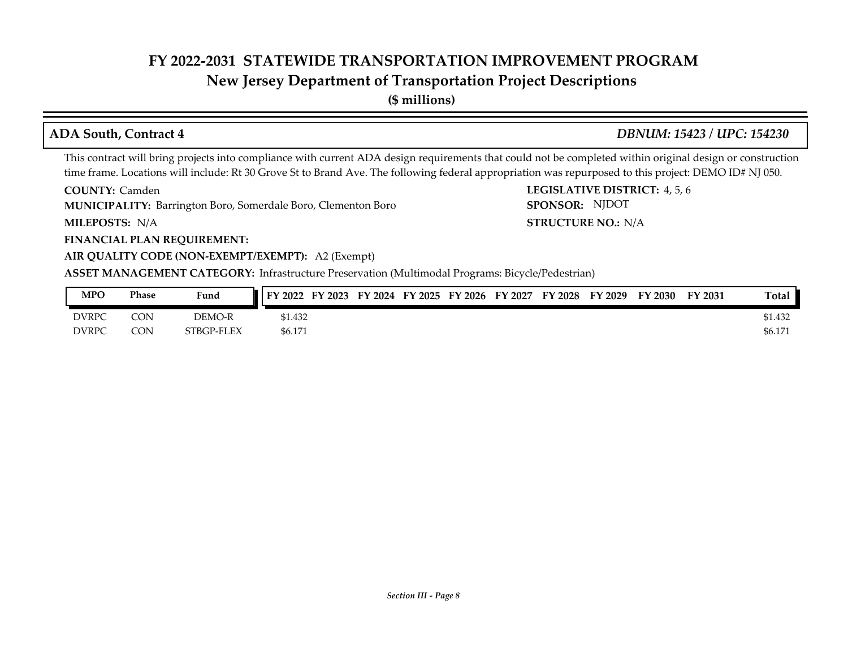### **New Jersey Department of Transportation Project Descriptions**

**(\$ millions)**

#### **ADA South, Contract 4** *DBNUM: 15423 / UPC: 154230*

SPONSOR: NJDOT

This contract will bring projects into compliance with current ADA design requirements that could not be completed within original design or construction time frame. Locations will include: Rt 30 Grove St to Brand Ave. The following federal appropriation was repurposed to this project: DEMO ID# NJ 050.

**COUNTY: LEGISLATIVE DISTRICT:** 4, 5, 6 **COUNTY: Camden** 

**MUNICIPALITY:** Barrington Boro, Somerdale Boro, Clementon Boro **SPONSOR:** 

**MILEPOSTS: STRUCTURE NO.:** N/A MILEPOSTS: N/A

**FINANCIAL PLAN REQUIREMENT:**

#### **AIR QUALITY CODE (NON-EXEMPT/EXEMPT):** A2 (Exempt)

| MPO          | Phase      | Fund       | FY 2022<br>FY 2023 | FY 2024 | FY 2025 | FY 2026 | FY 2027 | <b>FY 2028</b> | FY 2029 | FY 2030 | FY 2031 | Total   |
|--------------|------------|------------|--------------------|---------|---------|---------|---------|----------------|---------|---------|---------|---------|
| <b>DVRPC</b> | CON        | DEMO-R     | \$1.432            |         |         |         |         |                |         |         |         | \$1.432 |
| <b>DVRPC</b> | <b>CON</b> | STBGP-FLEX | \$6.171            |         |         |         |         |                |         |         |         | \$6.171 |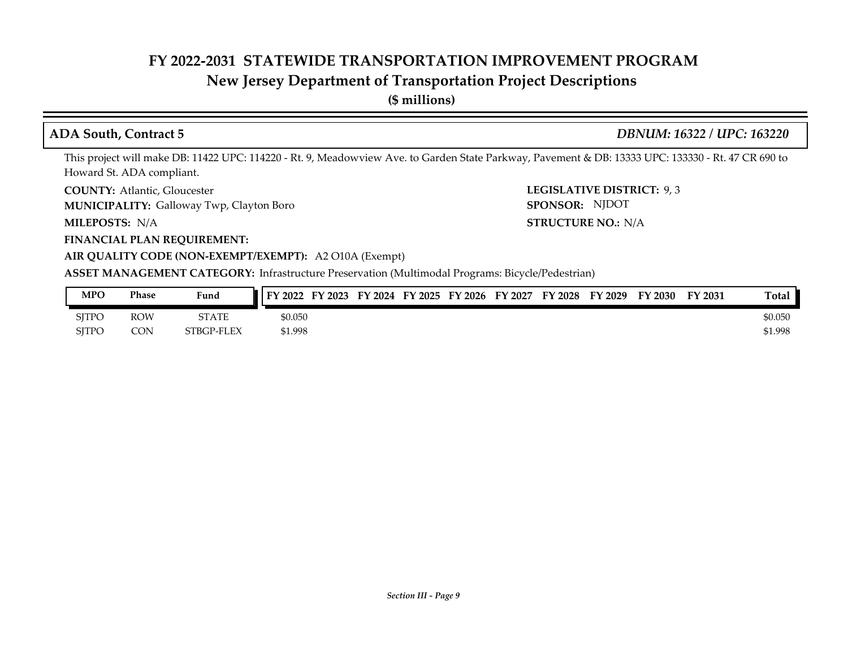### **New Jersey Department of Transportation Project Descriptions**

**(\$ millions)**

**ADA South, Contract 5** *DBNUM: 16322 / UPC: 163220*

This project will make DB: 11422 UPC: 114220 - Rt. 9, Meadowview Ave. to Garden State Parkway, Pavement & DB: 13333 UPC: 133330 - Rt. 47 CR 690 to Howard St. ADA compliant.

**COUNTY: LEGISLATIVE DISTRICT:** Atlantic, Gloucester

Galloway Twp, Clayton Boro **MUNICIPALITY: SPONSOR:**

MILEPOSTS: N/A

**FINANCIAL PLAN REQUIREMENT:**

**MILEPOSTS: STRUCTURE NO.:** N/A SPONSOR: NJDOT

**LEGISLATIVE DISTRICT: 9,3** 

**AIR QUALITY CODE (NON-EXEMPT/EXEMPT):** A2 O10A (Exempt) **ASSET MANAGEMENT CATEGORY:** Infrastructure Preservation (Multimodal Programs: Bicycle/Pedestrian)

| <b>MPO</b>   | Phase      | Fund         | $\overline{Y}$ FY 2022<br>FY 2023 | FY 2024 FY 2025 | FY 2026 | FY 2027 | <b>FY 2028</b> | FY 2029 | FY 2030 | FY 2031 | Total   |
|--------------|------------|--------------|-----------------------------------|-----------------|---------|---------|----------------|---------|---------|---------|---------|
| <b>SITPO</b> | <b>ROW</b> | <b>STATE</b> | \$0.050                           |                 |         |         |                |         |         |         | \$0.050 |
| <b>SITPO</b> | CON        | STBGP-FLEX   | \$1.998                           |                 |         |         |                |         |         |         | \$1.998 |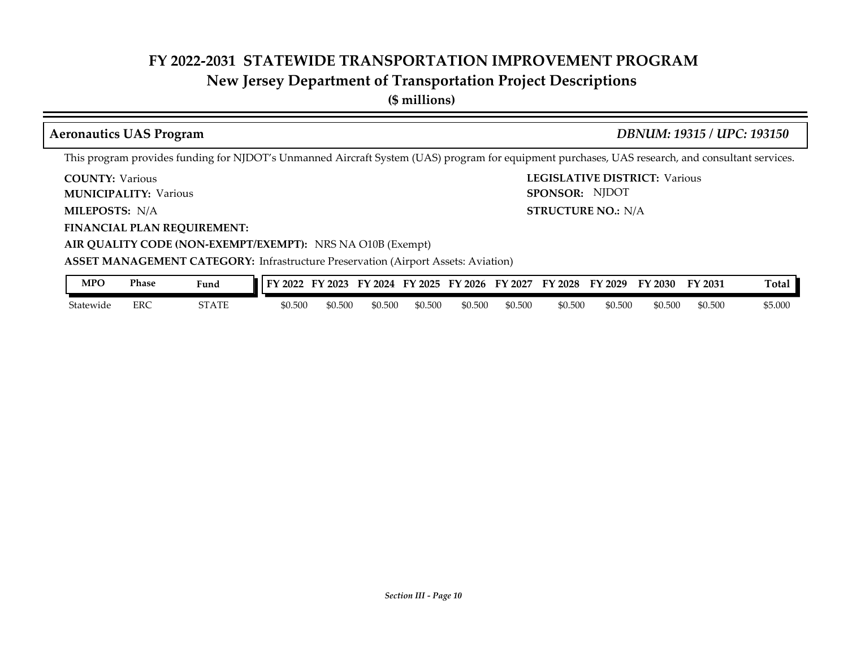### **New Jersey Department of Transportation Project Descriptions**

**(\$ millions)**

#### **Aeronautics UAS Program** *DBNUM: 19315 / UPC: 193150*

**STRUCTURE NO.: N/A** 

SPONSOR: NJDOT

This program provides funding for NJDOT's Unmanned Aircraft System (UAS) program for equipment purchases, UAS research, and consultant services.

**COUNTY: LEGISLATIVE DISTRICT:** Various **COUNTY: Various** 

**MUNICIPALITY:** Various **SPONSOR:** 

**MILEPOSTS: STRUCTURE NO.:** N/A

**FINANCIAL PLAN REQUIREMENT:**

**AIR QUALITY CODE (NON-EXEMPT/EXEMPT):** NRS NA O10B (Exempt)

**ASSET MANAGEMENT CATEGORY: Infrastructure Preservation (Airport Assets: Aviation)** 

| MPO                   | Phase      | Fund  | TУ.<br>2022 | 2023<br>н. | 2024<br>FV | FY 2025 | EY<br>$'$ 2026 | FY<br>2027 | $'$ 2028<br><b>HV</b> | FY 2029 | FY 2030 | FY 2031 | m<br>l otal |
|-----------------------|------------|-------|-------------|------------|------------|---------|----------------|------------|-----------------------|---------|---------|---------|-------------|
| <b>.</b><br>Statewide | <b>ERC</b> | 5TATE | \$0.500     | \$0.500    | \$0.500    | \$0.500 | 50.500         | \$0.500    | \$0.500               | \$0.500 | \$0.500 | \$0.500 | \$5.000     |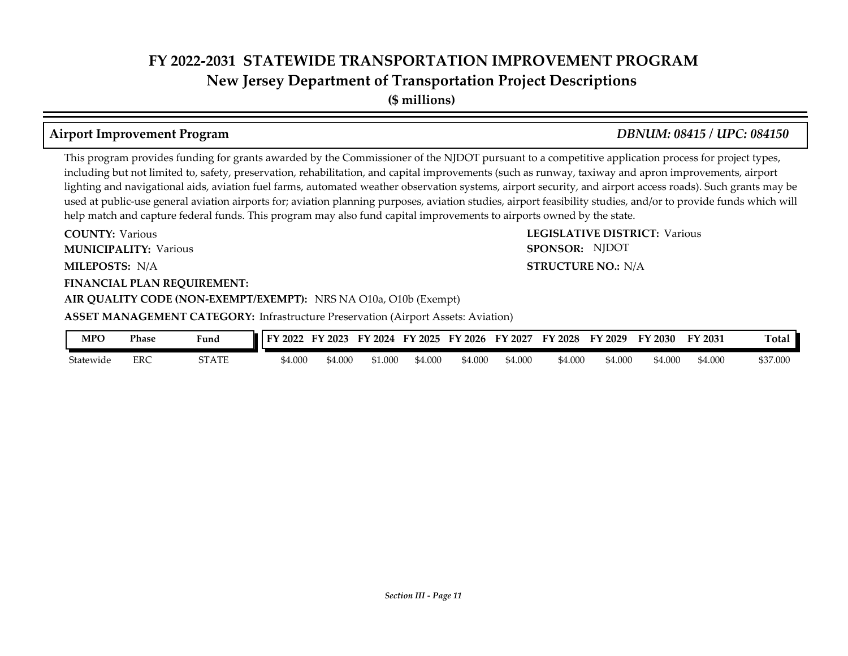**New Jersey Department of Transportation Project Descriptions**

**(\$ millions)**

### **Airport Improvement Program** *DBNUM: 08415 / UPC: 084150*

**STRUCTURE NO.: N/A** 

SPONSOR: NJDOT

This program provides funding for grants awarded by the Commissioner of the NJDOT pursuant to a competitive application process for project types, including but not limited to, safety, preservation, rehabilitation, and capital improvements (such as runway, taxiway and apron improvements, airport lighting and navigational aids, aviation fuel farms, automated weather observation systems, airport security, and airport access roads). Such grants may be used at public-use general aviation airports for; aviation planning purposes, aviation studies, airport feasibility studies, and/or to provide funds which will help match and capture federal funds. This program may also fund capital improvements to airports owned by the state.

**COUNTY: LEGISLATIVE DISTRICT:** Various **MILEPOSTS: STRUCTURE NO.:** N/A **COUNTY: Various MUNICIPALITY:** Various **SPONSOR:** 

#### **FINANCIAL PLAN REQUIREMENT:**

**AIR QUALITY CODE (NON-EXEMPT/EXEMPT):** NRS NA O10a, O10b (Exempt)

**ASSET MANAGEMENT CATEGORY: Infrastructure Preservation (Airport Assets: Aviation)** 

| <b>MPO</b> | Phase | Fund  | FY 2022 | FY 2023 | FY<br>2024 | FY 2025 | FY 2026 | FY 2027 | FY 2028 | FY 2029 | FY<br>$\degree$ 2030 | FY 2031 | <b>Total</b> |
|------------|-------|-------|---------|---------|------------|---------|---------|---------|---------|---------|----------------------|---------|--------------|
| Statewide  | ERC   | STATE | 54.000  | \$4.000 | 1.000م     | \$4.000 | 54.000  | \$4.000 | \$4.000 | \$4.000 | 54.000               | 000.4م  | \$37.000     |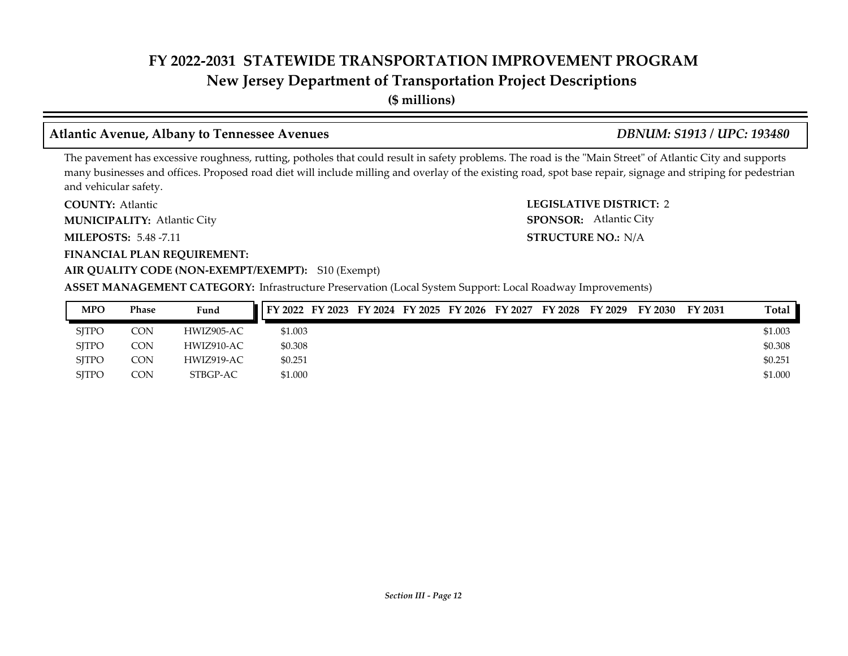### **New Jersey Department of Transportation Project Descriptions**

**(\$ millions)**

### **Atlantic Avenue, Albany to Tennessee Avenues** *DBNUM: S1913 / UPC: 193480*

The pavement has excessive roughness, rutting, potholes that could result in safety problems. The road is the "Main Street" of Atlantic City and supports many businesses and offices. Proposed road diet will include milling and overlay of the existing road, spot base repair, signage and striping for pedestrian and vehicular safety.

**COUNTY: LEGISLATIVE DISTRICT:** 2 **COUNTY: Atlantic** 

Atlantic City **MUNICIPALITY: SPONSOR:**

**MILEPOSTS: STRUCTURE NO.:** 5.48 -7.11

**FINANCIAL PLAN REQUIREMENT:**

#### **AIR QUALITY CODE (NON-EXEMPT/EXEMPT):** S10 (Exempt)

**ASSET MANAGEMENT CATEGORY:** Infrastructure Preservation (Local System Support: Local Roadway Improvements)

| <b>MPO</b>   | <b>Phase</b> | Fund       |         |  |  | FY 2022 FY 2023 FY 2024 FY 2025 FY 2026 FY 2027 | FY 2028 | FY 2029 | FY 2030 | FY 2031 | Total   |
|--------------|--------------|------------|---------|--|--|-------------------------------------------------|---------|---------|---------|---------|---------|
| <b>SITPO</b> | CON          | HWIZ905-AC | \$1.003 |  |  |                                                 |         |         |         |         | \$1.003 |
| <b>SITPO</b> | CON          | HWIZ910-AC | \$0.308 |  |  |                                                 |         |         |         |         | \$0.308 |
| <b>SITPO</b> | CON          | HWIZ919-AC | \$0.251 |  |  |                                                 |         |         |         |         | \$0.251 |
| <b>SITPO</b> | CON          | STBGP-AC   | \$1.000 |  |  |                                                 |         |         |         |         | \$1.000 |

**STRUCTURE NO.: N/A** 

SPONSOR: Atlantic City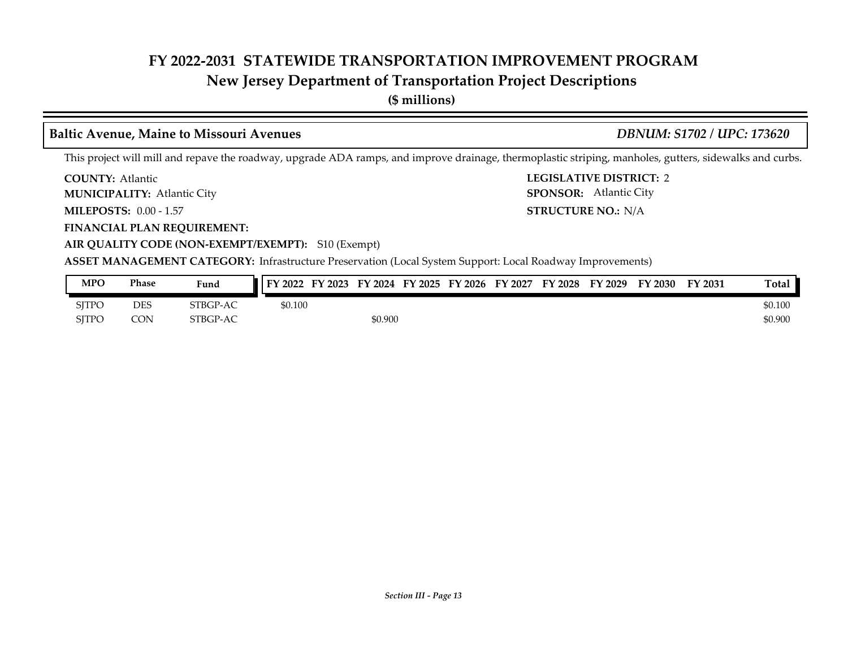### **New Jersey Department of Transportation Project Descriptions**

**(\$ millions)**

#### **Baltic Avenue, Maine to Missouri Avenues** *DBNUM: S1702 / UPC: 173620*

This project will mill and repave the roadway, upgrade ADA ramps, and improve drainage, thermoplastic striping, manholes, gutters, sidewalks and curbs.

**COUNTY: LEGISLATIVE DISTRICT:** 2 **COUNTY: Atlantic** 

Atlantic City **MUNICIPALITY: SPONSOR:**

**MILEPOSTS: STRUCTURE NO.:** 0.00 - 1.57

**FINANCIAL PLAN REQUIREMENT:**

**AIR QUALITY CODE (NON-EXEMPT/EXEMPT):** S10 (Exempt)

**ASSET MANAGEMENT CATEGORY:** Infrastructure Preservation (Local System Support: Local Roadway Improvements)

| <b>MPO</b>   | Phase | Fund     | FY 2022 | FY 2023 | FY 2024 | FY 2025 | <b>FY 2026</b> | FY 2027 | <b>FY 2028</b> | FY 2029 | <sup>T</sup> Y 2030 | FY 2031 | <b>Total</b> |
|--------------|-------|----------|---------|---------|---------|---------|----------------|---------|----------------|---------|---------------------|---------|--------------|
| <b>SJTPO</b> | DES   | STBGP-AC | \$0.100 |         |         |         |                |         |                |         |                     |         | \$0.100      |
| <b>SITPO</b> | CON   | STBGP-AC |         |         | \$0.900 |         |                |         |                |         |                     |         | \$0.900      |

**STRUCTURE NO.: N/A** 

SPONSOR: Atlantic City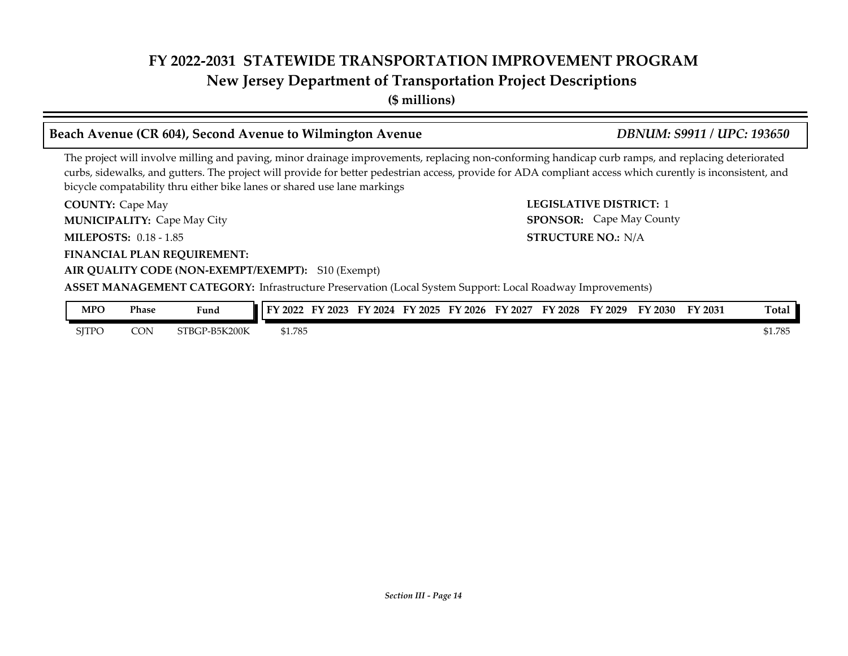**New Jersey Department of Transportation Project Descriptions**

**(\$ millions)**

#### **Beach Avenue (CR 604), Second Avenue to Wilmington Avenue** *DBNUM: S9911 / UPC: 193650*

The project will involve milling and paving, minor drainage improvements, replacing non-conforming handicap curb ramps, and replacing deteriorated curbs, sidewalks, and gutters. The project will provide for better pedestrian access, provide for ADA compliant access which curently is inconsistent, and bicycle compatability thru either bike lanes or shared use lane markings

**COUNTY:** Cape May **COUNTY:** Cape May **COUNTY:** 2 **MILEPOSTS: STRUCTURE NO.:** 0.18 - 1.85 **FINANCIAL PLAN REQUIREMENT: AIR QUALITY CODE (NON-EXEMPT/EXEMPT):** S10 (Exempt) **COUNTY: Cape May MUNICIPALITY:** Cape May City **SPONSOR:** 

**STRUCTURE NO.: N/A SPONSOR:** Cape May County

**ASSET MANAGEMENT CATEGORY:** Infrastructure Preservation (Local System Support: Local Roadway Improvements)

| MPO          | Phase | Funa                | FY 2022 | FY 2023 | FY<br>2024 | FY 2025 | FY 2026 | FY 2027 | <b>FY 2028</b> | FY 2029 | FY 2030 | FY 2031 | Total   |
|--------------|-------|---------------------|---------|---------|------------|---------|---------|---------|----------------|---------|---------|---------|---------|
| <b>SITPC</b> | CON   | GP-B5K200K<br>STRCT | \$1.785 |         |            |         |         |         |                |         |         |         | \$1.785 |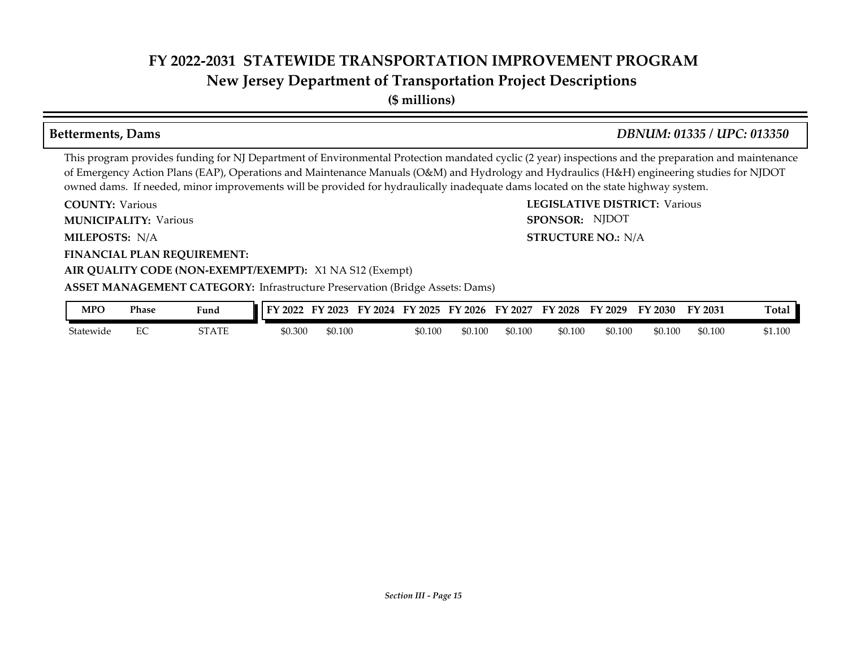### **New Jersey Department of Transportation Project Descriptions**

**(\$ millions)**

#### **Betterments, Dams** *DBNUM: 01335 / UPC: 013350*

SPONSOR: NJDOT

This program provides funding for NJ Department of Environmental Protection mandated cyclic (2 year) inspections and the preparation and maintenance of Emergency Action Plans (EAP), Operations and Maintenance Manuals (O&M) and Hydrology and Hydraulics (H&H) engineering studies for NJDOT owned dams. If needed, minor improvements will be provided for hydraulically inadequate dams located on the state highway system.

**COUNTY: LEGISLATIVE DISTRICT:** Various **COUNTY: Various** 

**MUNICIPALITY:** Various **SPONSOR:** 

**MILEPOSTS: STRUCTURE NO.:** N/A MILEPOSTS: N/A

**FINANCIAL PLAN REQUIREMENT:**

#### **AIR QUALITY CODE (NON-EXEMPT/EXEMPT):** X1 NA S12 (Exempt)

**ASSET MANAGEMENT CATEGORY:** Infrastructure Preservation (Bridge Assets: Dams)

| MPO       | Phase | Fund  | 2022<br>$\mathbf{F} \mathbf{V}$ | ' 2023<br>– Li V | FY 2024 | FY 2025 | FY 2026 | FY 2027 | FY 2028 | FY 2029 | FY 2030 | FY 2031 | m.<br>『otal |
|-----------|-------|-------|---------------------------------|------------------|---------|---------|---------|---------|---------|---------|---------|---------|-------------|
| Statewide | ∽     | STATE | \$0.300                         | \$0.100          |         | \$0.100 | 50.100  | \$0.100 | \$0.100 | \$0.100 | \$0.100 | \$0.100 | \$1.100     |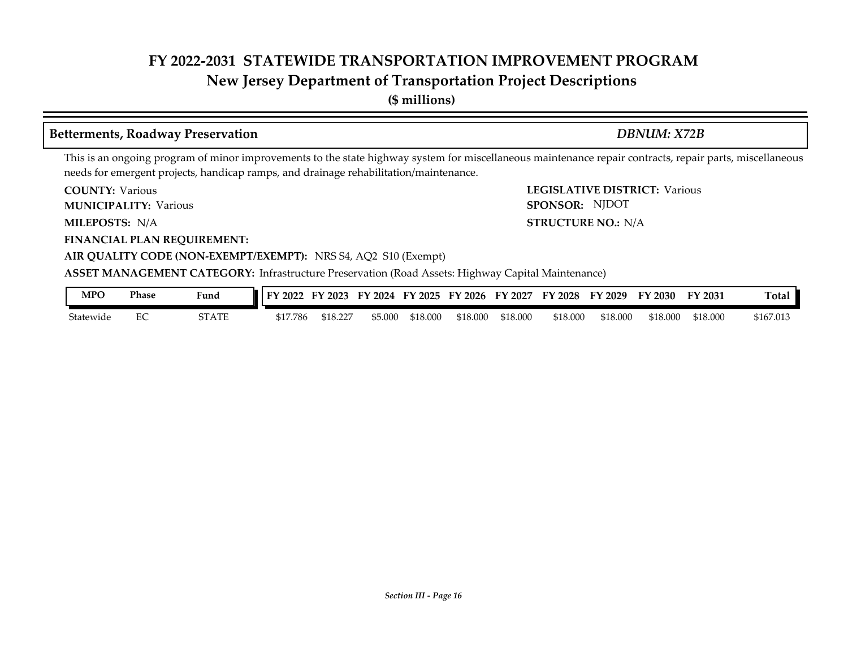### **New Jersey Department of Transportation Project Descriptions**

**(\$ millions)**

#### **Betterments, Roadway Preservation** *DBNUM: X72B*

SPONSOR: NJDOT

This is an ongoing program of minor improvements to the state highway system for miscellaneous maintenance repair contracts, repair parts, miscellaneous needs for emergent projects, handicap ramps, and drainage rehabilitation/maintenance.

**COUNTY: LEGISLATIVE DISTRICT:** Various **COUNTY: Various** 

**MUNICIPALITY:** Various **SPONSOR:** 

**MILEPOSTS: STRUCTURE NO.:** N/A MILEPOSTS: N/A

**FINANCIAL PLAN REQUIREMENT:**

**AIR QUALITY CODE (NON-EXEMPT/EXEMPT):** NRS S4, AQ2 S10 (Exempt)

**ASSET MANAGEMENT CATEGORY:** Infrastructure Preservation (Road Assets: Highway Capital Maintenance)

| MPC       | Phase                         | Fund                     | 2022<br>EV. | '2023<br>--        | 2024<br>TV. | EV.<br>'2025 | FY 2026  | FY<br>2027 | FV<br>$'$ 2028 | FY 2029  | FY 2030  | FY 2031  | m.<br>l otal |
|-----------|-------------------------------|--------------------------|-------------|--------------------|-------------|--------------|----------|------------|----------------|----------|----------|----------|--------------|
| Statewide | $\overline{\phantom{a}}$<br>∽ | $T_{\Delta}$<br>21 A I L | \$17.786    | $\cap$<br>\$18.22. | 55.00C      | \$18.000     | \$18.000 | \$18.000   | \$18.000       | \$18.000 | \$18.000 | \$18.000 | \$167.013    |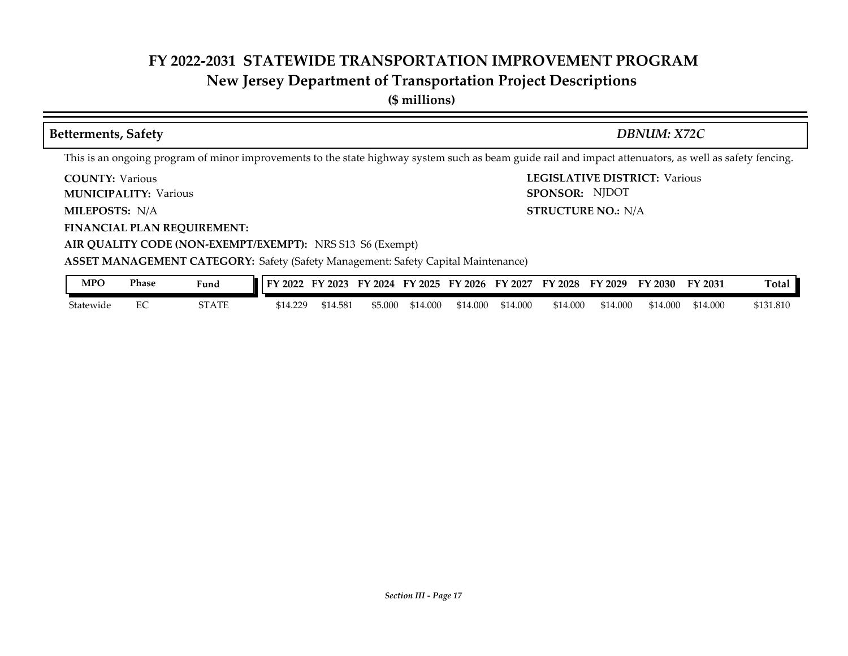## **New Jersey Department of Transportation Project Descriptions**

| <b>Betterments, Safety</b>                                                                                                                              |              |          |          |         |          |          |          |                                                                 |          | <b>DBNUM: X72C</b>                   |          |           |
|---------------------------------------------------------------------------------------------------------------------------------------------------------|--------------|----------|----------|---------|----------|----------|----------|-----------------------------------------------------------------|----------|--------------------------------------|----------|-----------|
| This is an ongoing program of minor improvements to the state highway system such as beam guide rail and impact attenuators, as well as safety fencing. |              |          |          |         |          |          |          |                                                                 |          |                                      |          |           |
| <b>COUNTY: Various</b><br><b>MUNICIPALITY: Various</b>                                                                                                  |              |          |          |         |          |          |          | SPONSOR: NJDOT                                                  |          | <b>LEGISLATIVE DISTRICT: Various</b> |          |           |
| <b>MILEPOSTS: N/A</b>                                                                                                                                   |              |          |          |         |          |          |          | <b>STRUCTURE NO.: N/A</b>                                       |          |                                      |          |           |
| <b>FINANCIAL PLAN REQUIREMENT:</b>                                                                                                                      |              |          |          |         |          |          |          |                                                                 |          |                                      |          |           |
| AIR QUALITY CODE (NON-EXEMPT/EXEMPT): NRS S13 S6 (Exempt)                                                                                               |              |          |          |         |          |          |          |                                                                 |          |                                      |          |           |
| <b>ASSET MANAGEMENT CATEGORY: Safety (Safety Management: Safety Capital Maintenance)</b>                                                                |              |          |          |         |          |          |          |                                                                 |          |                                      |          |           |
| <b>MPO</b><br>Phase                                                                                                                                     | Fund         |          |          |         |          |          |          | FY 2022 FY 2023 FY 2024 FY 2025 FY 2026 FY 2027 FY 2028 FY 2029 |          | FY 2030                              | FY 2031  | Total     |
| EC<br>Statewide                                                                                                                                         | <b>STATE</b> | \$14.229 | \$14.581 | \$5.000 | \$14.000 | \$14.000 | \$14.000 | \$14.000                                                        | \$14.000 | \$14.000                             | \$14.000 | \$131.810 |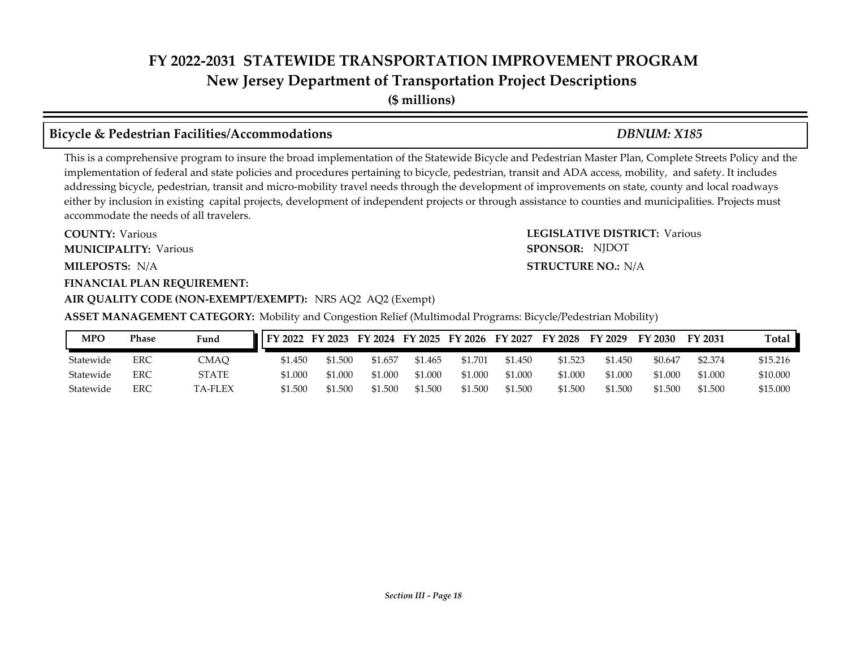## **FY 2022-2031 STATEWIDE TRANSPORTATION IMPROVEMENT PROGRAM New Jersey Department of Transportation Project Descriptions**

**(\$ millions)**

#### **Bicycle & Pedestrian Facilities/Accommodations** *DBNUM: X185*

This is a comprehensive program to insure the broad implementation of the Statewide Bicycle and Pedestrian Master Plan, Complete Streets Policy and the implementation of federal and state policies and procedures pertaining to bicycle, pedestrian, transit and ADA access, mobility, and safety. It includes addressing bicycle, pedestrian, transit and micro-mobility travel needs through the development of improvements on state, county and local roadways either by inclusion in existing capital projects, development of independent projects or through assistance to counties and municipalities. Projects must accommodate the needs of all travelers.

**MILEPOSTS: STRUCTURE NO.:** N/A **MUNICIPALITY:** Various **SPONSOR:** MILEPOSTS: N/A

**COUNTY: Various** 

#### **FINANCIAL PLAN REQUIREMENT:**

#### **AIR QUALITY CODE (NON-EXEMPT/EXEMPT):** NRS AQ2 AQ2 (Exempt)

**ASSET MANAGEMENT CATEGORY:** Mobility and Congestion Relief (Multimodal Programs: Bicycle/Pedestrian Mobility)

**COUNTY: LEGISLATIVE DISTRICT:** Various

| <b>MPO</b> | Phase | Fund          | $\vert$ FY 2022 |         |         |         |         | FY 2023 FY 2024 FY 2025 FY 2026 FY 2027 | FY 2028 | FY 2029 | FY 2030 | FY 2031 | Total    |
|------------|-------|---------------|-----------------|---------|---------|---------|---------|-----------------------------------------|---------|---------|---------|---------|----------|
| Statewide  | ERC   | CMAO          | \$1.450         | \$1.500 | \$1.657 | \$1.465 | \$1.701 | \$1.450                                 | \$1.523 | 51.450  | \$0.647 | \$2.374 | \$15.216 |
| Statewide  | ERC   | STATE         | \$1.000         | \$1.000 | \$1.000 | \$1,000 | \$1.000 | \$1.000                                 | \$1.000 | \$1.000 | \$1,000 | \$1.000 | \$10.000 |
| Statewide  | ERC   | <b>A-FLEX</b> | \$1.500         | \$1.500 | 1.500   | \$1.500 | \$1.500 | \$1.500                                 | \$1.500 | \$1.500 | \$1.500 | \$1.500 | \$15.000 |

SPONSOR: NJDOT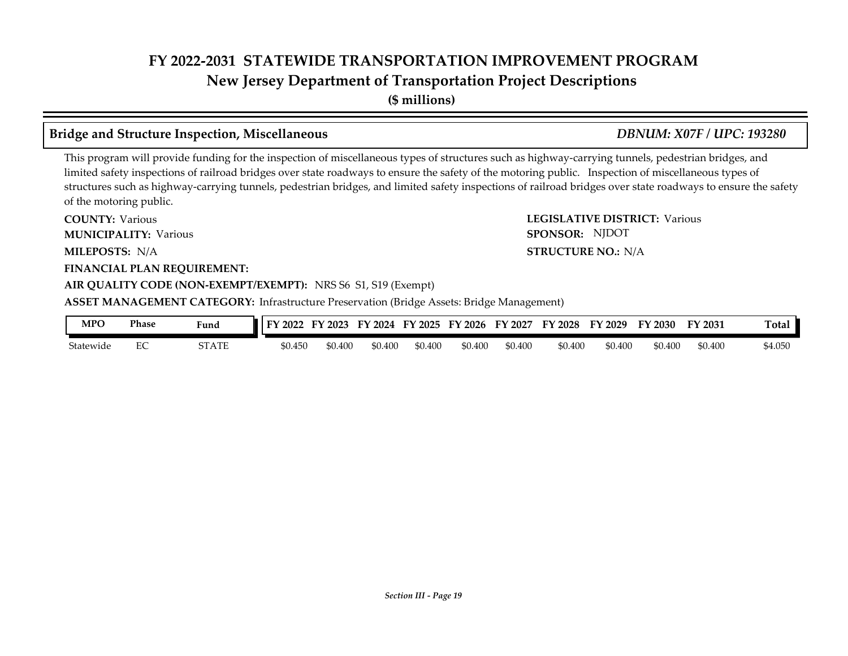## **FY 2022-2031 STATEWIDE TRANSPORTATION IMPROVEMENT PROGRAM New Jersey Department of Transportation Project Descriptions**

**(\$ millions)**

#### **Bridge and Structure Inspection, Miscellaneous** *DBNUM: X07F / UPC: 193280*

This program will provide funding for the inspection of miscellaneous types of structures such as highway-carrying tunnels, pedestrian bridges, and limited safety inspections of railroad bridges over state roadways to ensure the safety of the motoring public. Inspection of miscellaneous types of structures such as highway-carrying tunnels, pedestrian bridges, and limited safety inspections of railroad bridges over state roadways to ensure the safety of the motoring public.

| <b>COUNTY: Various</b>                                                                           | <b>LEGISLATIVE DISTRICT: Various</b> |
|--------------------------------------------------------------------------------------------------|--------------------------------------|
| <b>MUNICIPALITY: Various</b>                                                                     | SPONSOR: NJDOT                       |
| <b>MILEPOSTS: N/A</b>                                                                            | <b>STRUCTURE NO.: N/A</b>            |
| <b>FINANCIAL PLAN REQUIREMENT:</b>                                                               |                                      |
| AIR QUALITY CODE (NON-EXEMPT/EXEMPT): NRS S6 S1, S19 (Exempt)                                    |                                      |
| <b>ASSET MANAGEMENT CATEGORY:</b> Infrastructure Preservation (Bridge Assets: Bridge Management) |                                      |

| MPO       | Phase | Fund  | FY 2022 | '2023<br>EV | FY 2024 | FY 2025 | FY 2026 | FY 2027 | FY 2028 | FY 2029 | FY 2030 | FY 2031 | m.<br>`otal |
|-----------|-------|-------|---------|-------------|---------|---------|---------|---------|---------|---------|---------|---------|-------------|
| Statewide | ∼     | STATE | \$0.450 | \$0.400     | 50.40C  | \$0.400 | \$0.400 | \$0.400 | \$0.400 | \$0.400 | \$0.400 | \$0.400 | 54.050      |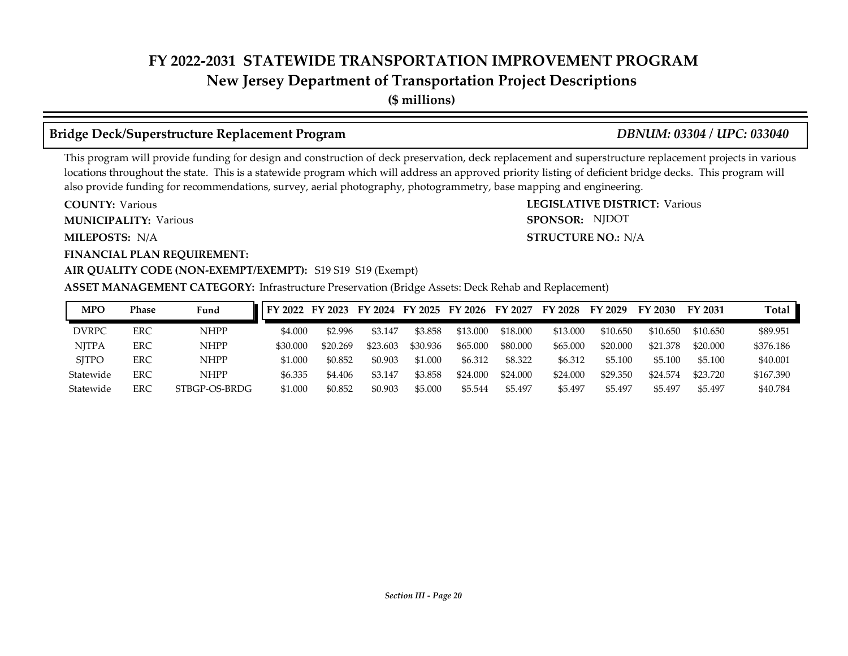### **New Jersey Department of Transportation Project Descriptions**

**(\$ millions)**

### **Bridge Deck/Superstructure Replacement Program** *DBNUM: 03304 / UPC: 033040*

**STRUCTURE NO.: N/A** 

SPONSOR: NJDOT

This program will provide funding for design and construction of deck preservation, deck replacement and superstructure replacement projects in various locations throughout the state. This is a statewide program which will address an approved priority listing of deficient bridge decks. This program will also provide funding for recommendations, survey, aerial photography, photogrammetry, base mapping and engineering.

**COUNTY: LEGISLATIVE DISTRICT:** Various **COUNTY: Various MUNICIPALITY:** Various **SPONSOR:** 

**MILEPOSTS: STRUCTURE NO.:** N/A

**FINANCIAL PLAN REQUIREMENT:**

#### **AIR QUALITY CODE (NON-EXEMPT/EXEMPT):** S19 S19 S19 (Exempt)

**ASSET MANAGEMENT CATEGORY:** Infrastructure Preservation (Bridge Assets: Deck Rehab and Replacement)

| <b>MPO</b>   | Phase      | Fund          | FY 2022  |          |          |          | FY 2023 FY 2024 FY 2025 FY 2026 | FY 2027  | FY 2028  | FY 2029  | FY 2030       | FY 2031  | Total     |
|--------------|------------|---------------|----------|----------|----------|----------|---------------------------------|----------|----------|----------|---------------|----------|-----------|
| <b>DVRPC</b> | <b>ERC</b> | <b>NHPP</b>   | \$4.000  | \$2.996  | \$3.147  | \$3.858  | \$13,000                        | \$18,000 | \$13.000 | \$10.650 | \$10.650      | \$10.650 | \$89.951  |
| <b>NITPA</b> | ERC        | <b>NHPP</b>   | \$30,000 | \$20.269 | \$23.603 | \$30.936 | \$65.000                        | \$80,000 | \$65,000 | \$20,000 | .378<br>\$21. | \$20,000 | \$376.186 |
| <b>SITPO</b> | ERC        | <b>NHPP</b>   | \$1.000  | \$0.852  | \$0.903  | \$1.000  | \$6.312                         | \$8,322  | \$6.312  | \$5.100  | \$5.100       | \$5.100  | \$40.001  |
| Statewide    | ERC        | <b>NHPP</b>   | \$6.335  | \$4.406  | \$3.147  | \$3.858  | \$24.000                        | \$24.000 | \$24.000 | \$29,350 | \$24.574      | \$23.720 | \$167.390 |
| Statewide    | ERC        | STBGP-OS-BRDG | \$1.000  | \$0.852  | \$0.903  | \$5.000  | \$5.544                         | \$5.497  | \$5.497  | \$5.497  | \$5.497       | \$5.497  | \$40.784  |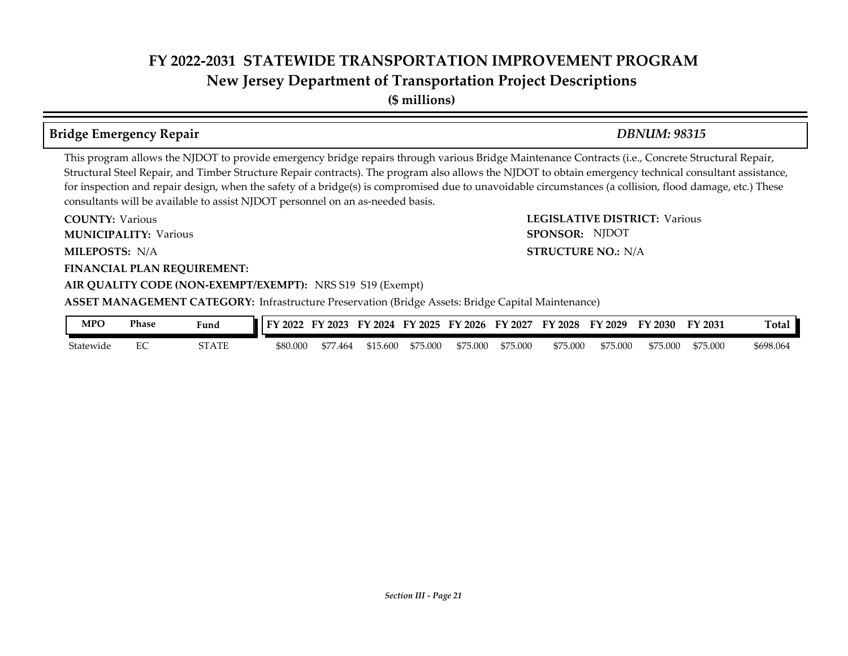## **FY 2022-2031 STATEWIDE TRANSPORTATION IMPROVEMENT PROGRAM New Jersey Department of Transportation Project Descriptions**

**(\$ millions)**

#### **Bridge Emergency Repair** *DBNUM: 98315*

#### This program allows the NJDOT to provide emergency bridge repairs through various Bridge Maintenance Contracts (i.e., Concrete Structural Repair, Structural Steel Repair, and Timber Structure Repair contracts). The program also allows the NJDOT to obtain emergency technical consultant assistance, for inspection and repair design, when the safety of a bridge(s) is compromised due to unavoidable circumstances (a collision, flood damage, etc.) These consultants will be available to assist NJDOT personnel on an as-needed basis.

**COUNTY: LEGISLATIVE DISTRICT:** Various **MILEPOSTS: STRUCTURE NO.:** N/A **FINANCIAL PLAN REQUIREMENT: AIR QUALITY CODE (NON-EXEMPT/EXEMPT):** NRS S19 S19 (Exempt) **COUNTY: Various MUNICIPALITY:** Various **SPONSOR:** MILEPOSTS: N/A **ASSET MANAGEMENT CATEGORY:** Infrastructure Preservation (Bridge Assets: Bridge Capital Maintenance) SPONSOR: NJDOT

| MPO       | Phase | Fund             | 2022<br>$\blacksquare$ | 2023 | FV<br>2024 | FY 2025  | $^{\prime}$ 2026<br>FV | FY<br>2027 | FY 2028  | FY 2029  | FY 2030  | FY 2031  | Tota <sub>1</sub> |
|-----------|-------|------------------|------------------------|------|------------|----------|------------------------|------------|----------|----------|----------|----------|-------------------|
| Statewide | ∽     | ST A TI<br>,,,,, | \$80,000               | .464 | \$15,600   | \$75,000 | \$75.000               | \$75.000   | \$75,000 | \$75.000 | \$75,000 | \$75.000 | \$698.064         |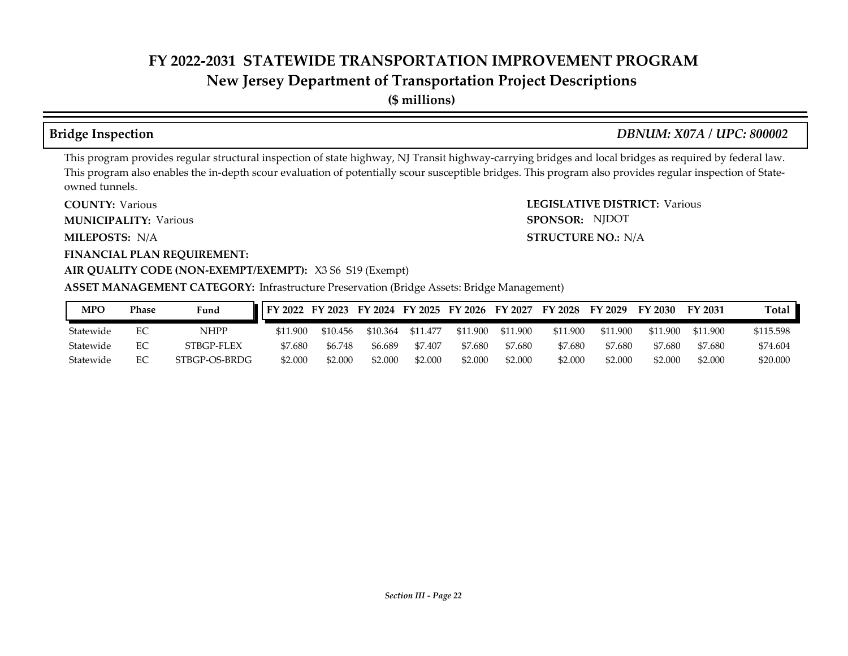### **New Jersey Department of Transportation Project Descriptions**

**(\$ millions)**

#### **Bridge Inspection** *DBNUM: X07A / UPC: 800002*

**STRUCTURE NO.: N/A** 

SPONSOR: NJDOT

This program provides regular structural inspection of state highway, NJ Transit highway-carrying bridges and local bridges as required by federal law. This program also enables the in-depth scour evaluation of potentially scour susceptible bridges. This program also provides regular inspection of Stateowned tunnels.

**COUNTY: LEGISLATIVE DISTRICT:** Various **COUNTY: Various** 

**MUNICIPALITY:** Various **SPONSOR:** 

**MILEPOSTS: STRUCTURE NO.:** N/A

#### **FINANCIAL PLAN REQUIREMENT:**

#### **AIR QUALITY CODE (NON-EXEMPT/EXEMPT):** X3 S6 S19 (Exempt)

#### **ASSET MANAGEMENT CATEGORY:** Infrastructure Preservation (Bridge Assets: Bridge Management)

| <b>MPO</b> | Phase | Fund          | ■ FY 2022 FY 2023 FY 2024 FY 2025 FY 2026 FY 2027 FY 2028 FY 2029 |          |          |          |          |          |          |          | FY 2030  | FY 2031  | Total     |
|------------|-------|---------------|-------------------------------------------------------------------|----------|----------|----------|----------|----------|----------|----------|----------|----------|-----------|
| Statewide  |       | NHPP          | \$11.900                                                          | \$10.456 | \$10.364 | \$11.477 | \$11.900 | \$11.900 | \$11.900 | \$11.900 | \$11.900 | \$11.900 | \$115.598 |
| Statewide  |       | STBGP-FLEX    | \$7.680                                                           | \$6.748  | \$6.689  | \$7.407  | \$7.680  | \$7.680  | \$7.680  | \$7.680  | \$7.680  | \$7.680  | \$74.604  |
| Statewide  |       | STBGP-OS-BRDG | \$2.000                                                           | \$2.000  | \$2,000  | \$2.000  | \$2.000  | \$2.000  | \$2.000  | \$2.000  | \$2.000  | \$2.000  | \$20,000  |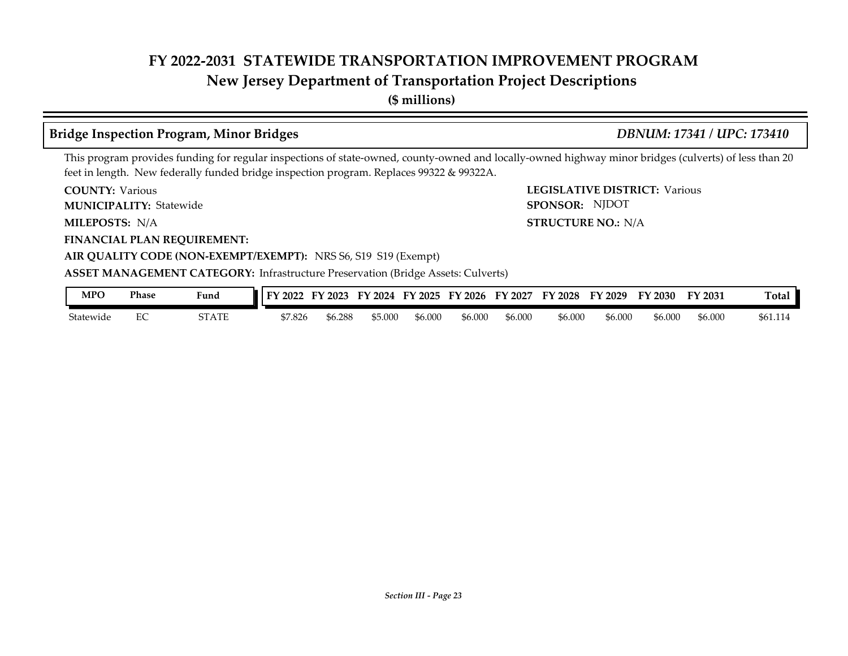### **New Jersey Department of Transportation Project Descriptions**

**(\$ millions)**

#### **Bridge Inspection Program, Minor Bridges** *DBNUM: 17341 / UPC: 173410*

SPONSOR: NJDOT

This program provides funding for regular inspections of state-owned, county-owned and locally-owned highway minor bridges (culverts) of less than 20 feet in length. New federally funded bridge inspection program. Replaces 99322 & 99322A.

**COUNTY: LEGISLATIVE DISTRICT:** Various **COUNTY: Various** 

Statewide **MUNICIPALITY: SPONSOR:**

**MILEPOSTS: STRUCTURE NO.:** N/A MILEPOSTS: N/A

**FINANCIAL PLAN REQUIREMENT:**

**AIR QUALITY CODE (NON-EXEMPT/EXEMPT):** NRS S6, S19 S19 (Exempt)

#### **ASSET MANAGEMENT CATEGORY:** Infrastructure Preservation (Bridge Assets: Culverts)

| MPO       | <b>Phase</b> | Fund                | 2022    | ' 2023  | Y 2024  | '2025<br>EY | FY 2026 | 2027<br>FY | FY 2028 | FY 2029 | FY 2030 | FY 2031 | Ē<br>∃ota⊾ |
|-----------|--------------|---------------------|---------|---------|---------|-------------|---------|------------|---------|---------|---------|---------|------------|
| Statewide | ∽            | 2T A TI<br>21 A I E | \$7.826 | \$6.288 | \$5.000 | \$6.000     | \$6.000 | \$6.000    | \$6.000 | \$6.000 | \$6.000 | \$6.000 | \$61.114   |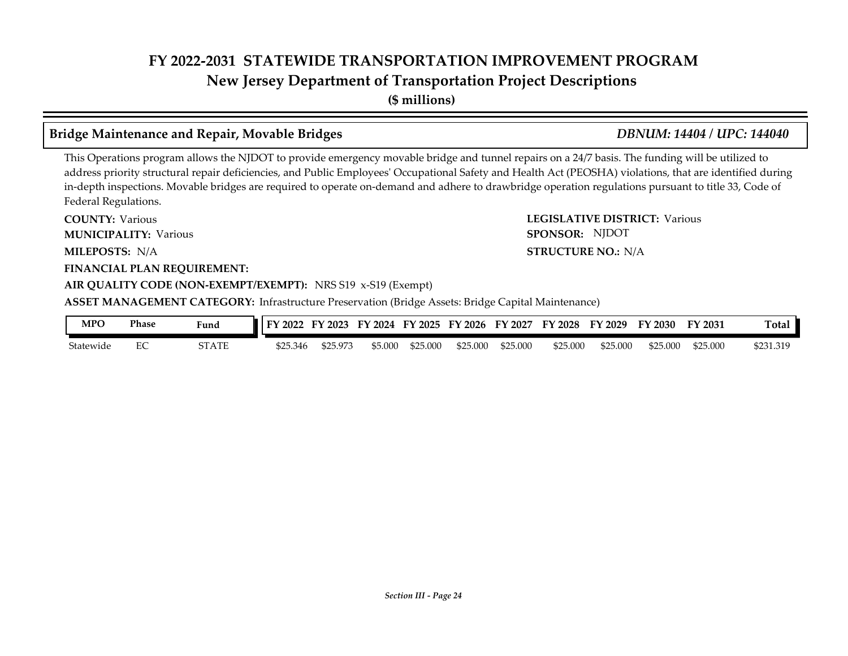## **FY 2022-2031 STATEWIDE TRANSPORTATION IMPROVEMENT PROGRAM New Jersey Department of Transportation Project Descriptions**

**(\$ millions)**

#### **Bridge Maintenance and Repair, Movable Bridges** *DBNUM: 14404 / UPC: 144040*

This Operations program allows the NJDOT to provide emergency movable bridge and tunnel repairs on a 24/7 basis. The funding will be utilized to address priority structural repair deficiencies, and Public Employees' Occupational Safety and Health Act (PEOSHA) violations, that are identified during in-depth inspections. Movable bridges are required to operate on-demand and adhere to drawbridge operation regulations pursuant to title 33, Code of Federal Regulations.

**COUNTY: LEGISLATIVE DISTRICT:** Various **MILEPOSTS: STRUCTURE NO.:** N/A **FINANCIAL PLAN REQUIREMENT: AIR QUALITY CODE (NON-EXEMPT/EXEMPT):** NRS S19 x-S19 (Exempt) **COUNTY: Various MUNICIPALITY:** Various **SPONSOR:** MILEPOSTS: N/A **ASSET MANAGEMENT CATEGORY:** Infrastructure Preservation (Bridge Assets: Bridge Capital Maintenance) SPONSOR: NJDOT

| MPO       | Phase | Fund  | EV.<br>2022 | $'$ 2023 | 12024<br>FY | FY 2025 | FY 2026  | FY 2027  | <b>FY 2028</b> | FY 2029  | FY 2030  | FY 2031  | $\sim$<br>`otal |
|-----------|-------|-------|-------------|----------|-------------|---------|----------|----------|----------------|----------|----------|----------|-----------------|
| Statewide |       | STATE | \$25.346    | \$25.973 | \$5.000     | ,25.000 | \$25,000 | \$25.000 | \$25,000       | \$25,000 | \$25.000 | \$25.000 | 5231.319        |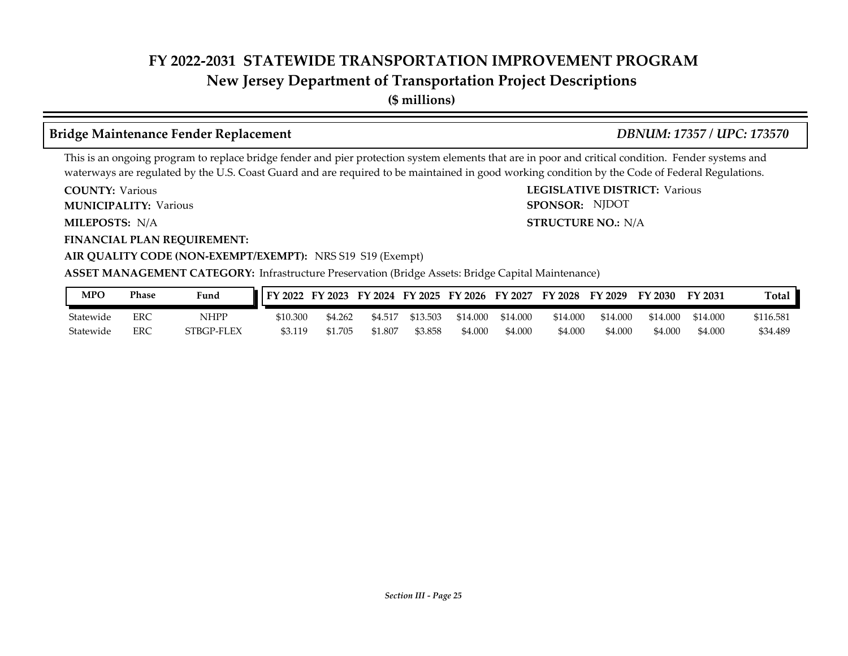### **New Jersey Department of Transportation Project Descriptions**

**(\$ millions)**

### **Bridge Maintenance Fender Replacement** *DBNUM: 17357 / UPC: 173570*

SPONSOR: NJDOT

This is an ongoing program to replace bridge fender and pier protection system elements that are in poor and critical condition. Fender systems and waterways are regulated by the U.S. Coast Guard and are required to be maintained in good working condition by the Code of Federal Regulations.

**COUNTY: LEGISLATIVE DISTRICT:** Various **COUNTY: Various** 

**MUNICIPALITY:** Various **SPONSOR:** 

**MILEPOSTS: STRUCTURE NO.:** N/A MILEPOSTS: N/A

**FINANCIAL PLAN REQUIREMENT:**

**AIR QUALITY CODE (NON-EXEMPT/EXEMPT):** NRS S19 S19 (Exempt)

**ASSET MANAGEMENT CATEGORY:** Infrastructure Preservation (Bridge Assets: Bridge Capital Maintenance)

| MPO       | <b>Phase</b> | Fund       | "   FY 2022 | FY 2023 |         |          | FY 2024 FY 2025 FY 2026 FY 2027 |          | FY 2028  | FY 2029  | FY 2030  | <b>FY 2031</b> | Total     |
|-----------|--------------|------------|-------------|---------|---------|----------|---------------------------------|----------|----------|----------|----------|----------------|-----------|
| Statewide | ERC          | NHPP       | \$10.300    | \$4.262 | \$4.517 | \$13.503 | \$14.000                        | \$14.000 | \$14.000 | \$14.000 | \$14.000 | \$14.000       | \$116.581 |
| Statewide | ERC          | STBGP-FLEX | \$3.119     | \$1.705 | \$1.807 | \$3.858  | \$4.000                         | \$4.000  | \$4.000  | \$4.000  | \$4.000  | \$4.000        | \$34.489  |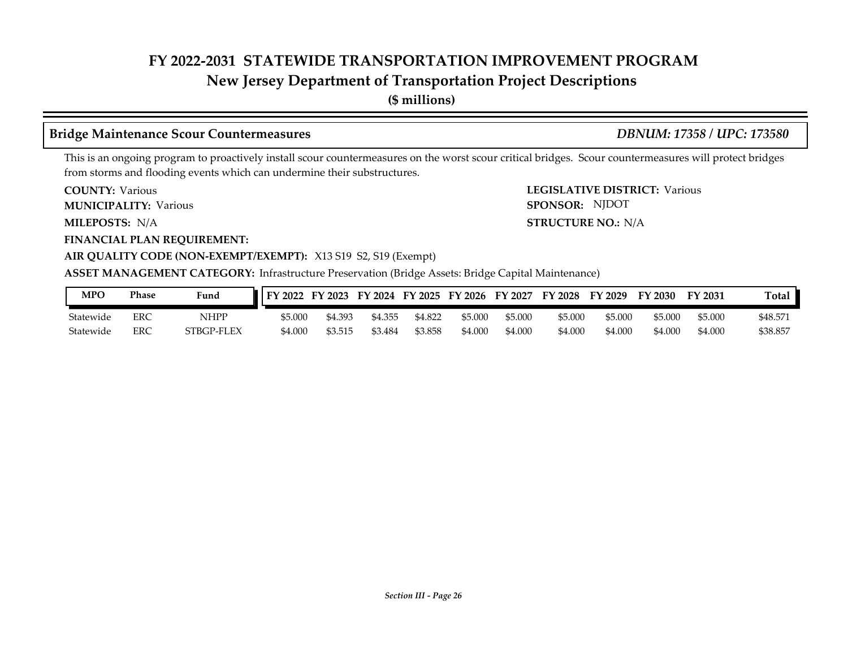### **New Jersey Department of Transportation Project Descriptions**

**(\$ millions)**

#### **Bridge Maintenance Scour Countermeasures** *DBNUM: 17358 / UPC: 173580*

SPONSOR: NJDOT

This is an ongoing program to proactively install scour countermeasures on the worst scour critical bridges. Scour countermeasures will protect bridges from storms and flooding events which can undermine their substructures.

**COUNTY: LEGISLATIVE DISTRICT:** Various **COUNTY: Various** 

**MUNICIPALITY:** Various **SPONSOR:** 

**MILEPOSTS: STRUCTURE NO.:** N/A MILEPOSTS: N/A

**FINANCIAL PLAN REQUIREMENT:**

#### **AIR QUALITY CODE (NON-EXEMPT/EXEMPT):** X13 S19 S2, S19 (Exempt)

**ASSET MANAGEMENT CATEGORY:** Infrastructure Preservation (Bridge Assets: Bridge Capital Maintenance)

| MPO       | <b>Phase</b> | Fund       | <b>II FY 2022</b> | FY 2023 |         |         | FY 2024 FY 2025 FY 2026 | FY 2027 | <b>FY 2028</b> | FY 2029 | FY 2030 | FY 2031 | <b>Total</b> |
|-----------|--------------|------------|-------------------|---------|---------|---------|-------------------------|---------|----------------|---------|---------|---------|--------------|
| Statewide | ERC          | NHPP       | \$5.000           | \$4.393 | \$4.355 | \$4.822 | \$5,000                 | \$5.000 | \$5.000        | \$5,000 | \$5.000 | \$5.000 | \$48.57      |
| Statewide | ERC          | STBGP-FLEX | \$4.00C           | \$3.515 | \$3.484 | \$3.858 | \$4.000                 | \$4.000 | \$4.000        | \$4.000 | \$4.000 | \$4.000 | \$38.85.     |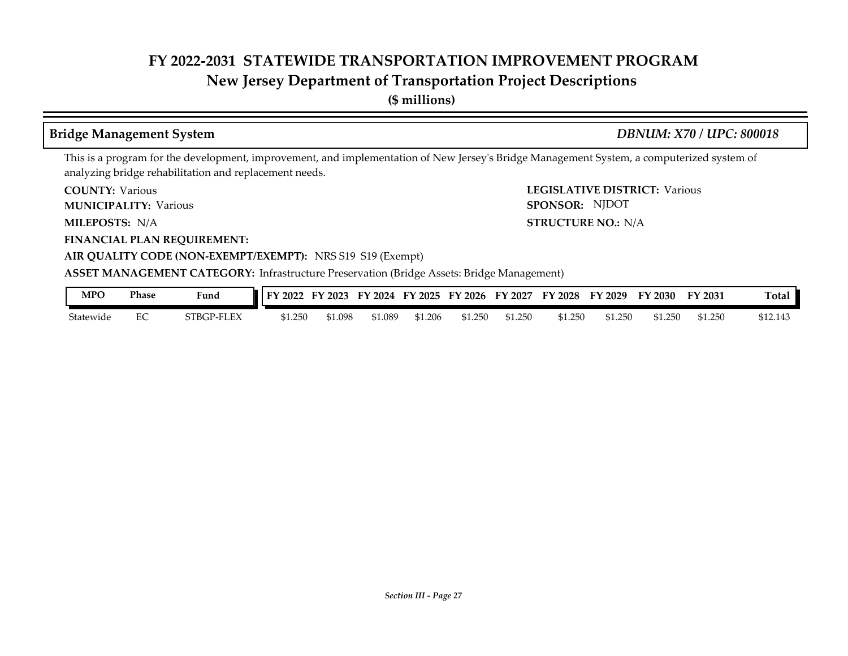### **New Jersey Department of Transportation Project Descriptions**

**(\$ millions)**

#### **Bridge Management System** *DBNUM: X70 / UPC: 800018*

SPONSOR: NJDOT

This is a program for the development, improvement, and implementation of New Jersey's Bridge Management System, a computerized system of analyzing bridge rehabilitation and replacement needs.

**COUNTY: LEGISLATIVE DISTRICT:** Various **COUNTY: Various** 

**MUNICIPALITY:** Various **SPONSOR:** 

**MILEPOSTS: STRUCTURE NO.:** N/A MILEPOSTS: N/A

**FINANCIAL PLAN REQUIREMENT:**

**AIR QUALITY CODE (NON-EXEMPT/EXEMPT):** NRS S19 S19 (Exempt)

**ASSET MANAGEMENT CATEGORY:** Infrastructure Preservation (Bridge Assets: Bridge Management)

| <b>MPO</b> | Phase | Fund<br>$\sim$ $\sim$ $\sim$ | EV.<br>2022 | FV<br>2023 | 2024<br>FУ. | FY 2025 | FY 2026 | FY 2027 | FY 2028 | FY 2029 | FY 2030            | FY 2031 | m<br>l otal |
|------------|-------|------------------------------|-------------|------------|-------------|---------|---------|---------|---------|---------|--------------------|---------|-------------|
| Statewide  | ĽV.   | FLEX<br>5TBGP-               | \$1.250     | 1.098م     | 51.089      | 1.206ه  | 51.250  | \$1,250 | \$1.250 | \$1.250 | $\frac{1}{2}$ .250 | \$1.250 | \$12.143    |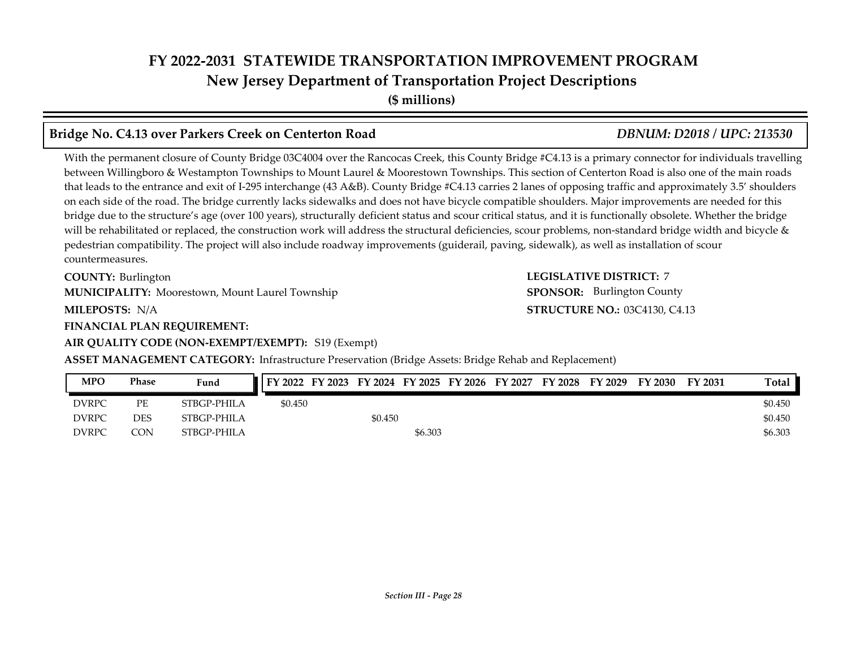# **FY 2022-2031 STATEWIDE TRANSPORTATION IMPROVEMENT PROGRAM New Jersey Department of Transportation Project Descriptions**

**(\$ millions)**

#### **Bridge No. C4.13 over Parkers Creek on Centerton Road** *DBNUM: D2018 / UPC: 213530*

With the permanent closure of County Bridge 03C4004 over the Rancocas Creek, this County Bridge #C4.13 is a primary connector for individuals travelling between Willingboro & Westampton Townships to Mount Laurel & Moorestown Townships. This section of Centerton Road is also one of the main roads that leads to the entrance and exit of I-295 interchange (43 A&B). County Bridge #C4.13 carries 2 lanes of opposing traffic and approximately 3.5' shoulders on each side of the road. The bridge currently lacks sidewalks and does not have bicycle compatible shoulders. Major improvements are needed for this bridge due to the structure's age (over 100 years), structurally deficient status and scour critical status, and it is functionally obsolete. Whether the bridge will be rehabilitated or replaced, the construction work will address the structural deficiencies, scour problems, non-standard bridge width and bicycle & pedestrian compatibility. The project will also include roadway improvements (guiderail, paving, sidewalk), as well as installation of scour countermeasures.

**COUNTY: Burlington** 

**MUNICIPALITY:** Moorestown, Mount Laurel Township **SPONSOR:** 

**MILEPOSTS: STRUCTURE NO.:** N/A

**FINANCIAL PLAN REQUIREMENT:**

#### **AIR QUALITY CODE (NON-EXEMPT/EXEMPT):** S19 (Exempt)

**ASSET MANAGEMENT CATEGORY:** Infrastructure Preservation (Bridge Assets: Bridge Rehab and Replacement)

| <b>MPO</b>   | Phase | Fund        | FY 2022 FY 2023 FY 2024 FY 2025 FY 2026 FY 2027 FY 2028 FY 2029 |         |         |  |  | FY 2030 | <b>FY 2031</b> | Total   |
|--------------|-------|-------------|-----------------------------------------------------------------|---------|---------|--|--|---------|----------------|---------|
| <b>DVRPC</b> | PE    | STBGP-PHILA | \$0.450                                                         |         |         |  |  |         |                | \$0.450 |
| <b>DVRPC</b> | DES   | STBGP-PHILA |                                                                 | \$0.450 |         |  |  |         |                | \$0.450 |
| <b>DVRPC</b> | CON   | STBGP-PHILA |                                                                 |         | \$6.303 |  |  |         |                | \$6.303 |

**COUNTY: LEGISLATIVE DISTRICT:** 7 **STRUCTURE NO.: 03C4130, C4.13 SPONSOR:** Burlington County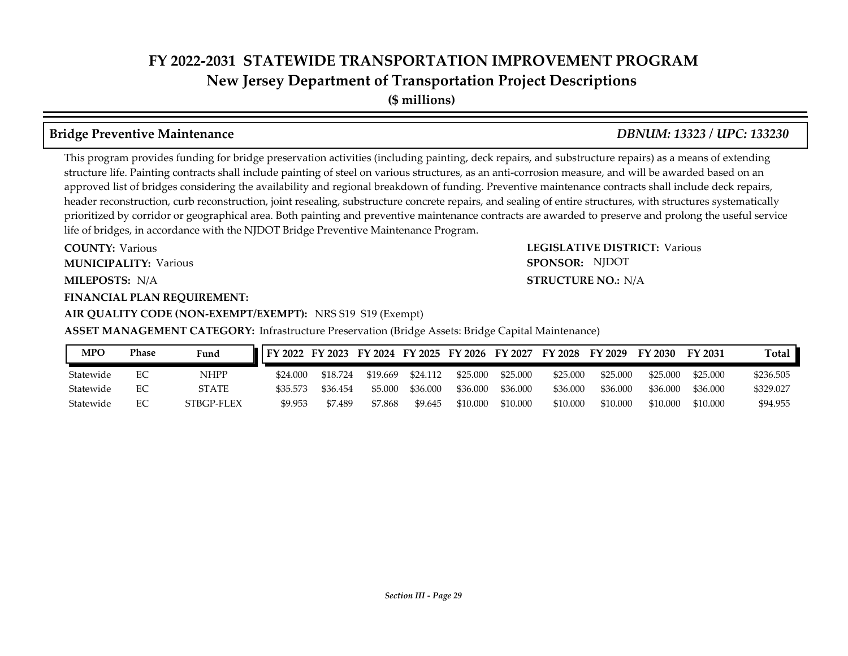## **FY 2022-2031 STATEWIDE TRANSPORTATION IMPROVEMENT PROGRAM New Jersey Department of Transportation Project Descriptions**

**(\$ millions)**

#### **Bridge Preventive Maintenance** *DBNUM: 13323 / UPC: 133230*

This program provides funding for bridge preservation activities (including painting, deck repairs, and substructure repairs) as a means of extending structure life. Painting contracts shall include painting of steel on various structures, as an anti-corrosion measure, and will be awarded based on an approved list of bridges considering the availability and regional breakdown of funding. Preventive maintenance contracts shall include deck repairs, header reconstruction, curb reconstruction, joint resealing, substructure concrete repairs, and sealing of entire structures, with structures systematically prioritized by corridor or geographical area. Both painting and preventive maintenance contracts are awarded to preserve and prolong the useful service life of bridges, in accordance with the NJDOT Bridge Preventive Maintenance Program.

**COUNTY: LEGISLATIVE DISTRICT:** Various **MILEPOSTS: STRUCTURE NO.:** N/A **COUNTY: Various MUNICIPALITY:** Various **SPONSOR:** 

### **FINANCIAL PLAN REQUIREMENT:**

**AIR QUALITY CODE (NON-EXEMPT/EXEMPT):** NRS S19 S19 (Exempt)

**ASSET MANAGEMENT CATEGORY:** Infrastructure Preservation (Bridge Assets: Bridge Capital Maintenance)

| <b>MPO</b> | Phase | Fund         | FY 2022 FY 2023 FY 2024 FY 2025 FY 2026 FY 2027 FY 2028 FY 2029 |          |          |          |          |          |          |          | FY 2030  | FY 2031  | Total     |
|------------|-------|--------------|-----------------------------------------------------------------|----------|----------|----------|----------|----------|----------|----------|----------|----------|-----------|
| Statewide  |       | NHPP         | \$24.000                                                        | \$18.724 | \$19.669 | \$24.112 | \$25,000 | \$25,000 | \$25,000 | \$25,000 | \$25.000 | \$25,000 | \$236.505 |
| Statewide  |       | <b>STATE</b> | \$35.573                                                        | \$36.454 | \$5,000  | \$36,000 | \$36,000 | \$36,000 | \$36.000 | \$36,000 | \$36,000 | \$36,000 | \$329.027 |
| Statewide  |       | STBGP-FLEX   | \$9.953                                                         | \$7.489  | \$7.868  | \$9.645  | \$10.000 | \$10.000 | \$10.000 | \$10,000 | \$10,000 | \$10.000 | \$94.955  |

#### **STRUCTURE NO.: N/A**

SPONSOR: NJDOT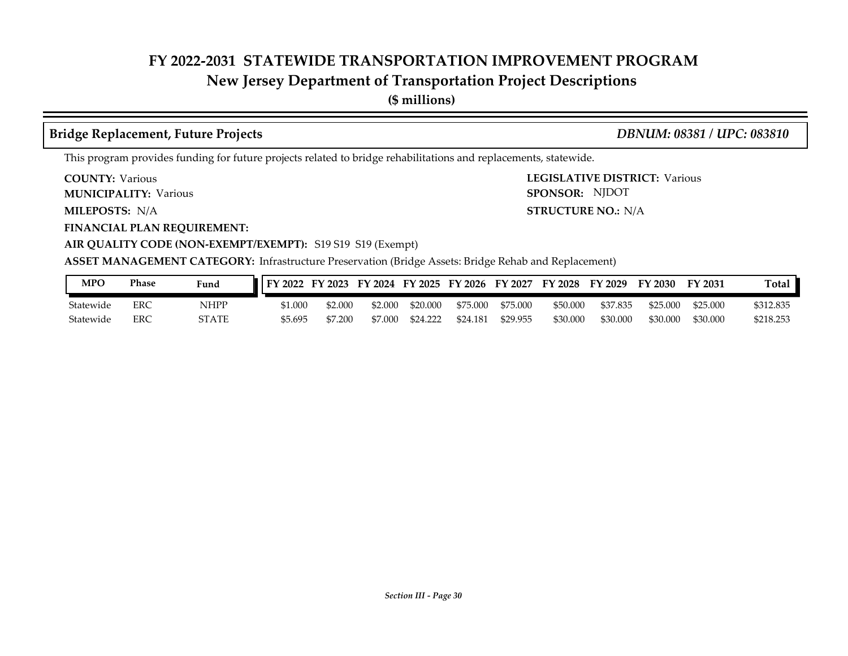### **New Jersey Department of Transportation Project Descriptions**

**(\$ millions)**

#### **Bridge Replacement, Future Projects** *DBNUM: 08381 / UPC: 083810*

This program provides funding for future projects related to bridge rehabilitations and replacements, statewide.

**COUNTY: Various** 

**MUNICIPALITY:** Various **SPONSOR:** 

**MILEPOSTS: STRUCTURE NO.:** N/A

**FINANCIAL PLAN REQUIREMENT:**

**AIR QUALITY CODE (NON-EXEMPT/EXEMPT):** S19 S19 S19 (Exempt)

**COUNTY: LEGISLATIVE DISTRICT:** Various **STRUCTURE NO.: N/A** SPONSOR: NJDOT

**ASSET MANAGEMENT CATEGORY:** Infrastructure Preservation (Bridge Assets: Bridge Rehab and Replacement)

| <b>MPC</b> | Phase | Fund  | FY 2022 | FY 2023 | FY 2024 | FY 2025  | FY 2026  | FY 2027  | FY 2028  | FY 2029  | $\nabla$ 2030 | FY 2031  | Total     |
|------------|-------|-------|---------|---------|---------|----------|----------|----------|----------|----------|---------------|----------|-----------|
| Statewide  | ERC   | NHPP  | \$1.000 | 2.000ء  | \$2.000 | \$20,000 | \$75,000 | \$75,000 | \$50,000 | \$37.835 | \$25.000      | \$25,000 | \$312.835 |
| Statewide  | ERC   | STATE | \$5.695 | 57.200  | 57.000  | \$24.222 | \$24.181 | \$29.955 | \$30.000 | \$30.000 | \$30.000      | \$30,000 | \$218.253 |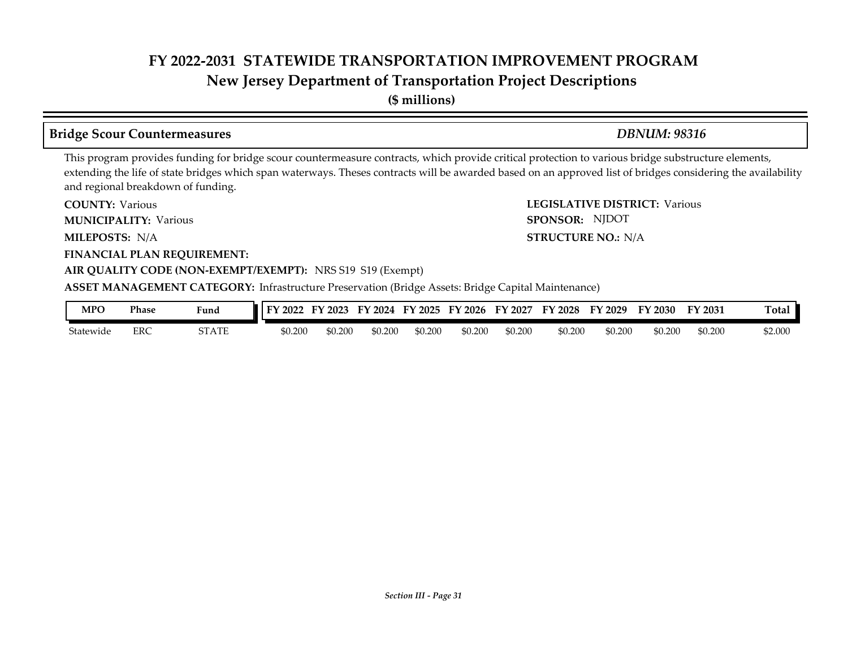### **New Jersey Department of Transportation Project Descriptions**

**(\$ millions)**

#### **Bridge Scour Countermeasures** *DBNUM: 98316*

SPONSOR: NJDOT

This program provides funding for bridge scour countermeasure contracts, which provide critical protection to various bridge substructure elements, extending the life of state bridges which span waterways. Theses contracts will be awarded based on an approved list of bridges considering the availability and regional breakdown of funding.

**COUNTY: LEGISLATIVE DISTRICT:** Various **COUNTY: Various** 

**MUNICIPALITY:** Various **SPONSOR:** 

**MILEPOSTS: STRUCTURE NO.:** N/A MILEPOSTS: N/A

**FINANCIAL PLAN REQUIREMENT:**

#### **AIR QUALITY CODE (NON-EXEMPT/EXEMPT):** NRS S19 S19 (Exempt)

**ASSET MANAGEMENT CATEGORY:** Infrastructure Preservation (Bridge Assets: Bridge Capital Maintenance)

| MPC       | Phase | Fund  | 2022    | $'$ 2023<br>-- | 2024<br>FУ | $\frac{1}{2025}$<br>EV | $'$ 2026<br>FY | 2027<br>FY | FY 2028 | FY 2029 | FY 2030 | FY 2031 | otal    |
|-----------|-------|-------|---------|----------------|------------|------------------------|----------------|------------|---------|---------|---------|---------|---------|
| Statewide | ERC   | STATE | \$0.200 | \$0.200        | 0.200ء     | \$0.200                | \$0.200        | \$0.200    | \$0.200 | \$0.200 | \$0.200 | \$0.200 | \$2.000 |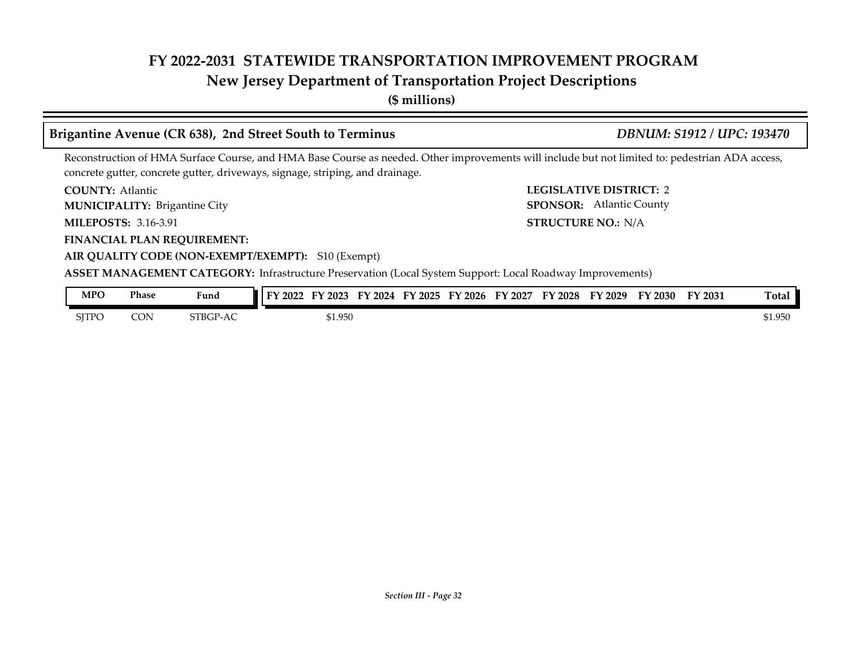### **New Jersey Department of Transportation Project Descriptions**

**(\$ millions)**

#### Brigantine Avenue (CR 638), 2nd Street South to Terminus *DBNUM: S1912 / UPC: 193470*

Reconstruction of HMA Surface Course, and HMA Base Course as needed. Other improvements will include but not limited to: pedestrian ADA access, concrete gutter, concrete gutter, driveways, signage, striping, and drainage.

**COUNTY: LEGISLATIVE DISTRICT:** 2 **COUNTY: Atlantic** 

Brigantine City **MUNICIPALITY: SPONSOR:**

**MILEPOSTS: STRUCTURE NO.:** 3.16-3.91

**FINANCIAL PLAN REQUIREMENT:**

STRUCTURE NO.: N/A SPONSOR: Atlantic County

#### **AIR QUALITY CODE (NON-EXEMPT/EXEMPT):** S10 (Exempt) **ASSET MANAGEMENT CATEGORY:** Infrastructure Preservation (Local System Support: Local Roadway Improvements)

| <b>MPO</b> | Phase | Fund     | тv<br>12022 | $'$ 2023 | $\cdot$ 2024<br>FY | FY 2025 | $'$ 2026<br>$F\mathbf{V}$ | FY 2027 | FY 2028 | FY 2029 | FY 2030 | FY 2031 | Total   |
|------------|-------|----------|-------------|----------|--------------------|---------|---------------------------|---------|---------|---------|---------|---------|---------|
| SITPC      | CON   | STBGP-AC |             | \$1.950  |                    |         |                           |         |         |         |         |         | \$1.950 |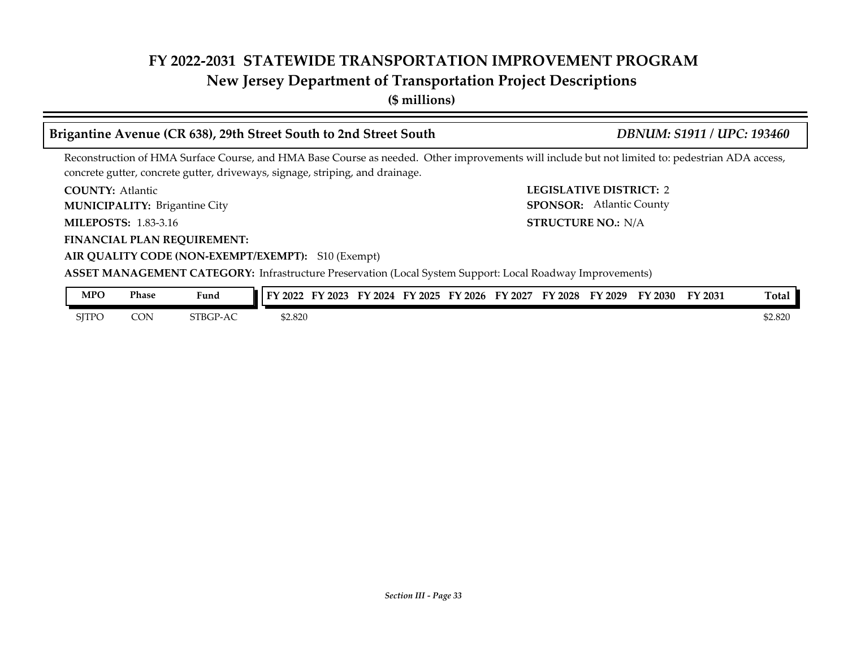### **New Jersey Department of Transportation Project Descriptions**

**(\$ millions)**

## **Brigantine Avenue (CR 638), 29th Street South to 2nd Street South** *DBNUM: S1911 / UPC: 193460*

Reconstruction of HMA Surface Course, and HMA Base Course as needed. Other improvements will include but not limited to: pedestrian ADA access, concrete gutter, concrete gutter, driveways, signage, striping, and drainage.

**COUNTY: LEGISLATIVE DISTRICT:** 2 **COUNTY: Atlantic** 

Brigantine City **MUNICIPALITY: SPONSOR:**

**MILEPOSTS: 1.83-3.16** 

**FINANCIAL PLAN REQUIREMENT:**

**AIR QUALITY CODE (NON-EXEMPT/EXEMPT):** S10 (Exempt)

**MILEPOSTS: STRUCTURE NO.:** N/A SPONSOR: Atlantic County

#### **ASSET MANAGEMENT CATEGORY:** Infrastructure Preservation (Local System Support: Local Roadway Improvements)

| <b>MPO</b> | Phase | Fund               | FY 2022 | 2023 | FУ<br>2024 | FY 2025 | FY 2026 | FΥ<br>2027 | <b>FY 2028</b> | <b>TY 2029</b> | FY 2030 | FY 2031 | Total   |
|------------|-------|--------------------|---------|------|------------|---------|---------|------------|----------------|----------------|---------|---------|---------|
| SITPC      | CON   | STBGP-<br>$-T - A$ | \$2.820 |      |            |         |         |            |                |                |         |         | \$2.820 |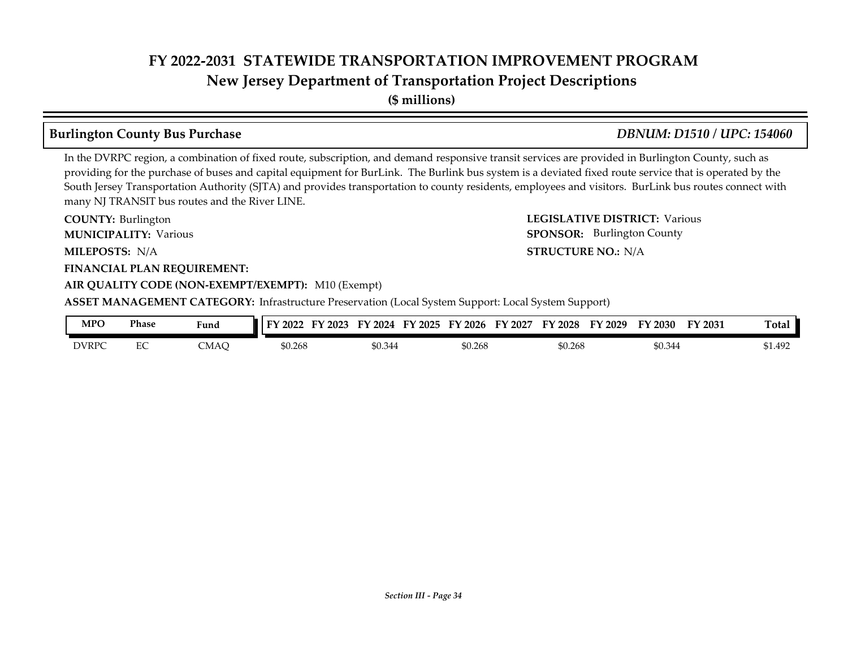## **FY 2022-2031 STATEWIDE TRANSPORTATION IMPROVEMENT PROGRAM New Jersey Department of Transportation Project Descriptions**

**(\$ millions)**

#### **Burlington County Bus Purchase** *DBNUM: D1510 / UPC: 154060*

#### In the DVRPC region, a combination of fixed route, subscription, and demand responsive transit services are provided in Burlington County, such as providing for the purchase of buses and capital equipment for BurLink. The Burlink bus system is a deviated fixed route service that is operated by the South Jersey Transportation Authority (SJTA) and provides transportation to county residents, employees and visitors. BurLink bus routes connect with many NJ TRANSIT bus routes and the River LINE.

**COUNTY: LEGISLATIVE DISTRICT:** Various **MILEPOSTS: STRUCTURE NO.:** N/A **FINANCIAL PLAN REQUIREMENT: AIR QUALITY CODE (NON-EXEMPT/EXEMPT):** M10 (Exempt) COUNTY: Burlington **MUNICIPALITY:** Various **SPONSOR:** MILEPOSTS: N/A **ASSET MANAGEMENT CATEGORY:** Infrastructure Preservation (Local System Support: Local System Support) SPONSOR: Burlington County

| <b>MPO</b>   | Phase         | $\overline{\phantom{a}}$<br>Fund | FУ.<br>2022 | 2023<br>2024 | 2025<br>ПV | $\cdot$ 2026<br>EV | EY<br>2027 | FY 2028 | FУ<br>2029 | <sup>T</sup> Y 2030 | FY 2031 | m.<br>『otal |
|--------------|---------------|----------------------------------|-------------|--------------|------------|--------------------|------------|---------|------------|---------------------|---------|-------------|
| <b>DVRPC</b> | $\Gamma$<br>∽ | $C_{MAC}$<br>UVIAU               | \$0.268     | \$0.344      |            | \$0.268            |            | \$0.268 |            | \$0.344             |         | \$1.492     |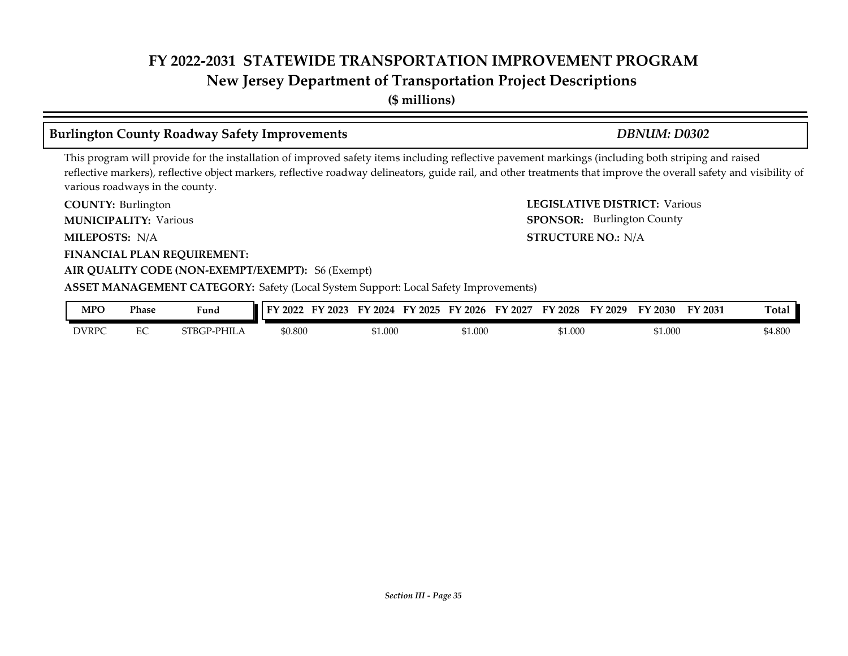**New Jersey Department of Transportation Project Descriptions**

**(\$ millions)**

#### **Burlington County Roadway Safety Improvements** *DBNUM: D0302*

This program will provide for the installation of improved safety items including reflective pavement markings (including both striping and raised reflective markers), reflective object markers, reflective roadway delineators, guide rail, and other treatments that improve the overall safety and visibility of various roadways in the county.

**COUNTY: LEGISLATIVE DISTRICT:** Various **MILEPOSTS: STRUCTURE NO.:** N/A COUNTY: Burlington **MUNICIPALITY:** Various **SPONSOR:** MILEPOSTS: N/A

**FINANCIAL PLAN REQUIREMENT:**

#### **AIR QUALITY CODE (NON-EXEMPT/EXEMPT):** S6 (Exempt)

**ASSET MANAGEMENT CATEGORY:** Safety (Local System Support: Local Safety Improvements)

| MPO          | Phase         | Fund          | 2022    | --<br>2023 | 2024<br>$\nabla$ | TУ.<br>2025 | 2026<br>−<br>ы | FУ<br>2027 | тv<br>2028 | C٦<br>2029 | <sup>T</sup> Y 2030 | FY 2031 | $\mathbf{r}$<br>otal: |
|--------------|---------------|---------------|---------|------------|------------------|-------------|----------------|------------|------------|------------|---------------------|---------|-----------------------|
| <b>DVRPC</b> | $\Gamma$<br>∽ | PHIL<br>VТBG. | \$0.800 |            | \$1.000          |             | \$1.000        |            | 61.000     |            | $\lambda$ 1.000     |         | 0.800                 |

SPONSOR: Burlington County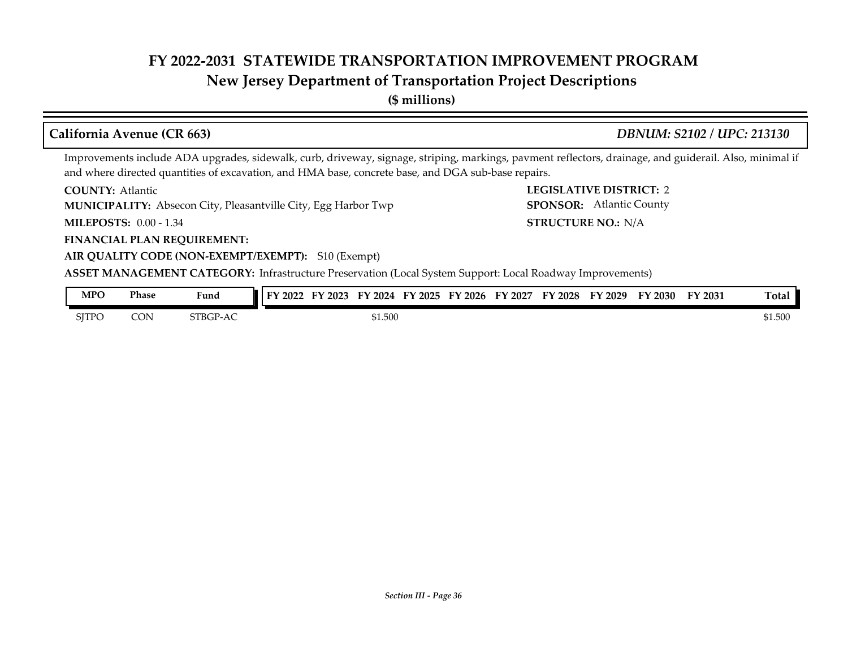### **New Jersey Department of Transportation Project Descriptions**

**(\$ millions)**

#### **California Avenue (CR 663)** *DBNUM: S2102 / UPC: 213130*

STRUCTURE NO.: N/A

SPONSOR: Atlantic County

Improvements include ADA upgrades, sidewalk, curb, driveway, signage, striping, markings, pavment reflectors, drainage, and guiderail. Also, minimal if and where directed quantities of excavation, and HMA base, concrete base, and DGA sub-base repairs.

**COUNTY: LEGISLATIVE DISTRICT:** 2 **COUNTY: Atlantic** 

**MUNICIPALITY:** Absecon City, Pleasantville City, Egg Harbor Twp **SPONSOR:** 

**MILEPOSTS: STRUCTURE NO.:** 0.00 - 1.34

**FINANCIAL PLAN REQUIREMENT:**

#### **AIR QUALITY CODE (NON-EXEMPT/EXEMPT):** S10 (Exempt)

**ASSET MANAGEMENT CATEGORY:** Infrastructure Preservation (Local System Support: Local Roadway Improvements)

| MPO          | Phase | Fund     | FY 2022 | FY 2023 | $\nabla$ 2024 | FY 2025 | FY 2026 | FY 2027 | FY 2028 | FY 2029 | FY 2030 | FY 2031 | <b>Total</b> |
|--------------|-------|----------|---------|---------|---------------|---------|---------|---------|---------|---------|---------|---------|--------------|
| <b>SITPO</b> | CON   | STBGP-AC |         |         | \$1.500       |         |         |         |         |         |         |         | \$1.500      |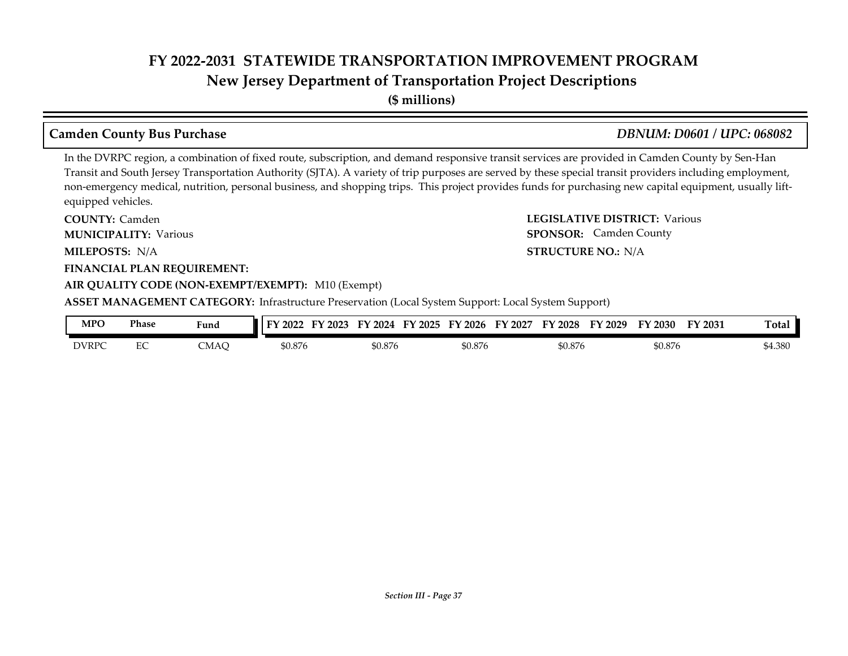**(\$ millions)**

#### **Camden County Bus Purchase** *DBNUM: D0601 / UPC: 068082*

#### In the DVRPC region, a combination of fixed route, subscription, and demand responsive transit services are provided in Camden County by Sen-Han Transit and South Jersey Transportation Authority (SJTA). A variety of trip purposes are served by these special transit providers including employment, non-emergency medical, nutrition, personal business, and shopping trips. This project provides funds for purchasing new capital equipment, usually liftequipped vehicles.

**COUNTY: LEGISLATIVE DISTRICT:** Various **MILEPOSTS: STRUCTURE NO.:** N/A **FINANCIAL PLAN REQUIREMENT: AIR QUALITY CODE (NON-EXEMPT/EXEMPT):** M10 (Exempt) **COUNTY: Camden MUNICIPALITY:** Various **SPONSOR:** MILEPOSTS: N/A **ASSET MANAGEMENT CATEGORY:** Infrastructure Preservation (Local System Support: Local System Support) SPONSOR: Camden County

| <b>MPO</b>   | Phase             | $\mathbf{r}$<br>Fund | TY.<br>2022 | EV<br>2023<br>2024 | ТV<br>' 2025 | FY 2026 | FY<br>$'$ 2027 | 2028<br>ГV | ЕV<br>'2029 | ЕV<br>' 2030 | FY 2031 | <b>Total</b> |
|--------------|-------------------|----------------------|-------------|--------------------|--------------|---------|----------------|------------|-------------|--------------|---------|--------------|
| <b>DVRPC</b> | $\mathbf{r}$<br>∽ | _MAC                 | \$0.876     | \$0.876            |              | \$0.876 |                | \$0.876    |             | \$0.876      |         | \$4.380      |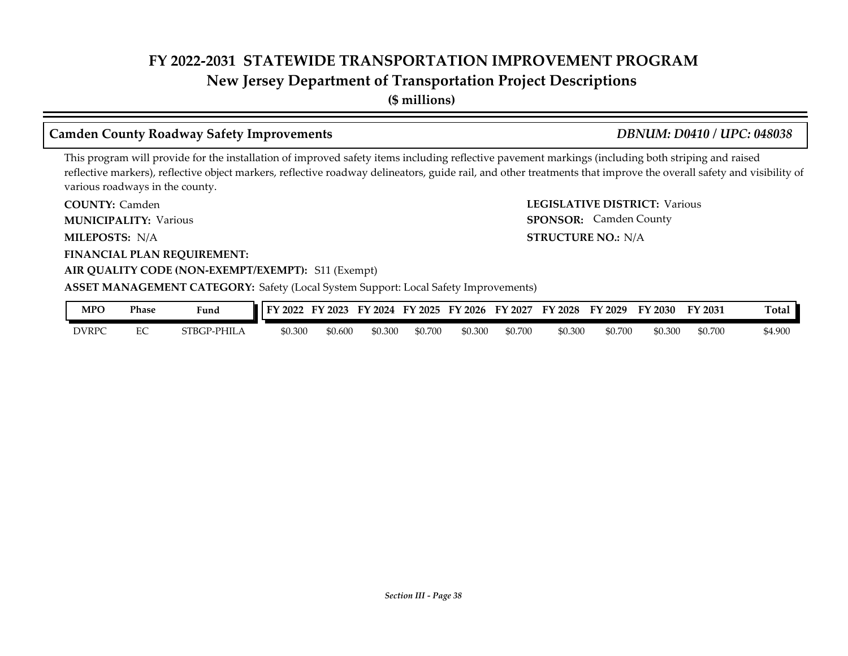**New Jersey Department of Transportation Project Descriptions**

**(\$ millions)**

#### **Camden County Roadway Safety Improvements** *DBNUM: D0410 / UPC: 048038*

SPONSOR: Camden County

This program will provide for the installation of improved safety items including reflective pavement markings (including both striping and raised reflective markers), reflective object markers, reflective roadway delineators, guide rail, and other treatments that improve the overall safety and visibility of various roadways in the county.

**COUNTY: LEGISLATIVE DISTRICT:** Various **COUNTY: Camden MUNICIPALITY:** Various **SPONSOR:** 

**MILEPOSTS: STRUCTURE NO.:** N/A MILEPOSTS: N/A

**FINANCIAL PLAN REQUIREMENT:**

#### **AIR QUALITY CODE (NON-EXEMPT/EXEMPT):** S11 (Exempt)

#### **ASSET MANAGEMENT CATEGORY:** Safety (Local System Support: Local Safety Improvements)

| MPO          | <b>Phase</b> | Funa               | FY 2022 | $'$ 2023<br>EV | FY 2024 | FY 2025 | FY 2026 | FY 2027 | <b>FY 2028</b> | FY 2029 | FY 2030 | FY 2031 | <b>Total</b> |
|--------------|--------------|--------------------|---------|----------------|---------|---------|---------|---------|----------------|---------|---------|---------|--------------|
| <b>DVRPC</b> |              | <b>STBGP-PHILA</b> | \$0.300 | \$0.600        | \$0.300 | \$0.700 | \$0.300 | \$0.700 | \$0.300        | \$0.700 | \$0.300 | \$0.700 | 4.900ء       |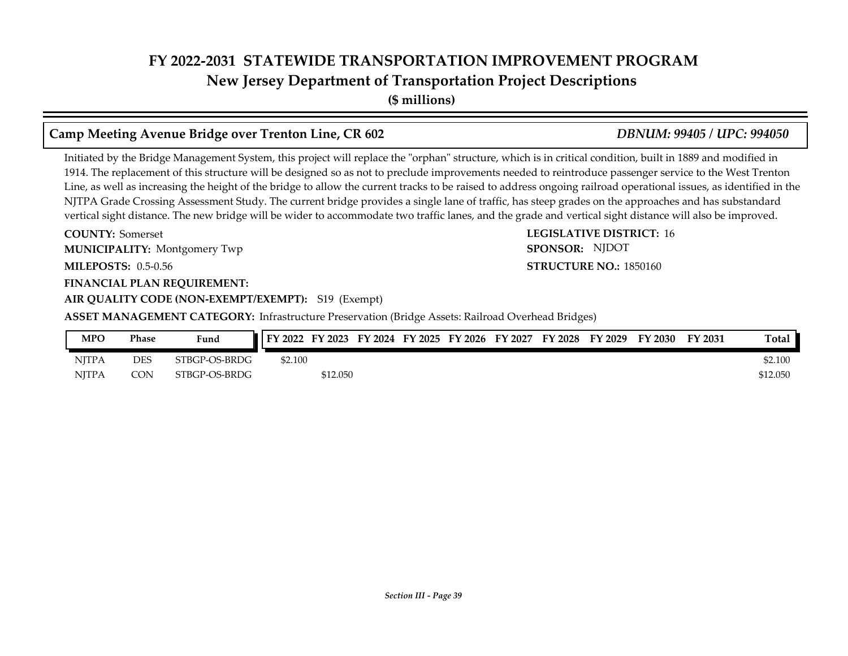**New Jersey Department of Transportation Project Descriptions**

**(\$ millions)**

### **Camp Meeting Avenue Bridge over Trenton Line, CR 602** *DBNUM: 99405 / UPC: 994050*

Initiated by the Bridge Management System, this project will replace the "orphan" structure, which is in critical condition, built in 1889 and modified in 1914. The replacement of this structure will be designed so as not to preclude improvements needed to reintroduce passenger service to the West Trenton Line, as well as increasing the height of the bridge to allow the current tracks to be raised to address ongoing railroad operational issues, as identified in the NJTPA Grade Crossing Assessment Study. The current bridge provides a single lane of traffic, has steep grades on the approaches and has substandard vertical sight distance. The new bridge will be wider to accommodate two traffic lanes, and the grade and vertical sight distance will also be improved.

**COUNTY:** Somerset **LEGISLATIVE DISTRICT:** 16 **MILEPOSTS: STRUCTURE NO.:** 0.5-0.56 **FINANCIAL PLAN REQUIREMENT: COUNTY: Somerset** Montgomery Twp **MUNICIPALITY: SPONSOR:**

**AIR QUALITY CODE (NON-EXEMPT/EXEMPT):** S19 (Exempt)

**ASSET MANAGEMENT CATEGORY:** Infrastructure Preservation (Bridge Assets: Railroad Overhead Bridges)

| MPO          | Phase      | Fund          | FY 2022 |          |  |  | FY 2023 FY 2024 FY 2025 FY 2026 FY 2027 FY 2028 FY 2029 | FY 2030 | FY 2031 | Total.   |
|--------------|------------|---------------|---------|----------|--|--|---------------------------------------------------------|---------|---------|----------|
| <b>NITPA</b> | <b>DES</b> | STBGP-OS-BRDG | \$2.100 |          |  |  |                                                         |         |         | \$2.100  |
| <b>NITPA</b> | <b>CON</b> | STBGP-OS-BRDG |         | \$12.050 |  |  |                                                         |         |         | \$12.050 |

**STRUCTURE NO.: 1850160** SPONSOR: NJDOT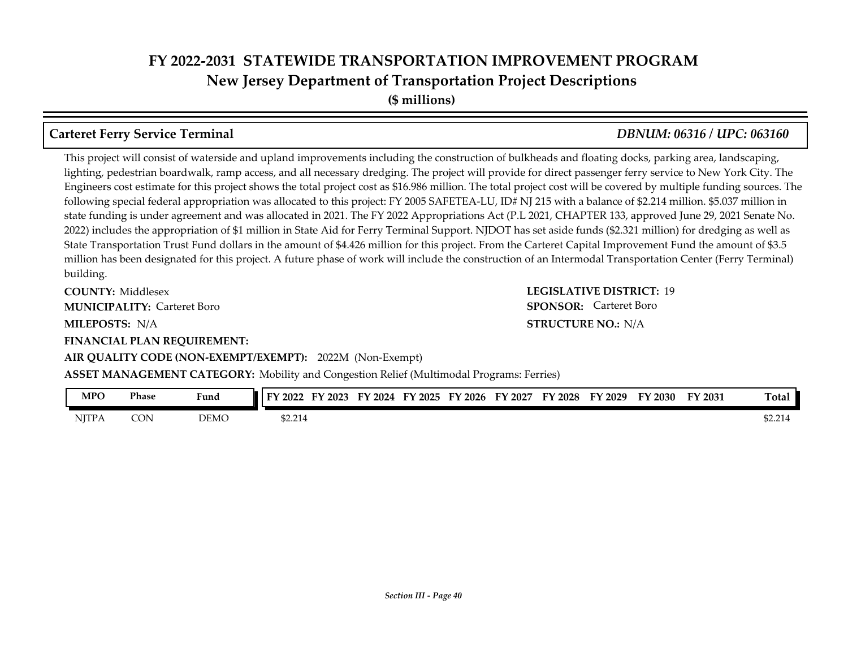**(\$ millions)**

#### **Carteret Ferry Service Terminal** *DBNUM: 06316 / UPC: 063160*

This project will consist of waterside and upland improvements including the construction of bulkheads and floating docks, parking area, landscaping, lighting, pedestrian boardwalk, ramp access, and all necessary dredging. The project will provide for direct passenger ferry service to New York City. The Engineers cost estimate for this project shows the total project cost as \$16.986 million. The total project cost will be covered by multiple funding sources. The following special federal appropriation was allocated to this project: FY 2005 SAFETEA-LU, ID# NJ 215 with a balance of \$2.214 million. \$5.037 million in state funding is under agreement and was allocated in 2021. The FY 2022 Appropriations Act (P.L 2021, CHAPTER 133, approved June 29, 2021 Senate No. 2022) includes the appropriation of \$1 million in State Aid for Ferry Terminal Support. NJDOT has set aside funds (\$2.321 million) for dredging as well as State Transportation Trust Fund dollars in the amount of \$4.426 million for this project. From the Carteret Capital Improvement Fund the amount of \$3.5 million has been designated for this project. A future phase of work will include the construction of an Intermodal Transportation Center (Ferry Terminal) building.

**COUNTY: LEGISLATIVE DISTRICT:** 19 **MILEPOSTS: STRUCTURE NO.:** N/A **FINANCIAL PLAN REQUIREMENT: COUNTY: Middlesex MUNICIPALITY:** Carteret Boro **BEONSOR:** 

**STRUCTURE NO.: N/A SPONSOR:** Carteret Boro

**ASSET MANAGEMENT CATEGORY:** Mobility and Congestion Relief (Multimodal Programs: Ferries)

**AIR QUALITY CODE (NON-EXEMPT/EXEMPT):** 2022M (Non-Exempt)

| <b>MPO</b>   | Phase | $\mathbf{r}$<br>Fund | T3.<br>2022<br>н. | ЕV<br>2023 | FV<br>2024 | FY 2025 | $\cdot$ 2026<br>FV | $F\mathbf{V}$<br>2027 | FY 2028 | FV<br>$\degree$ 2029 | $Y$ 2030 | FY 2031 | m.<br>[otal      |
|--------------|-------|----------------------|-------------------|------------|------------|---------|--------------------|-----------------------|---------|----------------------|----------|---------|------------------|
| <b>NJTPA</b> | CON   | <b>DEMC</b>          | \$2.214           |            |            |         |                    |                       |         |                      |          |         | 0.011<br>\$2.214 |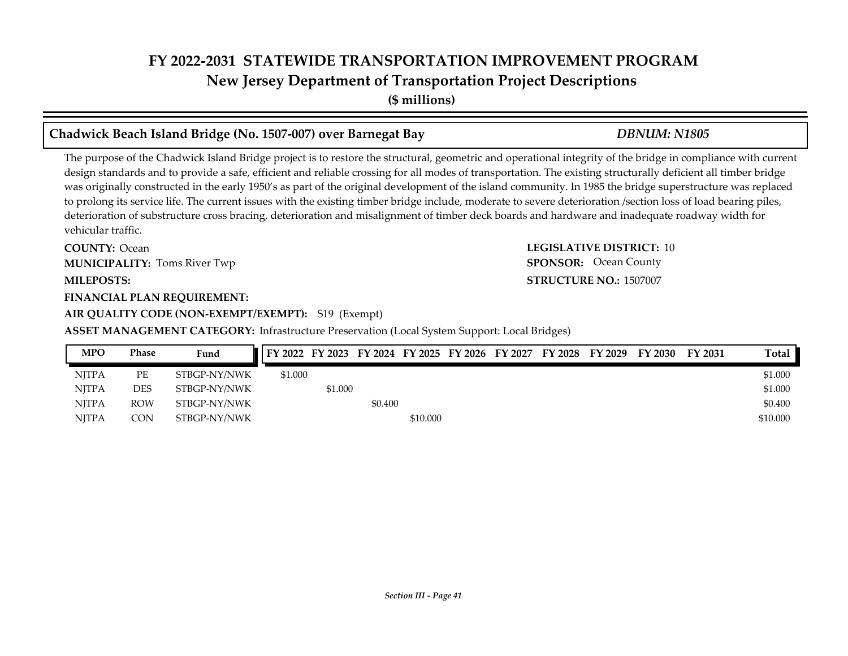**(\$ millions)**

#### **Chadwick Beach Island Bridge (No. 1507-007) over Barnegat Bay** *DBNUM: N1805*

The purpose of the Chadwick Island Bridge project is to restore the structural, geometric and operational integrity of the bridge in compliance with current design standards and to provide a safe, efficient and reliable crossing for all modes of transportation. The existing structurally deficient all timber bridge was originally constructed in the early 1950's as part of the original development of the island community. In 1985 the bridge superstructure was replaced to prolong its service life. The current issues with the existing timber bridge include, moderate to severe deterioration /section loss of load bearing piles, deterioration of substructure cross bracing, deterioration and misalignment of timber deck boards and hardware and inadequate roadway width for vehicular traffic.

**COUNTY:** Ocean **LEGISLATIVE DISTRICT:** 10 **MILEPOSTS: STRUCTURE NO.:** 1507007 **COUNTY: Ocean MUNICIPALITY:** Toms River Twp **SPONSOR:** 

#### **FINANCIAL PLAN REQUIREMENT:**

#### **AIR QUALITY CODE (NON-EXEMPT/EXEMPT):** S19 (Exempt)

#### **ASSET MANAGEMENT CATEGORY:** Infrastructure Preservation (Local System Support: Local Bridges)

### NJTPA PE STBGP-NY/NWK \$1.000 \$1.000 NJTPA DES STBGP-NY/NWK \$1.000 \$1.000 \$1.000 \$1.000 \$1.000 \$1.000 \$1.000 \$1.000 \$1.000 \$1.000 \$1.000 \$1.000 \$1.000 \$1.000 \$1.000 \$1.000 \$1.000 \$1.000 \$1.000 \$1.000 \$1.000 \$1.000 \$1.000 \$1.000 \$1.000 \$1.000 \$1.000 \$1.000 \$1. NJTPA ROW STBGP-NY/NWK \$0.400 \$0.400 \$0.400 \$0.400 \$0.400 \$0.400 \$0.50 \$1.400 \$0.50 \$1.400 \$1.50 \$1.400 \$1.50 \$1.50 \$1.50 \$1.50 \$1.50 \$1.50 \$1.50 \$1.50 \$1.50 \$1.50 \$1.50 \$1.50 \$1.50 \$1.50 \$1.50 \$1.50 \$1.50 \$1.50 \$1.50 \$1.5 NJTPA CON STBGP-NY/NWK \$10.000 \$10.000 \$10.000 \$10.000 **MPO Phase Fund FY 2022 FY 2023 FY 2024 FY 2025 FY 2026 FY 2027 FY 2028 FY 2029 FY 2030 FY 2031 Total**

**SPONSOR:** Ocean County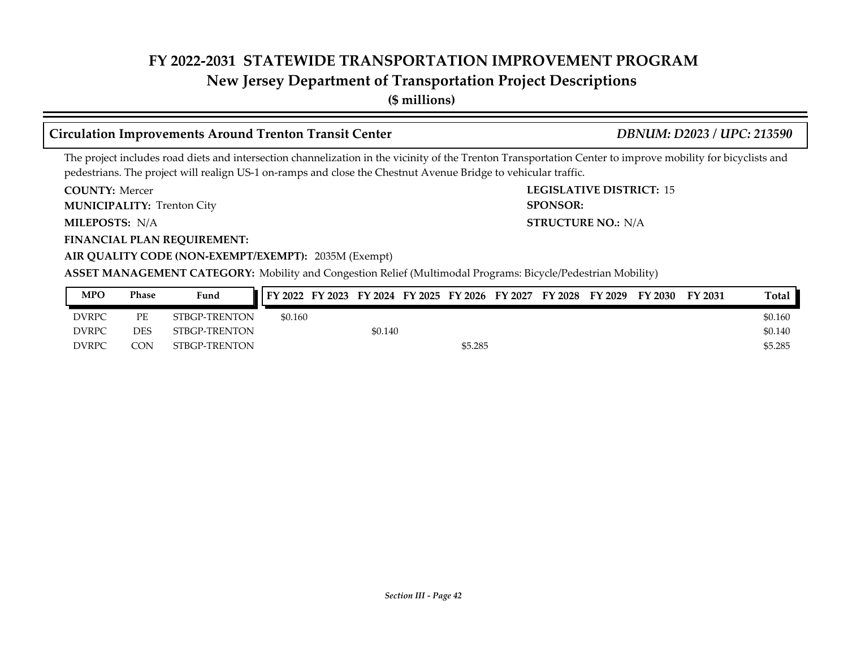#### **New Jersey Department of Transportation Project Descriptions**

**(\$ millions)**

#### **Circulation Improvements Around Trenton Transit Center** *DBNUM: D2023 / UPC: 213590*

The project includes road diets and intersection channelization in the vicinity of the Trenton Transportation Center to improve mobility for bicyclists and pedestrians. The project will realign US-1 on-ramps and close the Chestnut Avenue Bridge to vehicular traffic.

**COUNTY: LEGISLATIVE DISTRICT:** 15 **COUNTY: Mercer** 

**MUNICIPALITY:** Trenton City **SPONSOR:** 

**MILEPOSTS: STRUCTURE NO.:** N/A MILEPOSTS: N/A

**FINANCIAL PLAN REQUIREMENT:**

#### **AIR QUALITY CODE (NON-EXEMPT/EXEMPT):** 2035M (Exempt)

**ASSET MANAGEMENT CATEGORY:** Mobility and Congestion Relief (Multimodal Programs: Bicycle/Pedestrian Mobility)

| MPO          | Phase      | Fund          | FY 2022 |         |         | FY 2023 FY 2024 FY 2025 FY 2026 FY 2027 | FY 2028 | FY 2029 | FY 2030 | FY 2031 | <b>Total</b> |
|--------------|------------|---------------|---------|---------|---------|-----------------------------------------|---------|---------|---------|---------|--------------|
| <b>DVRPC</b> | PЕ         | STBGP-TRENTON | \$0.160 |         |         |                                         |         |         |         |         | \$0.160      |
| <b>DVRPC</b> | DES        | STBGP-TRENTON |         | \$0.140 |         |                                         |         |         |         |         | \$0.140      |
| <b>DVRPC</b> | $\circ$ ON | STBGP-TRENTON |         |         | \$5.285 |                                         |         |         |         |         | \$5.285      |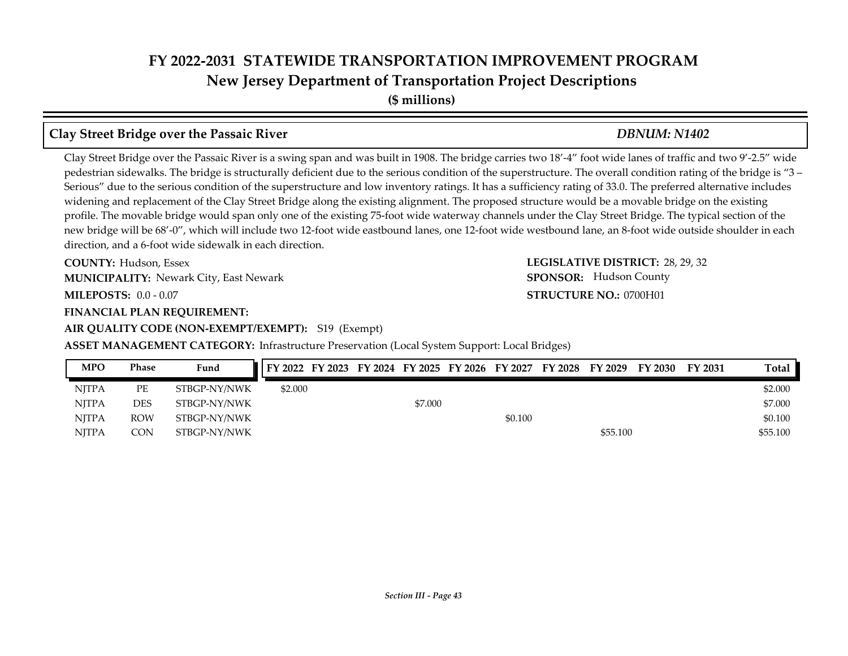**(\$ millions)**

#### **Clay Street Bridge over the Passaic River** *DBNUM: N1402*

Clay Street Bridge over the Passaic River is a swing span and was built in 1908. The bridge carries two 18'-4" foot wide lanes of traffic and two 9'-2.5" wide pedestrian sidewalks. The bridge is structurally deficient due to the serious condition of the superstructure. The overall condition rating of the bridge is "3 – Serious" due to the serious condition of the superstructure and low inventory ratings. It has a sufficiency rating of 33.0. The preferred alternative includes widening and replacement of the Clay Street Bridge along the existing alignment. The proposed structure would be a movable bridge on the existing profile. The movable bridge would span only one of the existing 75-foot wide waterway channels under the Clay Street Bridge. The typical section of the new bridge will be 68'-0", which will include two 12-foot wide eastbound lanes, one 12-foot wide westbound lane, an 8-foot wide outside shoulder in each direction, and a 6-foot wide sidewalk in each direction.

**COUNTY: LEGISLATIVE DISTRICT:** 28, 29, 32 COUNTY: Hudson, Essex **MUNICIPALITY:** Newark City, East Newark **Municipality SPONSOR:** 

**MILEPOSTS: STRUCTURE NO.:** 0.0 - 0.07

**FINANCIAL PLAN REQUIREMENT:**

**AIR QUALITY CODE (NON-EXEMPT/EXEMPT):** S19 (Exempt)

**ASSET MANAGEMENT CATEGORY:** Infrastructure Preservation (Local System Support: Local Bridges)

| <b>MPO</b>   | <b>Phase</b> | Fund         | FY 2022 FY 2023 FY 2024 FY 2025 FY 2026 FY 2027 FY 2028 FY 2029 FY 2030 FY 2031 |  |         |         |          |  | Total    |
|--------------|--------------|--------------|---------------------------------------------------------------------------------|--|---------|---------|----------|--|----------|
| <b>NITPA</b> | PЕ           | STBGP-NY/NWK | \$2.000                                                                         |  |         |         |          |  | \$2.000  |
| NITPA        | DES          | STBGP-NY/NWK |                                                                                 |  | \$7.000 |         |          |  | \$7.000  |
| <b>NITPA</b> | <b>ROW</b>   | STBGP-NY/NWK |                                                                                 |  |         | \$0.100 |          |  | \$0.100  |
| <b>NITPA</b> | CON.         | STBGP-NY/NWK |                                                                                 |  |         |         | \$55.100 |  | \$55,100 |

**STRUCTURE NO.: 0700H01 SPONSOR:** Hudson County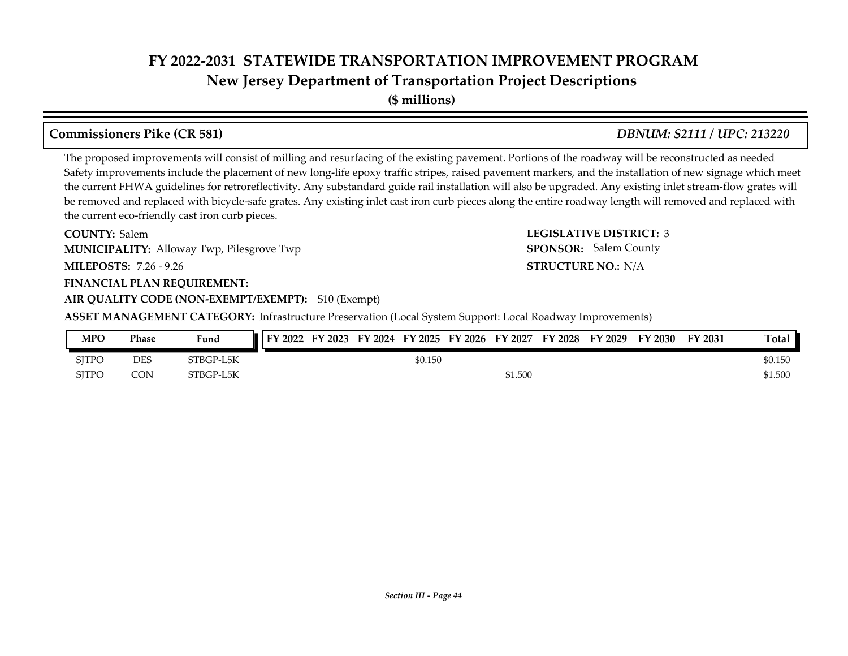**New Jersey Department of Transportation Project Descriptions**

**(\$ millions)**

#### **Commissioners Pike (CR 581)** *DBNUM: S2111 / UPC: 213220*

The proposed improvements will consist of milling and resurfacing of the existing pavement. Portions of the roadway will be reconstructed as needed Safety improvements include the placement of new long-life epoxy traffic stripes, raised pavement markers, and the installation of new signage which meet the current FHWA guidelines for retroreflectivity. Any substandard guide rail installation will also be upgraded. Any existing inlet stream-flow grates will be removed and replaced with bicycle-safe grates. Any existing inlet cast iron curb pieces along the entire roadway length will removed and replaced with the current eco-friendly cast iron curb pieces.

**COUNTY: LEGISLATIVE DISTRICT:** 3 **COUNTY: Salem** Alloway Twp, Pilesgrove Twp **MUNICIPALITY: SPONSOR:**

**MILEPOSTS: STRUCTURE NO.:** 7.26 - 9.26

#### **FINANCIAL PLAN REQUIREMENT:**

**AIR QUALITY CODE (NON-EXEMPT/EXEMPT):** S10 (Exempt)

**ASSET MANAGEMENT CATEGORY:** Infrastructure Preservation (Local System Support: Local Roadway Improvements)

| <b>MPO</b>   | <b>Phase</b> | Fund      | <b>FY 2022</b> | FY 2023 | <b>FY</b><br>2024 | FY 2025 | FY 2026 | FY 2027 | FY 2028 | FY 2029 | FY 2030 | FY 2031 | <b>Total</b> |
|--------------|--------------|-----------|----------------|---------|-------------------|---------|---------|---------|---------|---------|---------|---------|--------------|
| <b>SJTPC</b> | DES          | STBGP-L5K |                |         |                   | \$0.150 |         |         |         |         |         |         | \$0.150      |
| SITPC        | CON          | STBGP-L5K |                |         |                   |         |         | \$1.500 |         |         |         |         | \$1.500      |

**STRUCTURE NO.: N/A** 

SPONSOR: Salem County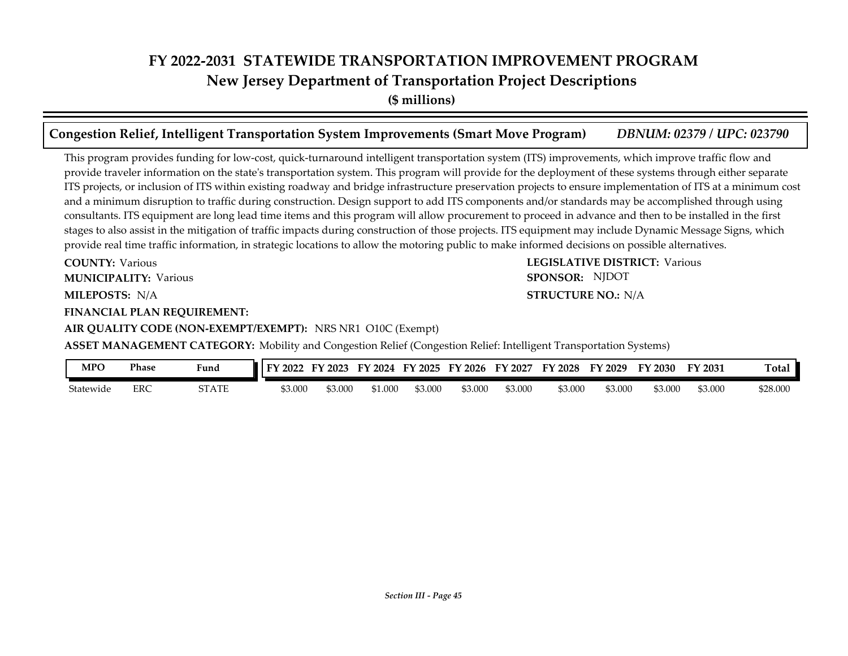**(\$ millions)**

#### **Congestion Relief, Intelligent Transportation System Improvements (Smart Move Program)** *DBNUM: 02379 / UPC: 023790*

This program provides funding for low-cost, quick-turnaround intelligent transportation system (ITS) improvements, which improve traffic flow and provide traveler information on the state's transportation system. This program will provide for the deployment of these systems through either separate ITS projects, or inclusion of ITS within existing roadway and bridge infrastructure preservation projects to ensure implementation of ITS at a minimum cost and a minimum disruption to traffic during construction. Design support to add ITS components and/or standards may be accomplished through using consultants. ITS equipment are long lead time items and this program will allow procurement to proceed in advance and then to be installed in the first stages to also assist in the mitigation of traffic impacts during construction of those projects. ITS equipment may include Dynamic Message Signs, which provide real time traffic information, in strategic locations to allow the motoring public to make informed decisions on possible alternatives.

**STRUCTURE NO.: N/A** 

SPONSOR: NJDOT

**COUNTY: LEGISLATIVE DISTRICT:** Various **COUNTY: Various** 

**MUNICIPALITY:** Various **SPONSOR:** 

**MILEPOSTS: STRUCTURE NO.:** N/A

**FINANCIAL PLAN REQUIREMENT:**

**AIR QUALITY CODE (NON-EXEMPT/EXEMPT):** NRS NR1 O10C (Exempt)

**ASSET MANAGEMENT CATEGORY:** Mobility and Congestion Relief (Congestion Relief: Intelligent Transportation Systems)

| MPO       | Phase | Fund         | FV<br>$'$ 2022 | $F\mathbf{V}$<br>2023 | FV<br>2024 | FY 2025 | FY 2026 | <b>FY</b><br>2027 | FY 2028 | FV<br>$\degree$ 2029 | FY 2030 | FY 2031 | <b>Total</b> |
|-----------|-------|--------------|----------------|-----------------------|------------|---------|---------|-------------------|---------|----------------------|---------|---------|--------------|
| Statewide | ERC   | <b>STATE</b> | 53.000         | 53.000                | 51.000     | \$3.000 | \$3.000 | \$3.000           | \$3.000 | \$3.000              | 53.00C  | \$3.000 | \$28.000     |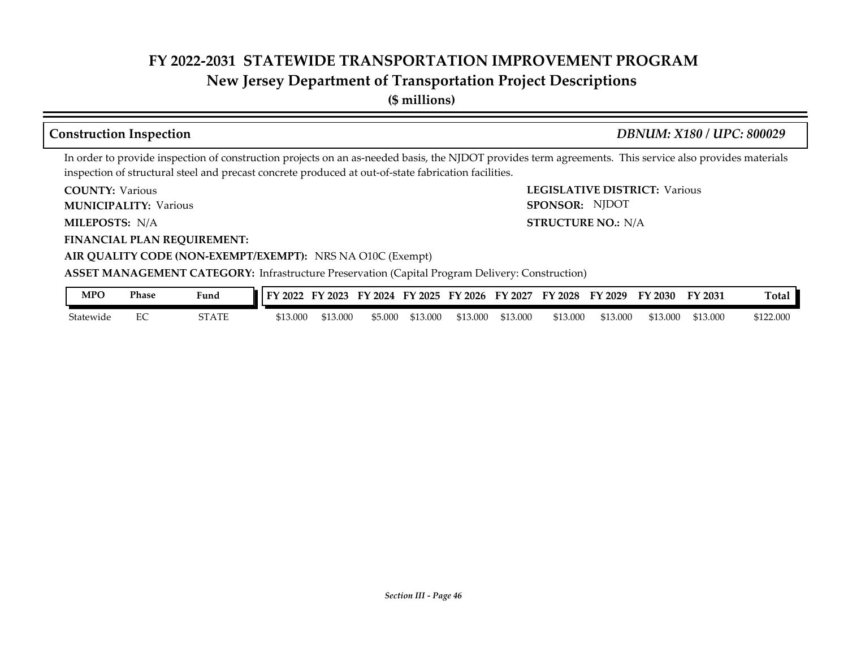#### **New Jersey Department of Transportation Project Descriptions**

**(\$ millions)**

#### **Construction Inspection** *DBNUM: X180 / UPC: 800029*

SPONSOR: NJDOT

In order to provide inspection of construction projects on an as-needed basis, the NJDOT provides term agreements. This service also provides materials inspection of structural steel and precast concrete produced at out-of-state fabrication facilities.

**COUNTY: LEGISLATIVE DISTRICT:** Various **COUNTY: Various** 

**MUNICIPALITY:** Various **SPONSOR:** 

**MILEPOSTS: STRUCTURE NO.:** N/A MILEPOSTS: N/A

**FINANCIAL PLAN REQUIREMENT:**

**AIR QUALITY CODE (NON-EXEMPT/EXEMPT):** NRS NA O10C (Exempt)

**ASSET MANAGEMENT CATEGORY:** Infrastructure Preservation (Capital Program Delivery: Construction)

| MPO       | Phase | Fund  | 2022<br>FV | $'$ 2023 | 2024<br>FY | FY 2025  | FY 2026  | FY 2027  | FV<br>2028 | FY 2029  | $\degree$ 2030 $\degree$ | FY 2031  | Tota.     |
|-----------|-------|-------|------------|----------|------------|----------|----------|----------|------------|----------|--------------------------|----------|-----------|
| Statewide | ∼     | STATE | \$13.000   | \$13.000 | \$5.000    | \$13.000 | \$13.000 | \$13.000 | \$13,000   | \$13,000 | \$13.000                 | \$13.000 | \$122.000 |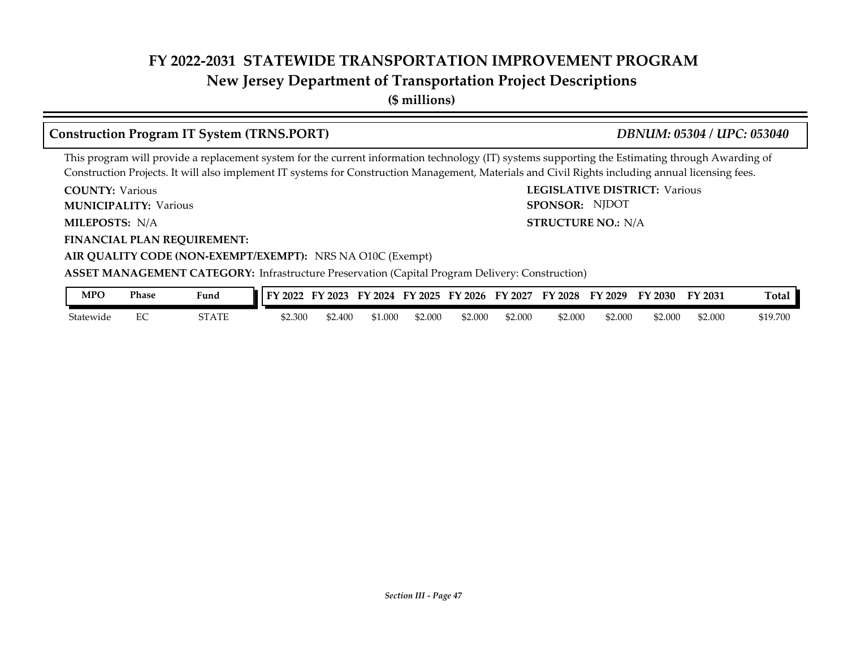#### **New Jersey Department of Transportation Project Descriptions**

**(\$ millions)**

#### **Construction Program IT System (TRNS.PORT)** *DBNUM: 05304 / UPC: 053040*

This program will provide a replacement system for the current information technology (IT) systems supporting the Estimating through Awarding of Construction Projects. It will also implement IT systems for Construction Management, Materials and Civil Rights including annual licensing fees.

**COUNTY: LEGISLATIVE DISTRICT:** Various **COUNTY: Various** 

**MUNICIPALITY:** Various **SPONSOR:** 

**MILEPOSTS: STRUCTURE NO.:** N/A MILEPOSTS: N/A

**FINANCIAL PLAN REQUIREMENT:**

**AIR QUALITY CODE (NON-EXEMPT/EXEMPT):** NRS NA O10C (Exempt)

**ASSET MANAGEMENT CATEGORY:** Infrastructure Preservation (Capital Program Delivery: Construction)

| MPO       | Phase | Fund  | 2022<br>$\mathbf{E}$ | $\frac{1}{2023}$<br>H Y | FY 2024 | FY 2025 | FY 2026 | FY 2027 | FY 2028 | FY 2029 | FY 2030 | FY 2031 | Ē<br>l otal |
|-----------|-------|-------|----------------------|-------------------------|---------|---------|---------|---------|---------|---------|---------|---------|-------------|
| Statewide | EV.   | STATE | ሰገ<br>\$2.300        | \$2.400                 | \$1.000 | 52.000  | \$2.000 | \$2.000 | \$2.000 | \$2.00C | \$2.000 | \$2.000 | \$19.700    |

SPONSOR: NJDOT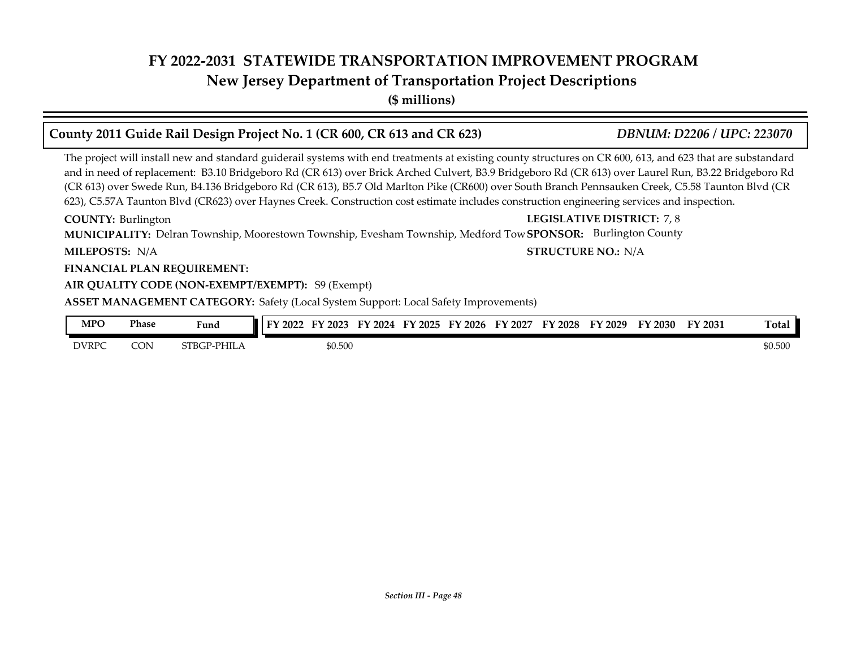#### **New Jersey Department of Transportation Project Descriptions**

**(\$ millions)**

### **County 2011 Guide Rail Design Project No. 1 (CR 600, CR 613 and CR 623)** *DBNUM: D2206 / UPC: 223070*

The project will install new and standard guiderail systems with end treatments at existing county structures on CR 600, 613, and 623 that are substandard and in need of replacement: B3.10 Bridgeboro Rd (CR 613) over Brick Arched Culvert, B3.9 Bridgeboro Rd (CR 613) over Laurel Run, B3.22 Bridgeboro Rd (CR 613) over Swede Run, B4.136 Bridgeboro Rd (CR 613), B5.7 Old Marlton Pike (CR600) over South Branch Pennsauken Creek, C5.58 Taunton Blvd (CR 623), C5.57A Taunton Blvd (CR623) over Haynes Creek. Construction cost estimate includes construction engineering services and inspection.

MUNICIPALITY: Delran Township, Moorestown Township, Evesham Township, Medford Tow SPONSOR: Burlington County **COUNTY: LEGISLATIVE DISTRICT:** 7, 8 **COUNTY: Burlington** 

**MILEPOSTS: STRUCTURE NO.:** N/A MILEPOSTS: N/A

#### **FINANCIAL PLAN REQUIREMENT:**

#### **AIR QUALITY CODE (NON-EXEMPT/EXEMPT):** S9 (Exempt)

**ASSET MANAGEMENT CATEGORY:** Safety (Local System Support: Local Safety Improvements)

| MPO          | <b>Phase</b> | Fund        | FY 2022 | FY 2023 | FV<br>2024 | FY 2025 | FY 2026 | FY 2027 | FY 2028 | FY 2029 | FY 2030 | FY 2031 | Total   |
|--------------|--------------|-------------|---------|---------|------------|---------|---------|---------|---------|---------|---------|---------|---------|
| <b>DVRPC</b> | CON          | STBGP-PHILA |         | \$0.500 |            |         |         |         |         |         |         |         | \$0.500 |

*Section III - Page 48*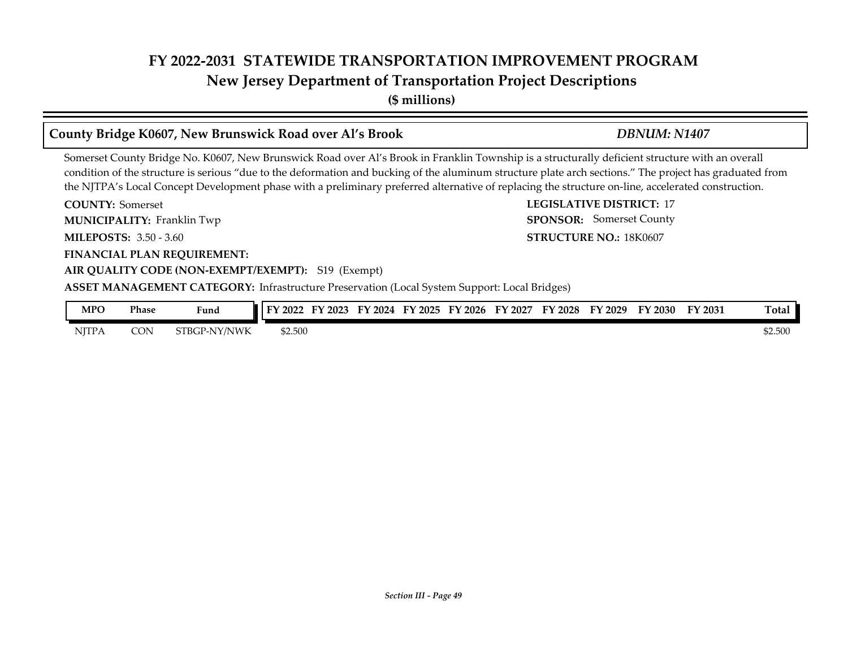**(\$ millions)**

#### **County Bridge K0607, New Brunswick Road over Al's Brook** *DBNUM: N1407*

Somerset County Bridge No. K0607, New Brunswick Road over Al's Brook in Franklin Township is a structurally deficient structure with an overall condition of the structure is serious "due to the deformation and bucking of the aluminum structure plate arch sections." The project has graduated from the NJTPA's Local Concept Development phase with a preliminary preferred alternative of replacing the structure on-line, accelerated construction.

**COUNTY:** Somerset **LEGISLATIVE DISTRICT:** 17 **MILEPOSTS: STRUCTURE NO.:** 3.50 - 3.60 **FINANCIAL PLAN REQUIREMENT: AIR QUALITY CODE (NON-EXEMPT/EXEMPT):** S19 (Exempt) **COUNTY: Somerset** Franklin Twp **MUNICIPALITY: SPONSOR:** STRUCTURE NO.: 18K0607 SPONSOR: Somerset County

**ASSET MANAGEMENT CATEGORY:** Infrastructure Preservation (Local System Support: Local Bridges)

| MPO          | Phase      | Fund         | тv<br>2022 | 12023 | FV<br>2024 | $\mathbf{Y}$ 2025 | FV<br>$'$ 2026 | FV<br>2027 | <b>FY 2028</b> | FY 2029 | FY 2030 | FY 2031 | Total   |
|--------------|------------|--------------|------------|-------|------------|-------------------|----------------|------------|----------------|---------|---------|---------|---------|
| <b>NJTPA</b> | <b>CON</b> | STBGP-NY/NWK | \$2.500    |       |            |                   |                |            |                |         |         |         | \$2.500 |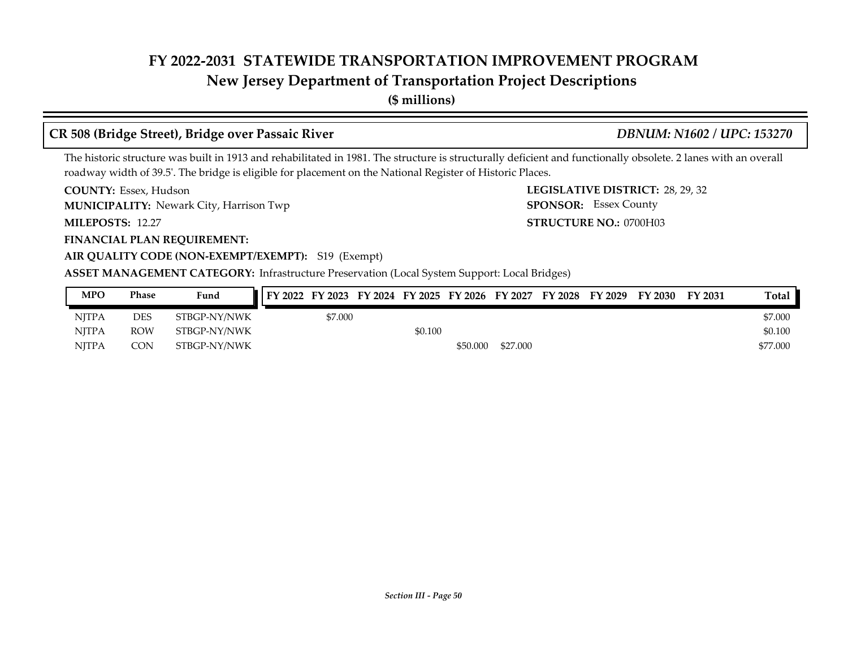#### **New Jersey Department of Transportation Project Descriptions**

**(\$ millions)**

#### **CR 508 (Bridge Street), Bridge over Passaic River** *DBNUM: N1602 / UPC: 153270*

SPONSOR: Essex County

The historic structure was built in 1913 and rehabilitated in 1981. The structure is structurally deficient and functionally obsolete. 2 lanes with an overall roadway width of 39.5'. The bridge is eligible for placement on the National Register of Historic Places.

**COUNTY: LEGISLATIVE DISTRICT:** 28, 29, 32 COUNTY: Essex, Hudson

**MUNICIPALITY:** Newark City, Harrison Twp **SPONSOR: SPONSOR:** 

**MILEPOSTS: STRUCTURE NO.:** 0700H03 MILEPOSTS: 12.27

**FINANCIAL PLAN REQUIREMENT:**

**AIR QUALITY CODE (NON-EXEMPT/EXEMPT):** S19 (Exempt)

**ASSET MANAGEMENT CATEGORY:** Infrastructure Preservation (Local System Support: Local Bridges)

| <b>MPO</b>   | Phase      | Fund         |         |         | FY 2022 FY 2023 FY 2024 FY 2025 FY 2026 FY 2027 |          | FY 2028 | FY 2029 | FY 2030 | FY 2031 | Total    |
|--------------|------------|--------------|---------|---------|-------------------------------------------------|----------|---------|---------|---------|---------|----------|
| <b>NITPA</b> | DES        | STBGP-NY/NWK | \$7.000 |         |                                                 |          |         |         |         |         | \$7.000  |
| <b>NITPA</b> | <b>ROW</b> | STBGP-NY/NWK |         | \$0.100 |                                                 |          |         |         |         |         | \$0.100  |
| <b>NITPA</b> | <b>CON</b> | STBGP-NY/NWK |         |         | \$50,000                                        | \$27,000 |         |         |         |         | \$77,000 |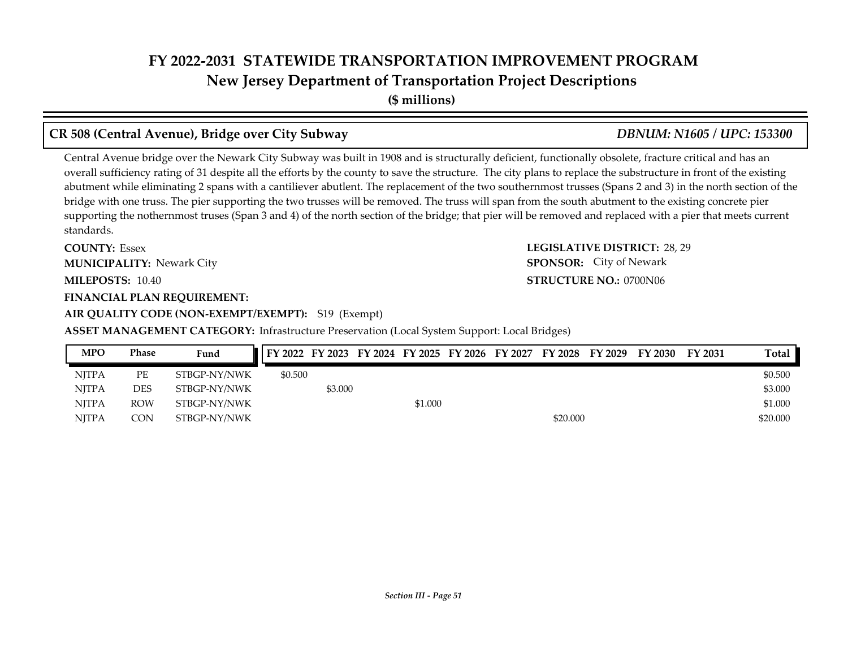**(\$ millions)**

#### **CR 508 (Central Avenue), Bridge over City Subway** *DBNUM: N1605 / UPC: 153300*

Central Avenue bridge over the Newark City Subway was built in 1908 and is structurally deficient, functionally obsolete, fracture critical and has an overall sufficiency rating of 31 despite all the efforts by the county to save the structure. The city plans to replace the substructure in front of the existing abutment while eliminating 2 spans with a cantiliever abutlent. The replacement of the two southernmost trusses (Spans 2 and 3) in the north section of the bridge with one truss. The pier supporting the two trusses will be removed. The truss will span from the south abutment to the existing concrete pier supporting the nothernmost truses (Span 3 and 4) of the north section of the bridge; that pier will be removed and replaced with a pier that meets current standards.

**COUNTY: LEGISLATIVE DISTRICT:** 28, 29 **MILEPOSTS: STRUCTURE NO.:** 10.40 **FINANCIAL PLAN REQUIREMENT: COUNTY: Essex MUNICIPALITY:** Newark City **SPONSOR:** 

#### **AIR QUALITY CODE (NON-EXEMPT/EXEMPT):** S19 (Exempt)

#### **ASSET MANAGEMENT CATEGORY:** Infrastructure Preservation (Local System Support: Local Bridges)

### NJTPA PE STBGP-NY/NWK \$0.500 \$0.500 \$0.500 \$0.500 \$0.500 \$0.500 \$0.500 \$0.500 \$0.500 \$0.500 \$0.500 \$0.500 \$0.500 \$0.500 \$0.500 \$0.500 \$0.500 \$0.500 \$0.500 \$0.500 \$0.500 \$0.500 \$0.500 \$0.500 \$0.500 \$0.500 \$1.500 \$1.500 \$1.5 NJTPA DES STBGP-NY/NWK \$3.000 \$3.000 \$3.000 \$3.000 \$3.000 \$3.000 \$3.000 \$3.000 \$3.000 \$3.000 \$3.000 \$3.000 \$3.000 \$3.000 \$3.000 \$3.000 \$3.000 \$3.000 \$3.000 \$3.000 \$3.000 \$3.000 \$3.000 \$3.000 \$3.000 \$3.000 \$3.000 \$3.000 \$3. NJTPA ROW STBGP-NY/NWK \$1.000 \$1.000 \$1.000 \$1.000 \$1.000 \$1.000 \$1.000 \$1.000 \$1.000 \$1.000 \$1.000 \$1.000 \$1.000 \$1.000 \$1.000 \$1.000 \$1.000 \$1.000 \$1.000 \$1.000 \$1.000 \$1.000 \$1.000 \$1.000 \$1.000 \$1.000 \$1.000 \$1.000 \$1. NJTPA CON STBGP-NY/NWK \$20.000 \$20.000 \$20.000 \$20.000 **MPO Phase Fund FY 2022 FY 2023 FY 2024 FY 2025 FY 2026 FY 2027 FY 2028 FY 2029 FY 2030 FY 2031 Total**

#### **STRUCTURE NO.: 0700N06 SPONSOR:** City of Newark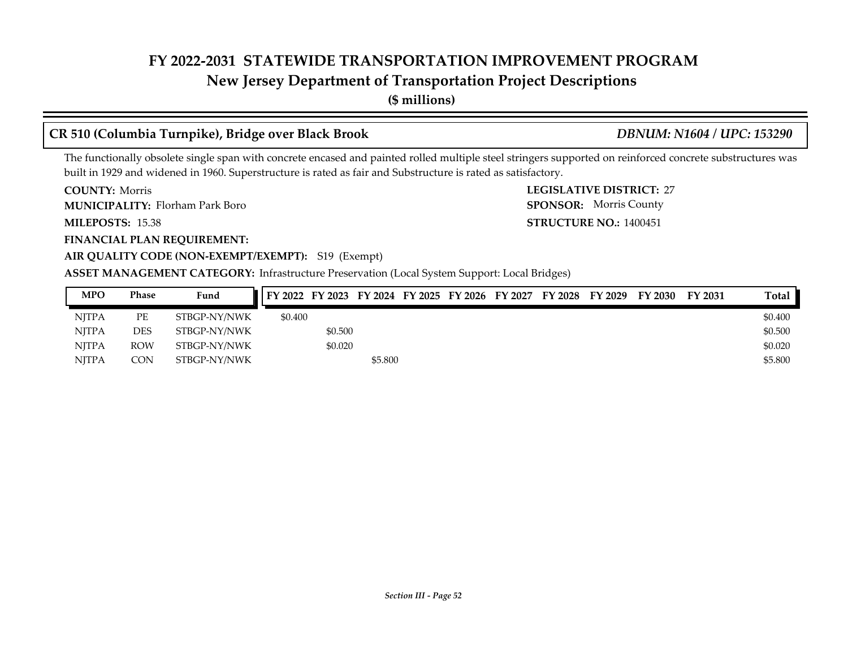#### **New Jersey Department of Transportation Project Descriptions**

**(\$ millions)**

#### **CR 510 (Columbia Turnpike), Bridge over Black Brook** *DBNUM: N1604 / UPC: 153290*

The functionally obsolete single span with concrete encased and painted rolled multiple steel stringers supported on reinforced concrete substructures was built in 1929 and widened in 1960. Superstructure is rated as fair and Substructure is rated as satisfactory.

**COUNTY: LEGISLATIVE DISTRICT:** 27 **COUNTY: Morris** 

Florham Park Boro **MUNICIPALITY: SPONSOR:**

**MILEPOSTS: STRUCTURE NO.:** 15.38

**FINANCIAL PLAN REQUIREMENT:**

**STRUCTURE NO.: 1400451** SPONSOR: Morris County

### **AIR QUALITY CODE (NON-EXEMPT/EXEMPT):** S19 (Exempt)

#### **ASSET MANAGEMENT CATEGORY:** Infrastructure Preservation (Local System Support: Local Bridges)

| <b>MPO</b>   | Phase      | Fund         | FY 2022 FY 2023 FY 2024 FY 2025 FY 2026 FY 2027 FY 2028 FY 2029 |         |         |  |  | <b>FY 2030</b> | FY 2031 | Total   |
|--------------|------------|--------------|-----------------------------------------------------------------|---------|---------|--|--|----------------|---------|---------|
| <b>NITPA</b> | PЕ         | STBGP-NY/NWK | \$0.400                                                         |         |         |  |  |                |         | \$0.400 |
| <b>NITPA</b> | DES        | STBGP-NY/NWK |                                                                 | \$0.500 |         |  |  |                |         | \$0.500 |
| <b>NITPA</b> | <b>ROW</b> | STBGP-NY/NWK |                                                                 | \$0.020 |         |  |  |                |         | \$0.020 |
| <b>NITPA</b> | <b>CON</b> | STBGP-NY/NWK |                                                                 |         | \$5.800 |  |  |                |         | \$5.800 |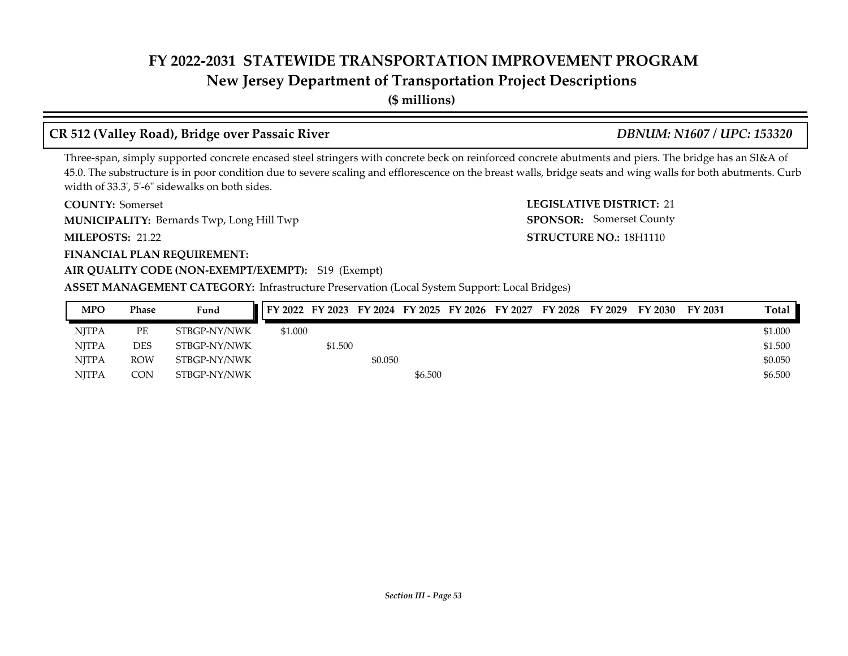### **New Jersey Department of Transportation Project Descriptions**

**(\$ millions)**

### **CR 512 (Valley Road), Bridge over Passaic River** *DBNUM: N1607 / UPC: 153320*

#### Three-span, simply supported concrete encased steel stringers with concrete beck on reinforced concrete abutments and piers. The bridge has an SI&A of 45.0. The substructure is in poor condition due to severe scaling and efflorescence on the breast walls, bridge seats and wing walls for both abutments. Curb width of 33.3', 5'-6" sidewalks on both sides.

**COUNTY:** Somerset **LEGISLATIVE DISTRICT:** 21 **COUNTY: Somerset MUNICIPALITY:** Bernards Twp, Long Hill Twp **SPONSOR:** 

**MILEPOSTS: STRUCTURE NO.:** 21.22

#### **FINANCIAL PLAN REQUIREMENT:**

#### **AIR QUALITY CODE (NON-EXEMPT/EXEMPT):** S19 (Exempt)

#### **ASSET MANAGEMENT CATEGORY:** Infrastructure Preservation (Local System Support: Local Bridges)

| <b>MPO</b>   | Phase      | Fund         | FY 2022 FY 2023 FY 2024 FY 2025 FY 2026 FY 2027 FY 2028 FY 2029 |         |         |         |  |  | <b>FY 2030</b> | <b>FY 2031</b> | Total   |
|--------------|------------|--------------|-----------------------------------------------------------------|---------|---------|---------|--|--|----------------|----------------|---------|
| <b>NJTPA</b> | PЕ         | STBGP-NY/NWK | \$1,000                                                         |         |         |         |  |  |                |                | \$1.000 |
| <b>NJTPA</b> | DES        | STBGP-NY/NWK |                                                                 | \$1.500 |         |         |  |  |                |                | \$1.500 |
| <b>NITPA</b> | <b>ROW</b> | STBGP-NY/NWK |                                                                 |         | \$0.050 |         |  |  |                |                | \$0.050 |
| <b>NITPA</b> | CON        | STBGP-NY/NWK |                                                                 |         |         | \$6.500 |  |  |                |                | \$6.500 |

STRUCTURE NO.: 18H1110

SPONSOR: Somerset County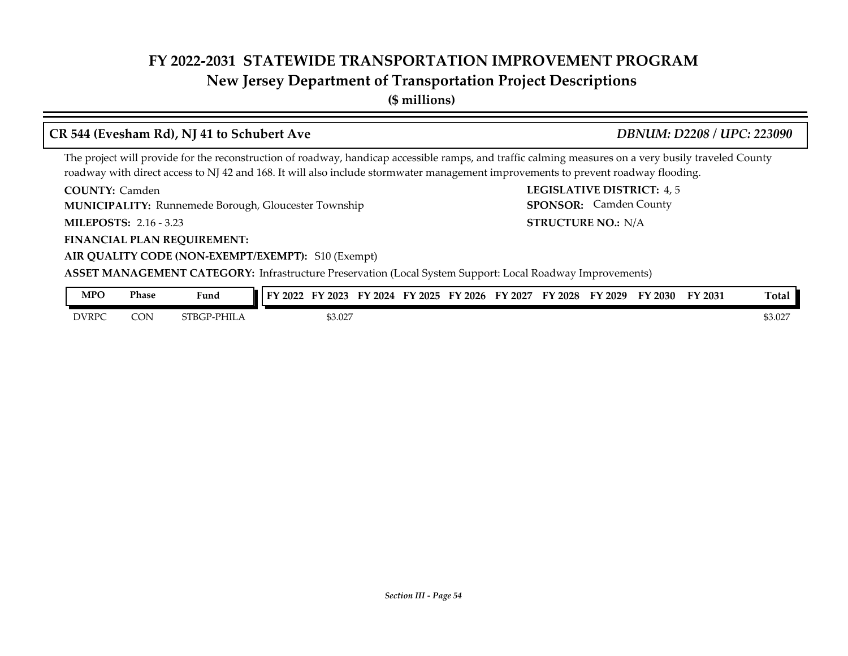### **New Jersey Department of Transportation Project Descriptions**

**(\$ millions)**

#### **CR 544 (Evesham Rd), NJ 41 to Schubert Ave** *DBNUM: D2208 / UPC: 223090*

STRUCTURE NO.: N/A

SPONSOR: Camden County

The project will provide for the reconstruction of roadway, handicap accessible ramps, and traffic calming measures on a very busily traveled County roadway with direct access to NJ 42 and 168. It will also include stormwater management improvements to prevent roadway flooding.

**COUNTY: LEGISLATIVE DISTRICT:** 4, 5 **COUNTY: Camden** 

**MUNICIPALITY:** Runnemede Borough, Gloucester Township **SPONSOR:** 

**MILEPOSTS: STRUCTURE NO.:** 2.16 - 3.23

**FINANCIAL PLAN REQUIREMENT:**

#### **AIR QUALITY CODE (NON-EXEMPT/EXEMPT):** S10 (Exempt)

**ASSET MANAGEMENT CATEGORY:** Infrastructure Preservation (Local System Support: Local Roadway Improvements)

| <b>MPO</b>   | Phase | $\mathbf{r}$<br>Fund       | 2022 | $'$ 2023<br>н١ | FY 2024 | FY 2025 | $\degree$ 2026<br>EV | FY 2027 | FY 2028 | FY 2029 | FY 2030 | FY 2031 | <b>Total</b> |
|--------------|-------|----------------------------|------|----------------|---------|---------|----------------------|---------|---------|---------|---------|---------|--------------|
| <b>DVRPC</b> | CON   | → PHILA<br>CTDCD<br>-TDAL. |      | \$3.027        |         |         |                      |         |         |         |         |         | \$3.027      |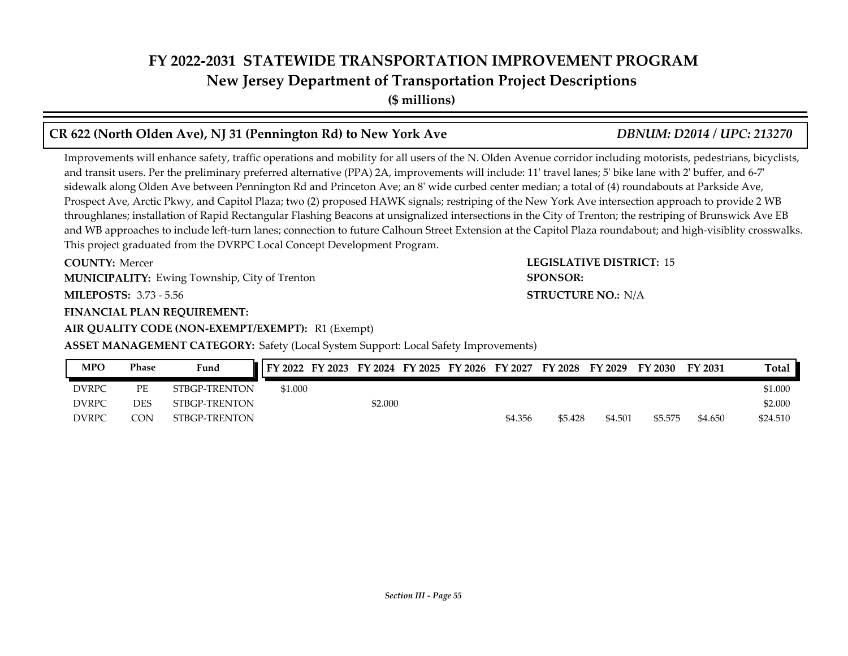**(\$ millions)**

#### **CR 622 (North Olden Ave), NJ 31 (Pennington Rd) to New York Ave** *DBNUM: D2014 / UPC: 213270*

Improvements will enhance safety, traffic operations and mobility for all users of the N. Olden Avenue corridor including motorists, pedestrians, bicyclists, and transit users. Per the preliminary preferred alternative (PPA) 2A, improvements will include: 11' travel lanes; 5' bike lane with 2' buffer, and 6-7' sidewalk along Olden Ave between Pennington Rd and Princeton Ave; an 8' wide curbed center median; a total of (4) roundabouts at Parkside Ave, Prospect Ave, Arctic Pkwy, and Capitol Plaza; two (2) proposed HAWK signals; restriping of the New York Ave intersection approach to provide 2 WB throughlanes; installation of Rapid Rectangular Flashing Beacons at unsignalized intersections in the City of Trenton; the restriping of Brunswick Ave EB and WB approaches to include left-turn lanes; connection to future Calhoun Street Extension at the Capitol Plaza roundabout; and high-visiblity crosswalks. This project graduated from the DVRPC Local Concept Development Program.

**COUNTY: Mercer** 

**MUNICIPALITY:** Ewing Township, City of Trenton **SPONSOR: SPONSOR:** 

**MILEPOSTS: STRUCTURE NO.:** 3.73 - 5.56

**FINANCIAL PLAN REQUIREMENT:**

**AIR QUALITY CODE (NON-EXEMPT/EXEMPT):** R1 (Exempt)

**ASSET MANAGEMENT CATEGORY:** Safety (Local System Support: Local Safety Improvements)

| <b>MPO</b>   | <b>Phase</b> | Fund          |         |         |  |         |         |         | FY 2022 FY 2023 FY 2024 FY 2025 FY 2026 FY 2027 FY 2028 FY 2029 FY 2030 | FY 2031 | Total    |
|--------------|--------------|---------------|---------|---------|--|---------|---------|---------|-------------------------------------------------------------------------|---------|----------|
| <b>DVRPC</b> | PЕ           | STBGP-TRENTON | \$1,000 |         |  |         |         |         |                                                                         |         | \$1.000  |
| <b>DVRPC</b> | DES          | STBGP-TRENTON |         | \$2,000 |  |         |         |         |                                                                         |         | \$2,000  |
| <b>DVRPC</b> | CON          | STBGP-TRENTON |         |         |  | \$4.356 | \$5.428 | \$4.501 | \$5.575                                                                 | \$4.650 | \$24.510 |

## **COUNTY: LEGISLATIVE DISTRICT:** 15 **STRUCTURE NO.: N/A**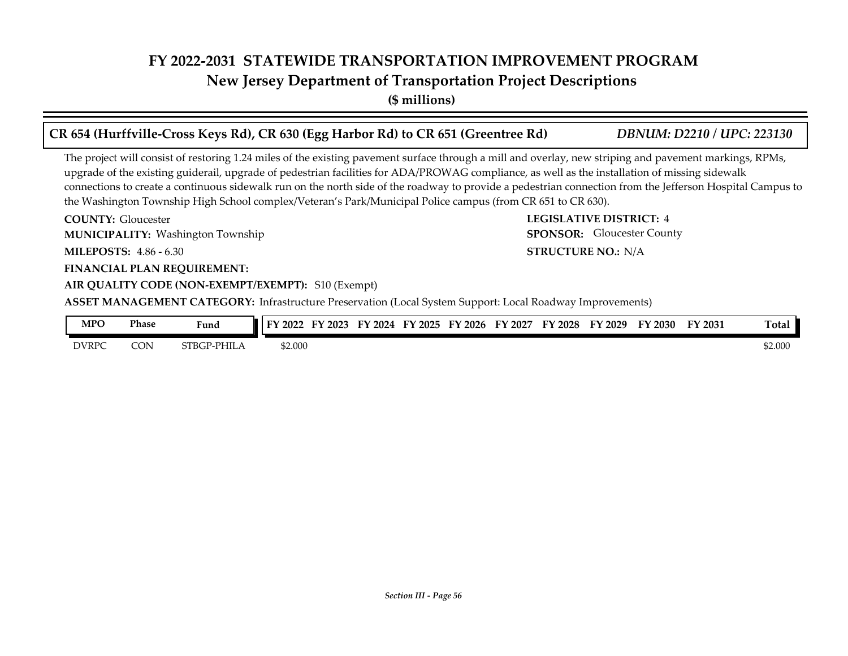**New Jersey Department of Transportation Project Descriptions**

**(\$ millions)**

| CR 654 (Hurffville-Cross Keys Rd), CR 630 (Egg Harbor Rd) to CR 651 (Greentree Rd)                                                                                                                                                                                                                                                                                                                                                                                                                                                                                                    | <b>DBNUM: D2210 / UPC: 223130</b> |  |
|---------------------------------------------------------------------------------------------------------------------------------------------------------------------------------------------------------------------------------------------------------------------------------------------------------------------------------------------------------------------------------------------------------------------------------------------------------------------------------------------------------------------------------------------------------------------------------------|-----------------------------------|--|
| The project will consist of restoring 1.24 miles of the existing pavement surface through a mill and overlay, new striping and pavement markings, RPMs,<br>upgrade of the existing guiderail, upgrade of pedestrian facilities for ADA/PROWAG compliance, as well as the installation of missing sidewalk<br>connections to create a continuous sidewalk run on the north side of the roadway to provide a pedestrian connection from the Jefferson Hospital Campus to<br>the Washington Township High School complex/Veteran's Park/Municipal Police campus (from CR 651 to CR 630). |                                   |  |
| <b>COUNTY:</b> Gloucester                                                                                                                                                                                                                                                                                                                                                                                                                                                                                                                                                             | <b>LEGISLATIVE DISTRICT: 4</b>    |  |
| <b>MUNICIPALITY: Washington Township</b>                                                                                                                                                                                                                                                                                                                                                                                                                                                                                                                                              | <b>SPONSOR:</b> Gloucester County |  |
| <b>MILEPOSTS: 4.86 - 6.30</b>                                                                                                                                                                                                                                                                                                                                                                                                                                                                                                                                                         | <b>STRUCTURE NO.: N/A</b>         |  |
| <b>FINANCIAL PLAN REQUIREMENT:</b>                                                                                                                                                                                                                                                                                                                                                                                                                                                                                                                                                    |                                   |  |
| AIR QUALITY CODE (NON-EXEMPT/EXEMPT): S10 (Exempt)                                                                                                                                                                                                                                                                                                                                                                                                                                                                                                                                    |                                   |  |
| ASSET MANAGEMENT CATEGORY: Infrastructure Preservation (Local System Support: Local Roadway Improvements)                                                                                                                                                                                                                                                                                                                                                                                                                                                                             |                                   |  |

| <b>MPO</b>   | Phase | $\mathbf{r}$<br>Fund | FV<br>$'$ 2022 | $\mathbf{E}\mathbf{V}$<br>Y2023 | 2024 | $Y$ 2025 | $^{\prime}$ 2026<br>EV | FY<br>2027 | FY 2028 | FY 2029 | $Y$ 2030 | FY 2031 | m.<br>Fotal |
|--------------|-------|----------------------|----------------|---------------------------------|------|----------|------------------------|------------|---------|---------|----------|---------|-------------|
| <b>DVRPC</b> | CON   | $P$ -PHIL<br>STBGP   | \$2.000        |                                 |      |          |                        |            |         |         |          |         | \$2.000     |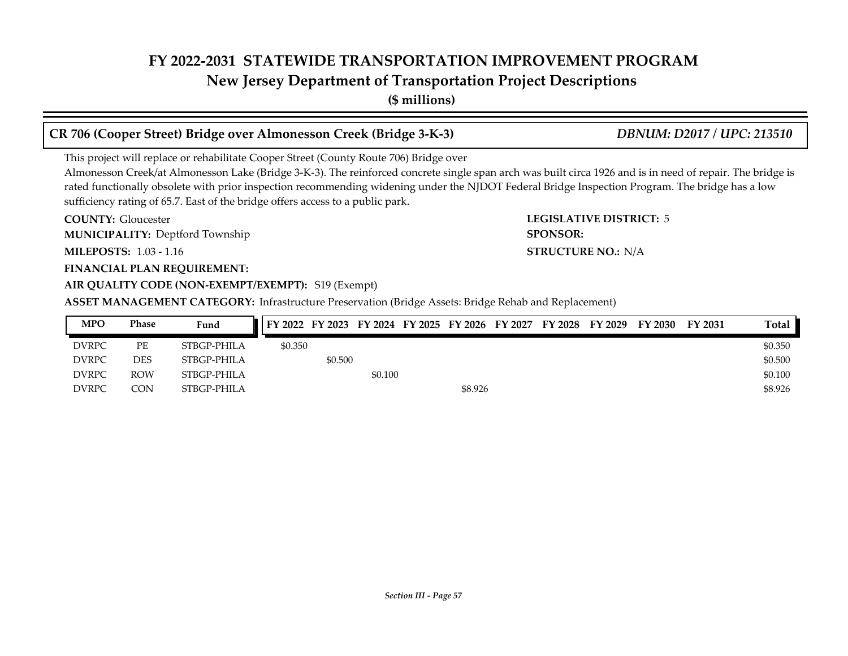#### **New Jersey Department of Transportation Project Descriptions**

**(\$ millions)**

#### **CR 706 (Cooper Street) Bridge over Almonesson Creek (Bridge 3-K-3)** *DBNUM: D2017 / UPC: 213510*

This project will replace or rehabilitate Cooper Street (County Route 706) Bridge over

Almonesson Creek/at Almonesson Lake (Bridge 3-K-3). The reinforced concrete single span arch was built circa 1926 and is in need of repair. The bridge is rated functionally obsolete with prior inspection recommending widening under the NJDOT Federal Bridge Inspection Program. The bridge has a low sufficiency rating of 65.7. East of the bridge offers access to a public park.

**COUNTY: LEGISLATIVE DISTRICT:** 5 **MILEPOSTS: STRUCTURE NO.:** 1.03 - 1.16 **COUNTY: Gloucester MUNICIPALITY:** Deptford Township **SPONSOR:** 

#### **FINANCIAL PLAN REQUIREMENT: AIR QUALITY CODE (NON-EXEMPT/EXEMPT):** S19 (Exempt)

**ASSET MANAGEMENT CATEGORY:** Infrastructure Preservation (Bridge Assets: Bridge Rehab and Replacement)

| <b>MPO</b>   | <b>Phase</b> | Fund        |         |         |         |         | FY 2022 FY 2023 FY 2024 FY 2025 FY 2026 FY 2027 FY 2028 FY 2029 | FY 2030 | FY 2031 | Total   |
|--------------|--------------|-------------|---------|---------|---------|---------|-----------------------------------------------------------------|---------|---------|---------|
| <b>DVRPC</b> | PЕ           | STBGP-PHILA | \$0.350 |         |         |         |                                                                 |         |         | \$0.350 |
| <b>DVRPC</b> | <b>DES</b>   | STBGP-PHILA |         | \$0.500 |         |         |                                                                 |         |         | \$0.500 |
| <b>DVRPC</b> | <b>ROW</b>   | STBGP-PHILA |         |         | \$0.100 |         |                                                                 |         |         | \$0.100 |
| <b>DVRPC</b> | CON.         | STBGP-PHILA |         |         |         | \$8.926 |                                                                 |         |         | \$8.926 |

**STRUCTURE NO.: N/A**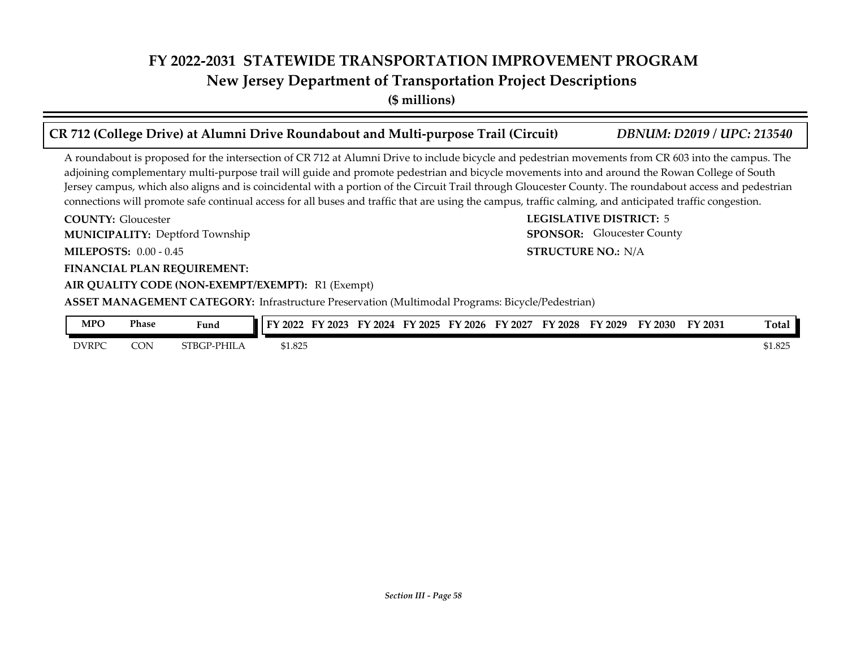**(\$ millions)**

| CR 712 (College Drive) at Alumni Drive Roundabout and Multi-purpose Trail (Circuit)                                                                                                                                                                                                                                                                                                                                                                                                                                                                                                                                            | <b>DBNUM: D2019 / UPC: 213540</b> |
|--------------------------------------------------------------------------------------------------------------------------------------------------------------------------------------------------------------------------------------------------------------------------------------------------------------------------------------------------------------------------------------------------------------------------------------------------------------------------------------------------------------------------------------------------------------------------------------------------------------------------------|-----------------------------------|
| A roundabout is proposed for the intersection of CR 712 at Alumni Drive to include bicycle and pedestrian movements from CR 603 into the campus. The<br>adjoining complementary multi-purpose trail will guide and promote pedestrian and bicycle movements into and around the Rowan College of South<br>Jersey campus, which also aligns and is coincidental with a portion of the Circuit Trail through Gloucester County. The roundabout access and pedestrian<br>connections will promote safe continual access for all buses and traffic that are using the campus, traffic calming, and anticipated traffic congestion. |                                   |
| <b>COUNTY:</b> Gloucester                                                                                                                                                                                                                                                                                                                                                                                                                                                                                                                                                                                                      | <b>LEGISLATIVE DISTRICT: 5</b>    |
| <b>MUNICIPALITY: Deptford Township</b>                                                                                                                                                                                                                                                                                                                                                                                                                                                                                                                                                                                         | <b>SPONSOR:</b> Gloucester County |
| <b>MILEPOSTS: 0.00 - 0.45</b>                                                                                                                                                                                                                                                                                                                                                                                                                                                                                                                                                                                                  | <b>STRUCTURE NO.: N/A</b>         |
| <b>FINANCIAL PLAN REQUIREMENT:</b>                                                                                                                                                                                                                                                                                                                                                                                                                                                                                                                                                                                             |                                   |
| AIR QUALITY CODE (NON-EXEMPT/EXEMPT): R1 (Exempt)                                                                                                                                                                                                                                                                                                                                                                                                                                                                                                                                                                              |                                   |
| <b>ASSET MANAGEMENT CATEGORY:</b> Infrastructure Preservation (Multimodal Programs: Bicycle/Pedestrian)                                                                                                                                                                                                                                                                                                                                                                                                                                                                                                                        |                                   |

| <b>MPO</b>   | Phase | $\sim$<br>Fund           | $'$ 2022<br>ТV. | 2023<br>$\blacksquare$ | г١<br>2024 | $\mathbf{m}$<br>2025<br>. . | TY 2026 | 2027<br>т. | FY<br>$^{\prime}2028$ | тv<br>2029 | FY 2030 | FY 2031 | Tota <sub>1</sub> |
|--------------|-------|--------------------------|-----------------|------------------------|------------|-----------------------------|---------|------------|-----------------------|------------|---------|---------|-------------------|
| <b>DVRPC</b> | CON   | `¤-PHIL.<br><b>STBGT</b> | 1.825<br>.      |                        |            |                             |         |            |                       |            |         |         | \$1.825           |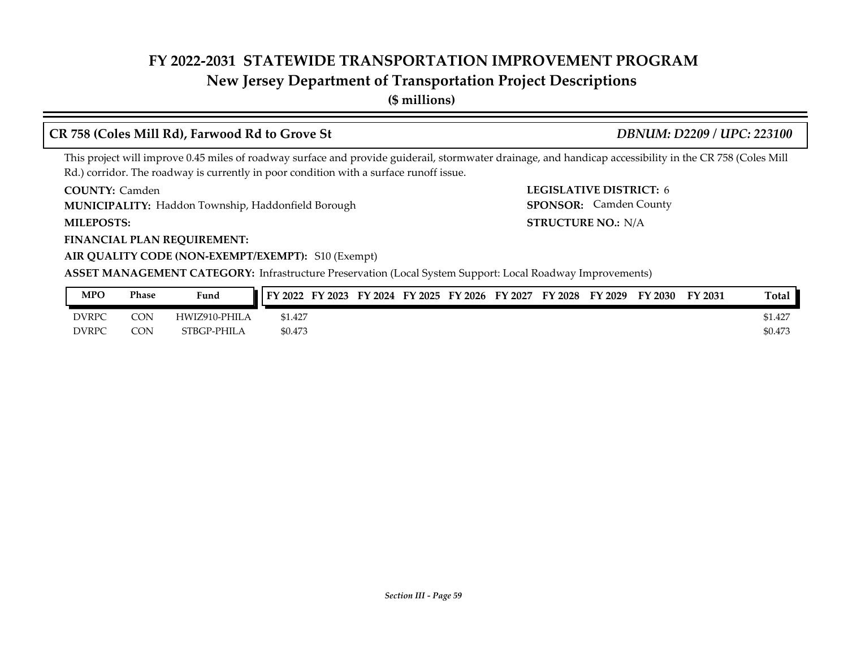#### **New Jersey Department of Transportation Project Descriptions**

**(\$ millions)**

#### **CR 758 (Coles Mill Rd), Farwood Rd to Grove St** *DBNUM: D2209 / UPC: 223100*

SPONSOR: Camden County

This project will improve 0.45 miles of roadway surface and provide guiderail, stormwater drainage, and handicap accessibility in the CR 758 (Coles Mill Rd.) corridor. The roadway is currently in poor condition with a surface runoff issue.

**COUNTY: LEGISLATIVE DISTRICT:** 6 **COUNTY: Camden** 

Haddon Township, Haddonfield Borough **MUNICIPALITY: SPONSOR:**

**MILEPOSTS: STRUCTURE NO.:** N/A

**FINANCIAL PLAN REQUIREMENT:**

#### **AIR QUALITY CODE (NON-EXEMPT/EXEMPT):** S10 (Exempt)

**ASSET MANAGEMENT CATEGORY:** Infrastructure Preservation (Local System Support: Local Roadway Improvements)

| <b>MPO</b>   | Phase | Fund          | FY 2022 | <b>FY 2023</b> | FY 2024 | FY 2025 | FY 2026 | FY 2027 | FY 2028 | FY 2029 | TY 2030 | FY 2031 | Total   |
|--------------|-------|---------------|---------|----------------|---------|---------|---------|---------|---------|---------|---------|---------|---------|
| <b>DVRPC</b> | CON   | HWIZ910-PHILA | \$1.427 |                |         |         |         |         |         |         |         |         | \$1.427 |
| <b>DVRPC</b> | CON   | STBGP-PHILA   | \$0.473 |                |         |         |         |         |         |         |         |         | \$0.473 |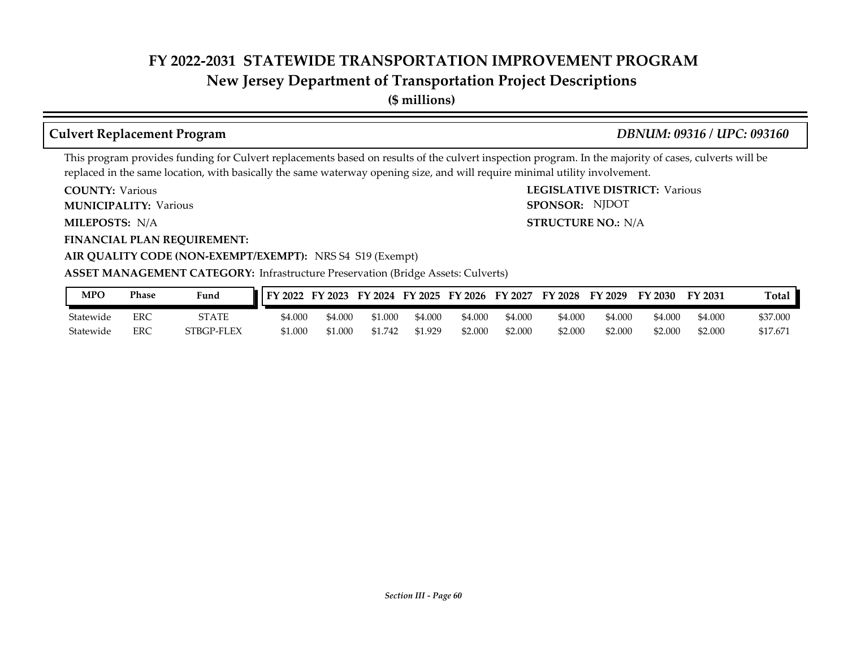#### **New Jersey Department of Transportation Project Descriptions**

**(\$ millions)**

#### **Culvert Replacement Program** *DBNUM: 09316 / UPC: 093160*

This program provides funding for Culvert replacements based on results of the culvert inspection program. In the majority of cases, culverts will be replaced in the same location, with basically the same waterway opening size, and will require minimal utility involvement.

**COUNTY: Various** 

**MUNICIPALITY:** Various **SPONSOR:** 

MILEPOSTS: N/A

**FINANCIAL PLAN REQUIREMENT:**

**COUNTY: LEGISLATIVE DISTRICT:** Various **MILEPOSTS: STRUCTURE NO.:** N/A SPONSOR: NJDOT

#### **AIR QUALITY CODE (NON-EXEMPT/EXEMPT):** NRS S4 S19 (Exempt)

#### **ASSET MANAGEMENT CATEGORY:** Infrastructure Preservation (Bridge Assets: Culverts)

| MPO       | Phase | Fund       | FY 2022 | FY 2023 |       | FY 2024 FY 2025 | FY 2026 | FY 2027 | FY 2028 | FY 2029 | FY 2030 | FY 2031 | <b>Total</b> |
|-----------|-------|------------|---------|---------|-------|-----------------|---------|---------|---------|---------|---------|---------|--------------|
| Statewide | ERC   | STATE      | \$4.000 | 4.000م  | 1.000 | \$4.000         | \$4.000 | \$4.000 | \$4.000 | \$4.000 | \$4.000 | 54.00C  | \$37.000     |
| Statewide | ERC   | STBGP-FLEX | \$1.000 | 31.000  | 742   | 51.929          | \$2.000 | \$2.000 | \$2.000 | \$2.000 | \$2.000 | \$2.000 | \$17.67      |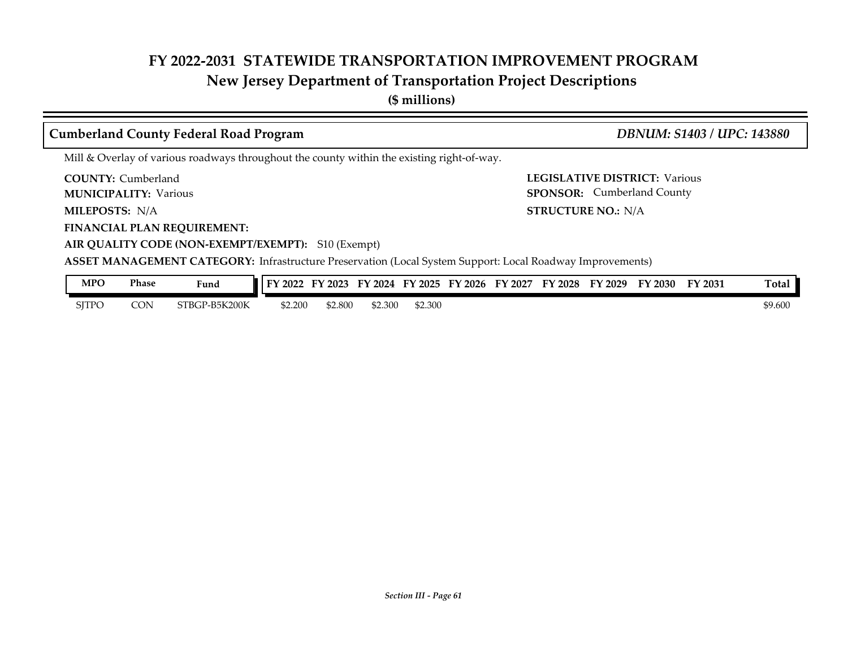## **New Jersey Department of Transportation Project Descriptions**

**(\$ millions)**

| <b>Cumberland County Federal Road Program</b>                                                                                                                                                         | <b>DBNUM: S1403 / UPC: 143880</b>                                         |  |  |  |  |  |  |  |
|-------------------------------------------------------------------------------------------------------------------------------------------------------------------------------------------------------|---------------------------------------------------------------------------|--|--|--|--|--|--|--|
| Mill & Overlay of various roadways throughout the county within the existing right-of-way.                                                                                                            |                                                                           |  |  |  |  |  |  |  |
| <b>COUNTY:</b> Cumberland<br><b>MUNICIPALITY: Various</b>                                                                                                                                             | <b>LEGISLATIVE DISTRICT: Various</b><br><b>SPONSOR:</b> Cumberland County |  |  |  |  |  |  |  |
| <b>MILEPOSTS: N/A</b>                                                                                                                                                                                 | <b>STRUCTURE NO.: N/A</b>                                                 |  |  |  |  |  |  |  |
| <b>FINANCIAL PLAN REQUIREMENT:</b><br>AIR QUALITY CODE (NON-EXEMPT/EXEMPT): S10 (Exempt)<br>ASSET MANAGEMENT CATEGORY: Infrastructure Preservation (Local System Support: Local Roadway Improvements) |                                                                           |  |  |  |  |  |  |  |
| <b>MPO</b><br><b>Phase</b><br>FY 2022 FY 2023 FY 2024 FY 2025 FY 2026 FY 2027 FY 2028 FY 2029 FY 2030 FY 2031<br>Fund                                                                                 | Total                                                                     |  |  |  |  |  |  |  |

SJTPO CON STBGP-B5K200K \$2.200 \$2.800 \$2.300 \$2.300 \$2.300 \$9.600 \$9.600

*Section III - Page 61*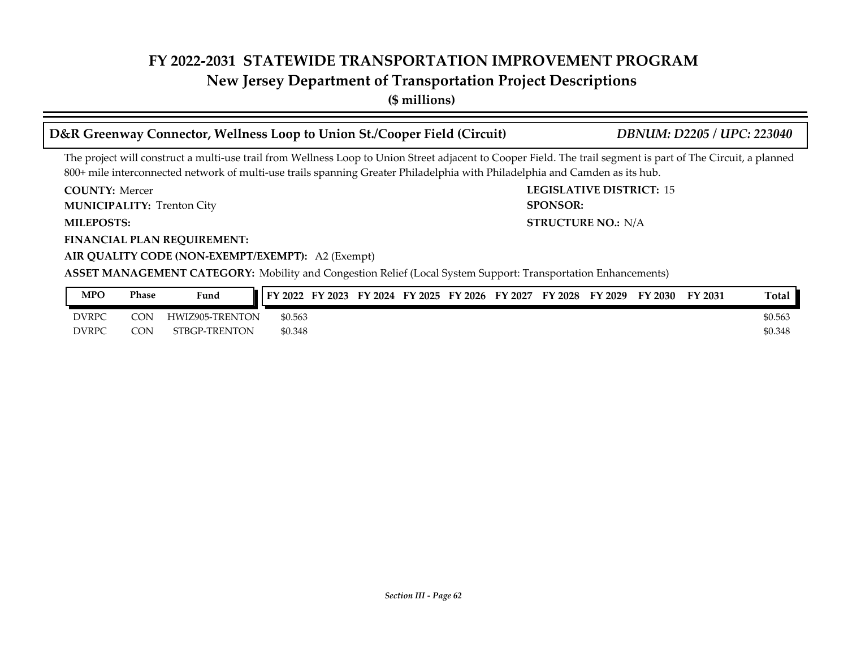**New Jersey Department of Transportation Project Descriptions**

**(\$ millions)**

| D&R Greenway Connector, Wellness Loop to Union St./Cooper Field (Circuit)                                                                                                                                                                                                                    | <b>DBNUM: D2205 / UPC: 223040</b> |
|----------------------------------------------------------------------------------------------------------------------------------------------------------------------------------------------------------------------------------------------------------------------------------------------|-----------------------------------|
| The project will construct a multi-use trail from Wellness Loop to Union Street adjacent to Cooper Field. The trail segment is part of The Circuit, a planned<br>800+ mile interconnected network of multi-use trails spanning Greater Philadelphia with Philadelphia and Camden as its hub. |                                   |
| <b>COUNTY: Mercer</b>                                                                                                                                                                                                                                                                        | <b>LEGISLATIVE DISTRICT: 15</b>   |
| <b>MUNICIPALITY: Trenton City</b>                                                                                                                                                                                                                                                            | <b>SPONSOR:</b>                   |
| <b>MILEPOSTS:</b>                                                                                                                                                                                                                                                                            | <b>STRUCTURE NO.: N/A</b>         |
| <b>FINANCIAL PLAN REQUIREMENT:</b>                                                                                                                                                                                                                                                           |                                   |
| AIR QUALITY CODE (NON-EXEMPT/EXEMPT): A2 (Exempt)                                                                                                                                                                                                                                            |                                   |
| <b>ASSET MANAGEMENT CATEGORY:</b> Mobility and Congestion Relief (Local System Support: Transportation Enhancements)                                                                                                                                                                         |                                   |
| FY 2022 FY 2023 FY 2024 FY 2025 FY 2026 FY 2027 FY 2028 FY 2029 FY 2030<br><b>MPO</b><br><b>Phase</b><br><b>Fund</b>                                                                                                                                                                         | Total I<br>FY 2031                |

| <b>MPO</b>   | Phase     | Fund            | $\parallel$ FY 2022 FY 2023 | FY 2024 FY 2025 FY 2026 |  | FY 2027 | <b>FY 2028</b> | FY 2029 | FY 2030 | FY 2031 | <b>Total</b> |
|--------------|-----------|-----------------|-----------------------------|-------------------------|--|---------|----------------|---------|---------|---------|--------------|
| <b>DVRPC</b> | $\cap$ NI | HWIZ905-TRENTON | \$0.563                     |                         |  |         |                |         |         |         | \$0.563      |
| <b>DVRPC</b> | CON       | STBGP-TRENTON   | \$0.348                     |                         |  |         |                |         |         |         | \$0.348      |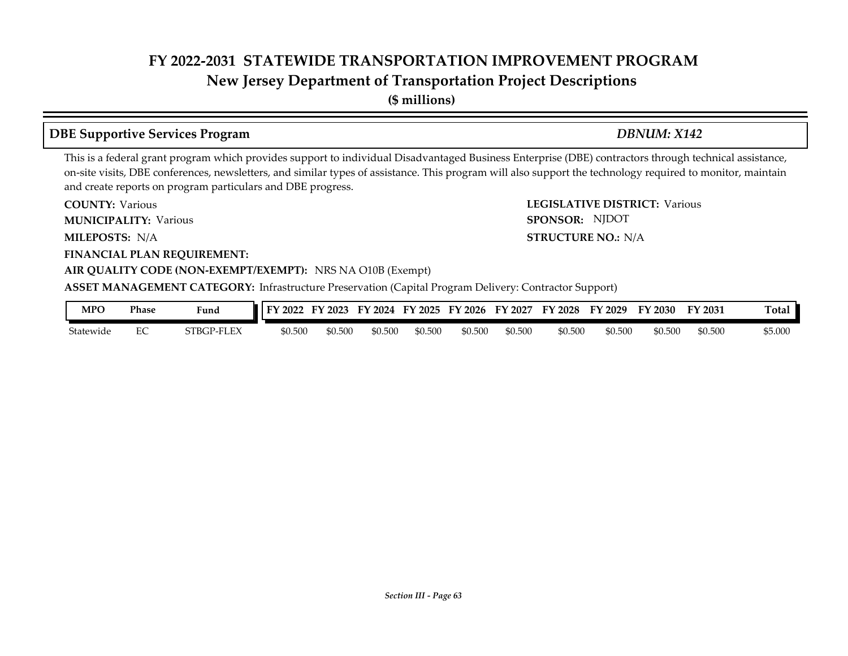**New Jersey Department of Transportation Project Descriptions**

**(\$ millions)**

### **DBE Supportive Services Program** *DBNUM: X142*

SPONSOR: NJDOT

This is a federal grant program which provides support to individual Disadvantaged Business Enterprise (DBE) contractors through technical assistance, on-site visits, DBE conferences, newsletters, and similar types of assistance. This program will also support the technology required to monitor, maintain and create reports on program particulars and DBE progress.

**COUNTY: LEGISLATIVE DISTRICT:** Various **COUNTY: Various** 

**MUNICIPALITY:** Various **SPONSOR:** 

**MILEPOSTS: STRUCTURE NO.:** N/A MILEPOSTS: N/A

**FINANCIAL PLAN REQUIREMENT:**

#### **AIR QUALITY CODE (NON-EXEMPT/EXEMPT):** NRS NA O10B (Exempt)

**ASSET MANAGEMENT CATEGORY:** Infrastructure Preservation (Capital Program Delivery: Contractor Support)

| MPC       | Phase | Fund       | 2022<br>EV. | $\angle 2023$<br>∽ | FY 2024 | FY 2025 | FY 2026 | FY 2027 | FY 2028 | FY 2029 | FY 2030 | FY 2031 | otal    |
|-----------|-------|------------|-------------|--------------------|---------|---------|---------|---------|---------|---------|---------|---------|---------|
| Statewide | ◡     | 5TBGP-FLEX | \$0.500     | \$0.500            | \$0.500 | \$0.500 | \$0.500 | \$0.500 | \$0.500 | \$0.500 | \$0.500 | \$0.500 | \$5.000 |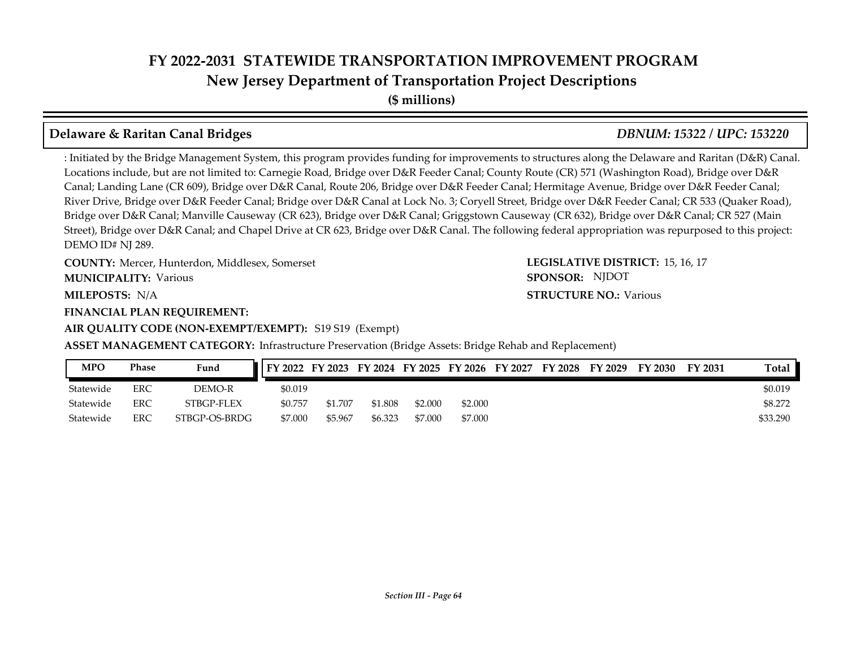**New Jersey Department of Transportation Project Descriptions**

**(\$ millions)**

#### **Delaware & Raritan Canal Bridges** *DBNUM: 15322 / UPC: 153220*

: Initiated by the Bridge Management System, this program provides funding for improvements to structures along the Delaware and Raritan (D&R) Canal. Locations include, but are not limited to: Carnegie Road, Bridge over D&R Feeder Canal; County Route (CR) 571 (Washington Road), Bridge over D&R Canal; Landing Lane (CR 609), Bridge over D&R Canal, Route 206, Bridge over D&R Feeder Canal; Hermitage Avenue, Bridge over D&R Feeder Canal; River Drive, Bridge over D&R Feeder Canal; Bridge over D&R Canal at Lock No. 3; Coryell Street, Bridge over D&R Feeder Canal; CR 533 (Quaker Road), Bridge over D&R Canal; Manville Causeway (CR 623), Bridge over D&R Canal; Griggstown Causeway (CR 632), Bridge over D&R Canal; CR 527 (Main Street), Bridge over D&R Canal; and Chapel Drive at CR 623, Bridge over D&R Canal. The following federal appropriation was repurposed to this project: DEMO ID# NJ 289.

**COUNTY: LEGISLATIVE DISTRICT:** Mercer, Hunterdon, Middlesex, Somerset **MUNICIPALITY:** Various **SPONSOR:** 

**MILEPOSTS: STRUCTURE NO.:** N/A

**FINANCIAL PLAN REQUIREMENT:**

**AIR QUALITY CODE (NON-EXEMPT/EXEMPT):** S19 S19 (Exempt)

LEGISLATIVE DISTRICT: 15, 16, 17 **STRUCTURE NO.: Various** SPONSOR: NJDOT

**ASSET MANAGEMENT CATEGORY:** Infrastructure Preservation (Bridge Assets: Bridge Rehab and Replacement)

| <b>MPO</b> | Phase | Fund          | FY 2022 FY 2023 FY 2024 FY 2025 FY 2026 FY 2027 |         |         |         |         | FY 2028 | FY 2029 | FY 2030 | FY 2031 | Total    |
|------------|-------|---------------|-------------------------------------------------|---------|---------|---------|---------|---------|---------|---------|---------|----------|
| Statewide  | ERC   | DEMO-R        | \$0.019                                         |         |         |         |         |         |         |         |         | \$0.019  |
| Statewide  | ERC   | STBGP-FLEX    | \$0.757                                         | \$1.707 | \$1.808 | \$2,000 | \$2.000 |         |         |         |         | \$8.272  |
| Statewide  | ERC   | STBGP-OS-BRDG | \$7.000                                         | \$5.967 | \$6.323 | \$7.000 | \$7.000 |         |         |         |         | \$33.290 |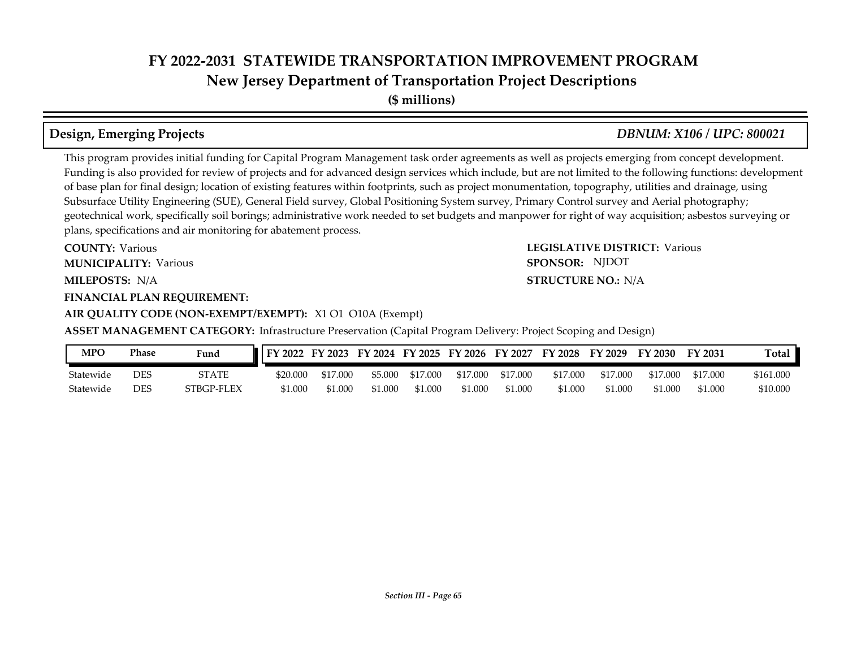**New Jersey Department of Transportation Project Descriptions**

**(\$ millions)**

This program provides initial funding for Capital Program Management task order agreements as well as projects emerging from concept development. Funding is also provided for review of projects and for advanced design services which include, but are not limited to the following functions: development of base plan for final design; location of existing features within footprints, such as project monumentation, topography, utilities and drainage, using Subsurface Utility Engineering (SUE), General Field survey, Global Positioning System survey, Primary Control survey and Aerial photography; geotechnical work, specifically soil borings; administrative work needed to set budgets and manpower for right of way acquisition; asbestos surveying or plans, specifications and air monitoring for abatement process.

**COUNTY: LEGISLATIVE DISTRICT:** Various **MILEPOSTS: STRUCTURE NO.:** N/A **COUNTY: Various MUNICIPALITY:** Various **SPONSOR:** 

**FINANCIAL PLAN REQUIREMENT:**

#### **AIR QUALITY CODE (NON-EXEMPT/EXEMPT):** X1 O1 O10A (Exempt)

**ASSET MANAGEMENT CATEGORY:** Infrastructure Preservation (Capital Program Delivery: Project Scoping and Design)

| MPO       | Phase | Fund       | <b>II FY 2022</b> | FY 2023  |         |          | FY 2024 FY 2025 FY 2026 FY 2027 |          | <b>FY 2028</b> | FY 2029  | FY 2030  | FY 2031  | <b>Total</b> |
|-----------|-------|------------|-------------------|----------|---------|----------|---------------------------------|----------|----------------|----------|----------|----------|--------------|
| Statewide | DES   | STATE      | \$20.000          | \$17.000 | \$5.000 | \$17.000 | \$17.000                        | \$17.000 | \$17.000       | \$17.000 | \$17,000 | \$17,000 | \$161.000    |
| Statewide | DES   | STBGP-FLEX | \$1,000           | 51.000   | \$1.000 | \$1.000  | \$1.000                         | \$1.000  | \$1.000        | \$1.000  | \$1,000  | \$1.000  | \$10.000     |

*Section III - Page 65*

**Design, Emerging Projects** *DBNUM: X106 / UPC: 800021*

#### **STRUCTURE NO.: N/A**

SPONSOR: NJDOT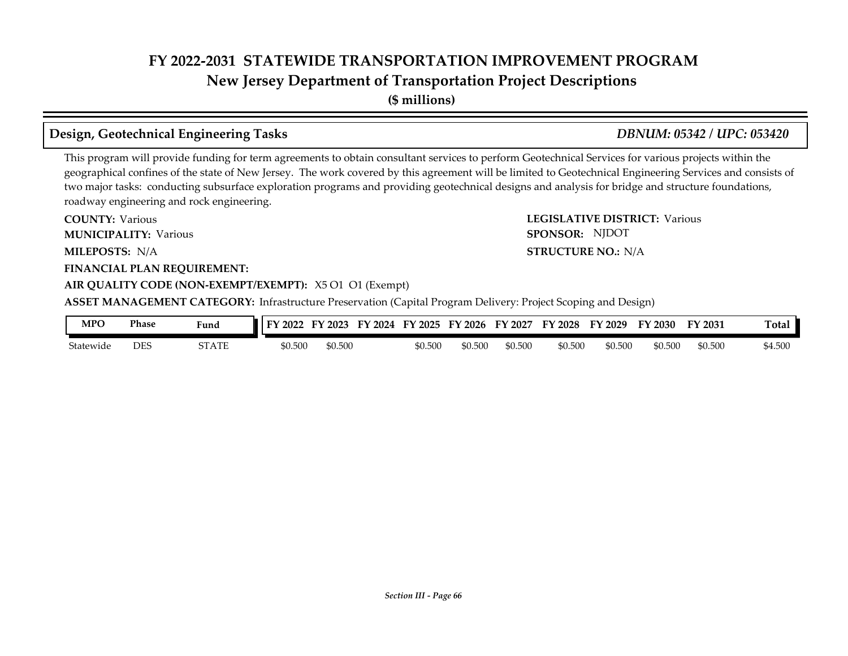**(\$ millions)**

#### **Design, Geotechnical Engineering Tasks** *DBNUM: 05342 / UPC: 053420*

This program will provide funding for term agreements to obtain consultant services to perform Geotechnical Services for various projects within the geographical confines of the state of New Jersey. The work covered by this agreement will be limited to Geotechnical Engineering Services and consists of two major tasks: conducting subsurface exploration programs and providing geotechnical designs and analysis for bridge and structure foundations, roadway engineering and rock engineering.

**COUNTY: LEGISLATIVE DISTRICT:** Various **MILEPOSTS: STRUCTURE NO.:** N/A **FINANCIAL PLAN REQUIREMENT: AIR QUALITY CODE (NON-EXEMPT/EXEMPT):** X5 O1 O1 (Exempt) **COUNTY: Various MUNICIPALITY:** Various **SPONSOR:** MILEPOSTS: N/A **ASSET MANAGEMENT CATEGORY:** Infrastructure Preservation (Capital Program Delivery: Project Scoping and Design) SPONSOR: NJDOT

| MPO       | Phase | Fund  | TV.<br>2022 | 2023    | FV<br>2024 | FV<br>12025 | $^{\circ}$ 2026<br>FV | FY<br>12027 | FY 2028 | FY 2029 | FY 2030 | FY 2031 | Tota.   |
|-----------|-------|-------|-------------|---------|------------|-------------|-----------------------|-------------|---------|---------|---------|---------|---------|
| Statewide | DES   | STATE | \$0.500     | \$0.500 |            | \$0.500     | \$0.500               | \$0.500     | \$0.500 | \$0.500 | \$0.500 | \$0.500 | \$4.500 |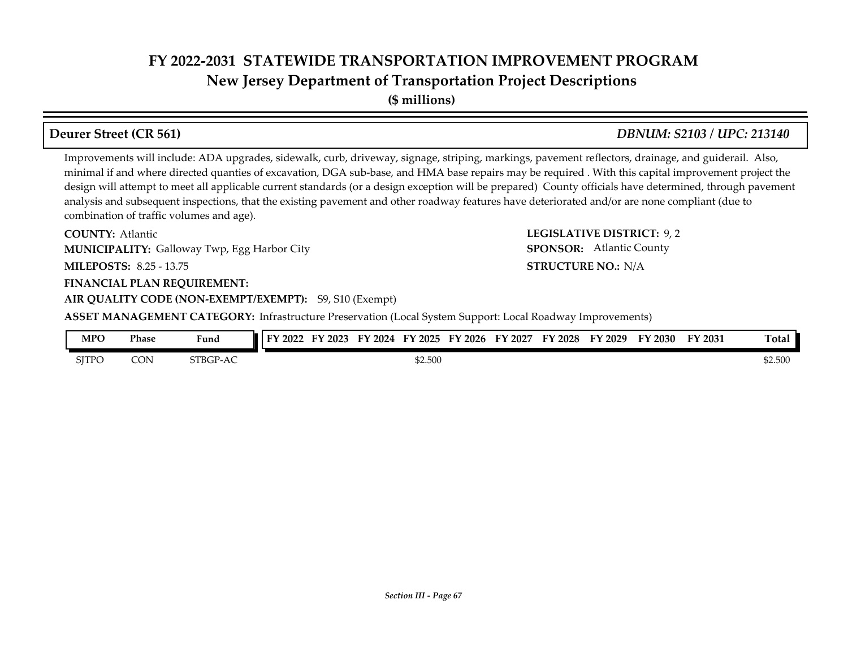**(\$ millions)**

Improvements will include: ADA upgrades, sidewalk, curb, driveway, signage, striping, markings, pavement reflectors, drainage, and guiderail. Also, minimal if and where directed quanties of excavation, DGA sub-base, and HMA base repairs may be required . With this capital improvement project the design will attempt to meet all applicable current standards (or a design exception will be prepared) County officials have determined, through pavement analysis and subsequent inspections, that the existing pavement and other roadway features have deteriorated and/or are none compliant (due to combination of traffic volumes and age).

**COUNTY: LEGISLATIVE DISTRICT:** 9, 2 **MILEPOSTS: STRUCTURE NO.:** 8.25 - 13.75 **COUNTY: Atlantic** Galloway Twp, Egg Harbor City **MUNICIPALITY: SPONSOR:**

#### **FINANCIAL PLAN REQUIREMENT:**

**AIR QUALITY CODE (NON-EXEMPT/EXEMPT):** S9, S10 (Exempt)

**ASSET MANAGEMENT CATEGORY:** Infrastructure Preservation (Local System Support: Local Roadway Improvements)

| <b>MPO</b>   | Phase | <b>The Contract of Contract of Contract of Contract of Contract of Contract of Contract of Contract of Contract o</b><br>Fund | FY<br>12022 | 2023 | FV<br>2024 | FY 2025 | FY 2026 | FV<br>Y 2027 | FY 2028 | FV<br>'2029 | FY 2030 | FY 2031 | <b>Total</b> |
|--------------|-------|-------------------------------------------------------------------------------------------------------------------------------|-------------|------|------------|---------|---------|--------------|---------|-------------|---------|---------|--------------|
| <b>SITPO</b> | CON   | STRCP <sub>-</sub><br>$-AC$                                                                                                   |             |      |            | \$2.500 |         |              |         |             |         |         | \$2.500      |

#### **Deurer Street (CR 561)** *DBNUM: S2103 / UPC: 213140*

**STRUCTURE NO.: N/A** 

SPONSOR: Atlantic County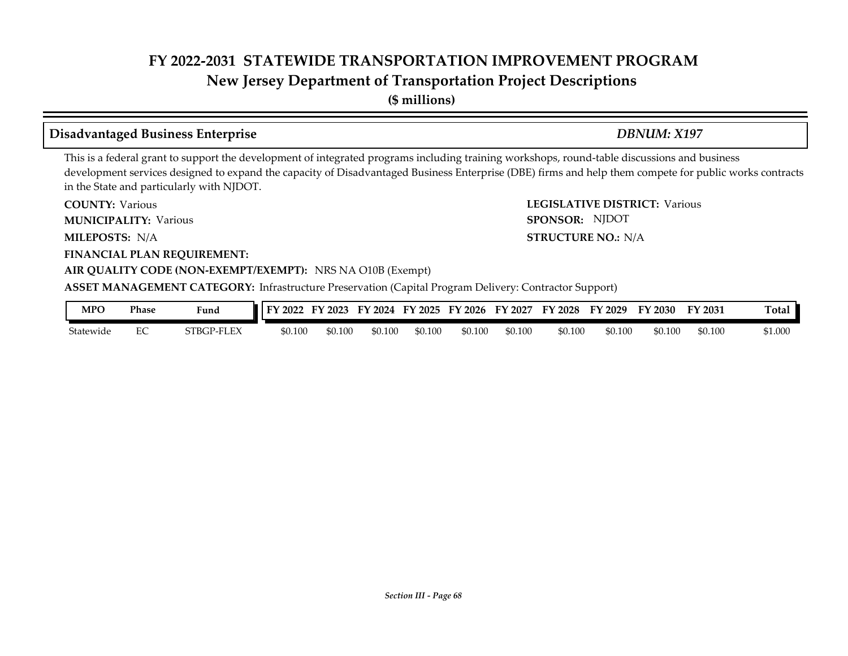**New Jersey Department of Transportation Project Descriptions**

**(\$ millions)**

#### **Disadvantaged Business Enterprise** *DBNUM: X197*

This is a federal grant to support the development of integrated programs including training workshops, round-table discussions and business development services designed to expand the capacity of Disadvantaged Business Enterprise (DBE) firms and help them compete for public works contracts in the State and particularly with NJDOT.

**COUNTY: LEGISLATIVE DISTRICT:** Various **COUNTY: Various** 

**MUNICIPALITY:** Various **SPONSOR:** 

**MILEPOSTS: STRUCTURE NO.:** N/A MILEPOSTS: N/A

**FINANCIAL PLAN REQUIREMENT:**

#### **AIR QUALITY CODE (NON-EXEMPT/EXEMPT):** NRS NA O10B (Exempt)

**ASSET MANAGEMENT CATEGORY:** Infrastructure Preservation (Capital Program Delivery: Contractor Support)

| MPC       | <b>Phase</b> | Fund       | FY 2022 | $'$ 2023<br>– Liv | <b>FY 2024</b> | FY 2025 | FY 2026 | FY 2027 | FY 2028 | FY<br>2029 | FY 2030 | FY 2031 | Total.  |
|-----------|--------------|------------|---------|-------------------|----------------|---------|---------|---------|---------|------------|---------|---------|---------|
| Statewide | ĽU           | STBGP-FLEX | \$0.100 | \$0.100           | \$0.100        | \$0.100 | 60.100  | \$0.100 | \$0.100 | \$0.100    | \$0.100 | \$0.100 | \$1.000 |

SPONSOR: NJDOT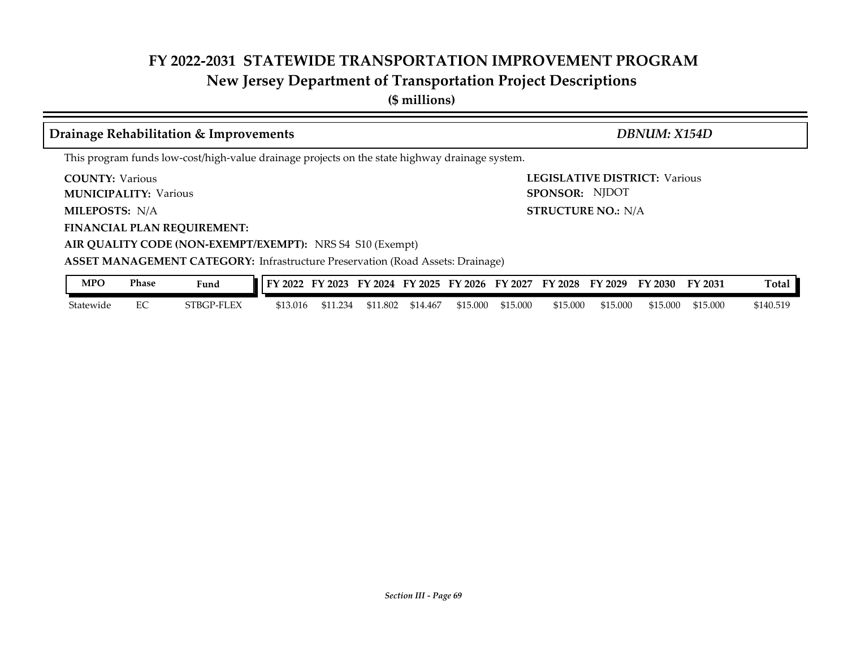## **New Jersey Department of Transportation Project Descriptions**

**(\$ millions)**

| Drainage Rehabilitation & Improvements                                                                | DBNUM: X154D                                           |  |  |  |  |  |  |  |  |
|-------------------------------------------------------------------------------------------------------|--------------------------------------------------------|--|--|--|--|--|--|--|--|
| This program funds low-cost/high-value drainage projects on the state highway drainage system.        |                                                        |  |  |  |  |  |  |  |  |
| <b>COUNTY: Various</b><br><b>MUNICIPALITY: Various</b>                                                | <b>LEGISLATIVE DISTRICT: Various</b><br>SPONSOR: NJDOT |  |  |  |  |  |  |  |  |
| <b>MILEPOSTS: N/A</b>                                                                                 | <b>STRUCTURE NO.: N/A</b>                              |  |  |  |  |  |  |  |  |
| <b>FINANCIAL PLAN REQUIREMENT:</b>                                                                    |                                                        |  |  |  |  |  |  |  |  |
| AIR QUALITY CODE (NON-EXEMPT/EXEMPT): NRS S4 S10 (Exempt)                                             |                                                        |  |  |  |  |  |  |  |  |
| <b>ASSET MANAGEMENT CATEGORY:</b> Infrastructure Preservation (Road Assets: Drainage)                 |                                                        |  |  |  |  |  |  |  |  |
| <b>MPO</b><br><b>Phase</b><br>FY 2022 FY 2023 FY 2024 FY 2025 FY 2026 FY 2027 FY 2028 FY 2029<br>Fund | Total<br>FY 2030<br>FY 2031                            |  |  |  |  |  |  |  |  |

Statewide EC STBGP-FLEX \$13.016 \$11.234 \$11.802 \$14.467 \$15.000 \$15.000 \$15.000 \$15.000 \$15.000 \$15.000 \$140.519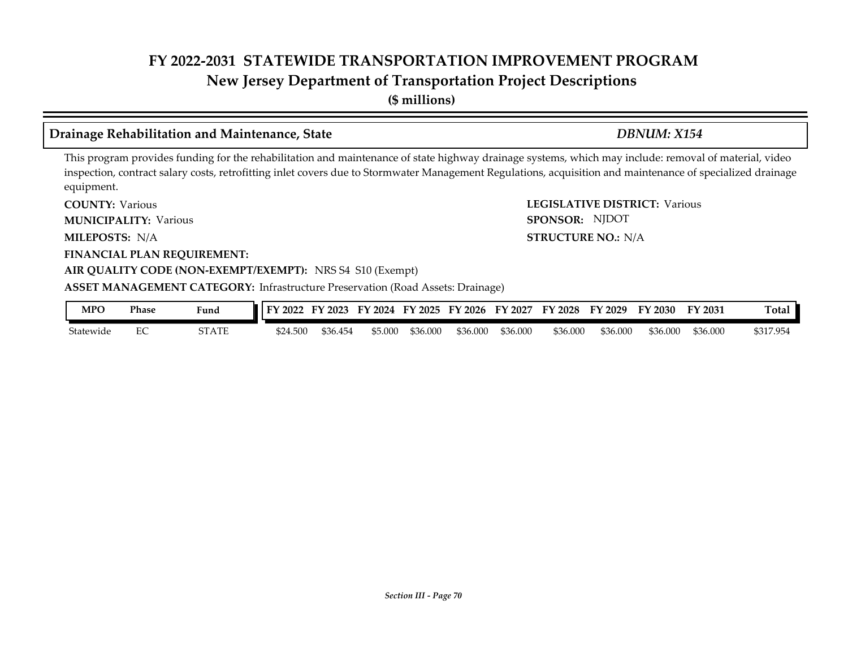**(\$ millions)**

#### **Drainage Rehabilitation and Maintenance, State** *DBNUM: X154*

#### This program provides funding for the rehabilitation and maintenance of state highway drainage systems, which may include: removal of material, video inspection, contract salary costs, retrofitting inlet covers due to Stormwater Management Regulations, acquisition and maintenance of specialized drainage equipment.

**COUNTY: LEGISLATIVE DISTRICT:** Various **COUNTY: Various** 

**MUNICIPALITY:** Various **SPONSOR:** 

**MILEPOSTS: STRUCTURE NO.:** N/A MILEPOSTS: N/A

**FINANCIAL PLAN REQUIREMENT:**

#### **AIR QUALITY CODE (NON-EXEMPT/EXEMPT):** NRS S4 S10 (Exempt)

#### **ASSET MANAGEMENT CATEGORY:** Infrastructure Preservation (Road Assets: Drainage)

| MPO       | <b>Phase</b> | Fund  | 2022<br>TУ. | 2023<br>ы | FY<br>2024 | FY 2025 | FY 2026  | FY<br>2027 | FY 2028  | FY<br>$\cdot$ 2029 | FY 2030  | FY 2031  | Total     |
|-----------|--------------|-------|-------------|-----------|------------|---------|----------|------------|----------|--------------------|----------|----------|-----------|
| Statewide | ◡            | STATE | \$24.500    | \$36.454  | \$5.00C    | 36.000  | \$36.000 | \$36.000   | \$36.000 | \$36,000           | \$36.000 | \$36.000 | \$317.954 |

SPONSOR: NJDOT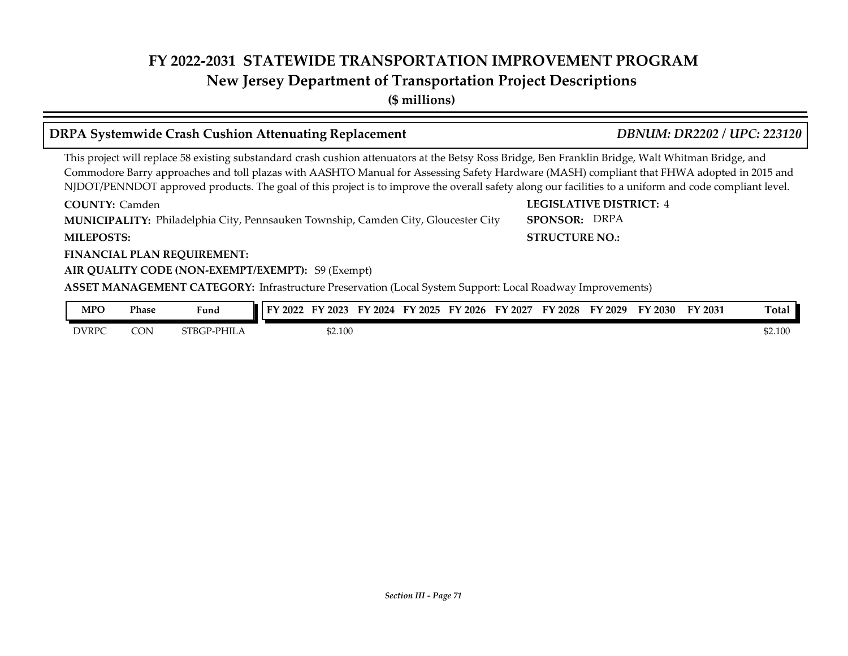**(\$ millions)**

#### **DRPA Systemwide Crash Cushion Attenuating Replacement** *DBNUM: DR2202 / UPC: 223120*

This project will replace 58 existing substandard crash cushion attenuators at the Betsy Ross Bridge, Ben Franklin Bridge, Walt Whitman Bridge, and Commodore Barry approaches and toll plazas with AASHTO Manual for Assessing Safety Hardware (MASH) compliant that FHWA adopted in 2015 and NJDOT/PENNDOT approved products. The goal of this project is to improve the overall safety along our facilities to a uniform and code compliant level.

Philadelphia City, Pennsauken Township, Camden City, Gloucester City **MUNICIPALITY: SPONSOR: COUNTY:** Camden **1999 COUNTY:** Camden **1999 COUNTY:** Camden **1999 COUNTY:** Camden **1999 COUNTY:** 4 **MILEPOSTS: STRUCTURE NO.:**

#### **FINANCIAL PLAN REQUIREMENT:**

#### **AIR QUALITY CODE (NON-EXEMPT/EXEMPT):** S9 (Exempt)

**ASSET MANAGEMENT CATEGORY:** Infrastructure Preservation (Local System Support: Local Roadway Improvements)

| MPO          | Phase | $\mathbf{r}$<br>Fund   | FY 2022 | 2023    | 2024 | $Y$ 2025 | $\frac{1}{2026}$<br>ЕV | EV<br>2027 | <sup>T</sup> Y 2028 | FY 2029 | FY 2030 | FY 2031 | <b>Total</b> |
|--------------|-------|------------------------|---------|---------|------|----------|------------------------|------------|---------------------|---------|---------|---------|--------------|
| <b>DVRPC</b> | CON   | $\neg$ P-PHIL<br>STBGP |         | \$2.100 |      |          |                        |            |                     |         |         |         | \$2.100      |

# SPONSOR: DRPA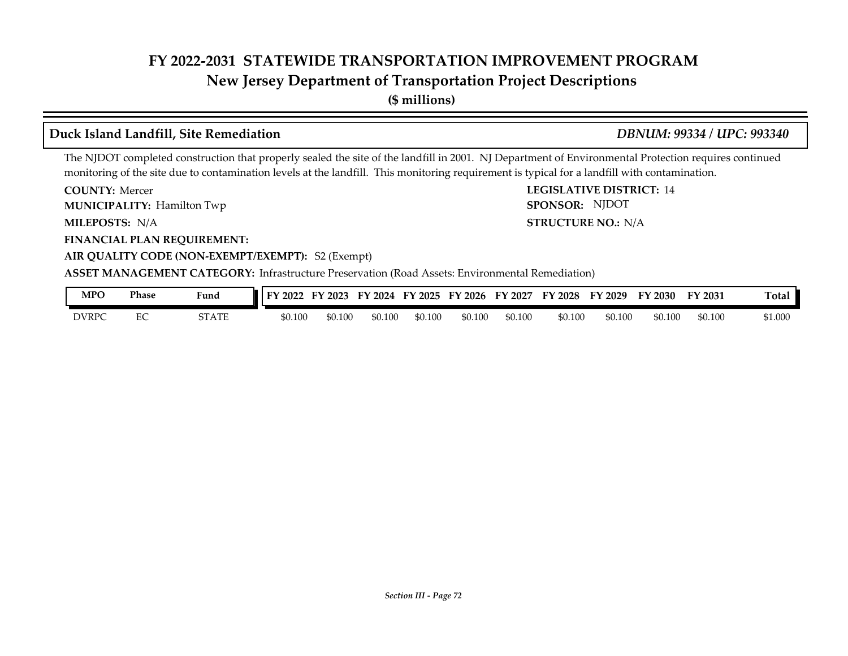#### **New Jersey Department of Transportation Project Descriptions**

**(\$ millions)**

#### **Duck Island Landfill, Site Remediation** *DBNUM: 99334 / UPC: 993340*

The NJDOT completed construction that properly sealed the site of the landfill in 2001. NJ Department of Environmental Protection requires continued monitoring of the site due to contamination levels at the landfill. This monitoring requirement is typical for a landfill with contamination.

**COUNTY: LEGISLATIVE DISTRICT:** 14 **COUNTY: Mercer** 

**MUNICIPALITY:** Hamilton Twp **SPONSOR:** 

MILEPOSTS: N/A

**FINANCIAL PLAN REQUIREMENT:**

**MILEPOSTS: STRUCTURE NO.:** N/A SPONSOR: NJDOT

#### **AIR QUALITY CODE (NON-EXEMPT/EXEMPT):** S2 (Exempt) **ASSET MANAGEMENT CATEGORY:** Infrastructure Preservation (Road Assets: Environmental Remediation)

| MPO   | Phase              | Fund                               | 2022    | 2023    | ПV<br>2024 | FY 2025 | EV.<br>2026 | FУ<br>$\chi$ 202 $^{-}$ | <b>FY 2028</b> | FY 2029 | 2030    | ПV<br>Y 2031 | Totar   |
|-------|--------------------|------------------------------------|---------|---------|------------|---------|-------------|-------------------------|----------------|---------|---------|--------------|---------|
| DVRPC | $\sim$ $\sim$<br>∽ | $C_{\rm T}$ a $T_{\rm T}$<br>STATE | \$0.100 | \$0.100 | \$0.100    | \$0.100 | \$0.100     | \$0.100                 | \$0.100        | \$0.100 | \$0.100 | \$0.100      | \$1.000 |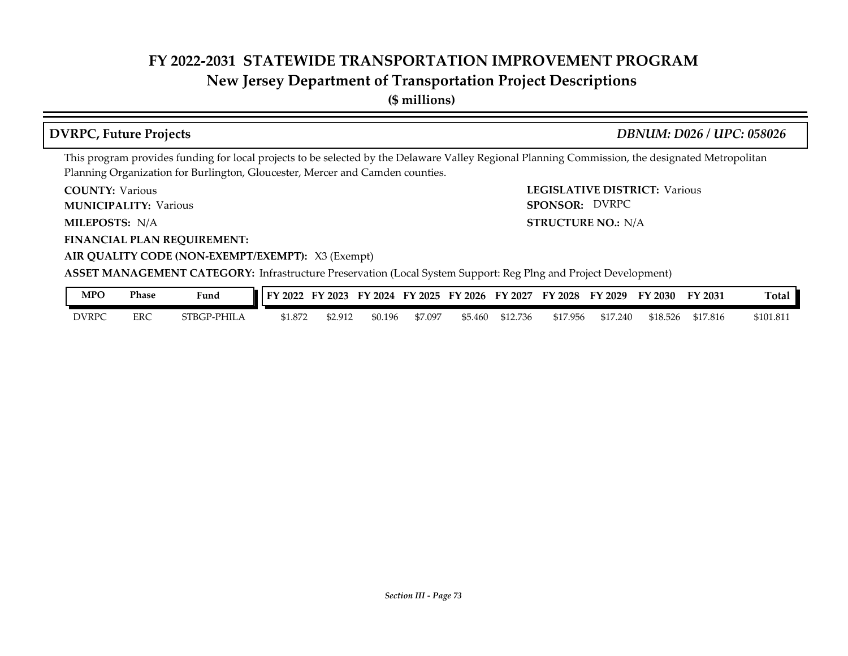### **New Jersey Department of Transportation Project Descriptions**

**(\$ millions)**

### **DVRPC, Future Projects** *DBNUM: D026 / UPC: 058026*

This program provides funding for local projects to be selected by the Delaware Valley Regional Planning Commission, the designated Metropolitan Planning Organization for Burlington, Gloucester, Mercer and Camden counties.

**COUNTY: Various** 

**MUNICIPALITY:** Various **SPONSOR:** 

MILEPOSTS: N/A

**FINANCIAL PLAN REQUIREMENT:**

**COUNTY: LEGISLATIVE DISTRICT:** Various **MILEPOSTS: STRUCTURE NO.:** N/A SPONSOR: DVRPC

### **AIR QUALITY CODE (NON-EXEMPT/EXEMPT):** X3 (Exempt)

**ASSET MANAGEMENT CATEGORY:** Infrastructure Preservation (Local System Support: Reg Plng and Project Development)

| <b>MPC</b>   | Phase | Funa             | 2022    | FY 2023 | FY 2024 | FY 2025 | FY 2026 | FY 2027  | FY 2028  | FY 2029  | FY 2030  | FY 2031  | Ē<br>Total |
|--------------|-------|------------------|---------|---------|---------|---------|---------|----------|----------|----------|----------|----------|------------|
| <b>DVRPC</b> | ERC   | `PHIL.<br>STBGP- | \$1.872 | 52.912  | \$0.196 | 57.097  | \$5.460 | \$12.736 | \$17.956 | \$17.240 | \$18.526 | \$17.816 | \$101.811  |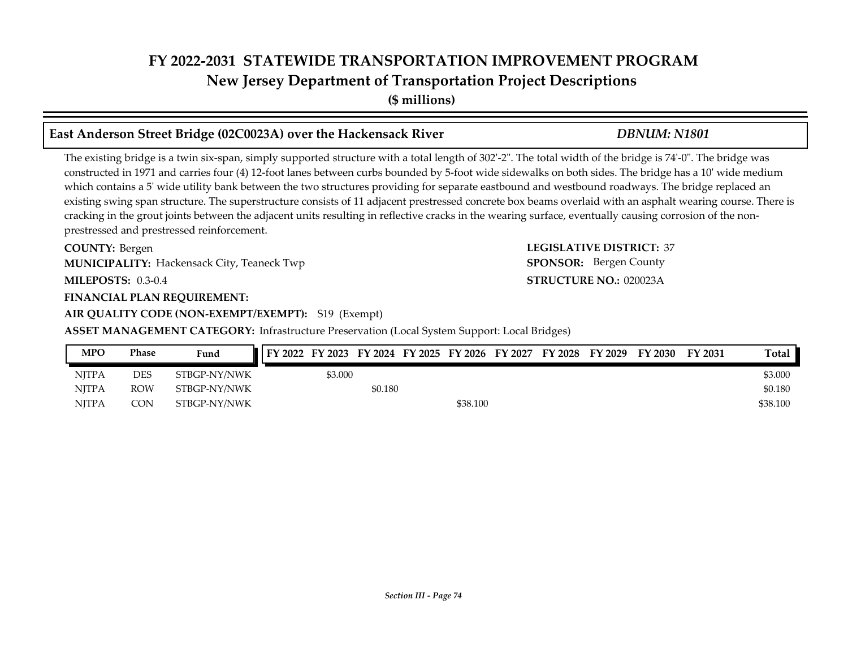### **FY 2022-2031 STATEWIDE TRANSPORTATION IMPROVEMENT PROGRAM New Jersey Department of Transportation Project Descriptions**

**(\$ millions)**

### **East Anderson Street Bridge (02C0023A) over the Hackensack River** *DBNUM: N1801*

The existing bridge is a twin six-span, simply supported structure with a total length of 302'-2". The total width of the bridge is 74'-0". The bridge was constructed in 1971 and carries four (4) 12-foot lanes between curbs bounded by 5-foot wide sidewalks on both sides. The bridge has a 10' wide medium which contains a 5' wide utility bank between the two structures providing for separate eastbound and westbound roadways. The bridge replaced an existing swing span structure. The superstructure consists of 11 adjacent prestressed concrete box beams overlaid with an asphalt wearing course. There is cracking in the grout joints between the adjacent units resulting in reflective cracks in the wearing surface, eventually causing corrosion of the nonprestressed and prestressed reinforcement.

**COUNTY: LEGISLATIVE DISTRICT:** 37 **MILEPOSTS: STRUCTURE NO.:** 0.3-0.4 COUNTY: Bergen **MUNICIPALITY:** Hackensack City, Teaneck Twp **SPONSOR:** 

### **FINANCIAL PLAN REQUIREMENT:**

### **AIR QUALITY CODE (NON-EXEMPT/EXEMPT):** S19 (Exempt)

### **ASSET MANAGEMENT CATEGORY:** Infrastructure Preservation (Local System Support: Local Bridges)

### NJTPA DES STBGP-NY/NWK \$3.000 \$3.000 \$3.000 \$3.000 \$3.000 \$3.000 \$3.000 \$3.000 \$3.000 \$3.000 \$3.000 \$3.000 \$3.000 \$3.000 \$3.000 \$3.000 \$3.000 \$3.000 \$3.000 \$3.000 \$3.000 \$3.000 \$3.000 \$3.000 \$3.000 \$3.000 \$3.000 \$3.000 \$3. NJTPA ROW STBGP-NY/NWK \$0.180 \$0.180 NJTPA CON STBGP-NY/NWK \$38.100 \$38.100 \$38.100 **MPO Phase Fund FY 2022 FY 2023 FY 2024 FY 2025 FY 2026 FY 2027 FY 2028 FY 2029 FY 2030 FY 2031 Total**

**STRUCTURE NO.: 020023A SPONSOR:** Bergen County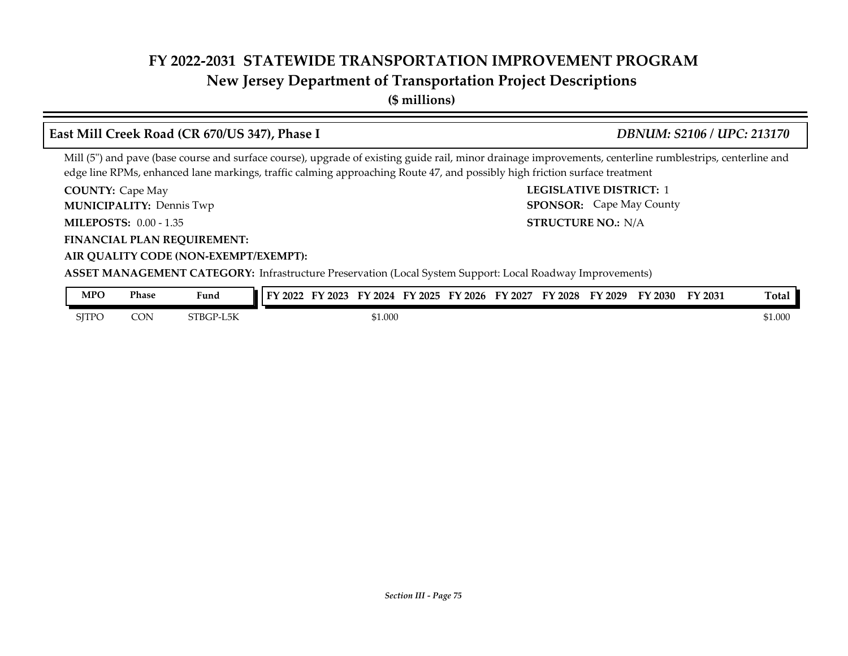### **New Jersey Department of Transportation Project Descriptions**

**(\$ millions)**

### **COUNTY:** Cape May **COUNTY:** Cape May **COUNTY:** 2 **MILEPOSTS: STRUCTURE NO.:** 0.00 - 1.35 **FINANCIAL PLAN REQUIREMENT: AIR QUALITY CODE (NON-EXEMPT/EXEMPT): COUNTY: Cape May MUNICIPALITY:** Dennis Twp **SPONSOR: STRUCTURE NO.: N/A ASSET MANAGEMENT CATEGORY:** Infrastructure Preservation (Local System Support: Local Roadway Improvements) Mill (5") and pave (base course and surface course), upgrade of existing guide rail, minor drainage improvements, centerline rumblestrips, centerline and edge line RPMs, enhanced lane markings, traffic calming approaching Route 47, and possibly high friction surface treatment **East Mill Creek Road (CR 670/US 347), Phase I** *DBNUM: S2106 / UPC: 213170* **SPONSOR:** Cape May County **MPO Phase Fund FY 2022 FY 2023 FY 2024 FY 2025 FY 2026 FY 2027 FY 2028 FY 2029 FY 2030 FY 2031 Total**

| MFU   | rnase | Fund            | TEY 2022<br>2023<br>2024.<br><b>LV</b><br>2025<br>.<br><b>2026</b><br>. .<br>2027<br>. .<br>2028<br><b>HY</b><br>-2029<br>- -<br>2030<br>.<br>-2031 | l otal  |
|-------|-------|-----------------|-----------------------------------------------------------------------------------------------------------------------------------------------------|---------|
| SITPC | CON   | <b>TBGP-L5K</b> | \$1.000                                                                                                                                             | \$1.000 |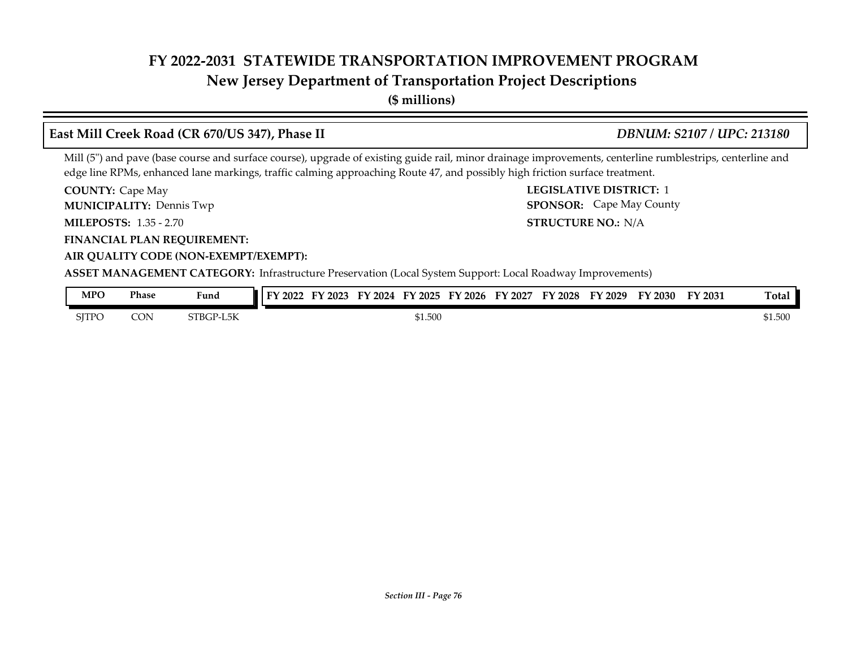### **New Jersey Department of Transportation Project Descriptions**

**(\$ millions)**

### **COUNTY:** Cape May **COUNTY:** Cape May **COUNTY:** 2 **MILEPOSTS: STRUCTURE NO.:** 1.35 - 2.70 **FINANCIAL PLAN REQUIREMENT: AIR QUALITY CODE (NON-EXEMPT/EXEMPT): COUNTY: Cape May MUNICIPALITY:** Dennis Twp **SPONSOR: STRUCTURE NO.: N/A ASSET MANAGEMENT CATEGORY:** Infrastructure Preservation (Local System Support: Local Roadway Improvements) Mill (5") and pave (base course and surface course), upgrade of existing guide rail, minor drainage improvements, centerline rumblestrips, centerline and edge line RPMs, enhanced lane markings, traffic calming approaching Route 47, and possibly high friction surface treatment. **East Mill Creek Road (CR 670/US 347), Phase II** *DBNUM: S2107 / UPC: 213180* **SPONSOR:** Cape May County **MPO Phase Fund FY 2022 FY 2023 FY 2024 FY 2025 FY 2026 FY 2027 FY 2028 FY 2029 FY 2030 FY 2031 Total**

| <b>NIT U</b> | r nase | runa      | $\blacksquare$ I F I 2022<br>2023 - | FIZUZ <del>I</del> FIZUZO | FI 2020<br>F I 2027 | II ZUZO | F I 2029 | .<br>2030 L | FI 2031 | ı otal  |
|--------------|--------|-----------|-------------------------------------|---------------------------|---------------------|---------|----------|-------------|---------|---------|
| SITPO        | CON    | STBGP-L5K |                                     | \$1.500                   |                     |         |          |             |         | \$1.500 |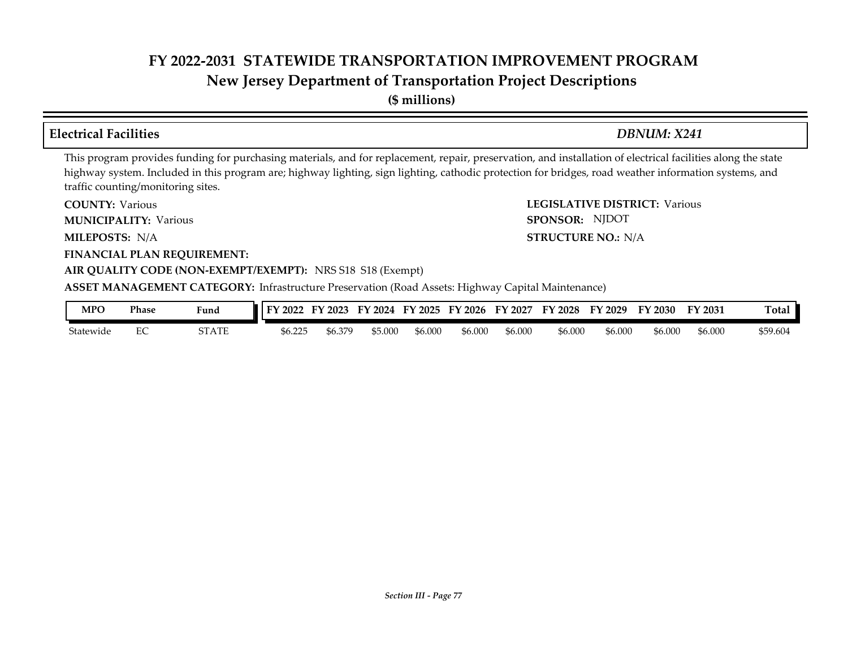### **FY 2022-2031 STATEWIDE TRANSPORTATION IMPROVEMENT PROGRAM New Jersey Department of Transportation Project Descriptions**

**(\$ millions)**

### **Electrical Facilities** *DBNUM: X241*

**STRUCTURE NO.: N/A** 

SPONSOR: NJDOT

This program provides funding for purchasing materials, and for replacement, repair, preservation, and installation of electrical facilities along the state highway system. Included in this program are; highway lighting, sign lighting, cathodic protection for bridges, road weather information systems, and traffic counting/monitoring sites.

**COUNTY: LEGISLATIVE DISTRICT:** Various **COUNTY: Various** 

**MUNICIPALITY:** Various **SPONSOR:** 

**MILEPOSTS: STRUCTURE NO.:** N/A

**FINANCIAL PLAN REQUIREMENT:**

### **AIR QUALITY CODE (NON-EXEMPT/EXEMPT):** NRS S18 S18 (Exempt)

**ASSET MANAGEMENT CATEGORY:** Infrastructure Preservation (Road Assets: Highway Capital Maintenance)

| MPO       | <b>Phase</b> | Fund              | 2022<br>гν                                  | 2023<br>н,   | FV<br>2024 | Еν<br>12025 | $\degree$ 2026 | EY<br>2027 | $\mathbf{L}$<br>2028 | FV<br>2029 | ГV<br>$\sqrt{2030}$ | FY 2031 | —<br>otal: |
|-----------|--------------|-------------------|---------------------------------------------|--------------|------------|-------------|----------------|------------|----------------------|------------|---------------------|---------|------------|
| Statewide | ∽∟           | 70 A.D.P<br>SIAIE | つつら<br>₼╭<br>--<br>$\cup$ . $\cup$ . $\cup$ | 270<br>56.37 | \$5.000    | \$6.00C     | \$6.000        | \$6.000    | \$6.000              | \$6.000    | \$6.000             | \$6.000 | \$59.604   |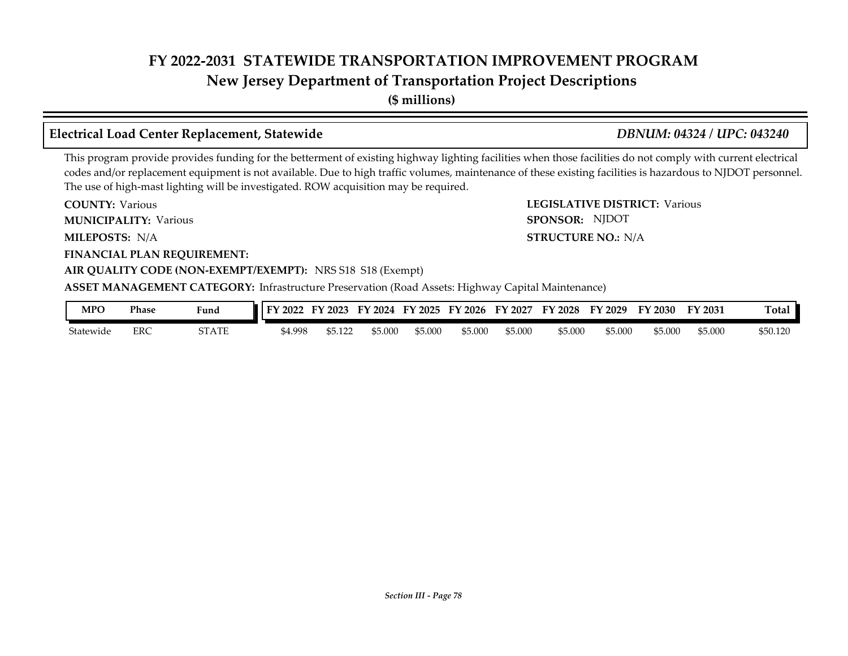**New Jersey Department of Transportation Project Descriptions**

**(\$ millions)**

### **Electrical Load Center Replacement, Statewide** *DBNUM: 04324 / UPC: 043240*

SPONSOR: NJDOT

This program provide provides funding for the betterment of existing highway lighting facilities when those facilities do not comply with current electrical codes and/or replacement equipment is not available. Due to high traffic volumes, maintenance of these existing facilities is hazardous to NJDOT personnel. The use of high-mast lighting will be investigated. ROW acquisition may be required.

**COUNTY: LEGISLATIVE DISTRICT:** Various **COUNTY: Various** 

**MUNICIPALITY:** Various **SPONSOR:** 

**MILEPOSTS: STRUCTURE NO.:** N/A MILEPOSTS: N/A

**FINANCIAL PLAN REQUIREMENT:**

### **AIR QUALITY CODE (NON-EXEMPT/EXEMPT):** NRS S18 S18 (Exempt)

**ASSET MANAGEMENT CATEGORY:** Infrastructure Preservation (Road Assets: Highway Capital Maintenance)

| MPO       | Phase | Fund  | 2022<br>EV. | --<br>$'$ 2023 | 2024<br>FY | FY 2025 | $^{\prime}$ 2026<br>FY | FY 2027 | FY 2028 | FY 2029 | FY 2030 | FY 2031 | otal     |
|-----------|-------|-------|-------------|----------------|------------|---------|------------------------|---------|---------|---------|---------|---------|----------|
| Statewide | ERC   | STATE | \$4.998     | \$5.122        | \$5.000    | \$5.000 | \$5.000                | \$5.000 | \$5.000 | \$5.000 | 55.000  | \$5.000 | \$50.120 |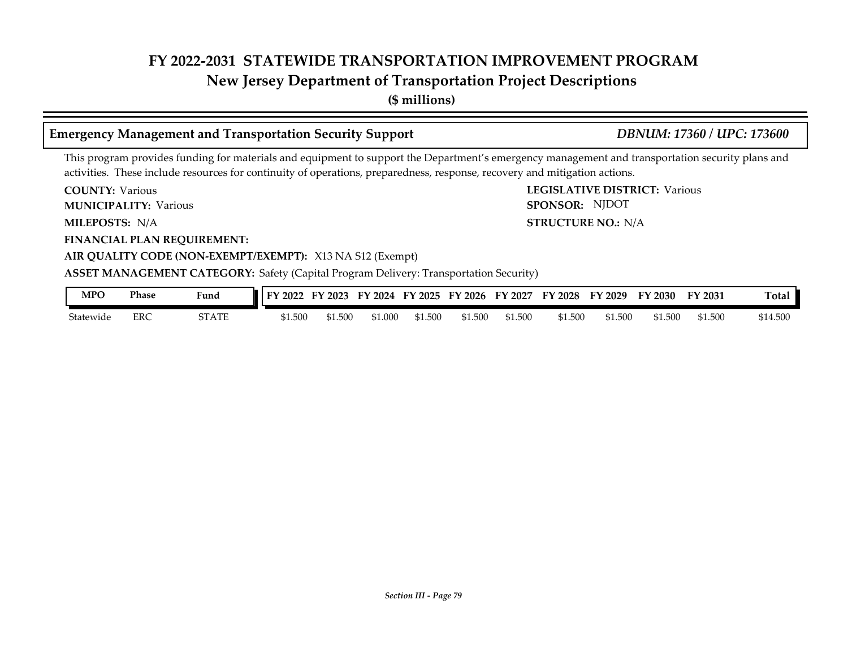### **New Jersey Department of Transportation Project Descriptions**

**(\$ millions)**

### **Emergency Management and Transportation Security Support** *DBNUM: 17360 / UPC: 173600*

SPONSOR: NJDOT

This program provides funding for materials and equipment to support the Department's emergency management and transportation security plans and activities. These include resources for continuity of operations, preparedness, response, recovery and mitigation actions.

**COUNTY: LEGISLATIVE DISTRICT:** Various **COUNTY: Various** 

**MUNICIPALITY:** Various **SPONSOR:** 

**MILEPOSTS: STRUCTURE NO.:** N/A MILEPOSTS: N/A

**FINANCIAL PLAN REQUIREMENT:**

**AIR QUALITY CODE (NON-EXEMPT/EXEMPT):** X13 NA S12 (Exempt)

### **ASSET MANAGEMENT CATEGORY:** Safety (Capital Program Delivery: Transportation Security)

| MPO       | Phase      | Fund  | FY 2022 | $\frac{1}{2023}$<br>HY | FY 2024 | FY 2025 | FY 2026 | FY 2027 | <b>FY 2028</b> | FY 2029 | FY 2030 | FY 2031 | Ē<br>l otal |
|-----------|------------|-------|---------|------------------------|---------|---------|---------|---------|----------------|---------|---------|---------|-------------|
| Statewide | <b>ERC</b> | STATE | \$1.500 | 51.500                 | \$1.000 | 61.500  | \$1.500 | \$1.500 | \$1.500        | \$1.500 | \$1.500 | \$1.500 | \$14.500    |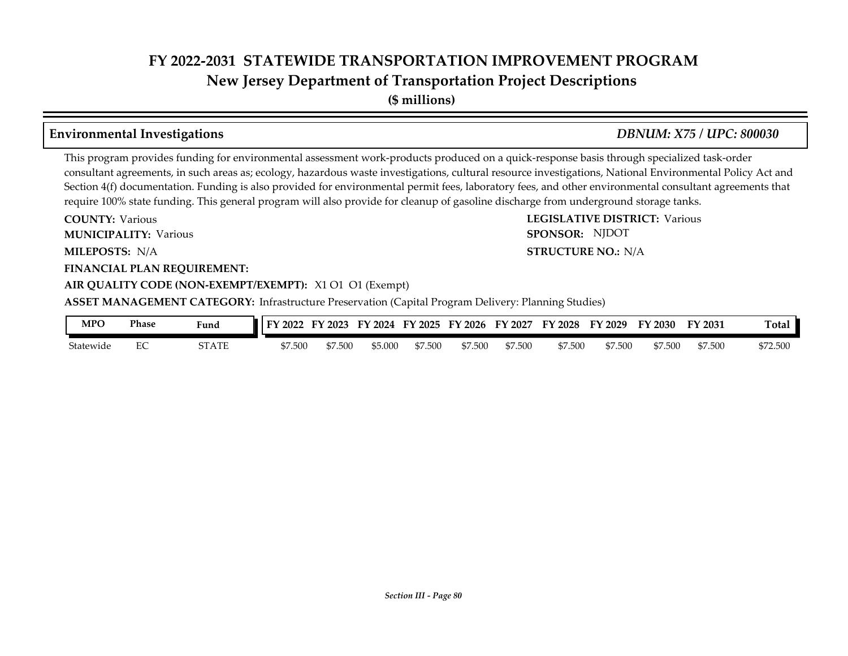**New Jersey Department of Transportation Project Descriptions**

**(\$ millions)**

### **Environmental Investigations** *DBNUM: X75 / UPC: 800030*

This program provides funding for environmental assessment work-products produced on a quick-response basis through specialized task-order consultant agreements, in such areas as; ecology, hazardous waste investigations, cultural resource investigations, National Environmental Policy Act and Section 4(f) documentation. Funding is also provided for environmental permit fees, laboratory fees, and other environmental consultant agreements that require 100% state funding. This general program will also provide for cleanup of gasoline discharge from underground storage tanks.

**COUNTY: LEGISLATIVE DISTRICT:** Various **MILEPOSTS: STRUCTURE NO.:** N/A **FINANCIAL PLAN REQUIREMENT: AIR QUALITY CODE (NON-EXEMPT/EXEMPT):** X1 O1 O1 (Exempt) **COUNTY: Various MUNICIPALITY:** Various **SPONSOR:** MILEPOSTS: N/A **ASSET MANAGEMENT CATEGORY:** Infrastructure Preservation (Capital Program Delivery: Planning Studies) SPONSOR: NJDOT

| MPO       | Phase | Fund  | FY 2022 | $'$ 2023<br>FУ. | FY 2024 | FY 2025 | FY 2026 | FY 2027 | FY 2028 | FY 2029 | FY 2030 | FY 2031 | <b>Total</b> |
|-----------|-------|-------|---------|-----------------|---------|---------|---------|---------|---------|---------|---------|---------|--------------|
| Statewide | ∽     | STATE | \$7.500 | \$7.500         | \$5.000 | \$7.500 | \$7.500 | \$7.500 | \$7.500 | \$7.500 | \$7.500 | \$7.500 | \$72.500     |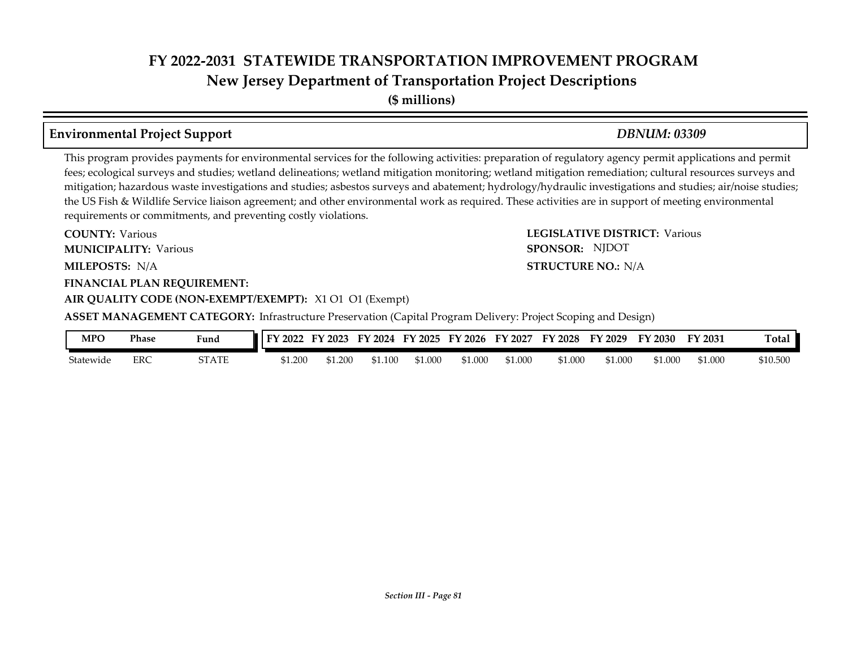### **FY 2022-2031 STATEWIDE TRANSPORTATION IMPROVEMENT PROGRAM New Jersey Department of Transportation Project Descriptions**

**(\$ millions)**

### **Environmental Project Support** *DBNUM: 03309*

This program provides payments for environmental services for the following activities: preparation of regulatory agency permit applications and permit fees; ecological surveys and studies; wetland delineations; wetland mitigation monitoring; wetland mitigation remediation; cultural resources surveys and mitigation; hazardous waste investigations and studies; asbestos surveys and abatement; hydrology/hydraulic investigations and studies; air/noise studies; the US Fish & Wildlife Service liaison agreement; and other environmental work as required. These activities are in support of meeting environmental requirements or commitments, and preventing costly violations.

**MILEPOSTS: STRUCTURE NO.:** N/A **FINANCIAL PLAN REQUIREMENT: AIR QUALITY CODE (NON-EXEMPT/EXEMPT):** X1 O1 O1 (Exempt) **COUNTY: Various MUNICIPALITY:** Various **SPONSOR:** MILEPOSTS: N/A

**COUNTY: LEGISLATIVE DISTRICT:** Various SPONSOR: NJDOT

**ASSET MANAGEMENT CATEGORY:** Infrastructure Preservation (Capital Program Delivery: Project Scoping and Design)

| MPO       | Phase | Fund  | <b>FY</b><br>2022 | 2023    | $\mathbf{F}\mathbf{V}$<br>2024 | FV<br>2025 | FY 2026 | 12027<br>FV | FY<br>2028 | $\cdot$ 2029<br>ГV | FY 2030 | FY 2031 | <b>Total</b> |
|-----------|-------|-------|-------------------|---------|--------------------------------|------------|---------|-------------|------------|--------------------|---------|---------|--------------|
| Statewide | ERC   | STATE | 1.200م            | \$1.200 | \$1.100                        | \$1.000    | 51.000  | 1.000م      | \$1.000    | ,1.000             | \$1.000 | 51.000  | \$10.500     |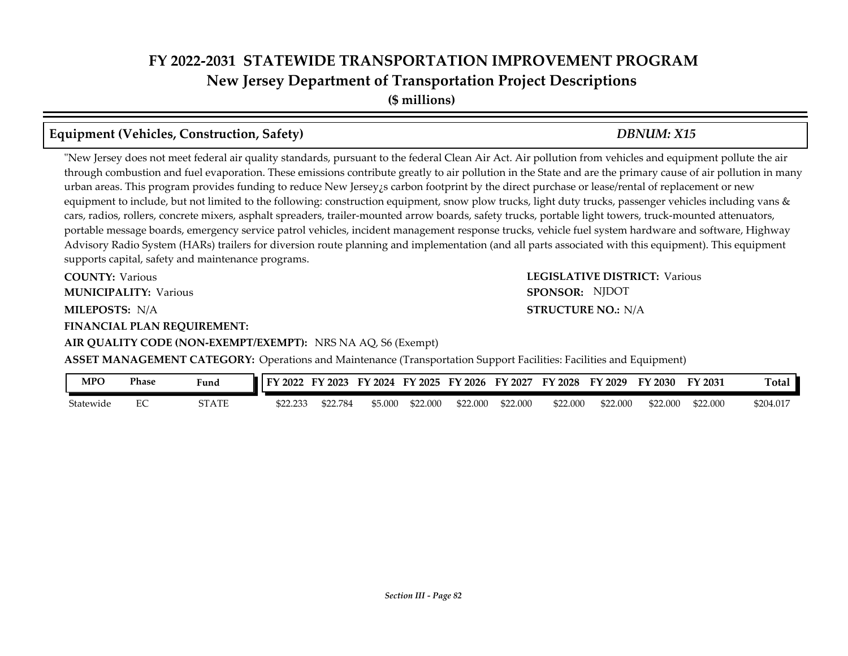# **FY 2022-2031 STATEWIDE TRANSPORTATION IMPROVEMENT PROGRAM New Jersey Department of Transportation Project Descriptions**

**(\$ millions)**

### **Equipment (Vehicles, Construction, Safety)** *DBNUM: X15*

"New Jersey does not meet federal air quality standards, pursuant to the federal Clean Air Act. Air pollution from vehicles and equipment pollute the air through combustion and fuel evaporation. These emissions contribute greatly to air pollution in the State and are the primary cause of air pollution in many urban areas. This program provides funding to reduce New Jersey is carbon footprint by the direct purchase or lease/rental of replacement or new equipment to include, but not limited to the following: construction equipment, snow plow trucks, light duty trucks, passenger vehicles including vans & cars, radios, rollers, concrete mixers, asphalt spreaders, trailer-mounted arrow boards, safety trucks, portable light towers, truck-mounted attenuators, portable message boards, emergency service patrol vehicles, incident management response trucks, vehicle fuel system hardware and software, Highway Advisory Radio System (HARs) trailers for diversion route planning and implementation (and all parts associated with this equipment). This equipment supports capital, safety and maintenance programs.

**COUNTY: Various MUNICIPALITY:** Various **SPONSOR:** 

**FINANCIAL PLAN REQUIREMENT:**

**AIR QUALITY CODE (NON-EXEMPT/EXEMPT):** NRS NA AQ, S6 (Exempt)

**COUNTY: LEGISLATIVE DISTRICT:** Various **MILEPOSTS: STRUCTURE NO.:** N/A **STRUCTURE NO.: N/A** SPONSOR: NJDOT

**ASSET MANAGEMENT CATEGORY:** Operations and Maintenance (Transportation Support Facilities: Facilities and Equipment)

| <b>MPC</b> | Phase | Fund  | ' FY<br>2022      | 2023   | 2024  | EY<br>2025 | FY 2026  | ' 2027<br>- FY | FY<br>2028 | FY 2029  | FV<br>2030 | FY 2031  | Total     |
|------------|-------|-------|-------------------|--------|-------|------------|----------|----------------|------------|----------|------------|----------|-----------|
| Statewide  | ЕC    | STATE | \$22.233<br>22.ZV | 72 784 | 5.000 | \$22.000   | \$22.000 | \$22,000       | \$22,000   | \$22,000 | \$22.000   | \$22.000 | \$204.017 |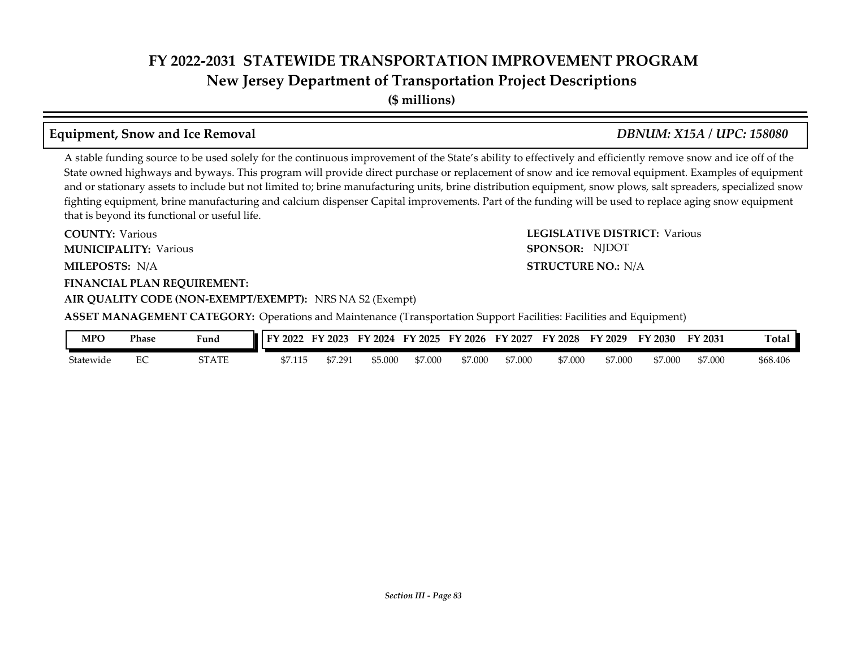**New Jersey Department of Transportation Project Descriptions**

### **Equipment, Snow and Ice Removal** *DBNUM: X15A / UPC: 158080*

A stable funding source to be used solely for the continuous improvement of the State's ability to effectively and efficiently remove snow and ice off of the State owned highways and byways. This program will provide direct purchase or replacement of snow and ice removal equipment. Examples of equipment and or stationary assets to include but not limited to; brine manufacturing units, brine distribution equipment, snow plows, salt spreaders, specialized snow fighting equipment, brine manufacturing and calcium dispenser Capital improvements. Part of the funding will be used to replace aging snow equipment that is beyond its functional or useful life.

**COUNTY: LEGISLATIVE DISTRICT:** Various **MILEPOSTS: STRUCTURE NO.:** N/A **FINANCIAL PLAN REQUIREMENT: AIR QUALITY CODE (NON-EXEMPT/EXEMPT):** NRS NA S2 (Exempt) **COUNTY: Various MUNICIPALITY:** Various **SPONSOR:** MILEPOSTS: N/A

SPONSOR: NJDOT

**ASSET MANAGEMENT CATEGORY:** Operations and Maintenance (Transportation Support Facilities: Facilities and Equipment)

| MPO       | Phase | Fund         | I FY 2022 | FY 2023 | 2024<br>FУ | FY 2025 | FY 2026 | FY 2027 | <b>FY 2028</b> | FY 2029 | FY 2030 | FY 2031 | <b>Total</b> |
|-----------|-------|--------------|-----------|---------|------------|---------|---------|---------|----------------|---------|---------|---------|--------------|
| Statewide | ∽     | <b>STATE</b> | \$7.115   | 7.291   | \$5.000    | \$7.000 | \$7.000 | \$7.000 | \$7.000        | \$7.000 | \$7.000 | \$7.000 | \$68.406     |

# **(\$ millions)**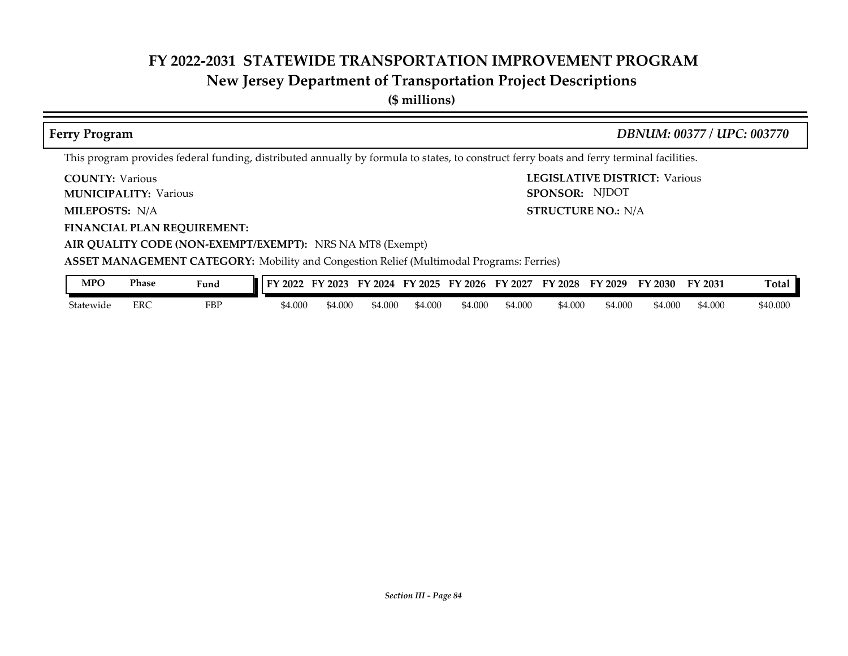## **New Jersey Department of Transportation Project Descriptions**

**(\$ millions)**

| <b>Ferry Program</b>                                                                            |                               | DBNUM: 00377 / UPC: 003770                                                                                                                |
|-------------------------------------------------------------------------------------------------|-------------------------------|-------------------------------------------------------------------------------------------------------------------------------------------|
|                                                                                                 |                               | This program provides federal funding, distributed annually by formula to states, to construct ferry boats and ferry terminal facilities. |
| <b>COUNTY: Various</b><br><b>MUNICIPALITY: Various</b>                                          |                               | <b>LEGISLATIVE DISTRICT: Various</b><br>SPONSOR: NJDOT                                                                                    |
| <b>MILEPOSTS: N/A</b>                                                                           |                               | <b>STRUCTURE NO.: N/A</b>                                                                                                                 |
| <b>FINANCIAL PLAN REQUIREMENT:</b>                                                              |                               |                                                                                                                                           |
| AIR QUALITY CODE (NON-EXEMPT/EXEMPT): NRS NA MT8 (Exempt)                                       |                               |                                                                                                                                           |
| <b>ASSET MANAGEMENT CATEGORY:</b> Mobility and Congestion Relief (Multimodal Programs: Ferries) |                               |                                                                                                                                           |
| <b>MPO</b><br><b>Phase</b><br>Fund                                                              |                               | FY 2022 FY 2023 FY 2024 FY 2025 FY 2026 FY 2027 FY 2028 FY 2029 FY 2030<br>Total<br>FY 2031                                               |
| <b>FBP</b><br>Statewide<br><b>ERC</b>                                                           | \$4.000<br>\$4.000<br>\$4.000 | \$4.000<br>\$4.000<br>\$4.000<br>\$4.000<br>\$40,000<br>\$4.000<br>\$4.000<br>\$4.000                                                     |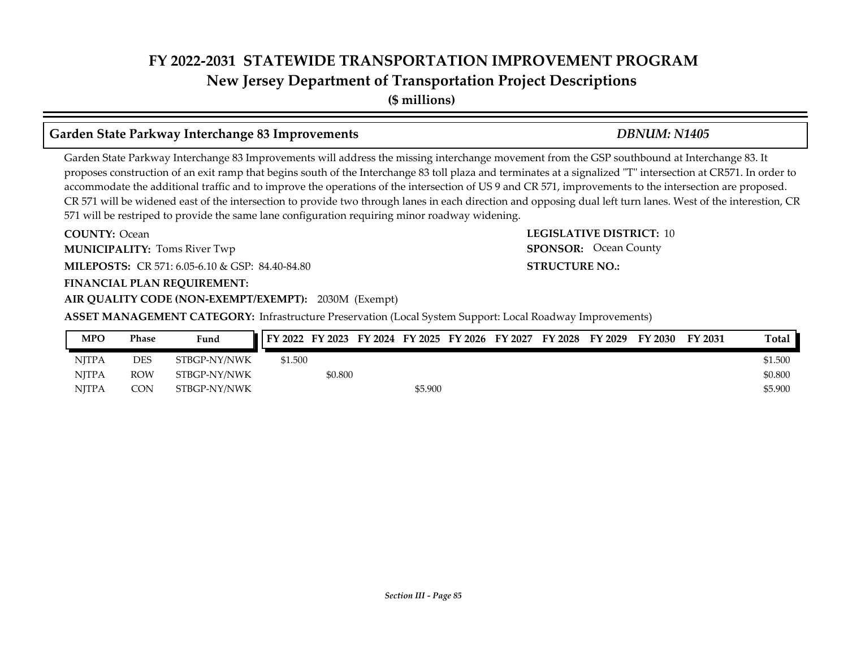**New Jersey Department of Transportation Project Descriptions**

**(\$ millions)**

### **Garden State Parkway Interchange 83 Improvements** *DBNUM: N1405*

Garden State Parkway Interchange 83 Improvements will address the missing interchange movement from the GSP southbound at Interchange 83. It proposes construction of an exit ramp that begins south of the Interchange 83 toll plaza and terminates at a signalized "T" intersection at CR571. In order to accommodate the additional traffic and to improve the operations of the intersection of US 9 and CR 571, improvements to the intersection are proposed. CR 571 will be widened east of the intersection to provide two through lanes in each direction and opposing dual left turn lanes. West of the interestion, CR 571 will be restriped to provide the same lane configuration requiring minor roadway widening.

**COUNTY:** Ocean **LEGISLATIVE DISTRICT:** 10 **MILEPOSTS:** CR 571: 6.05-6.10 & GSP: 84.40-84.80 **STRUCTURE NO.: STRUCTURE NO.: FINANCIAL PLAN REQUIREMENT: AIR QUALITY CODE (NON-EXEMPT/EXEMPT):** 2030M (Exempt) **COUNTY: Ocean MUNICIPALITY:** Toms River Twp **SPONSOR:** 

**ASSET MANAGEMENT CATEGORY:** Infrastructure Preservation (Local System Support: Local Roadway Improvements)

| <b>MPO</b>   | Phase      | Fund         | FY 2022 FY 2023 FY 2024 FY 2025 FY 2026 FY 2027 FY 2028 FY 2029 FY 2030 |         |         |  |  | FY 2031 | Total.  |
|--------------|------------|--------------|-------------------------------------------------------------------------|---------|---------|--|--|---------|---------|
| <b>NITPA</b> | DES        | STBGP-NY/NWK | \$1.500                                                                 |         |         |  |  |         | \$1.500 |
| <b>NITPA</b> | <b>ROW</b> | STBGP-NY/NWK |                                                                         | \$0.800 |         |  |  |         | \$0.800 |
| <b>NITPA</b> | CON        | STBGP-NY/NWK |                                                                         |         | \$5.900 |  |  |         | \$5.900 |

SPONSOR: Ocean County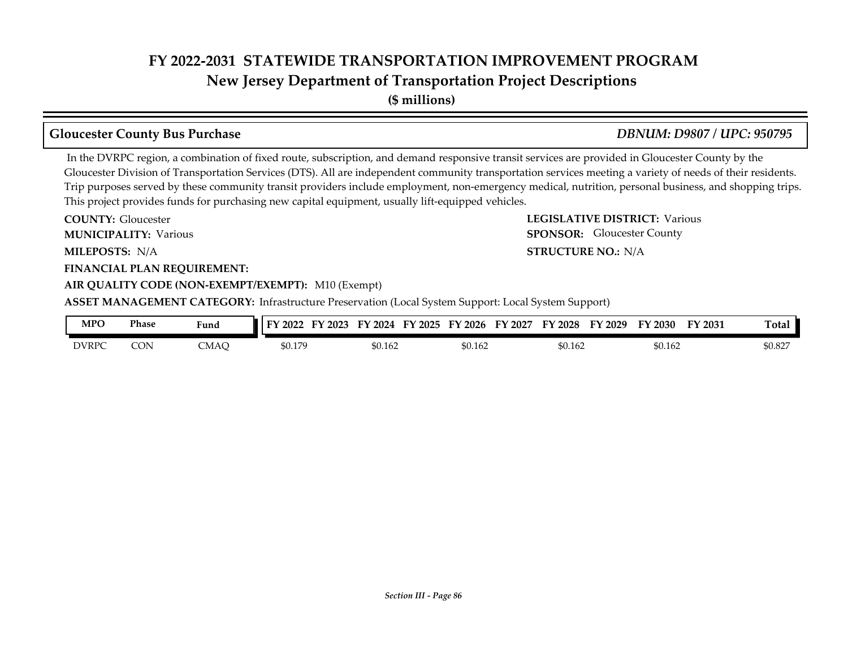**New Jersey Department of Transportation Project Descriptions**

**(\$ millions)**

### **Gloucester County Bus Purchase** *DBNUM: D9807 / UPC: 950795*

 In the DVRPC region, a combination of fixed route, subscription, and demand responsive transit services are provided in Gloucester County by the Gloucester Division of Transportation Services (DTS). All are independent community transportation services meeting a variety of needs of their residents. Trip purposes served by these community transit providers include employment, non-emergency medical, nutrition, personal business, and shopping trips. This project provides funds for purchasing new capital equipment, usually lift-equipped vehicles.

**COUNTY: LEGISLATIVE DISTRICT:** Various **MILEPOSTS: STRUCTURE NO.:** N/A **FINANCIAL PLAN REQUIREMENT: AIR QUALITY CODE (NON-EXEMPT/EXEMPT):** M10 (Exempt) **COUNTY: Gloucester MUNICIPALITY:** Various **SPONSOR:** MILEPOSTS: N/A **ASSET MANAGEMENT CATEGORY:** Infrastructure Preservation (Local System Support: Local System Support) SPONSOR: Gloucester County

| MPO          | Phase | Fund | 2022              | 2023 | 2024<br>र∵∙   | $\cdot$ 2025 | FY 2026 | ЕV<br>2027 | −<br>$^{\prime}$ 2028<br>$\cdots$ | FY 2029 | FY 2030 | <sup>T</sup> Y 2031 | <b>Total</b> |
|--------------|-------|------|-------------------|------|---------------|--------------|---------|------------|-----------------------------------|---------|---------|---------------------|--------------|
| <b>DVRPC</b> | CON   | CMAC | \$0.179<br>ψυ. 17 |      | 60.162<br>ሓ љ |              | \$0.162 |            | 60.162<br>¢Λ                      |         | \$0.162 |                     | \$0.827      |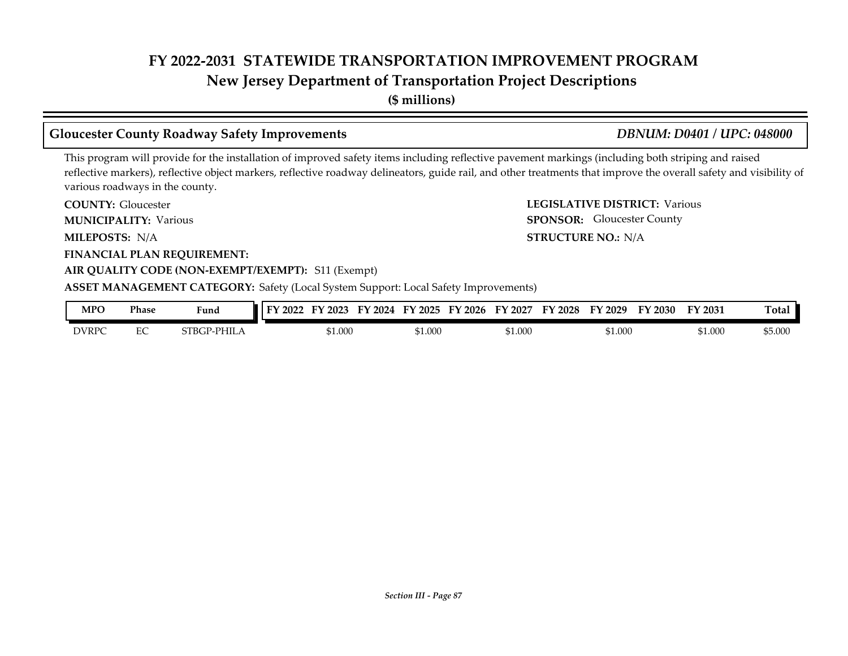### **New Jersey Department of Transportation Project Descriptions**

**(\$ millions)**

### **Gloucester County Roadway Safety Improvements** *DBNUM: D0401 / UPC: 048000*

SPONSOR: Gloucester County

This program will provide for the installation of improved safety items including reflective pavement markings (including both striping and raised reflective markers), reflective object markers, reflective roadway delineators, guide rail, and other treatments that improve the overall safety and visibility of various roadways in the county.

**COUNTY: LEGISLATIVE DISTRICT:** Various **COUNTY: Gloucester** 

**MUNICIPALITY:** Various **SPONSOR:** 

**MILEPOSTS: STRUCTURE NO.:** N/A MILEPOSTS: N/A

**FINANCIAL PLAN REQUIREMENT:**

### **AIR QUALITY CODE (NON-EXEMPT/EXEMPT):** S11 (Exempt)

**ASSET MANAGEMENT CATEGORY:** Safety (Local System Support: Local Safety Improvements)

| <b>MPO</b>   | Phase   | Fund                          | 2022 | --<br>2023 | 2024<br>'N. | тv<br>2025 | $\cdot$ 2026<br>ЕV | 2027<br>FY | ПV<br>2028 | ТV<br>2029 | FY 2030 | <b>FY 2031</b> | m<br>『otal       |
|--------------|---------|-------------------------------|------|------------|-------------|------------|--------------------|------------|------------|------------|---------|----------------|------------------|
| <b>DVRPC</b> | пc<br>◡ | $PHIL_1$<br>STRCP.<br>21 DU 1 |      | \$1.000    |             | ,1.000     |                    | \$1.000    |            | \$1.000    |         | \$1.000        | ታፎ ሰሰሰ<br>PO OUU |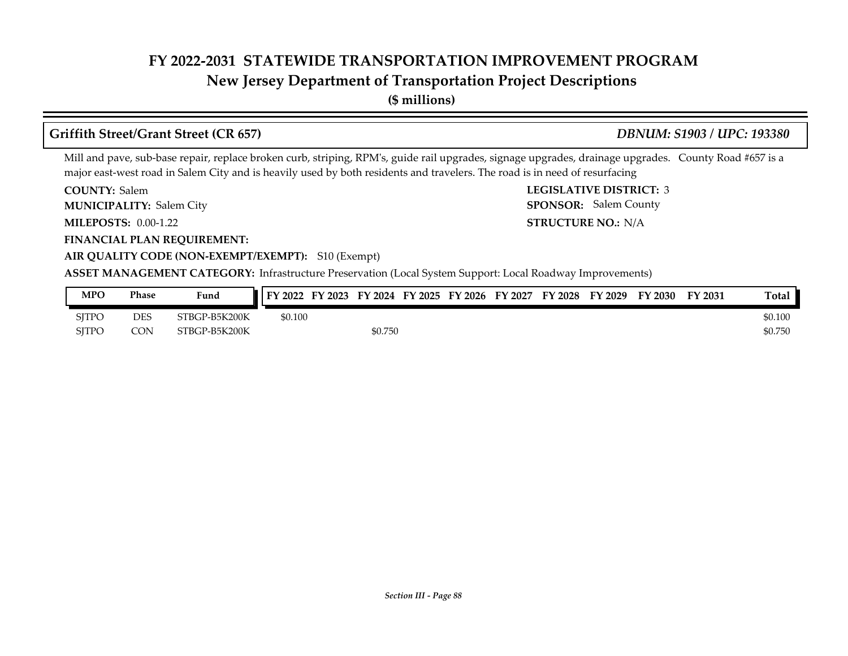### **New Jersey Department of Transportation Project Descriptions**

**(\$ millions)**

### **Griffith Street/Grant Street (CR 657)** *DBNUM: S1903 / UPC: 193380*

Mill and pave, sub-base repair, replace broken curb, striping, RPM's, guide rail upgrades, signage upgrades, drainage upgrades. County Road #657 is a major east-west road in Salem City and is heavily used by both residents and travelers. The road is in need of resurfacing

**COUNTY: LEGISLATIVE DISTRICT:** 3 COUNTY: Salem

**MUNICIPALITY:** Salem City **SPONSOR:** 

**MILEPOSTS: STRUCTURE NO.:** 0.00-1.22

**FINANCIAL PLAN REQUIREMENT:**

STRUCTURE NO.: N/A SPONSOR: Salem County

### **AIR QUALITY CODE (NON-EXEMPT/EXEMPT):** S10 (Exempt)

**ASSET MANAGEMENT CATEGORY:** Infrastructure Preservation (Local System Support: Local Roadway Improvements)

| MPO          | Phase      | Fund          | FY 2022 | FY 2023 | FY 2024 | FY 2025 | FY 2026 | FY 2027 | FY 2028 | FY 2029 | FY 2030 | FY 2031 | <b>Total</b> |
|--------------|------------|---------------|---------|---------|---------|---------|---------|---------|---------|---------|---------|---------|--------------|
| <b>SJTPO</b> | <b>DES</b> | 3TBGP-B5K200K | \$0.100 |         |         |         |         |         |         |         |         |         | \$0.100      |
| <b>SITPO</b> | CON        | STBGP-B5K200K |         |         | \$0.750 |         |         |         |         |         |         |         | \$0.750      |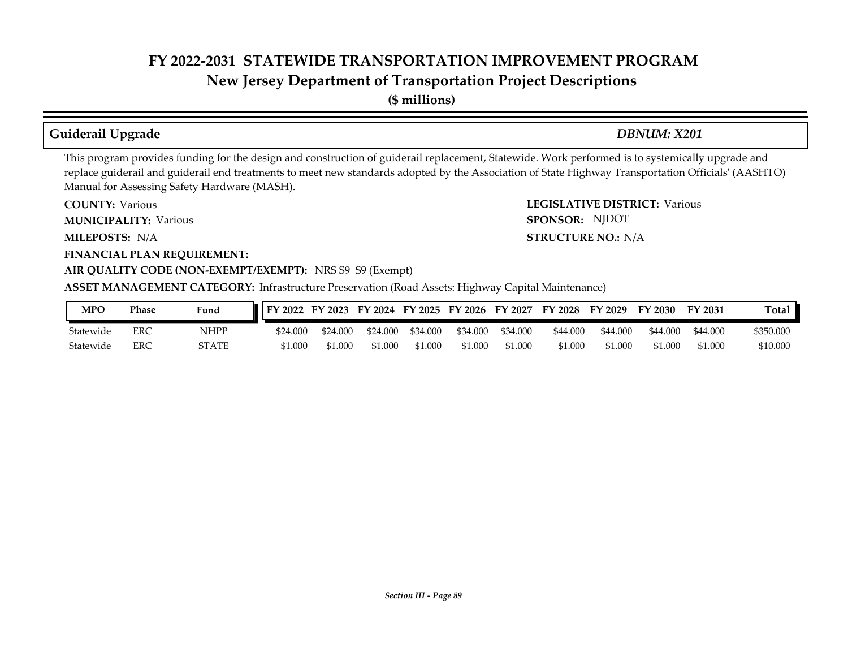**New Jersey Department of Transportation Project Descriptions**

**(\$ millions)**

### **Guiderail Upgrade** *DBNUM: X201*

SPONSOR: NJDOT

This program provides funding for the design and construction of guiderail replacement, Statewide. Work performed is to systemically upgrade and replace guiderail and guiderail end treatments to meet new standards adopted by the Association of State Highway Transportation Officials' (AASHTO) Manual for Assessing Safety Hardware (MASH).

**COUNTY: LEGISLATIVE DISTRICT:** Various **COUNTY: Various** 

**MUNICIPALITY:** Various **SPONSOR:** 

**MILEPOSTS: STRUCTURE NO.:** N/A MILEPOSTS: N/A

**FINANCIAL PLAN REQUIREMENT:**

### **AIR QUALITY CODE (NON-EXEMPT/EXEMPT):** NRS S9 S9 (Exempt)

**ASSET MANAGEMENT CATEGORY:** Infrastructure Preservation (Road Assets: Highway Capital Maintenance)

| MPO       | <b>Phase</b> | Fund         | FY 2022 FY 2023 FY 2024 FY 2025 FY 2026 FY 2027 |          |          |          |          |          | FY 2028  | FY 2029  | FY 2030  | FY 2031  | Total     |
|-----------|--------------|--------------|-------------------------------------------------|----------|----------|----------|----------|----------|----------|----------|----------|----------|-----------|
| Statewide | ERC          | NHPP         | \$24.000                                        | \$24,000 | \$24,000 | \$34.000 | \$34.000 | \$34.000 | \$44.000 | \$44,000 | \$44.000 | \$44.000 | \$350.000 |
| Statewide | ERC          | <b>`TATE</b> | \$1.000                                         | 1.000    | \$1.000  | \$1.000  | \$1.000  | \$1.000  | \$1.000  | \$1.000  | \$1.000  | \$1.000  | \$10.000  |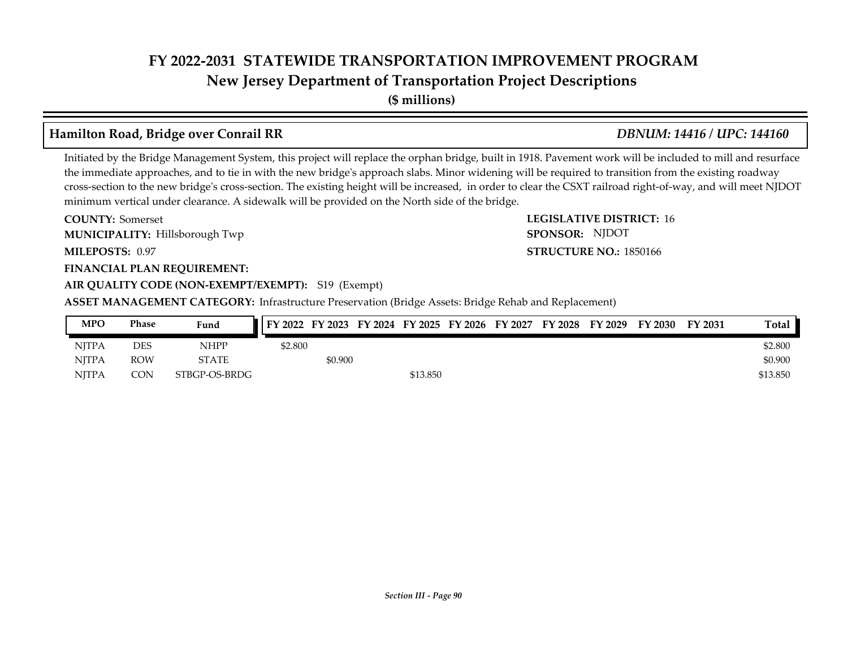**New Jersey Department of Transportation Project Descriptions**

**(\$ millions)**

### **Hamilton Road, Bridge over Conrail RR** *DBNUM: 14416 / UPC: 144160*

Initiated by the Bridge Management System, this project will replace the orphan bridge, built in 1918. Pavement work will be included to mill and resurface the immediate approaches, and to tie in with the new bridge's approach slabs. Minor widening will be required to transition from the existing roadway cross-section to the new bridge's cross-section. The existing height will be increased, in order to clear the CSXT railroad right-of-way, and will meet NJDOT minimum vertical under clearance. A sidewalk will be provided on the North side of the bridge.

**COUNTY:** Somerset **LEGISLATIVE DISTRICT:** 16 **MILEPOSTS: STRUCTURE NO.:** 1850166 **FINANCIAL PLAN REQUIREMENT: AIR QUALITY CODE (NON-EXEMPT/EXEMPT):** S19 (Exempt) **COUNTY: Somerset** Hillsborough Twp **MUNICIPALITY: SPONSOR:** MILEPOSTS: 0.97

**ASSET MANAGEMENT CATEGORY:** Infrastructure Preservation (Bridge Assets: Bridge Rehab and Replacement)

| MPO          | Phase      | Fund          | FY 2022 FY 2023 FY 2024 FY 2025 FY 2026 FY 2027 |         |          |  | FY 2028 | FY 2029 | FY 2030 | FY 2031 | Total    |
|--------------|------------|---------------|-------------------------------------------------|---------|----------|--|---------|---------|---------|---------|----------|
| <b>NITPA</b> | <b>DES</b> | NHPP          | \$2.800                                         |         |          |  |         |         |         |         | \$2.800  |
| <b>NITPA</b> | ROW        | <b>STATE</b>  |                                                 | \$0.900 |          |  |         |         |         |         | \$0.900  |
| <b>NITPA</b> | CON        | STBGP-OS-BRDG |                                                 |         | \$13.850 |  |         |         |         |         | \$13.850 |

# SPONSOR: NJDOT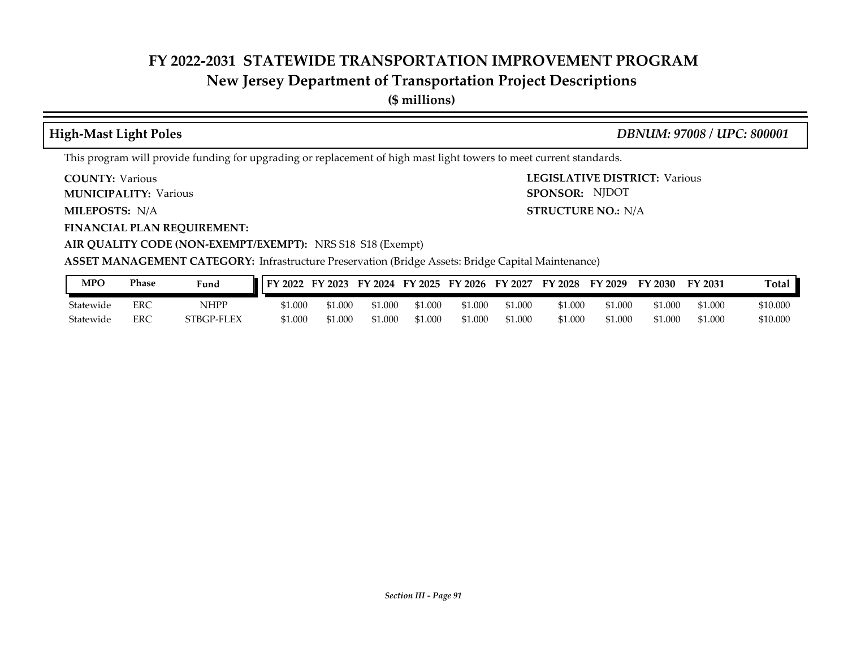### **New Jersey Department of Transportation Project Descriptions**

**(\$ millions)**

**High-Mast Light Poles** *DBNUM: 97008 / UPC: 800001*

**STRUCTURE NO.: N/A** 

SPONSOR: NJDOT

This program will provide funding for upgrading or replacement of high mast light towers to meet current standards.

**COUNTY: LEGISLATIVE DISTRICT:** Various **COUNTY: Various** 

**MUNICIPALITY:** Various **SPONSOR:** 

**MILEPOSTS: STRUCTURE NO.:** N/A

**FINANCIAL PLAN REQUIREMENT:**

**AIR QUALITY CODE (NON-EXEMPT/EXEMPT):** NRS S18 S18 (Exempt)

**ASSET MANAGEMENT CATEGORY:** Infrastructure Preservation (Bridge Assets: Bridge Capital Maintenance)

| <b>MPO</b> | Phase | Fund       | FY 2022 | FY 2023 | FY 2024 | FY 2025 | FY 2026 | FY 2027 | $Y$ 2028 | FY 2029 | TY 2030 | FY 2031 | Total    |
|------------|-------|------------|---------|---------|---------|---------|---------|---------|----------|---------|---------|---------|----------|
| Statewide  | ERC   | NHPP       | \$1.000 | 1.000ء  | 1.000   | 1.000;  | 51.000  | \$1.000 | \$1.000  | \$1.000 | 000.1   | 1.000   | \$10.000 |
| Statewide  | ERC   | STBGP-FLEX | \$1.000 | 51.000  | \$1.000 | 1.000ء  | \$1.000 | \$1.000 | 51.000   | \$1.000 | 000.1   | 0.000   | \$10,000 |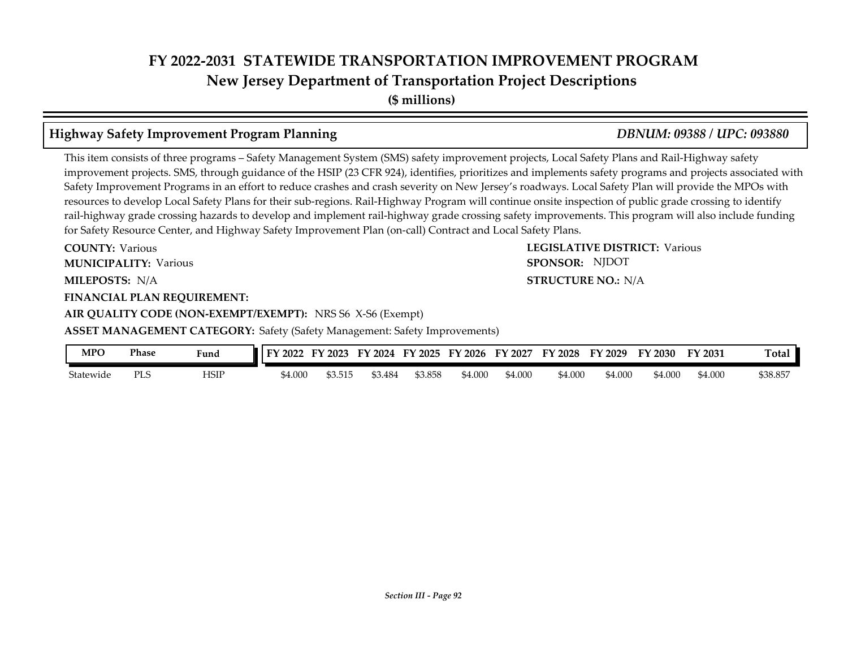### **FY 2022-2031 STATEWIDE TRANSPORTATION IMPROVEMENT PROGRAM New Jersey Department of Transportation Project Descriptions**

**(\$ millions)**

### **Highway Safety Improvement Program Planning** *DBNUM: 09388 / UPC: 093880*

This item consists of three programs – Safety Management System (SMS) safety improvement projects, Local Safety Plans and Rail-Highway safety improvement projects. SMS, through guidance of the HSIP (23 CFR 924), identifies, prioritizes and implements safety programs and projects associated with Safety Improvement Programs in an effort to reduce crashes and crash severity on New Jersey's roadways. Local Safety Plan will provide the MPOs with resources to develop Local Safety Plans for their sub-regions. Rail-Highway Program will continue onsite inspection of public grade crossing to identify rail-highway grade crossing hazards to develop and implement rail-highway grade crossing safety improvements. This program will also include funding for Safety Resource Center, and Highway Safety Improvement Plan (on-call) Contract and Local Safety Plans.

**COUNTY: LEGISLATIVE DISTRICT:** Various **MILEPOSTS: STRUCTURE NO.:** N/A **COUNTY: Various MUNICIPALITY:** Various **SPONSOR:** 

### **FINANCIAL PLAN REQUIREMENT:**

**AIR QUALITY CODE (NON-EXEMPT/EXEMPT):** NRS S6 X-S6 (Exempt)

**ASSET MANAGEMENT CATEGORY:** Safety (Safety Management: Safety Improvements)

| MPO       | Phase      | Fund | тv<br>2022 | 2023   | 2024<br>FY. | FY 2025 | 2026<br>EV | EY<br>$'$ 2027 | FY 2028 | FV<br>2029 | 2030    | FY 2031 | Total    |
|-----------|------------|------|------------|--------|-------------|---------|------------|----------------|---------|------------|---------|---------|----------|
| Statewide | РI<br>ں∟ ∡ | HSIP | \$4.000    | 53.515 | 53.484      | \$3.858 | 54.00C     | \$4.000        | \$4.000 | \$4.000    | \$4.000 | \$4.000 | \$38.857 |

**STRUCTURE NO.: N/A** SPONSOR: NJDOT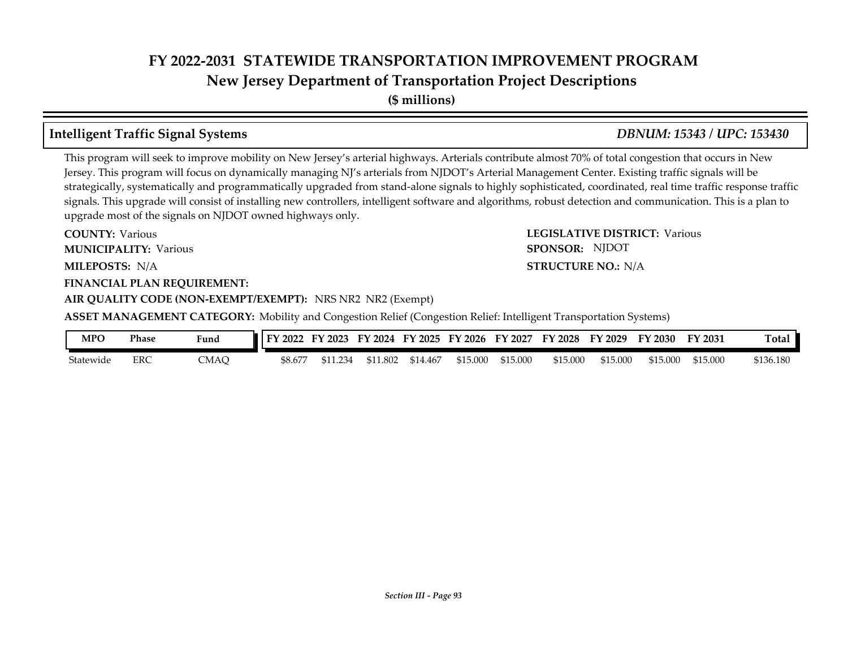**New Jersey Department of Transportation Project Descriptions**

**(\$ millions)**

### **Intelligent Traffic Signal Systems** *DBNUM: 15343 / UPC: 153430*

This program will seek to improve mobility on New Jersey's arterial highways. Arterials contribute almost 70% of total congestion that occurs in New Jersey. This program will focus on dynamically managing NJ's arterials from NJDOT's Arterial Management Center. Existing traffic signals will be strategically, systematically and programmatically upgraded from stand-alone signals to highly sophisticated, coordinated, real time traffic response traffic signals. This upgrade will consist of installing new controllers, intelligent software and algorithms, robust detection and communication. This is a plan to upgrade most of the signals on NJDOT owned highways only.

**MILEPOSTS: STRUCTURE NO.:** N/A **FINANCIAL PLAN REQUIREMENT: AIR QUALITY CODE (NON-EXEMPT/EXEMPT):** NRS NR2 NR2 (Exempt) **COUNTY: Various MUNICIPALITY:** Various **SPONSOR:** 

**COUNTY: LEGISLATIVE DISTRICT:** Various **STRUCTURE NO.: N/A** SPONSOR: NJDOT

**ASSET MANAGEMENT CATEGORY:** Mobility and Congestion Relief (Congestion Relief: Intelligent Transportation Systems)

| MPO       | Phase | Funa | FY 2022 | FY 2023  | FY 2024  | FY 2025  | FY 2026  | FY 2027  | <b>FY 2028</b> | FY 2029  | FY 2030  | FY 2031  | <b>Total</b> |
|-----------|-------|------|---------|----------|----------|----------|----------|----------|----------------|----------|----------|----------|--------------|
| Statewide | ERC   | CMAO | \$8.677 | \$11.234 | \$11.802 | \$14.467 | \$15.000 | \$15,000 | \$15.000       | \$15.000 | \$15,000 | \$15.000 | \$136.180    |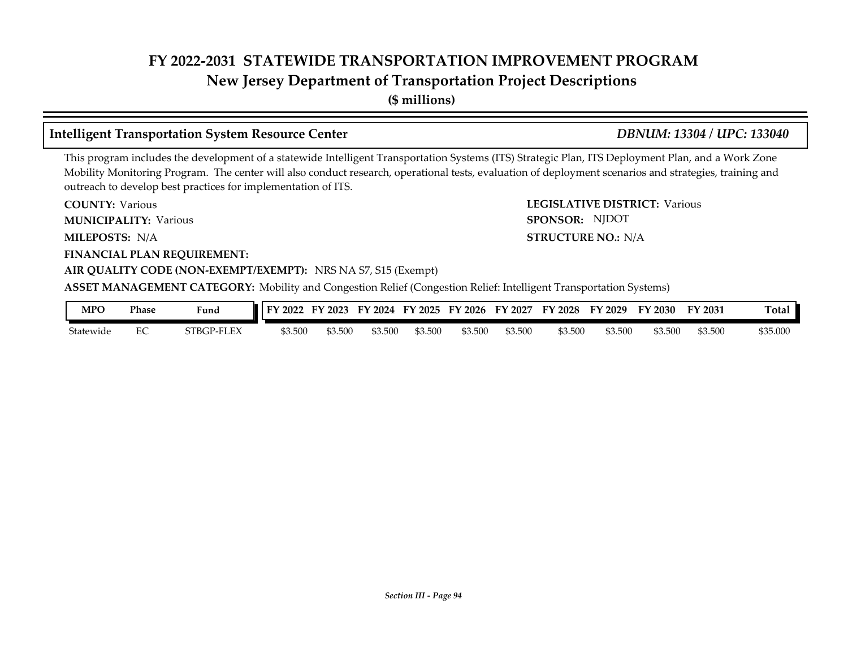### **New Jersey Department of Transportation Project Descriptions**

**(\$ millions)**

### **Intelligent Transportation System Resource Center** *DBNUM: 13304 / UPC: 133040*

SPONSOR: NJDOT

This program includes the development of a statewide Intelligent Transportation Systems (ITS) Strategic Plan, ITS Deployment Plan, and a Work Zone Mobility Monitoring Program. The center will also conduct research, operational tests, evaluation of deployment scenarios and strategies, training and outreach to develop best practices for implementation of ITS.

**COUNTY: LEGISLATIVE DISTRICT:** Various **COUNTY: Various** 

**MUNICIPALITY:** Various **SPONSOR:** 

**MILEPOSTS: STRUCTURE NO.:** N/A MILEPOSTS: N/A

**FINANCIAL PLAN REQUIREMENT:**

### **AIR QUALITY CODE (NON-EXEMPT/EXEMPT):** NRS NA S7, S15 (Exempt)

**ASSET MANAGEMENT CATEGORY:** Mobility and Congestion Relief (Congestion Relief: Intelligent Transportation Systems)

| <b>MPO</b> | Phase | Fund                  | FY 2022 | тv<br>$'$ 2023 | 2024<br>FУ | FY 2025 | $'$ 2026<br>EV | FY<br>2027 | FY.<br>2028 | FУ.<br>$'$ 2029 | <sup>T</sup> Y 2030 | FY 2031 | Total.   |
|------------|-------|-----------------------|---------|----------------|------------|---------|----------------|------------|-------------|-----------------|---------------------|---------|----------|
| Statewide  | ◡     | EEX<br>ንTBGI<br>-P-FL | \$3.500 | \$3.500        | \$3.500    | \$3.500 | \$3.500        | \$3.500    | \$3.500     | \$3.500         | \$3.500             | \$3.500 | \$35.000 |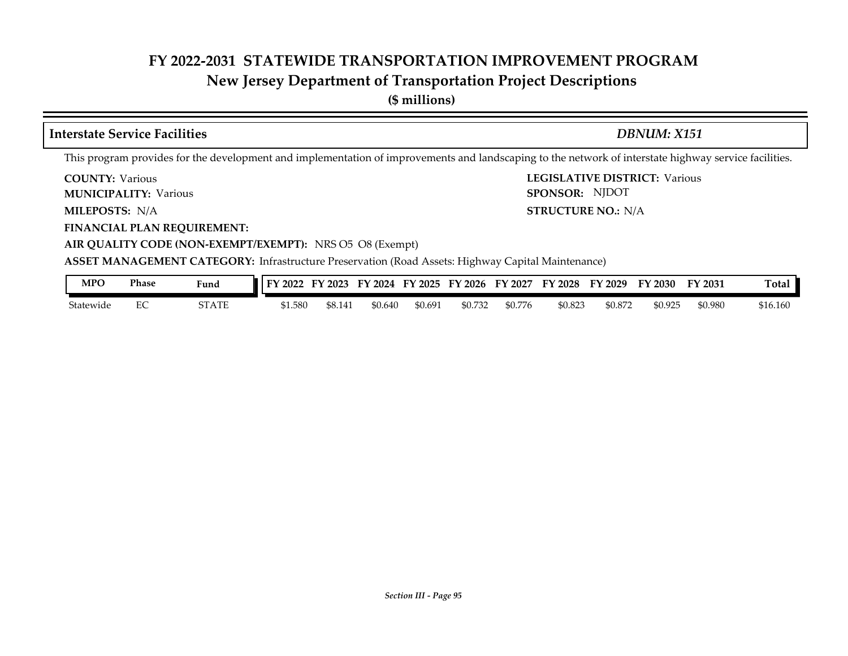### **New Jersey Department of Transportation Project Descriptions**

**(\$ millions)**

### **COUNTY: LEGISLATIVE DISTRICT:** Various **MILEPOSTS: STRUCTURE NO.:** N/A **FINANCIAL PLAN REQUIREMENT: COUNTY: Various MUNICIPALITY:** Various **SPONSOR: STRUCTURE NO.: N/A** This program provides for the development and implementation of improvements and landscaping to the network of interstate highway service facilities. **Interstate Service Facilities** *DBNUM: X151* SPONSOR: NJDOT

**AIR QUALITY CODE (NON-EXEMPT/EXEMPT):** NRS O5 O8 (Exempt)

**ASSET MANAGEMENT CATEGORY:** Infrastructure Preservation (Road Assets: Highway Capital Maintenance)

| MPO       | Phase | $\mathbf{r}$<br>Fund | $2022$<br>ЕV. | FY 2023 | FY 2024 | FY 2025 | FY 2026 | FY 2027 | FY 2028 | FY 2029 | FY 2030 | FY 2031 | <b>Total</b> |
|-----------|-------|----------------------|---------------|---------|---------|---------|---------|---------|---------|---------|---------|---------|--------------|
| Statewide | ∽     | STATE                | \$1.580       | \$8.141 | \$0.640 | \$0.691 | \$0.732 | \$0.776 | \$0.823 | \$0.872 | \$0.925 | \$0.980 | \$16.160     |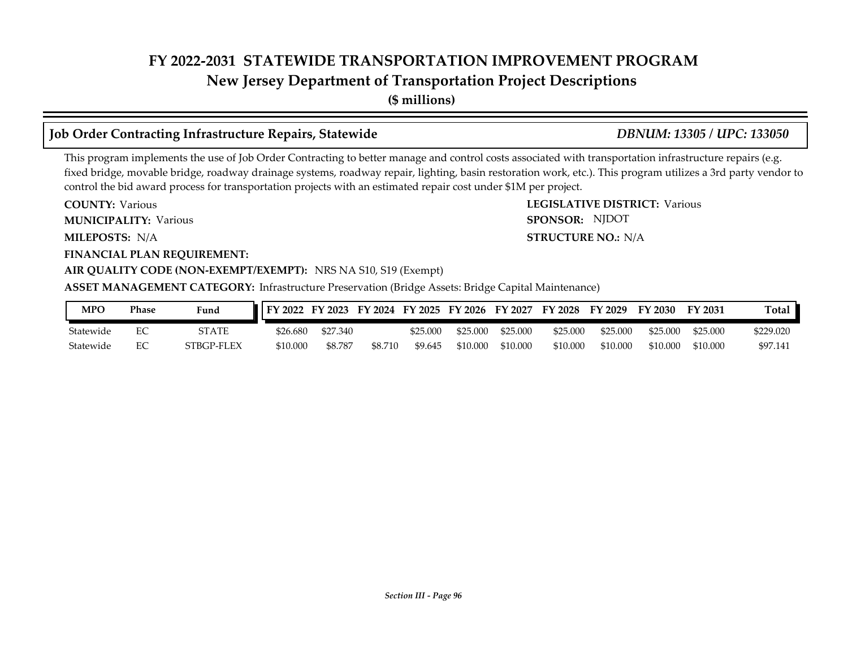### **New Jersey Department of Transportation Project Descriptions**

**(\$ millions)**

### **Job Order Contracting Infrastructure Repairs, Statewide** *DBNUM: 13305 / UPC: 133050*

SPONSOR: NJDOT

This program implements the use of Job Order Contracting to better manage and control costs associated with transportation infrastructure repairs (e.g. fixed bridge, movable bridge, roadway drainage systems, roadway repair, lighting, basin restoration work, etc.). This program utilizes a 3rd party vendor to control the bid award process for transportation projects with an estimated repair cost under \$1M per project.

**COUNTY: LEGISLATIVE DISTRICT:** Various **COUNTY: Various** 

**MUNICIPALITY:** Various **SPONSOR:** 

**MILEPOSTS: STRUCTURE NO.:** N/A MILEPOSTS: N/A

**FINANCIAL PLAN REQUIREMENT:**

### **AIR QUALITY CODE (NON-EXEMPT/EXEMPT):** NRS NA S10, S19 (Exempt)

**ASSET MANAGEMENT CATEGORY:** Infrastructure Preservation (Bridge Assets: Bridge Capital Maintenance)

| <b>MPO</b> | Phase | Fund       | FY 2022  |          |         |          |          |          |          |          | FY 2023 FY 2024 FY 2025 FY 2026 FY 2027 FY 2028 FY 2029 FY 2030 | <b>FY 2031</b> | Total     |
|------------|-------|------------|----------|----------|---------|----------|----------|----------|----------|----------|-----------------------------------------------------------------|----------------|-----------|
| Statewide  |       | STATE      | \$26.680 | \$27.340 |         | \$25.000 | \$25,000 | \$25,000 | \$25,000 | \$25,000 | \$25,000                                                        | \$25,000       | \$229.020 |
| Statewide  |       | STBGP-FLEX | \$10.000 | \$8.787  | \$8.710 | \$9.645  | \$10.000 | \$10,000 | \$10,000 | \$10,000 | \$10,000                                                        | \$10,000       | \$97.141  |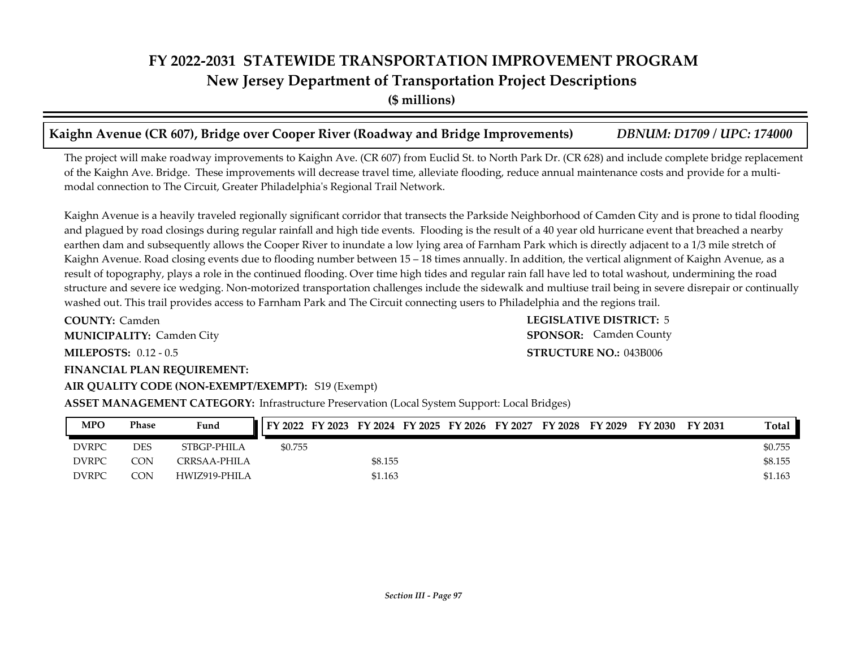# **FY 2022-2031 STATEWIDE TRANSPORTATION IMPROVEMENT PROGRAM New Jersey Department of Transportation Project Descriptions**

**(\$ millions)**

### **Kaighn Avenue (CR 607), Bridge over Cooper River (Roadway and Bridge Improvements)** *DBNUM: D1709 / UPC: 174000*

The project will make roadway improvements to Kaighn Ave. (CR 607) from Euclid St. to North Park Dr. (CR 628) and include complete bridge replacement of the Kaighn Ave. Bridge. These improvements will decrease travel time, alleviate flooding, reduce annual maintenance costs and provide for a multimodal connection to The Circuit, Greater Philadelphia's Regional Trail Network.

Kaighn Avenue is a heavily traveled regionally significant corridor that transects the Parkside Neighborhood of Camden City and is prone to tidal flooding and plagued by road closings during regular rainfall and high tide events. Flooding is the result of a 40 year old hurricane event that breached a nearby earthen dam and subsequently allows the Cooper River to inundate a low lying area of Farnham Park which is directly adjacent to a 1/3 mile stretch of Kaighn Avenue. Road closing events due to flooding number between 15 – 18 times annually. In addition, the vertical alignment of Kaighn Avenue, as a result of topography, plays a role in the continued flooding. Over time high tides and regular rain fall have led to total washout, undermining the road structure and severe ice wedging. Non-motorized transportation challenges include the sidewalk and multiuse trail being in severe disrepair or continually washed out. This trail provides access to Farnham Park and The Circuit connecting users to Philadelphia and the regions trail.

**COUNTY: LEGISLATIVE DISTRICT:** 5 **MILEPOSTS: STRUCTURE NO.:** 0.12 - 0.5 **FINANCIAL PLAN REQUIREMENT: AIR QUALITY CODE (NON-EXEMPT/EXEMPT):** S19 (Exempt) **COUNTY: Camden MUNICIPALITY:** Camden City **SPONSOR:** 

**STRUCTURE NO.: 043B006 SPONSOR:** Camden County

### **ASSET MANAGEMENT CATEGORY:** Infrastructure Preservation (Local System Support: Local Bridges)

| <b>MPO</b>   | Phase      | Fund          | FY 2022 | FY 2023 |         | FY 2024 FY 2025 | FY 2026 | FY 2027 | FY 2028 | FY 2029 | FY 2030 | FY 2031 | Total   |
|--------------|------------|---------------|---------|---------|---------|-----------------|---------|---------|---------|---------|---------|---------|---------|
| <b>DVRPC</b> | <b>DES</b> | STBGP-PHILA   | \$0.755 |         |         |                 |         |         |         |         |         |         | \$0.755 |
| <b>DVRPC</b> | CON        | CRRSAA-PHILA  |         |         | \$8.155 |                 |         |         |         |         |         |         | \$8.155 |
| <b>DVRPC</b> | CON        | HWIZ919-PHILA |         |         | \$1.163 |                 |         |         |         |         |         |         | \$1.163 |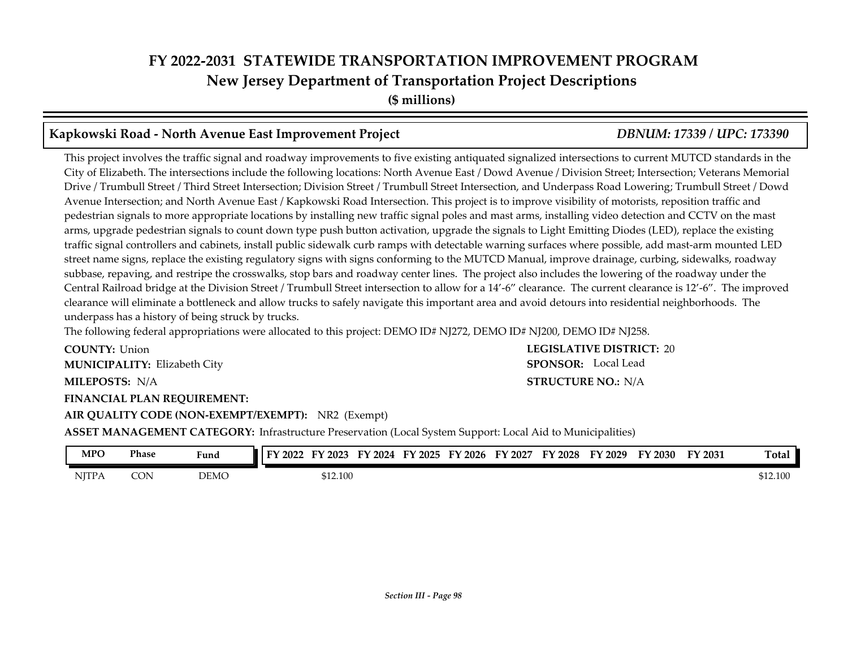### **FY 2022-2031 STATEWIDE TRANSPORTATION IMPROVEMENT PROGRAM New Jersey Department of Transportation Project Descriptions (\$ millions)**

### **Kapkowski Road - North Avenue East Improvement Project** *DBNUM: 17339 / UPC: 173390*

This project involves the traffic signal and roadway improvements to five existing antiquated signalized intersections to current MUTCD standards in the City of Elizabeth. The intersections include the following locations: North Avenue East / Dowd Avenue / Division Street; Intersection; Veterans Memorial Drive / Trumbull Street / Third Street Intersection; Division Street / Trumbull Street Intersection, and Underpass Road Lowering; Trumbull Street / Dowd Avenue Intersection; and North Avenue East / Kapkowski Road Intersection. This project is to improve visibility of motorists, reposition traffic and pedestrian signals to more appropriate locations by installing new traffic signal poles and mast arms, installing video detection and CCTV on the mast arms, upgrade pedestrian signals to count down type push button activation, upgrade the signals to Light Emitting Diodes (LED), replace the existing traffic signal controllers and cabinets, install public sidewalk curb ramps with detectable warning surfaces where possible, add mast-arm mounted LED street name signs, replace the existing regulatory signs with signs conforming to the MUTCD Manual, improve drainage, curbing, sidewalks, roadway subbase, repaving, and restripe the crosswalks, stop bars and roadway center lines. The project also includes the lowering of the roadway under the Central Railroad bridge at the Division Street / Trumbull Street intersection to allow for a 14'-6" clearance. The current clearance is 12'-6". The improved clearance will eliminate a bottleneck and allow trucks to safely navigate this important area and avoid detours into residential neighborhoods. The underpass has a history of being struck by trucks.

The following federal appropriations were allocated to this project: DEMO ID# NJ272, DEMO ID# NJ200, DEMO ID# NJ258.

**COUNTY: LEGISLATIVE DISTRICT:** 20 **MILEPOSTS: STRUCTURE NO.:** N/A **FINANCIAL PLAN REQUIREMENT: AIR QUALITY CODE (NON-EXEMPT/EXEMPT):** NR2 (Exempt) **COUNTY: Union** Elizabeth City **MUNICIPALITY: SPONSOR: STRUCTURE NO.: N/A SPONSOR:** Local Lead

**ASSET MANAGEMENT CATEGORY:** Infrastructure Preservation (Local System Support: Local Aid to Municipalities)

| <b>MPO</b>   | Phase | Fund        | тv<br>2022 | 2023     | 2024<br>F٧ | FY 2025 | FY 2026 | FV<br>2027 | FY 2028 | FY 2029 | FY 2030 | FY 2031 | m.<br>[otal |
|--------------|-------|-------------|------------|----------|------------|---------|---------|------------|---------|---------|---------|---------|-------------|
| <b>NJTPA</b> | CON   | <b>DEMC</b> |            | \$12.100 |            |         |         |            |         |         |         |         | \$12.100    |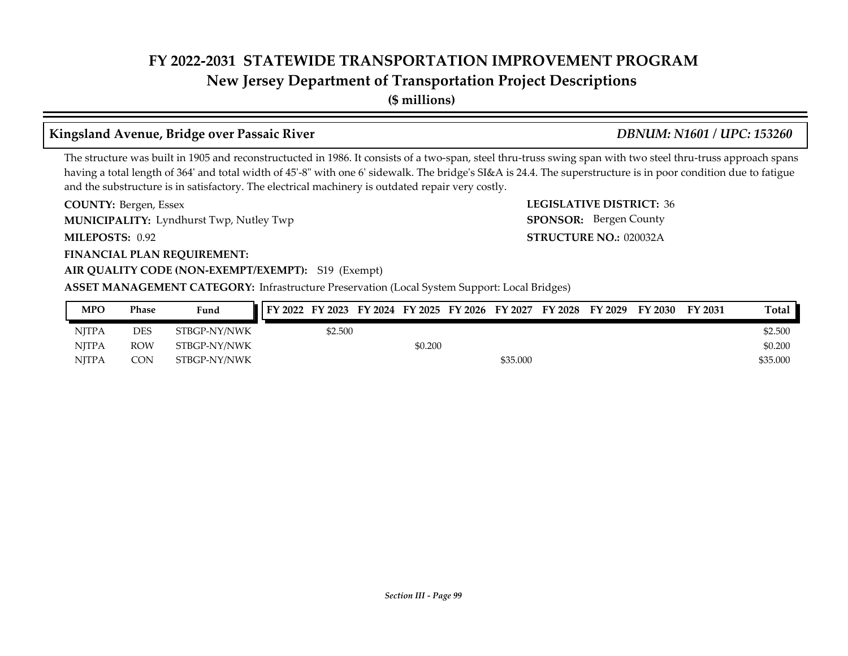**New Jersey Department of Transportation Project Descriptions**

**(\$ millions)**

### **Kingsland Avenue, Bridge over Passaic River** *DBNUM: N1601 / UPC: 153260*

The structure was built in 1905 and reconstructucted in 1986. It consists of a two-span, steel thru-truss swing span with two steel thru-truss approach spans having a total length of 364' and total width of 45'-8" with one 6' sidewalk. The bridge's SI&A is 24.4. The superstructure is in poor condition due to fatigue and the substructure is in satisfactory. The electrical machinery is outdated repair very costly.

**COUNTY: LEGISLATIVE DISTRICT:** Bergen, Essex **MUNICIPALITY:** Lyndhurst Twp, Nutley Twp **MUNICIPALITY:** SPONSOR:

**MILEPOSTS: STRUCTURE NO.:** 020032A MILEPOSTS: 0.92

### **FINANCIAL PLAN REQUIREMENT:**

### **AIR QUALITY CODE (NON-EXEMPT/EXEMPT):** S19 (Exempt)

**ASSET MANAGEMENT CATEGORY:** Infrastructure Preservation (Local System Support: Local Bridges)

| MPO          | Phase      | Fund         | FY 2022 FY 2023 FY 2024 FY 2025 FY 2026 FY 2027 |         |         |          | FY 2028 | FY 2029 | FY 2030 | FY 2031 | <b>Total</b> |
|--------------|------------|--------------|-------------------------------------------------|---------|---------|----------|---------|---------|---------|---------|--------------|
| <b>NITPA</b> | DES        | STBGP-NY/NWK |                                                 | \$2.500 |         |          |         |         |         |         | \$2.500      |
| NITPA        | <b>ROW</b> | STBGP-NY/NWK |                                                 |         | \$0.200 |          |         |         |         |         | \$0.200      |
| <b>NJTPA</b> | CON        | STBGP-NY/NWK |                                                 |         |         | \$35.000 |         |         |         |         | \$35,000     |

**LEGISLATIVE DISTRICT: 36** 

SPONSOR: Bergen County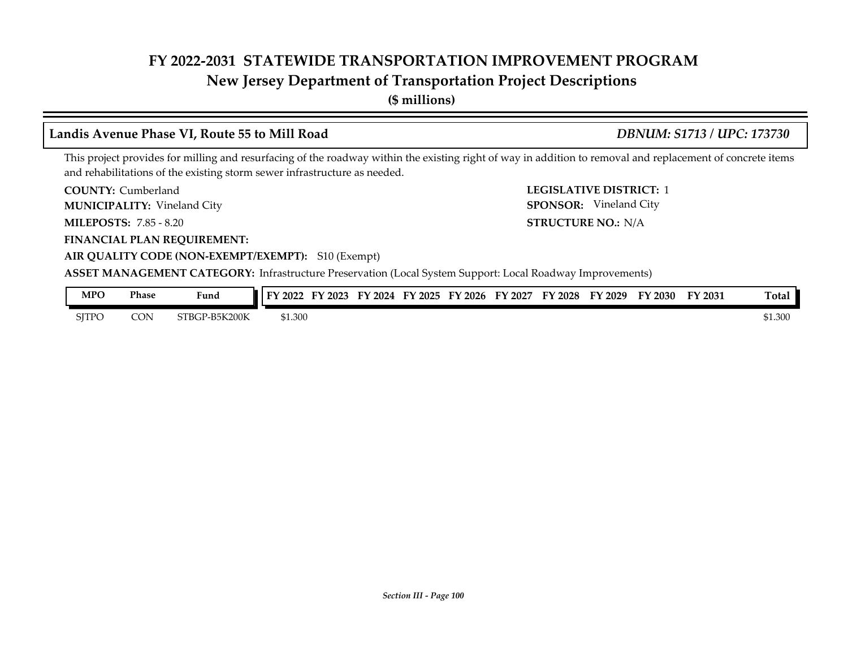### **New Jersey Department of Transportation Project Descriptions**

**(\$ millions)**

### **Landis Avenue Phase VI, Route 55 to Mill Road** *DBNUM: S1713 / UPC: 173730*

**AIR QUALITY CODE (NON-EXEMPT/EXEMPT):** S10 (Exempt)

This project provides for milling and resurfacing of the roadway within the existing right of way in addition to removal and replacement of concrete items and rehabilitations of the existing storm sewer infrastructure as needed.

**COUNTY: LEGISLATIVE DISTRICT:** 1 COUNTY: Cumberland

Vineland City **MUNICIPALITY: SPONSOR:**

**MILEPOSTS: STRUCTURE NO.:** 7.85 - 8.20

**FINANCIAL PLAN REQUIREMENT:**

STRUCTURE NO.: N/A SPONSOR: Vineland City

**ASSET MANAGEMENT CATEGORY:** Infrastructure Preservation (Local System Support: Local Roadway Improvements)

| MPO          | Phase | <b>Contract Contract Contract Contract</b><br>Fund | 2022<br>≖ | 2023 | 2024<br>нv | 2025<br>гν | $\frac{1}{2026}$ | $\sqrt{202}$<br>FУ | тv<br>2028 | '2029<br>г٧ | $\sim 2030$ | FY 2031 | . otal |
|--------------|-------|----------------------------------------------------|-----------|------|------------|------------|------------------|--------------------|------------|-------------|-------------|---------|--------|
| <b>SITPC</b> | CON   | <sup>9</sup> -B5K200K<br>STBGP                     | \$1.300   |      |            |            |                  |                    |            |             |             |         | 61.300 |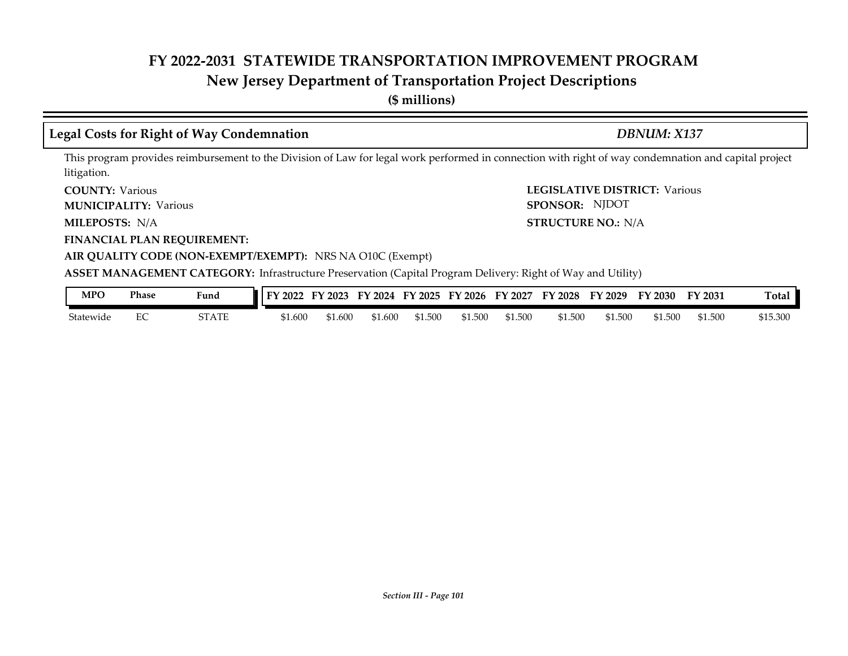### **New Jersey Department of Transportation Project Descriptions**

**(\$ millions)**

### **Legal Costs for Right of Way Condemnation** *DBNUM: X137*

This program provides reimbursement to the Division of Law for legal work performed in connection with right of way condemnation and capital project litigation.

**COUNTY: LEGISLATIVE DISTRICT:** Various **COUNTY: Various** 

**MUNICIPALITY:** Various **SPONSOR:** 

**MILEPOSTS: STRUCTURE NO.:** N/A MILEPOSTS: N/A

**FINANCIAL PLAN REQUIREMENT:**

**AIR QUALITY CODE (NON-EXEMPT/EXEMPT):** NRS NA O10C (Exempt)

**ASSET MANAGEMENT CATEGORY:** Infrastructure Preservation (Capital Program Delivery: Right of Way and Utility)

| MPO       | <b>Phase</b> | Fund  | 2022<br>TV. | ' 2023<br>- H Y | FY 2024 | FY 2025 | FY 2026 | FY 2027 | FY 2028 | FY 2029 | FY 2030 | FY 2031 | Ē<br>Total |
|-----------|--------------|-------|-------------|-----------------|---------|---------|---------|---------|---------|---------|---------|---------|------------|
| Statewide | ∽            | STATE | \$1.600     | 1.600؍          | \$1.600 | 61.500  | \$1.500 | \$1.500 | \$1.500 | \$1.500 | \$1.500 | \$1.500 | \$15.300   |

SPONSOR: NJDOT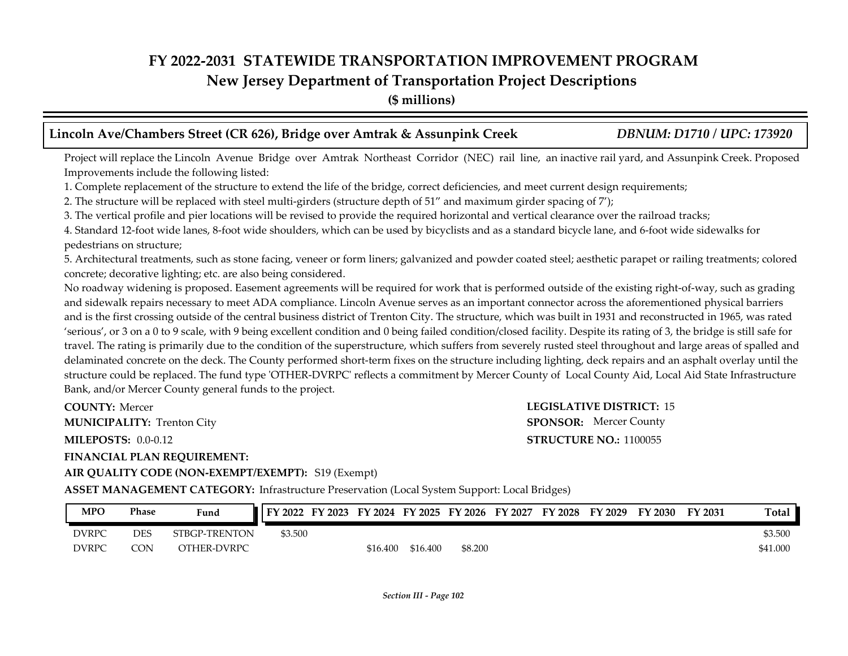### **New Jersey Department of Transportation Project Descriptions**

**(\$ millions)**

### **Lincoln Ave/Chambers Street (CR 626), Bridge over Amtrak & Assunpink Creek** *DBNUM: D1710 / UPC: 173920*

Project will replace the Lincoln Avenue Bridge over Amtrak Northeast Corridor (NEC) rail line, an inactive rail yard, and Assunpink Creek. Proposed Improvements include the following listed:

1. Complete replacement of the structure to extend the life of the bridge, correct deficiencies, and meet current design requirements;

2. The structure will be replaced with steel multi-girders (structure depth of 51" and maximum girder spacing of 7');

3. The vertical profile and pier locations will be revised to provide the required horizontal and vertical clearance over the railroad tracks;

4. Standard 12-foot wide lanes, 8-foot wide shoulders, which can be used by bicyclists and as a standard bicycle lane, and 6-foot wide sidewalks for pedestrians on structure;

5. Architectural treatments, such as stone facing, veneer or form liners; galvanized and powder coated steel; aesthetic parapet or railing treatments; colored concrete; decorative lighting; etc. are also being considered.

No roadway widening is proposed. Easement agreements will be required for work that is performed outside of the existing right-of-way, such as grading and sidewalk repairs necessary to meet ADA compliance. Lincoln Avenue serves as an important connector across the aforementioned physical barriers and is the first crossing outside of the central business district of Trenton City. The structure, which was built in 1931 and reconstructed in 1965, was rated 'serious', or 3 on a 0 to 9 scale, with 9 being excellent condition and 0 being failed condition/closed facility. Despite its rating of 3, the bridge is still safe for travel. The rating is primarily due to the condition of the superstructure, which suffers from severely rusted steel throughout and large areas of spalled and delaminated concrete on the deck. The County performed short-term fixes on the structure including lighting, deck repairs and an asphalt overlay until the structure could be replaced. The fund type 'OTHER-DVRPC' reflects a commitment by Mercer County of Local County Aid, Local Aid State Infrastructure Bank, and/or Mercer County general funds to the project.

**COUNTY: Mercer MUNICIPALITY:** Trenton City **SPONSOR:** 

**MILEPOSTS: STRUCTURE NO.:** 0.0-0.12

### **FINANCIAL PLAN REQUIREMENT:**

**AIR QUALITY CODE (NON-EXEMPT/EXEMPT):** S19 (Exempt)

**COUNTY: LEGISLATIVE DISTRICT:** 15 **STRUCTURE NO.: 1100055 SPONSOR:** Mercer County

**ASSET MANAGEMENT CATEGORY:** Infrastructure Preservation (Local System Support: Local Bridges)

| <b>MPO</b>   | <b>Phase</b> | Fund          | FY 2022 | FY 2023 | FY 2024 FY 2025 FY 2026 |          |         | FY 2027 | FY 2028 | FY 2029 | FY 2030 | FY 2031 | <b>Total</b> |
|--------------|--------------|---------------|---------|---------|-------------------------|----------|---------|---------|---------|---------|---------|---------|--------------|
| DVRPC        | DES          | STBGP-TRENTON | \$3.500 |         |                         |          |         |         |         |         |         |         | \$3.500      |
| <b>DVRPC</b> | CON          | OTHER-DVRPC   |         |         | \$16.400                | \$16.400 | \$8.200 |         |         |         |         |         | \$41.000     |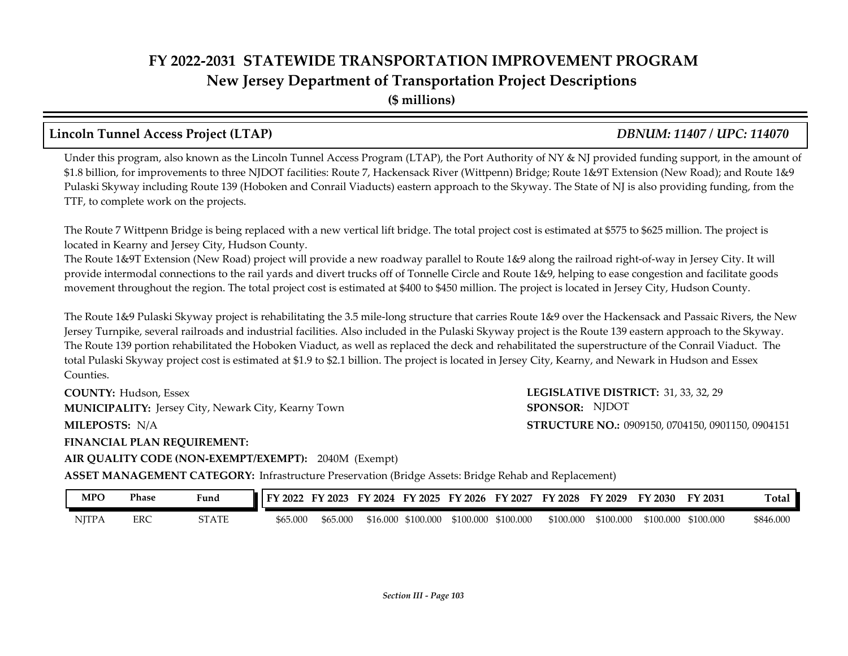### **FY 2022-2031 STATEWIDE TRANSPORTATION IMPROVEMENT PROGRAM New Jersey Department of Transportation Project Descriptions (\$ millions)**

### **Lincoln Tunnel Access Project (LTAP)** *DBNUM: 11407 / UPC: 114070*

Under this program, also known as the Lincoln Tunnel Access Program (LTAP), the Port Authority of NY & NJ provided funding support, in the amount of \$1.8 billion, for improvements to three NJDOT facilities: Route 7, Hackensack River (Wittpenn) Bridge; Route 1&9T Extension (New Road); and Route 1&9 Pulaski Skyway including Route 139 (Hoboken and Conrail Viaducts) eastern approach to the Skyway. The State of NJ is also providing funding, from the TTF, to complete work on the projects.

The Route 7 Wittpenn Bridge is being replaced with a new vertical lift bridge. The total project cost is estimated at \$575 to \$625 million. The project is located in Kearny and Jersey City, Hudson County.

The Route 1&9T Extension (New Road) project will provide a new roadway parallel to Route 1&9 along the railroad right-of-way in Jersey City. It will provide intermodal connections to the rail yards and divert trucks off of Tonnelle Circle and Route 1&9, helping to ease congestion and facilitate goods movement throughout the region. The total project cost is estimated at \$400 to \$450 million. The project is located in Jersey City, Hudson County.

The Route 1&9 Pulaski Skyway project is rehabilitating the 3.5 mile-long structure that carries Route 1&9 over the Hackensack and Passaic Rivers, the New Jersey Turnpike, several railroads and industrial facilities. Also included in the Pulaski Skyway project is the Route 139 eastern approach to the Skyway. The Route 139 portion rehabilitated the Hoboken Viaduct, as well as replaced the deck and rehabilitated the superstructure of the Conrail Viaduct. The total Pulaski Skyway project cost is estimated at \$1.9 to \$2.1 billion. The project is located in Jersey City, Kearny, and Newark in Hudson and Essex Counties.

**COUNTY: LEGISLATIVE DISTRICT:** 31, 33, 32, 29 **MILEPOSTS: STRUCTURE NO.:** 0909150, 0704150, 0901150, 0904151 **COUNTY: Hudson, Essex MUNICIPALITY:** Jersey City, Newark City, Kearny Town **SPONSOR:** MILEPOSTS: N/A

SPONSOR: NJDOT

**FINANCIAL PLAN REQUIREMENT:**

**AIR QUALITY CODE (NON-EXEMPT/EXEMPT):** 2040M (Exempt)

**ASSET MANAGEMENT CATEGORY:** Infrastructure Preservation (Bridge Assets: Bridge Rehab and Replacement)

| MPO          | Phase | Fund  | 2022<br>ЕV. | 12023<br>∽ | 12024<br>TV. | EV.<br>$'$ 2025 | FY 2026   | FY<br>2027 | FY 2028   | FY 2029   | $\degree$ 2030 | FY 2031   | Tota.     |
|--------------|-------|-------|-------------|------------|--------------|-----------------|-----------|------------|-----------|-----------|----------------|-----------|-----------|
| <b>NJTPA</b> | ERC   | STATE | \$65.000    | \$65,000   | \$16.000     | \$100.000       | \$100.000 | \$100.000  | \$100.000 | \$100.000 | \$100.000      | \$100.000 | \$846.000 |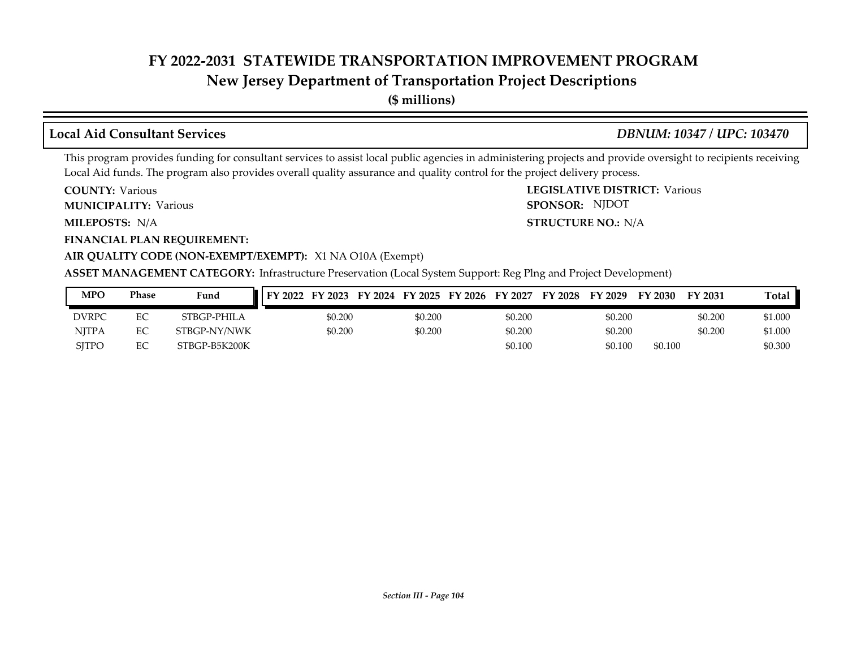### **New Jersey Department of Transportation Project Descriptions**

**(\$ millions)**

### **Local Aid Consultant Services** *DBNUM: 10347 / UPC: 103470*

SPONSOR: NJDOT

This program provides funding for consultant services to assist local public agencies in administering projects and provide oversight to recipients receiving Local Aid funds. The program also provides overall quality assurance and quality control for the project delivery process.

**COUNTY: LEGISLATIVE DISTRICT:** Various **COUNTY: Various** 

**MUNICIPALITY:** Various **SPONSOR:** 

**MILEPOSTS: STRUCTURE NO.:** N/A MILEPOSTS: N/A

**FINANCIAL PLAN REQUIREMENT:**

### **AIR QUALITY CODE (NON-EXEMPT/EXEMPT):** X1 NA O10A (Exempt)

**ASSET MANAGEMENT CATEGORY:** Infrastructure Preservation (Local System Support: Reg Plng and Project Development)

| <b>MPO</b>   | Phase | Fund          | FY 2023<br>FY 2022 | FY 2024 FY 2025 | FY 2026 | FY 2027 | FY 2028 | FY 2029 | FY 2030 | FY 2031 | <b>Total</b> |
|--------------|-------|---------------|--------------------|-----------------|---------|---------|---------|---------|---------|---------|--------------|
| <b>DVRPC</b> | EC    | STBGP-PHILA   | \$0.200            | \$0.200         |         | \$0.200 |         | \$0.200 |         | \$0.200 | \$1.000      |
| NITPA        | EС    | STBGP-NY/NWK  | \$0.200            | \$0.200         |         | \$0.200 |         | \$0.200 |         | \$0.200 | \$1.000      |
| SITPO        | EC    | STBGP-B5K200K |                    |                 |         | \$0.100 |         | \$0.100 | \$0.100 |         | \$0.300      |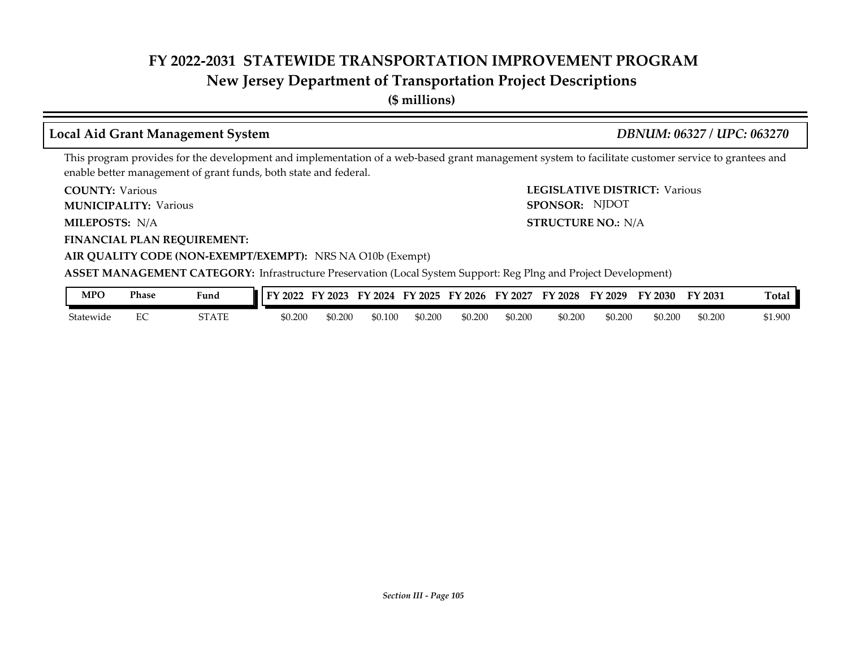### **New Jersey Department of Transportation Project Descriptions**

**(\$ millions)**

### **Local Aid Grant Management System** *DBNUM: 06327 / UPC: 063270*

SPONSOR: NJDOT

This program provides for the development and implementation of a web-based grant management system to facilitate customer service to grantees and enable better management of grant funds, both state and federal.

**COUNTY: LEGISLATIVE DISTRICT:** Various **COUNTY: Various** 

**MUNICIPALITY:** Various **SPONSOR:** 

**MILEPOSTS: STRUCTURE NO.:** N/A MILEPOSTS: N/A

**FINANCIAL PLAN REQUIREMENT:**

**AIR QUALITY CODE (NON-EXEMPT/EXEMPT):** NRS NA O10b (Exempt)

**ASSET MANAGEMENT CATEGORY:** Infrastructure Preservation (Local System Support: Reg Plng and Project Development)

| MPO       | Phase | Fund  | 2022<br>TV. | 2023    | FV<br>2024 | FY 2025 | EY<br>$^{\prime}$ 2026 | FY<br>2027 | $\sqrt{2028}$ | FY 2029 | FY 2030 | FY 2031 | m<br>I otal |
|-----------|-------|-------|-------------|---------|------------|---------|------------------------|------------|---------------|---------|---------|---------|-------------|
| Statewide | LU.   | STATE | \$0.200     | \$0.200 | 0.100ه     | \$0.200 | \$0.200                | \$0.200    | \$0.200       | \$0.200 | \$0.200 | \$0.200 | \$1.900     |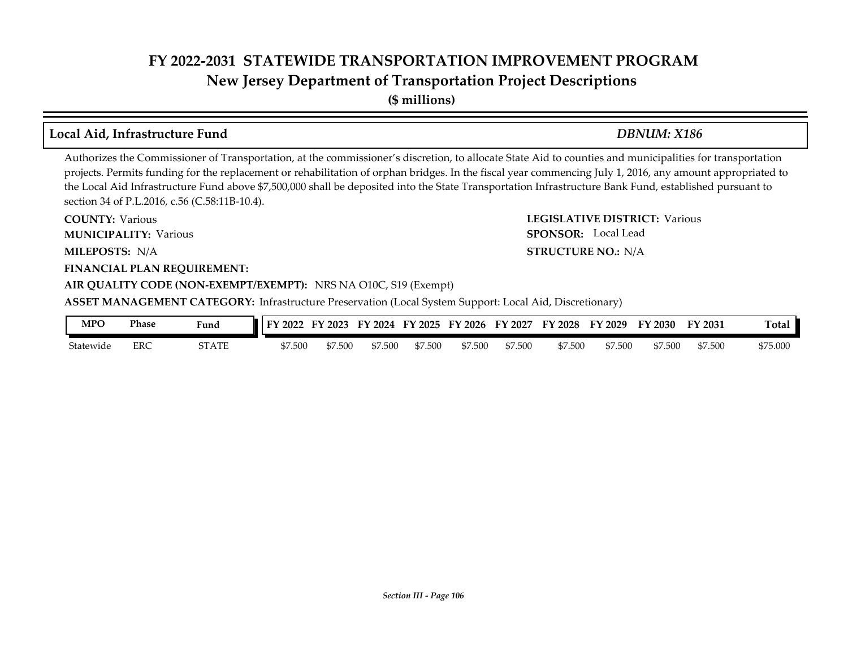### **FY 2022-2031 STATEWIDE TRANSPORTATION IMPROVEMENT PROGRAM New Jersey Department of Transportation Project Descriptions**

**(\$ millions)**

### **Local Aid, Infrastructure Fund** *DBNUM: X186*

Authorizes the Commissioner of Transportation, at the commissioner's discretion, to allocate State Aid to counties and municipalities for transportation projects. Permits funding for the replacement or rehabilitation of orphan bridges. In the fiscal year commencing July 1, 2016, any amount appropriated to the Local Aid Infrastructure Fund above \$7,500,000 shall be deposited into the State Transportation Infrastructure Bank Fund, established pursuant to section 34 of P.L.2016, c.56 (C.58:11B-10.4).

**COUNTY: LEGISLATIVE DISTRICT:** Various **MILEPOSTS: STRUCTURE NO.:** N/A **FINANCIAL PLAN REQUIREMENT: AIR QUALITY CODE (NON-EXEMPT/EXEMPT):** NRS NA O10C, S19 (Exempt) **COUNTY: Various MUNICIPALITY:** Various **SPONSOR:** MILEPOSTS: N/A **ASSET MANAGEMENT CATEGORY:** Infrastructure Preservation (Local System Support: Local Aid, Discretionary) SPONSOR: Local Lead

| <b>MPO</b> | Phase | Fund  | FY 2022 | FY 2023 | FY 2024 | FY 2025 | FY 2026 | FY 2027 | FY 2028 | FY 2029 | FY 2030 | FY 2031 | Tota <sub>1</sub> |
|------------|-------|-------|---------|---------|---------|---------|---------|---------|---------|---------|---------|---------|-------------------|
| Statewide  | ERC   | STATE | \$7.500 | 7.500   | \$7.500 | \$7.500 | \$7.500 | \$7.500 | \$7.500 | \$7.500 | \$7.500 | \$7.500 | \$75.000          |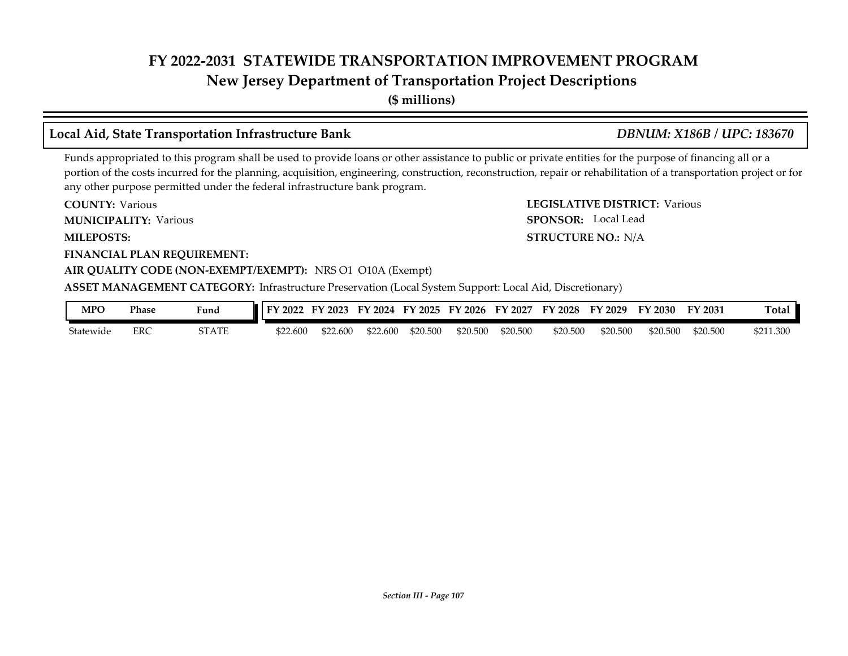### **New Jersey Department of Transportation Project Descriptions**

**(\$ millions)**

### **Local Aid, State Transportation Infrastructure Bank** *DBNUM: X186B / UPC: 183670*

SPONSOR: Local Lead

Funds appropriated to this program shall be used to provide loans or other assistance to public or private entities for the purpose of financing all or a portion of the costs incurred for the planning, acquisition, engineering, construction, reconstruction, repair or rehabilitation of a transportation project or for any other purpose permitted under the federal infrastructure bank program.

**COUNTY: LEGISLATIVE DISTRICT:** Various **COUNTY: Various** 

**MUNICIPALITY:** Various **SPONSOR:** 

**MILEPOSTS: STRUCTURE NO.:** N/A

**FINANCIAL PLAN REQUIREMENT:**

### **AIR QUALITY CODE (NON-EXEMPT/EXEMPT):** NRS O1 O10A (Exempt)

**ASSET MANAGEMENT CATEGORY:** Infrastructure Preservation (Local System Support: Local Aid, Discretionary)

| <b>MPC</b> | Phase | Fund  | 2022     | FY 2023 | TY 2024 | $'$ 2025<br><b>EV</b> | $'$ 2026<br><b>FY</b> | 2027<br>FY | FY 2028  | FY 2029  | FY 2030  | FY 2031  | m<br>`otal |
|------------|-------|-------|----------|---------|---------|-----------------------|-----------------------|------------|----------|----------|----------|----------|------------|
| Statewide  | ERC   | STATE | \$22.600 | 522.600 | 522.600 | \$20.500              | \$20,500              | \$20.500   | \$20,500 | \$20.500 | \$20.500 | \$20.500 | \$211.300  |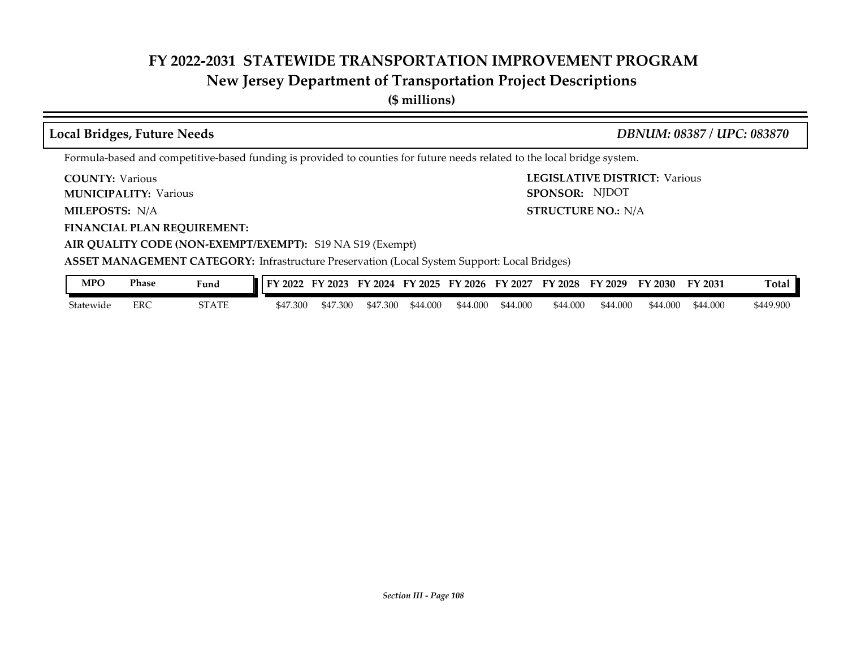## **New Jersey Department of Transportation Project Descriptions**

**(\$ millions)**

| <b>Local Bridges, Future Needs</b>                        | DBNUM: 08387 / UPC: 083870                                                                                               |
|-----------------------------------------------------------|--------------------------------------------------------------------------------------------------------------------------|
|                                                           | Formula-based and competitive-based funding is provided to counties for future needs related to the local bridge system. |
| <b>COUNTY:</b> Various<br><b>MUNICIPALITY: Various</b>    | <b>LEGISLATIVE DISTRICT: Various</b><br>SPONSOR: NJDOT                                                                   |
| <b>MILEPOSTS: N/A</b>                                     | <b>STRUCTURE NO.: N/A</b>                                                                                                |
| <b>FINANCIAL PLAN REQUIREMENT:</b>                        |                                                                                                                          |
| AIR QUALITY CODE (NON-EXEMPT/EXEMPT): S19 NA S19 (Exempt) |                                                                                                                          |
|                                                           | ASSET MANAGEMENT CATEGORY: Infrastructure Preservation (Local System Support: Local Bridges)                             |
| <b>Phase</b><br><b>MPO</b><br>Fund                        | FY 2022 FY 2023 FY 2024 FY 2025 FY 2026 FY 2027 FY 2028 FY 2029 FY 2030<br>Total<br>FY 2031                              |

Statewide ERC STATE \$47.300 \$47.300 \$47.300 \$44.000 \$44.000 \$44.000 \$44.000 \$44.000 \$44.000 \$44.000 \$449.900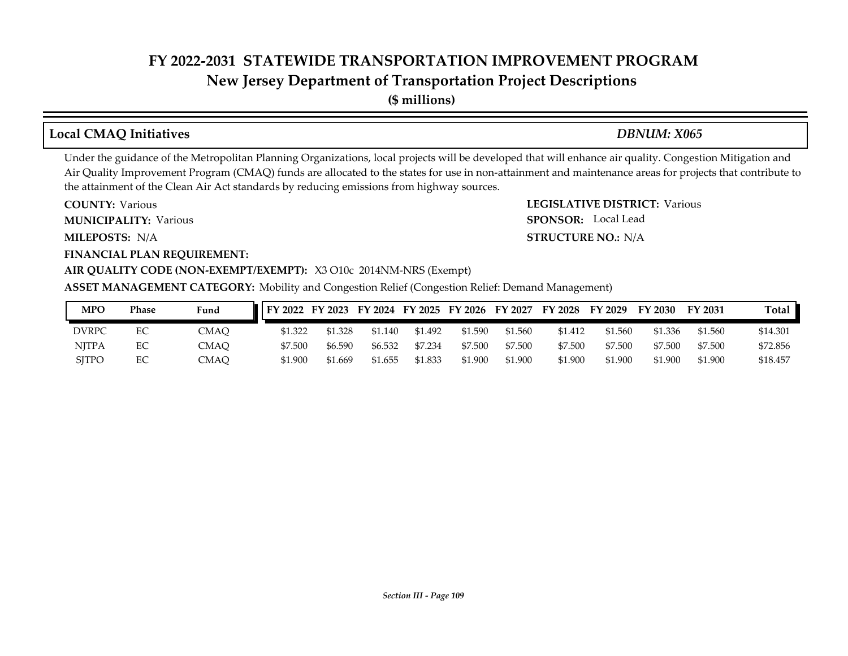**New Jersey Department of Transportation Project Descriptions**

**(\$ millions)**

# **Local CMAQ Initiatives** *DBNUM: X065*

SPONSOR: Local Lead

Under the guidance of the Metropolitan Planning Organizations, local projects will be developed that will enhance air quality. Congestion Mitigation and Air Quality Improvement Program (CMAQ) funds are allocated to the states for use in non-attainment and maintenance areas for projects that contribute to the attainment of the Clean Air Act standards by reducing emissions from highway sources.

**COUNTY: LEGISLATIVE DISTRICT:** Various **COUNTY: Various** 

**MUNICIPALITY:** Various **SPONSOR:** 

**MILEPOSTS: STRUCTURE NO.:** N/A MILEPOSTS: N/A

**FINANCIAL PLAN REQUIREMENT:**

#### **AIR QUALITY CODE (NON-EXEMPT/EXEMPT):** X3 O10c 2014NM-NRS (Exempt)

**ASSET MANAGEMENT CATEGORY:** Mobility and Congestion Relief (Congestion Relief: Demand Management)

| <b>MPO</b>   | Phase | Fund | $\blacksquare$ FY 2022 FY 2023 |         |         |         | FY 2024 FY 2025 FY 2026 FY 2027 |         | FY 2028 | FY 2029 | FY 2030 | FY 2031 | Total    |
|--------------|-------|------|--------------------------------|---------|---------|---------|---------------------------------|---------|---------|---------|---------|---------|----------|
| DVRPC        | EС    | CMAO | \$1.322                        | \$1.328 | \$1.140 | \$1.492 | \$1.590                         | \$1.560 | \$1.412 | \$1.560 | \$1.336 | \$1.560 | \$14.301 |
| <b>NITPA</b> | EС    | CMAO | \$7.500                        | \$6.590 | \$6.532 | \$7.234 | \$7.500                         | \$7.500 | \$7.500 | \$7.500 | \$7.500 | \$7.500 | \$72.856 |
| <b>SITPO</b> |       | CMAO | \$1.900                        | \$1.669 | \$1.655 | \$1.833 | \$1.900                         | \$1.900 | \$1.900 | \$1.900 | \$1.900 | \$1.900 | \$18.457 |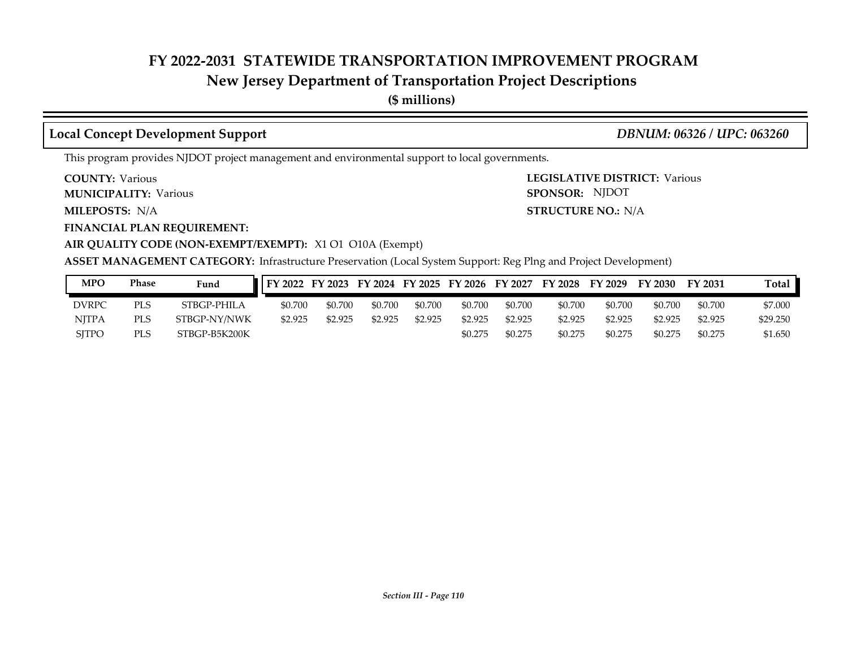## **New Jersey Department of Transportation Project Descriptions**

**(\$ millions)**

### **Local Concept Development Support** *DBNUM: 06326 / UPC: 063260*

This program provides NJDOT project management and environmental support to local governments.

**COUNTY: Various** 

**MUNICIPALITY:** Various **SPONSOR:** 

**MILEPOSTS: STRUCTURE NO.:** N/A

**FINANCIAL PLAN REQUIREMENT:**

**COUNTY: LEGISLATIVE DISTRICT:** Various **STRUCTURE NO.: N/A** SPONSOR: NJDOT

#### **AIR QUALITY CODE (NON-EXEMPT/EXEMPT):** X1 O1 O10A (Exempt)

**ASSET MANAGEMENT CATEGORY:** Infrastructure Preservation (Local System Support: Reg Plng and Project Development)

| MPO          | Phase      | Fund          | FY 2022 | FY 2023 |         |         | FY 2024 FY 2025 FY 2026 FY 2027 |         | <b>FY 2028</b> | FY 2029 | FY 2030 | <b>FY 2031</b> | <b>Total</b> |
|--------------|------------|---------------|---------|---------|---------|---------|---------------------------------|---------|----------------|---------|---------|----------------|--------------|
| <b>DVRPC</b> | PLS        | STBGP-PHILA   | \$0.700 | \$0.700 | \$0.700 | \$0.700 | \$0.700                         | \$0.700 | \$0.700        | \$0.700 | \$0.700 | \$0.700        | \$7,000      |
| <b>NITPA</b> | <b>PLS</b> | STBGP-NY/NWK  | \$2.925 | \$2.925 | \$2.925 | \$2.925 | \$2.925                         | \$2.925 | \$2.925        | \$2.925 | \$2.925 | \$2.925        | \$29.250     |
| SITPO        | PLS        | STBGP-B5K200K |         |         |         |         | \$0.275                         | \$0.275 | \$0.275        | \$0.275 | \$0.275 | \$0.275        | \$1.650      |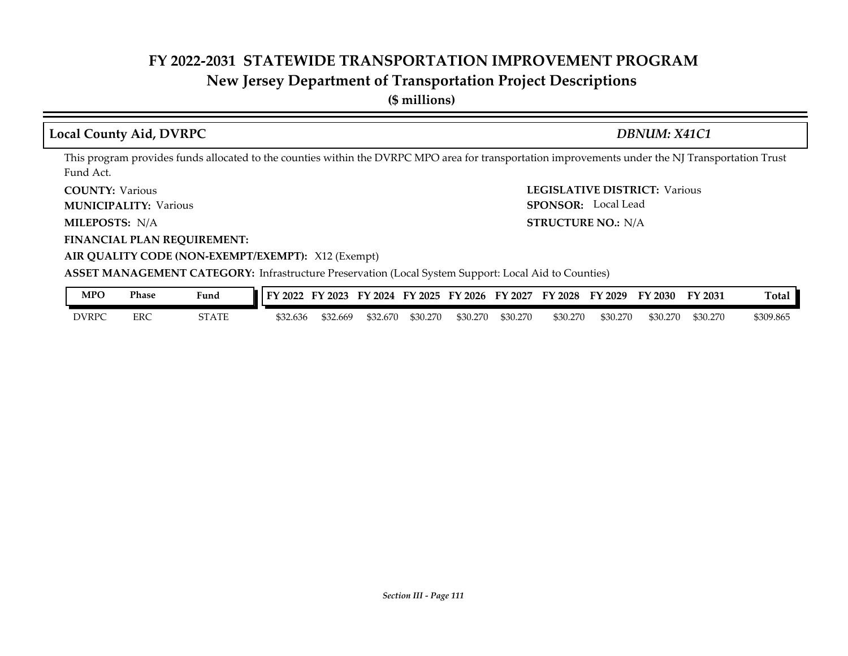# **New Jersey Department of Transportation Project Descriptions**

**(\$ millions)**

### **Local County Aid, DVRPC** *DBNUM: X41C1*

This program provides funds allocated to the counties within the DVRPC MPO area for transportation improvements under the NJ Transportation Trust Fund Act.

**COUNTY: Various** 

**MUNICIPALITY:** Various **SPONSOR:** 

MILEPOSTS: N/A

**FINANCIAL PLAN REQUIREMENT:**

**COUNTY: LEGISLATIVE DISTRICT:** Various **MILEPOSTS: STRUCTURE NO.:** N/A SPONSOR: Local Lead

#### **AIR QUALITY CODE (NON-EXEMPT/EXEMPT):** X12 (Exempt) **ASSET MANAGEMENT CATEGORY:** Infrastructure Preservation (Local System Support: Local Aid to Counties)

| <b>MPO</b>   | Phase      | <b>Fund</b>                                    | т<br>202 | 2023    | гν<br>2024 | тv<br>$^{\circ}2025$ | $\degree$ 2026<br>ГV | FV<br>2027 | FY 2028  | FY 2029  | FY 2030  | FY 2031  | Ē<br><b>Cotal</b> |
|--------------|------------|------------------------------------------------|----------|---------|------------|----------------------|----------------------|------------|----------|----------|----------|----------|-------------------|
| <b>DVRPC</b> | <b>ERC</b> | $^{\circ}$ A $^{\prime}$ T<br>חיי<br>2 I A I E | \$32.636 | 32.669ء | \$32.670   | \$30.270             | \$30.270             | \$30,270   | \$30.270 | \$30.270 | \$30.270 | \$30.270 | \$309.865         |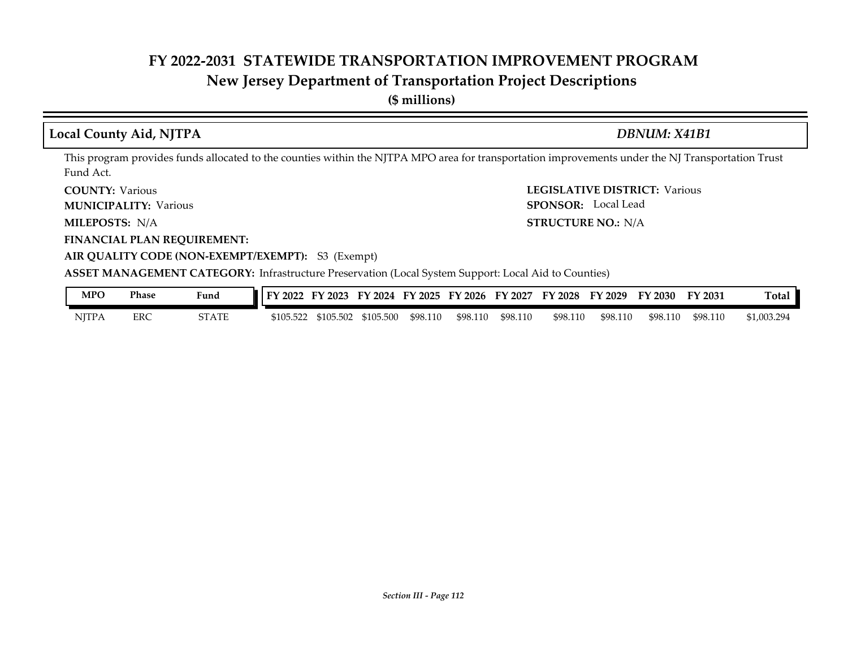# **New Jersey Department of Transportation Project Descriptions**

**(\$ millions)**

## **Local County Aid, NJTPA** *DBNUM: X41B1*

This program provides funds allocated to the counties within the NJTPA MPO area for transportation improvements under the NJ Transportation Trust Fund Act.

**COUNTY: Various** 

**MUNICIPALITY:** Various **SPONSOR:** 

MILEPOSTS: N/A

**FINANCIAL PLAN REQUIREMENT:**

**COUNTY: LEGISLATIVE DISTRICT:** Various **MILEPOSTS: STRUCTURE NO.:** N/A SPONSOR: Local Lead

#### **AIR QUALITY CODE (NON-EXEMPT/EXEMPT):** S3 (Exempt)

**ASSET MANAGEMENT CATEGORY:** Infrastructure Preservation (Local System Support: Local Aid to Counties)

| MPO          | Phase      | Fund         | FY 2022   | $'$ 2023<br>FV | FY 2024   | <b>FY 2025</b> | FY 2026  | FY 2027  | FY 2028  | FY 2029  | FY 2030  | FY 2031  | <b>Total</b> |
|--------------|------------|--------------|-----------|----------------|-----------|----------------|----------|----------|----------|----------|----------|----------|--------------|
| <b>NJTPA</b> | <b>ERC</b> | <b>STATE</b> | \$105.522 | \$105.502      | \$105.500 | \$98.110       | \$98.110 | \$98.110 | \$98.110 | \$98.110 | \$98.110 | \$98.110 | \$1,003.294  |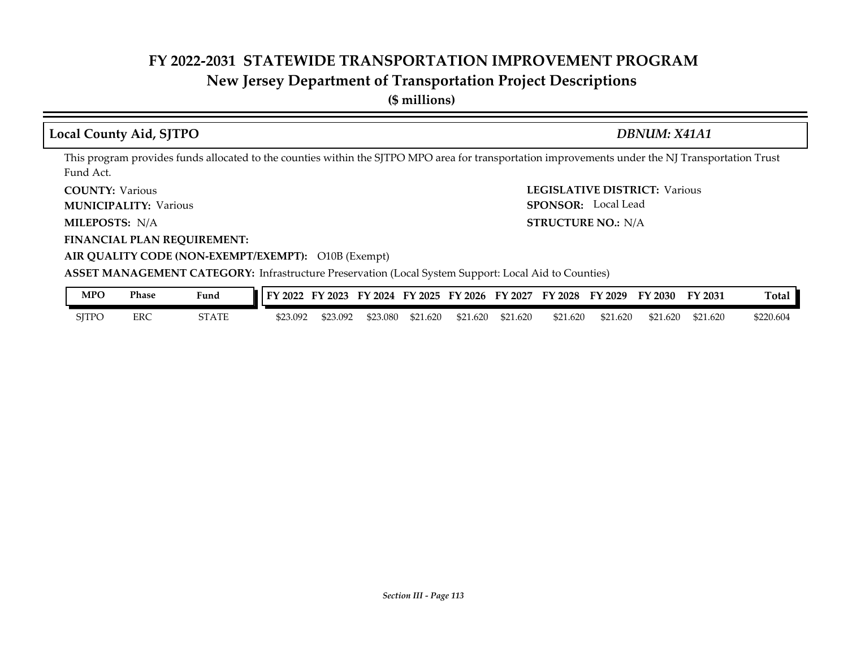# **New Jersey Department of Transportation Project Descriptions**

**(\$ millions)**

### **Local County Aid, SJTPO** *DBNUM: X41A1*

This program provides funds allocated to the counties within the SJTPO MPO area for transportation improvements under the NJ Transportation Trust Fund Act.

**COUNTY: Various** 

**MUNICIPALITY:** Various **SPONSOR:** 

MILEPOSTS: N/A

**FINANCIAL PLAN REQUIREMENT:**

**COUNTY: LEGISLATIVE DISTRICT:** Various **MILEPOSTS: STRUCTURE NO.:** N/A SPONSOR: Local Lead

#### **AIR QUALITY CODE (NON-EXEMPT/EXEMPT):** O10B (Exempt)

**ASSET MANAGEMENT CATEGORY:** Infrastructure Preservation (Local System Support: Local Aid to Counties)

| MPO          | <b>Phase</b> | Fund  | FY 2022  | FY 2023  | FY 2024  |          | FY 2025 FY 2026 | FY 2027  | <b>FY 2028</b> | FY 2029  | FY 2030  | FY 2031  | <b>Total</b> |
|--------------|--------------|-------|----------|----------|----------|----------|-----------------|----------|----------------|----------|----------|----------|--------------|
| <b>SITPO</b> | <b>ERC</b>   | STATE | \$23.092 | \$23.092 | \$23.080 | \$21.620 | \$21.620        | \$21.620 | \$21.620       | \$21.620 | \$21.620 | \$21.620 | \$220.604    |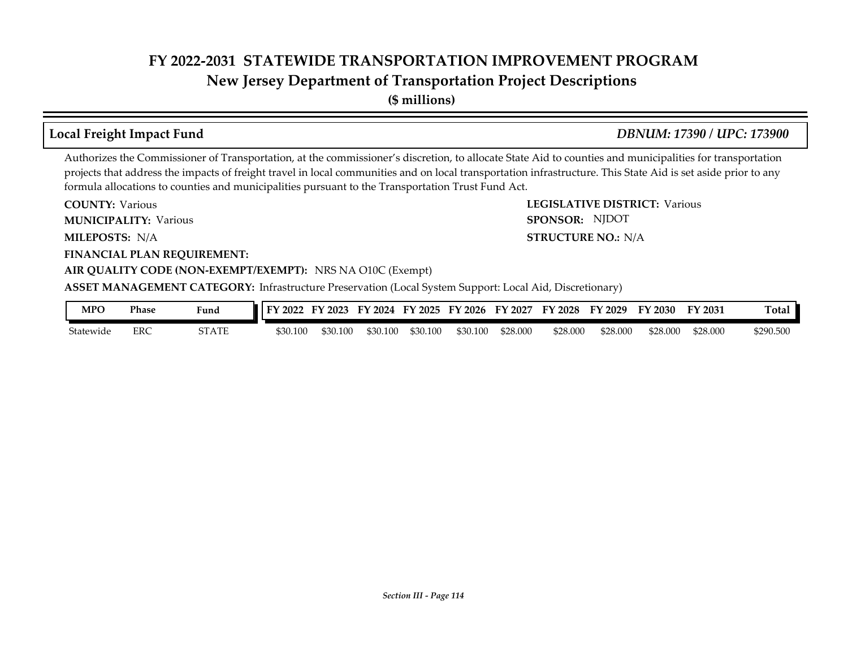**New Jersey Department of Transportation Project Descriptions**

**(\$ millions)**

### **Local Freight Impact Fund** *DBNUM: 17390 / UPC: 173900*

SPONSOR: NJDOT

Authorizes the Commissioner of Transportation, at the commissioner's discretion, to allocate State Aid to counties and municipalities for transportation projects that address the impacts of freight travel in local communities and on local transportation infrastructure. This State Aid is set aside prior to any formula allocations to counties and municipalities pursuant to the Transportation Trust Fund Act.

**COUNTY: LEGISLATIVE DISTRICT:** Various **COUNTY: Various** 

**MUNICIPALITY:** Various **SPONSOR:** 

**MILEPOSTS: STRUCTURE NO.:** N/A MILEPOSTS: N/A

**FINANCIAL PLAN REQUIREMENT:**

#### **AIR QUALITY CODE (NON-EXEMPT/EXEMPT):** NRS NA O10C (Exempt)

**ASSET MANAGEMENT CATEGORY:** Infrastructure Preservation (Local System Support: Local Aid, Discretionary)

| <b>MPC</b> | Phase | <b>Fund</b> | <b>IFY 2022</b> | FY 2023  | FY 2024 FY 2025 |          | FY 2026  | FY 2027  | <b>FY 2028</b> | FY 2029  | FY 2030  | FY 2031  | `otal     |
|------------|-------|-------------|-----------------|----------|-----------------|----------|----------|----------|----------------|----------|----------|----------|-----------|
| Statewide  | ERC   | STATE       | \$30.100        | \$30.100 | \$30.100        | \$30.100 | \$30.100 | \$28.000 | \$28.000       | \$28.000 | \$28.000 | \$28.000 | \$290.500 |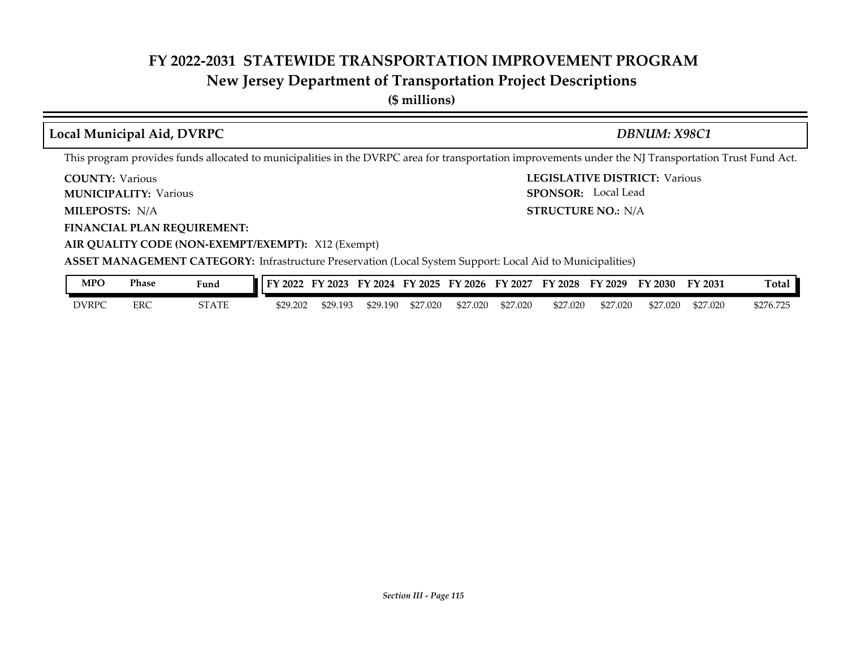## **New Jersey Department of Transportation Project Descriptions**

**(\$ millions)**

## **Local Municipal Aid, DVRPC** *DBNUM: X98C1*

This program provides funds allocated to municipalities in the DVRPC area for transportation improvements under the NJ Transportation Trust Fund Act.

**COUNTY: Various** 

**MUNICIPALITY:** Various **SPONSOR:** 

**MILEPOSTS: STRUCTURE NO.:** N/A

**FINANCIAL PLAN REQUIREMENT:**

**AIR QUALITY CODE (NON-EXEMPT/EXEMPT):** X12 (Exempt)

**COUNTY: LEGISLATIVE DISTRICT:** Various **STRUCTURE NO.: N/A** SPONSOR: Local Lead

**ASSET MANAGEMENT CATEGORY:** Infrastructure Preservation (Local System Support: Local Aid to Municipalities)

| <b>MPC</b>   | <b>Phase</b> | Fund  | FY 2022  | FY 2023  | FY 2024  | FY 2025  | FY 2026  | FY 2027  | FY 2028  | FY 2029  | FY 2030  | FY 2031  | <b>Total</b> |
|--------------|--------------|-------|----------|----------|----------|----------|----------|----------|----------|----------|----------|----------|--------------|
| <b>DVRPC</b> | <b>ERC</b>   | STATE | \$29.202 | \$29.193 | \$29.190 | \$27,020 | \$27,020 | \$27.020 | \$27.020 | \$27.020 | \$27.020 | \$27.020 | \$276.72     |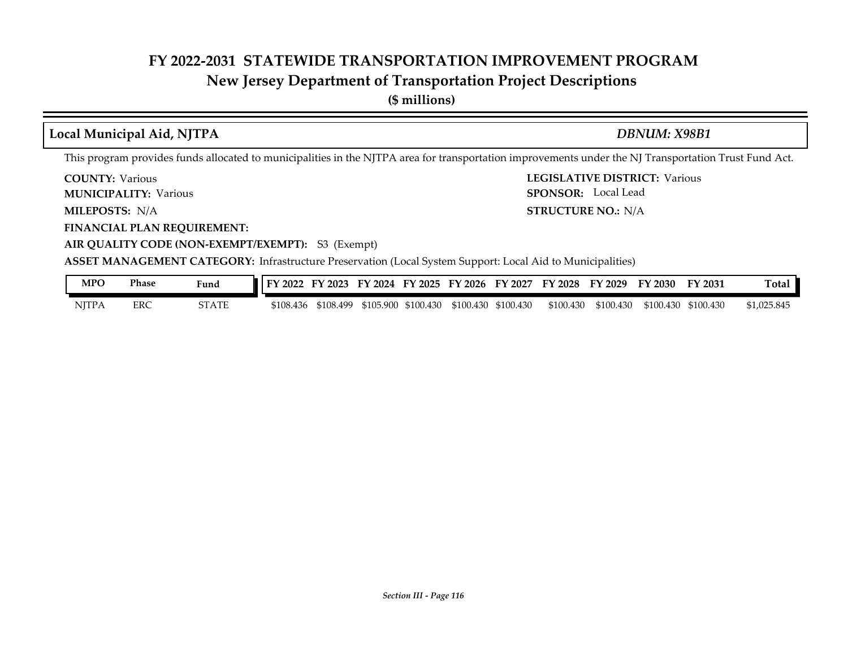## **New Jersey Department of Transportation Project Descriptions**

**(\$ millions)**

## **Local Municipal Aid, NJTPA** *DBNUM: X98B1*

This program provides funds allocated to municipalities in the NJTPA area for transportation improvements under the NJ Transportation Trust Fund Act.

**COUNTY: Various** 

**MUNICIPALITY:** Various **SPONSOR:** 

**MILEPOSTS: STRUCTURE NO.:** N/A MILEPOSTS: N/A

**FINANCIAL PLAN REQUIREMENT:**

**AIR QUALITY CODE (NON-EXEMPT/EXEMPT):** S3 (Exempt)

**COUNTY: LEGISLATIVE DISTRICT:** Various SPONSOR: Local Lead

**ASSET MANAGEMENT CATEGORY:** Infrastructure Preservation (Local System Support: Local Aid to Municipalities)

| MPO   | Phase | Fund         | <b>IFY 2022 FY 2023 FY 2024 FY 2025 FY 2026 FY 2027 FY 2028 FY 2029 FY 2030 FY 2031</b> |           |  |                                         |  |                     |                     | Total       |
|-------|-------|--------------|-----------------------------------------------------------------------------------------|-----------|--|-----------------------------------------|--|---------------------|---------------------|-------------|
| NITPA | ERC   | <b>STATE</b> | \$108.436                                                                               | \$108.499 |  | \$105.900 \$100.430 \$100.430 \$100.430 |  | \$100.430 \$100.430 | \$100.430 \$100.430 | \$1,025.845 |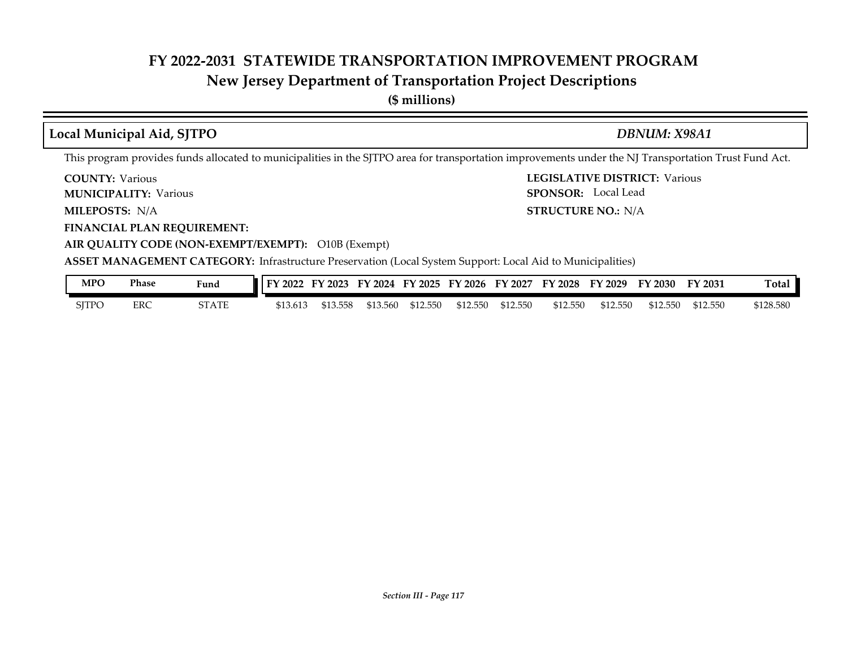# **New Jersey Department of Transportation Project Descriptions**

**(\$ millions)**

| Local Municipal Aid, SJTPO                                                                                                                                                                                                          | DBNUM: X98A1                                                                                                                                          |
|-------------------------------------------------------------------------------------------------------------------------------------------------------------------------------------------------------------------------------------|-------------------------------------------------------------------------------------------------------------------------------------------------------|
|                                                                                                                                                                                                                                     | This program provides funds allocated to municipalities in the SJTPO area for transportation improvements under the NJ Transportation Trust Fund Act. |
| <b>COUNTY: Various</b>                                                                                                                                                                                                              | <b>LEGISLATIVE DISTRICT: Various</b>                                                                                                                  |
| <b>MUNICIPALITY: Various</b>                                                                                                                                                                                                        | <b>SPONSOR:</b> Local Lead                                                                                                                            |
| <b>MILEPOSTS: N/A</b>                                                                                                                                                                                                               | <b>STRUCTURE NO.: N/A</b>                                                                                                                             |
| <b>FINANCIAL PLAN REQUIREMENT:</b>                                                                                                                                                                                                  |                                                                                                                                                       |
| AIR QUALITY CODE (NON-EXEMPT/EXEMPT): O10B (Exempt)                                                                                                                                                                                 |                                                                                                                                                       |
| <b>A COPT MAANIA CEMENIT CATECODY ICLUSTER IN THE CONTRACT IN THE UPPER CONTRACT OF A SECOND IN THE CONTRACT OF A SECOND IN THE CONTRACT OF A SECOND IN THE CONTRACT OF A SECOND IN THE CONTRACT OF A SECOND IN THE CONTRACT OF</b> |                                                                                                                                                       |

**ASSET MANAGEMENT CATEGORY:** Infrastructure Preservation (Local System Support: Local Aid to Municipalities)

| MPO          | Phase | Fund  | FY 2022 FY 2023 FY 2024 FY 2025 FY 2026 FY 2027 FY 2028 FY 2029 |          |          |          |          |          |          |          | FY 2030  | <b>FY 2031</b> | Total     |
|--------------|-------|-------|-----------------------------------------------------------------|----------|----------|----------|----------|----------|----------|----------|----------|----------------|-----------|
| <b>SITPO</b> | ERC   | STATE | \$13.613                                                        | \$13.558 | \$13.560 | \$12.550 | \$12.550 | \$12.550 | \$12.550 | \$12.550 | \$12.550 | \$12.550       | \$128.580 |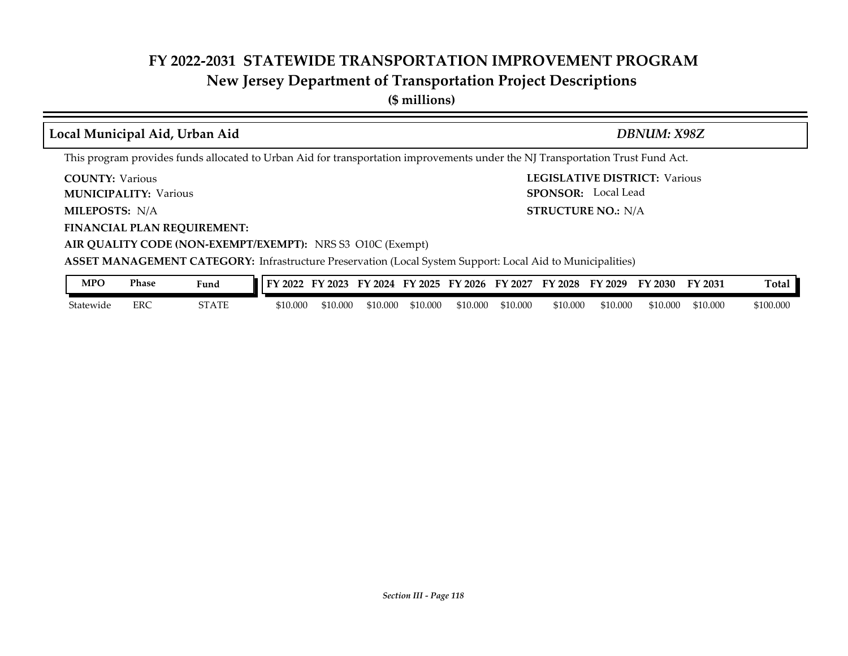**New Jersey Department of Transportation Project Descriptions**

**(\$ millions)**

| Local Municipal Aid, Urban Aid                         |                                    |                                                                                                                                                                                 |                      |                      |                                                                         | DBNUM: X98Z          |           |
|--------------------------------------------------------|------------------------------------|---------------------------------------------------------------------------------------------------------------------------------------------------------------------------------|----------------------|----------------------|-------------------------------------------------------------------------|----------------------|-----------|
|                                                        |                                    | This program provides funds allocated to Urban Aid for transportation improvements under the NJ Transportation Trust Fund Act.                                                  |                      |                      |                                                                         |                      |           |
| <b>COUNTY: Various</b><br><b>MUNICIPALITY: Various</b> |                                    |                                                                                                                                                                                 |                      |                      | <b>LEGISLATIVE DISTRICT: Various</b><br><b>SPONSOR:</b> Local Lead      |                      |           |
| <b>MILEPOSTS: N/A</b>                                  |                                    |                                                                                                                                                                                 |                      |                      | <b>STRUCTURE NO.: N/A</b>                                               |                      |           |
|                                                        | <b>FINANCIAL PLAN REQUIREMENT:</b> | AIR QUALITY CODE (NON-EXEMPT/EXEMPT): NRS S3 O10C (Exempt)<br><b>ASSET MANAGEMENT CATEGORY:</b> Infrastructure Preservation (Local System Support: Local Aid to Municipalities) |                      |                      |                                                                         |                      |           |
| <b>MPO</b>                                             | <b>Phase</b><br>Fund               |                                                                                                                                                                                 |                      |                      | FY 2022 FY 2023 FY 2024 FY 2025 FY 2026 FY 2027 FY 2028 FY 2029 FY 2030 | FY 2031              | Total     |
| Statewide                                              | <b>ERC</b><br><b>STATE</b>         | \$10.000<br>\$10.000                                                                                                                                                            | \$10.000<br>\$10.000 | \$10.000<br>\$10.000 | \$10,000<br>\$10,000                                                    | \$10.000<br>\$10.000 | \$100.000 |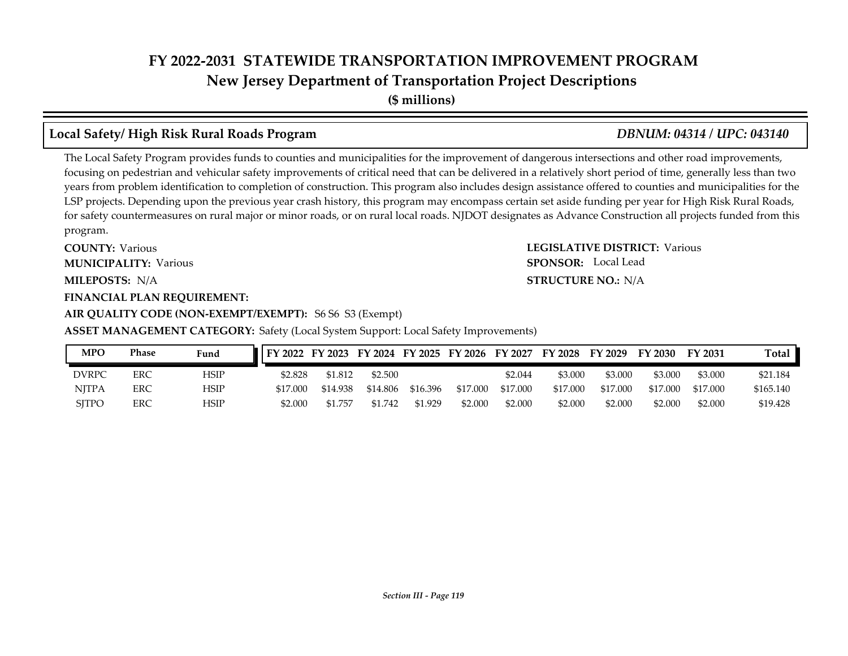**(\$ millions)**

### **Local Safety/ High Risk Rural Roads Program** *DBNUM: 04314 / UPC: 043140*

The Local Safety Program provides funds to counties and municipalities for the improvement of dangerous intersections and other road improvements, focusing on pedestrian and vehicular safety improvements of critical need that can be delivered in a relatively short period of time, generally less than two years from problem identification to completion of construction. This program also includes design assistance offered to counties and municipalities for the LSP projects. Depending upon the previous year crash history, this program may encompass certain set aside funding per year for High Risk Rural Roads, for safety countermeasures on rural major or minor roads, or on rural local roads. NJDOT designates as Advance Construction all projects funded from this program.

**COUNTY: LEGISLATIVE DISTRICT:** Various **MILEPOSTS: STRUCTURE NO.:** N/A **COUNTY: Various MUNICIPALITY:** Various **SPONSOR:** 

#### **FINANCIAL PLAN REQUIREMENT:**

#### **AIR QUALITY CODE (NON-EXEMPT/EXEMPT):** S6 S6 S3 (Exempt)

**ASSET MANAGEMENT CATEGORY:** Safety (Local System Support: Local Safety Improvements)

| MPO          | Phase | Fund | FY 2022 FY 2023 FY 2024 FY 2025 FY 2026 FY 2027 |          |          |          |          |          | FY 2028 FY 2029 |          | FY 2030  | FY 2031  | <b>Total</b> |
|--------------|-------|------|-------------------------------------------------|----------|----------|----------|----------|----------|-----------------|----------|----------|----------|--------------|
| DVRPC        | ERC   | HSIP | \$2.828                                         | \$1.812  | \$2.500  |          |          | \$2.044  | \$3.000         | \$3,000  | \$3.000  | \$3.000  | \$21.184     |
| <b>NITPA</b> | ERC   | HSIP | \$17,000                                        | \$14.938 | \$14.806 | \$16.396 | \$17.000 | \$17.000 | \$17.000        | \$17.000 | \$17.000 | \$17.000 | \$165.140    |
| <b>SITPO</b> | ERC   | HSIP | \$2.000                                         | \$1.757  | \$1.742  | \$1.929  | \$2.000  | \$2.000  | \$2.000         | \$2.000  | \$2.000  | \$2.000  | \$19.428     |

#### **STRUCTURE NO.: N/A SPONSOR:** Local Lead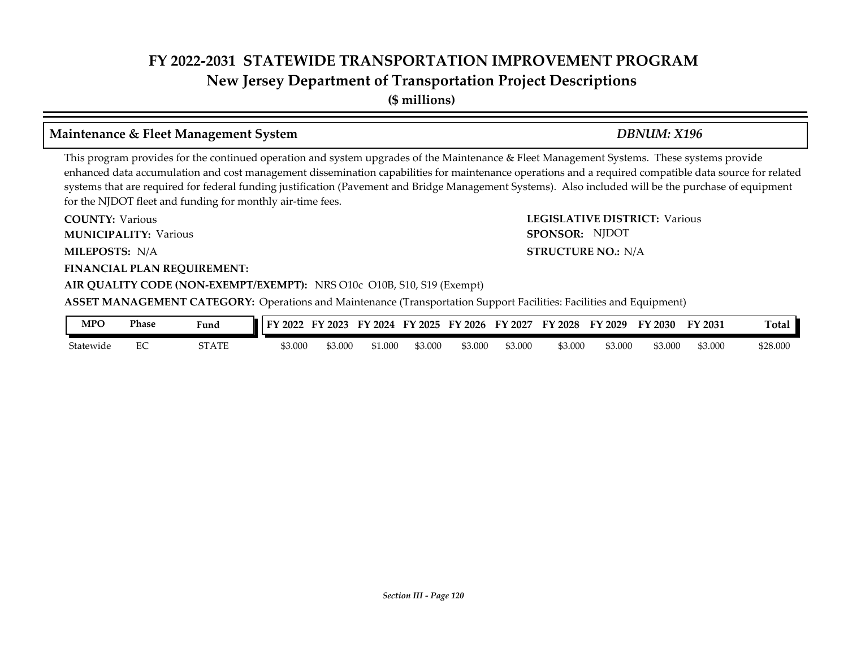**(\$ millions)**

#### **Maintenance & Fleet Management System** *DBNUM: X196*

This program provides for the continued operation and system upgrades of the Maintenance & Fleet Management Systems. These systems provide enhanced data accumulation and cost management dissemination capabilities for maintenance operations and a required compatible data source for related systems that are required for federal funding justification (Pavement and Bridge Management Systems). Also included will be the purchase of equipment for the NJDOT fleet and funding for monthly air-time fees.

**COUNTY: LEGISLATIVE DISTRICT:** Various **MILEPOSTS: STRUCTURE NO.:** N/A **FINANCIAL PLAN REQUIREMENT: AIR QUALITY CODE (NON-EXEMPT/EXEMPT):** NRS O10c O10B, S10, S19 (Exempt) **COUNTY: Various MUNICIPALITY:** Various **SPONSOR:** MILEPOSTS: N/A **ASSET MANAGEMENT CATEGORY:** Operations and Maintenance (Transportation Support Facilities: Facilities and Equipment) SPONSOR: NJDOT

| <b>MPC</b> | Phase              | Fund  | 2022<br>тv | $'$ 2023 | $\frac{1}{2}$ 2024<br>FY | FY 2025 | FY 2026 | FY 2027 | FY 2028 | FY 2029 | FY 2030 | FY 2031 | m<br>『otal |
|------------|--------------------|-------|------------|----------|--------------------------|---------|---------|---------|---------|---------|---------|---------|------------|
| Statewide  | $\sim$ $\sim$<br>∽ | STATE | \$3.000    | 53.000   | \$1.000                  | 53.000  | \$3.000 | \$3.000 | \$3.000 | \$3.000 | 53.000  | \$3.000 | \$28.000   |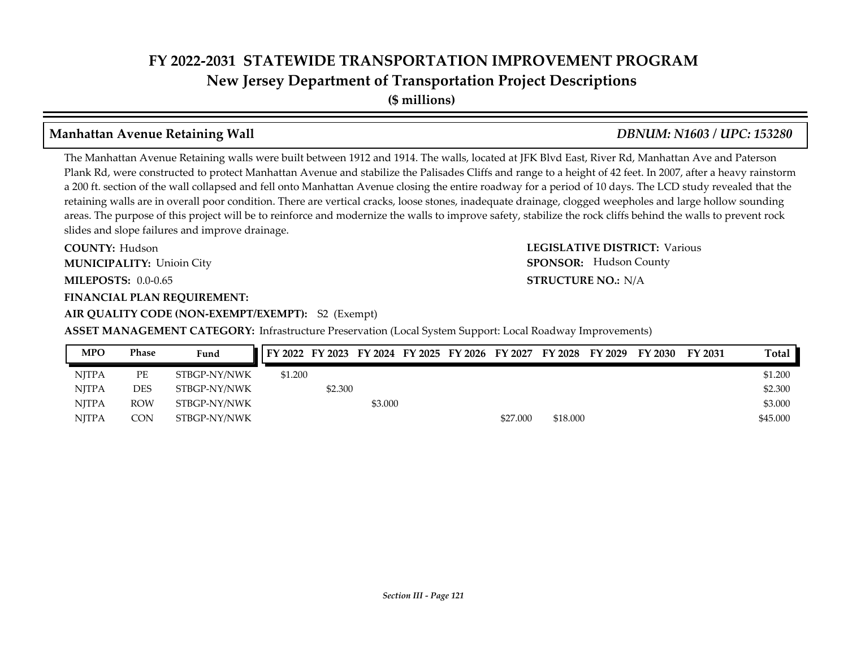**New Jersey Department of Transportation Project Descriptions**

**(\$ millions)**

## **Manhattan Avenue Retaining Wall** *DBNUM: N1603 / UPC: 153280*

The Manhattan Avenue Retaining walls were built between 1912 and 1914. The walls, located at JFK Blvd East, River Rd, Manhattan Ave and Paterson Plank Rd, were constructed to protect Manhattan Avenue and stabilize the Palisades Cliffs and range to a height of 42 feet. In 2007, after a heavy rainstorm a 200 ft. section of the wall collapsed and fell onto Manhattan Avenue closing the entire roadway for a period of 10 days. The LCD study revealed that the retaining walls are in overall poor condition. There are vertical cracks, loose stones, inadequate drainage, clogged weepholes and large hollow sounding areas. The purpose of this project will be to reinforce and modernize the walls to improve safety, stabilize the rock cliffs behind the walls to prevent rock slides and slope failures and improve drainage.

**COUNTY: LEGISLATIVE DISTRICT:** Various **MILEPOSTS: STRUCTURE NO.:** 0.0-0.65 **FINANCIAL PLAN REQUIREMENT: COUNTY: Hudson MUNICIPALITY:** Unioin City **SPONSOR:** 

## **AIR QUALITY CODE (NON-EXEMPT/EXEMPT):** S2 (Exempt)

**ASSET MANAGEMENT CATEGORY:** Infrastructure Preservation (Local System Support: Local Roadway Improvements)

| <b>MPO</b>   | <b>Phase</b> | Fund         | FY 2022 FY 2023 FY 2024 FY 2025 FY 2026 FY 2027 FY 2028 FY 2029 |         |         |  |          |          | FY 2030 | FY 2031 | Total    |
|--------------|--------------|--------------|-----------------------------------------------------------------|---------|---------|--|----------|----------|---------|---------|----------|
| <b>NITPA</b> | РE           | STBGP-NY/NWK | \$1.200                                                         |         |         |  |          |          |         |         | \$1.200  |
| <b>NITPA</b> | <b>DES</b>   | STBGP-NY/NWK |                                                                 | \$2.300 |         |  |          |          |         |         | \$2.300  |
| <b>NITPA</b> | <b>ROW</b>   | STBGP-NY/NWK |                                                                 |         | \$3.000 |  |          |          |         |         | \$3,000  |
| <b>NJTPA</b> | CON          | STBGP-NY/NWK |                                                                 |         |         |  | \$27,000 | \$18,000 |         |         | \$45,000 |

**STRUCTURE NO.: N/A** 

**SPONSOR:** Hudson County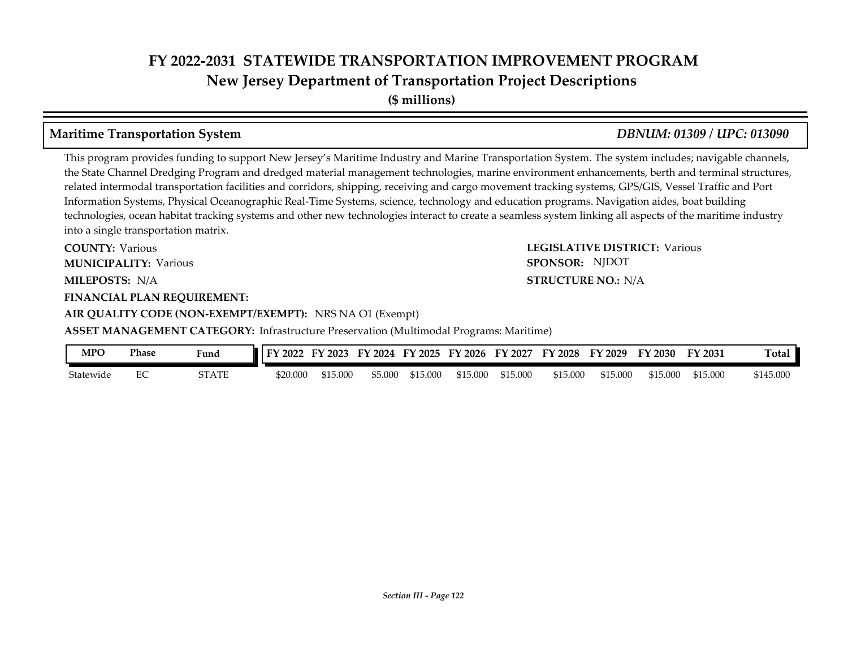**(\$ millions)**

### **Maritime Transportation System** *DBNUM: 01309 / UPC: 013090*

This program provides funding to support New Jersey's Maritime Industry and Marine Transportation System. The system includes; navigable channels, the State Channel Dredging Program and dredged material management technologies, marine environment enhancements, berth and terminal structures, related intermodal transportation facilities and corridors, shipping, receiving and cargo movement tracking systems, GPS/GIS, Vessel Traffic and Port Information Systems, Physical Oceanographic Real-Time Systems, science, technology and education programs. Navigation aides, boat building technologies, ocean habitat tracking systems and other new technologies interact to create a seamless system linking all aspects of the maritime industry into a single transportation matrix.

**COUNTY: LEGISLATIVE DISTRICT:** Various **MILEPOSTS: STRUCTURE NO.:** N/A **FINANCIAL PLAN REQUIREMENT: COUNTY: Various MUNICIPALITY:** Various **SPONSOR:** 

### **AIR QUALITY CODE (NON-EXEMPT/EXEMPT):** NRS NA O1 (Exempt)

**ASSET MANAGEMENT CATEGORY:** Infrastructure Preservation (Multimodal Programs: Maritime)

| MPO       | Phase | Fund  | 2022<br>тv. | $'$ 2023 | 2024<br>FY | FY 2025  | FY 2026  | FY 2027  | <b>FY 2028</b> | FY 2029  | FY 2030  | FY 2031  | $\sim$<br>`otal |
|-----------|-------|-------|-------------|----------|------------|----------|----------|----------|----------------|----------|----------|----------|-----------------|
| Statewide | ∽     | 5TATE | \$20.000    | \$15.000 | \$5.000    | \$15.000 | \$15.000 | \$15.000 | \$15,000       | \$15,000 | \$15.000 | \$15.000 | \$145.000       |

#### **STRUCTURE NO.: N/A**

SPONSOR: NJDOT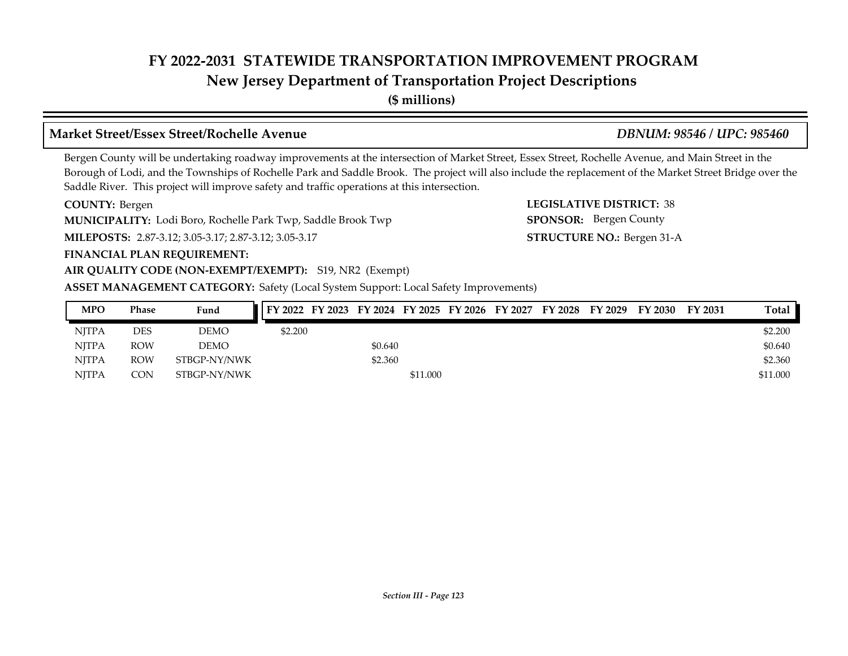# **New Jersey Department of Transportation Project Descriptions**

**(\$ millions)**

## **Market Street/Essex Street/Rochelle Avenue** *DBNUM: 98546 / UPC: 985460*

### Bergen County will be undertaking roadway improvements at the intersection of Market Street, Essex Street, Rochelle Avenue, and Main Street in the Borough of Lodi, and the Townships of Rochelle Park and Saddle Brook. The project will also include the replacement of the Market Street Bridge over the Saddle River. This project will improve safety and traffic operations at this intersection.

**COUNTY: LEGISLATIVE DISTRICT:** 38 COUNTY: Bergen

**MUNICIPALITY:** Lodi Boro, Rochelle Park Twp, Saddle Brook Twp **SPONSOR:** 

**MILEPOSTS: STRUCTURE NO.:** 2.87-3.12; 3.05-3.17; 2.87-3.12; 3.05-3.17

#### **FINANCIAL PLAN REQUIREMENT:**

#### **AIR QUALITY CODE (NON-EXEMPT/EXEMPT):** S19, NR2 (Exempt)

**ASSET MANAGEMENT CATEGORY:** Safety (Local System Support: Local Safety Improvements)

| <b>MPO</b>   | <b>Phase</b> | Fund         | FY 2022 FY 2023 FY 2024 FY 2025 FY 2026 FY 2027 |         |          |  | FY 2028 FY 2029 | FY 2030 | FY 2031 | Total    |
|--------------|--------------|--------------|-------------------------------------------------|---------|----------|--|-----------------|---------|---------|----------|
| <b>NITPA</b> | <b>DES</b>   | DEMO         | \$2,200                                         |         |          |  |                 |         |         | \$2,200  |
| <b>NITPA</b> | <b>ROW</b>   | DEMO         |                                                 | \$0.640 |          |  |                 |         |         | \$0.640  |
| <b>NITPA</b> | <b>ROW</b>   | STBGP-NY/NWK |                                                 | \$2.360 |          |  |                 |         |         | \$2.360  |
| <b>NITPA</b> | <b>CON</b>   | STBGP-NY/NWK |                                                 |         | \$11.000 |  |                 |         |         | \$11.000 |

STRUCTURE NO.: Bergen 31-A

SPONSOR: Bergen County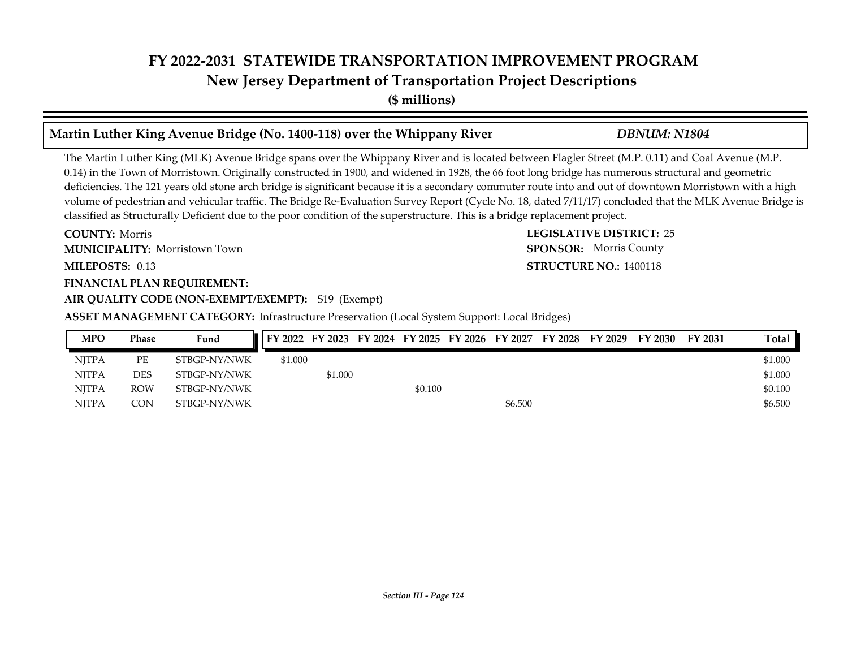**(\$ millions)**

#### **Martin Luther King Avenue Bridge (No. 1400-118) over the Whippany River** *DBNUM: N1804*

The Martin Luther King (MLK) Avenue Bridge spans over the Whippany River and is located between Flagler Street (M.P. 0.11) and Coal Avenue (M.P. 0.14) in the Town of Morristown. Originally constructed in 1900, and widened in 1928, the 66 foot long bridge has numerous structural and geometric deficiencies. The 121 years old stone arch bridge is significant because it is a secondary commuter route into and out of downtown Morristown with a high volume of pedestrian and vehicular traffic. The Bridge Re-Evaluation Survey Report (Cycle No. 18, dated 7/11/17) concluded that the MLK Avenue Bridge is classified as Structurally Deficient due to the poor condition of the superstructure. This is a bridge replacement project.

**COUNTY: LEGISLATIVE DISTRICT:** 25 **MILEPOSTS: STRUCTURE NO.:** 0.13 **COUNTY: Morris** Morristown Town **MUNICIPALITY: SPONSOR:**

#### **FINANCIAL PLAN REQUIREMENT:**

**AIR QUALITY CODE (NON-EXEMPT/EXEMPT):** S19 (Exempt)

**ASSET MANAGEMENT CATEGORY:** Infrastructure Preservation (Local System Support: Local Bridges)

| MPO          | Phase      | Fund         |         |         |         |         | FY 2022 FY 2023 FY 2024 FY 2025 FY 2026 FY 2027 FY 2028 FY 2029 | FY 2030 | FY 2031 | Total   |
|--------------|------------|--------------|---------|---------|---------|---------|-----------------------------------------------------------------|---------|---------|---------|
| <b>NITPA</b> | РE         | STBGP-NY/NWK | \$1.000 |         |         |         |                                                                 |         |         | \$1.000 |
| <b>NITPA</b> | DES        | STBGP-NY/NWK |         | \$1.000 |         |         |                                                                 |         |         | \$1.000 |
| <b>NITPA</b> | <b>ROW</b> | STBGP-NY/NWK |         |         | \$0.100 |         |                                                                 |         |         | \$0.100 |
| <b>NITPA</b> | CON        | STBGP-NY/NWK |         |         |         | \$6.500 |                                                                 |         |         | \$6.500 |

#### *Section III - Page 124*

**STRUCTURE NO.: 1400118** SPONSOR: Morris County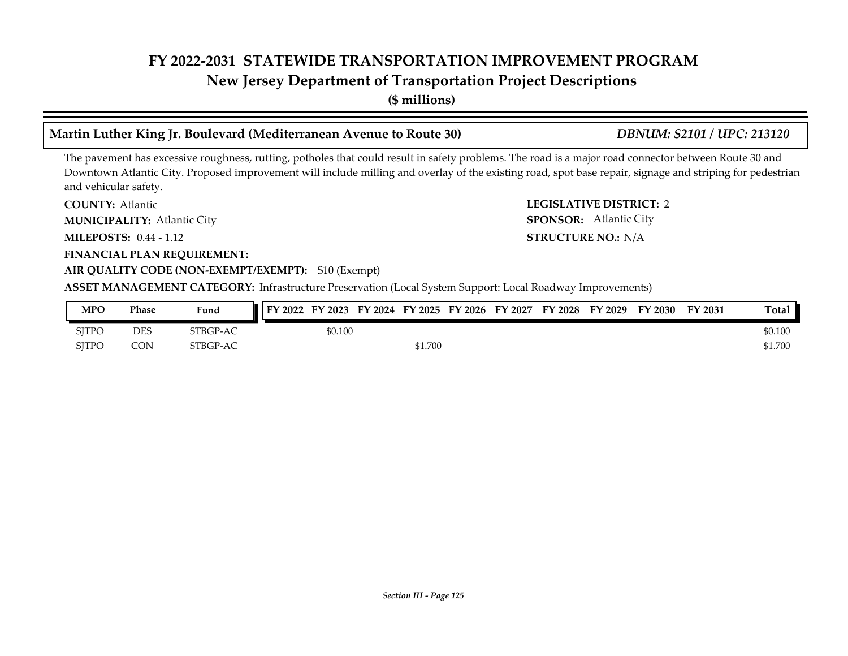# **New Jersey Department of Transportation Project Descriptions**

**(\$ millions)**

## **Martin Luther King Jr. Boulevard (Mediterranean Avenue to Route 30)** *DBNUM: S2101 / UPC: 213120*

The pavement has excessive roughness, rutting, potholes that could result in safety problems. The road is a major road connector between Route 30 and Downtown Atlantic City. Proposed improvement will include milling and overlay of the existing road, spot base repair, signage and striping for pedestrian and vehicular safety.

**COUNTY: Atlantic** 

Atlantic City **MUNICIPALITY: SPONSOR:**

**MILEPOSTS: STRUCTURE NO.:** 0.44 - 1.12

**FINANCIAL PLAN REQUIREMENT:**

#### **AIR QUALITY CODE (NON-EXEMPT/EXEMPT):** S10 (Exempt)

**ASSET MANAGEMENT CATEGORY:** Infrastructure Preservation (Local System Support: Local Roadway Improvements)

| <b>MPO</b>   | Phase | Fund     |         |         | FY 2022 FY 2023 FY 2024 FY 2025 FY 2026 FY 2027 FY 2028 | FY 2029 | FY 2030 | FY 2031 | Total   |
|--------------|-------|----------|---------|---------|---------------------------------------------------------|---------|---------|---------|---------|
| <b>SITPC</b> | DES   | STBGP-AC | \$0.100 |         |                                                         |         |         |         | \$0.100 |
| <b>SITPC</b> | CON   | STBGP-AC |         | \$1.700 |                                                         |         |         |         | \$1.700 |

**COUNTY: LEGISLATIVE DISTRICT:** 2 SPONSOR: Atlantic City

**STRUCTURE NO.: N/A**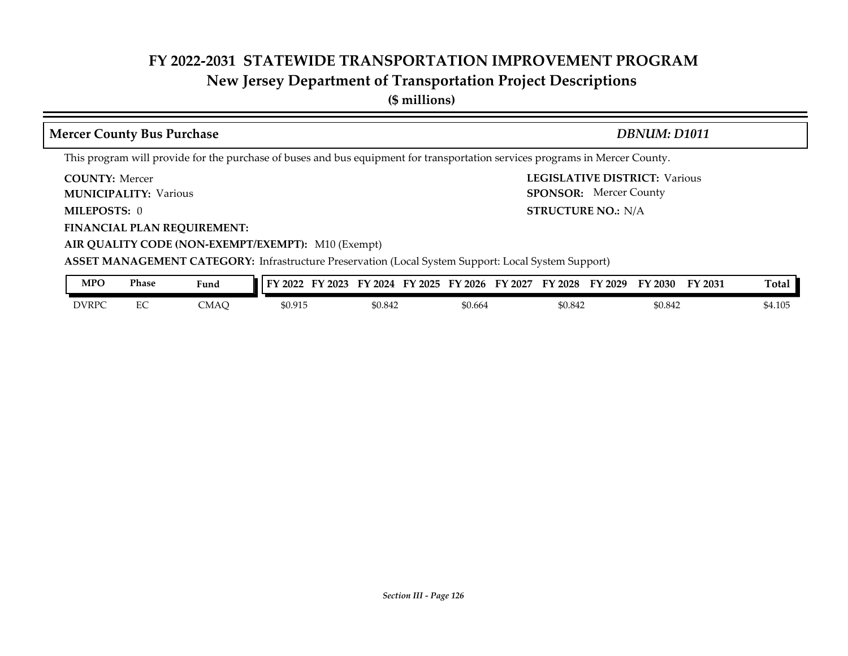# **New Jersey Department of Transportation Project Descriptions**

**(\$ millions)**

| <b>Mercer County Bus Purchase</b>                                                                                                                                                               | DBNUM: D1011                                                                                |  |  |  |  |  |  |  |  |  |
|-------------------------------------------------------------------------------------------------------------------------------------------------------------------------------------------------|---------------------------------------------------------------------------------------------|--|--|--|--|--|--|--|--|--|
| This program will provide for the purchase of buses and bus equipment for transportation services programs in Mercer County.                                                                    |                                                                                             |  |  |  |  |  |  |  |  |  |
| <b>COUNTY: Mercer</b><br><b>MUNICIPALITY: Various</b>                                                                                                                                           | <b>LEGISLATIVE DISTRICT: Various</b><br><b>SPONSOR:</b> Mercer County                       |  |  |  |  |  |  |  |  |  |
| MILEPOSTS: 0                                                                                                                                                                                    | <b>STRUCTURE NO.: N/A</b>                                                                   |  |  |  |  |  |  |  |  |  |
| <b>FINANCIAL PLAN REQUIREMENT:</b><br>AIR QUALITY CODE (NON-EXEMPT/EXEMPT): M10 (Exempt)<br>ASSET MANAGEMENT CATEGORY: Infrastructure Preservation (Local System Support: Local System Support) |                                                                                             |  |  |  |  |  |  |  |  |  |
| <b>MPO</b><br><b>Phase</b><br>Fund                                                                                                                                                              | FY 2022 FY 2023 FY 2024 FY 2025 FY 2026 FY 2027 FY 2028 FY 2029 FY 2030<br>Total<br>FY 2031 |  |  |  |  |  |  |  |  |  |

| MPO          | Phase | Fund | FY 2023<br>$\overline{1}$ FY 2022 | FY 2024<br>FY 2025 | FY 2027<br>$^{\prime}$ 2026<br>FY | FY 2028<br>FY 2029 | FY 2031<br>FY 2030 | Total   |
|--------------|-------|------|-----------------------------------|--------------------|-----------------------------------|--------------------|--------------------|---------|
| <b>DVRPC</b> | ∽     | CMAC | \$0.915                           | \$0.842            | \$0.664                           | \$0.842            | \$0.842            | \$4.105 |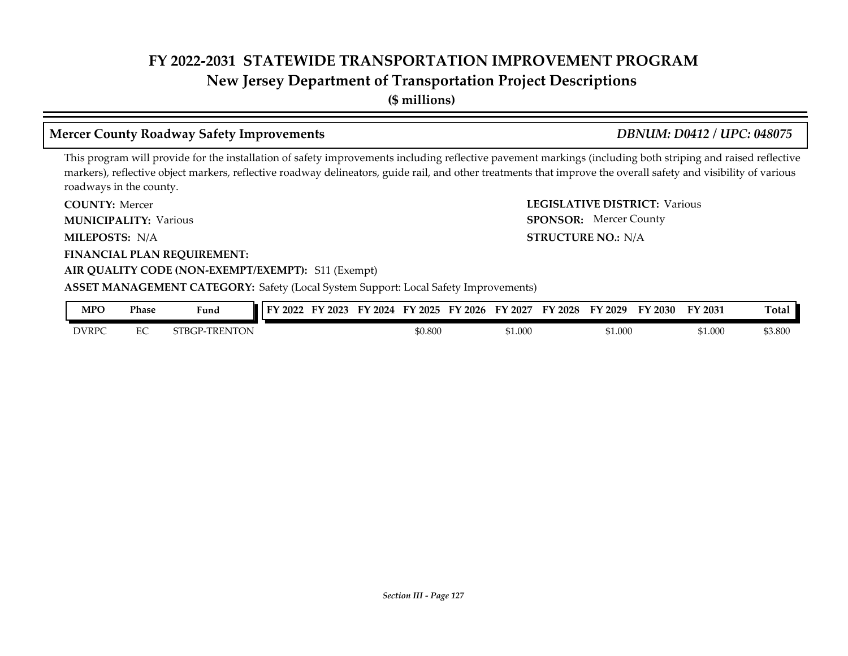**New Jersey Department of Transportation Project Descriptions**

**(\$ millions)**

## **Mercer County Roadway Safety Improvements** *DBNUM: D0412 / UPC: 048075*

SPONSOR: Mercer County

This program will provide for the installation of safety improvements including reflective pavement markings (including both striping and raised reflective markers), reflective object markers, reflective roadway delineators, guide rail, and other treatments that improve the overall safety and visibility of various roadways in the county.

**COUNTY: LEGISLATIVE DISTRICT:** Various **COUNTY: Mercer** 

**MUNICIPALITY:** Various **SPONSOR:** 

**MILEPOSTS: STRUCTURE NO.:** N/A MILEPOSTS: N/A

**FINANCIAL PLAN REQUIREMENT:**

#### **AIR QUALITY CODE (NON-EXEMPT/EXEMPT):** S11 (Exempt)

#### **ASSET MANAGEMENT CATEGORY:** Safety (Local System Support: Local Safety Improvements)

| MPO          | Phase                         | Fund                          | 2022<br>πν | $'$ 2023<br>. . | 2024<br>гν | 2025<br>ЕV | 2026<br>Е١ | 2027<br>FY | <b>FY 2028</b> | FY 2029 | FY 2030 | FY 2031 | $\mathbf{r}$<br>『otal |
|--------------|-------------------------------|-------------------------------|------------|-----------------|------------|------------|------------|------------|----------------|---------|---------|---------|-----------------------|
| <b>DVRPC</b> | $\overline{\phantom{a}}$<br>∽ | <b>ENTON</b><br><b>STBGP-</b> |            |                 |            | \$0.800    |            | \$1.000    |                | \$1.000 |         | \$1.000 | \$3.800               |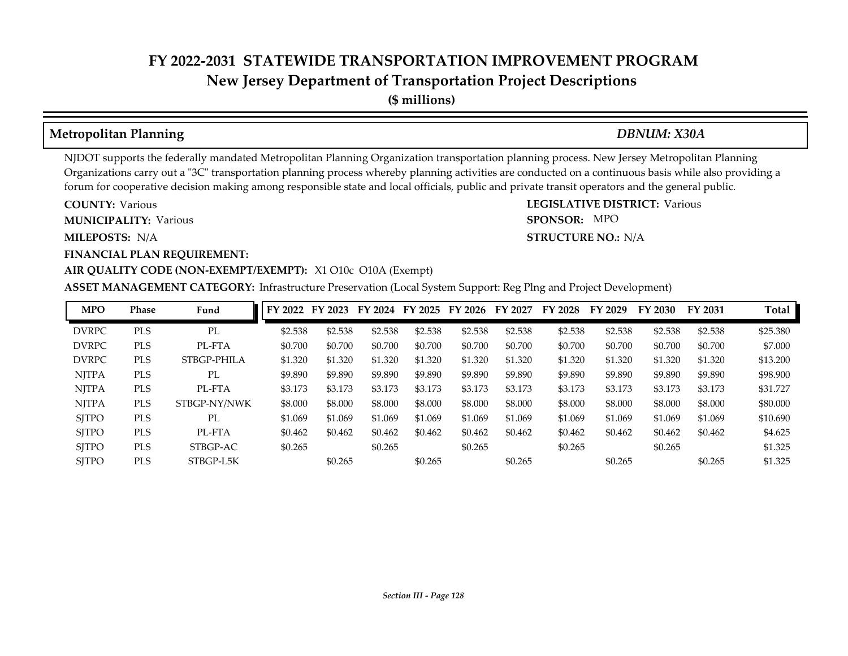**(\$ millions)**

### **Metropolitan Planning** *DBNUM: X30A*

SPONSOR: MPO

NJDOT supports the federally mandated Metropolitan Planning Organization transportation planning process. New Jersey Metropolitan Planning Organizations carry out a "3C" transportation planning process whereby planning activities are conducted on a continuous basis while also providing a forum for cooperative decision making among responsible state and local officials, public and private transit operators and the general public.

**COUNTY: LEGISLATIVE DISTRICT:** Various **COUNTY: Various MUNICIPALITY:** Various **SPONSOR:** 

**MILEPOSTS: STRUCTURE NO.:** N/A MILEPOSTS: N/A

#### **FINANCIAL PLAN REQUIREMENT:**

#### **AIR QUALITY CODE (NON-EXEMPT/EXEMPT):** X1 O10c O10A (Exempt)

**ASSET MANAGEMENT CATEGORY:** Infrastructure Preservation (Local System Support: Reg Plng and Project Development)

| <b>MPO</b>   | Phase      | Fund         | FY 2022 | FY 2023 | FY 2024 | FY 2025 | FY 2026 | FY 2027 | FY 2028 | FY 2029 | FY 2030 | FY 2031 | Total    |
|--------------|------------|--------------|---------|---------|---------|---------|---------|---------|---------|---------|---------|---------|----------|
| <b>DVRPC</b> | <b>PLS</b> | PL           | \$2.538 | \$2.538 | \$2.538 | \$2.538 | \$2.538 | \$2.538 | \$2.538 | \$2.538 | \$2.538 | \$2.538 | \$25,380 |
| <b>DVRPC</b> | <b>PLS</b> | PL-FTA       | \$0.700 | \$0.700 | \$0.700 | \$0.700 | \$0.700 | \$0.700 | \$0.700 | \$0.700 | \$0.700 | \$0.700 | \$7.000  |
| <b>DVRPC</b> | <b>PLS</b> | STBGP-PHILA  | \$1.320 | \$1.320 | \$1.320 | \$1.320 | \$1.320 | \$1.320 | \$1.320 | \$1.320 | \$1.320 | \$1.320 | \$13.200 |
| <b>NITPA</b> | <b>PLS</b> | PL           | \$9.890 | \$9.890 | \$9.890 | \$9.890 | \$9.890 | \$9.890 | \$9.890 | \$9.890 | \$9.890 | \$9.890 | \$98,900 |
| <b>NJTPA</b> | <b>PLS</b> | PL-FTA       | \$3.173 | \$3.173 | \$3.173 | \$3.173 | \$3.173 | \$3.173 | \$3.173 | \$3.173 | \$3.173 | \$3.173 | \$31.727 |
| <b>NITPA</b> | <b>PLS</b> | STBGP-NY/NWK | \$8,000 | \$8,000 | \$8,000 | \$8.000 | \$8,000 | \$8,000 | \$8,000 | \$8.000 | \$8.000 | \$8,000 | \$80,000 |
| <b>SITPO</b> | <b>PLS</b> | PL           | \$1.069 | \$1.069 | \$1.069 | \$1.069 | \$1.069 | \$1.069 | \$1.069 | \$1.069 | \$1.069 | \$1.069 | \$10.690 |
| <b>SJTPO</b> | <b>PLS</b> | PL-FTA       | \$0.462 | \$0.462 | \$0.462 | \$0.462 | \$0.462 | \$0.462 | \$0.462 | \$0.462 | \$0.462 | \$0.462 | \$4.625  |
| <b>SITPO</b> | <b>PLS</b> | STBGP-AC     | \$0.265 |         | \$0.265 |         | \$0.265 |         | \$0.265 |         | \$0.265 |         | \$1.325  |
| <b>SITPO</b> | <b>PLS</b> | STBGP-L5K    |         | \$0.265 |         | \$0.265 |         | \$0.265 |         | \$0.265 |         | \$0.265 | \$1.325  |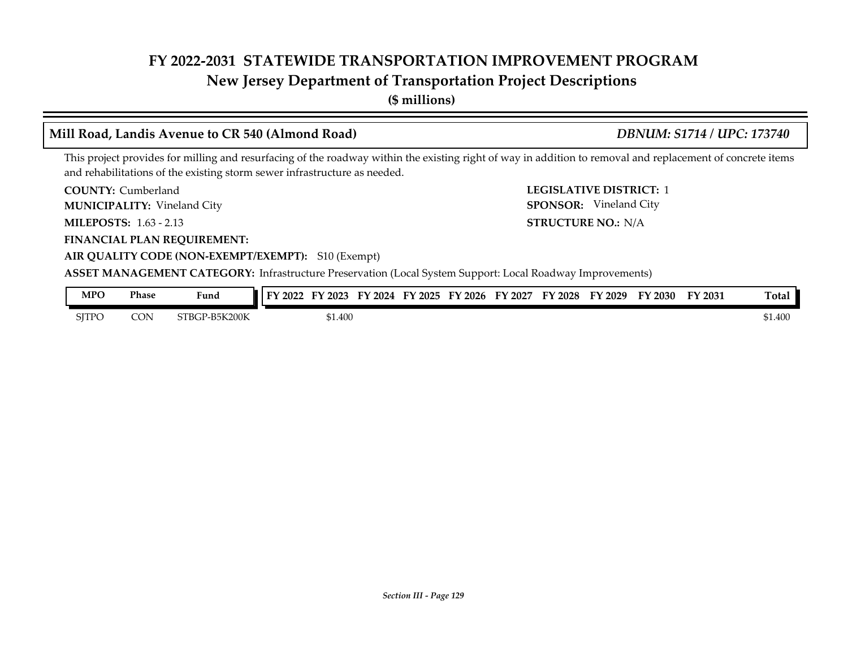## **New Jersey Department of Transportation Project Descriptions**

**(\$ millions)**

#### **COUNTY: LEGISLATIVE DISTRICT:** 1 **MILEPOSTS: STRUCTURE NO.:** 1.63 - 2.13 **FINANCIAL PLAN REQUIREMENT: AIR QUALITY CODE (NON-EXEMPT/EXEMPT):** S10 (Exempt) COUNTY: Cumberland Vineland City **MUNICIPALITY: SPONSOR:** STRUCTURE NO.: N/A **ASSET MANAGEMENT CATEGORY:** Infrastructure Preservation (Local System Support: Local Roadway Improvements) This project provides for milling and resurfacing of the roadway within the existing right of way in addition to removal and replacement of concrete items and rehabilitations of the existing storm sewer infrastructure as needed. **Mill Road, Landis Avenue to CR 540 (Almond Road)** *DBNUM: S1714 / UPC: 173740* SPONSOR: Vineland City

| <b>MPO</b>   | Phase | Fund          | FY 2022<br>FY 2023 | FY 2024 | FY 2025 | FY 2026 | FY 2027 | FY 2028 | FY 2029 | FY 2030 | FY 2031 | <b>Total</b>     |
|--------------|-------|---------------|--------------------|---------|---------|---------|---------|---------|---------|---------|---------|------------------|
| <b>SITPC</b> | CON   | STBGP-B5K200K |                    | \$1.400 |         |         |         |         |         |         |         | ታ1 400<br>J1.400 |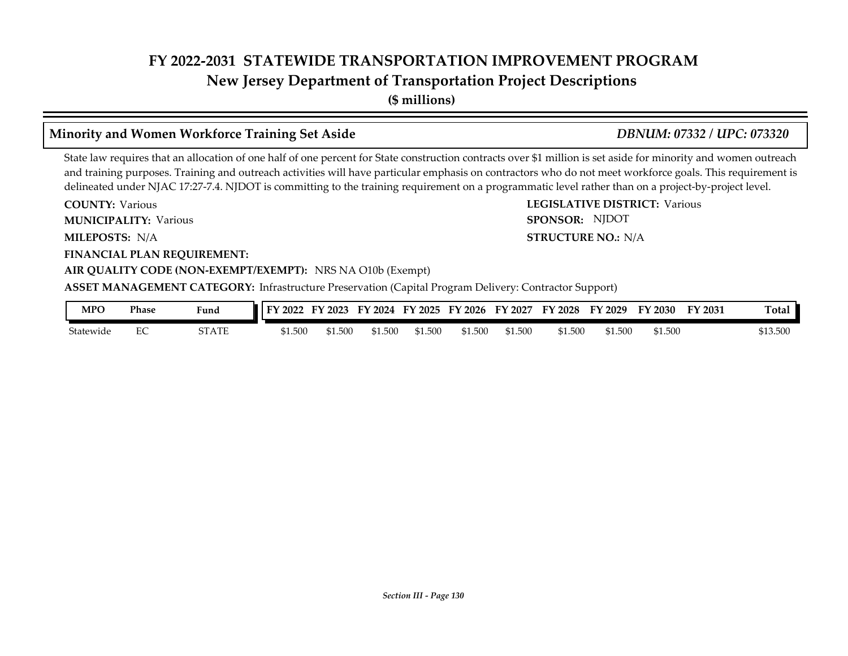**New Jersey Department of Transportation Project Descriptions**

**(\$ millions)**

### **Minority and Women Workforce Training Set Aside** *DBNUM: 07332 / UPC: 073320*

**STRUCTURE NO.: N/A** 

SPONSOR: NJDOT

State law requires that an allocation of one half of one percent for State construction contracts over \$1 million is set aside for minority and women outreach and training purposes. Training and outreach activities will have particular emphasis on contractors who do not meet workforce goals. This requirement is delineated under NJAC 17:27-7.4. NJDOT is committing to the training requirement on a programmatic level rather than on a project-by-project level.

**COUNTY: LEGISLATIVE DISTRICT:** Various **COUNTY: Various MUNICIPALITY:** Various **SPONSOR:** 

**MILEPOSTS: STRUCTURE NO.:** N/A

**FINANCIAL PLAN REQUIREMENT:**

#### **AIR QUALITY CODE (NON-EXEMPT/EXEMPT):** NRS NA O10b (Exempt)

**ASSET MANAGEMENT CATEGORY:** Infrastructure Preservation (Capital Program Delivery: Contractor Support)

| MPO       | Phase | Fund  | 2022    | 2023  | 12024<br>FY | FY 2025 | FY 2026 | FY<br>' 2027 | <b>FY 2028</b> | FY<br>2029 | FY 2030 | FY 2031 | <b>Total</b> |
|-----------|-------|-------|---------|-------|-------------|---------|---------|--------------|----------------|------------|---------|---------|--------------|
| Statewide | ∽     | STATE | \$1.500 | 1.500 | \$1.500     | \$1.500 | \$1.500 | \$1.500      | \$1.500        | \$1.500    | 51.500  |         | \$13.500     |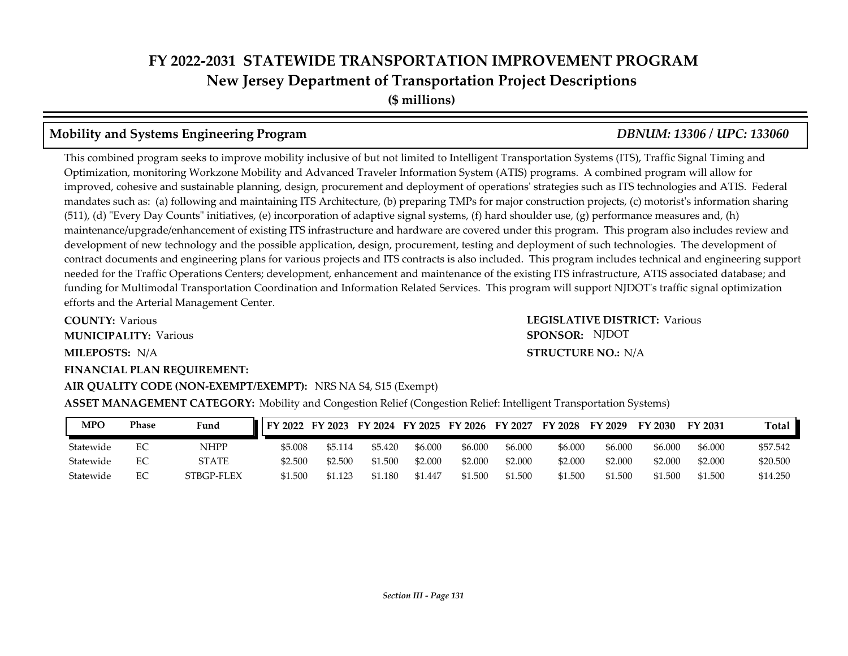#### **Mobility and Systems Engineering Program** *DBNUM: 13306 / UPC: 133060*

#### This combined program seeks to improve mobility inclusive of but not limited to Intelligent Transportation Systems (ITS), Traffic Signal Timing and Optimization, monitoring Workzone Mobility and Advanced Traveler Information System (ATIS) programs. A combined program will allow for improved, cohesive and sustainable planning, design, procurement and deployment of operations' strategies such as ITS technologies and ATIS. Federal mandates such as: (a) following and maintaining ITS Architecture, (b) preparing TMPs for major construction projects, (c) motorist's information sharing (511), (d) "Every Day Counts" initiatives, (e) incorporation of adaptive signal systems, (f) hard shoulder use, (g) performance measures and, (h) maintenance/upgrade/enhancement of existing ITS infrastructure and hardware are covered under this program. This program also includes review and development of new technology and the possible application, design, procurement, testing and deployment of such technologies. The development of contract documents and engineering plans for various projects and ITS contracts is also included. This program includes technical and engineering support needed for the Traffic Operations Centers; development, enhancement and maintenance of the existing ITS infrastructure, ATIS associated database; and funding for Multimodal Transportation Coordination and Information Related Services. This program will support NJDOT's traffic signal optimization efforts and the Arterial Management Center.

**COUNTY: LEGISLATIVE DISTRICT:** Various **MILEPOSTS: STRUCTURE NO.:** N/A **FINANCIAL PLAN REQUIREMENT: AIR QUALITY CODE (NON-EXEMPT/EXEMPT):** NRS NA S4, S15 (Exempt) **COUNTY: Various MUNICIPALITY:** Various **SPONSOR:** 

**STRUCTURE NO.: N/A** SPONSOR: NJDOT

**ASSET MANAGEMENT CATEGORY:** Mobility and Congestion Relief (Congestion Relief: Intelligent Transportation Systems)

| <b>MPO</b> | Phase | Fund       | FY 2022 FY 2023 FY 2024 FY 2025 FY 2026 FY 2027 |         |         |         |         |         | FY 2028 | FY 2029 | <b>FY 2030</b> | FY 2031 | Total    |
|------------|-------|------------|-------------------------------------------------|---------|---------|---------|---------|---------|---------|---------|----------------|---------|----------|
| Statewide  |       | NHPP       | \$5.008                                         | \$5.114 | \$5.420 | \$6.000 | \$6.000 | \$6,000 | \$6,000 | \$6.000 | \$6,000        | \$6,000 | \$57.542 |
| Statewide  |       | STATE      | \$2.500                                         | \$2.500 | \$1.500 | \$2.000 | \$2.000 | \$2.000 | \$2.000 | \$2.000 | \$2.000        | \$2.000 | \$20.500 |
| Statewide  |       | STBGP-FLEX | \$1.500                                         | \$1.123 | \$1.180 | \$1.447 | \$1.500 | \$1.500 | \$1.500 | \$1.500 | \$1.500        | \$1.500 | \$14.250 |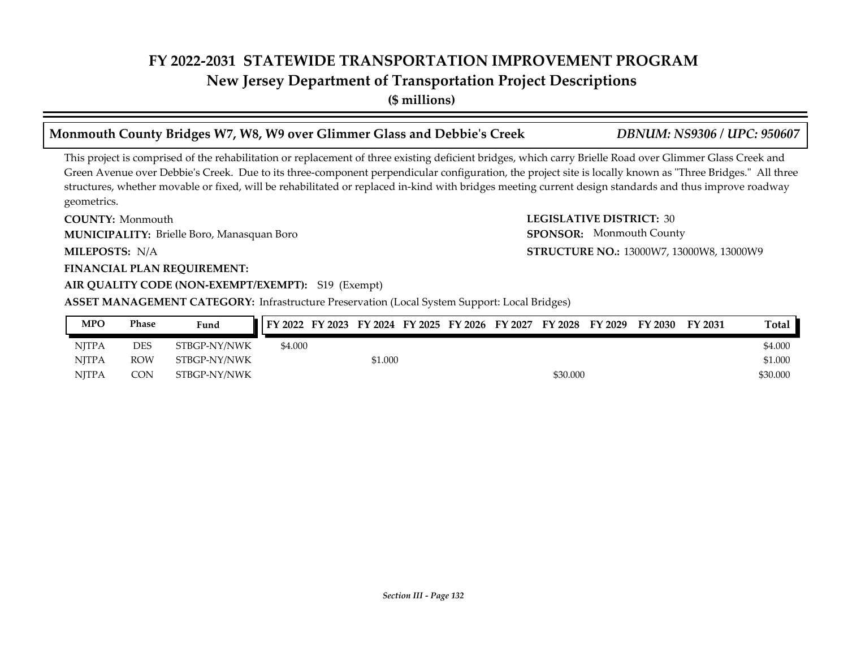**New Jersey Department of Transportation Project Descriptions**

**(\$ millions)**

### This project is comprised of the rehabilitation or replacement of three existing deficient bridges, which carry Brielle Road over Glimmer Glass Creek and Green Avenue over Debbie's Creek. Due to its three-component perpendicular configuration, the project site is locally known as "Three Bridges." All three structures, whether movable or fixed, will be rehabilitated or replaced in-kind with bridges meeting current design standards and thus improve roadway geometrics. **Monmouth County Bridges W7, W8, W9 over Glimmer Glass and Debbie's Creek** *DBNUM: NS9306 / UPC: 950607*

**COUNTY: LEGISLATIVE DISTRICT:** 30 **COUNTY: Monmouth** Brielle Boro, Manasquan Boro **MUNICIPALITY: SPONSOR:**

MILEPOSTS: N/A

#### **FINANCIAL PLAN REQUIREMENT:**

#### **AIR QUALITY CODE (NON-EXEMPT/EXEMPT):** S19 (Exempt)

**ASSET MANAGEMENT CATEGORY:** Infrastructure Preservation (Local System Support: Local Bridges)

| MPO          | Phase      | Fund         | FY 2022 | FY 2023 | FY 2024 FY 2025 | FY 2026 FY 2027 | FY 2028  | FY 2029 | FY 2030 | FY 2031 | <b>Total</b> |
|--------------|------------|--------------|---------|---------|-----------------|-----------------|----------|---------|---------|---------|--------------|
| <b>NJTPA</b> | <b>DES</b> | STBGP-NY/NWK | \$4.000 |         |                 |                 |          |         |         |         | \$4.000      |
| <b>NITPA</b> | ROW        | STBGP-NY/NWK |         |         | \$1.000         |                 |          |         |         |         | \$1.000      |
| <b>NITPA</b> | CON        | STBGP-NY/NWK |         |         |                 |                 | \$30.000 |         |         |         | \$30.000     |

*Section III - Page 132*

**MILEPOSTS: STRUCTURE NO.:** 13000W7, 13000W8, 13000W9 SPONSOR: Monmouth County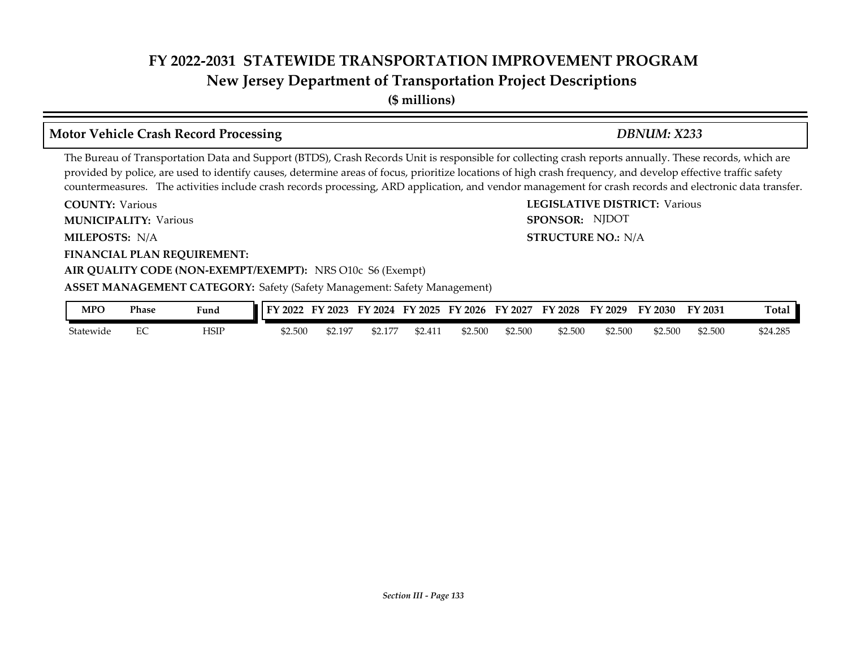**(\$ millions)**

### **Motor Vehicle Crash Record Processing** *DBNUM: X233*

The Bureau of Transportation Data and Support (BTDS), Crash Records Unit is responsible for collecting crash reports annually. These records, which are provided by police, are used to identify causes, determine areas of focus, prioritize locations of high crash frequency, and develop effective traffic safety countermeasures. The activities include crash records processing, ARD application, and vendor management for crash records and electronic data transfer.

**COUNTY: LEGISLATIVE DISTRICT:** Various **COUNTY: Various** 

**MUNICIPALITY:** Various **SPONSOR:** 

**MILEPOSTS: STRUCTURE NO.:** N/A MILEPOSTS: N/A

**FINANCIAL PLAN REQUIREMENT:**

#### **AIR QUALITY CODE (NON-EXEMPT/EXEMPT):** NRS O10c S6 (Exempt)

**ASSET MANAGEMENT CATEGORY:** Safety (Safety Management: Safety Management)

| MPO       | Phase | Fund | FY 2022 | 2023   | FY<br>2024 | <b>FY 2025</b>   | FY 2026 | FY<br>2027 | $\nabla$ 2028 | '2029<br>FY. | FY 2030 | FY 2031 | Total    |
|-----------|-------|------|---------|--------|------------|------------------|---------|------------|---------------|--------------|---------|---------|----------|
| Statewide | ◡     | HSIP | \$2.500 | 2.197م | 14.LI      | $.11-$<br>52.411 | \$2.500 | \$2.500    | \$2.500       | \$2.500      | \$2.500 | \$2.500 | \$24.285 |

SPONSOR: NJDOT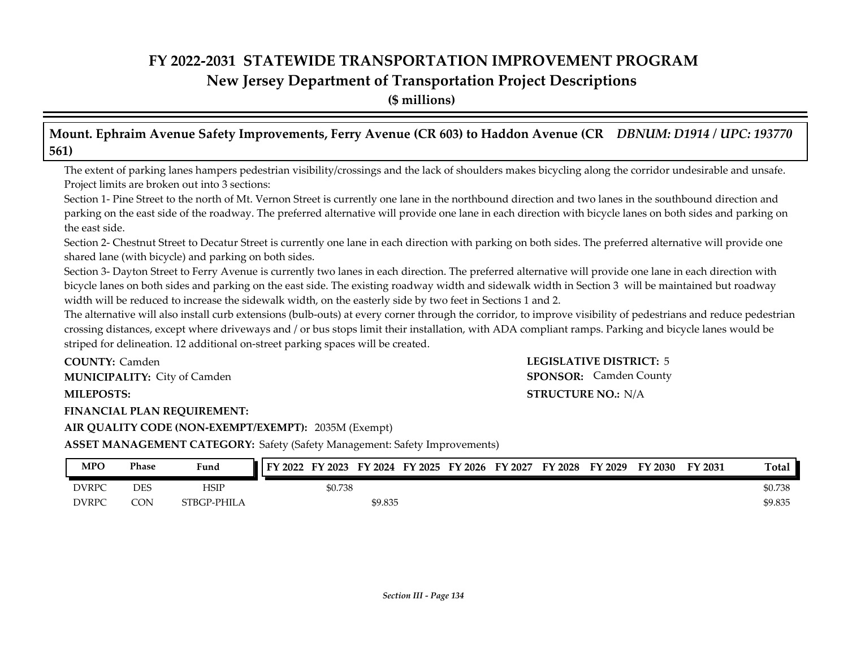**(\$ millions)**

**Mount. Ephraim Avenue Safety Improvements, Ferry Avenue (CR 603) to Haddon Avenue (CR** *DBNUM: D1914 / UPC: 193770* **561)**

The extent of parking lanes hampers pedestrian visibility/crossings and the lack of shoulders makes bicycling along the corridor undesirable and unsafe. Project limits are broken out into 3 sections:

Section 1- Pine Street to the north of Mt. Vernon Street is currently one lane in the northbound direction and two lanes in the southbound direction and parking on the east side of the roadway. The preferred alternative will provide one lane in each direction with bicycle lanes on both sides and parking on the east side.

Section 2- Chestnut Street to Decatur Street is currently one lane in each direction with parking on both sides. The preferred alternative will provide one shared lane (with bicycle) and parking on both sides.

Section 3- Dayton Street to Ferry Avenue is currently two lanes in each direction. The preferred alternative will provide one lane in each direction with bicycle lanes on both sides and parking on the east side. The existing roadway width and sidewalk width in Section 3 will be maintained but roadway width will be reduced to increase the sidewalk width, on the easterly side by two feet in Sections 1 and 2.

The alternative will also install curb extensions (bulb-outs) at every corner through the corridor, to improve visibility of pedestrians and reduce pedestrian crossing distances, except where driveways and / or bus stops limit their installation, with ADA compliant ramps. Parking and bicycle lanes would be striped for delineation. 12 additional on-street parking spaces will be created.

**COUNTY: LEGISLATIVE DISTRICT:** 5 **COUNTY: Camden MUNICIPALITY:** City of Camden **Communicies SPONSOR:** 

**FINANCIAL PLAN REQUIREMENT:**

# **MILEPOSTS: STRUCTURE NO.:** N/A **SPONSOR:** Camden County

**AIR QUALITY CODE (NON-EXEMPT/EXEMPT):** 2035M (Exempt)

**ASSET MANAGEMENT CATEGORY:** Safety (Safety Management: Safety Improvements)

| <b>MPO</b>   | Phase | Fund        | $\pm$ FY 2022 FY 2023 |         |         |  | FY 2024 FY 2025 FY 2026 FY 2027 | <b>FY 2028</b> | FY 2029 | FY 2030 | FY 2031 | Total   |
|--------------|-------|-------------|-----------------------|---------|---------|--|---------------------------------|----------------|---------|---------|---------|---------|
| <b>DVRPC</b> | DES   | HSIP        |                       | \$0.738 |         |  |                                 |                |         |         |         | \$0.738 |
| <b>DVRPC</b> | CON   | STBGP-PHILA |                       |         | \$9.835 |  |                                 |                |         |         |         | \$9.835 |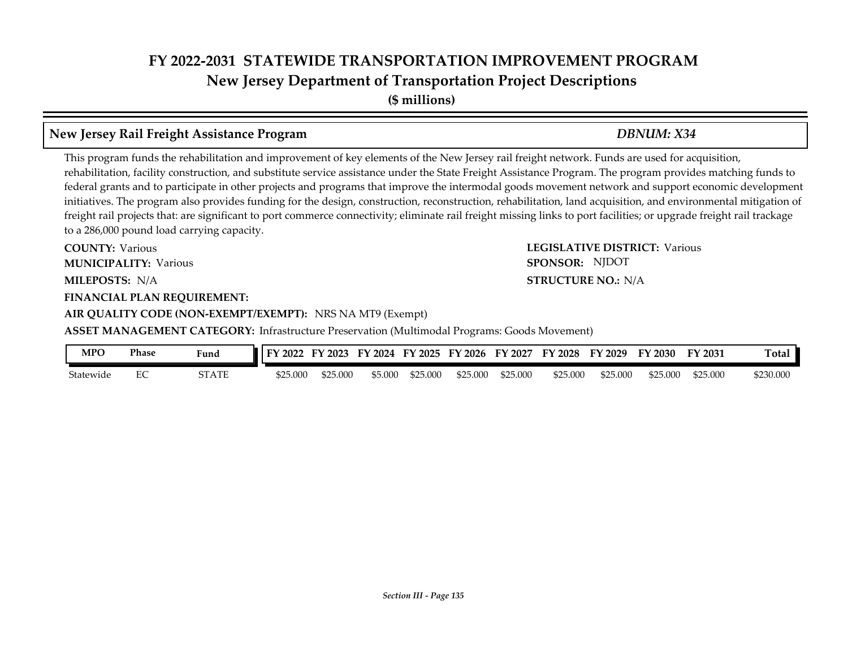**(\$ millions)**

### **New Jersey Rail Freight Assistance Program** *DBNUM: X34*

This program funds the rehabilitation and improvement of key elements of the New Jersey rail freight network. Funds are used for acquisition, rehabilitation, facility construction, and substitute service assistance under the State Freight Assistance Program. The program provides matching funds to federal grants and to participate in other projects and programs that improve the intermodal goods movement network and support economic development initiatives. The program also provides funding for the design, construction, reconstruction, rehabilitation, land acquisition, and environmental mitigation of freight rail projects that: are significant to port commerce connectivity; eliminate rail freight missing links to port facilities; or upgrade freight rail trackage to a 286,000 pound load carrying capacity.

**COUNTY: LEGISLATIVE DISTRICT:** Various **MILEPOSTS: STRUCTURE NO.:** N/A **FINANCIAL PLAN REQUIREMENT: COUNTY: Various MUNICIPALITY:** Various **SPONSOR:** 

# **AIR QUALITY CODE (NON-EXEMPT/EXEMPT):** NRS NA MT9 (Exempt)

**ASSET MANAGEMENT CATEGORY:** Infrastructure Preservation (Multimodal Programs: Goods Movement)

| MPO       | Phase         | Funa  | FV<br>2022 | $F\mathbf{V}$<br>2023 | FV<br>2024 | FY 2025  | FY 2026  | EV<br>2027 | FY 2028  | FV<br>$'$ 2029 | FY 2030  | FY 2031  | <b>Total</b> |
|-----------|---------------|-------|------------|-----------------------|------------|----------|----------|------------|----------|----------------|----------|----------|--------------|
| Statewide | $\Gamma$<br>∽ | STATE | \$25.000   | 625.000               | 5.000م     | \$25.000 | \$25,000 | \$25,000   | \$25,000 | \$25,000       | \$25.000 | \$25.000 | \$230.000    |

#### **STRUCTURE NO.: N/A**

SPONSOR: NJDOT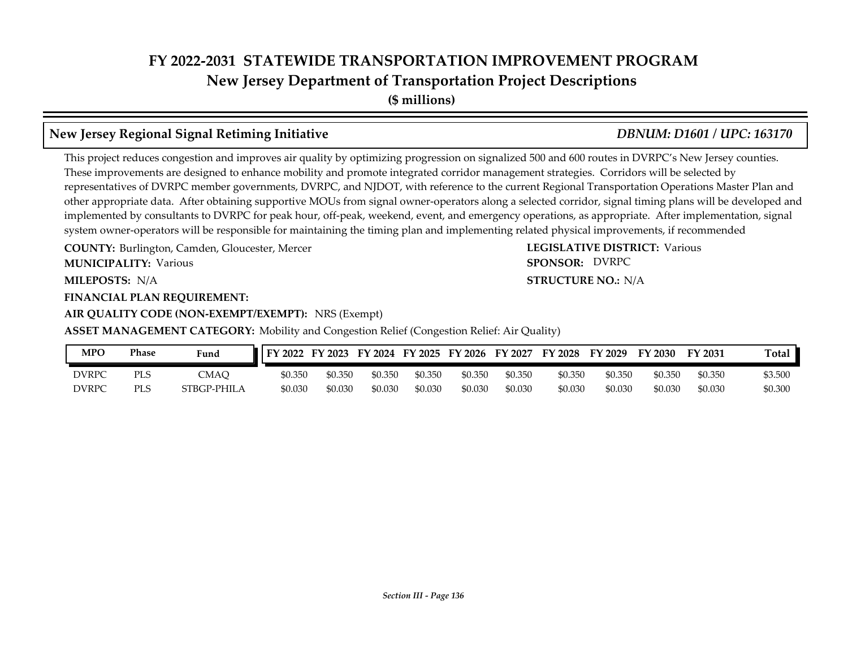**(\$ millions)**

## **New Jersey Regional Signal Retiming Initiative** *DBNUM: D1601 / UPC: 163170*

This project reduces congestion and improves air quality by optimizing progression on signalized 500 and 600 routes in DVRPC's New Jersey counties. These improvements are designed to enhance mobility and promote integrated corridor management strategies. Corridors will be selected by representatives of DVRPC member governments, DVRPC, and NJDOT, with reference to the current Regional Transportation Operations Master Plan and other appropriate data. After obtaining supportive MOUs from signal owner-operators along a selected corridor, signal timing plans will be developed and implemented by consultants to DVRPC for peak hour, off-peak, weekend, event, and emergency operations, as appropriate. After implementation, signal system owner-operators will be responsible for maintaining the timing plan and implementing related physical improvements, if recommended

**COUNTY: LEGISLATIVE DISTRICT:** Burlington, Camden, Gloucester, Mercer

**MUNICIPALITY:** Various **SPONSOR:** 

**MILEPOSTS: STRUCTURE NO.:** N/A

#### **FINANCIAL PLAN REQUIREMENT:**

**AIR QUALITY CODE (NON-EXEMPT/EXEMPT):** NRS (Exempt)

**ASSET MANAGEMENT CATEGORY:** Mobility and Congestion Relief (Congestion Relief: Air Quality)

| MPC   | Phase      | Fund        | FY 2022 | FY 2023 |         |         | FY 2024 FY 2025 FY 2026 | FY 2027 | FY 2028 | FY 2029 | FY 2030 | FY 2031 | Total   |
|-------|------------|-------------|---------|---------|---------|---------|-------------------------|---------|---------|---------|---------|---------|---------|
| DVRPC | <b>PLS</b> | <b>CMAQ</b> | \$0.350 | \$0.350 | \$0.350 | \$0.350 | \$0.350                 | \$0.350 | \$0.350 | \$0.350 | \$0.350 | \$0.350 | \$3.500 |
| DVRPC | <b>PLS</b> | STBGP-PHILA | \$0.030 | \$0.030 | \$0.030 | \$0.030 | \$0.030                 | \$0.030 | \$0.030 | \$0.030 | \$0.030 | \$0.030 | \$0.300 |

#### **STRUCTURE NO.: N/A** SPONSOR: DVRPC

**LEGISLATIVE DISTRICT: Various**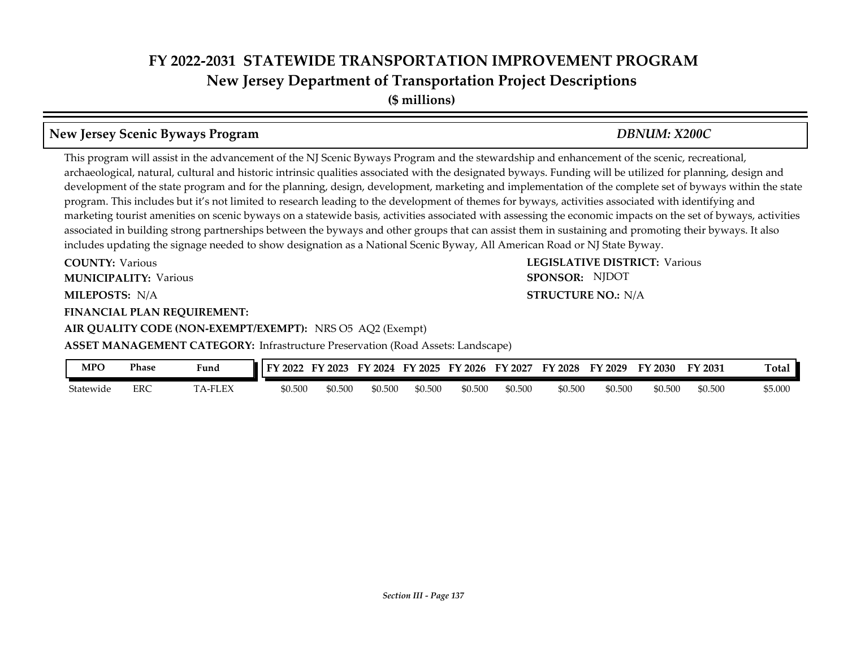**(\$ millions)**

### **New Jersey Scenic Byways Program** *DBNUM: X200C*

This program will assist in the advancement of the NJ Scenic Byways Program and the stewardship and enhancement of the scenic, recreational, archaeological, natural, cultural and historic intrinsic qualities associated with the designated byways. Funding will be utilized for planning, design and development of the state program and for the planning, design, development, marketing and implementation of the complete set of byways within the state program. This includes but it's not limited to research leading to the development of themes for byways, activities associated with identifying and marketing tourist amenities on scenic byways on a statewide basis, activities associated with assessing the economic impacts on the set of byways, activities associated in building strong partnerships between the byways and other groups that can assist them in sustaining and promoting their byways. It also includes updating the signage needed to show designation as a National Scenic Byway, All American Road or NJ State Byway.

**COUNTY: LEGISLATIVE DISTRICT:** Various **COUNTY: Various** 

**MUNICIPALITY:** Various **SPONSOR:** 

**MILEPOSTS: STRUCTURE NO.:** N/A MILEPOSTS: N/A

**FINANCIAL PLAN REQUIREMENT:**

**AIR QUALITY CODE (NON-EXEMPT/EXEMPT):** NRS O5 AQ2 (Exempt)

**ASSET MANAGEMENT CATEGORY: Infrastructure Preservation (Road Assets: Landscape)** 

| <b>MPC</b> | Phase      | Fund   | FV<br>2022 | FV<br>2023 | $F\mathbf{V}$<br>2024 | FY 2025 | FY 2026 | FY 2027 | FY<br>12028 | FY 2029 | FV<br>$\sim$ 2030 $\sim$ | FY 2031 | <b>Total</b> |
|------------|------------|--------|------------|------------|-----------------------|---------|---------|---------|-------------|---------|--------------------------|---------|--------------|
| Statewide  | <b>ERC</b> | A-FLEX | \$0.500    | \$0.500    | \$0.500               | \$0.500 | \$0.500 | \$0.500 | \$0.500     | \$0.500 | \$0.500                  | \$0.500 | \$5.000      |

SPONSOR: NJDOT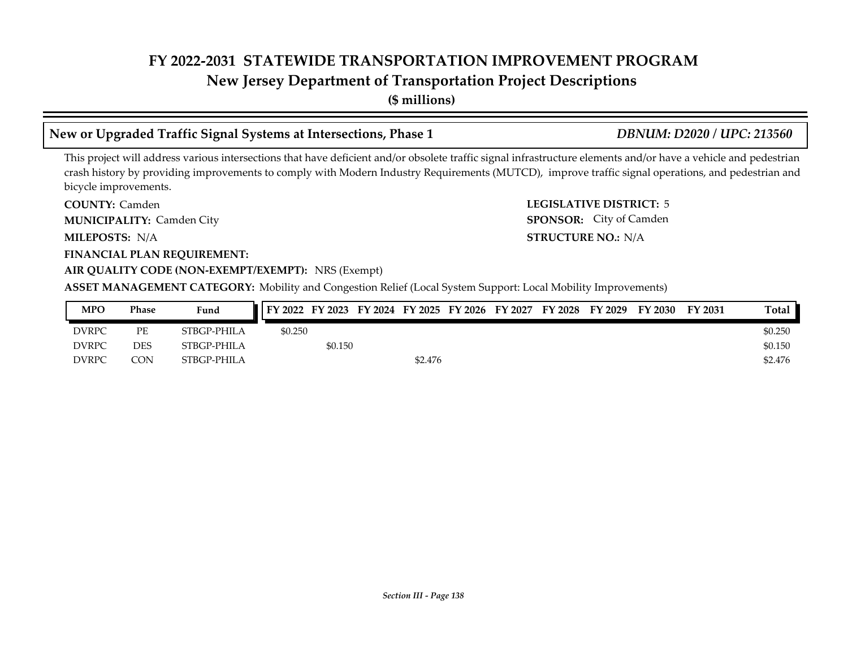# **New Jersey Department of Transportation Project Descriptions**

**(\$ millions)**

## **New or Upgraded Traffic Signal Systems at Intersections, Phase 1** *DBNUM: D2020 / UPC: 213560*

This project will address various intersections that have deficient and/or obsolete traffic signal infrastructure elements and/or have a vehicle and pedestrian crash history by providing improvements to comply with Modern Industry Requirements (MUTCD), improve traffic signal operations, and pedestrian and bicycle improvements.

**COUNTY: LEGISLATIVE DISTRICT:** 5 COUNTY: Camden

**MUNICIPALITY:** Camden City **SPONSOR:** 

**MILEPOSTS: STRUCTURE NO.:** N/A MILEPOSTS: N/A

**FINANCIAL PLAN REQUIREMENT:**

#### **AIR QUALITY CODE (NON-EXEMPT/EXEMPT):** NRS (Exempt)

**ASSET MANAGEMENT CATEGORY:** Mobility and Congestion Relief (Local System Support: Local Mobility Improvements)

| <b>MPO</b>   | Phase      | Fund        |         |         |         |  | FY 2022 FY 2023 FY 2024 FY 2025 FY 2026 FY 2027 FY 2028 FY 2029 | FY 2030 | FY 2031 | Total   |
|--------------|------------|-------------|---------|---------|---------|--|-----------------------------------------------------------------|---------|---------|---------|
| <b>DVRPC</b> | PЕ         | STBGP-PHILA | \$0.250 |         |         |  |                                                                 |         |         | \$0.250 |
| <b>DVRPC</b> | <b>DES</b> | STBGP-PHILA |         | \$0.150 |         |  |                                                                 |         |         | \$0.150 |
| <b>DVRPC</b> | <b>CON</b> | STBGP-PHILA |         |         | \$2.476 |  |                                                                 |         |         | \$2.476 |

SPONSOR: City of Camden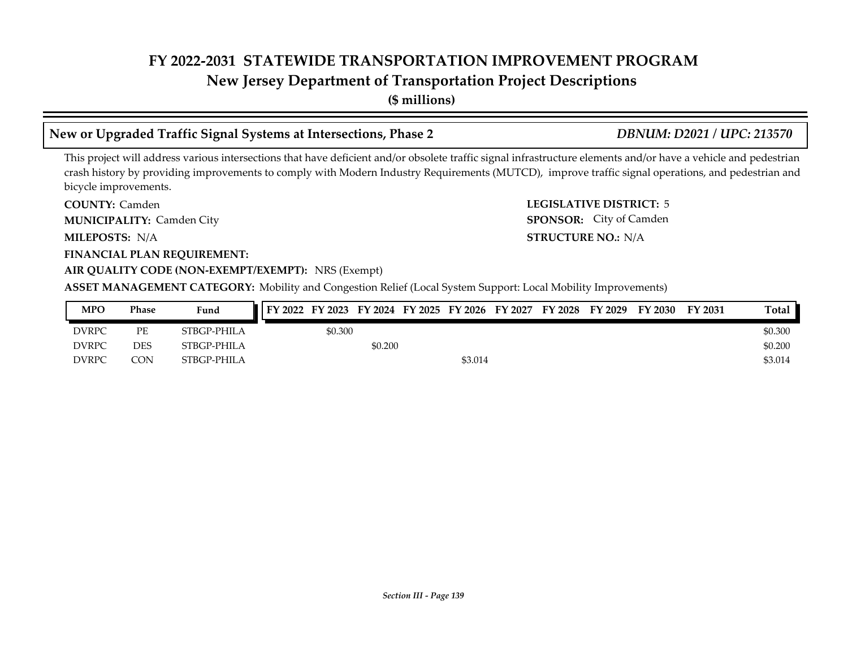# **New Jersey Department of Transportation Project Descriptions**

**(\$ millions)**

## **New or Upgraded Traffic Signal Systems at Intersections, Phase 2** *DBNUM: D2021 / UPC: 213570*

This project will address various intersections that have deficient and/or obsolete traffic signal infrastructure elements and/or have a vehicle and pedestrian crash history by providing improvements to comply with Modern Industry Requirements (MUTCD), improve traffic signal operations, and pedestrian and bicycle improvements.

**COUNTY: LEGISLATIVE DISTRICT:** 5 COUNTY: Camden

**MUNICIPALITY:** Camden City **SPONSOR:** 

**MILEPOSTS: STRUCTURE NO.:** N/A MILEPOSTS: N/A

**FINANCIAL PLAN REQUIREMENT:**

#### **AIR QUALITY CODE (NON-EXEMPT/EXEMPT):** NRS (Exempt)

**ASSET MANAGEMENT CATEGORY:** Mobility and Congestion Relief (Local System Support: Local Mobility Improvements)

| MPO          | Phase | Fund        | FY 2022 | FY 2023 |         | FY 2024 FY 2025 FY 2026 | FY 2027 | FY 2028 | FY 2029 | FV<br>2030 | FY 2031 | Total   |
|--------------|-------|-------------|---------|---------|---------|-------------------------|---------|---------|---------|------------|---------|---------|
| <b>DVRPC</b> | PЕ    | STBGP-PHILA |         | \$0.300 |         |                         |         |         |         |            |         | \$0.300 |
| <b>DVRPC</b> | DES   | STBGP-PHILA |         |         | \$0.200 |                         |         |         |         |            |         | \$0.200 |
| <b>DVRPC</b> | CON   | STBGP-PHILA |         |         |         | \$3.014                 |         |         |         |            |         | \$3.014 |

SPONSOR: City of Camden

*Section III - Page 139*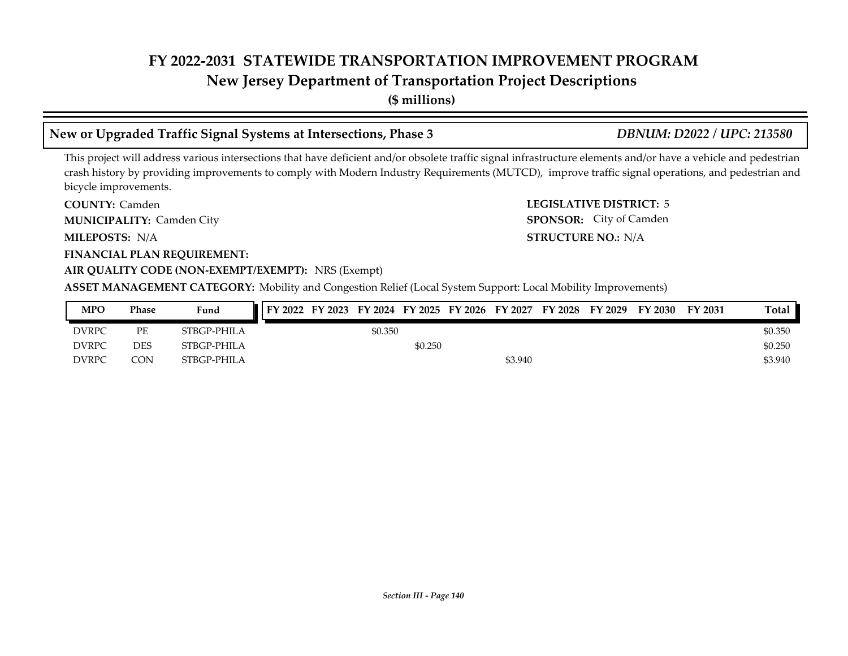# **New Jersey Department of Transportation Project Descriptions**

**(\$ millions)**

## **New or Upgraded Traffic Signal Systems at Intersections, Phase 3** *DBNUM: D2022 / UPC: 213580*

This project will address various intersections that have deficient and/or obsolete traffic signal infrastructure elements and/or have a vehicle and pedestrian crash history by providing improvements to comply with Modern Industry Requirements (MUTCD), improve traffic signal operations, and pedestrian and bicycle improvements.

**COUNTY: LEGISLATIVE DISTRICT:** 5 COUNTY: Camden **MUNICIPALITY:** Camden City **SPONSOR:** 

**MILEPOSTS: STRUCTURE NO.:** N/A MILEPOSTS: N/A

**FINANCIAL PLAN REQUIREMENT:**

#### **AIR QUALITY CODE (NON-EXEMPT/EXEMPT):** NRS (Exempt)

**ASSET MANAGEMENT CATEGORY:** Mobility and Congestion Relief (Local System Support: Local Mobility Improvements)

| MPO          | Phase | Fund        |  |         |         | FY 2022 FY 2023 FY 2024 FY 2025 FY 2026 FY 2027 | FY 2028 | FY 2029 | FY 2030 | FY 2031 | Total   |
|--------------|-------|-------------|--|---------|---------|-------------------------------------------------|---------|---------|---------|---------|---------|
| <b>DVRPC</b> | PE    | STBGP-PHILA |  | \$0.350 |         |                                                 |         |         |         |         | \$0.350 |
| <b>DVRPC</b> | DES   | STBGP-PHILA |  |         | \$0.250 |                                                 |         |         |         |         | \$0.250 |
| <b>DVRPC</b> | CON   | STBGP-PHILA |  |         |         | \$3.940                                         |         |         |         |         | \$3.940 |

SPONSOR: City of Camden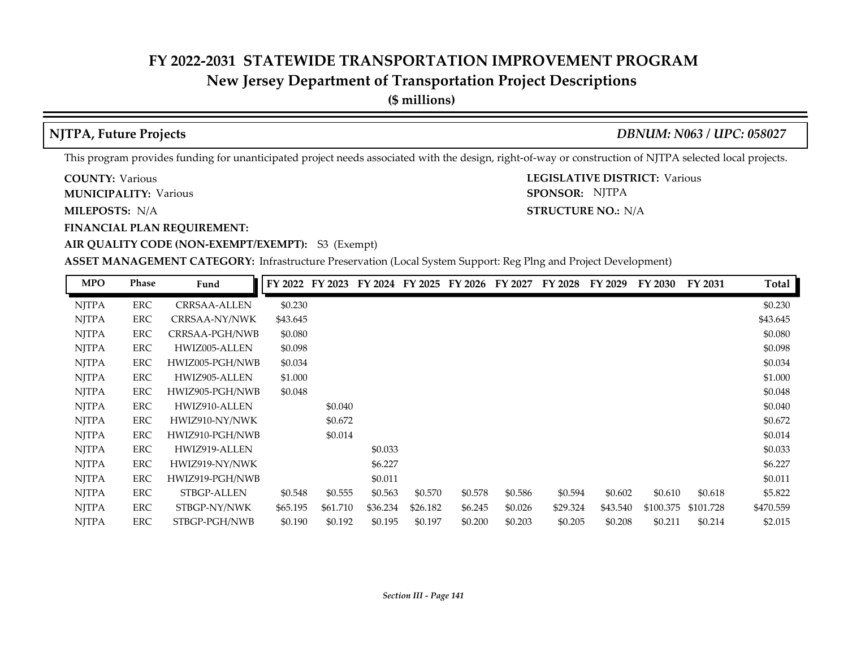## **New Jersey Department of Transportation Project Descriptions**

**(\$ millions)**

**NJTPA, Future Projects** *DBNUM: N063 / UPC: 058027*

**STRUCTURE NO.: N/A** 

SPONSOR: NJTPA

This program provides funding for unanticipated project needs associated with the design, right-of-way or construction of NJTPA selected local projects.

**COUNTY: LEGISLATIVE DISTRICT:** Various **COUNTY: Various** 

**MUNICIPALITY:** Various **SPONSOR:** 

**MILEPOSTS: STRUCTURE NO.:** N/A

**FINANCIAL PLAN REQUIREMENT:**

**AIR QUALITY CODE (NON-EXEMPT/EXEMPT):** S3 (Exempt)

**ASSET MANAGEMENT CATEGORY:** Infrastructure Preservation (Local System Support: Reg Plng and Project Development)

| <b>MPO</b>   | <b>Phase</b> | Fund            | FY 2022  | FY 2023  | FY 2024  | FY 2025  | FY 2026 | FY 2027 | FY 2028  | FY 2029  | FY 2030   | FY 2031   | Total     |
|--------------|--------------|-----------------|----------|----------|----------|----------|---------|---------|----------|----------|-----------|-----------|-----------|
| <b>NJTPA</b> | ERC          | CRRSAA-ALLEN    | \$0.230  |          |          |          |         |         |          |          |           |           | \$0.230   |
| <b>NJTPA</b> | <b>ERC</b>   | CRRSAA-NY/NWK   | \$43.645 |          |          |          |         |         |          |          |           |           | \$43.645  |
| <b>NJTPA</b> | ERC          | CRRSAA-PGH/NWB  | \$0.080  |          |          |          |         |         |          |          |           |           | \$0.080   |
| <b>NJTPA</b> | ERC          | HWIZ005-ALLEN   | \$0.098  |          |          |          |         |         |          |          |           |           | \$0.098   |
| <b>NJTPA</b> | ERC          | HWIZ005-PGH/NWB | \$0.034  |          |          |          |         |         |          |          |           |           | \$0.034   |
| <b>NJTPA</b> | ERC          | HWIZ905-ALLEN   | \$1.000  |          |          |          |         |         |          |          |           |           | \$1.000   |
| <b>NJTPA</b> | ERC          | HWIZ905-PGH/NWB | \$0.048  |          |          |          |         |         |          |          |           |           | \$0.048   |
| <b>NJTPA</b> | ERC          | HWIZ910-ALLEN   |          | \$0.040  |          |          |         |         |          |          |           |           | \$0.040   |
| <b>NJTPA</b> | ERC          | HWIZ910-NY/NWK  |          | \$0.672  |          |          |         |         |          |          |           |           | \$0.672   |
| <b>NJTPA</b> | ERC          | HWIZ910-PGH/NWB |          | \$0.014  |          |          |         |         |          |          |           |           | \$0.014   |
| <b>NJTPA</b> | <b>ERC</b>   | HWIZ919-ALLEN   |          |          | \$0.033  |          |         |         |          |          |           |           | \$0.033   |
| <b>NJTPA</b> | ERC          | HWIZ919-NY/NWK  |          |          | \$6.227  |          |         |         |          |          |           |           | \$6.227   |
| <b>NJTPA</b> | ERC          | HWIZ919-PGH/NWB |          |          | \$0.011  |          |         |         |          |          |           |           | \$0.011   |
| <b>NJTPA</b> | ERC          | STBGP-ALLEN     | \$0.548  | \$0.555  | \$0.563  | \$0.570  | \$0.578 | \$0.586 | \$0.594  | \$0.602  | \$0.610   | \$0.618   | \$5.822   |
| <b>NJTPA</b> | ERC          | STBGP-NY/NWK    | \$65.195 | \$61.710 | \$36.234 | \$26.182 | \$6.245 | \$0.026 | \$29.324 | \$43.540 | \$100.375 | \$101.728 | \$470.559 |
| <b>NJTPA</b> | ERC          | STBGP-PGH/NWB   | \$0.190  | \$0.192  | \$0.195  | \$0.197  | \$0.200 | \$0.203 | \$0.205  | \$0.208  | \$0.211   | \$0.214   | \$2.015   |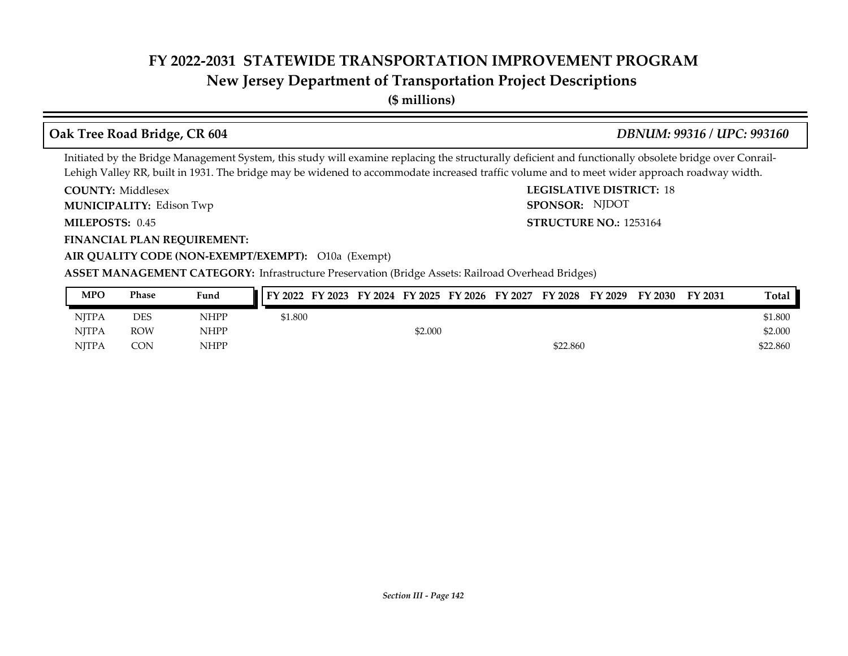## **New Jersey Department of Transportation Project Descriptions**

**(\$ millions)**

### **Oak Tree Road Bridge, CR 604** *DBNUM: 99316 / UPC: 993160*

**STRUCTURE NO.: 1253164** 

SPONSOR: NJDOT

Initiated by the Bridge Management System, this study will examine replacing the structurally deficient and functionally obsolete bridge over Conrail-Lehigh Valley RR, built in 1931. The bridge may be widened to accommodate increased traffic volume and to meet wider approach roadway width.

**COUNTY: LEGISLATIVE DISTRICT:** 18 **COUNTY: Middlesex** 

Edison Twp **MUNICIPALITY: SPONSOR:**

**MILEPOSTS: STRUCTURE NO.:** 0.45

**FINANCIAL PLAN REQUIREMENT:**

**AIR QUALITY CODE (NON-EXEMPT/EXEMPT):** O10a (Exempt)

**ASSET MANAGEMENT CATEGORY:** Infrastructure Preservation (Bridge Assets: Railroad Overhead Bridges)

| <b>MPO</b>   | Phase      | Fund        | FY 2022 FY 2023 FY 2024 FY 2025 FY 2026 FY 2027 FY 2028 FY 2029 |         |  |          | FY 2030 | FY 2031 | Total    |
|--------------|------------|-------------|-----------------------------------------------------------------|---------|--|----------|---------|---------|----------|
| <b>NITPA</b> | DES        | <b>NHPP</b> | \$1.800                                                         |         |  |          |         |         | \$1.800  |
| NITPA        | <b>ROW</b> | NHPP        |                                                                 | \$2.000 |  |          |         |         | \$2.000  |
| <b>NITPA</b> | CON        | <b>NHPP</b> |                                                                 |         |  | \$22.860 |         |         | \$22.860 |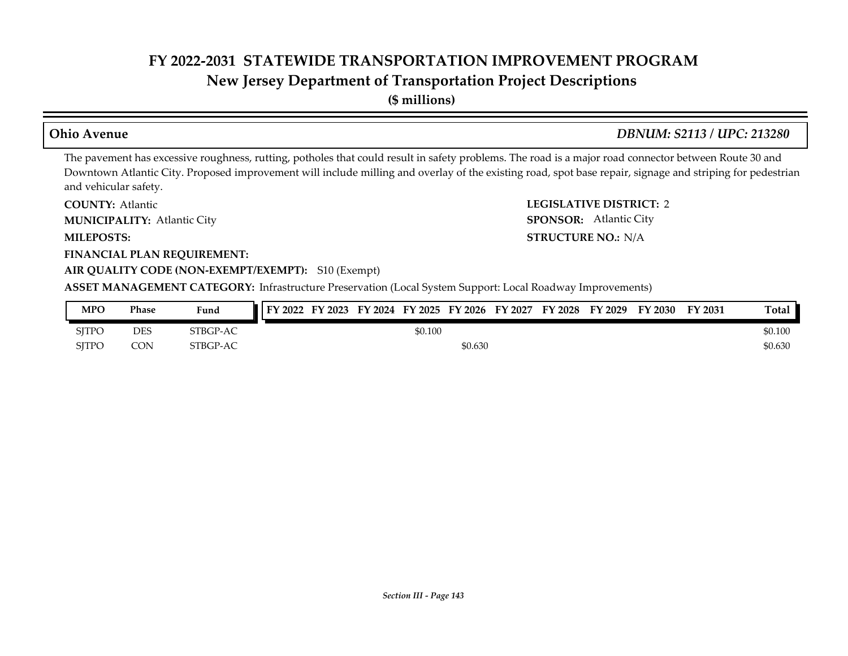# **New Jersey Department of Transportation Project Descriptions**

**(\$ millions)**

### **Ohio Avenue** *DBNUM: S2113 / UPC: 213280*

SPONSOR: Atlantic City

The pavement has excessive roughness, rutting, potholes that could result in safety problems. The road is a major road connector between Route 30 and Downtown Atlantic City. Proposed improvement will include milling and overlay of the existing road, spot base repair, signage and striping for pedestrian and vehicular safety.

**COUNTY: LEGISLATIVE DISTRICT:** 2 **COUNTY: Atlantic** 

Atlantic City **MUNICIPALITY: SPONSOR:**

**MILEPOSTS: STRUCTURE NO.:** N/A

**FINANCIAL PLAN REQUIREMENT:**

#### **AIR QUALITY CODE (NON-EXEMPT/EXEMPT):** S10 (Exempt)

**ASSET MANAGEMENT CATEGORY:** Infrastructure Preservation (Local System Support: Local Roadway Improvements)

| MPO          | Phase | Fund     |  |         |         | FY 2022 FY 2023 FY 2024 FY 2025 FY 2026 FY 2027 FY 2028 | FY 2029 | FY 2030 | FY 2031 | Total   |
|--------------|-------|----------|--|---------|---------|---------------------------------------------------------|---------|---------|---------|---------|
| <b>SITPO</b> | DES   | STBGP-AC |  | \$0.100 |         |                                                         |         |         |         | \$0.100 |
| <b>SITPC</b> | CON.  | STBGP-AC |  |         | \$0.630 |                                                         |         |         |         | \$0.630 |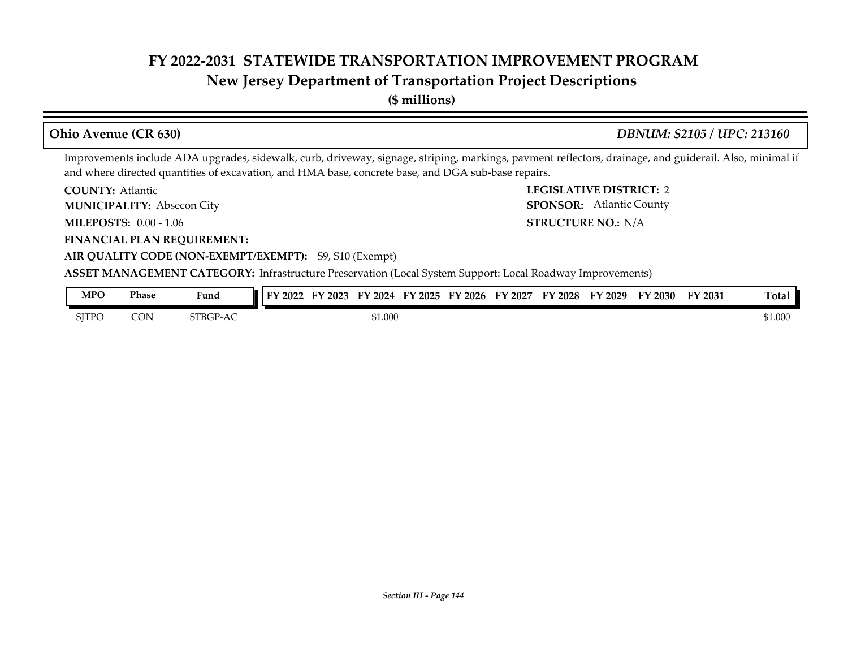## **New Jersey Department of Transportation Project Descriptions**

**(\$ millions)**

#### **COUNTY: LEGISLATIVE DISTRICT:** 2 **MILEPOSTS: STRUCTURE NO.:** 0.00 - 1.06 **FINANCIAL PLAN REQUIREMENT: AIR QUALITY CODE (NON-EXEMPT/EXEMPT):** S9, S10 (Exempt) **COUNTY: Atlantic** Absecon City **MUNICIPALITY: SPONSOR:** STRUCTURE NO.: N/A **ASSET MANAGEMENT CATEGORY:** Infrastructure Preservation (Local System Support: Local Roadway Improvements) Improvements include ADA upgrades, sidewalk, curb, driveway, signage, striping, markings, pavment reflectors, drainage, and guiderail. Also, minimal if and where directed quantities of excavation, and HMA base, concrete base, and DGA sub-base repairs. **Ohio Avenue (CR 630)** *DBNUM: S2105 / UPC: 213160* SPONSOR: Atlantic County **MPO Phase Fund FY 2022 FY 2023 FY 2024 FY 2025 FY 2026 FY 2027 FY 2028 FY 2029 FY 2030 FY 2031 Total**

| MPO   | Phase      | Fund     | $I$ FY 2022<br>FY 2023 | FY 2024<br>FY 2025 | FY 2026<br>FY 2027 | FY 2028 | FY 2029 | EV<br>$\degree$ 2030 $\degree$ | FY 2031 | Total   |
|-------|------------|----------|------------------------|--------------------|--------------------|---------|---------|--------------------------------|---------|---------|
| SITPO | <b>CON</b> | STBGP-AC |                        | 51.000             |                    |         |         |                                |         | \$1.000 |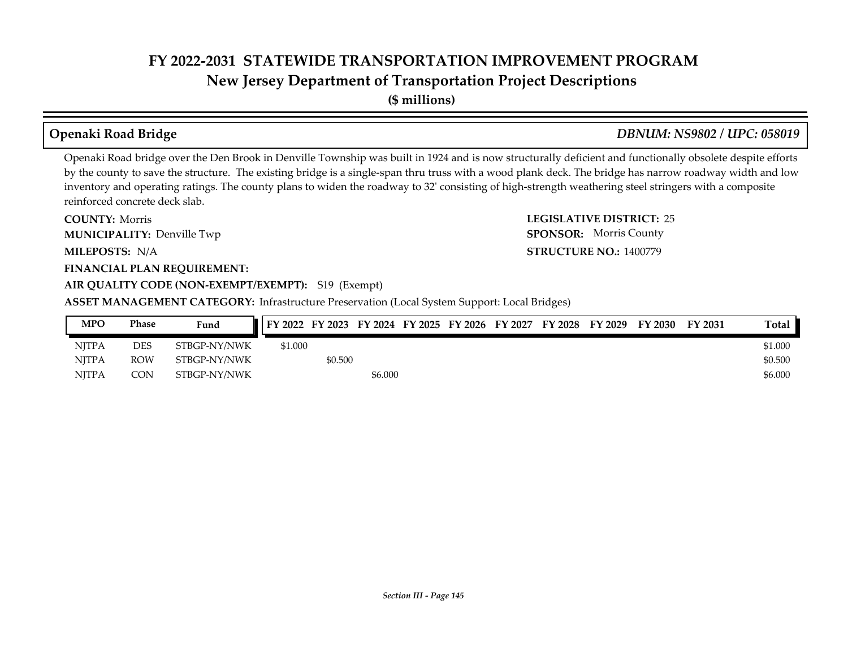**New Jersey Department of Transportation Project Descriptions**

**(\$ millions)**

### **Openaki Road Bridge** *DBNUM: NS9802 / UPC: 058019*

**STRUCTURE NO.: 1400779** 

**SPONSOR:** Morris County

Openaki Road bridge over the Den Brook in Denville Township was built in 1924 and is now structurally deficient and functionally obsolete despite efforts by the county to save the structure. The existing bridge is a single-span thru truss with a wood plank deck. The bridge has narrow roadway width and low inventory and operating ratings. The county plans to widen the roadway to 32' consisting of high-strength weathering steel stringers with a composite reinforced concrete deck slab.

**COUNTY: LEGISLATIVE DISTRICT:** 25 **MILEPOSTS: STRUCTURE NO.:** N/A **FINANCIAL PLAN REQUIREMENT: AIR QUALITY CODE (NON-EXEMPT/EXEMPT):** S19 (Exempt) **COUNTY: Morris MUNICIPALITY:** Denville Twp **SPONSOR:** 

**ASSET MANAGEMENT CATEGORY:** Infrastructure Preservation (Local System Support: Local Bridges)

| <b>MPO</b>   | Phase      | Fund         |         |         |         |  | FY 2022 FY 2023 FY 2024 FY 2025 FY 2026 FY 2027 FY 2028 | FY 2029 | FY 2030 | FY 2031 | Total   |
|--------------|------------|--------------|---------|---------|---------|--|---------------------------------------------------------|---------|---------|---------|---------|
| <b>NITPA</b> | <b>DES</b> | STBGP-NY/NWK | \$1,000 |         |         |  |                                                         |         |         |         | \$1.000 |
| <b>NITPA</b> | ROW        | STBGP-NY/NWK |         | \$0.500 |         |  |                                                         |         |         |         | \$0.500 |
| <b>NITPA</b> | CON.       | STBGP-NY/NWK |         |         | \$6.000 |  |                                                         |         |         |         | \$6.000 |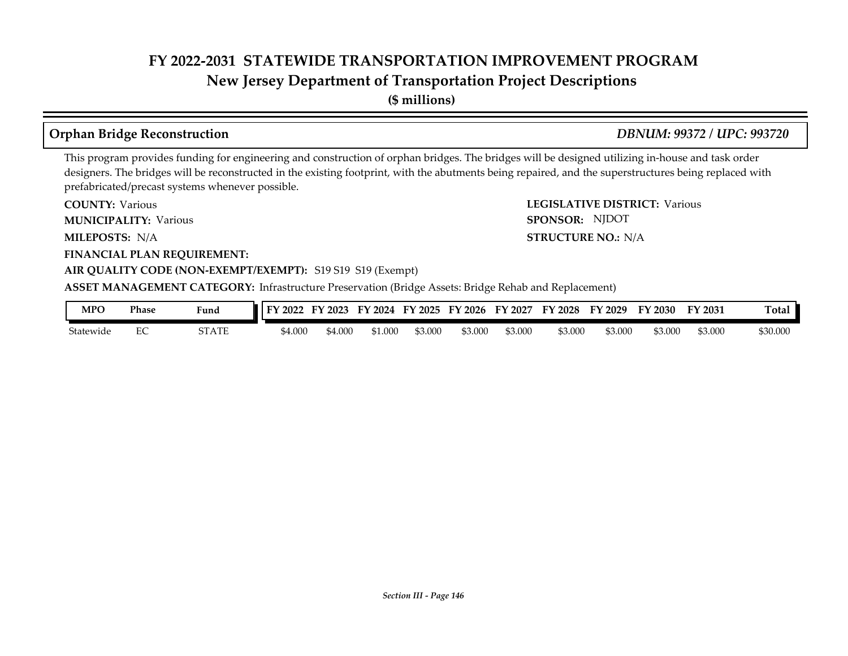## **New Jersey Department of Transportation Project Descriptions**

**(\$ millions)**

### **Orphan Bridge Reconstruction** *DBNUM: 99372 / UPC: 993720*

SPONSOR: NJDOT

This program provides funding for engineering and construction of orphan bridges. The bridges will be designed utilizing in-house and task order designers. The bridges will be reconstructed in the existing footprint, with the abutments being repaired, and the superstructures being replaced with prefabricated/precast systems whenever possible.

**COUNTY: LEGISLATIVE DISTRICT:** Various **COUNTY: Various** 

**MUNICIPALITY:** Various **SPONSOR:** 

**MILEPOSTS: STRUCTURE NO.:** N/A MILEPOSTS: N/A

**FINANCIAL PLAN REQUIREMENT:**

### **AIR QUALITY CODE (NON-EXEMPT/EXEMPT):** S19 S19 S19 (Exempt)

**ASSET MANAGEMENT CATEGORY:** Infrastructure Preservation (Bridge Assets: Bridge Rehab and Replacement)

| MPO       | <b>Phase</b> | Fund                | 2022    | 2023<br>. н. | FV<br>2024 | FV<br>12025 | $\degree$ 2026 | FY<br>2027 | FY 2028 | FV<br>2029 | 2030    | FY 2031 | <b>Total</b> |
|-----------|--------------|---------------------|---------|--------------|------------|-------------|----------------|------------|---------|------------|---------|---------|--------------|
| Statewide | ◡            | 77 A TE<br>51 A I E | \$4.000 | 4.000        | \$1.000    | \$3.000     | \$3.000        | \$3.000    | \$3.000 | 63.000     | \$3.000 | \$3.000 | \$30.000     |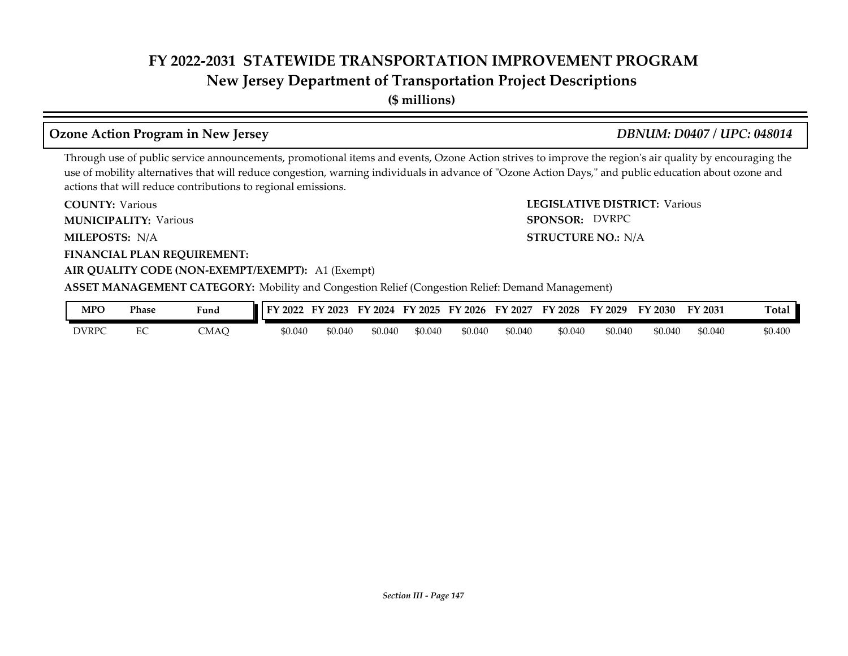## **New Jersey Department of Transportation Project Descriptions**

**(\$ millions)**

## **Ozone Action Program in New Jersey** *DBNUM: D0407 / UPC: 048014*

SPONSOR: DVRPC

Through use of public service announcements, promotional items and events, Ozone Action strives to improve the region's air quality by encouraging the use of mobility alternatives that will reduce congestion, warning individuals in advance of "Ozone Action Days," and public education about ozone and actions that will reduce contributions to regional emissions.

**COUNTY: LEGISLATIVE DISTRICT:** Various **COUNTY: Various** 

**MUNICIPALITY:** Various **SPONSOR:** 

**MILEPOSTS: STRUCTURE NO.:** N/A MILEPOSTS: N/A

**FINANCIAL PLAN REQUIREMENT:**

### **AIR QUALITY CODE (NON-EXEMPT/EXEMPT):** A1 (Exempt)

**ASSET MANAGEMENT CATEGORY:** Mobility and Congestion Relief (Congestion Relief: Demand Management)

| <b>MPO</b>   | Phase         | Fund | $\mathbf{E}$<br>$'$ 2022 | EV<br>$\frac{1}{2}023$ | FY 2024 | FY 2025 | FY 2026 | FY 2027 | FY 2028 | FY 2029 | FY 2030 | FY 2031 | m.,<br>⊺otal |
|--------------|---------------|------|--------------------------|------------------------|---------|---------|---------|---------|---------|---------|---------|---------|--------------|
| <b>DVRPC</b> | $\Gamma$<br>∽ | CMAC | \$0.040                  | \$0.040                | \$0.040 | \$0.040 | \$0.040 | \$0.040 | \$0.040 | \$0.040 | \$0.040 | \$0.040 | \$0.400      |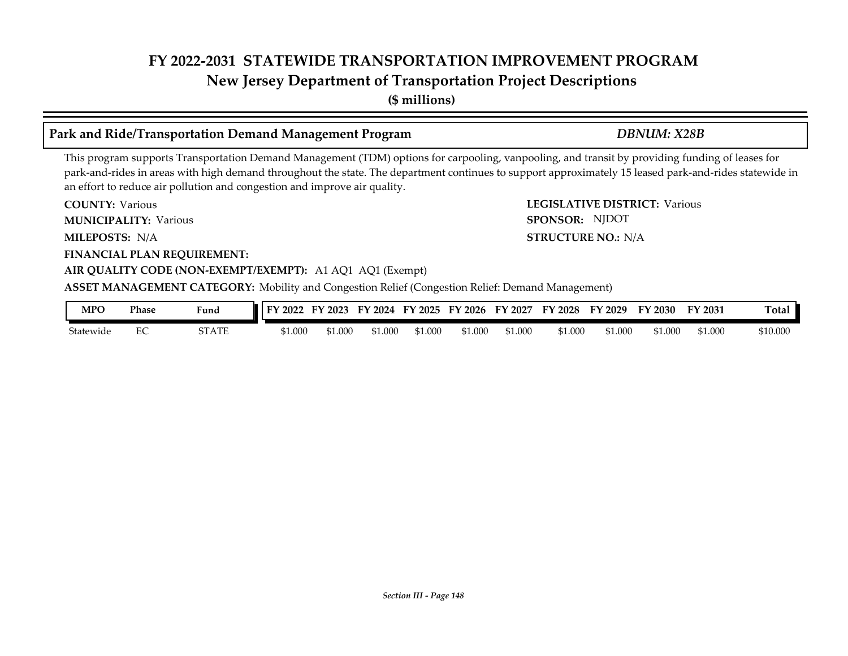**(\$ millions)**

### **Park and Ride/Transportation Demand Management Program** *DBNUM: X28B*

SPONSOR: NJDOT

This program supports Transportation Demand Management (TDM) options for carpooling, vanpooling, and transit by providing funding of leases for park-and-rides in areas with high demand throughout the state. The department continues to support approximately 15 leased park-and-rides statewide in an effort to reduce air pollution and congestion and improve air quality.

**COUNTY: LEGISLATIVE DISTRICT:** Various **COUNTY: Various** 

**MUNICIPALITY:** Various **SPONSOR:** 

**MILEPOSTS: STRUCTURE NO.:** N/A MILEPOSTS: N/A

**FINANCIAL PLAN REQUIREMENT:**

### **AIR QUALITY CODE (NON-EXEMPT/EXEMPT):** A1 AQ1 AQ1 (Exempt)

**ASSET MANAGEMENT CATEGORY:** Mobility and Congestion Relief (Congestion Relief: Demand Management)

| MPO       | <b>Phase</b> | Fund                 | 2022<br>cν | 2023<br>н, | FV<br>2024 | Еν<br>2025 | $\frac{1}{2026}$<br><b>HY</b> | EY<br>2027 | $\mathbf{L}$<br>2028 | FV<br>2029 | ГV<br>$\degree$ 2030 $\degree$ | FY 2031 | $\sim$<br>`otal |
|-----------|--------------|----------------------|------------|------------|------------|------------|-------------------------------|------------|----------------------|------------|--------------------------------|---------|-----------------|
| Statewide | ◡            | 70 A.D.P<br>51 A I E | \$1.000    | 1.000      | \$1.000    | \$1.00C    | \$1.000                       | \$1.000    | \$1.000              | \$1.000    | 51.000                         | \$1.000 | \$10.000        |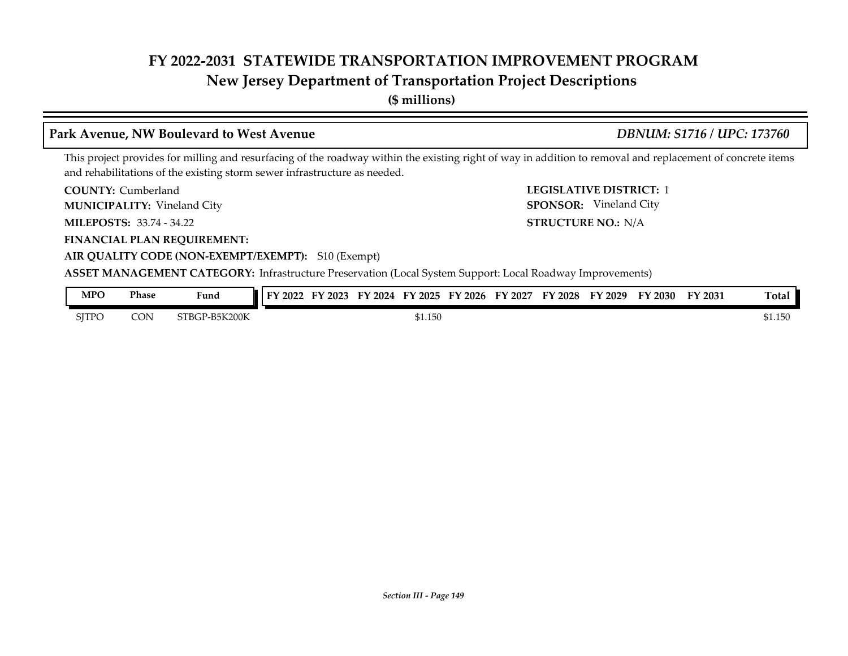### **New Jersey Department of Transportation Project Descriptions**

**(\$ millions)**

### **Park Avenue, NW Boulevard to West Avenue** *DBNUM: S1716 / UPC: 173760*

**AIR QUALITY CODE (NON-EXEMPT/EXEMPT):** S10 (Exempt)

This project provides for milling and resurfacing of the roadway within the existing right of way in addition to removal and replacement of concrete items and rehabilitations of the existing storm sewer infrastructure as needed.

**COUNTY: LEGISLATIVE DISTRICT:** 1 COUNTY: Cumberland

Vineland City **MUNICIPALITY: SPONSOR:**

**MILEPOSTS: STRUCTURE NO.:** 33.74 - 34.22

**FINANCIAL PLAN REQUIREMENT:**

STRUCTURE NO.: N/A SPONSOR: Vineland City

| MPO   | Phase | <b>Contract Contract Contract Contract</b><br>Fund | TV.<br>2022 | 2023 | 2024<br>ЕV | тv<br>2025 | $\cdot$ 2026<br>∽<br>ы | 2027<br>FУ | $'$ 2028 | FY 2029 | FY 2030 | FY 2031 | Tota.                |
|-------|-------|----------------------------------------------------|-------------|------|------------|------------|------------------------|------------|----------|---------|---------|---------|----------------------|
| SITPC | CON   | -B5K200K<br>STBGP                                  |             |      |            | \$1.150    |                        |            |          |         |         |         | 1 $E \cap$<br>01.100 |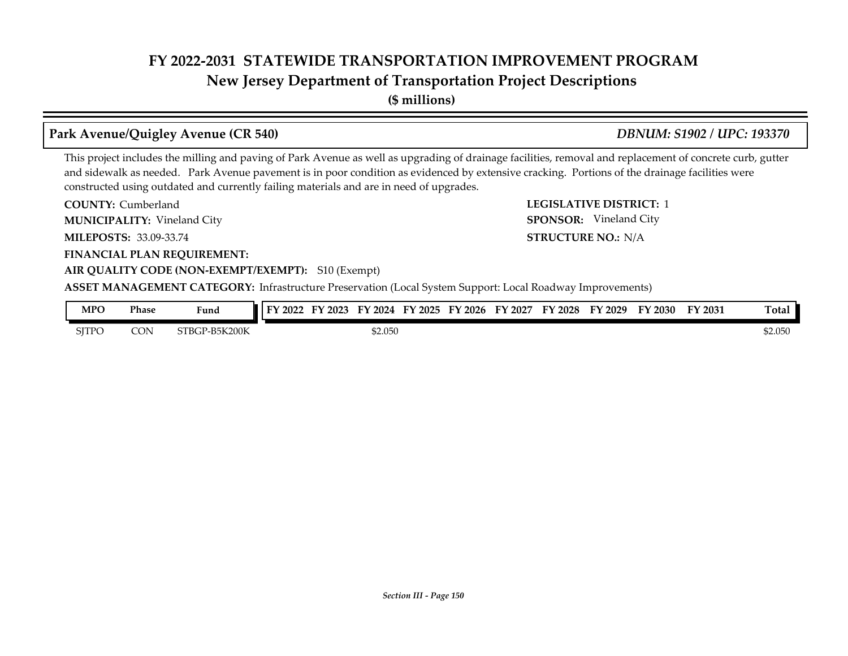**New Jersey Department of Transportation Project Descriptions**

**(\$ millions)**

### **Park Avenue/Quigley Avenue (CR 540)** *DBNUM: S1902 / UPC: 193370*

**STRUCTURE NO.: N/A** 

SPONSOR: Vineland City

This project includes the milling and paving of Park Avenue as well as upgrading of drainage facilities, removal and replacement of concrete curb, gutter and sidewalk as needed. Park Avenue pavement is in poor condition as evidenced by extensive cracking. Portions of the drainage facilities were constructed using outdated and currently failing materials and are in need of upgrades.

**COUNTY: LEGISLATIVE DISTRICT:** 1 **COUNTY: Cumberland** 

Vineland City **MUNICIPALITY: SPONSOR:**

**MILEPOSTS: STRUCTURE NO.:** 33.09-33.74

**FINANCIAL PLAN REQUIREMENT:**

### **AIR QUALITY CODE (NON-EXEMPT/EXEMPT):** S10 (Exempt)

| MPO          | Phase | Fund               | FY 2022 | 2023 | 2024   | $\neg$ v.<br>2025 | 2026<br>ЕV | EV<br>2027 | $\mathbf{V}$ 2028 | $'$ 2029 | FY 2030 | FY 2031 | <b>Total</b> |
|--------------|-------|--------------------|---------|------|--------|-------------------|------------|------------|-------------------|----------|---------|---------|--------------|
| <b>SITPO</b> | CON   | ∙-В5К200К<br>STBGP |         |      | 52.050 |                   |            |            |                   |          |         |         | \$2.050      |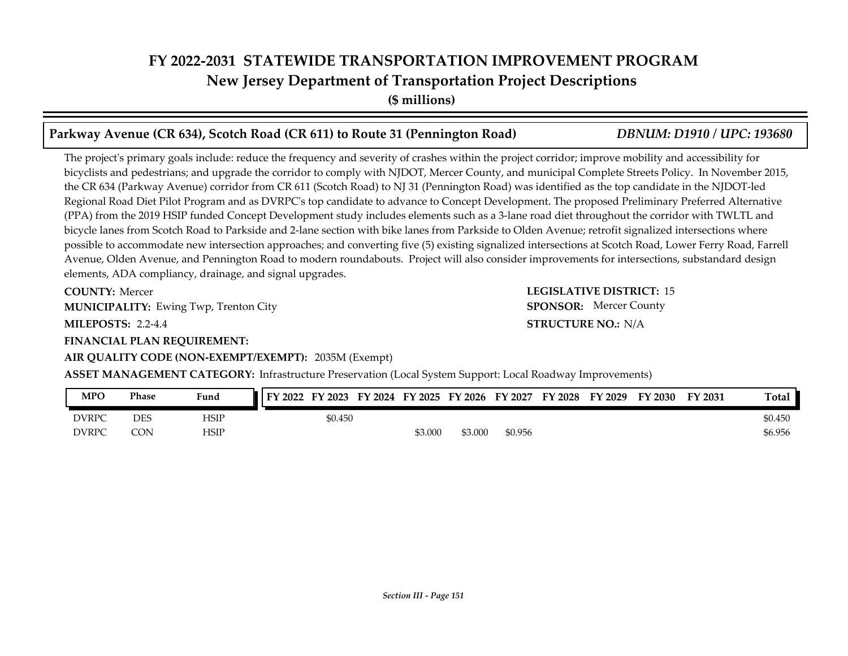**(\$ millions)**

### **Parkway Avenue (CR 634), Scotch Road (CR 611) to Route 31 (Pennington Road)** *DBNUM: D1910 / UPC: 193680*

The project's primary goals include: reduce the frequency and severity of crashes within the project corridor; improve mobility and accessibility for bicyclists and pedestrians; and upgrade the corridor to comply with NJDOT, Mercer County, and municipal Complete Streets Policy. In November 2015, the CR 634 (Parkway Avenue) corridor from CR 611 (Scotch Road) to NJ 31 (Pennington Road) was identified as the top candidate in the NJDOT-led Regional Road Diet Pilot Program and as DVRPC's top candidate to advance to Concept Development. The proposed Preliminary Preferred Alternative (PPA) from the 2019 HSIP funded Concept Development study includes elements such as a 3-lane road diet throughout the corridor with TWLTL and bicycle lanes from Scotch Road to Parkside and 2-lane section with bike lanes from Parkside to Olden Avenue; retrofit signalized intersections where possible to accommodate new intersection approaches; and converting five (5) existing signalized intersections at Scotch Road, Lower Ferry Road, Farrell Avenue, Olden Avenue, and Pennington Road to modern roundabouts. Project will also consider improvements for intersections, substandard design elements, ADA compliancy, drainage, and signal upgrades.

**COUNTY: LEGISLATIVE DISTRICT:** 15 **COUNTY: Mercer MUNICIPALITY:** Ewing Twp, Trenton City **SPONSOR:** 

**MILEPOSTS: STRUCTURE NO.:** 2.2-4.4

**FINANCIAL PLAN REQUIREMENT:**

### **AIR QUALITY CODE (NON-EXEMPT/EXEMPT):** 2035M (Exempt)

**STRUCTURE NO.: N/A SPONSOR:** Mercer County

| MPO          | Phase | Fund | <b>FY 2022</b> | FY 2023 |         |         |         | FY 2024 FY 2025 FY 2026 FY 2027 FY 2028 FY 2029 | <b>FY 2030</b> | FY 2031 | Total   |
|--------------|-------|------|----------------|---------|---------|---------|---------|-------------------------------------------------|----------------|---------|---------|
| <b>DVRPC</b> | DES   | HSIP |                | \$0.450 |         |         |         |                                                 |                |         | \$0.450 |
| <b>DVRPC</b> | CON   | HSIP |                |         | \$3.000 | \$3.000 | \$0.956 |                                                 |                |         | \$6.956 |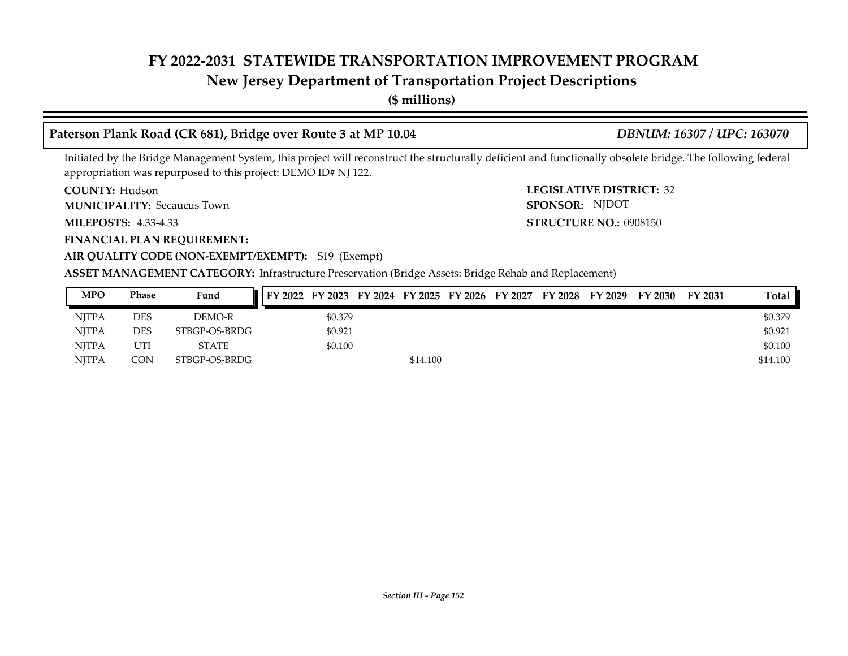### **New Jersey Department of Transportation Project Descriptions**

**(\$ millions)**

### **Paterson Plank Road (CR 681), Bridge over Route 3 at MP 10.04** *DBNUM: 16307 / UPC: 163070*

Initiated by the Bridge Management System, this project will reconstruct the structurally deficient and functionally obsolete bridge. The following federal appropriation was repurposed to this project: DEMO ID# NJ 122.

**COUNTY: Hudson** 

Secaucus Town **MUNICIPALITY: SPONSOR:**

**MILEPOSTS: STRUCTURE NO.:** 4.33-4.33

**FINANCIAL PLAN REQUIREMENT:**

**COUNTY: LEGISLATIVE DISTRICT:** 32 **STRUCTURE NO.: 0908150** SPONSOR: NJDOT

**AIR QUALITY CODE (NON-EXEMPT/EXEMPT):** S19 (Exempt)

**ASSET MANAGEMENT CATEGORY:** Infrastructure Preservation (Bridge Assets: Bridge Rehab and Replacement)

| <b>MPO</b>   | Phase      | Fund          | FY 2022 FY 2023 FY 2024 FY 2025 FY 2026 FY 2027 |         |          |  | FY 2028 FY 2029 | FY 2030 | FY 2031 | Total    |
|--------------|------------|---------------|-------------------------------------------------|---------|----------|--|-----------------|---------|---------|----------|
| <b>NITPA</b> | <b>DES</b> | DEMO-R        |                                                 | \$0.379 |          |  |                 |         |         | \$0.379  |
| <b>NITPA</b> | <b>DES</b> | STBGP-OS-BRDG |                                                 | \$0.921 |          |  |                 |         |         | \$0.921  |
| <b>NITPA</b> | UTI        | <b>STATE</b>  |                                                 | \$0.100 |          |  |                 |         |         | \$0.100  |
| <b>NITPA</b> | CON        | STBGP-OS-BRDG |                                                 |         | \$14.100 |  |                 |         |         | \$14.100 |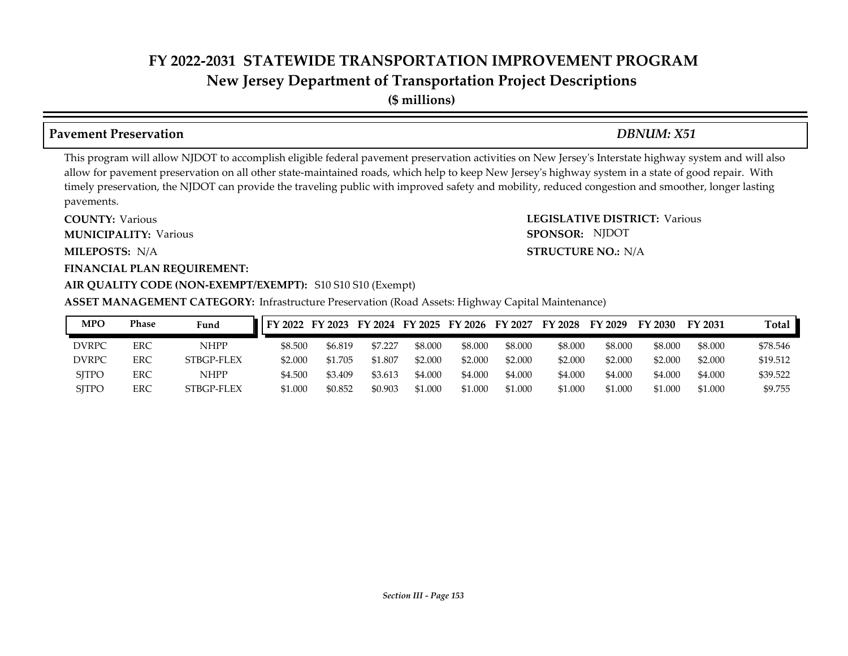**(\$ millions)**

### **Pavement Preservation** *DBNUM: X51*

SPONSOR: NJDOT

This program will allow NJDOT to accomplish eligible federal pavement preservation activities on New Jersey's Interstate highway system and will also allow for pavement preservation on all other state-maintained roads, which help to keep New Jersey's highway system in a state of good repair. With timely preservation, the NJDOT can provide the traveling public with improved safety and mobility, reduced congestion and smoother, longer lasting pavements.

**COUNTY: LEGISLATIVE DISTRICT:** Various **MILEPOSTS: STRUCTURE NO.:** N/A **COUNTY: Various MUNICIPALITY:** Various **SPONSOR:** MILEPOSTS: N/A

### **FINANCIAL PLAN REQUIREMENT:**

### **AIR QUALITY CODE (NON-EXEMPT/EXEMPT):** S10 S10 S10 (Exempt)

**ASSET MANAGEMENT CATEGORY:** Infrastructure Preservation (Road Assets: Highway Capital Maintenance)

| MPO          | Phase      | Fund       | <b>FY 2022</b> | FY 2023 | FY 2024 FY 2025 |         | FY 2026 | FY 2027 | FY.<br>2028 | FY 2029 | FY 2030 | FY 2031 | Total    |
|--------------|------------|------------|----------------|---------|-----------------|---------|---------|---------|-------------|---------|---------|---------|----------|
| <b>DVRPC</b> | ERC        | NHPP       | \$8.500        | \$6.819 | \$7.227         | \$8.000 | \$8.000 | \$8,000 | \$8,000     | \$8,000 | \$8,000 | \$8,000 | \$78.546 |
| <b>DVRPC</b> | ERC        | STBGP-FLEX | \$2,000        | \$1.705 | \$1.807         | \$2.000 | \$2.000 | \$2.000 | \$2.000     | \$2.000 | \$2.000 | \$2.000 | \$19.512 |
| <b>SITPO</b> | <b>ERC</b> | NHPP       | \$4.500        | \$3.409 | \$3.613         | \$4.000 | \$4.000 | \$4.000 | \$4.000     | \$4.000 | \$4.000 | \$4.000 | \$39.522 |
| <b>SJTPO</b> | ERC        | STBGP-FLEX | \$1.000        | \$0.852 | \$0.903         | \$1.000 | \$1.000 | \$1.000 | \$1.000     | \$1.000 | \$1.000 | \$1.000 | \$9.755  |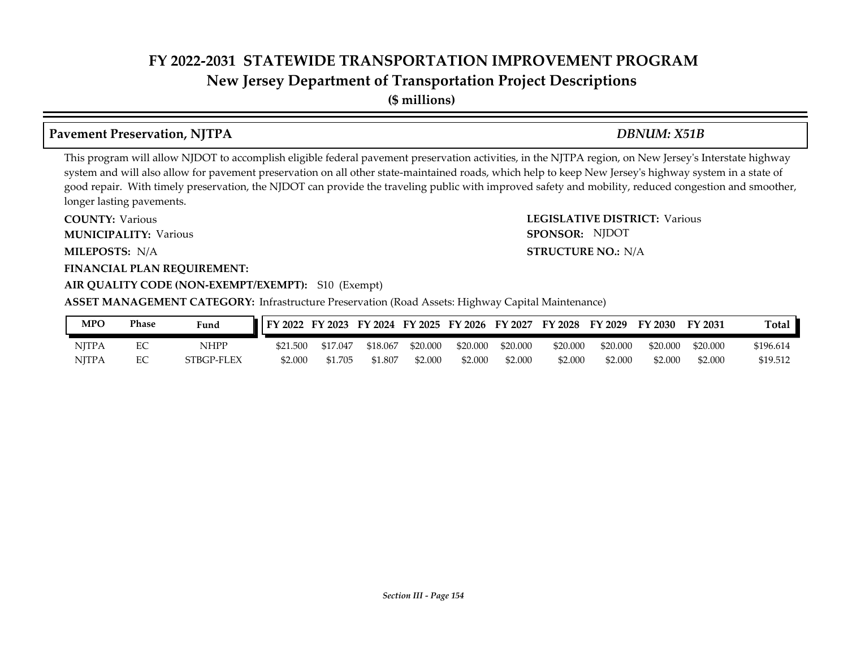**(\$ millions)**

### **Pavement Preservation, NJTPA** *DBNUM: X51B*

This program will allow NJDOT to accomplish eligible federal pavement preservation activities, in the NJTPA region, on New Jersey's Interstate highway system and will also allow for pavement preservation on all other state-maintained roads, which help to keep New Jersey's highway system in a state of good repair. With timely preservation, the NJDOT can provide the traveling public with improved safety and mobility, reduced congestion and smoother, longer lasting pavements.

SPONSOR: NJDOT

**COUNTY: LEGISLATIVE DISTRICT:** Various **MILEPOSTS: STRUCTURE NO.:** N/A **FINANCIAL PLAN REQUIREMENT: AIR QUALITY CODE (NON-EXEMPT/EXEMPT):** S10 (Exempt) **COUNTY: Various MUNICIPALITY:** Various **SPONSOR:** MILEPOSTS: N/A

**ASSET MANAGEMENT CATEGORY:** Infrastructure Preservation (Road Assets: Highway Capital Maintenance)

| <b>MPO</b>   | Phase | Fund       | FY 2022  | FY 2023  |          |          | FY 2024 FY 2025 FY 2026 FY 2027 |          | FY 2028  | FY 2029  | FY 2030  | FY 2031  | Total     |
|--------------|-------|------------|----------|----------|----------|----------|---------------------------------|----------|----------|----------|----------|----------|-----------|
| <b>NITPA</b> |       | NHPP       | \$21.500 | \$17.047 | \$18,067 | \$20,000 | \$20,000                        | \$20.000 | \$20,000 | \$20,000 | \$20,000 | \$20,000 | \$196.614 |
| <b>NJTPA</b> |       | STBGP-FLEX | \$2.000  | \$1.705  | \$1.807  | \$2.000  | \$2.000                         | \$2,000  | \$2.000  | \$2.000  | \$2.000  | \$2.000  | \$19.512  |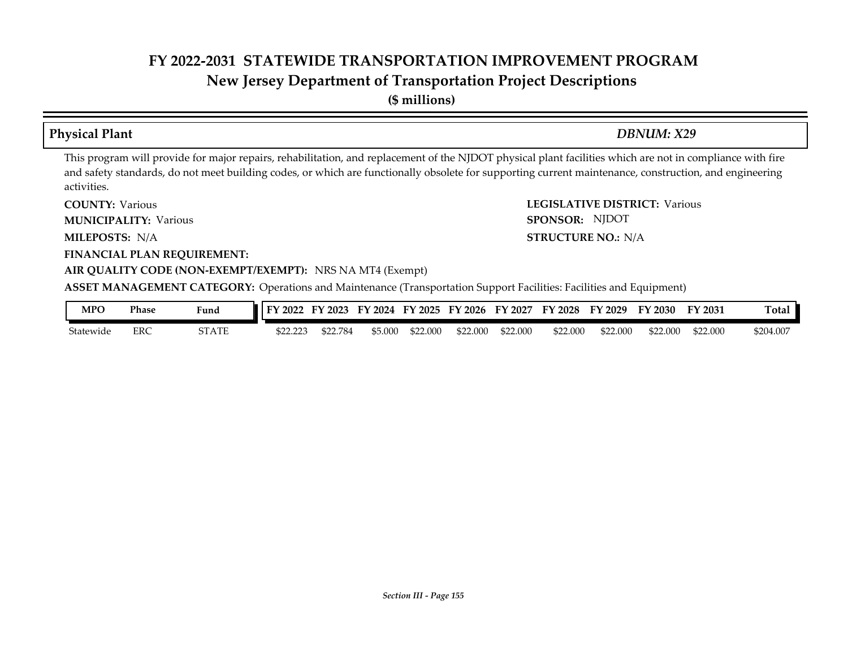**(\$ millions)**

### **Physical Plant** *DBNUM: X29*

**STRUCTURE NO.: N/A** 

SPONSOR: NJDOT

This program will provide for major repairs, rehabilitation, and replacement of the NJDOT physical plant facilities which are not in compliance with fire and safety standards, do not meet building codes, or which are functionally obsolete for supporting current maintenance, construction, and engineering activities.

**COUNTY: LEGISLATIVE DISTRICT:** Various **COUNTY: Various** 

**MUNICIPALITY:** Various **SPONSOR:** 

**MILEPOSTS: STRUCTURE NO.:** N/A

**FINANCIAL PLAN REQUIREMENT:**

### **AIR QUALITY CODE (NON-EXEMPT/EXEMPT):** NRS NA MT4 (Exempt)

**ASSET MANAGEMENT CATEGORY:** Operations and Maintenance (Transportation Support Facilities: Facilities and Equipment)

| <b>MPO</b> | Phase | Fund  | $\pm$ DV.<br>2022  | FV<br>$\angle 2023$ | FY 2024 | FY 2025  | FY 2026  | FY 2027  | FY 2028  | FY 2029  | FY 2030  | FY 2031  | Total     |
|------------|-------|-------|--------------------|---------------------|---------|----------|----------|----------|----------|----------|----------|----------|-----------|
| Statewide  | ERC   | STATE | t22.223<br>,,,,,,, | \$22.784            | \$5.000 | \$22.000 | \$22,000 | \$22.000 | \$22.000 | \$22.000 | \$22.000 | \$22.000 | \$204.007 |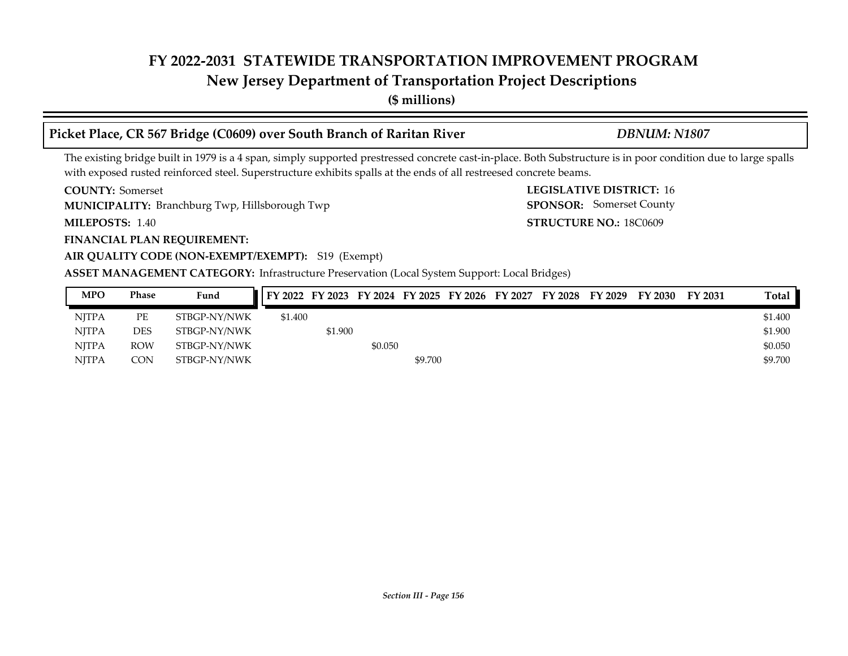## **New Jersey Department of Transportation Project Descriptions**

**(\$ millions)**

### **Picket Place, CR 567 Bridge (C0609) over South Branch of Raritan River** *DBNUM: N1807*

SPONSOR: Somerset County

The existing bridge built in 1979 is a 4 span, simply supported prestressed concrete cast-in-place. Both Substructure is in poor condition due to large spalls with exposed rusted reinforced steel. Superstructure exhibits spalls at the ends of all restreesed concrete beams.

**COUNTY:** Somerset **LEGISLATIVE DISTRICT:** 16 **COUNTY: Somerset** 

**MUNICIPALITY:** Branchburg Twp, Hillsborough Twp **SPONSOR:** 

**MILEPOSTS: STRUCTURE NO.:** 18C0609 MILEPOSTS: 1.40

### **FINANCIAL PLAN REQUIREMENT:**

### **AIR QUALITY CODE (NON-EXEMPT/EXEMPT):** S19 (Exempt)

**ASSET MANAGEMENT CATEGORY:** Infrastructure Preservation (Local System Support: Local Bridges)

| <b>MPO</b>   | Phase      | Fund         | FY 2022 FY 2023 FY 2024 FY 2025 FY 2026 FY 2027 FY 2028 FY 2029 |         |         |         |  |  | FY 2030 FY 2031 | Total   |
|--------------|------------|--------------|-----------------------------------------------------------------|---------|---------|---------|--|--|-----------------|---------|
| <b>NITPA</b> | PE         | STBGP-NY/NWK | \$1.400                                                         |         |         |         |  |  |                 | \$1.400 |
| <b>NITPA</b> | DES        | STBGP-NY/NWK |                                                                 | \$1.900 |         |         |  |  |                 | \$1.900 |
| <b>NITPA</b> | <b>ROW</b> | STBGP-NY/NWK |                                                                 |         | \$0.050 |         |  |  |                 | \$0.050 |
| <b>NITPA</b> | CON        | STBGP-NY/NWK |                                                                 |         |         | \$9.700 |  |  |                 | \$9.700 |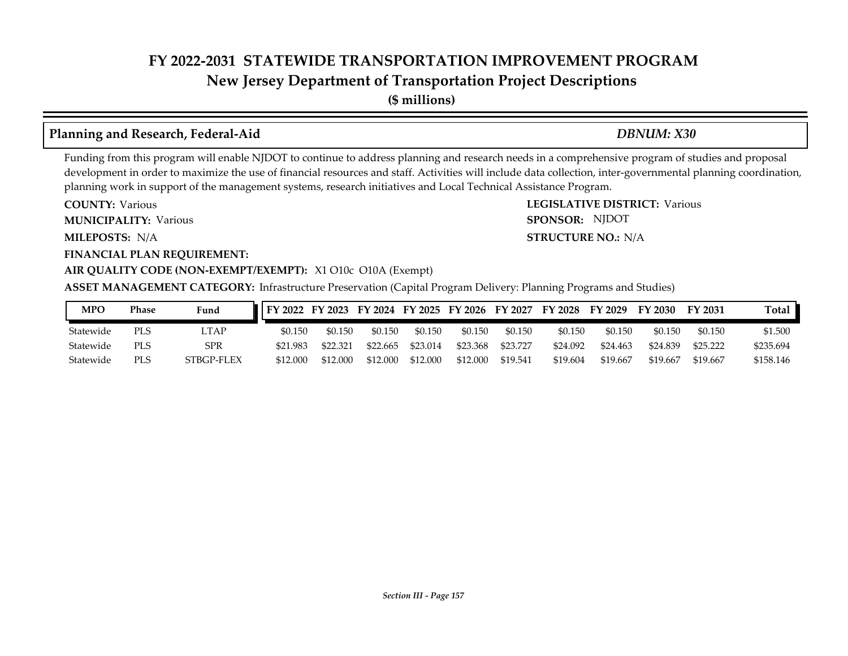**New Jersey Department of Transportation Project Descriptions**

**(\$ millions)**

### **Planning and Research, Federal-Aid** *DBNUM: X30*

**STRUCTURE NO.: N/A** 

SPONSOR: NJDOT

Funding from this program will enable NJDOT to continue to address planning and research needs in a comprehensive program of studies and proposal development in order to maximize the use of financial resources and staff. Activities will include data collection, inter-governmental planning coordination, planning work in support of the management systems, research initiatives and Local Technical Assistance Program.

**COUNTY: LEGISLATIVE DISTRICT:** Various **COUNTY: Various** 

**MUNICIPALITY:** Various **SPONSOR:** 

**MILEPOSTS: STRUCTURE NO.:** N/A

**FINANCIAL PLAN REQUIREMENT:**

### **AIR QUALITY CODE (NON-EXEMPT/EXEMPT):** X1 O10c O10A (Exempt)

**ASSET MANAGEMENT CATEGORY:** Infrastructure Preservation (Capital Program Delivery: Planning Programs and Studies)

| <b>MPO</b> | Phase | Fund       | FY 2022 FY 2023 FY 2024 FY 2025 FY 2026 FY 2027 FY 2028 FY 2029 FY 2030 FY 2031 |          |          |          |          |          |          |          |          |          | Total     |
|------------|-------|------------|---------------------------------------------------------------------------------|----------|----------|----------|----------|----------|----------|----------|----------|----------|-----------|
| Statewide  | PLS   | _TAP       | \$0.150                                                                         | \$0.150  | \$0.150  | \$0.150  | \$0.150  | \$0.150  | \$0.150  | \$0.150  | \$0.150  | \$0.150  | \$1.500   |
| Statewide  | PLS   | SPR        | \$21.983                                                                        | \$22,321 | \$22.665 | \$23.014 | \$23.368 | \$23.727 | \$24.092 | \$24.463 | \$24.839 | \$25.222 | \$235.694 |
| Statewide  | PLS   | STBGP-FLEX | \$12.000                                                                        | \$12,000 | \$12,000 | \$12,000 | \$12,000 | \$19.541 | \$19.604 | \$19.667 | \$19.667 | \$19.667 | \$158.146 |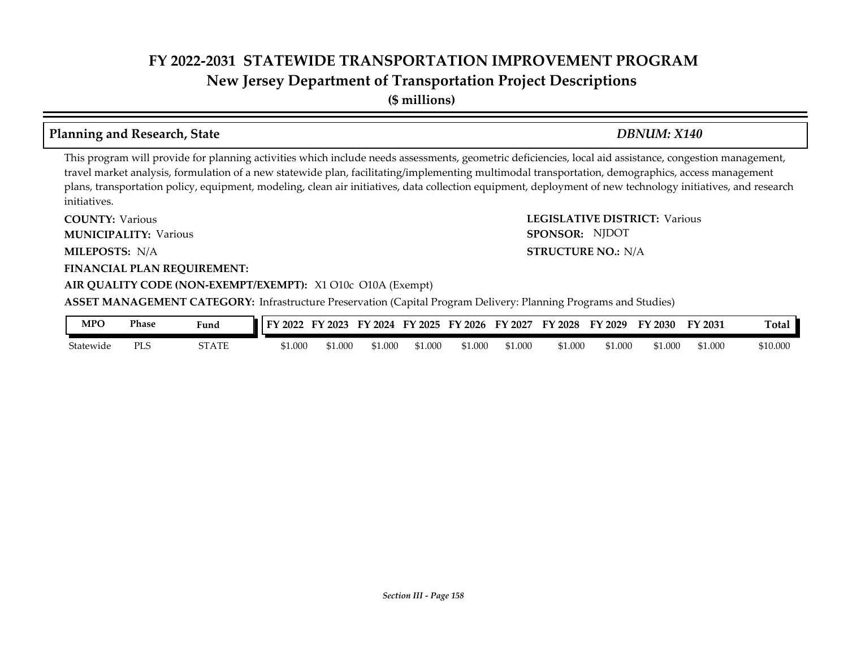**(\$ millions)**

### **Planning and Research, State** *DBNUM: X140*

This program will provide for planning activities which include needs assessments, geometric deficiencies, local aid assistance, congestion management, travel market analysis, formulation of a new statewide plan, facilitating/implementing multimodal transportation, demographics, access management plans, transportation policy, equipment, modeling, clean air initiatives, data collection equipment, deployment of new technology initiatives, and research initiatives.

**COUNTY: LEGISLATIVE DISTRICT:** Various **MILEPOSTS: STRUCTURE NO.:** N/A **FINANCIAL PLAN REQUIREMENT: AIR QUALITY CODE (NON-EXEMPT/EXEMPT):** X1 O10c O10A (Exempt) **COUNTY: Various MUNICIPALITY:** Various **SPONSOR:** MILEPOSTS: N/A **ASSET MANAGEMENT CATEGORY:** Infrastructure Preservation (Capital Program Delivery: Planning Programs and Studies) SPONSOR: NJDOT

| MPO                 | Phase       | Fund  | - EV<br>$\degree$ 2022 | 2023    | FY<br>2024 | Y 2025 | $^{\circ}$ 2026<br>$F\mathbf{V}$ | FV<br>2027 | FY 2028 | FV<br>2029 | $\nabla$ 2030 | FY 2031 | otal:    |
|---------------------|-------------|-------|------------------------|---------|------------|--------|----------------------------------|------------|---------|------------|---------------|---------|----------|
| $\sim$<br>Statewide | DT C<br>ت⊔⊺ | STATE | \$1.000                | \$1.000 | 51.00C     |        | \$1.000                          | \$1.000    | \$1.000 | 51.000     | 31.000        | \$1.000 | \$10.000 |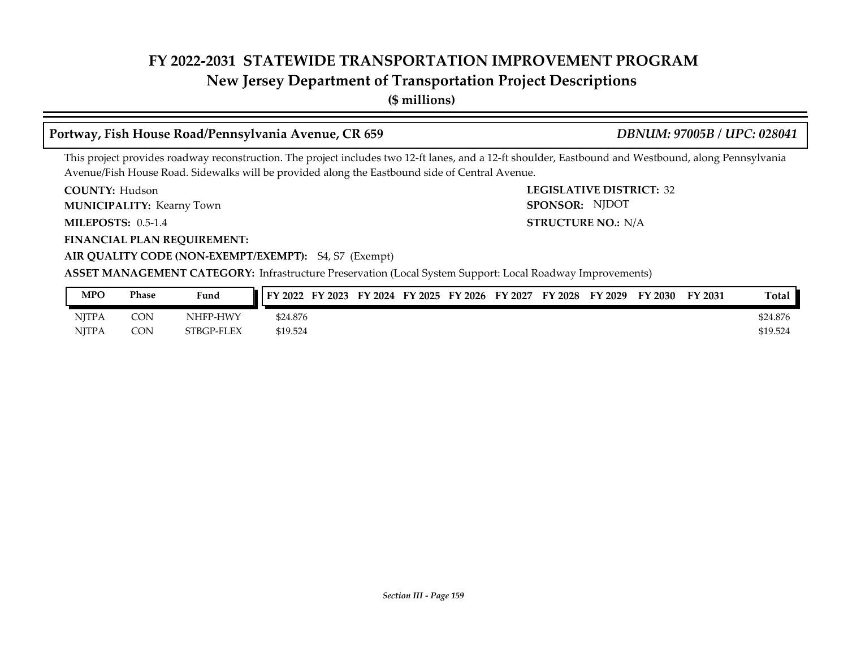### **New Jersey Department of Transportation Project Descriptions**

**(\$ millions)**

### **Portway, Fish House Road/Pennsylvania Avenue, CR 659** *DBNUM: 97005B / UPC: 028041*

This project provides roadway reconstruction. The project includes two 12-ft lanes, and a 12-ft shoulder, Eastbound and Westbound, along Pennsylvania Avenue/Fish House Road. Sidewalks will be provided along the Eastbound side of Central Avenue.

**COUNTY: LEGISLATIVE DISTRICT:** 32 **COUNTY: Hudson** 

**MUNICIPALITY:** Kearny Town **SPONSOR:** 

**MILEPOSTS: 0.5-1.4** 

**FINANCIAL PLAN REQUIREMENT:**

**MILEPOSTS: STRUCTURE NO.:** N/A SPONSOR: NJDOT

### **AIR QUALITY CODE (NON-EXEMPT/EXEMPT):** S4, S7 (Exempt)

| MPO          | Phase | Fund       | FY 2022  | FY 2023 | FY 2024 FY 2025 | FY 2026 | FY 2027 | FY 2028 | FY 2029 | <b>FY 2030</b> | FY 2031 | <b>Total</b> |
|--------------|-------|------------|----------|---------|-----------------|---------|---------|---------|---------|----------------|---------|--------------|
| <b>NJTPA</b> | CON   | NHFP-HWY   | \$24.876 |         |                 |         |         |         |         |                |         | \$24.876     |
| <b>NITPA</b> | CON   | STBGP-FLEX | \$19.524 |         |                 |         |         |         |         |                |         | \$19.524     |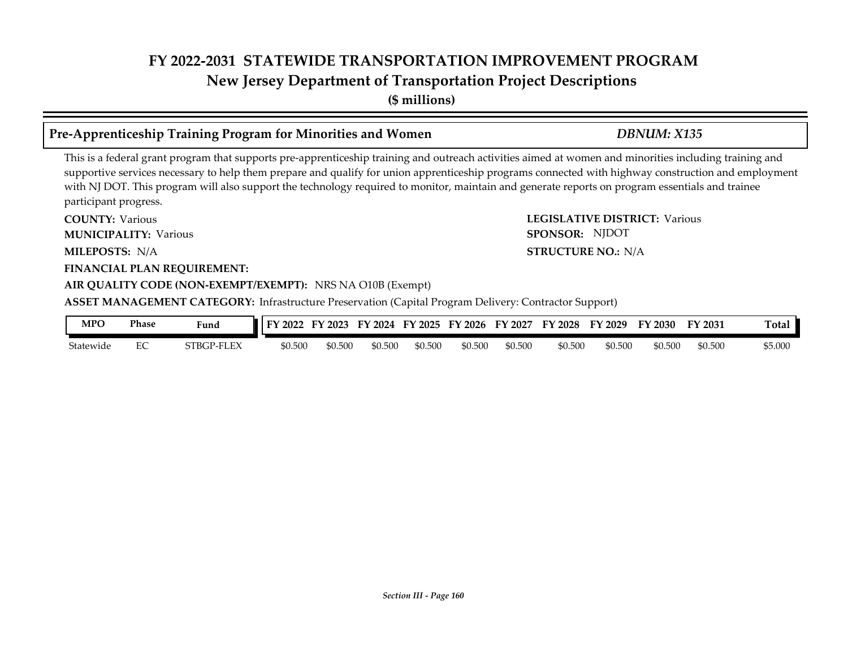**(\$ millions)**

### **Pre-Apprenticeship Training Program for Minorities and Women** *DBNUM: X135*

This is a federal grant program that supports pre-apprenticeship training and outreach activities aimed at women and minorities including training and supportive services necessary to help them prepare and qualify for union apprenticeship programs connected with highway construction and employment with NJ DOT. This program will also support the technology required to monitor, maintain and generate reports on program essentials and trainee participant progress.

**COUNTY: LEGISLATIVE DISTRICT:** Various **MILEPOSTS: STRUCTURE NO.:** N/A **FINANCIAL PLAN REQUIREMENT: AIR QUALITY CODE (NON-EXEMPT/EXEMPT):** NRS NA O10B (Exempt) **COUNTY: Various MUNICIPALITY:** Various **SPONSOR:** MILEPOSTS: N/A **ASSET MANAGEMENT CATEGORY:** Infrastructure Preservation (Capital Program Delivery: Contractor Support) SPONSOR: NJDOT

| MPO       | Phase   | $\mathbf{r}$<br>Fund | FV<br>2022 | 2023<br>EV. | EY<br>2024 | FY 2025 | $'$ 2026<br>EV | EV<br>2027 | <sup>T</sup> Y 2028 | $\frac{1}{2}029$<br>FУ | FY 2030 | FY 2031 | <b>Total</b> |
|-----------|---------|----------------------|------------|-------------|------------|---------|----------------|------------|---------------------|------------------------|---------|---------|--------------|
| Statewide | FC<br>∽ | STBGP-FLEX           | \$0.500    | 0.500       | \$0.500    | \$0.500 | \$0.500        | \$0.500    | \$0.500             | \$0.500                | \$0.500 | \$0.500 | \$5.000      |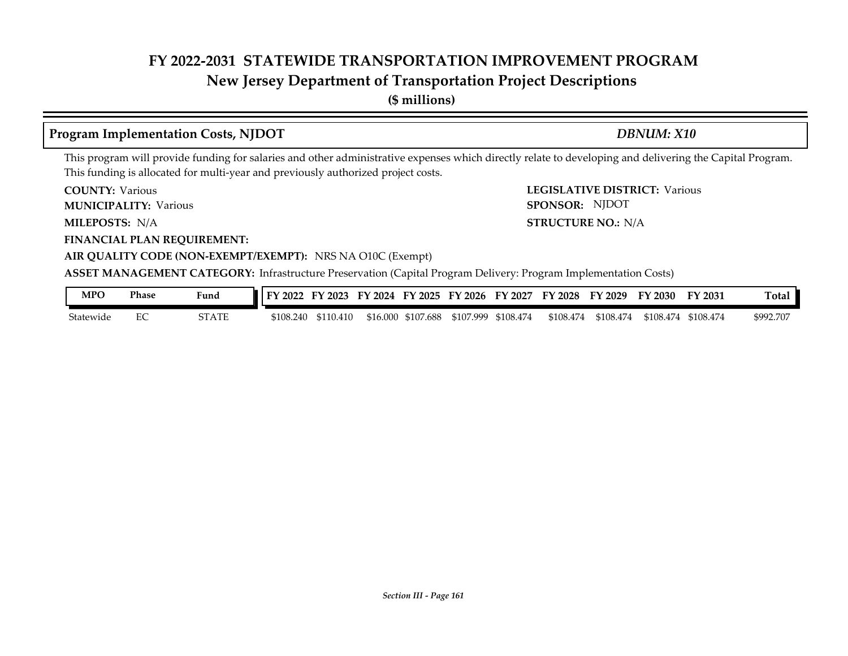### **New Jersey Department of Transportation Project Descriptions**

**(\$ millions)**

### **Program Implementation Costs, NJDOT** *DBNUM: X10*

SPONSOR: NJDOT

This program will provide funding for salaries and other administrative expenses which directly relate to developing and delivering the Capital Program. This funding is allocated for multi-year and previously authorized project costs.

**COUNTY: LEGISLATIVE DISTRICT:** Various **COUNTY: Various** 

**MUNICIPALITY:** Various **SPONSOR:** 

**MILEPOSTS: STRUCTURE NO.:** N/A MILEPOSTS: N/A

**FINANCIAL PLAN REQUIREMENT:**

**AIR QUALITY CODE (NON-EXEMPT/EXEMPT):** NRS NA O10C (Exempt)

**ASSET MANAGEMENT CATEGORY:** Infrastructure Preservation (Capital Program Delivery: Program Implementation Costs)

| MPC       | Phase | <b>Fund</b> | FY 2022   | FY 2023   |          |           | FY 2024 FY 2025 FY 2026 | <b>FY 2027</b> | FY 2028 FY 2029 |           | FY 2030   | <b>FY 2031</b> | Total     |
|-----------|-------|-------------|-----------|-----------|----------|-----------|-------------------------|----------------|-----------------|-----------|-----------|----------------|-----------|
| Statewide |       | STATE       | \$108.240 | \$110.410 | \$16.000 | \$107.688 | \$107.999               | \$108.474      | \$108.474       | \$108.474 | \$108.474 | \$108.474      | \$992.707 |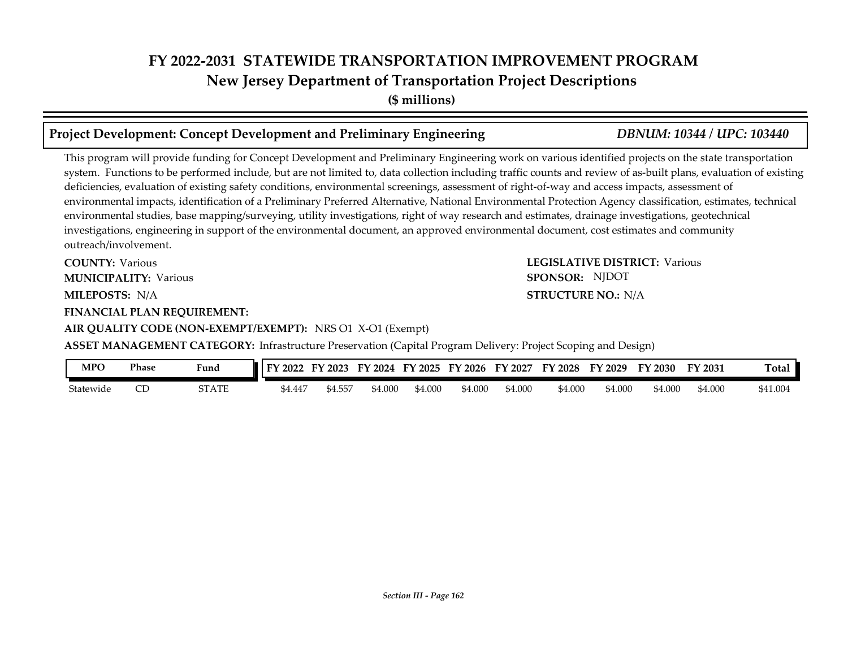**(\$ millions)**

### **Project Development: Concept Development and Preliminary Engineering** *DBNUM: 10344 / UPC: 103440*

This program will provide funding for Concept Development and Preliminary Engineering work on various identified projects on the state transportation system. Functions to be performed include, but are not limited to, data collection including traffic counts and review of as-built plans, evaluation of existing deficiencies, evaluation of existing safety conditions, environmental screenings, assessment of right-of-way and access impacts, assessment of environmental impacts, identification of a Preliminary Preferred Alternative, National Environmental Protection Agency classification, estimates, technical environmental studies, base mapping/surveying, utility investigations, right of way research and estimates, drainage investigations, geotechnical investigations, engineering in support of the environmental document, an approved environmental document, cost estimates and community outreach/involvement.

**COUNTY: Various MUNICIPALITY:** Various **SPONSOR:** 

MILEPOSTS: N/A

**FINANCIAL PLAN REQUIREMENT:**

**AIR QUALITY CODE (NON-EXEMPT/EXEMPT):** NRS O1 X-O1 (Exempt)

**COUNTY: LEGISLATIVE DISTRICT:** Various **MILEPOSTS: STRUCTURE NO.:** N/A SPONSOR: NJDOT

**ASSET MANAGEMENT CATEGORY:** Infrastructure Preservation (Capital Program Delivery: Project Scoping and Design)

| <b>MPO</b> | Phase | Fund         | <b>IFY 2022</b> | FY 2023       | FY 2024 |         | FY 2025 FY 2026 | FY 2027 | FY 2028 | FY 2029 | FY 2030 | FY 2031 | Total    |
|------------|-------|--------------|-----------------|---------------|---------|---------|-----------------|---------|---------|---------|---------|---------|----------|
| Statewide  | ىك    | <b>STATE</b> | \$4.447         | .<br>- 94.557 | 54.000  | \$4.000 | \$4.000         | \$4.000 | \$4.000 | \$4.000 | \$4.000 | \$4.000 | \$41.004 |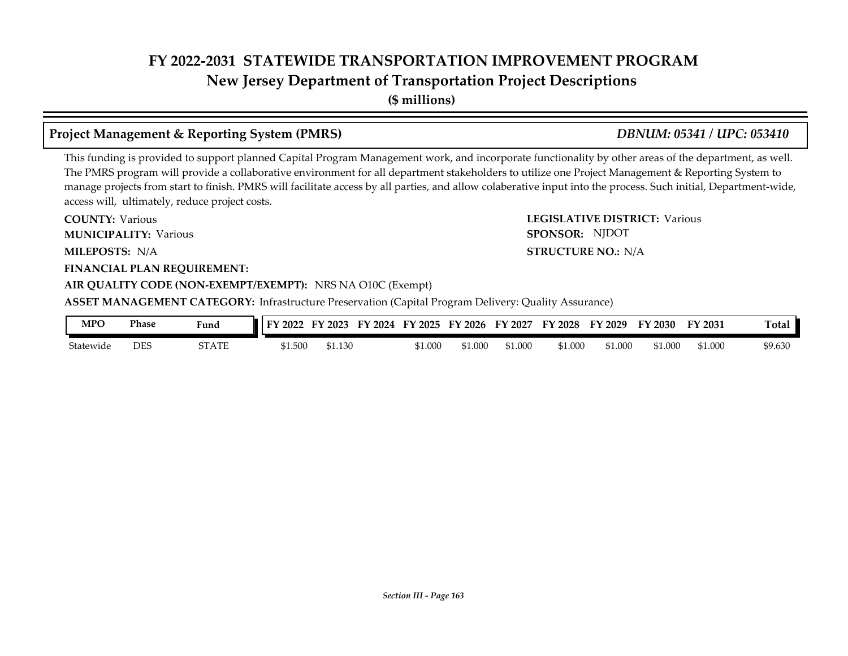**New Jersey Department of Transportation Project Descriptions**

**(\$ millions)**

### **Project Management & Reporting System (PMRS)** *DBNUM: 05341 / UPC: 053410*

### This funding is provided to support planned Capital Program Management work, and incorporate functionality by other areas of the department, as well. The PMRS program will provide a collaborative environment for all department stakeholders to utilize one Project Management & Reporting System to manage projects from start to finish. PMRS will facilitate access by all parties, and allow colaberative input into the process. Such initial, Department-wide, access will, ultimately, reduce project costs.

**COUNTY: LEGISLATIVE DISTRICT:** Various **MILEPOSTS: STRUCTURE NO.:** N/A **FINANCIAL PLAN REQUIREMENT: AIR QUALITY CODE (NON-EXEMPT/EXEMPT):** NRS NA O10C (Exempt) **COUNTY: Various MUNICIPALITY:** Various **SPONSOR:** MILEPOSTS: N/A **ASSET MANAGEMENT CATEGORY:** Infrastructure Preservation (Capital Program Delivery: Quality Assurance) SPONSOR: NJDOT

| MPO       | Phase | Fund  | 12022<br>ТV. | $'$ 2023 | FY<br>12024 | FY 2025 | FY 2026 | FY 2027 | FY 2028 | FY 2029 | FY 2030 | $\mathbf{Y}$ 2031 | <b>m</b><br>『otal |
|-----------|-------|-------|--------------|----------|-------------|---------|---------|---------|---------|---------|---------|-------------------|-------------------|
| Statewide | DES   | STATE | \$1.500      | 51.130   |             | 51.000  | \$1.000 | \$1.000 | \$1.000 | \$1.000 | \$1.000 | 51.000            | \$9.630           |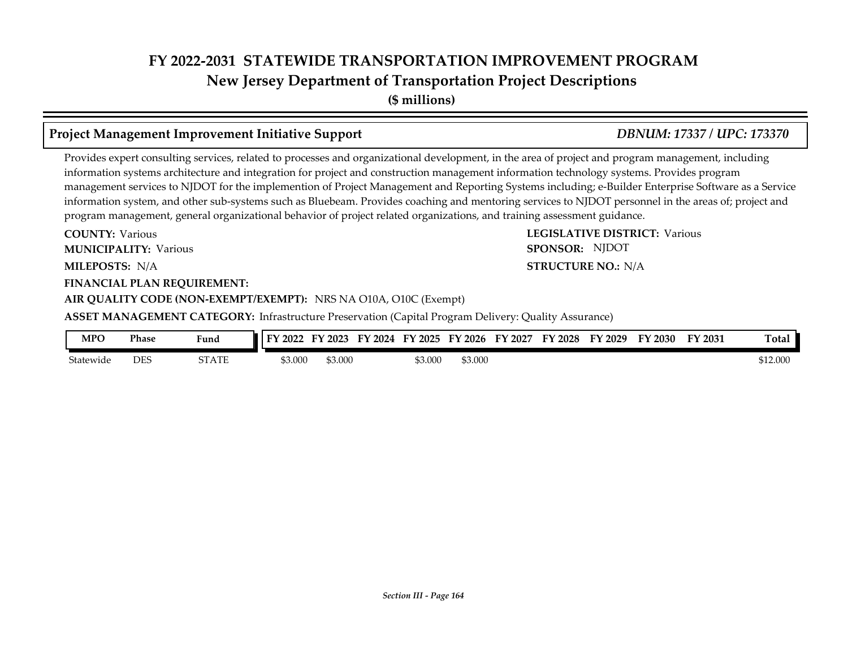**New Jersey Department of Transportation Project Descriptions**

**(\$ millions)**

### **Project Management Improvement Initiative Support** *DBNUM: 17337 / UPC: 173370*

Provides expert consulting services, related to processes and organizational development, in the area of project and program management, including information systems architecture and integration for project and construction management information technology systems. Provides program management services to NJDOT for the implemention of Project Management and Reporting Systems including; e-Builder Enterprise Software as a Service information system, and other sub-systems such as Bluebeam. Provides coaching and mentoring services to NJDOT personnel in the areas of; project and program management, general organizational behavior of project related organizations, and training assessment guidance.

**COUNTY: LEGISLATIVE DISTRICT:** Various **MILEPOSTS: STRUCTURE NO.:** N/A **FINANCIAL PLAN REQUIREMENT: COUNTY: Various MUNICIPALITY:** Various **SPONSOR:** 

**AIR QUALITY CODE (NON-EXEMPT/EXEMPT):** NRS NA O10A, O10C (Exempt)

**ASSET MANAGEMENT CATEGORY:** Infrastructure Preservation (Capital Program Delivery: Quality Assurance)

| <b>MPO</b> | Phase      | $\mathbf{r}$<br>Fund | FY<br>2022 | 2023    | FV<br>2024 | FY 2025 | $\cdot$ 2026<br>FV | 2027<br>FY. | <sup>T</sup> Y 2028 | $^{\prime}$ 2029<br>FУ | FY 2030 | FY 2031 | $\mathbf{r}$<br>『otal |
|------------|------------|----------------------|------------|---------|------------|---------|--------------------|-------------|---------------------|------------------------|---------|---------|-----------------------|
| Statewide  | <b>DES</b> | STATE                | 3.000م     | \$3.000 |            | \$3.000 | \$3.000            |             |                     |                        |         |         | \$12.000              |

*Section III - Page 164*

**STRUCTURE NO.: N/A** SPONSOR: NJDOT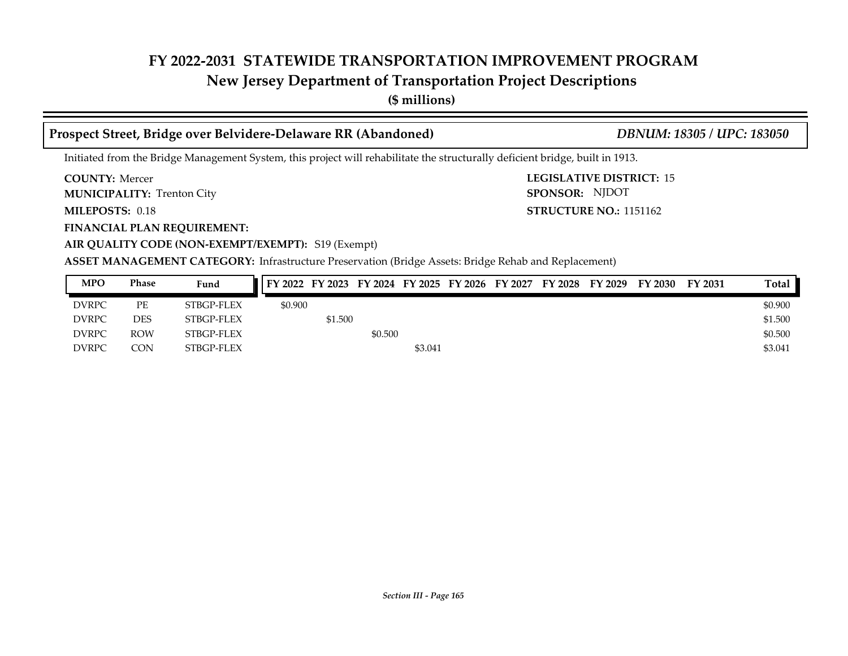## **New Jersey Department of Transportation Project Descriptions**

**(\$ millions)**

### **Prospect Street, Bridge over Belvidere-Delaware RR (Abandoned)** *DBNUM: 18305 / UPC: 183050*

SPONSOR: NJDOT

Initiated from the Bridge Management System, this project will rehabilitate the structurally deficient bridge, built in 1913.

**COUNTY: LEGISLATIVE DISTRICT:** 15 **COUNTY: Mercer** 

**MUNICIPALITY:** Trenton City **SPONSOR:** 

**MILEPOSTS: STRUCTURE NO.:** 1151162 MILEPOSTS: 0.18

**FINANCIAL PLAN REQUIREMENT:**

**AIR QUALITY CODE (NON-EXEMPT/EXEMPT):** S19 (Exempt)

**ASSET MANAGEMENT CATEGORY:** Infrastructure Preservation (Bridge Assets: Bridge Rehab and Replacement)

| <b>MPO</b>   | <b>Phase</b> | Fund       |         | FY 2022 FY 2023 FY 2024 FY 2025 FY 2026 FY 2027 |         |         |  | FY 2028 | FY 2029 | FY 2030 | FY 2031 | Total   |
|--------------|--------------|------------|---------|-------------------------------------------------|---------|---------|--|---------|---------|---------|---------|---------|
| <b>DVRPC</b> | PE           | STBGP-FLEX | \$0.900 |                                                 |         |         |  |         |         |         |         | \$0.900 |
| <b>DVRPC</b> | DES          | STBGP-FLEX |         | \$1.500                                         |         |         |  |         |         |         |         | \$1.500 |
| <b>DVRPC</b> | <b>ROW</b>   | STBGP-FLEX |         |                                                 | \$0.500 |         |  |         |         |         |         | \$0.500 |
| <b>DVRPC</b> | CON.         | STBGP-FLEX |         |                                                 |         | \$3.041 |  |         |         |         |         | \$3.041 |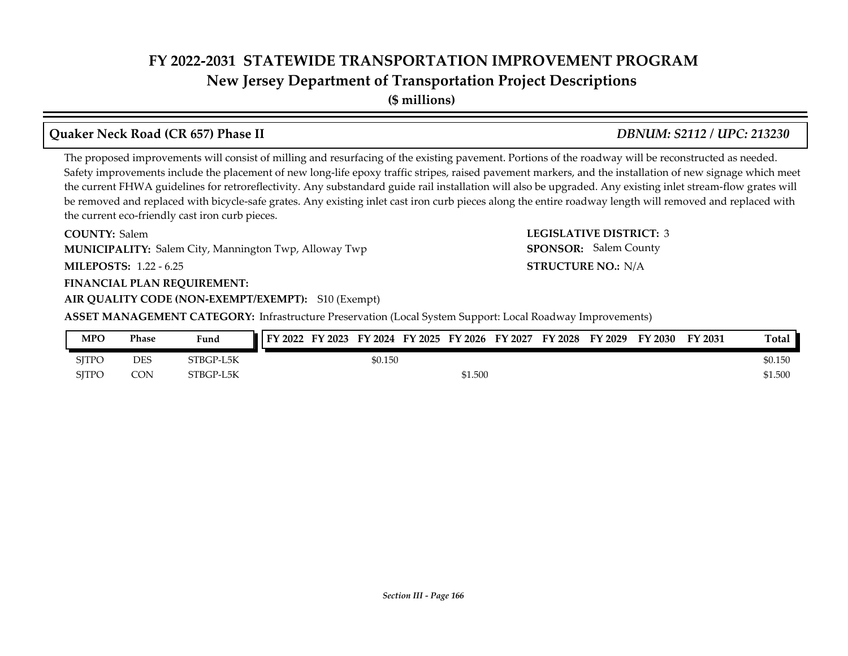**New Jersey Department of Transportation Project Descriptions**

**(\$ millions)**

## **Quaker Neck Road (CR 657) Phase II** *DBNUM: S2112 / UPC: 213230*

The proposed improvements will consist of milling and resurfacing of the existing pavement. Portions of the roadway will be reconstructed as needed. Safety improvements include the placement of new long-life epoxy traffic stripes, raised pavement markers, and the installation of new signage which meet the current FHWA guidelines for retroreflectivity. Any substandard guide rail installation will also be upgraded. Any existing inlet stream-flow grates will be removed and replaced with bicycle-safe grates. Any existing inlet cast iron curb pieces along the entire roadway length will removed and replaced with the current eco-friendly cast iron curb pieces.

**COUNTY: LEGISLATIVE DISTRICT:** 3 **COUNTY: Salem MUNICIPALITY:** Salem City, Mannington Twp, Alloway Twp **SPONSOR:** 

**MILEPOSTS: STRUCTURE NO.:** 1.22 - 6.25

### **FINANCIAL PLAN REQUIREMENT:**

**AIR QUALITY CODE (NON-EXEMPT/EXEMPT):** S10 (Exempt)

**ASSET MANAGEMENT CATEGORY:** Infrastructure Preservation (Local System Support: Local Roadway Improvements)

| <b>MPO</b>   | <b>Phase</b> | Fund      | <b>IFY 2022</b> | FY 2023 |         |         | FY 2024 FY 2025 FY 2026 FY 2027 | FY 2028 | FY 2029 | FY 2030 | FY 2031 | Total   |
|--------------|--------------|-----------|-----------------|---------|---------|---------|---------------------------------|---------|---------|---------|---------|---------|
| <b>SJTPC</b> | DES          | STBGP-L5K |                 |         | \$0.150 |         |                                 |         |         |         |         | \$0.150 |
| <b>SITPC</b> | <b>CON</b>   | STBGP-L5K |                 |         |         | \$1.500 |                                 |         |         |         |         | \$1.500 |

**STRUCTURE NO.: N/A** 

SPONSOR: Salem County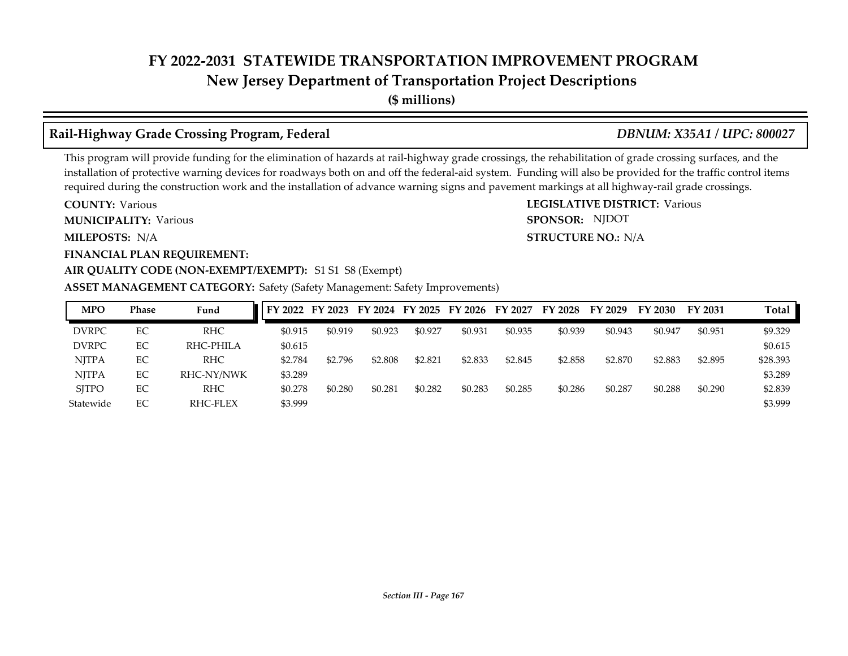**New Jersey Department of Transportation Project Descriptions**

**(\$ millions)**

## **Rail-Highway Grade Crossing Program, Federal** *DBNUM: X35A1 / UPC: 800027*

SPONSOR: NJDOT

This program will provide funding for the elimination of hazards at rail-highway grade crossings, the rehabilitation of grade crossing surfaces, and the installation of protective warning devices for roadways both on and off the federal-aid system. Funding will also be provided for the traffic control items required during the construction work and the installation of advance warning signs and pavement markings at all highway-rail grade crossings.

**COUNTY: LEGISLATIVE DISTRICT:** Various **COUNTY: Various MUNICIPALITY:** Various **SPONSOR:** 

**MILEPOSTS: STRUCTURE NO.:** N/A MILEPOSTS: N/A

**FINANCIAL PLAN REQUIREMENT:**

### AIR QUALITY CODE (NON-EXEMPT/EXEMPT): S1 S1 S8 (Exempt)

### **ASSET MANAGEMENT CATEGORY:** Safety (Safety Management: Safety Improvements)

| <b>MPO</b>   | <b>Phase</b> | Fund       |         | FY 2022 FY 2023 FY 2024 FY 2025 FY 2026 FY 2027 |         |         |         |         | FY 2028 | FY 2029 | FY 2030 | FY 2031 | Total    |
|--------------|--------------|------------|---------|-------------------------------------------------|---------|---------|---------|---------|---------|---------|---------|---------|----------|
| <b>DVRPC</b> | EC           | <b>RHC</b> | \$0.915 | \$0.919                                         | \$0.923 | \$0.927 | \$0.931 | \$0.935 | \$0.939 | \$0.943 | \$0.947 | \$0.951 | \$9.329  |
| <b>DVRPC</b> | EC           | RHC-PHILA  | \$0.615 |                                                 |         |         |         |         |         |         |         |         | \$0.615  |
| <b>NITPA</b> | EC           | <b>RHC</b> | \$2.784 | \$2.796                                         | \$2.808 | \$2.821 | \$2.833 | \$2.845 | \$2.858 | \$2.870 | \$2.883 | \$2.895 | \$28.393 |
| <b>NITPA</b> | EC           | RHC-NY/NWK | \$3.289 |                                                 |         |         |         |         |         |         |         |         | \$3.289  |
| <b>SITPO</b> | EC           | <b>RHC</b> | \$0.278 | \$0.280                                         | \$0.281 | \$0.282 | \$0.283 | \$0.285 | \$0.286 | \$0.287 | \$0.288 | \$0.290 | \$2.839  |
| Statewide    | EC           | RHC-FLEX   | \$3.999 |                                                 |         |         |         |         |         |         |         |         | \$3.999  |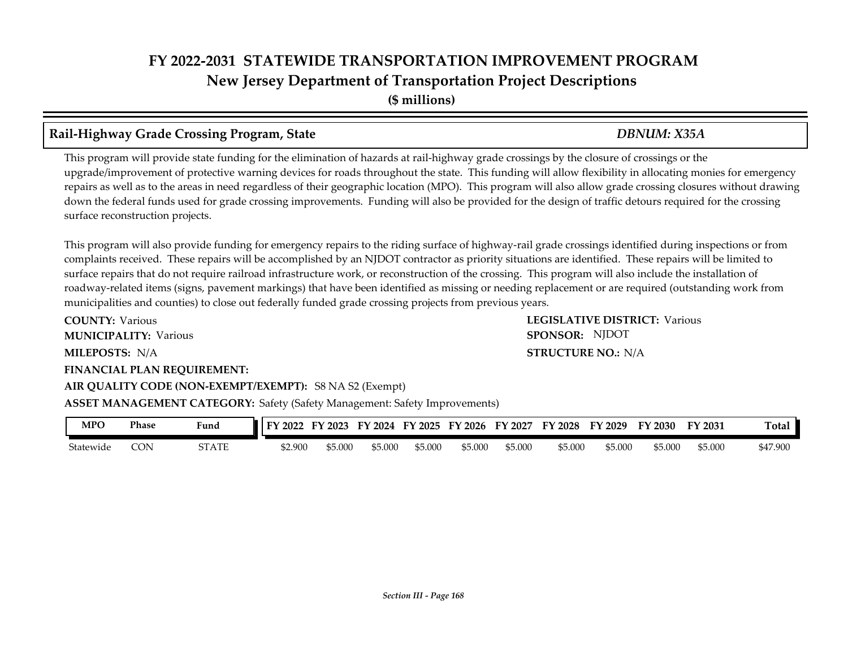**Rail-Highway Grade Crossing Program, State** *DBNUM: X35A*

This program will provide state funding for the elimination of hazards at rail-highway grade crossings by the closure of crossings or the upgrade/improvement of protective warning devices for roads throughout the state. This funding will allow flexibility in allocating monies for emergency repairs as well as to the areas in need regardless of their geographic location (MPO). This program will also allow grade crossing closures without drawing down the federal funds used for grade crossing improvements. Funding will also be provided for the design of traffic detours required for the crossing surface reconstruction projects.

This program will also provide funding for emergency repairs to the riding surface of highway-rail grade crossings identified during inspections or from complaints received. These repairs will be accomplished by an NJDOT contractor as priority situations are identified. These repairs will be limited to surface repairs that do not require railroad infrastructure work, or reconstruction of the crossing. This program will also include the installation of roadway-related items (signs, pavement markings) that have been identified as missing or needing replacement or are required (outstanding work from municipalities and counties) to close out federally funded grade crossing projects from previous years.

**COUNTY: LEGISLATIVE DISTRICT:** Various **MILEPOSTS: STRUCTURE NO.:** N/A **FINANCIAL PLAN REQUIREMENT: AIR QUALITY CODE (NON-EXEMPT/EXEMPT):** S8 NA S2 (Exempt) **COUNTY: Various MUNICIPALITY:** Various **SPONSOR: STRUCTURE NO.: N/A ASSET MANAGEMENT CATEGORY:** Safety (Safety Management: Safety Improvements) SPONSOR: NJDOT

| MPO       | <b>Phase</b> | Fund                | 2022    | 12023<br>гν | 2024<br>:v | EV.<br>12025 | FY 2026 | FV<br>2027 | TY 2028 | FY 2029 | FY 2030 | FY 2031 | Tota.    |
|-----------|--------------|---------------------|---------|-------------|------------|--------------|---------|------------|---------|---------|---------|---------|----------|
| Statewide | CON          | OT A TE<br>91 A 1 E | \$2.900 | \$5.000     | \$5.000    | \$5.000      | \$5.000 | \$5.000    | \$5.000 | \$5.000 | \$5.000 | \$5.000 | \$47.900 |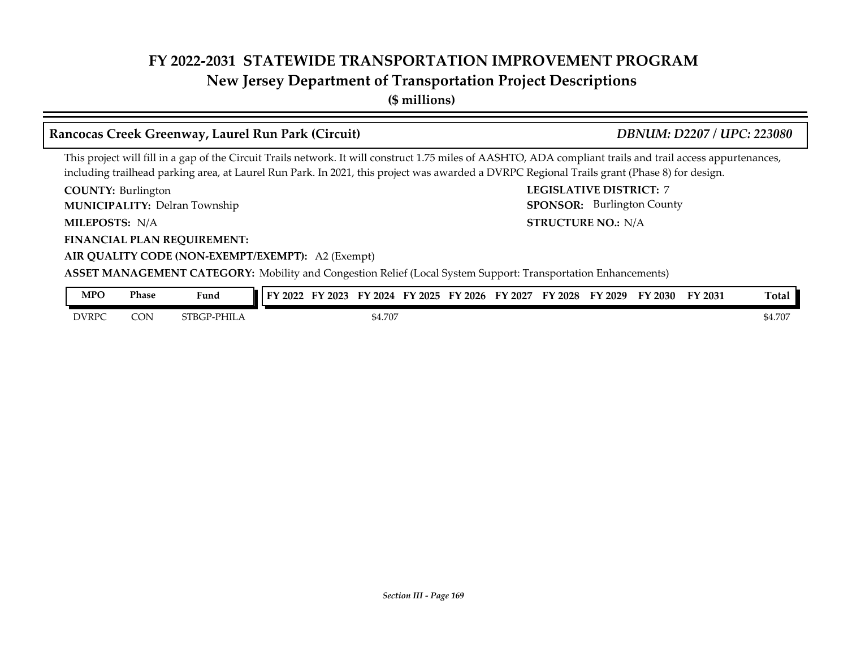### **New Jersey Department of Transportation Project Descriptions**

**(\$ millions)**

### **COUNTY: LEGISLATIVE DISTRICT:** 7 **MILEPOSTS: STRUCTURE NO.:** N/A **FINANCIAL PLAN REQUIREMENT: AIR QUALITY CODE (NON-EXEMPT/EXEMPT):** A2 (Exempt) **COUNTY: Burlington MUNICIPALITY:** Delran Township **SPONSOR:** MILEPOSTS: N/A **ASSET MANAGEMENT CATEGORY:** Mobility and Congestion Relief (Local System Support: Transportation Enhancements) This project will fill in a gap of the Circuit Trails network. It will construct 1.75 miles of AASHTO, ADA compliant trails and trail access appurtenances, including trailhead parking area, at Laurel Run Park. In 2021, this project was awarded a DVRPC Regional Trails grant (Phase 8) for design. **Rancocas Creek Greenway, Laurel Run Park (Circuit)** *DBNUM: D2207 / UPC: 223080* SPONSOR: Burlington County **MPO Phase Fund FY 2022 FY 2023 FY 2024 FY 2025 FY 2026 FY 2027 FY 2028 FY 2029 FY 2030 FY 2031 Total**

| DVRPC | CON | $\cdot$ PHILA<br>™D∩⊓<br>nt. | \$4.707 | 507<br>4.707 |
|-------|-----|------------------------------|---------|--------------|
|       |     |                              |         |              |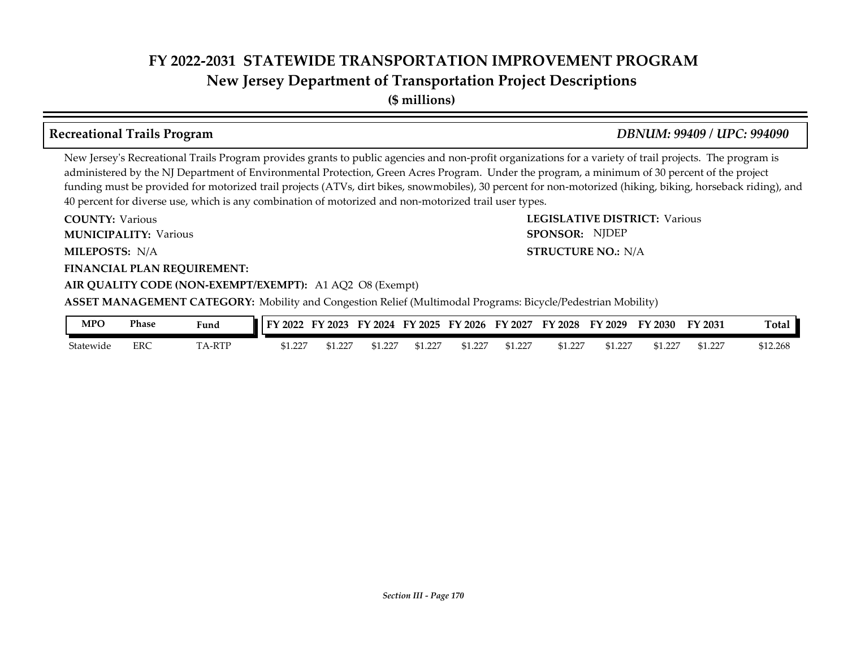**New Jersey Department of Transportation Project Descriptions**

**(\$ millions)**

### **Recreational Trails Program** *DBNUM: 99409 / UPC: 994090*

New Jersey's Recreational Trails Program provides grants to public agencies and non-profit organizations for a variety of trail projects. The program is administered by the NJ Department of Environmental Protection, Green Acres Program. Under the program, a minimum of 30 percent of the project funding must be provided for motorized trail projects (ATVs, dirt bikes, snowmobiles), 30 percent for non-motorized (hiking, biking, horseback riding), and 40 percent for diverse use, which is any combination of motorized and non-motorized trail user types.

**COUNTY: LEGISLATIVE DISTRICT:** Various **MILEPOSTS: STRUCTURE NO.:** N/A **FINANCIAL PLAN REQUIREMENT: AIR QUALITY CODE (NON-EXEMPT/EXEMPT):** A1 AQ2 O8 (Exempt) **COUNTY: Various MUNICIPALITY:** Various **SPONSOR: STRUCTURE NO.: N/A ASSET MANAGEMENT CATEGORY:** Mobility and Congestion Relief (Multimodal Programs: Bicycle/Pedestrian Mobility) SPONSOR: NJDEP

| <b>MPO</b> | Phase | <b>Fund</b>             | FY 2022 | FY 2023 | FY<br>$^{\prime}$ 2024 $^{\prime}$ | FY 2025 | FY 2026 | FY 2027 | FY 2028 | FY 2029 | FY 2030 | FY 2031 | <b>Total</b> |
|------------|-------|-------------------------|---------|---------|------------------------------------|---------|---------|---------|---------|---------|---------|---------|--------------|
| Statewide  | ERC   | A-RTP<br>T <sub>1</sub> | 51.227  | תרר     | \$1.22                             | \$1.227 | \$1.227 | \$1.227 | 1.227ھ  |         | \$1.227 | \$1.227 | \$12.268     |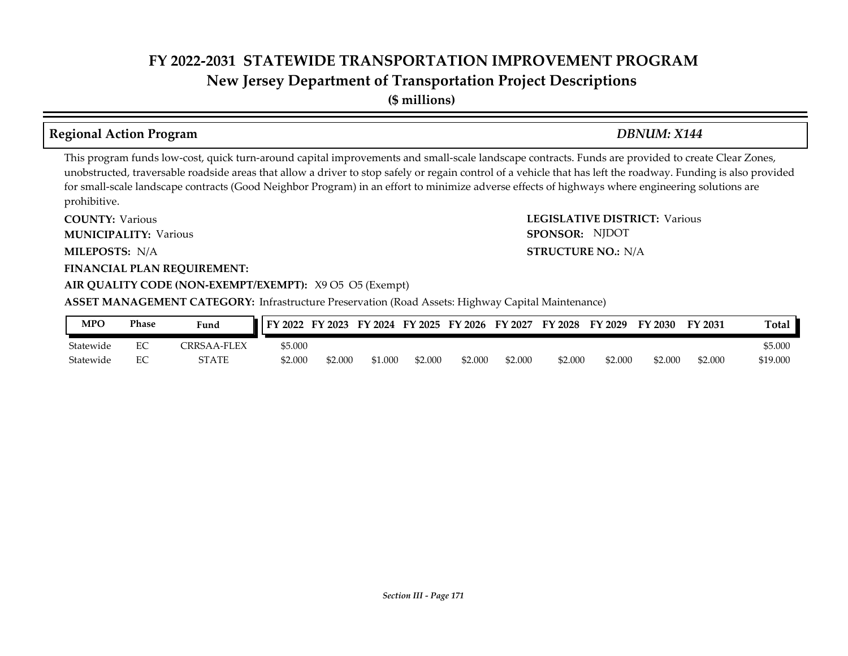**(\$ millions)**

### **Regional Action Program** *DBNUM: X144*

SPONSOR: NJDOT

This program funds low-cost, quick turn-around capital improvements and small-scale landscape contracts. Funds are provided to create Clear Zones, unobstructed, traversable roadside areas that allow a driver to stop safely or regain control of a vehicle that has left the roadway. Funding is also provided for small-scale landscape contracts (Good Neighbor Program) in an effort to minimize adverse effects of highways where engineering solutions are prohibitive.

**COUNTY: LEGISLATIVE DISTRICT:** Various **MILEPOSTS: STRUCTURE NO.:** N/A **FINANCIAL PLAN REQUIREMENT: AIR QUALITY CODE (NON-EXEMPT/EXEMPT):** X9 O5 O5 (Exempt) **COUNTY: Various MUNICIPALITY:** Various **SPONSOR:** MILEPOSTS: N/A

**ASSET MANAGEMENT CATEGORY:** Infrastructure Preservation (Road Assets: Highway Capital Maintenance)

| MPO       | Phase          | Fund        | FY 2022 | FY 2023 | FY 2024 FY 2025 |         | FY 2026 | FY 2027 | <b>FY 2028</b> | FY 2029 | FY 2030 | FY 2031 | Total    |
|-----------|----------------|-------------|---------|---------|-----------------|---------|---------|---------|----------------|---------|---------|---------|----------|
| Statewide | $\Gamma$<br>EC | CRRSAA-FLEX | \$5.000 |         |                 |         |         |         |                |         |         |         | \$5.000  |
| Statewide | ЕC             | STATE       | \$2.000 | \$2.000 | \$1.000         | \$2.000 | \$2.000 | \$2,000 | \$2.000        | \$2.000 | \$2.000 | \$2.000 | \$19.000 |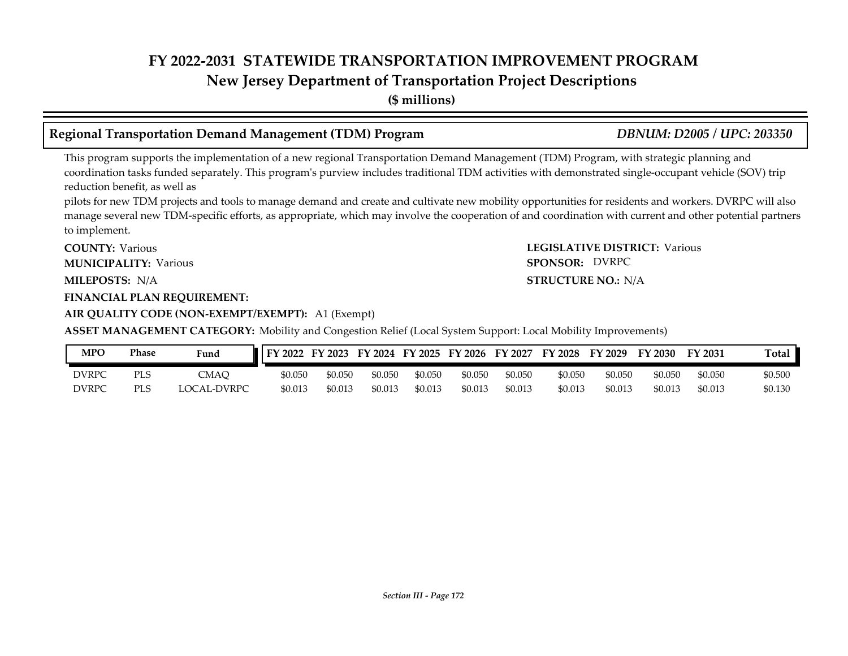**New Jersey Department of Transportation Project Descriptions**

**(\$ millions)**

## **Regional Transportation Demand Management (TDM) Program** *DBNUM: D2005 / UPC: 203350*

This program supports the implementation of a new regional Transportation Demand Management (TDM) Program, with strategic planning and coordination tasks funded separately. This program's purview includes traditional TDM activities with demonstrated single-occupant vehicle (SOV) trip reduction benefit, as well as

pilots for new TDM projects and tools to manage demand and create and cultivate new mobility opportunities for residents and workers. DVRPC will also manage several new TDM-specific efforts, as appropriate, which may involve the cooperation of and coordination with current and other potential partners to implement.

**COUNTY: LEGISLATIVE DISTRICT:** Various **COUNTY: Various MUNICIPALITY:** Various **SPONSOR:** 

MILEPOSTS: N/A

### **FINANCIAL PLAN REQUIREMENT:**

### **AIR QUALITY CODE (NON-EXEMPT/EXEMPT):** A1 (Exempt)

**ASSET MANAGEMENT CATEGORY:** Mobility and Congestion Relief (Local System Support: Local Mobility Improvements)

| MPO   | Phase | <b>Fund</b> | FY 2022 | FY 2023 |         | FY 2024 FY 2025 | FY 2026 | FY 2027 | FY 2028 | FY 2029 | FY 2030 | FY 2031 | Total   |
|-------|-------|-------------|---------|---------|---------|-----------------|---------|---------|---------|---------|---------|---------|---------|
| DVRPC | PLS.  | CMAO        | \$0.050 | \$0.050 | \$0.050 | \$0.050         | \$0.050 | \$0.050 | \$0.050 | \$0.050 | \$0.050 | \$0.050 | \$0.500 |
| DVRPC | PLS   | LOCAL-DVRPC | \$0.013 | \$0.013 | \$0.013 | \$0.013         | \$0.013 | \$0.013 | \$0.013 | \$0.013 | \$0.013 | \$0.013 | 50.130  |

**MILEPOSTS: STRUCTURE NO.:** N/A

SPONSOR: DVRPC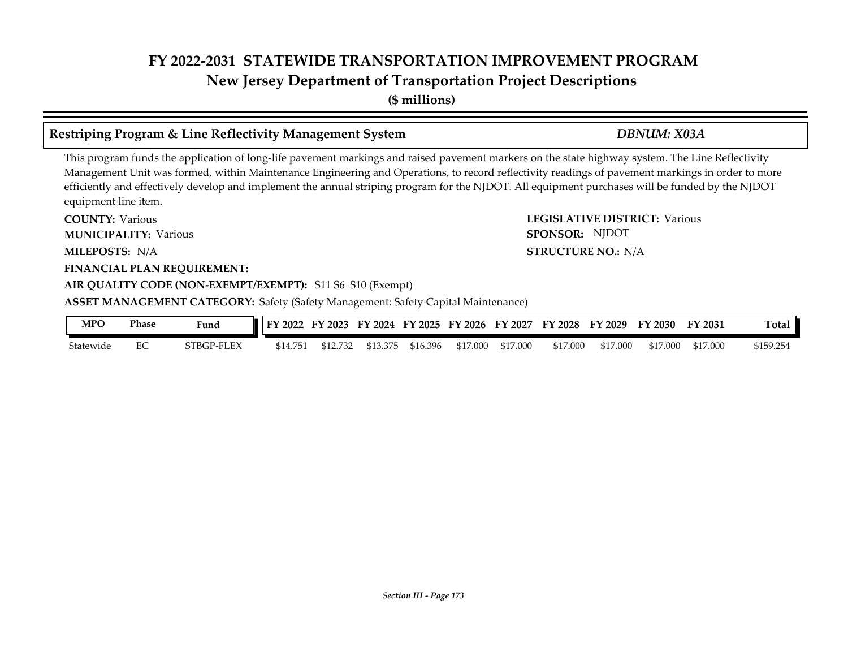**(\$ millions)**

### **Restriping Program & Line Reflectivity Management System** *DBNUM: X03A*

### This program funds the application of long-life pavement markings and raised pavement markers on the state highway system. The Line Reflectivity Management Unit was formed, within Maintenance Engineering and Operations, to record reflectivity readings of pavement markings in order to more efficiently and effectively develop and implement the annual striping program for the NJDOT. All equipment purchases will be funded by the NJDOT equipment line item.

**COUNTY: LEGISLATIVE DISTRICT:** Various **MILEPOSTS: STRUCTURE NO.:** N/A **FINANCIAL PLAN REQUIREMENT: AIR QUALITY CODE (NON-EXEMPT/EXEMPT):** S11 S6 S10 (Exempt) **COUNTY: Various MUNICIPALITY:** Various **SPONSOR:** MILEPOSTS: N/A **ASSET MANAGEMENT CATEGORY:** Safety (Safety Management: Safety Capital Maintenance) SPONSOR: NJDOT

| MPO       | Phase | Fund       | $\blacksquare$ FY 2022 | FY 2023  | FY 2024  |          | FY 2025 FY 2026 FY 2027 |          | FY 2028  | FY 2029  | FY 2030  | FY 2031  | Total    |
|-----------|-------|------------|------------------------|----------|----------|----------|-------------------------|----------|----------|----------|----------|----------|----------|
| Statewide | EC    | STBGP-FLEX | \$14.751               | \$12.732 | \$13.375 | \$16.396 | \$17.000                | \$17.000 | \$17,000 | \$17.000 | \$17,000 | \$17.000 | 5159.254 |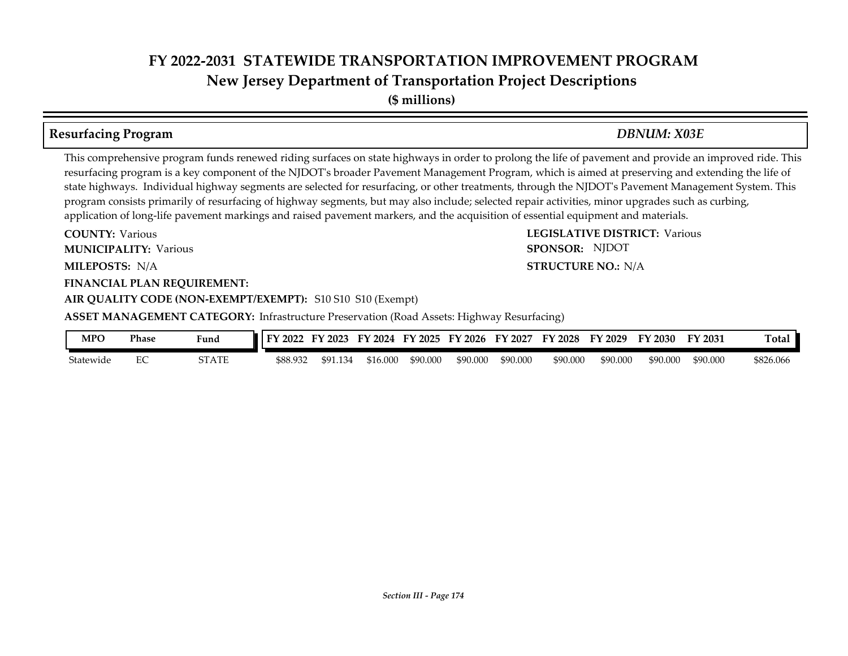**(\$ millions)**

### **Resurfacing Program** *DBNUM: X03E*

**STRUCTURE NO.: N/A** 

SPONSOR: NJDOT

This comprehensive program funds renewed riding surfaces on state highways in order to prolong the life of pavement and provide an improved ride. This resurfacing program is a key component of the NJDOT's broader Pavement Management Program, which is aimed at preserving and extending the life of state highways. Individual highway segments are selected for resurfacing, or other treatments, through the NJDOT's Pavement Management System. This program consists primarily of resurfacing of highway segments, but may also include; selected repair activities, minor upgrades such as curbing, application of long-life pavement markings and raised pavement markers, and the acquisition of essential equipment and materials.

**COUNTY: LEGISLATIVE DISTRICT:** Various **MILEPOSTS: STRUCTURE NO.:** N/A **FINANCIAL PLAN REQUIREMENT: AIR QUALITY CODE (NON-EXEMPT/EXEMPT):** S10 S10 S10 (Exempt) **COUNTY: Various MUNICIPALITY:** Various **SPONSOR:** 

**ASSET MANAGEMENT CATEGORY:** Infrastructure Preservation (Road Assets: Highway Resurfacing)

| <b>MPC</b> | Phase | Funa  | FY<br>'2022 | $'$ 2023    | FY 2024  | FY 2025  | FY 2026  | FY 2027  | <b>FY 2028</b> | FY 2029  | $\degree$ 2030 $\degree$ | FY 2031  | <b>Total</b> |
|------------|-------|-------|-------------|-------------|----------|----------|----------|----------|----------------|----------|--------------------------|----------|--------------|
| Statewide  | ∽     | STATE | \$88.932    | .134<br>¢υ. | \$16.000 | \$90.000 | \$90.000 | \$90.000 | \$90.000       | \$90.000 | \$90,000                 | \$90.000 | \$826.066    |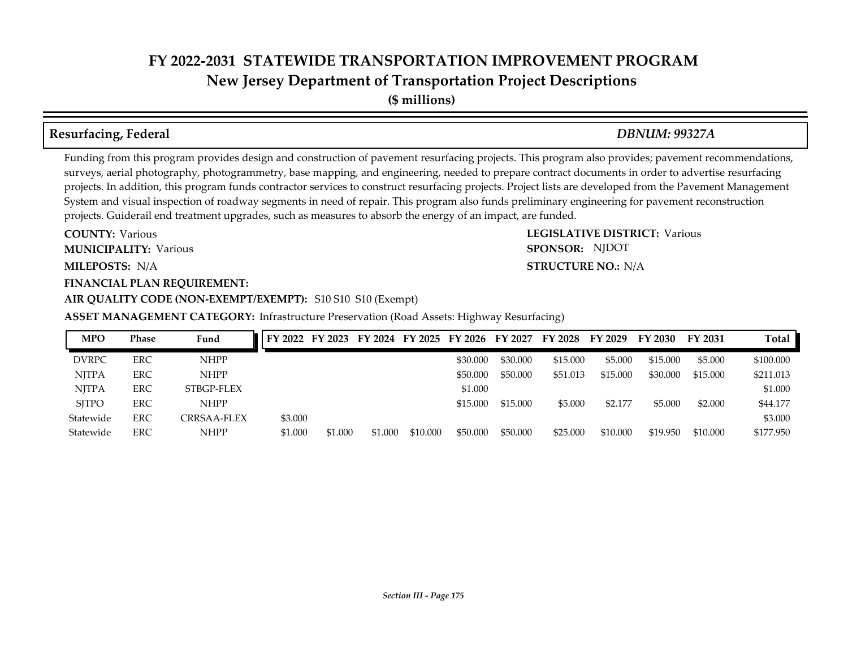**New Jersey Department of Transportation Project Descriptions**

**(\$ millions)**

## **Resurfacing, Federal** *DBNUM: 99327A*

Funding from this program provides design and construction of pavement resurfacing projects. This program also provides; pavement recommendations, surveys, aerial photography, photogrammetry, base mapping, and engineering, needed to prepare contract documents in order to advertise resurfacing projects. In addition, this program funds contractor services to construct resurfacing projects. Project lists are developed from the Pavement Management System and visual inspection of roadway segments in need of repair. This program also funds preliminary engineering for pavement reconstruction projects. Guiderail end treatment upgrades, such as measures to absorb the energy of an impact, are funded.

**MILEPOSTS: STRUCTURE NO.:** N/A **COUNTY: Various MUNICIPALITY:** Various **SPONSOR:** 

### **FINANCIAL PLAN REQUIREMENT: AIR QUALITY CODE (NON-EXEMPT/EXEMPT):** S10 S10 S10 (Exempt)

**ASSET MANAGEMENT CATEGORY:** Infrastructure Preservation (Road Assets: Highway Resurfacing)

| <b>MPO</b>   | <b>Phase</b> | Fund        |         |         |         |          |          |          | FY 2022 FY 2023 FY 2024 FY 2025 FY 2026 FY 2027 FY 2028 FY 2029 |          | FY 2030  | FY 2031  | Total     |
|--------------|--------------|-------------|---------|---------|---------|----------|----------|----------|-----------------------------------------------------------------|----------|----------|----------|-----------|
| <b>DVRPC</b> | <b>ERC</b>   | <b>NHPP</b> |         |         |         |          | \$30.000 | \$30.000 | \$15,000                                                        | \$5.000  | \$15,000 | \$5.000  | \$100.000 |
| <b>NJTPA</b> | <b>ERC</b>   | <b>NHPP</b> |         |         |         |          | \$50,000 | \$50,000 | \$51.013                                                        | \$15.000 | \$30.000 | \$15,000 | \$211,013 |
| <b>NITPA</b> | ERC          | STBGP-FLEX  |         |         |         |          | \$1,000  |          |                                                                 |          |          |          | \$1.000   |
| <b>SITPO</b> | <b>ERC</b>   | <b>NHPP</b> |         |         |         |          | \$15.000 | \$15,000 | \$5.000                                                         | \$2.177  | \$5,000  | \$2,000  | \$44.177  |
| Statewide    | <b>ERC</b>   | CRRSAA-FLEX | \$3.000 |         |         |          |          |          |                                                                 |          |          |          | \$3.000   |
| Statewide    | <b>ERC</b>   | <b>NHPP</b> | \$1,000 | \$1,000 | \$1.000 | \$10.000 | \$50,000 | \$50,000 | \$25,000                                                        | \$10,000 | \$19.950 | \$10,000 | \$177.950 |

**COUNTY: LEGISLATIVE DISTRICT:** Various **STRUCTURE NO.: N/A** SPONSOR: NJDOT

### *Section III - Page 175*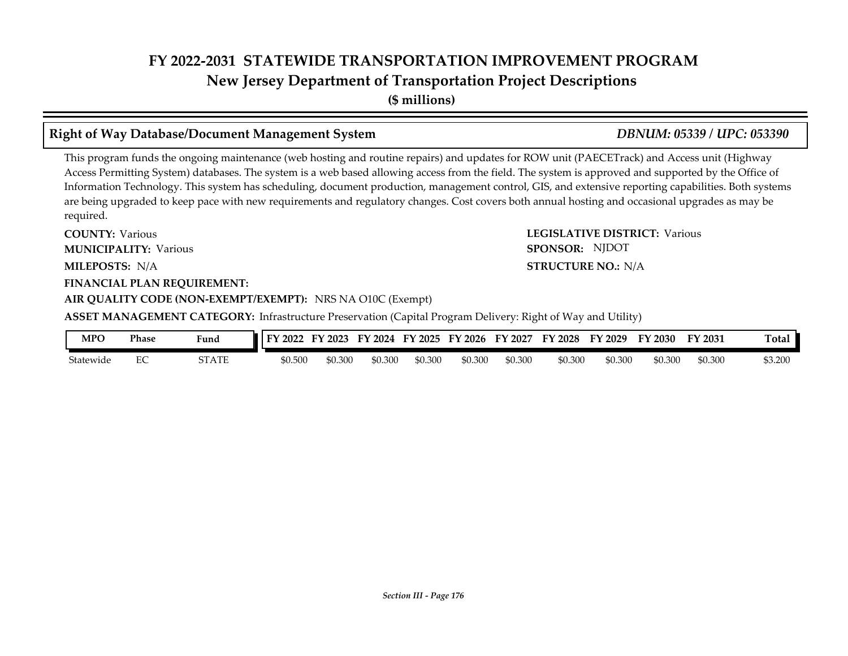**(\$ millions)**

### **Right of Way Database/Document Management System** *DBNUM: 05339 / UPC: 053390*

This program funds the ongoing maintenance (web hosting and routine repairs) and updates for ROW unit (PAECETrack) and Access unit (Highway Access Permitting System) databases. The system is a web based allowing access from the field. The system is approved and supported by the Office of Information Technology. This system has scheduling, document production, management control, GIS, and extensive reporting capabilities. Both systems are being upgraded to keep pace with new requirements and regulatory changes. Cost covers both annual hosting and occasional upgrades as may be required.

**COUNTY: LEGISLATIVE DISTRICT:** Various **MILEPOSTS: STRUCTURE NO.:** N/A **FINANCIAL PLAN REQUIREMENT: COUNTY: Various MUNICIPALITY:** Various **SPONSOR:** MILEPOSTS: N/A

### **AIR QUALITY CODE (NON-EXEMPT/EXEMPT):** NRS NA O10C (Exempt)

**ASSET MANAGEMENT CATEGORY:** Infrastructure Preservation (Capital Program Delivery: Right of Way and Utility)

| MPO       | Phase         | Fund  | I FY 2022 | <b>FY 2023</b> | FУ<br>2024 | $'$ 2025<br>ЕV | FY 2026 | 2027<br>FУ | 2028<br>FY | FY 2029 | FY 2030 | FY 2031 | <b>Total</b> |
|-----------|---------------|-------|-----------|----------------|------------|----------------|---------|------------|------------|---------|---------|---------|--------------|
| Statewide | $\Gamma$<br>∼ | STATE | \$0.500   | \$0.300        | \$0.300    | \$0.300        | \$0.300 | \$0.300    | \$0.300    | \$0.30C | ).300   | \$0.300 | \$3.200      |

# SPONSOR: NJDOT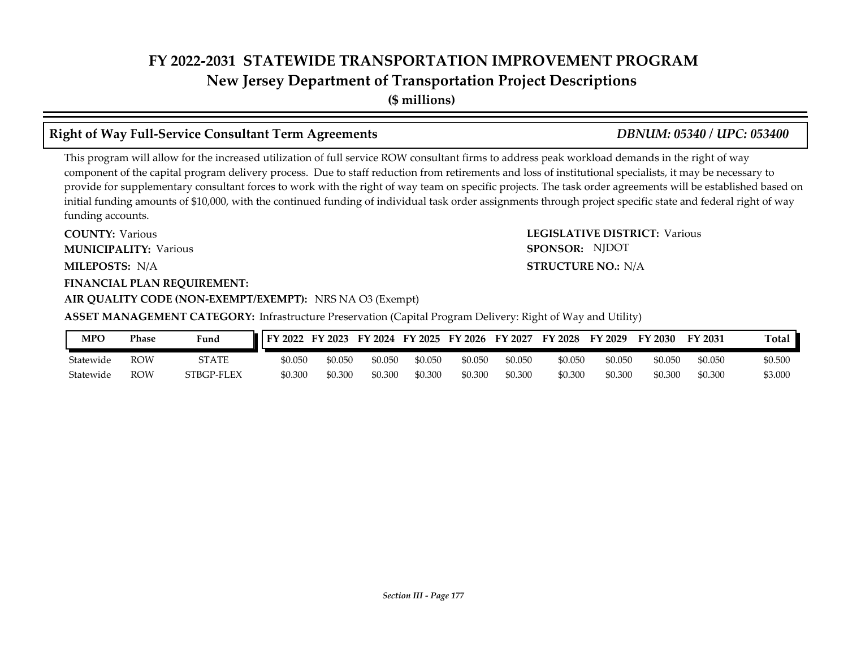**(\$ millions)**

### **Right of Way Full-Service Consultant Term Agreements** *DBNUM: 05340 / UPC: 053400*

This program will allow for the increased utilization of full service ROW consultant firms to address peak workload demands in the right of way component of the capital program delivery process. Due to staff reduction from retirements and loss of institutional specialists, it may be necessary to provide for supplementary consultant forces to work with the right of way team on specific projects. The task order agreements will be established based on initial funding amounts of \$10,000, with the continued funding of individual task order assignments through project specific state and federal right of way funding accounts.

**COUNTY: LEGISLATIVE DISTRICT:** Various **MILEPOSTS: STRUCTURE NO.:** N/A **FINANCIAL PLAN REQUIREMENT: COUNTY: Various MUNICIPALITY:** Various **SPONSOR:** MILEPOSTS: N/A

## **AIR QUALITY CODE (NON-EXEMPT/EXEMPT):** NRS NA O3 (Exempt)

**ASSET MANAGEMENT CATEGORY:** Infrastructure Preservation (Capital Program Delivery: Right of Way and Utility)

| <b>MPC</b> | <b>Phase</b> | Fund         | $\textsf{IFY } 2022$ | FY 2023 | FY 2024 | FY 2025 | FY 2026 | FY 2027 | FY 2028 | FY<br>2029 | FY 2030 | FY 2031 | Total   |
|------------|--------------|--------------|----------------------|---------|---------|---------|---------|---------|---------|------------|---------|---------|---------|
| Statewide  | ROW          | <b>STATE</b> | \$0.050              | \$0.050 | \$0.050 | \$0.050 | \$0.050 | \$0.050 | \$0.050 | \$0.050    | \$0.050 | \$0.050 | \$0.500 |
| Statewide  | ROW          | STBGP-FLEX   | \$0.300              | \$0.300 | \$0.300 | \$0.300 | \$0.300 | \$0.300 | \$0.300 | \$0.300    | \$0.300 | \$0.300 | \$3.000 |

SPONSOR: NJDOT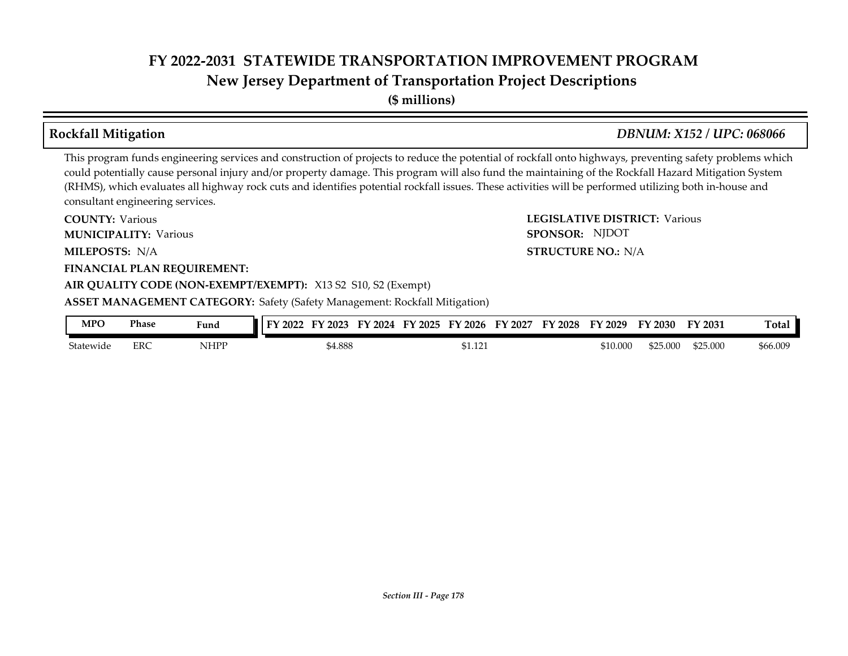**(\$ millions)**

### **Rockfall Mitigation** *DBNUM: X152 / UPC: 068066*

This program funds engineering services and construction of projects to reduce the potential of rockfall onto highways, preventing safety problems which could potentially cause personal injury and/or property damage. This program will also fund the maintaining of the Rockfall Hazard Mitigation System (RHMS), which evaluates all highway rock cuts and identifies potential rockfall issues. These activities will be performed utilizing both in-house and consultant engineering services.

**COUNTY: LEGISLATIVE DISTRICT:** Various **MILEPOSTS: STRUCTURE NO.:** N/A **FINANCIAL PLAN REQUIREMENT: AIR QUALITY CODE (NON-EXEMPT/EXEMPT):** X13 S2 S10, S2 (Exempt) **COUNTY: Various MUNICIPALITY:** Various **SPONSOR:** MILEPOSTS: N/A **ASSET MANAGEMENT CATEGORY:** Safety (Safety Management: Rockfall Mitigation) SPONSOR: NJDOT

| <b>MPC</b> | Phase | <b>Fund</b> | $\vert$ FY 2022<br>FY 2023 | FY 2024 | FY 2025 FY 2026 FY 2027 | FY 2028 | FY 2029  | FY 2030  | FY 2031  | Total    |
|------------|-------|-------------|----------------------------|---------|-------------------------|---------|----------|----------|----------|----------|
| Statewide  | ERC   | NHPP        | 54.888                     |         | 51.121                  |         | \$10.000 | \$25.000 | \$25,000 | \$66.009 |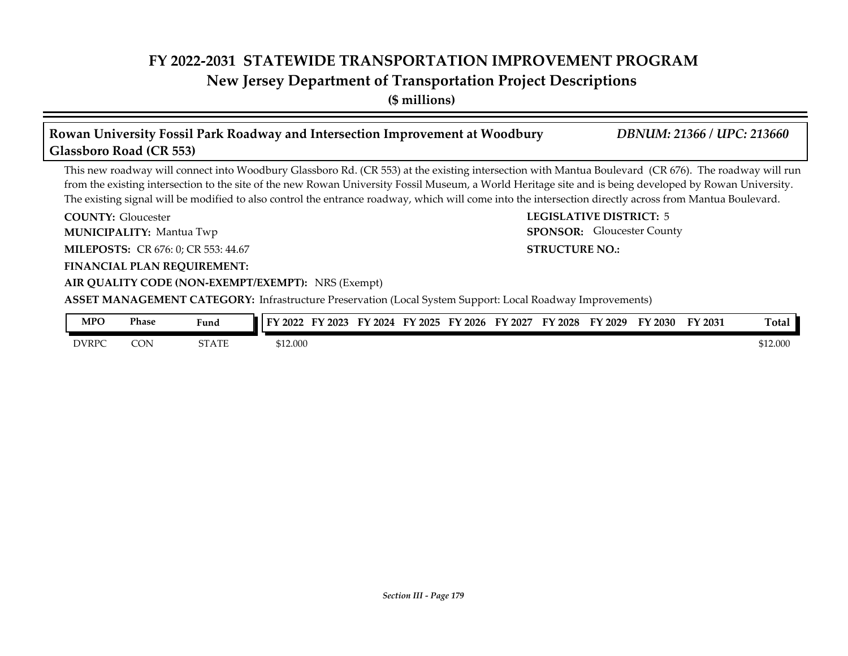### **New Jersey Department of Transportation Project Descriptions**

**(\$ millions)**

### **COUNTY: LEGISLATIVE DISTRICT:** 5 **MILEPOSTS:** CR 676: 0; CR 553: 44.67 **STRUCTURE NO.: STRUCTURE NO.: FINANCIAL PLAN REQUIREMENT: AIR QUALITY CODE (NON-EXEMPT/EXEMPT):** NRS (Exempt) **COUNTY: Gloucester MUNICIPALITY:** Mantua Twp **SPONSOR: ASSET MANAGEMENT CATEGORY:** Infrastructure Preservation (Local System Support: Local Roadway Improvements) This new roadway will connect into Woodbury Glassboro Rd. (CR 553) at the existing intersection with Mantua Boulevard (CR 676). The roadway will run from the existing intersection to the site of the new Rowan University Fossil Museum, a World Heritage site and is being developed by Rowan University. The existing signal will be modified to also control the entrance roadway, which will come into the intersection directly across from Mantua Boulevard. **Rowan University Fossil Park Roadway and Intersection Improvement at Woodbury** *DBNUM: 21366 / UPC: 213660* **Glassboro Road (CR 553)** SPONSOR: Gloucester County

| <b>MPO</b>   | <b>Phase</b> | Fund         | FY 2023<br>1 FY 2022 | Еν<br>' 2024 | FY 2025 | FY 2026 | FY 2027 | FY<br>'2028 | FY 2029 | FY 2030 | FY 2031 | Total    |
|--------------|--------------|--------------|----------------------|--------------|---------|---------|---------|-------------|---------|---------|---------|----------|
| <b>DVRPC</b> | CON          | <b>STATE</b> | \$12.000             |              |         |         |         |             |         |         |         | \$12.000 |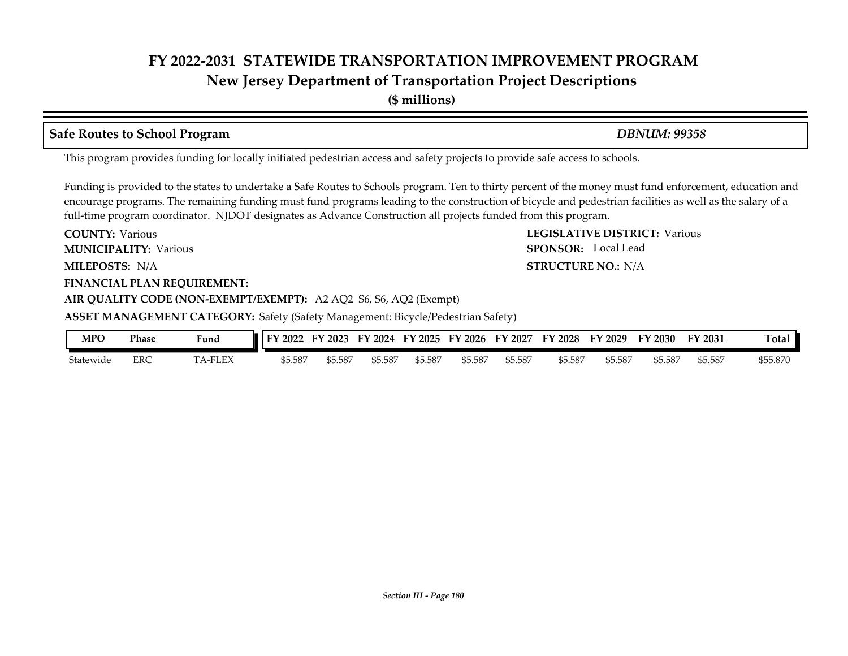**New Jersey Department of Transportation Project Descriptions**

**(\$ millions)**

### **Safe Routes to School Program** *DBNUM: 99358*

This program provides funding for locally initiated pedestrian access and safety projects to provide safe access to schools.

Funding is provided to the states to undertake a Safe Routes to Schools program. Ten to thirty percent of the money must fund enforcement, education and encourage programs. The remaining funding must fund programs leading to the construction of bicycle and pedestrian facilities as well as the salary of a full-time program coordinator. NJDOT designates as Advance Construction all projects funded from this program.

**COUNTY: LEGISLATIVE DISTRICT:** Various **MILEPOSTS: STRUCTURE NO.:** N/A **FINANCIAL PLAN REQUIREMENT: AIR QUALITY CODE (NON-EXEMPT/EXEMPT):** A2 AQ2 S6, S6, AQ2 (Exempt) **COUNTY: Various MUNICIPALITY:** Various **SPONSOR:** 

**ASSET MANAGEMENT CATEGORY:** Safety (Safety Management: Bicycle/Pedestrian Safety)

| <b>MPO</b> | Phase | Fund   | FY<br>1202∠ | 2023<br>'N | ЕV<br>2024 | ' 2025<br>FУ | FY 2026 | 2027<br>FУ | FY<br>$\frac{1}{2028}$ | FY.<br>2029 | $\degree$ 2030 | FY 2031 | Total    |
|------------|-------|--------|-------------|------------|------------|--------------|---------|------------|------------------------|-------------|----------------|---------|----------|
| Statewide  | ERC   | A-FLEX | \$5.587     | \$5.587    | \$5.587    | \$5.587      | \$5.587 | \$5.587    | \$5.587                | 55.587      | \$5.587        | \$5.587 | \$55.870 |

**STRUCTURE NO.: N/A** 

SPONSOR: Local Lead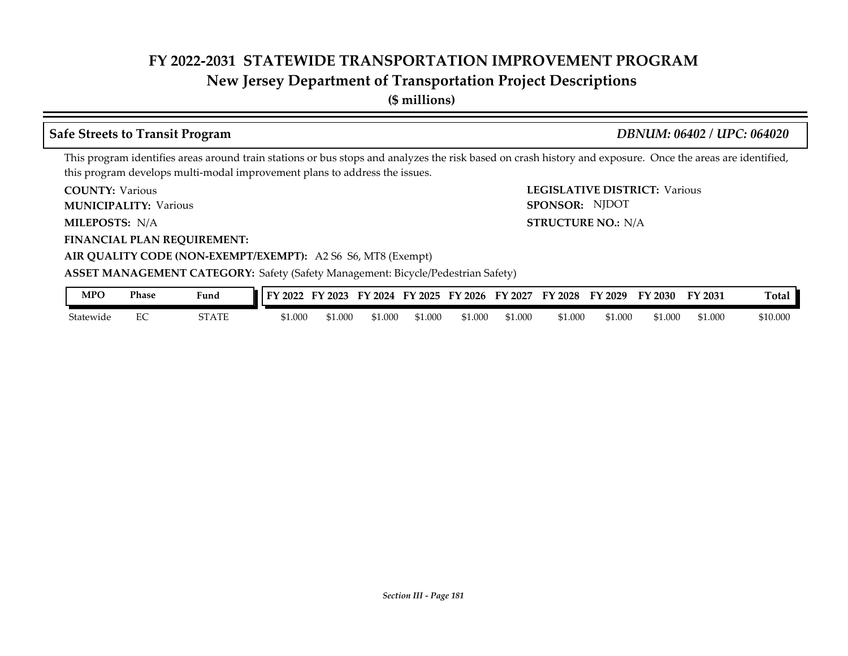# **New Jersey Department of Transportation Project Descriptions**

**(\$ millions)**

## **Safe Streets to Transit Program** *DBNUM: 06402 / UPC: 064020*

This program identifies areas around train stations or bus stops and analyzes the risk based on crash history and exposure. Once the areas are identified, this program develops multi-modal improvement plans to address the issues.

**COUNTY: Various** 

**MUNICIPALITY:** Various **SPONSOR:** 

MILEPOSTS: N/A

**FINANCIAL PLAN REQUIREMENT:**

**COUNTY: LEGISLATIVE DISTRICT:** Various **MILEPOSTS: STRUCTURE NO.:** N/A SPONSOR: NJDOT

## **AIR QUALITY CODE (NON-EXEMPT/EXEMPT):** A2 S6 S6, MT8 (Exempt)

#### **ASSET MANAGEMENT CATEGORY:** Safety (Safety Management: Bicycle/Pedestrian Safety)

| MPO       | <b>Phase</b> | $\mathbf{r}$<br>Fund | 2022<br><b>EV</b> | 12023<br>$-1$ | 2024<br>FY | FY 2025 | '2026<br>FУ | FY 2027 | FY 2028 | FY 2029 | FY 2030 | FY 2031 | <b>Total</b> |
|-----------|--------------|----------------------|-------------------|---------------|------------|---------|-------------|---------|---------|---------|---------|---------|--------------|
| Statewide | ∽            | STATE                | \$1.000           | \$1.000       | \$1.000    | 51.000  | 51.000      | \$1.000 | \$1.000 | \$1.000 | 51.000  | \$1.000 | \$10.000     |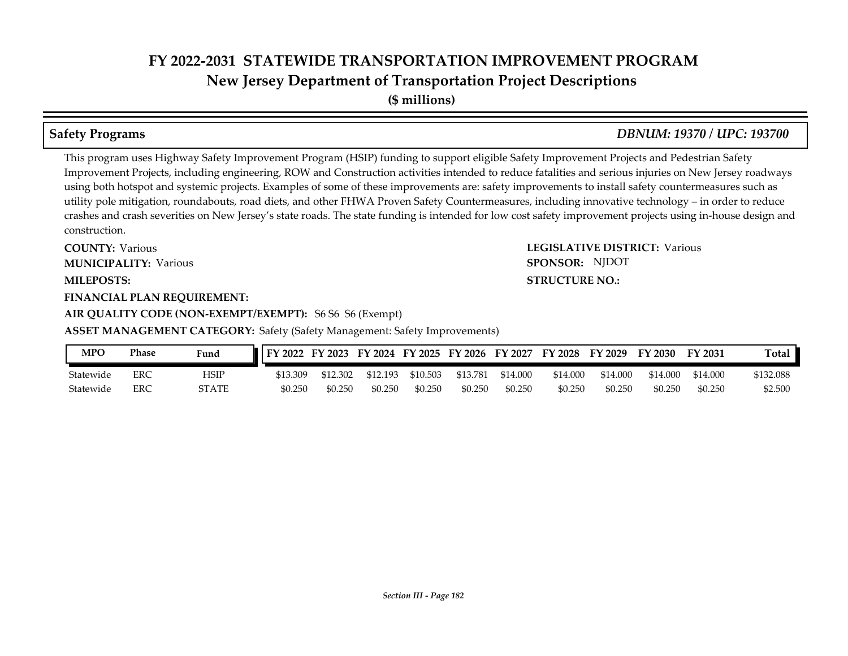**(\$ millions)**

This program uses Highway Safety Improvement Program (HSIP) funding to support eligible Safety Improvement Projects and Pedestrian Safety Improvement Projects, including engineering, ROW and Construction activities intended to reduce fatalities and serious injuries on New Jersey roadways using both hotspot and systemic projects. Examples of some of these improvements are: safety improvements to install safety countermeasures such as utility pole mitigation, roundabouts, road diets, and other FHWA Proven Safety Countermeasures, including innovative technology – in order to reduce crashes and crash severities on New Jersey's state roads. The state funding is intended for low cost safety improvement projects using in-house design and construction.

**COUNTY: LEGISLATIVE DISTRICT:** Various **MILEPOSTS: STRUCTURE NO.: COUNTY: Various MUNICIPALITY:** Various **SPONSOR:** 

#### **FINANCIAL PLAN REQUIREMENT:**

### **AIR QUALITY CODE (NON-EXEMPT/EXEMPT):** S6 S6 S6 (Exempt)

**ASSET MANAGEMENT CATEGORY:** Safety (Safety Management: Safety Improvements)

| MPO       | Phase | Fund  | FY 2022  | FY 2023  | FY 2024 FY 2025 |          | FY 2026 FY 2027 |          | FY 2028  | FY 2029  | FY 2030  | FY 2031  | Total     |
|-----------|-------|-------|----------|----------|-----------------|----------|-----------------|----------|----------|----------|----------|----------|-----------|
| Statewide | ERC   | HSIP  | \$13.309 | \$12.302 | \$12.193        | \$10.503 | \$13.781        | \$14.000 | \$14.000 | \$14.000 | \$14.000 | \$14.000 | \$132.088 |
| Statewide | ERC   | 5TATE | \$0.250  | \$0.250  | \$0.250         | \$0.250  | \$0.250         | \$0.250  | \$0.250  | \$0.250  | \$0.250  | \$0.250  | \$2.500   |

**Safety Programs** *DBNUM: 19370 / UPC: 193700*

# SPONSOR: NJDOT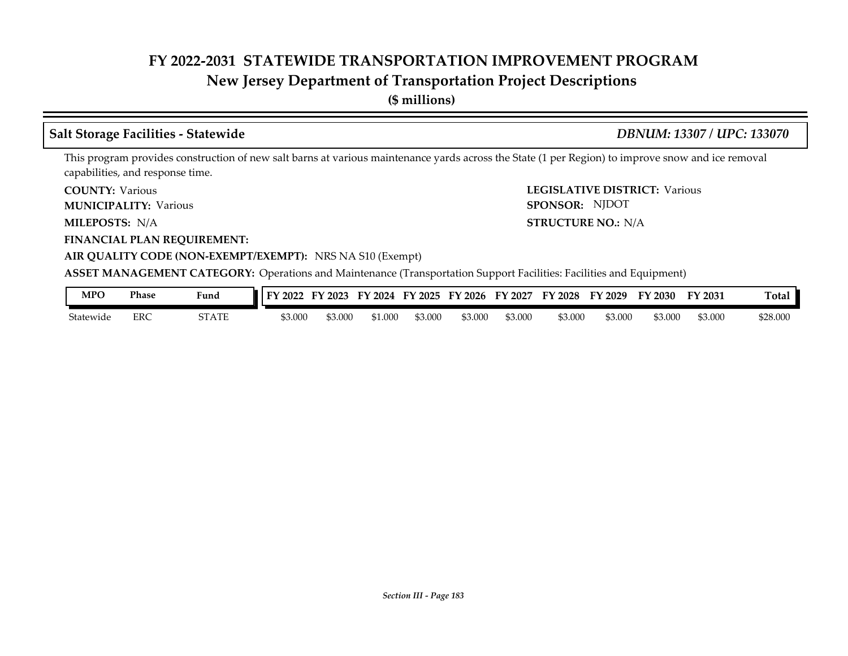# **New Jersey Department of Transportation Project Descriptions**

**(\$ millions)**

## **Salt Storage Facilities - Statewide** *DBNUM: 13307 / UPC: 133070*

SPONSOR: NJDOT

This program provides construction of new salt barns at various maintenance yards across the State (1 per Region) to improve snow and ice removal capabilities, and response time.

**COUNTY: LEGISLATIVE DISTRICT:** Various **COUNTY: Various** 

**MUNICIPALITY:** Various **SPONSOR:** 

**MILEPOSTS: STRUCTURE NO.:** N/A MILEPOSTS: N/A

**FINANCIAL PLAN REQUIREMENT:**

**AIR QUALITY CODE (NON-EXEMPT/EXEMPT):** NRS NA S10 (Exempt)

**ASSET MANAGEMENT CATEGORY:** Operations and Maintenance (Transportation Support Facilities: Facilities and Equipment)

| MPC       | <b>Phase</b> | $\sim$<br>Fund | 2022<br>ЕV. | ┳₹.<br>12023 | 2024<br>FY | FY<br>12025 | $'$ 2026<br>FУ | 2027<br>FY | FY 2028 | FY 2029 | FY 2030 | FY 2031 | <b>Total</b> |
|-----------|--------------|----------------|-------------|--------------|------------|-------------|----------------|------------|---------|---------|---------|---------|--------------|
| Statewide | ERC          | 5TATE          | \$3.000     | \$3.000      | 61.000     | 53.000      | ,3.000         | \$3.000    | \$3.000 | \$3.000 | \$3.000 | 53.000  | \$28.000     |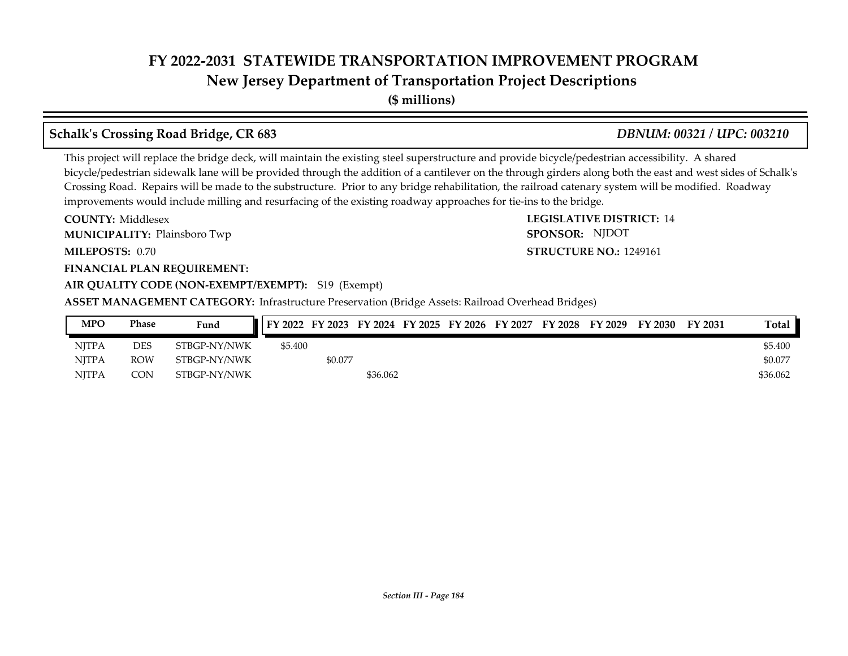# **New Jersey Department of Transportation Project Descriptions**

**(\$ millions)**

# **Schalk's Crossing Road Bridge, CR 683** *DBNUM: 00321 / UPC: 003210*

This project will replace the bridge deck, will maintain the existing steel superstructure and provide bicycle/pedestrian accessibility. A shared bicycle/pedestrian sidewalk lane will be provided through the addition of a cantilever on the through girders along both the east and west sides of Schalk's Crossing Road. Repairs will be made to the substructure. Prior to any bridge rehabilitation, the railroad catenary system will be modified. Roadway improvements would include milling and resurfacing of the existing roadway approaches for tie-ins to the bridge.

**COUNTY: LEGISLATIVE DISTRICT:** 14 **MILEPOSTS: STRUCTURE NO.:** 1249161 **FINANCIAL PLAN REQUIREMENT: AIR QUALITY CODE (NON-EXEMPT/EXEMPT):** S19 (Exempt) **COUNTY: Middlesex MUNICIPALITY:** Plainsboro Twp **Example 2008 SPONSOR:** MILEPOSTS: 0.70

SPONSOR: NJDOT

**ASSET MANAGEMENT CATEGORY:** Infrastructure Preservation (Bridge Assets: Railroad Overhead Bridges)

| <b>MPO</b>   | Phase      | Fund         | FY 2022 FY 2023 FY 2024 FY 2025 FY 2026 FY 2027 |         |          |  | FY 2028 | FY 2029 | FY 2030 | FY 2031 | <b>Total</b> |
|--------------|------------|--------------|-------------------------------------------------|---------|----------|--|---------|---------|---------|---------|--------------|
| <b>NITPA</b> | <b>DES</b> | STBGP-NY/NWK | \$5.400                                         |         |          |  |         |         |         |         | \$5.400      |
| <b>NITPA</b> | <b>ROW</b> | STBGP-NY/NWK |                                                 | \$0.077 |          |  |         |         |         |         | \$0.077      |
| <b>NITPA</b> | CON        | STBGP-NY/NWK |                                                 |         | \$36.062 |  |         |         |         |         | \$36.062     |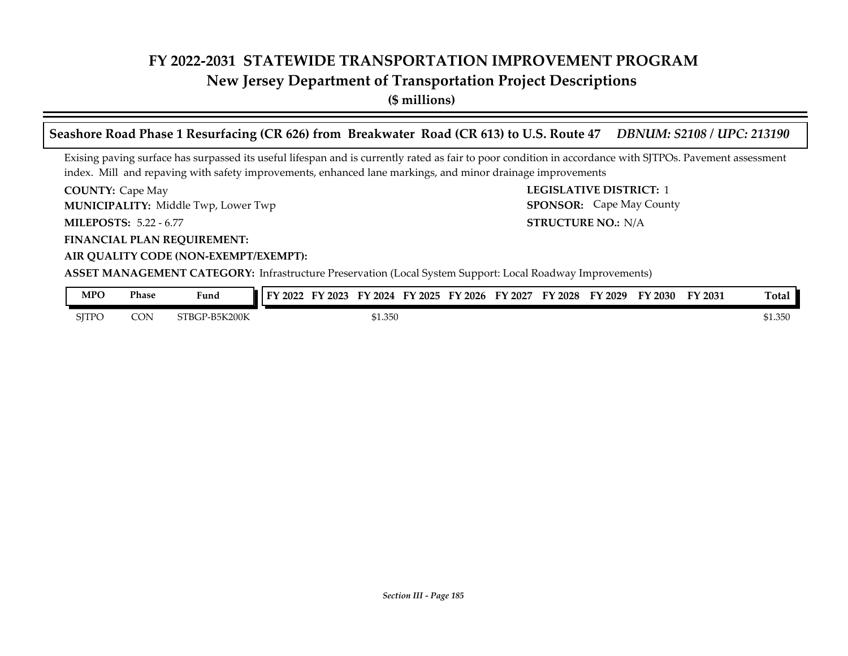**New Jersey Department of Transportation Project Descriptions**

**(\$ millions)**

**Seashore Road Phase 1 Resurfacing (CR 626) from Breakwater Road (CR 613) to U.S. Route 47** *DBNUM: S2108 / UPC: 213190*

Exising paving surface has surpassed its useful lifespan and is currently rated as fair to poor condition in accordance with SJTPOs. Pavement assessment index. Mill and repaving with safety improvements, enhanced lane markings, and minor drainage improvements

**COUNTY:** Cape May **COUNTY:** Cape May **COUNTY:** 2 **MILEPOSTS: STRUCTURE NO.:** 5.22 - 6.77 **COUNTY: Cape May** Middle Twp, Lower Twp **MUNICIPALITY: SPONSOR:**

**FINANCIAL PLAN REQUIREMENT:**

### **AIR QUALITY CODE (NON-EXEMPT/EXEMPT):**

**STRUCTURE NO.: N/A** SPONSOR: Cape May County

**ASSET MANAGEMENT CATEGORY:** Infrastructure Preservation (Local System Support: Local Roadway Improvements)

| MPO   | Phase | - -<br>Fund         | 2022<br>$\mathbf{m}$ | 2023<br>н. | 2024<br>77 | $E_{\rm A}$<br>12025 | FY 2026 | FY 2027 | FY 2028 | FY 2029 | FY 2030 | FY 2031 | <b>Total</b> |
|-------|-------|---------------------|----------------------|------------|------------|----------------------|---------|---------|---------|---------|---------|---------|--------------|
| SITPC | CON   | P-B5K200K<br>STBGP- |                      |            | \$1.350    |                      |         |         |         |         |         |         | \$1.350      |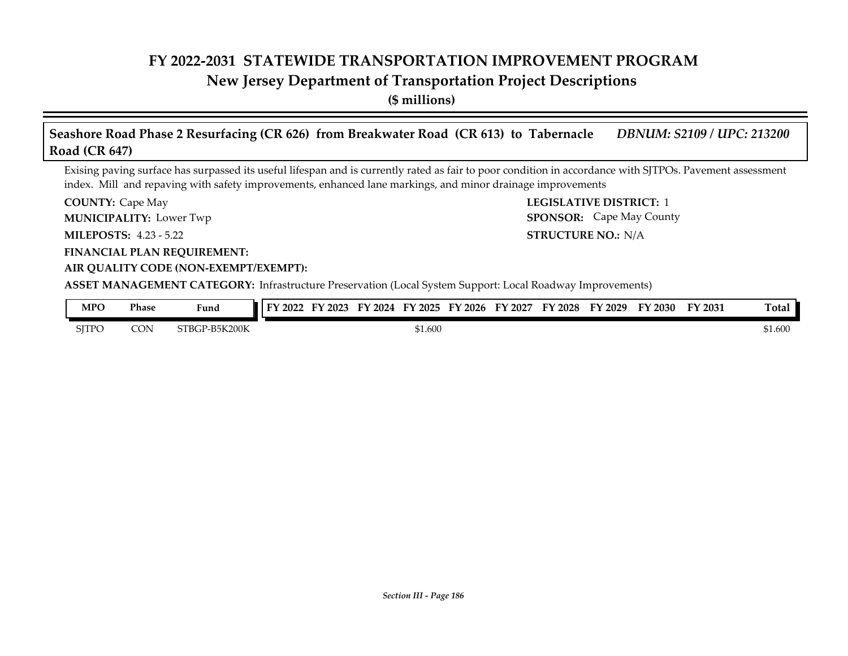# **New Jersey Department of Transportation Project Descriptions**

**(\$ millions)**

| Seashore Road Phase 2 Resurfacing (CR 626) from Breakwater Road (CR 613) to Tabernacle | DBNUM: S2109 / UPC: 213200 |
|----------------------------------------------------------------------------------------|----------------------------|
| Road $(CR 647)$                                                                        |                            |

Exising paving surface has surpassed its useful lifespan and is currently rated as fair to poor condition in accordance with SJTPOs. Pavement assessment index. Mill and repaving with safety improvements, enhanced lane markings, and minor drainage improvements

**COUNTY:** Cape May **COUNTY:** Cape May **COUNTY:** 1 **COUNTY: Cape May** 

**MUNICIPALITY:** Lower Twp **SPONSOR:** 

**MILEPOSTS: STRUCTURE NO.:** 4.23 - 5.22

**FINANCIAL PLAN REQUIREMENT:**

## **AIR QUALITY CODE (NON-EXEMPT/EXEMPT):**

**ASSET MANAGEMENT CATEGORY:** Infrastructure Preservation (Local System Support: Local Roadway Improvements)

| MPO   | Phase | Fund               | 7022<br>EA. | 2023 | EY<br>2024 | $Y$ 2025 | FY 2026 | $\mathbf{F}\mathbf{Y}$<br>' 2027 | <b>FY 2028</b> | ЕV<br>'2029 | <b>FY 2030</b> | FY 2031 | $\sim$<br>[otal |
|-------|-------|--------------------|-------------|------|------------|----------|---------|----------------------------------|----------------|-------------|----------------|---------|-----------------|
| SITPC | CON   | P-B5K200K<br>STBGI |             |      |            | \$1.600  |         |                                  |                |             |                |         | \$1.600         |

**STRUCTURE NO.: N/A** 

SPONSOR: Cape May County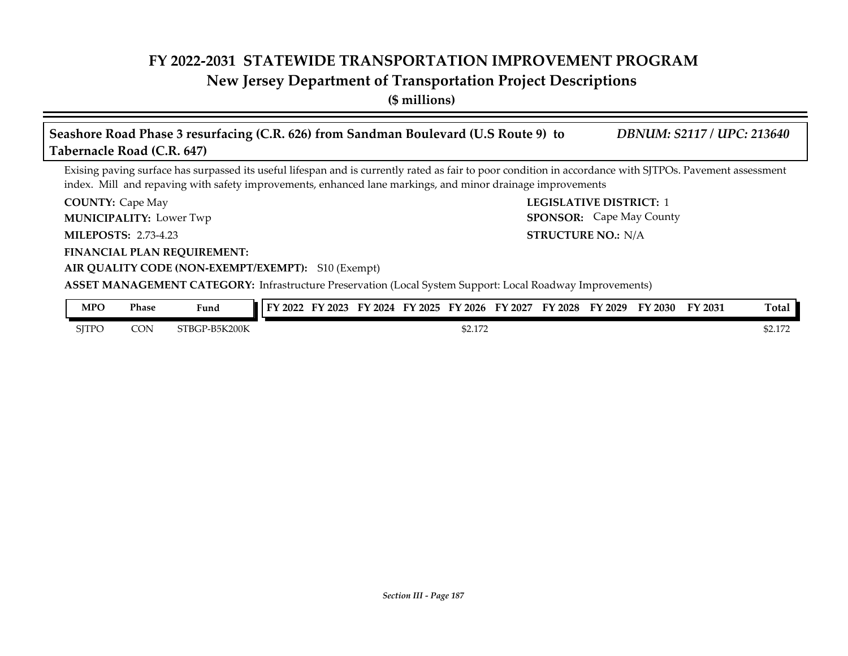# **New Jersey Department of Transportation Project Descriptions**

**(\$ millions)**

| Seashore Road Phase 3 resurfacing (C.R. 626) from Sandman Boulevard (U.S Route 9) to<br>Tabernacle Road (C.R. 647)                                                                                                                                                     | <b>DBNUM: S2117 / UPC: 213640</b>                                 |
|------------------------------------------------------------------------------------------------------------------------------------------------------------------------------------------------------------------------------------------------------------------------|-------------------------------------------------------------------|
| Exising paving surface has surpassed its useful lifespan and is currently rated as fair to poor condition in accordance with SJTPOs. Pavement assessment<br>index. Mill and repaving with safety improvements, enhanced lane markings, and minor drainage improvements |                                                                   |
| <b>COUNTY: Cape May</b><br><b>MUNICIPALITY: Lower Twp</b>                                                                                                                                                                                                              | <b>LEGISLATIVE DISTRICT: 1</b><br><b>SPONSOR:</b> Cape May County |
| <b>MILEPOSTS: 2.73-4.23</b>                                                                                                                                                                                                                                            | <b>STRUCTURE NO.: N/A</b>                                         |
| <b>FINANCIAL PLAN REQUIREMENT:</b><br>AIR QUALITY CODE (NON-EXEMPT/EXEMPT): S10 (Exempt)                                                                                                                                                                               |                                                                   |
| ASSET MANAGEMENT CATEGORY: Infrastructure Preservation (Local System Support: Local Roadway Improvements)                                                                                                                                                              |                                                                   |
| <b>MPO</b><br><b>Phase</b><br>FY 2022 FY 2023 FY 2024 FY 2025 FY 2026 FY 2027<br>Fund                                                                                                                                                                                  | Total<br>FY 2028 FY 2029<br>FY 2030<br>FY 2031                    |

| <b>SITPO</b> | <b>CON</b> | STBGP-B5K200K | 0.25<br>32.1/2 | 00170<br>32.1/2 |
|--------------|------------|---------------|----------------|-----------------|
|              |            |               |                |                 |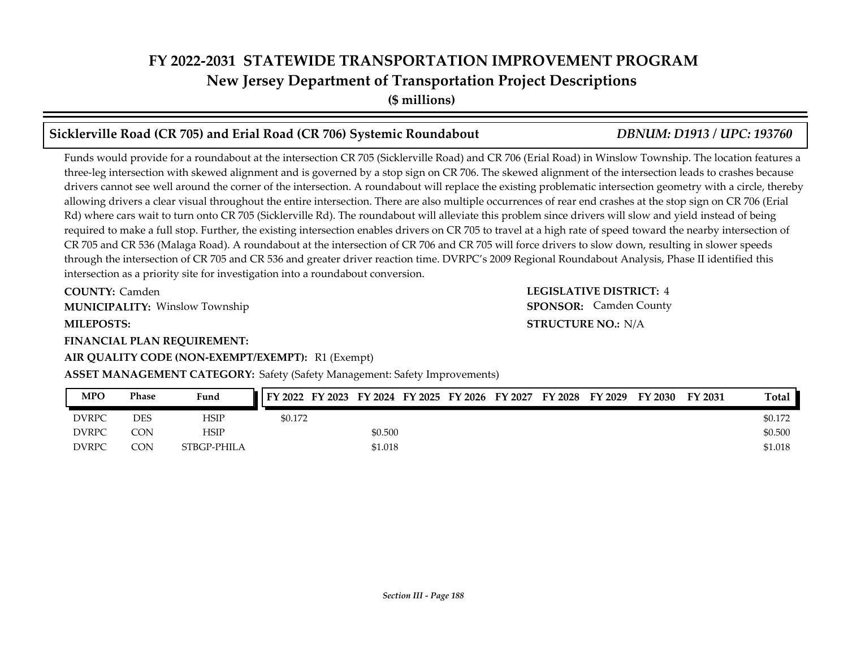**(\$ millions)**

## **Sicklerville Road (CR 705) and Erial Road (CR 706) Systemic Roundabout** *DBNUM: D1913 / UPC: 193760*

Funds would provide for a roundabout at the intersection CR 705 (Sicklerville Road) and CR 706 (Erial Road) in Winslow Township. The location features a three-leg intersection with skewed alignment and is governed by a stop sign on CR 706. The skewed alignment of the intersection leads to crashes because drivers cannot see well around the corner of the intersection. A roundabout will replace the existing problematic intersection geometry with a circle, thereby allowing drivers a clear visual throughout the entire intersection. There are also multiple occurrences of rear end crashes at the stop sign on CR 706 (Erial Rd) where cars wait to turn onto CR 705 (Sicklerville Rd). The roundabout will alleviate this problem since drivers will slow and yield instead of being required to make a full stop. Further, the existing intersection enables drivers on CR 705 to travel at a high rate of speed toward the nearby intersection of CR 705 and CR 536 (Malaga Road). A roundabout at the intersection of CR 706 and CR 705 will force drivers to slow down, resulting in slower speeds through the intersection of CR 705 and CR 536 and greater driver reaction time. DVRPC's 2009 Regional Roundabout Analysis, Phase II identified this intersection as a priority site for investigation into a roundabout conversion.

**COUNTY: LEGISLATIVE DISTRICT:** 4 **COUNTY: Camden** Winslow Township **MUNICIPALITY: SPONSOR:**

# **FINANCIAL PLAN REQUIREMENT:**

### **AIR QUALITY CODE (NON-EXEMPT/EXEMPT):** R1 (Exempt)

### **ASSET MANAGEMENT CATEGORY:** Safety (Safety Management: Safety Improvements)

| <b>MPO</b>   | Phase      | Fund        | FY 2022 FY 2023 FY 2024 FY 2025 FY 2026 FY 2027 |         |  | FY 2028 | FY 2029 | FY 2030 | FY 2031 | Total   |
|--------------|------------|-------------|-------------------------------------------------|---------|--|---------|---------|---------|---------|---------|
| <b>DVRPC</b> | <b>DES</b> | HSIP        | \$0.172                                         |         |  |         |         |         |         | \$0.172 |
| <b>DVRPC</b> | CON        | HSIP        |                                                 | \$0.500 |  |         |         |         |         | \$0.500 |
| <b>DVRPC</b> | CON        | STBGP-PHILA |                                                 | \$1.018 |  |         |         |         |         | \$1.018 |

**MILEPOSTS: STRUCTURE NO.:** N/A **SPONSOR:** Camden County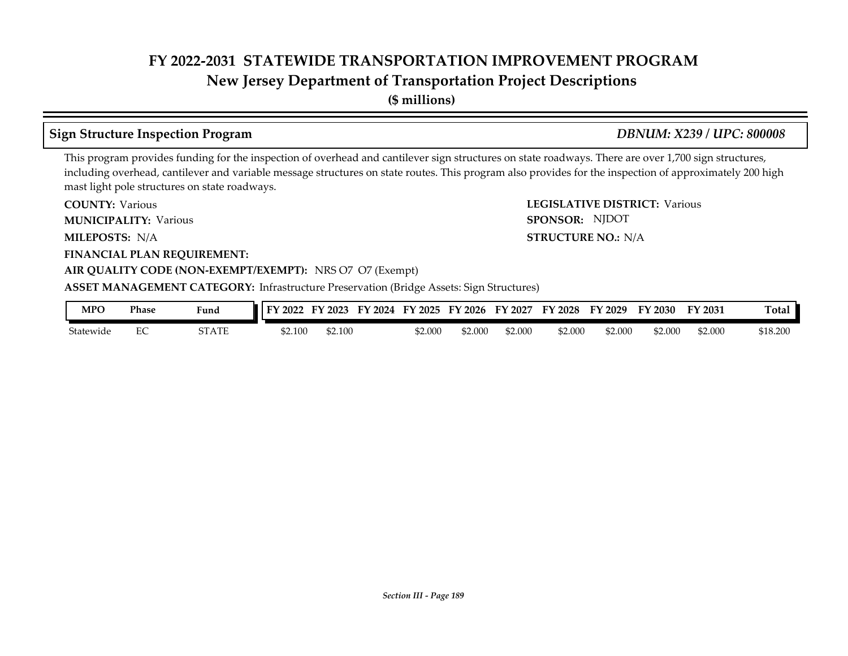# **New Jersey Department of Transportation Project Descriptions**

**(\$ millions)**

# **Sign Structure Inspection Program** *DBNUM: X239 / UPC: 800008*

SPONSOR: NJDOT

This program provides funding for the inspection of overhead and cantilever sign structures on state roadways. There are over 1,700 sign structures, including overhead, cantilever and variable message structures on state routes. This program also provides for the inspection of approximately 200 high mast light pole structures on state roadways.

**COUNTY: LEGISLATIVE DISTRICT:** Various **COUNTY: Various** 

**MUNICIPALITY:** Various **SPONSOR:** 

**MILEPOSTS: STRUCTURE NO.:** N/A MILEPOSTS: N/A

**FINANCIAL PLAN REQUIREMENT:**

### **AIR QUALITY CODE (NON-EXEMPT/EXEMPT):** NRS O7 O7 (Exempt)

**ASSET MANAGEMENT CATEGORY:** Infrastructure Preservation (Bridge Assets: Sign Structures)

| MPO       | Phase | Fund  | 2022<br>EV. | '2023<br>– Li Y | $\cdot$ 2024<br>FY | FY 2025 | FY 2026 | FY 2027 | FY 2028 | FY 2029 | FY 2030 | FY 2031 | m.<br>『otal |
|-----------|-------|-------|-------------|-----------------|--------------------|---------|---------|---------|---------|---------|---------|---------|-------------|
| Statewide | ∽     | STATE | \$2.100     | \$2.100         |                    | \$2.000 | \$2.000 | \$2.000 | \$2.000 | \$2.000 | 52.000  | \$2.000 | \$18.200    |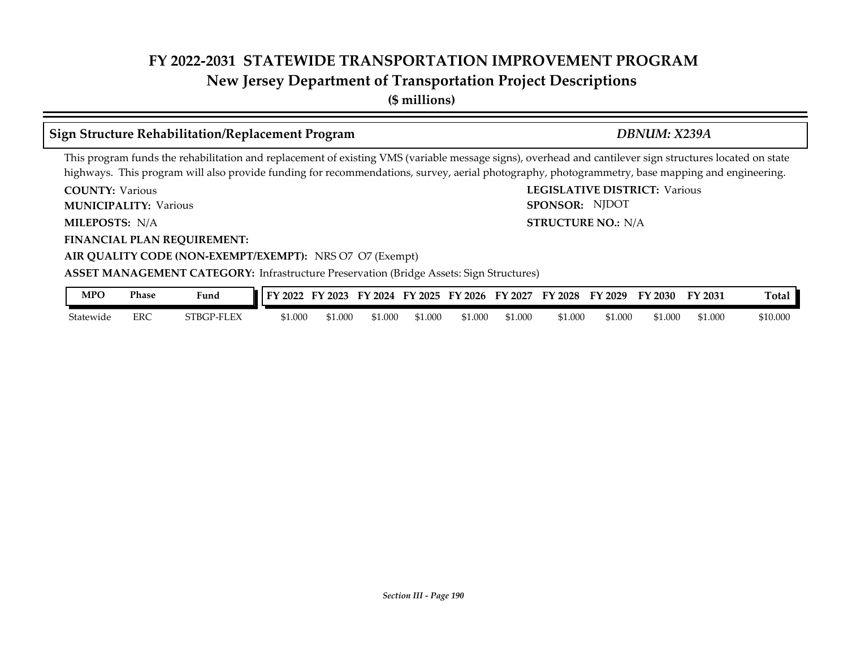# **New Jersey Department of Transportation Project Descriptions**

**(\$ millions)**

# **Sign Structure Rehabilitation/Replacement Program** *DBNUM: X239A*

SPONSOR: NJDOT

This program funds the rehabilitation and replacement of existing VMS (variable message signs), overhead and cantilever sign structures located on state highways. This program will also provide funding for recommendations, survey, aerial photography, photogrammetry, base mapping and engineering.

**COUNTY: LEGISLATIVE DISTRICT:** Various **COUNTY: Various** 

**MUNICIPALITY:** Various **SPONSOR:** 

**MILEPOSTS: STRUCTURE NO.:** N/A MILEPOSTS: N/A

**FINANCIAL PLAN REQUIREMENT:**

**AIR QUALITY CODE (NON-EXEMPT/EXEMPT):** NRS O7 O7 (Exempt)

### **ASSET MANAGEMENT CATEGORY:** Infrastructure Preservation (Bridge Assets: Sign Structures)

| MPO       | Phase      | Fund       | 2022    | 2023<br>. . | 2024<br>FУ | EV<br>$\degree$ 2025 | FV<br>$'$ 2026 | FY<br>2027 | FV<br>$'$ 2028 | FY 2029 | FY 2030 | FY 2031 | m<br>Total |
|-----------|------------|------------|---------|-------------|------------|----------------------|----------------|------------|----------------|---------|---------|---------|------------|
| Statewide | <b>ERC</b> | STBGP-FLEX | \$1.000 | ,1.000      | 1.000م     | 0.000                | 51.000         | 61.000     | \$1.000        | \$1.000 | \$1.000 | \$1.000 | \$10.000   |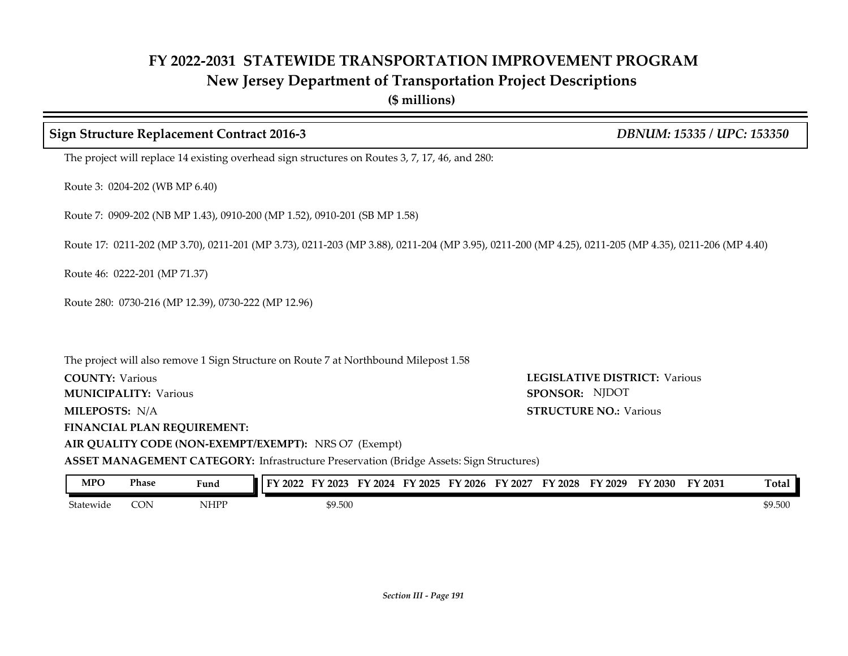**(\$ millions)**

# **COUNTY: LEGISLATIVE DISTRICT:** Various **MILEPOSTS: STRUCTURE NO.:** N/A **FINANCIAL PLAN REQUIREMENT: AIR QUALITY CODE (NON-EXEMPT/EXEMPT):** NRS O7 (Exempt) **COUNTY: Various MUNICIPALITY:** Various **SPONSOR: STRUCTURE NO.: Various ASSET MANAGEMENT CATEGORY:** Infrastructure Preservation (Bridge Assets: Sign Structures) The project will replace 14 existing overhead sign structures on Routes 3, 7, 17, 46, and 280: Route 3: 0204-202 (WB MP 6.40) Route 7: 0909-202 (NB MP 1.43), 0910-200 (MP 1.52), 0910-201 (SB MP 1.58) Route 17: 0211-202 (MP 3.70), 0211-201 (MP 3.73), 0211-203 (MP 3.88), 0211-204 (MP 3.95), 0211-200 (MP 4.25), 0211-205 (MP 4.35), 0211-206 (MP 4.40) Route 46: 0222-201 (MP 71.37) Route 280: 0730-216 (MP 12.39), 0730-222 (MP 12.96) The project will also remove 1 Sign Structure on Route 7 at Northbound Milepost 1.58 **Sign Structure Replacement Contract 2016-3** *DBNUM: 15335 / UPC: 153350* SPONSOR: NJDOT

| MPO       | <b>Phase</b> | Fund                                                    | FY 2022 | 2023<br>. . | 12024<br>ы, | FY 2025 | FY 2026 | FY 2027 | FY 2028 | FY<br>2029 | FV<br>$^{\prime}$ 2030 $^{\prime}$ | FY 2031 | Total   |
|-----------|--------------|---------------------------------------------------------|---------|-------------|-------------|---------|---------|---------|---------|------------|------------------------------------|---------|---------|
| Statewide | CON          | NHPP<br>the contract of the contract of the contract of |         | \$9.500     |             |         |         |         |         |            |                                    |         | \$9.500 |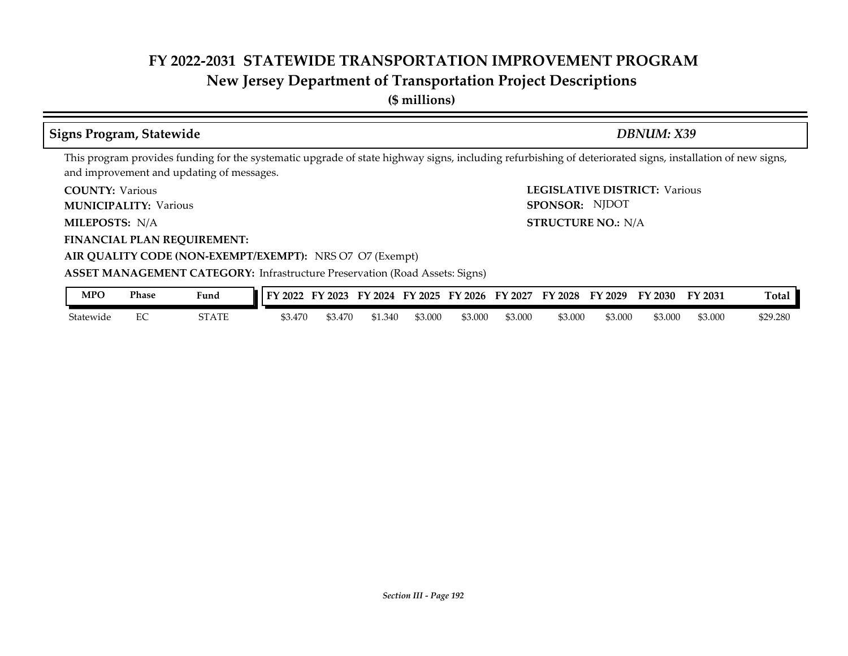# **New Jersey Department of Transportation Project Descriptions**

**(\$ millions)**

# **Signs Program, Statewide** *DBNUM: X39*

This program provides funding for the systematic upgrade of state highway signs, including refurbishing of deteriorated signs, installation of new signs, and improvement and updating of messages.

**COUNTY: Various** 

**MUNICIPALITY:** Various **SPONSOR:** 

MILEPOSTS: N/A

**FINANCIAL PLAN REQUIREMENT:**

**COUNTY: LEGISLATIVE DISTRICT:** Various **MILEPOSTS: STRUCTURE NO.:** N/A SPONSOR: NJDOT

# **AIR QUALITY CODE (NON-EXEMPT/EXEMPT):** NRS O7 O7 (Exempt)

**ASSET MANAGEMENT CATEGORY:** Infrastructure Preservation (Road Assets: Signs)

| MPO       | Phase | Fund  | 2022<br>EV. | --<br>12023 | 2024<br>FY | FY 2025 | FY 2026 | FY<br>2027 | FV<br>2028 | FY 2029 | $\degree$ 2030 $\degree$ | FY 2031 | Tota.    |
|-----------|-------|-------|-------------|-------------|------------|---------|---------|------------|------------|---------|--------------------------|---------|----------|
| Statewide | ∼     | STATE | 3.470       | \$3.470     | \$1.340    | \$3.000 | \$3.000 | \$3.000    | \$3.000    | \$3.000 | \$3.000                  | \$3.000 | \$29.280 |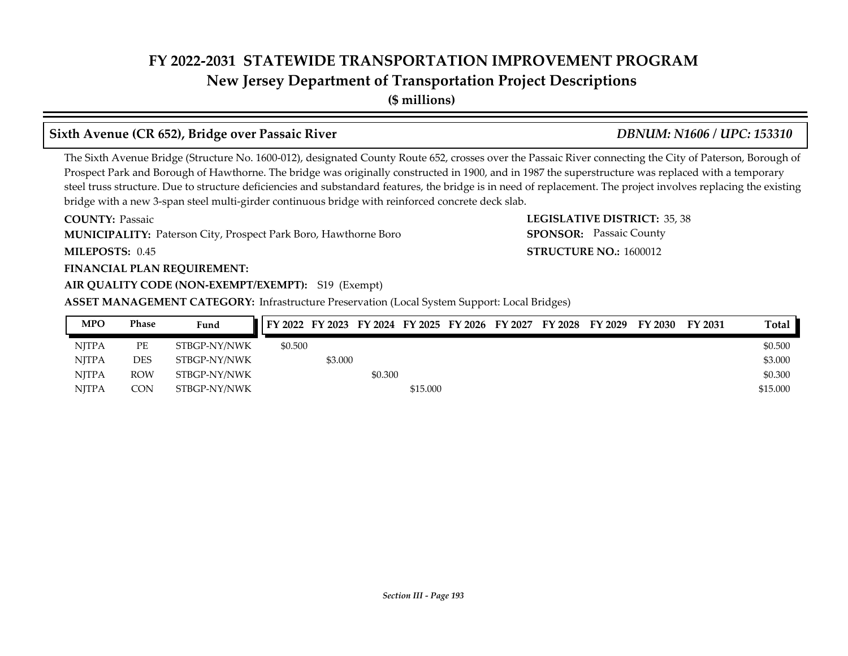**New Jersey Department of Transportation Project Descriptions**

**(\$ millions)**

## **Sixth Avenue (CR 652), Bridge over Passaic River** *DBNUM: N1606 / UPC: 153310*

The Sixth Avenue Bridge (Structure No. 1600-012), designated County Route 652, crosses over the Passaic River connecting the City of Paterson, Borough of Prospect Park and Borough of Hawthorne. The bridge was originally constructed in 1900, and in 1987 the superstructure was replaced with a temporary steel truss structure. Due to structure deficiencies and substandard features, the bridge is in need of replacement. The project involves replacing the existing bridge with a new 3-span steel multi-girder continuous bridge with reinforced concrete deck slab.

**COUNTY: LEGISLATIVE DISTRICT:** 35, 38 **MUNICIPALITY:** Paterson City, Prospect Park Boro, Hawthorne Boro **SPONSOR:** 

**MILEPOSTS: STRUCTURE NO.:** 1600012 MILEPOSTS: 0.45

**COUNTY: Passaic** 

### **FINANCIAL PLAN REQUIREMENT:**

### **AIR QUALITY CODE (NON-EXEMPT/EXEMPT):** S19 (Exempt)

**ASSET MANAGEMENT CATEGORY:** Infrastructure Preservation (Local System Support: Local Bridges)

| <b>MPO</b>   | Phase      | Fund         | FY 2022 FY 2023 FY 2024 FY 2025 FY 2026 FY 2027 |         |         |          |  | FY 2028 FY 2029 | FY 2030 | FY 2031 | Total    |
|--------------|------------|--------------|-------------------------------------------------|---------|---------|----------|--|-----------------|---------|---------|----------|
| <b>NITPA</b> | PЕ         | STBGP-NY/NWK | \$0.500                                         |         |         |          |  |                 |         |         | \$0.500  |
| <b>NITPA</b> | <b>DES</b> | STBGP-NY/NWK |                                                 | \$3.000 |         |          |  |                 |         |         | \$3.000  |
| <b>NITPA</b> | <b>ROW</b> | STBGP-NY/NWK |                                                 |         | \$0.300 |          |  |                 |         |         | \$0.300  |
| <b>NITPA</b> | CON        | STBGP-NY/NWK |                                                 |         |         | \$15.000 |  |                 |         |         | \$15,000 |

**SPONSOR:** Passaic County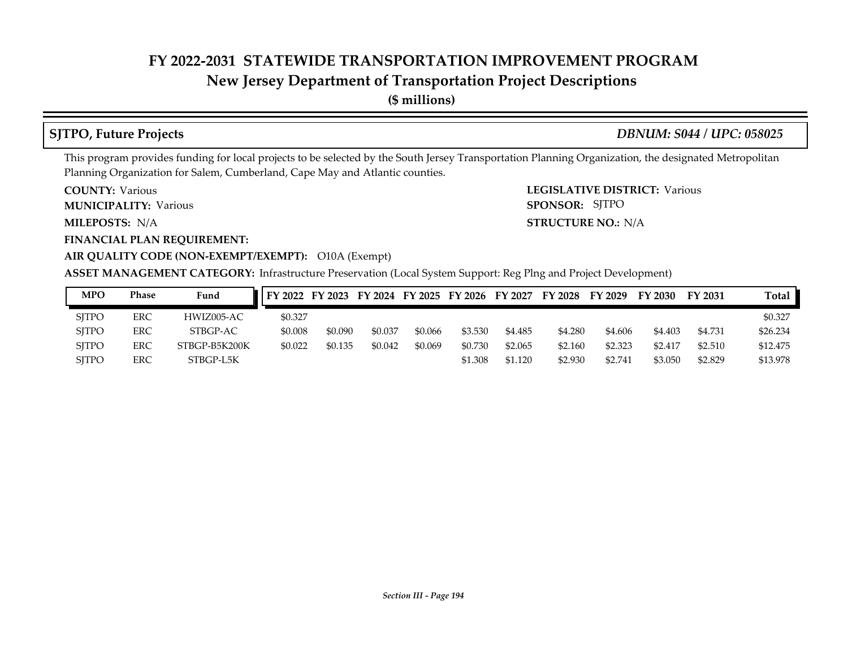# **New Jersey Department of Transportation Project Descriptions**

**(\$ millions)**

## **SJTPO, Future Projects** *DBNUM: S044 / UPC: 058025*

This program provides funding for local projects to be selected by the South Jersey Transportation Planning Organization, the designated Metropolitan Planning Organization for Salem, Cumberland, Cape May and Atlantic counties.

**COUNTY: Various** 

**MUNICIPALITY:** Various **SPONSOR:** 

MILEPOSTS: N/A

**FINANCIAL PLAN REQUIREMENT:**

**COUNTY: LEGISLATIVE DISTRICT:** Various **MILEPOSTS: STRUCTURE NO.:** N/A SPONSOR: SJTPO

## **AIR QUALITY CODE (NON-EXEMPT/EXEMPT):** O10A (Exempt)

**ASSET MANAGEMENT CATEGORY:** Infrastructure Preservation (Local System Support: Reg Plng and Project Development)

| MPO          | Phase      | Fund          | FY 2022 FY 2023 FY 2024 FY 2025 FY 2026 |         |         |         |         | FY 2027 | FY 2028 | FY 2029 | FY 2030 | FY 2031 | Total    |
|--------------|------------|---------------|-----------------------------------------|---------|---------|---------|---------|---------|---------|---------|---------|---------|----------|
| <b>SITPO</b> | <b>ERC</b> | HWIZ005-AC    | \$0.327                                 |         |         |         |         |         |         |         |         |         | \$0.327  |
| <b>SITPO</b> | ERC        | STBGP-AC      | \$0.008                                 | \$0.090 | \$0.037 | \$0.066 | \$3.530 | \$4.485 | \$4.280 | \$4.606 | \$4.403 | \$4.731 | \$26.234 |
| <b>SITPO</b> | ERC        | STBGP-B5K200K | \$0.022                                 | \$0.135 | \$0.042 | \$0.069 | \$0.730 | \$2.065 | \$2,160 | \$2.323 | \$2.417 | \$2.510 | \$12,475 |
| <b>SITPO</b> | <b>ERC</b> | STBGP-L5K     |                                         |         |         |         | \$1.308 | \$1.120 | \$2.930 | \$2,741 | \$3.050 | \$2.829 | \$13.978 |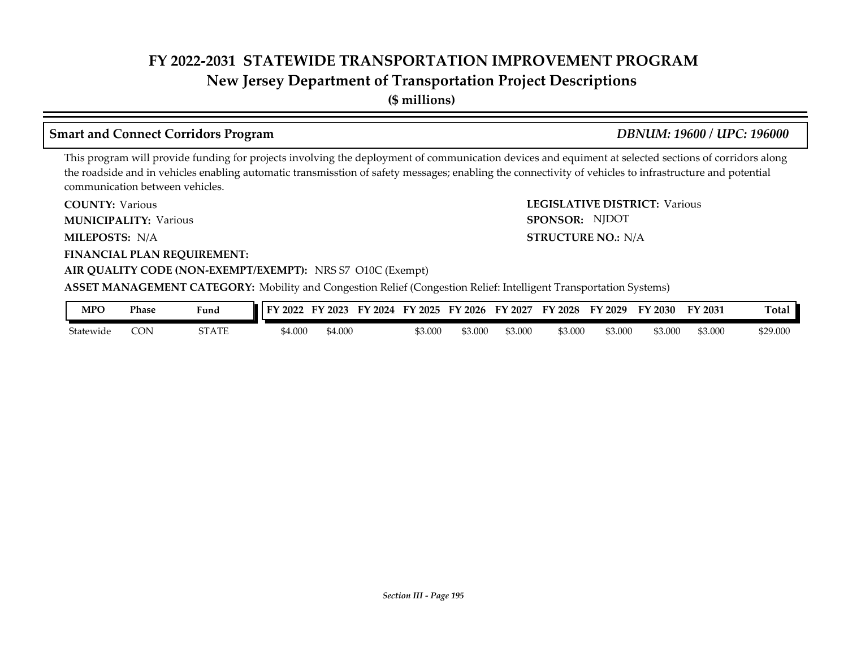**New Jersey Department of Transportation Project Descriptions**

**(\$ millions)**

# **Smart and Connect Corridors Program** *DBNUM: 19600 / UPC: 196000*

SPONSOR: NJDOT

This program will provide funding for projects involving the deployment of communication devices and equiment at selected sections of corridors along the roadside and in vehicles enabling automatic transmisstion of safety messages; enabling the connectivity of vehicles to infrastructure and potential communication between vehicles.

**COUNTY: LEGISLATIVE DISTRICT:** Various **COUNTY: Various** 

**MUNICIPALITY:** Various **SPONSOR:** 

**MILEPOSTS: STRUCTURE NO.:** N/A MILEPOSTS: N/A

**FINANCIAL PLAN REQUIREMENT:**

### **AIR QUALITY CODE (NON-EXEMPT/EXEMPT):** NRS S7 O10C (Exempt)

**ASSET MANAGEMENT CATEGORY:** Mobility and Congestion Relief (Congestion Relief: Intelligent Transportation Systems)

| MPC       | Phase | Fund                  | - TN<br>2022 | г١<br>2023 | 2024<br>чν. | тv<br>2025 | $\cdot$ 2026<br>. E V | FY<br>2027 | ТV.<br>2028 | FV<br>$\degree$ 2029 | $T$ $\vee$ 2030 | FY 2031 | <b>Total</b> |
|-----------|-------|-----------------------|--------------|------------|-------------|------------|-----------------------|------------|-------------|----------------------|-----------------|---------|--------------|
| Statewide | CON   | re a cer<br>5 I A I E | 54.000       | 54.000     |             | 53.00C     | \$3.000               | \$3.000    | \$3.000     | \$3.000              | \$3.000         | \$3.000 | \$29.000     |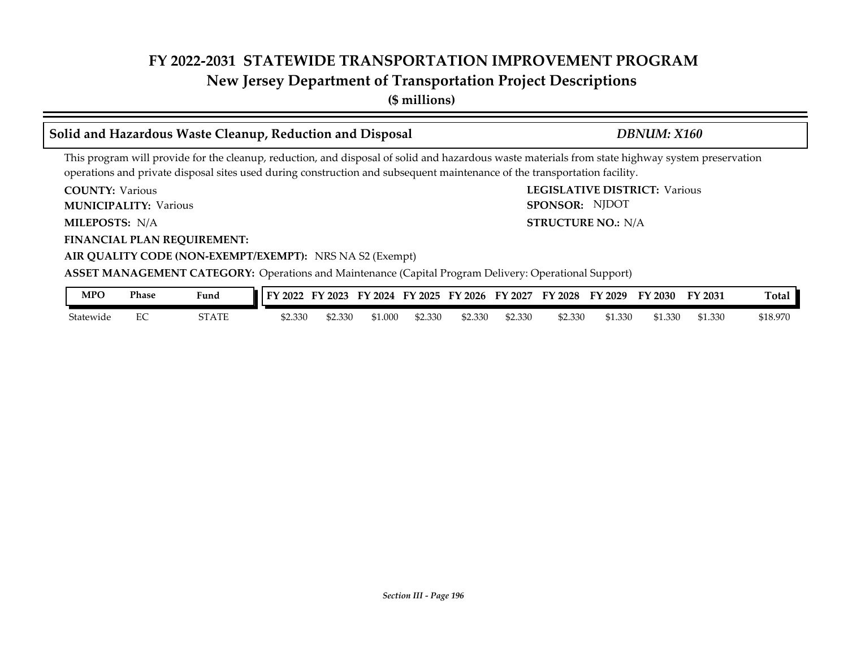**New Jersey Department of Transportation Project Descriptions**

**(\$ millions)**

## **COUNTY: LEGISLATIVE DISTRICT:** Various **MILEPOSTS: STRUCTURE NO.:** N/A **FINANCIAL PLAN REQUIREMENT: AIR QUALITY CODE (NON-EXEMPT/EXEMPT):** NRS NA S2 (Exempt) **COUNTY: Various MUNICIPALITY:** Various **SPONSOR:** MILEPOSTS: N/A **ASSET MANAGEMENT CATEGORY:** Operations and Maintenance (Capital Program Delivery: Operational Support) This program will provide for the cleanup, reduction, and disposal of solid and hazardous waste materials from state highway system preservation operations and private disposal sites used during construction and subsequent maintenance of the transportation facility. **Solid and Hazardous Waste Cleanup, Reduction and Disposal** *DBNUM: X160* SPONSOR: NJDOT

| <b>MPO</b> | Phase | Fund  | FY 2022 | FY 2023 |         | FY 2024 FY 2025 | FY 2026 | FY 2027 | FY 2028 | FY 2029 | FY 2030 | FY 2031 | <b>Total</b> |
|------------|-------|-------|---------|---------|---------|-----------------|---------|---------|---------|---------|---------|---------|--------------|
| Statewide  |       | STATE | \$2.330 | 62.330  | \$1.000 | \$2.330         | \$2.330 | \$2.330 | \$2.330 | \$1.330 | \$1.330 | \$1.330 | \$18.970     |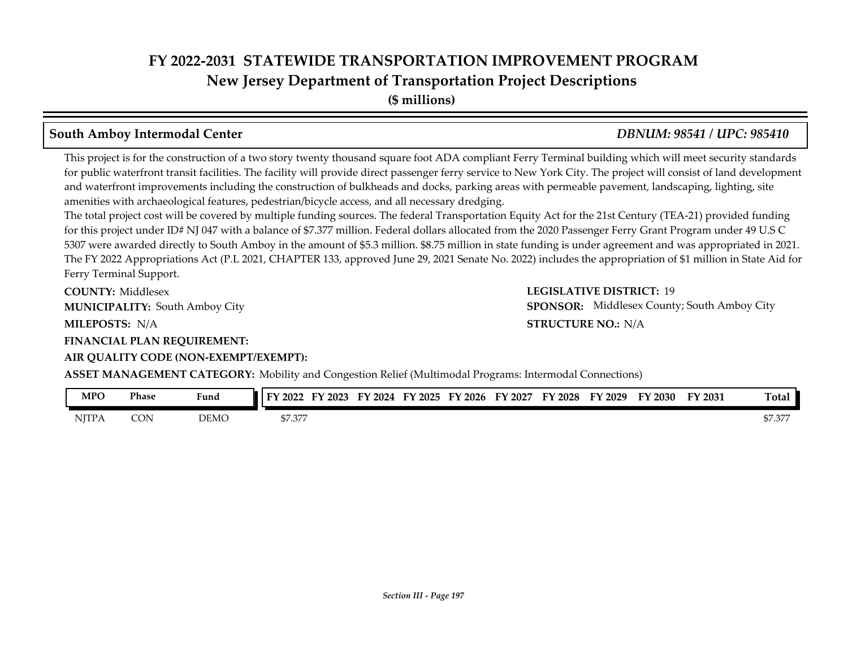**New Jersey Department of Transportation Project Descriptions**

**(\$ millions)**

# **South Amboy Intermodal Center** *DBNUM: 98541 / UPC: 985410*

This project is for the construction of a two story twenty thousand square foot ADA compliant Ferry Terminal building which will meet security standards for public waterfront transit facilities. The facility will provide direct passenger ferry service to New York City. The project will consist of land development and waterfront improvements including the construction of bulkheads and docks, parking areas with permeable pavement, landscaping, lighting, site amenities with archaeological features, pedestrian/bicycle access, and all necessary dredging.

The total project cost will be covered by multiple funding sources. The federal Transportation Equity Act for the 21st Century (TEA-21) provided funding for this project under ID# NJ 047 with a balance of \$7.377 million. Federal dollars allocated from the 2020 Passenger Ferry Grant Program under 49 U.S C 5307 were awarded directly to South Amboy in the amount of \$5.3 million. \$8.75 million in state funding is under agreement and was appropriated in 2021. The FY 2022 Appropriations Act (P.L 2021, CHAPTER 133, approved June 29, 2021 Senate No. 2022) includes the appropriation of \$1 million in State Aid for Ferry Terminal Support.

**COUNTY: LEGISLATIVE DISTRICT:** 19 **MILEPOSTS: STRUCTURE NO.:** N/A **FINANCIAL PLAN REQUIREMENT: AIR QUALITY CODE (NON-EXEMPT/EXEMPT): COUNTY: Middlesex MUNICIPALITY:** South Amboy City **SPONSOR:** 

**STRUCTURE NO.: N/A** SPONSOR: Middlesex County; South Amboy City

**ASSET MANAGEMENT CATEGORY:** Mobility and Congestion Relief (Multimodal Programs: Intermodal Connections)

| MPO          | Phase | Fund | TУ.<br>2023<br>$\cdot$ 2022 | $F\lambda$<br>2024 | $'$ 2025<br>$\neg$ | $\degree$ 2026<br>EУ | FΥ<br>2027 | ГV.<br>2028 | FY 2029 | <b>FY 2030</b> | FY 2031 | m.<br>[otal     |
|--------------|-------|------|-----------------------------|--------------------|--------------------|----------------------|------------|-------------|---------|----------------|---------|-----------------|
| <b>NJTPA</b> | CON   | DEMC | AT 27T<br>37.377            |                    |                    |                      |            |             |         |                |         | חחת חי<br>57.37 |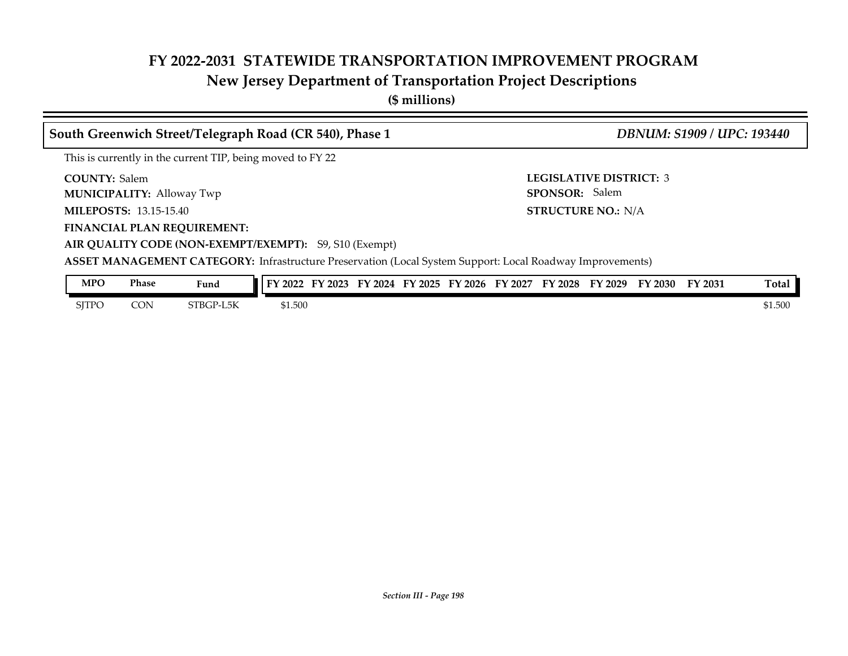# **New Jersey Department of Transportation Project Descriptions**

**(\$ millions)**

| South Greenwich Street/Telegraph Road (CR 540), Phase 1    |                                                                                                           | <b>DBNUM: S1909 / UPC: 193440</b>                |
|------------------------------------------------------------|-----------------------------------------------------------------------------------------------------------|--------------------------------------------------|
| This is currently in the current TIP, being moved to FY 22 |                                                                                                           |                                                  |
| <b>COUNTY: Salem</b><br><b>MUNICIPALITY: Alloway Twp</b>   |                                                                                                           | <b>LEGISLATIVE DISTRICT: 3</b><br>SPONSOR: Salem |
| <b>MILEPOSTS: 13.15-15.40</b>                              |                                                                                                           | <b>STRUCTURE NO.: N/A</b>                        |
| <b>FINANCIAL PLAN REQUIREMENT:</b>                         |                                                                                                           |                                                  |
| AIR QUALITY CODE (NON-EXEMPT/EXEMPT): S9, S10 (Exempt)     |                                                                                                           |                                                  |
|                                                            | ASSET MANAGEMENT CATEGORY: Infrastructure Preservation (Local System Support: Local Roadway Improvements) |                                                  |
| <b>MPO</b><br><b>Phase</b><br>Fund                         | FY 2022 FY 2023 FY 2024 FY 2025 FY 2026 FY 2027 FY 2028 FY 2029 FY 2030                                   | Total<br>FY 2031                                 |

SJTPO CON STBGP-L5K \$1.500 \$1.500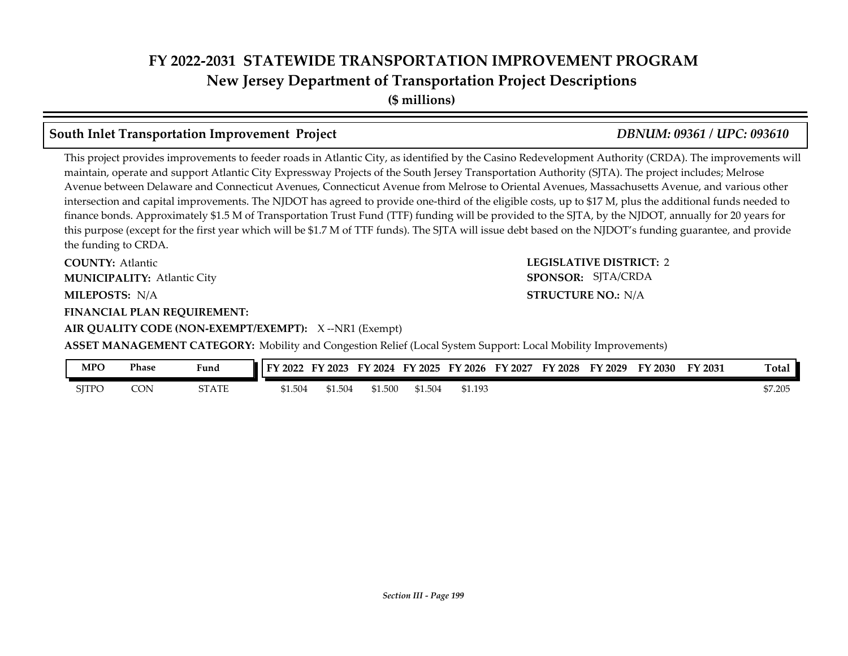**(\$ millions)**

# **South Inlet Transportation Improvement Project** *DBNUM: 09361 / UPC: 093610*

This project provides improvements to feeder roads in Atlantic City, as identified by the Casino Redevelopment Authority (CRDA). The improvements will maintain, operate and support Atlantic City Expressway Projects of the South Jersey Transportation Authority (SJTA). The project includes; Melrose Avenue between Delaware and Connecticut Avenues, Connecticut Avenue from Melrose to Oriental Avenues, Massachusetts Avenue, and various other intersection and capital improvements. The NJDOT has agreed to provide one-third of the eligible costs, up to \$17 M, plus the additional funds needed to finance bonds. Approximately \$1.5 M of Transportation Trust Fund (TTF) funding will be provided to the SJTA, by the NJDOT, annually for 20 years for this purpose (except for the first year which will be \$1.7 M of TTF funds). The SJTA will issue debt based on the NJDOT's funding guarantee, and provide the funding to CRDA.

**COUNTY: Atlantic** Atlantic City **MUNICIPALITY: SPONSOR:**

**MILEPOSTS: STRUCTURE NO.:** N/A

#### **FINANCIAL PLAN REQUIREMENT:**

**AIR QUALITY CODE (NON-EXEMPT/EXEMPT):** X --NR1 (Exempt)

# **COUNTY: LEGISLATIVE DISTRICT:** 2 **STRUCTURE NO.: N/A** SPONSOR: SJTA/CRDA

**ASSET MANAGEMENT CATEGORY:** Mobility and Congestion Relief (Local System Support: Local Mobility Improvements)

| MPO          | Phase | Fund         | FY 2022 | FY 2023 | $\cdot$ 2024 | FY 2025 | FY 2026 | FY 2027 | FY 2028 | FY<br>$^{\circ}$ 2029 | FY 2030 | FY 2031 | Total   |
|--------------|-------|--------------|---------|---------|--------------|---------|---------|---------|---------|-----------------------|---------|---------|---------|
| <b>SJTPO</b> | CON   | <b>STATE</b> | \$1.504 | \$1.504 | \$1.500      | \$1.504 | \$1.193 |         |         |                       |         |         | \$7.205 |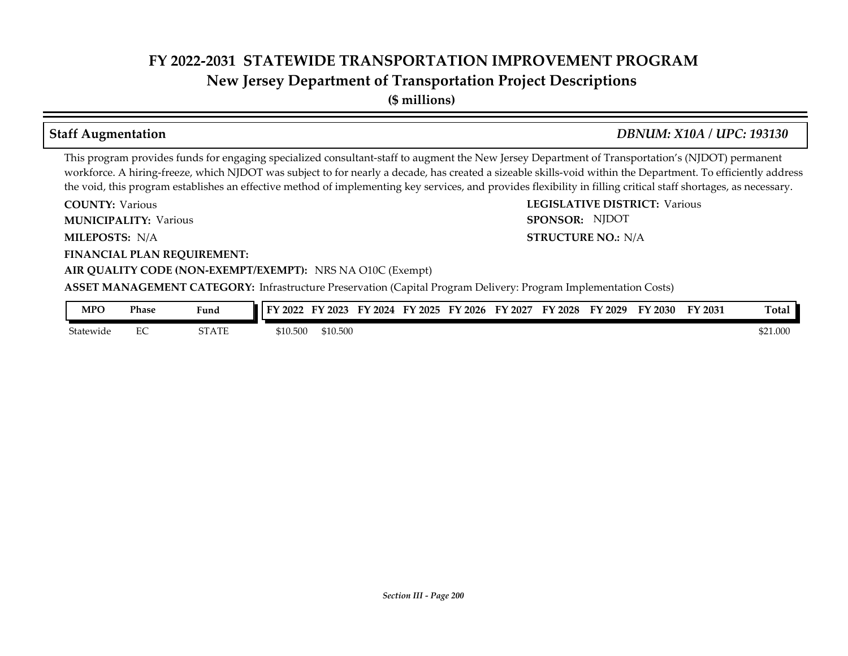**New Jersey Department of Transportation Project Descriptions**

**(\$ millions)**

# **Staff Augmentation** *DBNUM: X10A / UPC: 193130*

**STRUCTURE NO.: N/A** 

SPONSOR: NJDOT

This program provides funds for engaging specialized consultant-staff to augment the New Jersey Department of Transportation's (NJDOT) permanent workforce. A hiring-freeze, which NJDOT was subject to for nearly a decade, has created a sizeable skills-void within the Department. To efficiently address the void, this program establishes an effective method of implementing key services, and provides flexibility in filling critical staff shortages, as necessary.

**COUNTY: LEGISLATIVE DISTRICT:** Various **COUNTY: Various** 

**MUNICIPALITY:** Various **SPONSOR:** 

**MILEPOSTS: STRUCTURE NO.:** N/A

**FINANCIAL PLAN REQUIREMENT:**

### **AIR QUALITY CODE (NON-EXEMPT/EXEMPT):** NRS NA O10C (Exempt)

**ASSET MANAGEMENT CATEGORY:** Infrastructure Preservation (Capital Program Delivery: Program Implementation Costs)

| MPO       | Phase | Fund              | <b>TV</b><br>2022 | 2023     | <b>FY</b><br>2024 | '2025<br>$\nabla$ | '2026<br>FУ | $F\mathbf{V}$<br>2027 | TY 2028 | $'$ 2029<br>l v | FY 2030 | FY 2031 | <b>Total</b> |
|-----------|-------|-------------------|-------------------|----------|-------------------|-------------------|-------------|-----------------------|---------|-----------------|---------|---------|--------------|
| Statewide | ∼     | CT A TE<br>, 1711 | \$10.500          | \$10.500 |                   |                   |             |                       |         |                 |         |         | \$21.000     |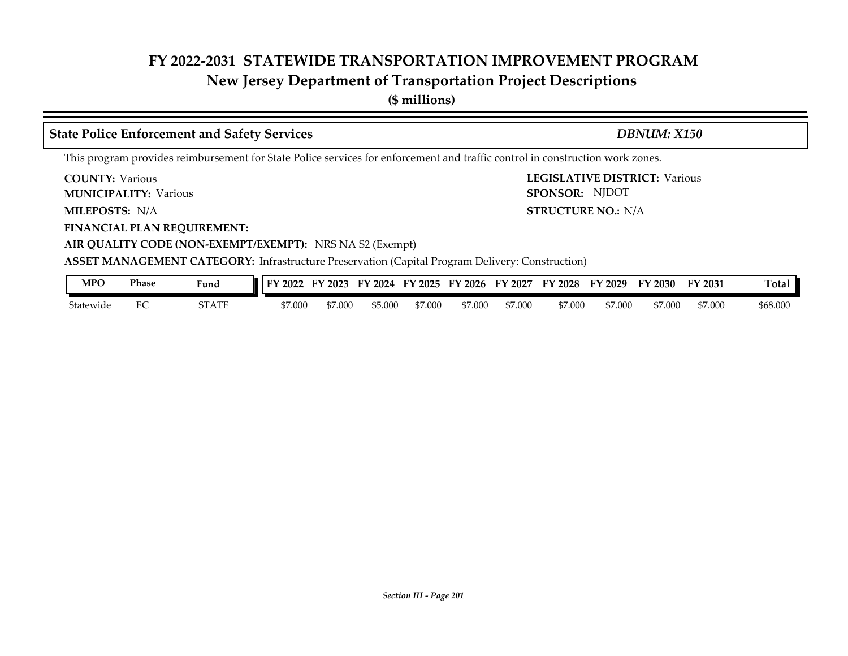**(\$ millions)**

| <b>State Police Enforcement and Safety Services</b>                                                                           | DBNUM: X150                                                                                 |  |  |  |  |  |  |  |  |  |
|-------------------------------------------------------------------------------------------------------------------------------|---------------------------------------------------------------------------------------------|--|--|--|--|--|--|--|--|--|
| This program provides reimbursement for State Police services for enforcement and traffic control in construction work zones. |                                                                                             |  |  |  |  |  |  |  |  |  |
| <b>COUNTY:</b> Various<br><b>MUNICIPALITY: Various</b>                                                                        | <b>LEGISLATIVE DISTRICT: Various</b><br>SPONSOR: NJDOT                                      |  |  |  |  |  |  |  |  |  |
| <b>MILEPOSTS: N/A</b>                                                                                                         | <b>STRUCTURE NO.: N/A</b>                                                                   |  |  |  |  |  |  |  |  |  |
| <b>FINANCIAL PLAN REQUIREMENT:</b><br>AIR QUALITY CODE (NON-EXEMPT/EXEMPT): NRS NA S2 (Exempt)                                |                                                                                             |  |  |  |  |  |  |  |  |  |
| <b>ASSET MANAGEMENT CATEGORY:</b> Infrastructure Preservation (Capital Program Delivery: Construction)                        |                                                                                             |  |  |  |  |  |  |  |  |  |
| <b>MPO</b><br><b>Phase</b><br>Fund                                                                                            | FY 2022 FY 2023 FY 2024 FY 2025 FY 2026 FY 2027 FY 2028 FY 2029 FY 2030<br>Total<br>FY 2031 |  |  |  |  |  |  |  |  |  |

| MľU       | <b>Thase</b> | Fund               | ∎ I FY 2022 | FY 2023 | FY 2024 | FY 2025 | FY 2026 | FY 2027 | FY 2028 | FY 2029 | FY 2030 | FY 2031 | Total    |
|-----------|--------------|--------------------|-------------|---------|---------|---------|---------|---------|---------|---------|---------|---------|----------|
| Statewide | ∽            | 70 A OD T<br>SIAIE | \$7.000     | \$7.000 | \$5.000 | \$7.000 | \$7.000 | \$7,000 | \$7.000 | \$7.000 | \$7.000 | \$7.000 | \$68.000 |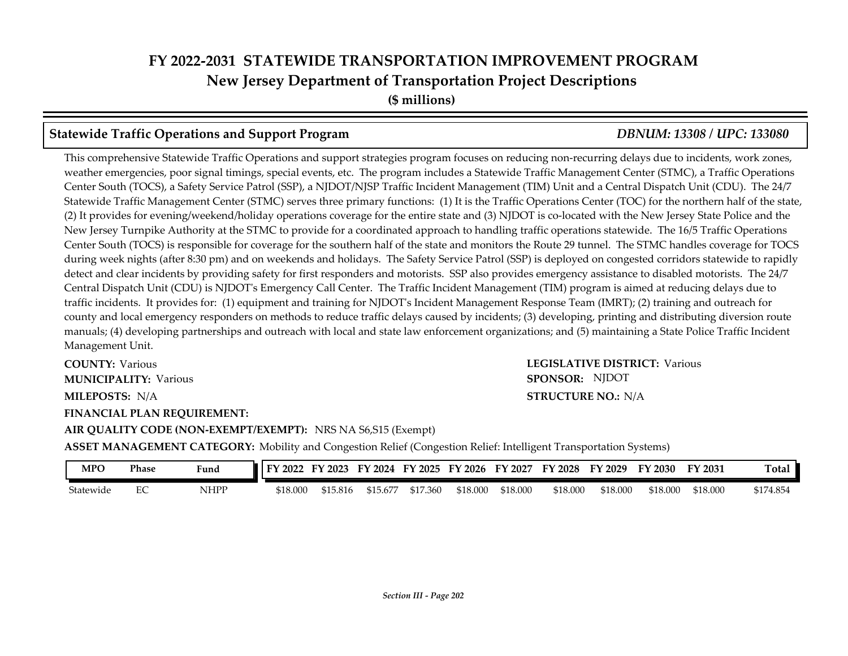## **Statewide Traffic Operations and Support Program** *DBNUM: 13308 / UPC: 133080*

This comprehensive Statewide Traffic Operations and support strategies program focuses on reducing non-recurring delays due to incidents, work zones, weather emergencies, poor signal timings, special events, etc. The program includes a Statewide Traffic Management Center (STMC), a Traffic Operations Center South (TOCS), a Safety Service Patrol (SSP), a NJDOT/NJSP Traffic Incident Management (TIM) Unit and a Central Dispatch Unit (CDU). The 24/7 Statewide Traffic Management Center (STMC) serves three primary functions: (1) It is the Traffic Operations Center (TOC) for the northern half of the state, (2) It provides for evening/weekend/holiday operations coverage for the entire state and (3) NJDOT is co-located with the New Jersey State Police and the New Jersey Turnpike Authority at the STMC to provide for a coordinated approach to handling traffic operations statewide. The 16/5 Traffic Operations Center South (TOCS) is responsible for coverage for the southern half of the state and monitors the Route 29 tunnel. The STMC handles coverage for TOCS during week nights (after 8:30 pm) and on weekends and holidays. The Safety Service Patrol (SSP) is deployed on congested corridors statewide to rapidly detect and clear incidents by providing safety for first responders and motorists. SSP also provides emergency assistance to disabled motorists. The 24/7 Central Dispatch Unit (CDU) is NJDOT's Emergency Call Center. The Traffic Incident Management (TIM) program is aimed at reducing delays due to traffic incidents. It provides for: (1) equipment and training for NJDOT's Incident Management Response Team (IMRT); (2) training and outreach for county and local emergency responders on methods to reduce traffic delays caused by incidents; (3) developing, printing and distributing diversion route manuals; (4) developing partnerships and outreach with local and state law enforcement organizations; and (5) maintaining a State Police Traffic Incident Management Unit.

**MILEPOSTS: STRUCTURE NO.:** N/A **COUNTY: Various MUNICIPALITY:** Various **SPONSOR:** 

#### **FINANCIAL PLAN REQUIREMENT:**

# **COUNTY: LEGISLATIVE DISTRICT:** Various **STRUCTURE NO.: N/A** SPONSOR: NJDOT

**AIR QUALITY CODE (NON-EXEMPT/EXEMPT):** NRS NA S6,S15 (Exempt) **ASSET MANAGEMENT CATEGORY:** Mobility and Congestion Relief (Congestion Relief: Intelligent Transportation Systems)

| MPO       | Phase | Fund | FY 2022  | FY 2023  |          |          | FY 2024 FY 2025 FY 2026 FY 2027 |          |          | FY 2028 FY 2029 | FY 2030  | FY 2031  | <b>Total</b> |
|-----------|-------|------|----------|----------|----------|----------|---------------------------------|----------|----------|-----------------|----------|----------|--------------|
| Statewide |       | NHPP | \$18,000 | \$15.816 | \$15.677 | \$17.360 | \$18,000                        | \$18,000 | \$18,000 | \$18.000        | \$18.000 | \$18,000 | \$174.854    |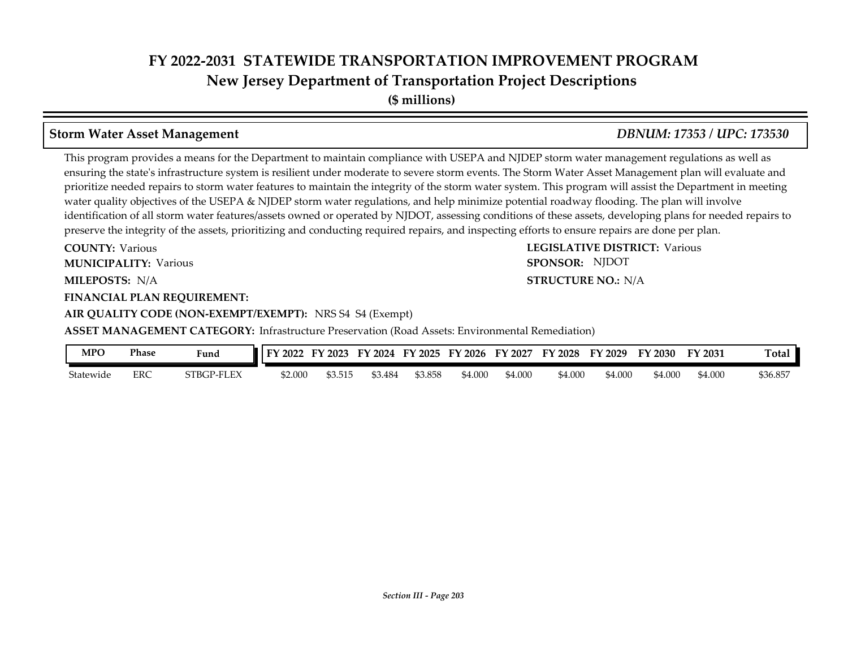**(\$ millions)**

## **Storm Water Asset Management** *DBNUM: 17353 / UPC: 173530*

This program provides a means for the Department to maintain compliance with USEPA and NJDEP storm water management regulations as well as ensuring the state's infrastructure system is resilient under moderate to severe storm events. The Storm Water Asset Management plan will evaluate and prioritize needed repairs to storm water features to maintain the integrity of the storm water system. This program will assist the Department in meeting water quality objectives of the USEPA & NJDEP storm water regulations, and help minimize potential roadway flooding. The plan will involve identification of all storm water features/assets owned or operated by NJDOT, assessing conditions of these assets, developing plans for needed repairs to preserve the integrity of the assets, prioritizing and conducting required repairs, and inspecting efforts to ensure repairs are done per plan.

**COUNTY: LEGISLATIVE DISTRICT:** Various **COUNTY: Various MUNICIPALITY:** Various **SPONSOR:** 

#### **FINANCIAL PLAN REQUIREMENT:**

**AIR QUALITY CODE (NON-EXEMPT/EXEMPT):** NRS S4 S4 (Exempt)

**ASSET MANAGEMENT CATEGORY:** Infrastructure Preservation (Road Assets: Environmental Remediation)

| MPO       | Phase | Fund       | $\frac{1}{2022}$<br>тv. | 2023   | FY<br>2024 | FY 2025 | FY 2026 | FY<br>$\frac{2027}{ }$ | FY 2028 | $'$ 2029<br>FY. | FY 2030 | FY 2031 | Total    |
|-----------|-------|------------|-------------------------|--------|------------|---------|---------|------------------------|---------|-----------------|---------|---------|----------|
| Statewide | ERC   | STBGP-FLEX | \$2.000                 | 53.515 | 53.484     | \$3.858 | \$4.000 | \$4.000                | \$4.000 | \$4.000         | 54.000  | 54.000  | \$36.857 |

#### **MILEPOSTS: STRUCTURE NO.:** N/A **STRUCTURE NO.: N/A**

SPONSOR: NJDOT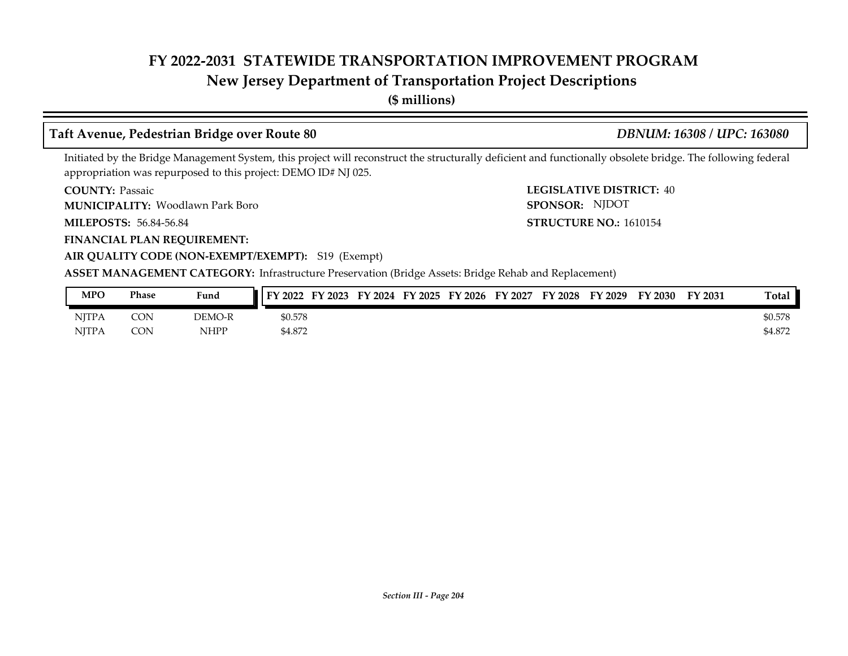# **New Jersey Department of Transportation Project Descriptions**

**(\$ millions)**

# **Taft Avenue, Pedestrian Bridge over Route 80** *DBNUM: 16308 / UPC: 163080*

Initiated by the Bridge Management System, this project will reconstruct the structurally deficient and functionally obsolete bridge. The following federal appropriation was repurposed to this project: DEMO ID# NJ 025.

**COUNTY: Passaic** 

Woodlawn Park Boro **MUNICIPALITY: SPONSOR:**

**MILEPOSTS: STRUCTURE NO.:** 56.84-56.84

**FINANCIAL PLAN REQUIREMENT:**

**COUNTY: LEGISLATIVE DISTRICT:** 40 **STRUCTURE NO.: 1610154** SPONSOR: NJDOT

## **AIR QUALITY CODE (NON-EXEMPT/EXEMPT):** S19 (Exempt)

**ASSET MANAGEMENT CATEGORY:** Infrastructure Preservation (Bridge Assets: Bridge Rehab and Replacement)

| MPO          | Phase      | Fund   | FY 2023<br>FY 2022 | FY 2024 FY 2025 FY 2026 |  | FY 2027 | FY 2028 | FY 2029 | FY 2030 | FY 2031 | <b>Total</b> |
|--------------|------------|--------|--------------------|-------------------------|--|---------|---------|---------|---------|---------|--------------|
| <b>NJTPA</b> | CON        | DEMO-R | \$0.578            |                         |  |         |         |         |         |         | \$0.578      |
| <b>NITPA</b> | <b>CON</b> | NHPP   | \$4.872            |                         |  |         |         |         |         |         | \$4.872      |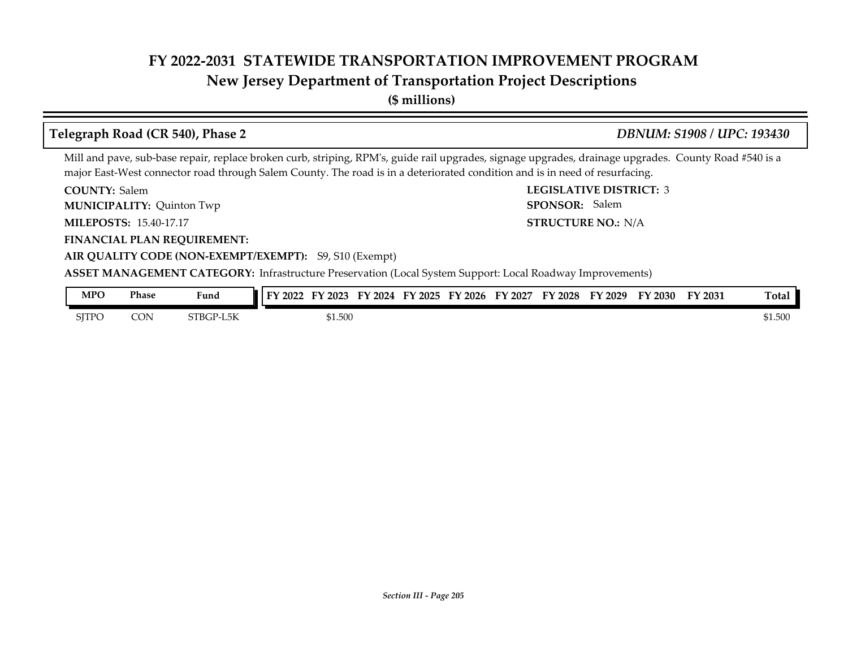# **New Jersey Department of Transportation Project Descriptions**

**(\$ millions)**

#### **COUNTY: LEGISLATIVE DISTRICT:** 3 **MILEPOSTS: STRUCTURE NO.:** 15.40-17.17 **FINANCIAL PLAN REQUIREMENT: AIR QUALITY CODE (NON-EXEMPT/EXEMPT):** S9, S10 (Exempt) COUNTY: Salem **MUNICIPALITY:** Quinton Twp **SPONSOR: STRUCTURE NO.: N/A ASSET MANAGEMENT CATEGORY:** Infrastructure Preservation (Local System Support: Local Roadway Improvements) Mill and pave, sub-base repair, replace broken curb, striping, RPM's, guide rail upgrades, signage upgrades, drainage upgrades. County Road #540 is a major East-West connector road through Salem County. The road is in a deteriorated condition and is in need of resurfacing. **Telegraph Road (CR 540), Phase 2** *DBNUM: S1908 / UPC: 193430* SPONSOR: Salem

| MPO   | Phase | $\sim$ $\sim$ $\sim$<br>Fund | TV.<br>2022 | $\frac{1}{2023}$ | FУ<br>2024 | тv<br>$\frac{1}{2}$ 2025 | - БV<br>$\cdot$ 2026 | FΥ<br>2027 | FY 2028 | FY 2029 | FY 2030 | FY 2031 | Tota.   |
|-------|-------|------------------------------|-------------|------------------|------------|--------------------------|----------------------|------------|---------|---------|---------|---------|---------|
| SITPO | CON   | STBGP-L<br>L5K               |             | 61.500           |            |                          |                      |            |         |         |         |         | \$1.500 |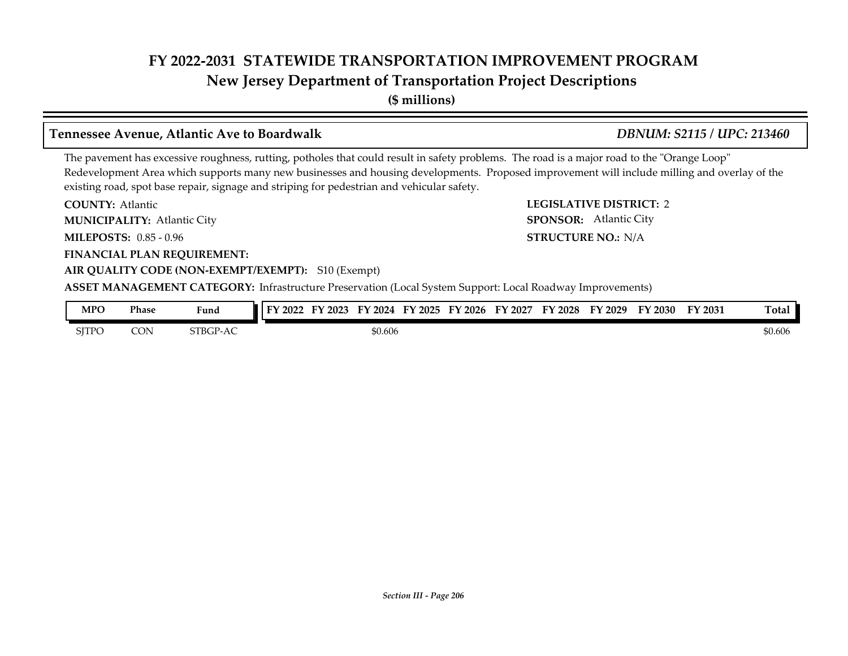**(\$ millions)**

## **Tennessee Avenue, Atlantic Ave to Boardwalk** *DBNUM: S2115 / UPC: 213460*

### The pavement has excessive roughness, rutting, potholes that could result in safety problems. The road is a major road to the "Orange Loop" Redevelopment Area which supports many new businesses and housing developments. Proposed improvement will include milling and overlay of the existing road, spot base repair, signage and striping for pedestrian and vehicular safety.

**COUNTY: LEGISLATIVE DISTRICT:** 2 **COUNTY: Atlantic** 

Atlantic City **MUNICIPALITY: SPONSOR:**

**MILEPOSTS: STRUCTURE NO.:** 0.85 - 0.96

**FINANCIAL PLAN REQUIREMENT:**

### **AIR QUALITY CODE (NON-EXEMPT/EXEMPT):** S10 (Exempt)

**ASSET MANAGEMENT CATEGORY:** Infrastructure Preservation (Local System Support: Local Roadway Improvements)

| MPO   | Phase | Fund          | FV<br>2022 | EV<br>2023 | FV<br>2024 | FY 2025 | FV<br>2026 | FV<br>2027 | <sup>T</sup> Y 2028 | FY 2029 | FY 2030 | FY 2031 | <b>Total</b> |
|-------|-------|---------------|------------|------------|------------|---------|------------|------------|---------------------|---------|---------|---------|--------------|
| SJTPC | CON   | <b>STBGP-</b> |            |            | \$0.606    |         |            |            |                     |         |         |         | \$0.606      |

**STRUCTURE NO.: N/A** 

SPONSOR: Atlantic City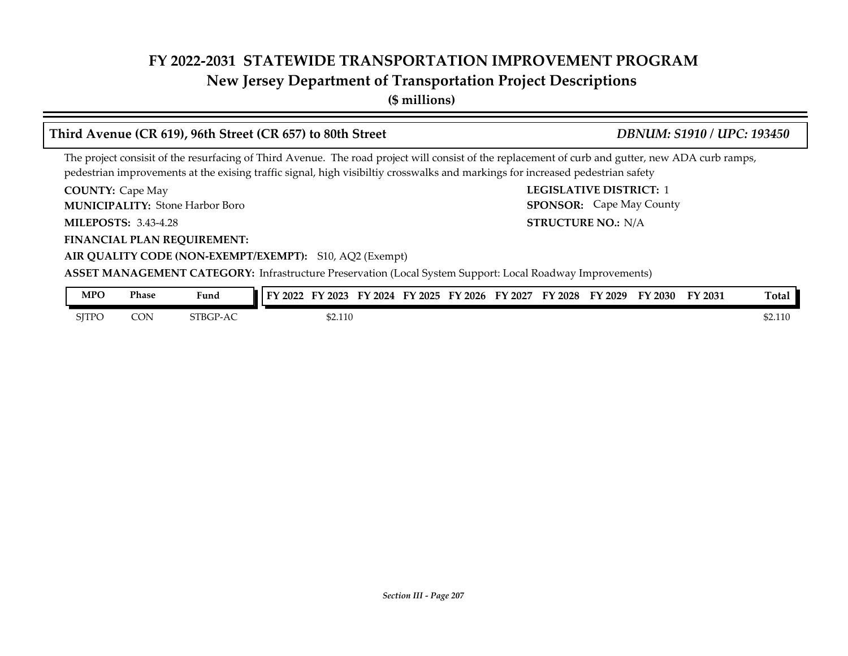# **New Jersey Department of Transportation Project Descriptions**

**(\$ millions)**

### **COUNTY:** Cape May **COUNTY:** Cape May **COUNTY:** 2 **MILEPOSTS: STRUCTURE NO.:** 3.43-4.28 **FINANCIAL PLAN REQUIREMENT: AIR QUALITY CODE (NON-EXEMPT/EXEMPT):** S10, AQ2 (Exempt) **COUNTY: Cape May** Stone Harbor Boro **MUNICIPALITY: SPONSOR: STRUCTURE NO.: N/A ASSET MANAGEMENT CATEGORY:** Infrastructure Preservation (Local System Support: Local Roadway Improvements) The project consisit of the resurfacing of Third Avenue. The road project will consist of the replacement of curb and gutter, new ADA curb ramps, pedestrian improvements at the exising traffic signal, high visibiltiy crosswalks and markings for increased pedestrian safety **Third Avenue (CR 619), 96th Street (CR 657) to 80th Street** *DBNUM: S1910 / UPC: 193450* **SPONSOR:** Cape May County **MPO Phase Fund FY 2022 FY 2023 FY 2024 FY 2025 FY 2026 FY 2027 FY 2028 FY 2029 FY 2030 FY 2031 Total**

| <b>NIT U</b> | r nase | runa     | $\blacksquare$ ifizuzz<br><b>FY</b> | I ZUZO I II ZUZI I II ZUZO I | FIZUZO | F I 2027 | FI 2020 | F I 2029 | FI ZUSU | FI 2031 | ı otal  |
|--------------|--------|----------|-------------------------------------|------------------------------|--------|----------|---------|----------|---------|---------|---------|
| <b>SITPO</b> | CON    | STBGP-AC | \$2.110                             |                              |        |          |         |          |         |         | \$2.110 |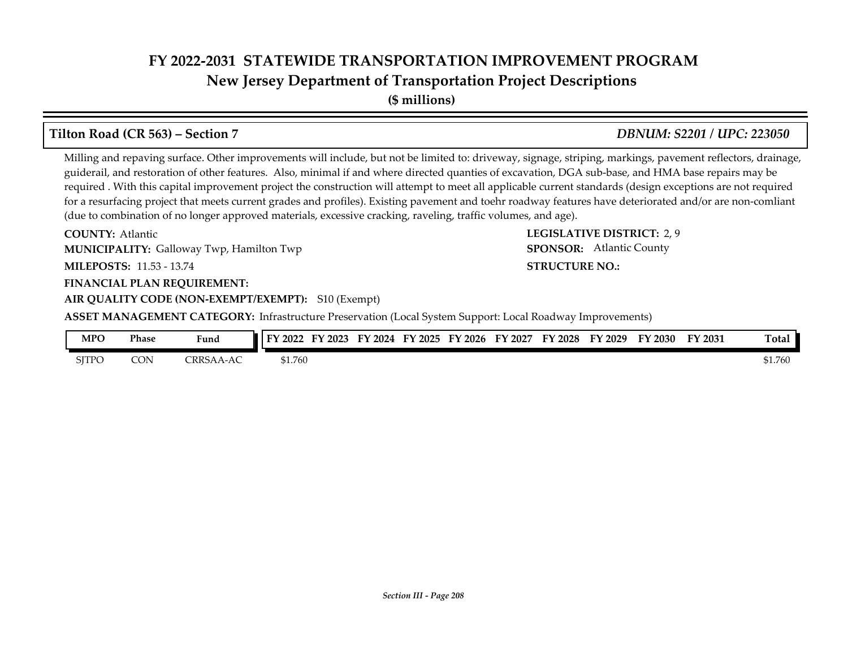**New Jersey Department of Transportation Project Descriptions**

**(\$ millions)**

# **Tilton Road (CR 563) – Section 7** *DBNUM: S2201 / UPC: 223050*

Milling and repaving surface. Other improvements will include, but not be limited to: driveway, signage, striping, markings, pavement reflectors, drainage, guiderail, and restoration of other features. Also, minimal if and where directed quanties of excavation, DGA sub-base, and HMA base repairs may be required . With this capital improvement project the construction will attempt to meet all applicable current standards (design exceptions are not required for a resurfacing project that meets current grades and profiles). Existing pavement and toehr roadway features have deteriorated and/or are non-comliant (due to combination of no longer approved materials, excessive cracking, raveling, traffic volumes, and age).

**COUNTY: LEGISLATIVE DISTRICT:** 2, 9 **MILEPOSTS: STRUCTURE NO.:** 11.53 - 13.74 **COUNTY: Atlantic MUNICIPALITY:** Galloway Twp, Hamilton Twp **Example 2018 120 SPONSOR:** 

### **FINANCIAL PLAN REQUIREMENT:**

**AIR QUALITY CODE (NON-EXEMPT/EXEMPT):** S10 (Exempt)

**ASSET MANAGEMENT CATEGORY:** Infrastructure Preservation (Local System Support: Local Roadway Improvements)

| <b>MPO</b>   | Phase | <b>Contract Contract Contract Contract</b><br>Fund | I FY 2022 | 2023<br>тv | 2024<br>Еν | '2025 | FY 2026 | FY 2027 | FV<br>$'$ 2028 | TY 2029 | FY 2030 | FY 2031 | <b>Total</b> |
|--------------|-------|----------------------------------------------------|-----------|------------|------------|-------|---------|---------|----------------|---------|---------|---------|--------------|
| <b>SJTPO</b> | CON   | CRRS<br>$-AC$                                      | \$1.760   |            |            |       |         |         |                |         |         |         | \$1.760      |

# SPONSOR: Atlantic County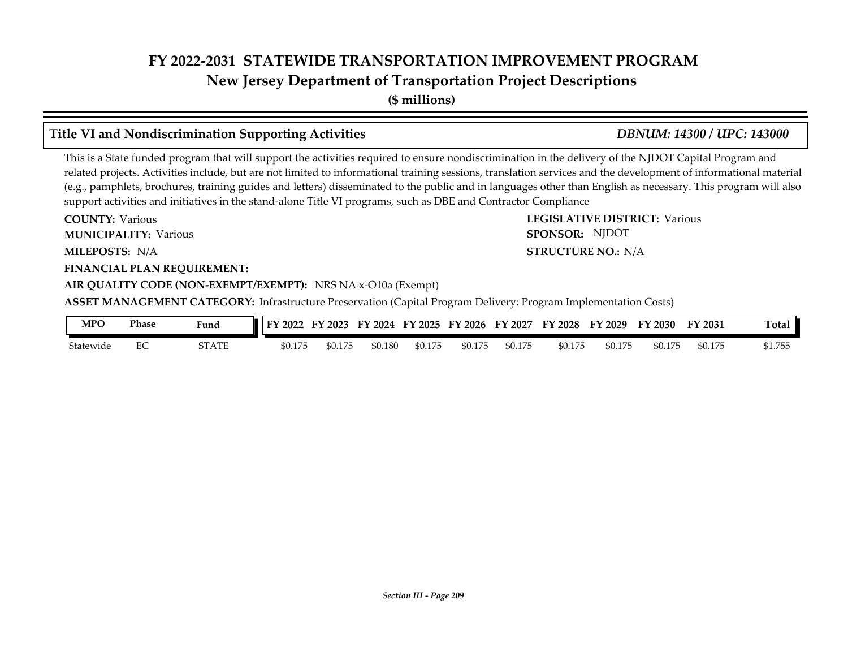**(\$ millions)**

# **Title VI and Nondiscrimination Supporting Activities** *DBNUM: 14300 / UPC: 143000*

This is a State funded program that will support the activities required to ensure nondiscrimination in the delivery of the NJDOT Capital Program and related projects. Activities include, but are not limited to informational training sessions, translation services and the development of informational material (e.g., pamphlets, brochures, training guides and letters) disseminated to the public and in languages other than English as necessary. This program will also support activities and initiatives in the stand-alone Title VI programs, such as DBE and Contractor Compliance

**COUNTY: LEGISLATIVE DISTRICT:** Various **MILEPOSTS: STRUCTURE NO.:** N/A **FINANCIAL PLAN REQUIREMENT: AIR QUALITY CODE (NON-EXEMPT/EXEMPT):** NRS NA x-O10a (Exempt) **COUNTY: Various MUNICIPALITY:** Various **SPONSOR:** MILEPOSTS: N/A **ASSET MANAGEMENT CATEGORY:** Infrastructure Preservation (Capital Program Delivery: Program Implementation Costs) SPONSOR: NJDOT

| MPO       | Phase | Fund  | ТV.<br>2022 | 2023    | 2024<br>FY | FY 2025                   | '2026<br>EV | 2027<br>FY | тv<br>2028 | FY 2029 | FY 2030 | <b>FY 2031</b> | m.<br>『otal   |
|-----------|-------|-------|-------------|---------|------------|---------------------------|-------------|------------|------------|---------|---------|----------------|---------------|
| Statewide | ∽     | STATE | \$0.175     | \$0.175 | \$0.180    | . <del>. .</del><br>,,,,, | \$0.175     | \$0.175    | \$0.175    | \$0.175 | \$0.175 | \$0.175        | ワちら<br>71. JU |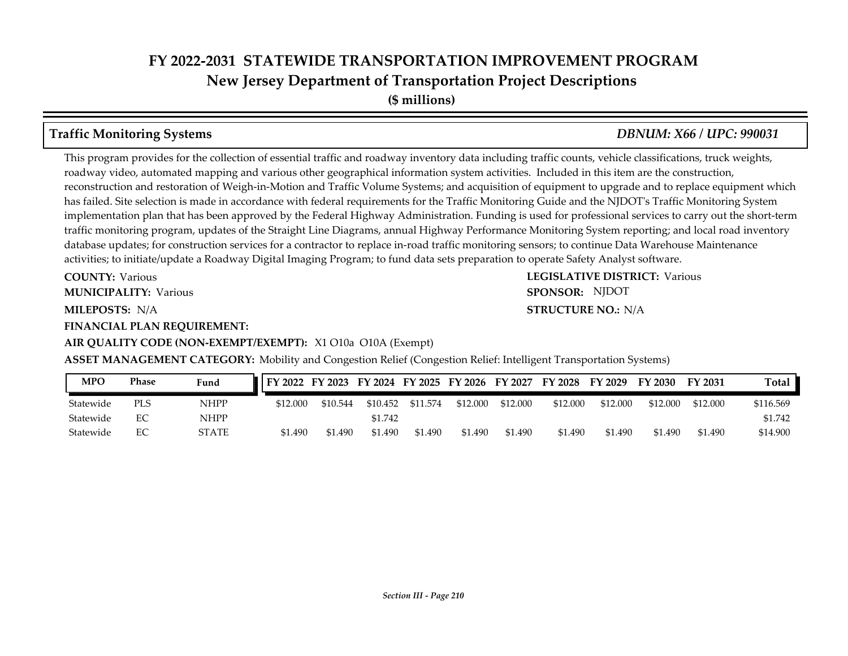**(\$ millions)**

This program provides for the collection of essential traffic and roadway inventory data including traffic counts, vehicle classifications, truck weights, roadway video, automated mapping and various other geographical information system activities. Included in this item are the construction, reconstruction and restoration of Weigh-in-Motion and Traffic Volume Systems; and acquisition of equipment to upgrade and to replace equipment which has failed. Site selection is made in accordance with federal requirements for the Traffic Monitoring Guide and the NJDOT's Traffic Monitoring System implementation plan that has been approved by the Federal Highway Administration. Funding is used for professional services to carry out the short-term traffic monitoring program, updates of the Straight Line Diagrams, annual Highway Performance Monitoring System reporting; and local road inventory database updates; for construction services for a contractor to replace in-road traffic monitoring sensors; to continue Data Warehouse Maintenance activities; to initiate/update a Roadway Digital Imaging Program; to fund data sets preparation to operate Safety Analyst software.

**COUNTY: Various** 

**MUNICIPALITY:** Various **SPONSOR:** 

**MILEPOSTS: STRUCTURE NO.:** N/A

**FINANCIAL PLAN REQUIREMENT:**

#### **AIR QUALITY CODE (NON-EXEMPT/EXEMPT):** X1 O10a O10A (Exempt)

**COUNTY: LEGISLATIVE DISTRICT:** Various **STRUCTURE NO.: N/A** SPONSOR: NJDOT

**ASSET MANAGEMENT CATEGORY:** Mobility and Congestion Relief (Congestion Relief: Intelligent Transportation Systems)

| <b>MPO</b> | Phase | Fund         | FY 2022 FY 2023 FY 2024 FY 2025 FY 2026 FY 2027 FY 2028 |          |          |          |          |          |          | FY 2029  | FY 2030  | FY 2031  | Total     |
|------------|-------|--------------|---------------------------------------------------------|----------|----------|----------|----------|----------|----------|----------|----------|----------|-----------|
| Statewide  | PLS   | NHPP         | \$12,000                                                | \$10.544 | \$10.452 | \$11.574 | \$12.000 | \$12,000 | \$12,000 | \$12.000 | \$12,000 | \$12.000 | \$116.569 |
| Statewide  | EC    | NHPP         |                                                         |          | \$1.742  |          |          |          |          |          |          |          | \$1.742   |
| Statewide  | EС    | <b>STATE</b> | \$1.490                                                 | \$1.490  | \$1.490  | \$1.490  | \$1.490  | \$1.490  | \$1.490  | \$1.490  | \$1.490  | \$1.490  | \$14.900  |

**Traffic Monitoring Systems** *DBNUM: X66 / UPC: 990031*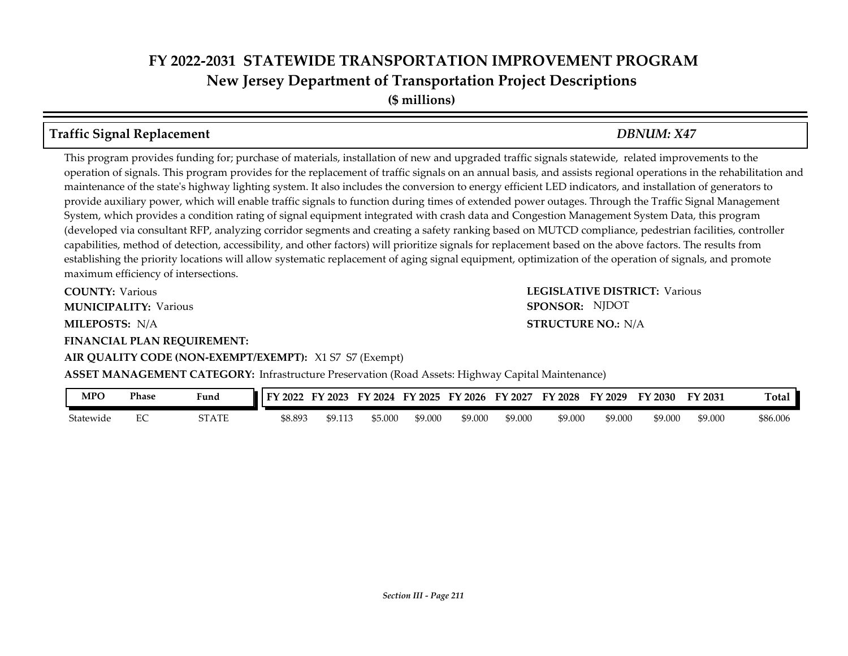**(\$ millions)**

# **Traffic Signal Replacement** *DBNUM: X47*

This program provides funding for; purchase of materials, installation of new and upgraded traffic signals statewide, related improvements to the operation of signals. This program provides for the replacement of traffic signals on an annual basis, and assists regional operations in the rehabilitation and maintenance of the state's highway lighting system. It also includes the conversion to energy efficient LED indicators, and installation of generators to provide auxiliary power, which will enable traffic signals to function during times of extended power outages. Through the Traffic Signal Management System, which provides a condition rating of signal equipment integrated with crash data and Congestion Management System Data, this program (developed via consultant RFP, analyzing corridor segments and creating a safety ranking based on MUTCD compliance, pedestrian facilities, controller capabilities, method of detection, accessibility, and other factors) will prioritize signals for replacement based on the above factors. The results from establishing the priority locations will allow systematic replacement of aging signal equipment, optimization of the operation of signals, and promote maximum efficiency of intersections.

**COUNTY: Various MUNICIPALITY:** Various **SPONSOR:** 

### **FINANCIAL PLAN REQUIREMENT:**

### **AIR QUALITY CODE (NON-EXEMPT/EXEMPT):** X1 S7 S7 (Exempt)

#### **COUNTY: LEGISLATIVE DISTRICT:** Various **MILEPOSTS: STRUCTURE NO.:** N/A **STRUCTURE NO.: N/A** SPONSOR: NJDOT

**ASSET MANAGEMENT CATEGORY:** Infrastructure Preservation (Road Assets: Highway Capital Maintenance)

| MPO                   | Phase         | $\mathbf{r}$<br>Hund | FА<br>2022 | 2023        | 2024   | $TY$ 2025 | 2026<br>EV | EV<br>2027 | Y 2028  | 2029<br>ьv | $\nabla$ 2030 | FY 2031 | otal     |
|-----------------------|---------------|----------------------|------------|-------------|--------|-----------|------------|------------|---------|------------|---------------|---------|----------|
| <b>.</b><br>Statewide | $\Gamma$<br>∽ | STATE                | \$8.893    | tΟ<br>ツノ・エエ | 55.00C | \$9.000   | \$9.000    | \$9.000    | \$9.000 | \$9.000    | \$9.000       | \$9.000 | \$86.006 |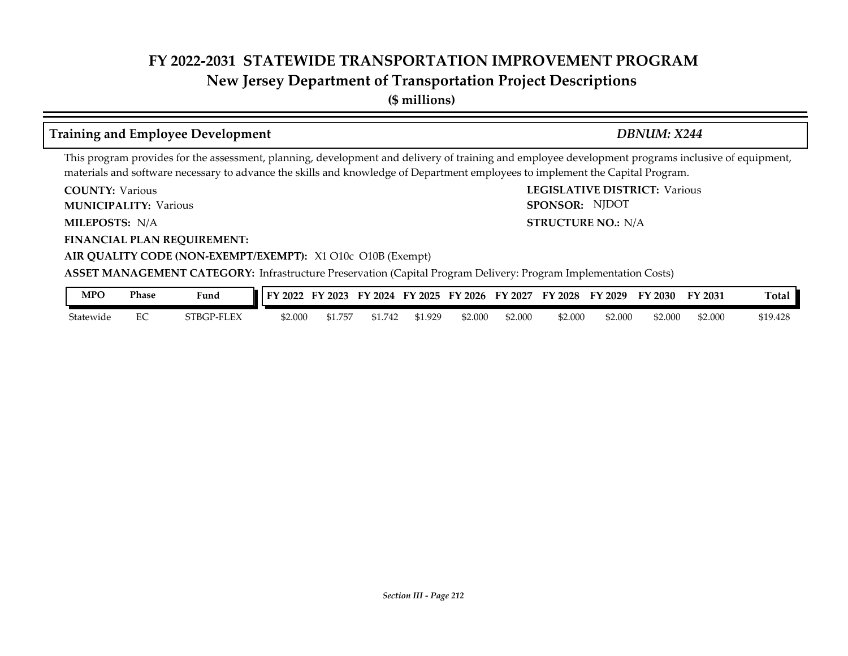# **New Jersey Department of Transportation Project Descriptions**

**(\$ millions)**

# **Training and Employee Development** *DBNUM: X244*

SPONSOR: NJDOT

This program provides for the assessment, planning, development and delivery of training and employee development programs inclusive of equipment, materials and software necessary to advance the skills and knowledge of Department employees to implement the Capital Program.

**COUNTY: LEGISLATIVE DISTRICT:** Various **COUNTY: Various** 

**MUNICIPALITY:** Various **SPONSOR:** 

**MILEPOSTS: STRUCTURE NO.:** N/A MILEPOSTS: N/A

**FINANCIAL PLAN REQUIREMENT:**

**AIR QUALITY CODE (NON-EXEMPT/EXEMPT):** X1 O10c O10B (Exempt)

**ASSET MANAGEMENT CATEGORY:** Infrastructure Preservation (Capital Program Delivery: Program Implementation Costs)

| MPO       | Phase | Fund       | <b>T</b>   FY 2022 | 12023  | FY 2024 | FY 2025 | FY 2026 | FY 2027 | <b>FY 2028</b> | FY 2029 | FY 2030 | <sup>T</sup> Y 2031 | otal:    |
|-----------|-------|------------|--------------------|--------|---------|---------|---------|---------|----------------|---------|---------|---------------------|----------|
| Statewide | ∼     | STBGP-FLEX | \$2.000            | 51.757 | 742     | 1.929ء  | 52.00C  | \$2.000 | \$2.000        | \$2.000 | \$2.000 | \$2.000             | \$19.428 |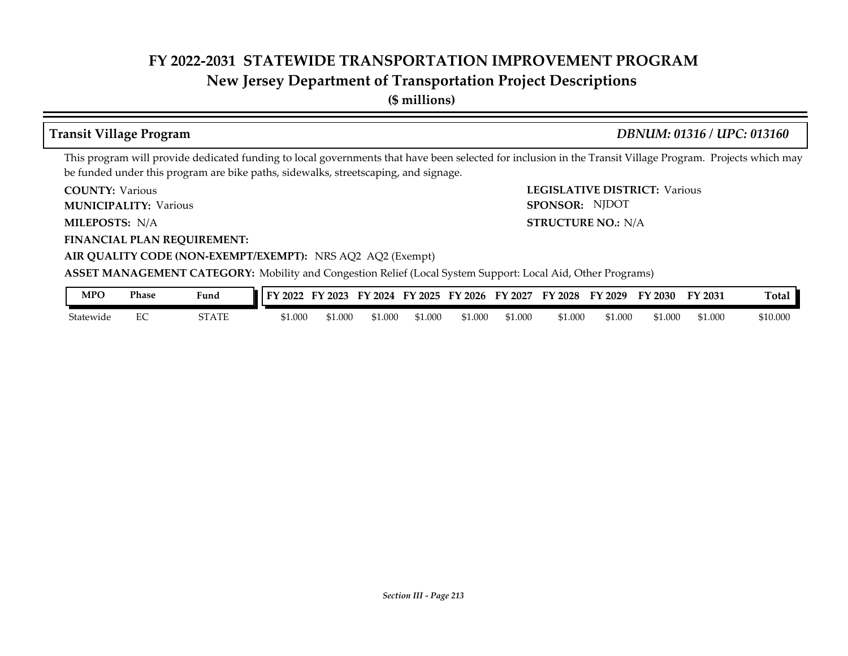# **New Jersey Department of Transportation Project Descriptions**

**(\$ millions)**

## **Transit Village Program** *DBNUM: 01316 / UPC: 013160*

This program will provide dedicated funding to local governments that have been selected for inclusion in the Transit Village Program. Projects which may be funded under this program are bike paths, sidewalks, streetscaping, and signage.

**COUNTY: LEGISLATIVE DISTRICT:** Various **COUNTY: Various** 

**MUNICIPALITY:** Various **SPONSOR:** 

MILEPOSTS: N/A

**FINANCIAL PLAN REQUIREMENT:**

**MILEPOSTS: STRUCTURE NO.:** N/A SPONSOR: NJDOT

## **AIR QUALITY CODE (NON-EXEMPT/EXEMPT):** NRS AQ2 AQ2 (Exempt)

**ASSET MANAGEMENT CATEGORY:** Mobility and Congestion Relief (Local System Support: Local Aid, Other Programs)

| MPO       | Phase | Fund  | 2022<br>EV | --<br>2023 | 2024<br>ïV | FV<br>$\frac{1}{2}$ 2025 | FY.<br>$'$ 2026 | FY<br>2027 | FV<br>2028 | FY 2029 | $\degree$ 2030 | FY 2031 | Tota.    |
|-----------|-------|-------|------------|------------|------------|--------------------------|-----------------|------------|------------|---------|----------------|---------|----------|
| Statewide | ∼     | STATE | \$1.000    | \$1.000    | \$1.000    | 1.000;                   | \$1.000         | ,000       | \$1.000    | 51.000  | \$1.000        | \$1.000 | \$10.000 |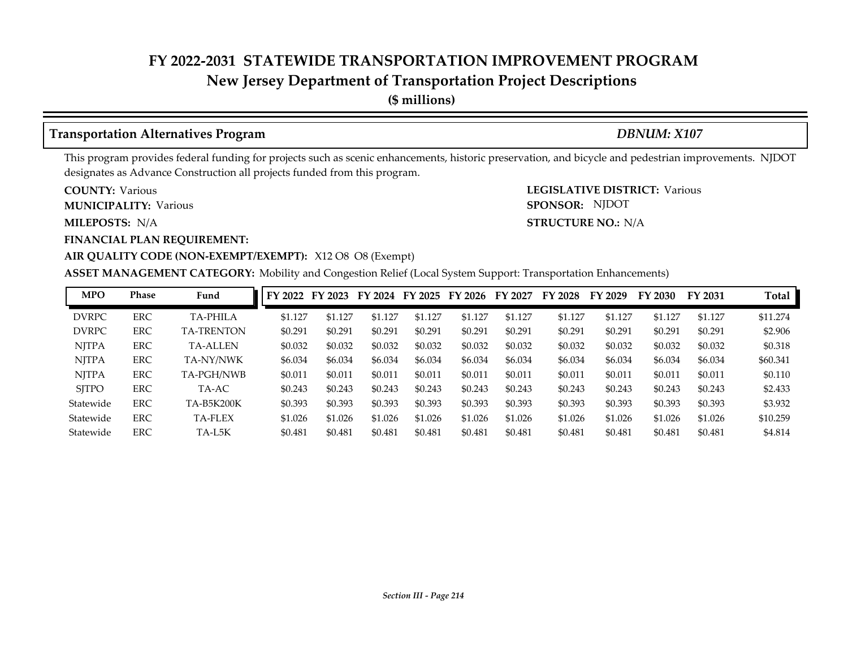# **New Jersey Department of Transportation Project Descriptions**

**(\$ millions)**

# **Transportation Alternatives Program** *DBNUM: X107*

SPONSOR: NJDOT

This program provides federal funding for projects such as scenic enhancements, historic preservation, and bicycle and pedestrian improvements. NJDOT designates as Advance Construction all projects funded from this program.

**COUNTY: LEGISLATIVE DISTRICT:** Various **COUNTY: Various** 

**MUNICIPALITY:** Various **SPONSOR:** 

**MILEPOSTS: STRUCTURE NO.:** N/A MILEPOSTS: N/A

**FINANCIAL PLAN REQUIREMENT:**

## **AIR QUALITY CODE (NON-EXEMPT/EXEMPT):** X12 O8 O8 (Exempt)

**ASSET MANAGEMENT CATEGORY:** Mobility and Congestion Relief (Local System Support: Transportation Enhancements)

| <b>MPO</b>   | Phase      | Fund              | FY 2022 | FY 2023 | FY 2024 | FY 2025 | FY 2026 | FY 2027 | FY 2028 | FY 2029 | FY 2030 | FY 2031 | Total    |
|--------------|------------|-------------------|---------|---------|---------|---------|---------|---------|---------|---------|---------|---------|----------|
| <b>DVRPC</b> | <b>ERC</b> | <b>TA-PHILA</b>   | \$1.127 | \$1.127 | \$1.127 | \$1.127 | \$1.127 | \$1.127 | \$1.127 | \$1.127 | \$1.127 | \$1.127 | \$11.274 |
| <b>DVRPC</b> | <b>ERC</b> | <b>TA-TRENTON</b> | \$0.291 | \$0.291 | \$0.291 | \$0.291 | \$0.291 | \$0.291 | \$0.291 | \$0.291 | \$0.291 | \$0.291 | \$2.906  |
| <b>NITPA</b> | <b>ERC</b> | <b>TA-ALLEN</b>   | \$0.032 | \$0.032 | \$0.032 | \$0.032 | \$0.032 | \$0.032 | \$0.032 | \$0.032 | \$0.032 | \$0.032 | \$0.318  |
| <b>NITPA</b> | <b>ERC</b> | TA-NY/NWK         | \$6.034 | \$6.034 | \$6.034 | \$6.034 | \$6.034 | \$6.034 | \$6.034 | \$6.034 | \$6.034 | \$6.034 | \$60.341 |
| <b>NITPA</b> | <b>ERC</b> | TA-PGH/NWB        | \$0.011 | \$0.011 | \$0.011 | \$0.011 | \$0.011 | \$0.011 | \$0.011 | \$0.011 | \$0.011 | \$0.011 | \$0.110  |
| <b>SITPO</b> | ERC        | TA-AC             | \$0.243 | \$0.243 | \$0.243 | \$0.243 | \$0.243 | \$0.243 | \$0.243 | \$0.243 | \$0.243 | \$0.243 | \$2.433  |
| Statewide    | <b>ERC</b> | <b>TA-B5K200K</b> | \$0.393 | \$0.393 | \$0.393 | \$0.393 | \$0.393 | \$0.393 | \$0.393 | \$0.393 | \$0.393 | \$0.393 | \$3.932  |
| Statewide    | <b>ERC</b> | TA-FLEX           | \$1.026 | \$1.026 | \$1.026 | \$1.026 | \$1.026 | \$1.026 | \$1.026 | \$1.026 | \$1.026 | \$1.026 | \$10.259 |
| Statewide    | <b>ERC</b> | TA-L5K            | \$0.481 | \$0.481 | \$0.481 | \$0.481 | \$0.481 | \$0.481 | \$0.481 | \$0.481 | \$0.481 | \$0.481 | \$4.814  |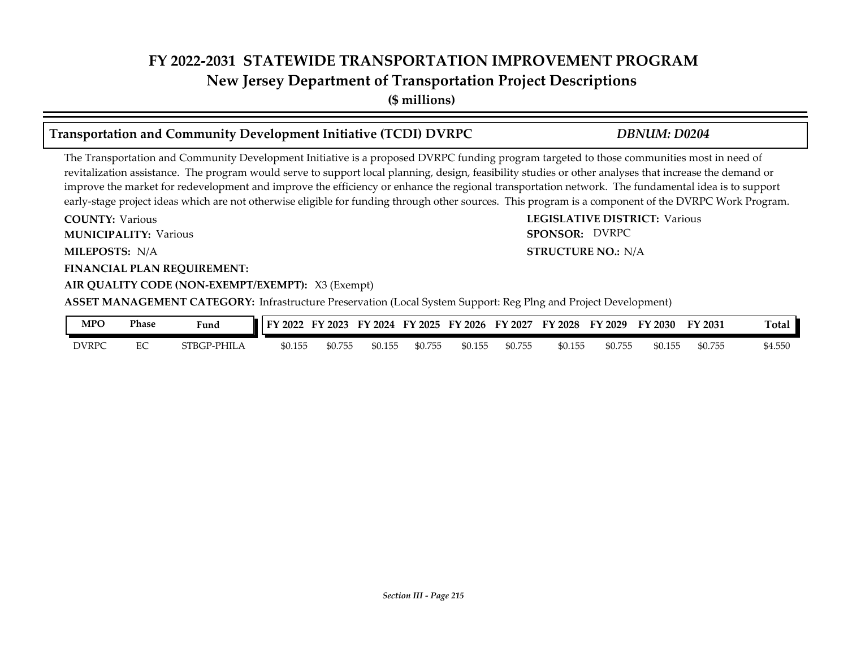# **New Jersey Department of Transportation Project Descriptions**

**(\$ millions)**

# **Transportation and Community Development Initiative (TCDI) DVRPC** *DBNUM: D0204*

## The Transportation and Community Development Initiative is a proposed DVRPC funding program targeted to those communities most in need of revitalization assistance. The program would serve to support local planning, design, feasibility studies or other analyses that increase the demand or improve the market for redevelopment and improve the efficiency or enhance the regional transportation network. The fundamental idea is to support early-stage project ideas which are not otherwise eligible for funding through other sources. This program is a component of the DVRPC Work Program.

**COUNTY: LEGISLATIVE DISTRICT:** Various **MILEPOSTS: STRUCTURE NO.:** N/A **FINANCIAL PLAN REQUIREMENT: AIR QUALITY CODE (NON-EXEMPT/EXEMPT):** X3 (Exempt) **COUNTY: Various MUNICIPALITY:** Various **SPONSOR:** MILEPOSTS: N/A **ASSET MANAGEMENT CATEGORY:** Infrastructure Preservation (Local System Support: Reg Plng and Project Development) SPONSOR: DVRPC

| MPO          | Phase | Fund        | FУ.<br>2022 | FV<br>$'$ 2023 | FY<br>$\frac{1}{2}$ 2024 | FY 2025 | FY 2026 | FY 2027 | FY 2028 | FY 2029 | FY 2030 | FY 2031 | <b>Total</b> |
|--------------|-------|-------------|-------------|----------------|--------------------------|---------|---------|---------|---------|---------|---------|---------|--------------|
| <b>DVRPC</b> |       | STBGP-PHILA | \$0.155     | \$0.755        | \$0.155                  | \$0.755 | \$0.155 | \$0.755 | \$0.155 | \$0.755 | \$0.155 | \$0.755 | \$4.550      |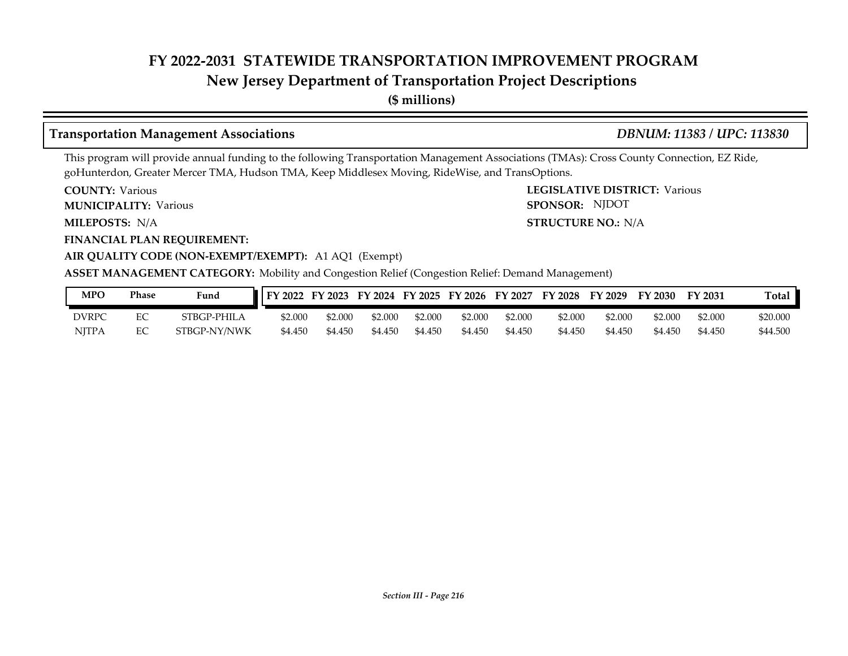# **New Jersey Department of Transportation Project Descriptions**

**(\$ millions)**

# **Transportation Management Associations** *DBNUM: 11383 / UPC: 113830*

This program will provide annual funding to the following Transportation Management Associations (TMAs): Cross County Connection, EZ Ride, goHunterdon, Greater Mercer TMA, Hudson TMA, Keep Middlesex Moving, RideWise, and TransOptions.

**COUNTY: LEGISLATIVE DISTRICT:** Various **COUNTY: Various** 

**MUNICIPALITY:** Various **SPONSOR:** 

MILEPOSTS: N/A

**FINANCIAL PLAN REQUIREMENT:**

**MILEPOSTS: STRUCTURE NO.:** N/A SPONSOR: NJDOT

## **AIR QUALITY CODE (NON-EXEMPT/EXEMPT):** A1 AQ1 (Exempt)

#### **ASSET MANAGEMENT CATEGORY:** Mobility and Congestion Relief (Congestion Relief: Demand Management)

| MPO   | Phase | Fund         | FY 2022 | FY 2023 |         |         | FY 2024 FY 2025 FY 2026 | FY 2027 | FY 2028 | FY 2029 | FY 2030 | FY 2031 | Total    |
|-------|-------|--------------|---------|---------|---------|---------|-------------------------|---------|---------|---------|---------|---------|----------|
| DVRP( |       | STBGP-PHILA  | \$2.000 | 52.000  | \$2,000 | \$2.000 | \$2.000                 | \$2.000 | \$2,000 | \$2.000 | \$2.000 | \$2.000 | \$20.000 |
| NJTPA | ◡     | STBGP-NY/NWK | \$4.450 | \$4.450 | \$4.450 | \$4.450 | \$4.450                 | \$4.450 | \$4.450 | \$4.450 | \$4.450 | \$4.450 | \$44.500 |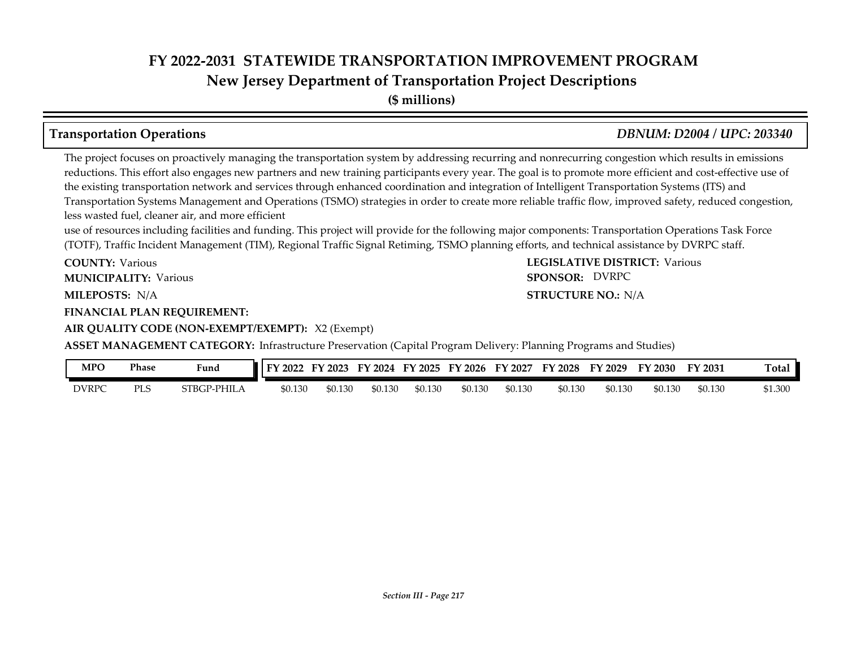**New Jersey Department of Transportation Project Descriptions**

**(\$ millions)**

# **Transportation Operations** *DBNUM: D2004 / UPC: 203340*

The project focuses on proactively managing the transportation system by addressing recurring and nonrecurring congestion which results in emissions reductions. This effort also engages new partners and new training participants every year. The goal is to promote more efficient and cost-effective use of the existing transportation network and services through enhanced coordination and integration of Intelligent Transportation Systems (ITS) and Transportation Systems Management and Operations (TSMO) strategies in order to create more reliable traffic flow, improved safety, reduced congestion, less wasted fuel, cleaner air, and more efficient

use of resources including facilities and funding. This project will provide for the following major components: Transportation Operations Task Force (TOTF), Traffic Incident Management (TIM), Regional Traffic Signal Retiming, TSMO planning efforts, and technical assistance by DVRPC staff.

**COUNTY: LEGISLATIVE DISTRICT:** Various **COUNTY: Various MUNICIPALITY:** Various **SPONSOR:** 

MILEPOSTS: N/A

**FINANCIAL PLAN REQUIREMENT:**

**AIR QUALITY CODE (NON-EXEMPT/EXEMPT):** X2 (Exempt)

**ASSET MANAGEMENT CATEGORY:** Infrastructure Preservation (Capital Program Delivery: Planning Programs and Studies)

| MPO   | Phase      | Fund              | 202     | 2023    | 2024<br>FY | FY 2025 | FY 2026 | EY<br>2027 | FY 2028 | Eν<br>2029   | <sup>T</sup> Y 2030 | FY 2031 | Total   |
|-------|------------|-------------------|---------|---------|------------|---------|---------|------------|---------|--------------|---------------------|---------|---------|
| DVRPC | <b>PLS</b> | ` PHILA<br>STBGP- | \$0.130 | \$0.130 | \$0.130    | \$0.130 | \$0.130 | \$0.130    | \$0.130 | 50.130<br>ፍበ | \$0.130             | \$0.130 | \$1.300 |

**MILEPOSTS: STRUCTURE NO.:** N/A SPONSOR: DVRPC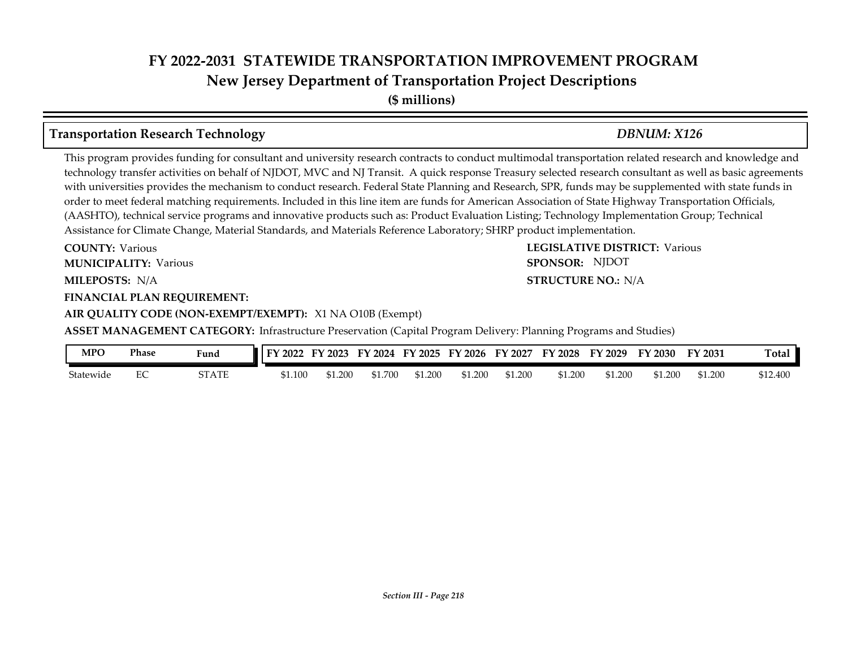# **FY 2022-2031 STATEWIDE TRANSPORTATION IMPROVEMENT PROGRAM New Jersey Department of Transportation Project Descriptions**

**(\$ millions)**

# **Transportation Research Technology** *DBNUM: X126*

This program provides funding for consultant and university research contracts to conduct multimodal transportation related research and knowledge and technology transfer activities on behalf of NJDOT, MVC and NJ Transit. A quick response Treasury selected research consultant as well as basic agreements with universities provides the mechanism to conduct research. Federal State Planning and Research, SPR, funds may be supplemented with state funds in order to meet federal matching requirements. Included in this line item are funds for American Association of State Highway Transportation Officials, (AASHTO), technical service programs and innovative products such as: Product Evaluation Listing; Technology Implementation Group; Technical Assistance for Climate Change, Material Standards, and Materials Reference Laboratory; SHRP product implementation.

**COUNTY: LEGISLATIVE DISTRICT:** Various **MILEPOSTS: STRUCTURE NO.:** N/A **COUNTY: Various MUNICIPALITY:** Various **SPONSOR:** 

#### **FINANCIAL PLAN REQUIREMENT:**

#### **AIR QUALITY CODE (NON-EXEMPT/EXEMPT):** X1 NA O10B (Exempt)

**ASSET MANAGEMENT CATEGORY:** Infrastructure Preservation (Capital Program Delivery: Planning Programs and Studies)

| MPO       | Phase | Fund  | FY 2022 | 12023 |         | FY 2024 FY 2025 | FY 2026 | FY 2027 | <b>FY 2028</b> | FY 2029 | FY 2030 | FY 2031 | <b>Total</b> |
|-----------|-------|-------|---------|-------|---------|-----------------|---------|---------|----------------|---------|---------|---------|--------------|
| Statewide | ∽     | STATE | \$1.100 | 1.200 | \$1.700 | \$1.200         | \$1.200 | \$1.200 | \$1.200        | \$1.200 | \$1.200 | \$1.200 | \$12.400     |

**STRUCTURE NO.: N/A** 

SPONSOR: NJDOT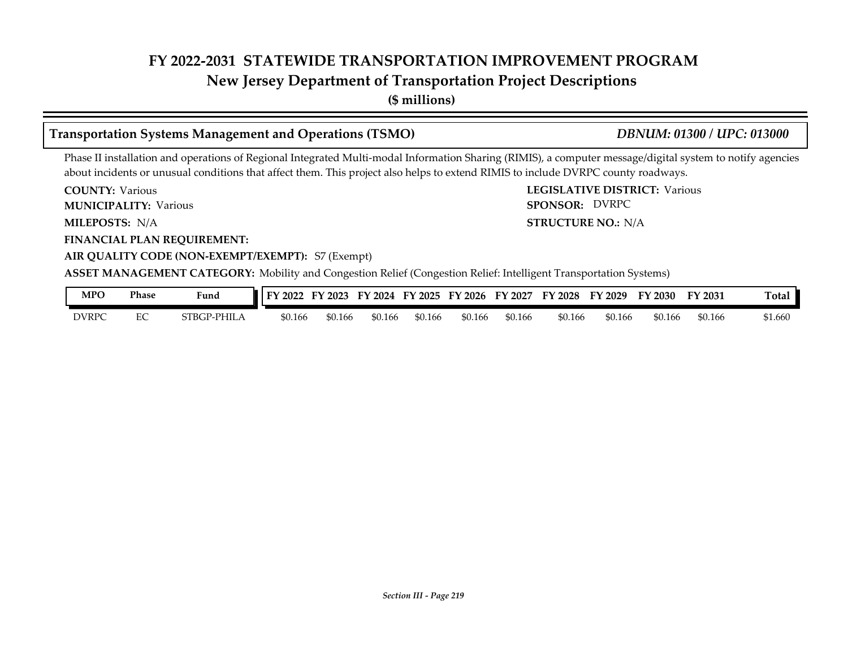# **New Jersey Department of Transportation Project Descriptions**

**(\$ millions)**

# **Transportation Systems Management and Operations (TSMO)** *DBNUM: 01300 / UPC: 013000*

Phase II installation and operations of Regional Integrated Multi-modal Information Sharing (RIMIS), a computer message/digital system to notify agencies about incidents or unusual conditions that affect them. This project also helps to extend RIMIS to include DVRPC county roadways.

**COUNTY: LEGISLATIVE DISTRICT:** Various **COUNTY: Various** 

**MUNICIPALITY:** Various **SPONSOR:** 

MILEPOSTS: N/A

**FINANCIAL PLAN REQUIREMENT:**

**MILEPOSTS: STRUCTURE NO.:** N/A SPONSOR: DVRPC

# **AIR QUALITY CODE (NON-EXEMPT/EXEMPT):** S7 (Exempt)

**ASSET MANAGEMENT CATEGORY:** Mobility and Congestion Relief (Congestion Relief: Intelligent Transportation Systems)

| MPO          | Phase | Fund             | 2022    | 12023   | FY 2024 | FY 2025 | FY 2026 | FY 2027 | FY 2028 | FY 2029 | FY 2030 | FY 2031 | otal:  |
|--------------|-------|------------------|---------|---------|---------|---------|---------|---------|---------|---------|---------|---------|--------|
| <b>DVRPC</b> | ∼     | `PHIL.<br>STBGP- | \$0.166 | \$0.166 | \$0.166 | \$0.166 | \$0.166 | \$0.166 | \$0.166 | \$0.166 | \$0.166 | \$0.166 | 51.660 |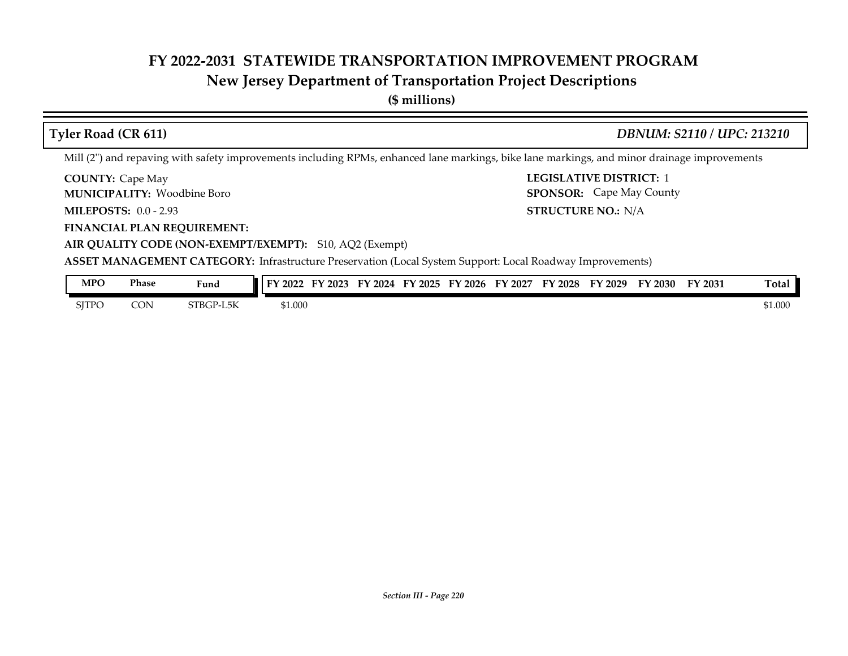# **New Jersey Department of Transportation Project Descriptions**

**(\$ millions)**

| <b>Tyler Road (CR 611)</b>                                    | <b>DBNUM: S2110 / UPC: 213210</b>                                                                                                           |
|---------------------------------------------------------------|---------------------------------------------------------------------------------------------------------------------------------------------|
|                                                               | Mill (2") and repaving with safety improvements including RPMs, enhanced lane markings, bike lane markings, and minor drainage improvements |
| <b>COUNTY: Cape May</b><br><b>MUNICIPALITY: Woodbine Boro</b> | <b>LEGISLATIVE DISTRICT: 1</b><br><b>SPONSOR:</b> Cape May County                                                                           |
| <b>MILEPOSTS: 0.0 - 2.93</b>                                  | <b>STRUCTURE NO.: N/A</b>                                                                                                                   |
| <b>FINANCIAL PLAN REQUIREMENT:</b>                            |                                                                                                                                             |
| AIR QUALITY CODE (NON-EXEMPT/EXEMPT): S10, AQ2 (Exempt)       |                                                                                                                                             |
|                                                               | <b>ASSET MANAGEMENT CATEGORY:</b> Infrastructure Preservation (Local System Support: Local Roadway Improvements)                            |
| <b>MPO</b><br><b>Phase</b><br>Fund                            | FY 2022 FY 2023 FY 2024 FY 2025 FY 2026 FY 2027 FY 2028 FY 2029 FY 2030 FY 2031<br>Total                                                    |

SJTPO CON STBGP-L5K \$1.000 \$1.000 \$1.000 \$1.000 \$1.000 \$1.000 \$1.000 \$1.000 \$1.000

*Section III - Page 220*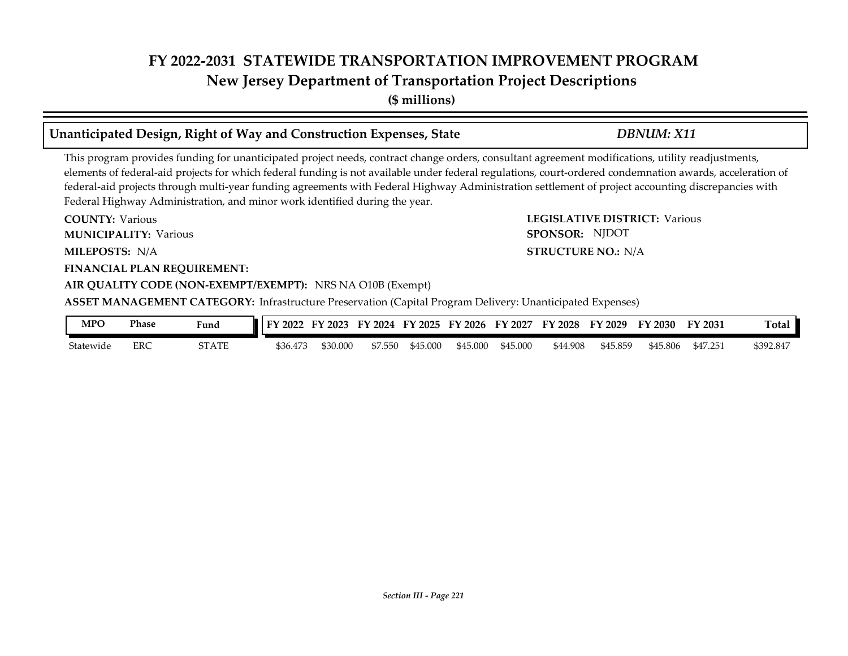# **FY 2022-2031 STATEWIDE TRANSPORTATION IMPROVEMENT PROGRAM New Jersey Department of Transportation Project Descriptions**

**(\$ millions)**

### **Unanticipated Design, Right of Way and Construction Expenses, State** *DBNUM: X11*

This program provides funding for unanticipated project needs, contract change orders, consultant agreement modifications, utility readjustments, elements of federal-aid projects for which federal funding is not available under federal regulations, court-ordered condemnation awards, acceleration of federal-aid projects through multi-year funding agreements with Federal Highway Administration settlement of project accounting discrepancies with Federal Highway Administration, and minor work identified during the year.

**COUNTY: LEGISLATIVE DISTRICT:** Various **MILEPOSTS: STRUCTURE NO.:** N/A **FINANCIAL PLAN REQUIREMENT: AIR QUALITY CODE (NON-EXEMPT/EXEMPT):** NRS NA O10B (Exempt) **COUNTY: Various MUNICIPALITY:** Various **SPONSOR:** MILEPOSTS: N/A **ASSET MANAGEMENT CATEGORY:** Infrastructure Preservation (Capital Program Delivery: Unanticipated Expenses) SPONSOR: NJDOT

| MPO       | Phase | Fund  | 2022<br>EV. | FY 2023  |         | FY 2024 FY 2025 | FY 2026  | FY 2027  | FY 2028  | FY 2029  | FY 2030  | FY 2031 | <b>Total</b> |
|-----------|-------|-------|-------------|----------|---------|-----------------|----------|----------|----------|----------|----------|---------|--------------|
| Statewide | ERC   | 3TATE | \$36.473    | \$30.000 | \$7.550 | \$45.000        | \$45.000 | \$45.000 | \$44.908 | \$45.859 | \$45.806 | \$47.25 | \$392.847    |

*Section III - Page 221*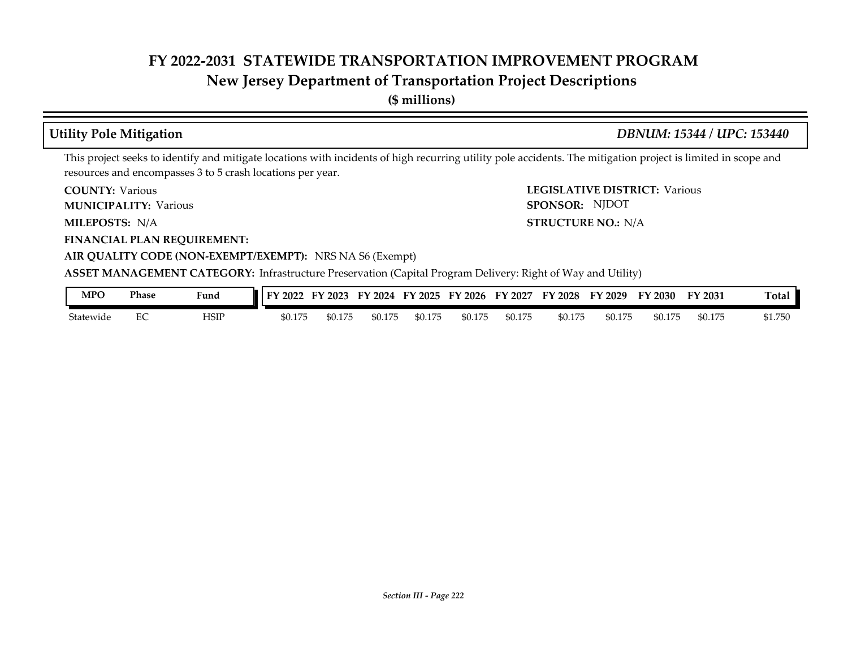# **New Jersey Department of Transportation Project Descriptions**

**(\$ millions)**

# **Utility Pole Mitigation** *DBNUM: 15344 / UPC: 153440*

This project seeks to identify and mitigate locations with incidents of high recurring utility pole accidents. The mitigation project is limited in scope and resources and encompasses 3 to 5 crash locations per year.

**COUNTY: Various** 

**MUNICIPALITY:** Various **SPONSOR:** 

MILEPOSTS: N/A

**FINANCIAL PLAN REQUIREMENT:**

**COUNTY: LEGISLATIVE DISTRICT:** Various **MILEPOSTS: STRUCTURE NO.:** N/A SPONSOR: NJDOT

### **AIR QUALITY CODE (NON-EXEMPT/EXEMPT):** NRS NA S6 (Exempt)

**ASSET MANAGEMENT CATEGORY:** Infrastructure Preservation (Capital Program Delivery: Right of Way and Utility)

| MPO       | Phase | Fund | 2022    | 12023   | FY 2024 | FY 2025 | FY 2026 | FY 2027 | FY 2028 | FY 2029 | FY 2030 | FY 2031 | otal:   |
|-----------|-------|------|---------|---------|---------|---------|---------|---------|---------|---------|---------|---------|---------|
| Statewide | ∼     | HSIP | \$0.175 | \$0.175 | \$0.175 | \$0.175 | \$0.175 | \$0.175 | \$0.175 | \$0.175 | \$0.175 | \$0.175 | \$1.750 |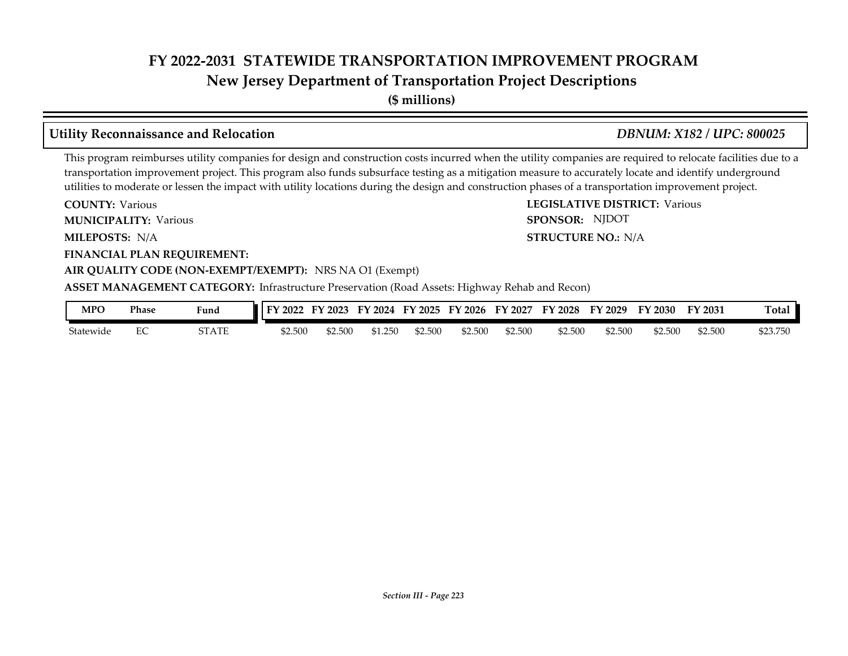**New Jersey Department of Transportation Project Descriptions**

**(\$ millions)**

# **Utility Reconnaissance and Relocation** *DBNUM: X182 / UPC: 800025*

**STRUCTURE NO.: N/A** 

SPONSOR: NJDOT

This program reimburses utility companies for design and construction costs incurred when the utility companies are required to relocate facilities due to a transportation improvement project. This program also funds subsurface testing as a mitigation measure to accurately locate and identify underground utilities to moderate or lessen the impact with utility locations during the design and construction phases of a transportation improvement project.

**COUNTY: LEGISLATIVE DISTRICT:** Various **COUNTY: Various MUNICIPALITY:** Various **SPONSOR:** 

**MILEPOSTS: STRUCTURE NO.:** N/A

**FINANCIAL PLAN REQUIREMENT:**

### **AIR QUALITY CODE (NON-EXEMPT/EXEMPT):** NRS NA O1 (Exempt)

**ASSET MANAGEMENT CATEGORY:** Infrastructure Preservation (Road Assets: Highway Rehab and Recon)

| MPC       | Phase | <b>Fund</b> | $\overline{1}$ FY 2022 | $'$ 2023<br>FV | FY 2024 | FY 2025 | FY 2026 | FY 2027 | FY 2028 | FY 2029 | FY 2030 | FY 2031 | Total    |
|-----------|-------|-------------|------------------------|----------------|---------|---------|---------|---------|---------|---------|---------|---------|----------|
| Statewide | ∽     | STATE       | \$2.500                | \$2.500        | 250     | \$2.500 | \$2.500 | \$2.500 | \$2.500 | \$2.500 | \$2.500 | \$2.500 | \$23.750 |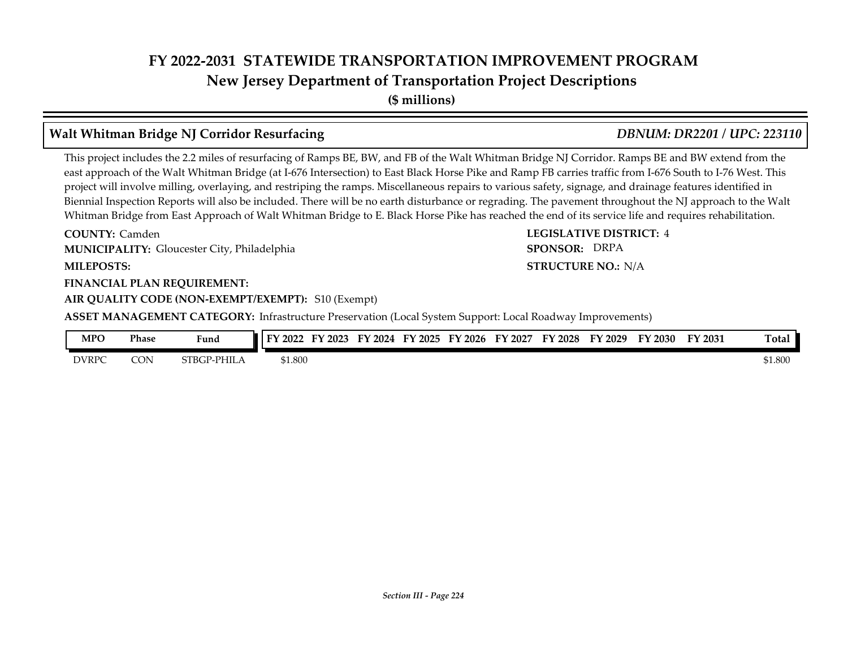# **FY 2022-2031 STATEWIDE TRANSPORTATION IMPROVEMENT PROGRAM New Jersey Department of Transportation Project Descriptions**

**(\$ millions)**

# **Walt Whitman Bridge NJ Corridor Resurfacing** *DBNUM: DR2201 / UPC: 223110*

This project includes the 2.2 miles of resurfacing of Ramps BE, BW, and FB of the Walt Whitman Bridge NJ Corridor. Ramps BE and BW extend from the east approach of the Walt Whitman Bridge (at I-676 Intersection) to East Black Horse Pike and Ramp FB carries traffic from I-676 South to I-76 West. This project will involve milling, overlaying, and restriping the ramps. Miscellaneous repairs to various safety, signage, and drainage features identified in Biennial Inspection Reports will also be included. There will be no earth disturbance or regrading. The pavement throughout the NJ approach to the Walt Whitman Bridge from East Approach of Walt Whitman Bridge to E. Black Horse Pike has reached the end of its service life and requires rehabilitation.

**COUNTY: LEGISLATIVE DISTRICT:** 4 **MILEPOSTS: STRUCTURE NO.:** N/A **FINANCIAL PLAN REQUIREMENT: COUNTY: Camden MUNICIPALITY:** Gloucester City, Philadelphia *SPONSOR:* 

**AIR QUALITY CODE (NON-EXEMPT/EXEMPT):** S10 (Exempt)

**ASSET MANAGEMENT CATEGORY:** Infrastructure Preservation (Local System Support: Local Roadway Improvements)

| MPO          | <b>Phase</b> | $\mathbf{r}$<br>Fund | <b>FY 2022</b> | $\mathbf{r}\mathbf{v}$<br>2023 | 12024<br>र:∿ | ПV<br>2025 | FY 2026 | 2027<br>F١ | FY<br>$\frac{1}{2028}$ | FY 2029 | ГV<br>2030 | $\nabla$ 2031 | <b>Total</b> |
|--------------|--------------|----------------------|----------------|--------------------------------|--------------|------------|---------|------------|------------------------|---------|------------|---------------|--------------|
| <b>DVRPC</b> | CON          | STBGP-PHILA          | \$1.800        |                                |              |            |         |            |                        |         |            |               | \$1.800      |

SPONSOR: DRPA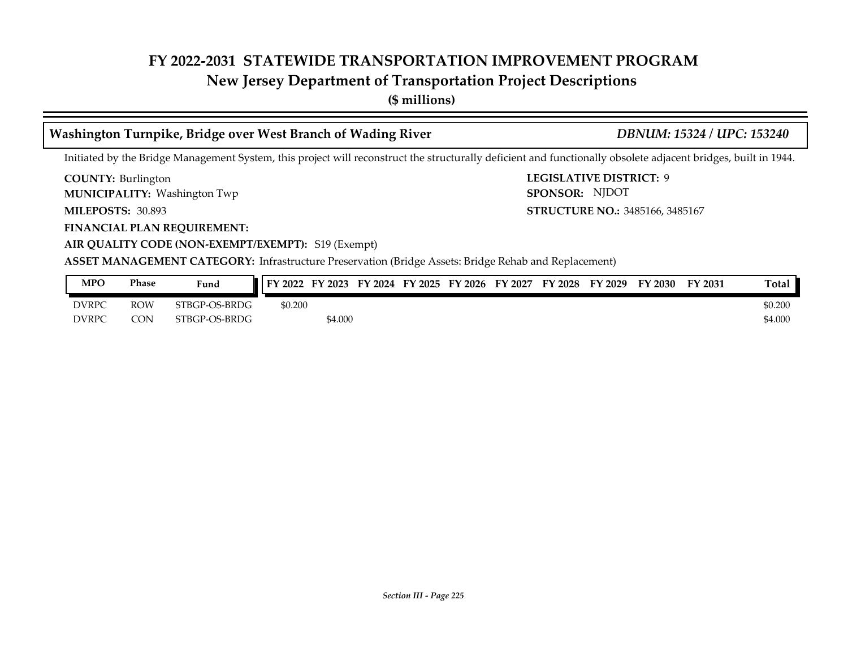# **New Jersey Department of Transportation Project Descriptions**

**(\$ millions)**

# **Washington Turnpike, Bridge over West Branch of Wading River** *DBNUM: 15324 / UPC: 153240*

Initiated by the Bridge Management System, this project will reconstruct the structurally deficient and functionally obsolete adjacent bridges, built in 1944.

**COUNTY: Burlington** 

Washington Twp **MUNICIPALITY: SPONSOR:**

**MILEPOSTS: 30.893** 

**FINANCIAL PLAN REQUIREMENT:**

**AIR QUALITY CODE (NON-EXEMPT/EXEMPT):** S19 (Exempt)

**COUNTY: LEGISLATIVE DISTRICT:** 9 **MILEPOSTS: STRUCTURE NO.:** 3485166, 3485167 SPONSOR: NJDOT

| <b>MPO</b>   | Phase      | Fund          | FY 2022 | ЕΝ<br>$'$ 2023 | FY 2024 | FY 2025 | FY 2026 | FY 2027 | <b>FY 2028</b> | FY 2029 | <sup>T</sup> Y 2030 | $\nabla$ 2031 | Total   |
|--------------|------------|---------------|---------|----------------|---------|---------|---------|---------|----------------|---------|---------------------|---------------|---------|
| <b>DVRPC</b> | <b>ROW</b> | STBGP-OS-BRDG | \$0.200 |                |         |         |         |         |                |         |                     |               | \$0.200 |
| <b>DVRPC</b> | CON        | STBGP-OS-BRDG |         | \$4.000        |         |         |         |         |                |         |                     |               | \$4.000 |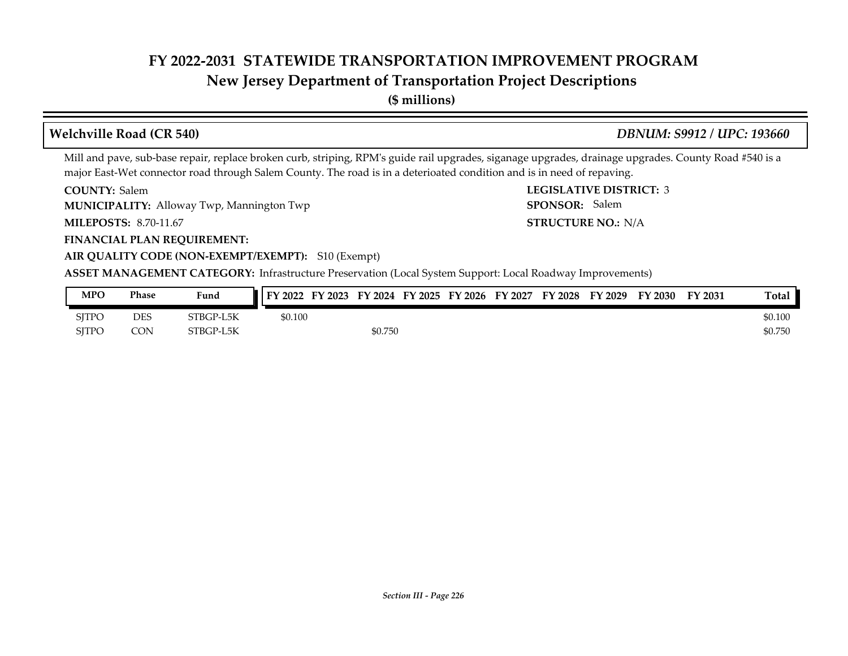# **New Jersey Department of Transportation Project Descriptions**

**(\$ millions)**

### **Welchville Road (CR 540)** *DBNUM: S9912 / UPC: 193660*

**STRUCTURE NO.: N/A** 

SPONSOR: Salem

Mill and pave, sub-base repair, replace broken curb, striping, RPM's guide rail upgrades, siganage upgrades, drainage upgrades. County Road #540 is a major East-Wet connector road through Salem County. The road is in a deterioated condition and is in need of repaving.

**COUNTY: LEGISLATIVE DISTRICT:** 3 COUNTY: Salem

**MUNICIPALITY:** Alloway Twp, Mannington Twp **SPONSOR:** 

**MILEPOSTS: STRUCTURE NO.:** 8.70-11.67

#### **FINANCIAL PLAN REQUIREMENT:**

#### **AIR QUALITY CODE (NON-EXEMPT/EXEMPT):** S10 (Exempt)

**ASSET MANAGEMENT CATEGORY:** Infrastructure Preservation (Local System Support: Local Roadway Improvements)

| MPO          | Phase      | Fund      | FY 2022 | FY 2023 |         | FY 2024 FY 2025 FY 2026 | FY 2027 | FY 2028 | FY 2029 | <b>FY 2030</b> | FY 2031 | <b>Total</b> |
|--------------|------------|-----------|---------|---------|---------|-------------------------|---------|---------|---------|----------------|---------|--------------|
| <b>SITPO</b> | <b>DES</b> | STBGP-L5K | \$0.100 |         |         |                         |         |         |         |                |         | \$0.100      |
| <b>SITPO</b> | <b>CON</b> | STBGP-L5K |         |         | \$0.750 |                         |         |         |         |                |         | \$0.750      |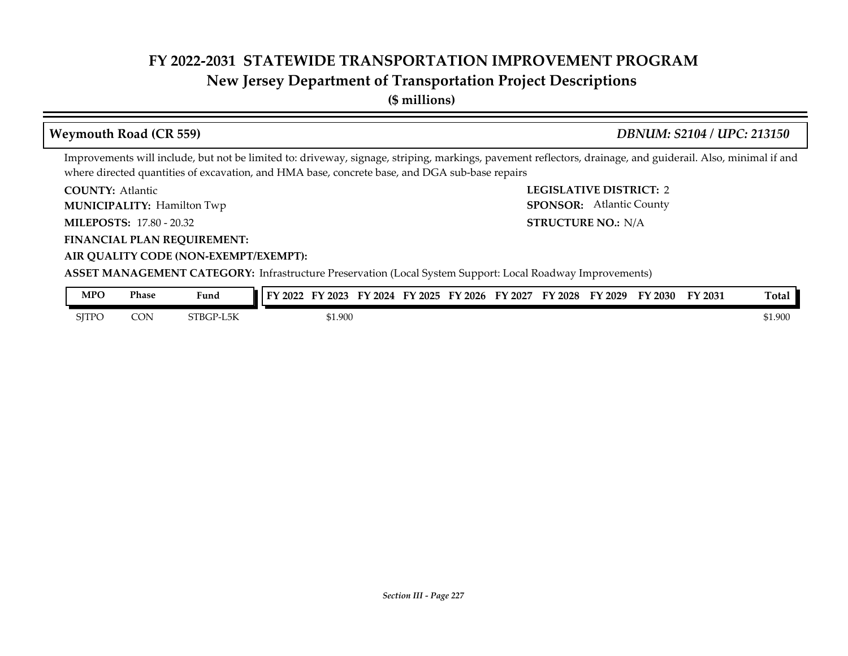# **New Jersey Department of Transportation Project Descriptions**

**(\$ millions)**

### **COUNTY: LEGISLATIVE DISTRICT:** 2 **MILEPOSTS: STRUCTURE NO.:** 17.80 - 20.32 **FINANCIAL PLAN REQUIREMENT: AIR QUALITY CODE (NON-EXEMPT/EXEMPT): COUNTY: Atlantic MUNICIPALITY:** Hamilton Twp **SPONSOR:** STRUCTURE NO.: N/A **ASSET MANAGEMENT CATEGORY:** Infrastructure Preservation (Local System Support: Local Roadway Improvements) Improvements will include, but not be limited to: driveway, signage, striping, markings, pavement reflectors, drainage, and guiderail. Also, minimal if and where directed quantities of excavation, and HMA base, concrete base, and DGA sub-base repairs **Weymouth Road (CR 559)** *DBNUM: S2104 / UPC: 213150* SPONSOR: Atlantic County **MPO Phase Fund FY 2022 FY 2023 FY 2024 FY 2025 FY 2026 FY 2027 FY 2028 FY 2029 FY 2030 FY 2031 Total**

| $\sim$       | 1 110JC | r unu               | $1112022$ 11 $2020$ 11 $2027$ 11 $2020$ |         |  | <b>II 4040</b> | <b>II</b> 404/ | 114040 | 1140 <i>4</i> | 114000 | 1140JI | 1 Otal  |
|--------------|---------|---------------------|-----------------------------------------|---------|--|----------------|----------------|--------|---------------|--------|--------|---------|
| <b>SJTPO</b> | CON     | STBGP-L5K<br>′-L5K. |                                         | \$1.900 |  |                |                |        |               |        |        | \$1.900 |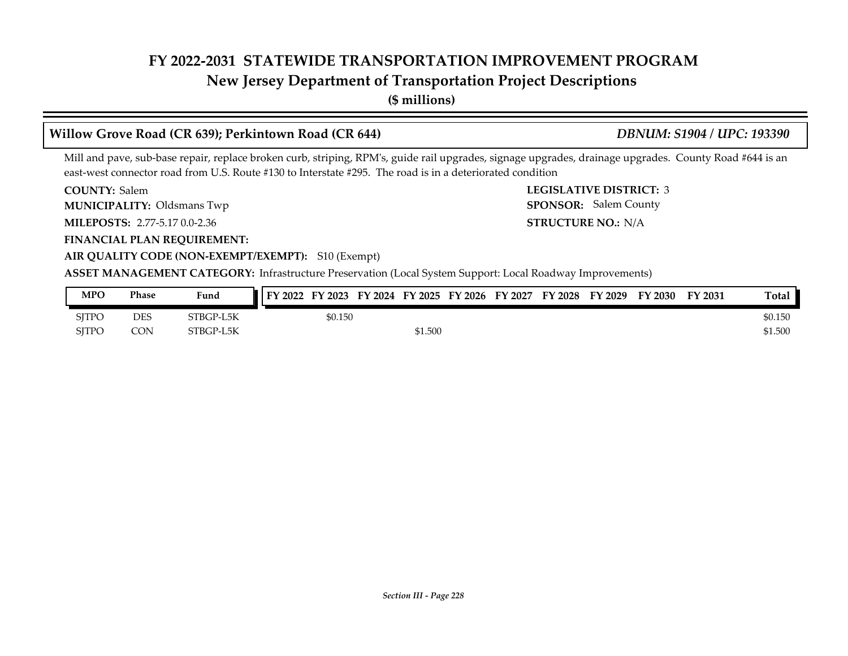# **New Jersey Department of Transportation Project Descriptions**

**(\$ millions)**

### **Willow Grove Road (CR 639); Perkintown Road (CR 644)** *DBNUM: S1904 / UPC: 193390*

STRUCTURE NO.: N/A

SPONSOR: Salem County

Mill and pave, sub-base repair, replace broken curb, striping, RPM's, guide rail upgrades, signage upgrades, drainage upgrades. County Road #644 is an east-west connector road from U.S. Route #130 to Interstate #295. The road is in a deteriorated condition

**COUNTY: LEGISLATIVE DISTRICT:** 3 COUNTY: Salem

**MUNICIPALITY:** Oldsmans Twp **SPONSOR:** 

**MILEPOSTS: STRUCTURE NO.:** 2.77-5.17 0.0-2.36

**FINANCIAL PLAN REQUIREMENT:**

### **AIR QUALITY CODE (NON-EXEMPT/EXEMPT):** S10 (Exempt)

**ASSET MANAGEMENT CATEGORY:** Infrastructure Preservation (Local System Support: Local Roadway Improvements)

| <b>MPO</b> | Phase | Fund      | FY 2022 | FY 2023 |         | FY 2024 FY 2025 FY 2026 | FY 2027 | FY 2028 | FY 2029 | FY 2030 | FY 2031 | Total   |
|------------|-------|-----------|---------|---------|---------|-------------------------|---------|---------|---------|---------|---------|---------|
| SITPO      | DES   | STBGP-L5K |         | \$0.150 |         |                         |         |         |         |         |         | \$0.150 |
| SITPO      | CON   | STBGP-L5K |         |         | \$1.500 |                         |         |         |         |         |         | \$1.500 |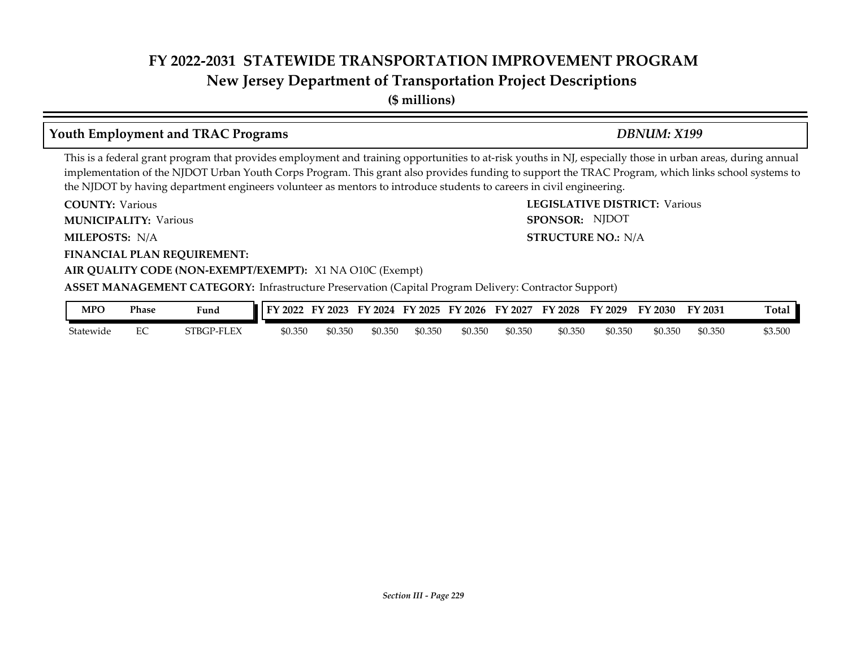# **FY 2022-2031 STATEWIDE TRANSPORTATION IMPROVEMENT PROGRAM New Jersey Department of Transportation Project Descriptions**

**(\$ millions)**

### **Youth Employment and TRAC Programs** *DBNUM: X199*

SPONSOR: NJDOT

This is a federal grant program that provides employment and training opportunities to at-risk youths in NJ, especially those in urban areas, during annual implementation of the NJDOT Urban Youth Corps Program. This grant also provides funding to support the TRAC Program, which links school systems to the NJDOT by having department engineers volunteer as mentors to introduce students to careers in civil engineering.

**COUNTY: LEGISLATIVE DISTRICT:** Various **COUNTY: Various** 

**MUNICIPALITY:** Various **SPONSOR:** 

**MILEPOSTS: STRUCTURE NO.:** N/A MILEPOSTS: N/A

**FINANCIAL PLAN REQUIREMENT:**

#### **AIR QUALITY CODE (NON-EXEMPT/EXEMPT):** X1 NA O10C (Exempt)

**ASSET MANAGEMENT CATEGORY:** Infrastructure Preservation (Capital Program Delivery: Contractor Support)

| MPO       | Phase | Fund       | 2022<br>T | FY 2023 | FY 2024 | FY 2025 | FY 2026 | FY 2027 | FY 2028 | FY 2029 | FY 2030 | FY 2031 | <b>Total</b> |
|-----------|-------|------------|-----------|---------|---------|---------|---------|---------|---------|---------|---------|---------|--------------|
| Statewide | ∽     | STBGP-FLEX | \$0.350   | \$0.350 | 50.350  | \$0.350 | \$0.350 | \$0.350 | \$0.350 | \$0.350 | \$0.350 | \$0.350 | \$3.500      |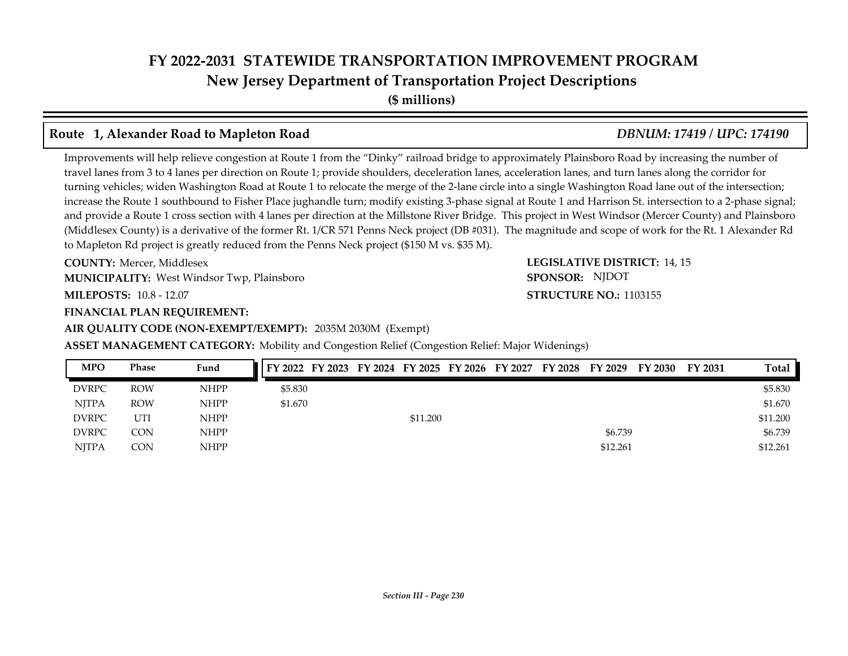# **FY 2022-2031 STATEWIDE TRANSPORTATION IMPROVEMENT PROGRAM New Jersey Department of Transportation Project Descriptions**

**(\$ millions)**

### **Route 1, Alexander Road to Mapleton Road** *DBNUM: 17419 / UPC: 174190*

Improvements will help relieve congestion at Route 1 from the "Dinky" railroad bridge to approximately Plainsboro Road by increasing the number of travel lanes from 3 to 4 lanes per direction on Route 1; provide shoulders, deceleration lanes, acceleration lanes, and turn lanes along the corridor for turning vehicles; widen Washington Road at Route 1 to relocate the merge of the 2-lane circle into a single Washington Road lane out of the intersection; increase the Route 1 southbound to Fisher Place jughandle turn; modify existing 3-phase signal at Route 1 and Harrison St. intersection to a 2-phase signal; and provide a Route 1 cross section with 4 lanes per direction at the Millstone River Bridge. This project in West Windsor (Mercer County) and Plainsboro (Middlesex County) is a derivative of the former Rt. 1/CR 571 Penns Neck project (DB #031). The magnitude and scope of work for the Rt. 1 Alexander Rd to Mapleton Rd project is greatly reduced from the Penns Neck project (\$150 M vs. \$35 M).

**COUNTY: LEGISLATIVE DISTRICT:** 14, 15 **COUNTY:** Mercer, Middlesex

West Windsor Twp, Plainsboro **MUNICIPALITY: SPONSOR:**

**MILEPOSTS: STRUCTURE NO.:** 10.8 - 12.07

#### **FINANCIAL PLAN REQUIREMENT:**

**AIR QUALITY CODE (NON-EXEMPT/EXEMPT):** 2035M 2030M (Exempt)

**ASSET MANAGEMENT CATEGORY:** Mobility and Congestion Relief (Congestion Relief: Major Widenings)

| <b>MPO</b>   | <b>Phase</b> | Fund        | FY 2022 FY 2023 FY 2024 FY 2025 FY 2026 FY 2027 FY 2028 FY 2029 FY 2030 |  |          |  |          | FY 2031 | Total    |
|--------------|--------------|-------------|-------------------------------------------------------------------------|--|----------|--|----------|---------|----------|
| <b>DVRPC</b> | <b>ROW</b>   | <b>NHPP</b> | \$5.830                                                                 |  |          |  |          |         | \$5.830  |
| <b>NJTPA</b> | <b>ROW</b>   | <b>NHPP</b> | \$1.670                                                                 |  |          |  |          |         | \$1.670  |
| <b>DVRPC</b> | UTI          | <b>NHPP</b> |                                                                         |  | \$11.200 |  |          |         | \$11,200 |
| <b>DVRPC</b> | <b>CON</b>   | <b>NHPP</b> |                                                                         |  |          |  | \$6.739  |         | \$6.739  |
| <b>NITPA</b> | CON          | <b>NHPP</b> |                                                                         |  |          |  | \$12.261 |         | \$12.261 |

SPONSOR: NJDOT

**STRUCTURE NO.: 1103155** 

# *Section III - Page 230*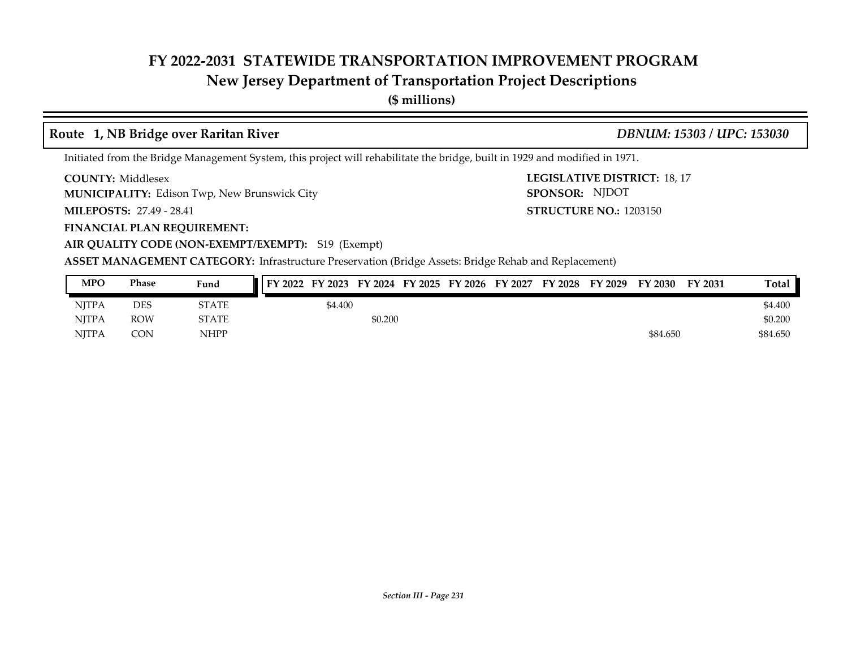# **New Jersey Department of Transportation Project Descriptions**

**(\$ millions)**

# **Route 1, NB Bridge over Raritan River** *DBNUM: 15303 / UPC: 153030*

**STRUCTURE NO.: 1203150** 

SPONSOR: NJDOT

Initiated from the Bridge Management System, this project will rehabilitate the bridge, built in 1929 and modified in 1971.

**COUNTY: LEGISLATIVE DISTRICT:** 18, 17 **COUNTY: Middlesex** 

Edison Twp, New Brunswick City **MUNICIPALITY: SPONSOR:**

**MILEPOSTS: STRUCTURE NO.:** 27.49 - 28.41

**FINANCIAL PLAN REQUIREMENT:**

**AIR QUALITY CODE (NON-EXEMPT/EXEMPT):** S19 (Exempt)

| <b>MPO</b>   | Phase      | Fund        | FY 2022 FY 2023 FY 2024 FY 2025 FY 2026 FY 2027 FY 2028 FY 2029 |         |         |  |  | <b>FY 2030</b> | FY 2031 | Total    |
|--------------|------------|-------------|-----------------------------------------------------------------|---------|---------|--|--|----------------|---------|----------|
| <b>NITPA</b> | <b>DES</b> | STATE       |                                                                 | \$4.400 |         |  |  |                |         | \$4.400  |
| <b>NJTPA</b> | <b>ROW</b> | STATE       |                                                                 |         | \$0.200 |  |  |                |         | \$0.200  |
| <b>NITPA</b> | CON        | <b>NHPP</b> |                                                                 |         |         |  |  | \$84.650       |         | \$84,650 |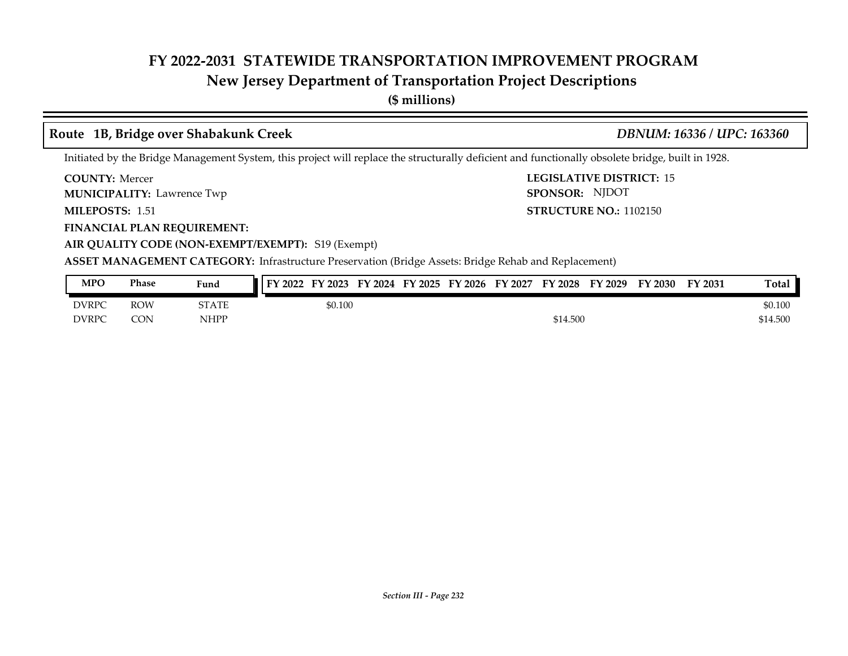# **New Jersey Department of Transportation Project Descriptions**

**(\$ millions)**

# **Route 1B, Bridge over Shabakunk Creek** *DBNUM: 16336 / UPC: 163360*

Initiated by the Bridge Management System, this project will replace the structurally deficient and functionally obsolete bridge, built in 1928.

**COUNTY: LEGISLATIVE DISTRICT:** 15 **COUNTY: Mercer** 

**MUNICIPALITY:** Lawrence Twp **SPONSOR:** 

MILEPOSTS: 1.51

**FINANCIAL PLAN REQUIREMENT:**

**MILEPOSTS: STRUCTURE NO.:** 1102150

**AIR QUALITY CODE (NON-EXEMPT/EXEMPT):** S19 (Exempt)

**ASSET MANAGEMENT CATEGORY:** Infrastructure Preservation (Bridge Assets: Bridge Rehab and Replacement)

| <b>MPO</b>   | Phase      | Fund         | FY 2023<br><b>FY 2022</b> |         | FY 2024 FY 2025 FY 2026 | FY 2027 | <b>FY 2028</b> | FY 2029 | FY 2030 | FY 2031 | Total    |
|--------------|------------|--------------|---------------------------|---------|-------------------------|---------|----------------|---------|---------|---------|----------|
| <b>DVRPC</b> | <b>ROW</b> | <b>STATE</b> |                           | \$0.100 |                         |         |                |         |         |         | \$0.100  |
| <b>DVRPC</b> | CON        | NHPP         |                           |         |                         |         | \$14.500       |         |         |         | \$14.500 |

SPONSOR: NJDOT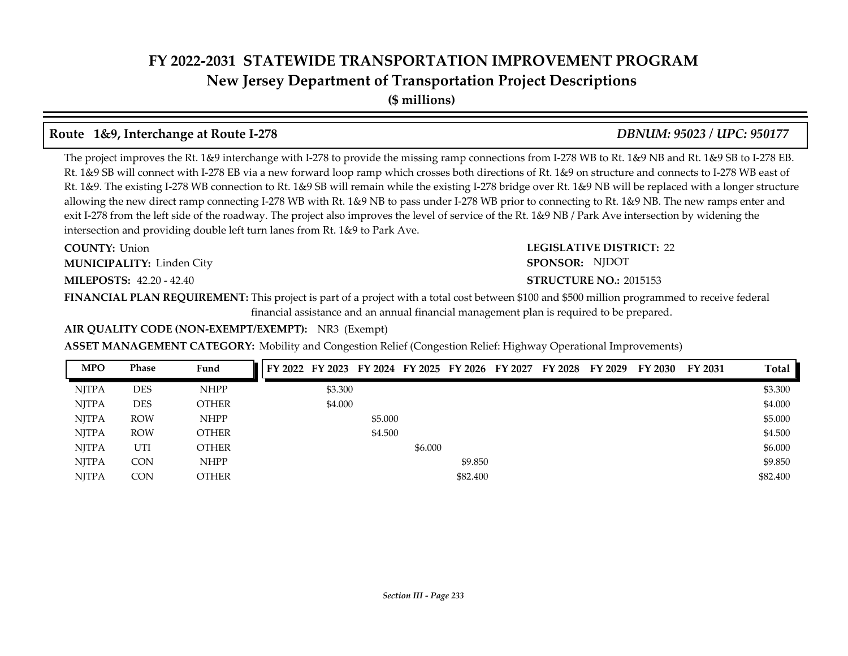**New Jersey Department of Transportation Project Descriptions**

**(\$ millions)**

# **Route 1&9, Interchange at Route I-278** *DBNUM: 95023 / UPC: 950177*

The project improves the Rt. 1&9 interchange with I-278 to provide the missing ramp connections from I-278 WB to Rt. 1&9 NB and Rt. 1&9 SB to I-278 EB. Rt. 1&9 SB will connect with I-278 EB via a new forward loop ramp which crosses both directions of Rt. 1&9 on structure and connects to I-278 WB east of Rt. 1&9. The existing I-278 WB connection to Rt. 1&9 SB will remain while the existing I-278 bridge over Rt. 1&9 NB will be replaced with a longer structure allowing the new direct ramp connecting I-278 WB with Rt. 1&9 NB to pass under I-278 WB prior to connecting to Rt. 1&9 NB. The new ramps enter and exit I-278 from the left side of the roadway. The project also improves the level of service of the Rt. 1&9 NB / Park Ave intersection by widening the intersection and providing double left turn lanes from Rt. 1&9 to Park Ave.

**COUNTY: LEGISLATIVE DISTRICT:** 22 **COUNTY: Union** Linden City **MUNICIPALITY: SPONSOR:**

**MILEPOSTS: STRUCTURE NO.:** 42.20 - 42.40

# **STRUCTURE NO.: 2015153** SPONSOR: NJDOT

**FINANCIAL PLAN REQUIREMENT:** This project is part of a project with a total cost between \$100 and \$500 million programmed to receive federal financial assistance and an annual financial management plan is required to be prepared.

### **AIR QUALITY CODE (NON-EXEMPT/EXEMPT):** NR3 (Exempt)

### **ASSET MANAGEMENT CATEGORY:** Mobility and Congestion Relief (Congestion Relief: Highway Operational Improvements)

| <b>MPO</b>   | Phase      | Fund         | FY 2022 FY 2023 FY 2024 FY 2025 FY 2026 FY 2027 |         |         |          | FY 2028 FY 2029 | FY 2030 | FY 2031 | <b>Total</b> |
|--------------|------------|--------------|-------------------------------------------------|---------|---------|----------|-----------------|---------|---------|--------------|
| <b>NJTPA</b> | <b>DES</b> | <b>NHPP</b>  | \$3.300                                         |         |         |          |                 |         |         | \$3.300      |
| <b>NJTPA</b> | <b>DES</b> | <b>OTHER</b> | \$4.000                                         |         |         |          |                 |         |         | \$4.000      |
| <b>NITPA</b> | <b>ROW</b> | <b>NHPP</b>  |                                                 | \$5.000 |         |          |                 |         |         | \$5.000      |
| <b>NJTPA</b> | <b>ROW</b> | <b>OTHER</b> |                                                 | \$4.500 |         |          |                 |         |         | \$4.500      |
| <b>NJTPA</b> | UTI        | <b>OTHER</b> |                                                 |         | \$6.000 |          |                 |         |         | \$6.000      |
| <b>NJTPA</b> | CON        | <b>NHPP</b>  |                                                 |         |         | \$9.850  |                 |         |         | \$9.850      |
| <b>NITPA</b> | CON        | <b>OTHER</b> |                                                 |         |         | \$82,400 |                 |         |         | \$82,400     |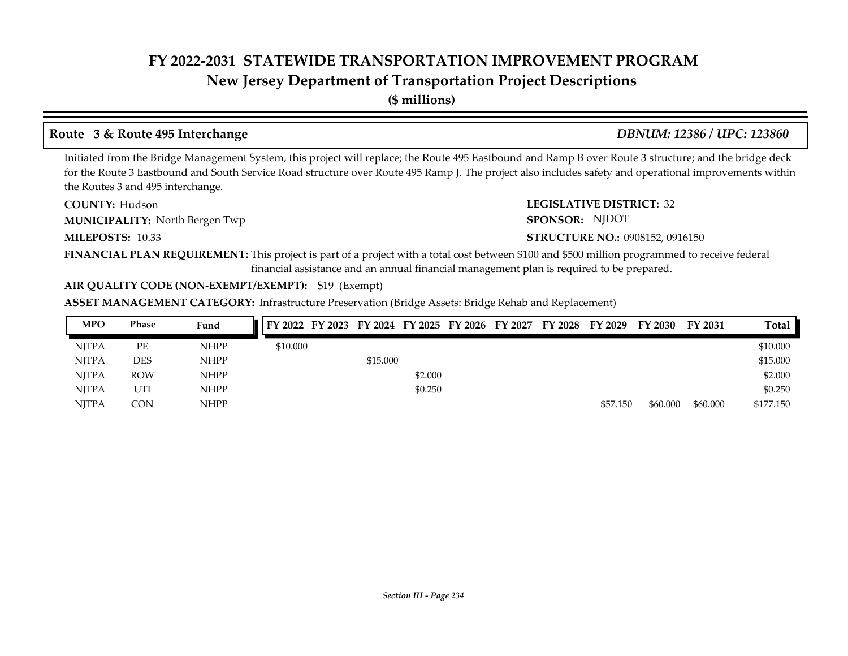# **New Jersey Department of Transportation Project Descriptions**

**(\$ millions)**

# **Route 3 & Route 495 Interchange** *DBNUM: 12386 / UPC: 123860*

Initiated from the Bridge Management System, this project will replace; the Route 495 Eastbound and Ramp B over Route 3 structure; and the bridge deck for the Route 3 Eastbound and South Service Road structure over Route 495 Ramp J. The project also includes safety and operational improvements within the Routes 3 and 495 interchange.

**COUNTY: LEGISLATIVE DISTRICT:** 32 COUNTY: Hudson **MUNICIPALITY:** North Bergen Twp **SPONSOR:** 

**MILEPOSTS: STRUCTURE NO.:** 10.33

SPONSOR: NJDOT

#### **STRUCTURE NO.: 0908152, 0916150**

**FINANCIAL PLAN REQUIREMENT:** This project is part of a project with a total cost between \$100 and \$500 million programmed to receive federal financial assistance and an annual financial management plan is required to be prepared.

#### **AIR QUALITY CODE (NON-EXEMPT/EXEMPT):** S19 (Exempt)

| <b>MPO</b>   | <b>Phase</b> | Fund        |          |          |         |  | FY 2022 FY 2023 FY 2024 FY 2025 FY 2026 FY 2027 FY 2028 FY 2029 |          | FY 2030  | FY 2031  | Total     |
|--------------|--------------|-------------|----------|----------|---------|--|-----------------------------------------------------------------|----------|----------|----------|-----------|
| <b>NITPA</b> | PЕ           | <b>NHPP</b> | \$10.000 |          |         |  |                                                                 |          |          |          | \$10.000  |
| <b>NITPA</b> | <b>DES</b>   | <b>NHPP</b> |          | \$15.000 |         |  |                                                                 |          |          |          | \$15.000  |
| <b>NITPA</b> | <b>ROW</b>   | <b>NHPP</b> |          |          | \$2.000 |  |                                                                 |          |          |          | \$2.000   |
| <b>NITPA</b> | UTI          | <b>NHPP</b> |          |          | \$0.250 |  |                                                                 |          |          |          | \$0.250   |
| <b>NITPA</b> | CON          | <b>NHPP</b> |          |          |         |  |                                                                 | \$57,150 | \$60,000 | \$60,000 | \$177.150 |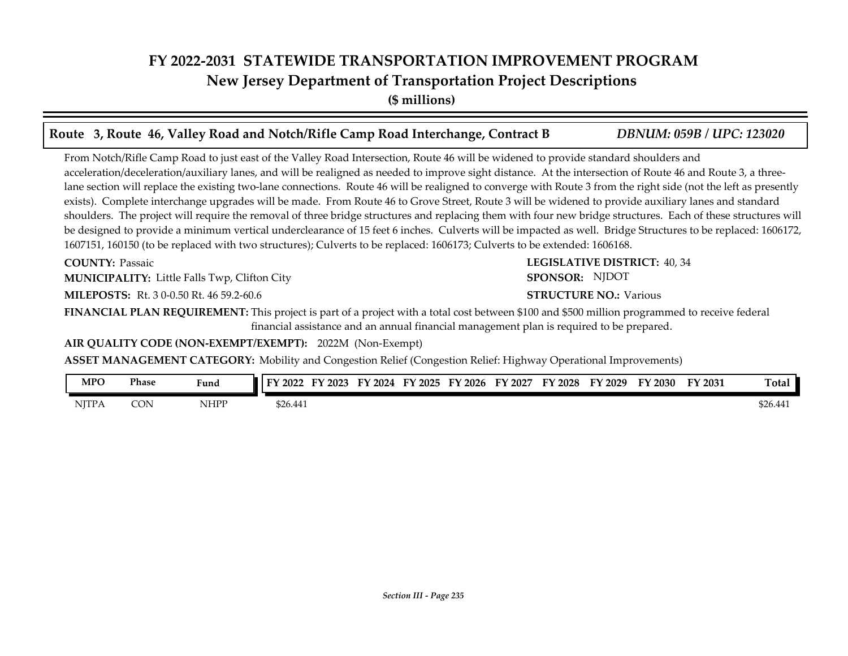# **FY 2022-2031 STATEWIDE TRANSPORTATION IMPROVEMENT PROGRAM New Jersey Department of Transportation Project Descriptions**

**(\$ millions)**

| Route 3, Route 46, Valley Road and Notch/Rifle Camp Road Interchange, Contract B                                                                                                                                                                                                                                                                                                                                                                                                                                                                                                                                                                                                                                                                                                                                                                                                                                                                                                                                                                                                         | <b>DBNUM: 059B / UPC: 123020</b>    |
|------------------------------------------------------------------------------------------------------------------------------------------------------------------------------------------------------------------------------------------------------------------------------------------------------------------------------------------------------------------------------------------------------------------------------------------------------------------------------------------------------------------------------------------------------------------------------------------------------------------------------------------------------------------------------------------------------------------------------------------------------------------------------------------------------------------------------------------------------------------------------------------------------------------------------------------------------------------------------------------------------------------------------------------------------------------------------------------|-------------------------------------|
| From Notch/Rifle Camp Road to just east of the Valley Road Intersection, Route 46 will be widened to provide standard shoulders and<br>acceleration/deceleration/auxiliary lanes, and will be realigned as needed to improve sight distance. At the intersection of Route 46 and Route 3, a three-<br>lane section will replace the existing two-lane connections. Route 46 will be realigned to converge with Route 3 from the right side (not the left as presently<br>exists). Complete interchange upgrades will be made. From Route 46 to Grove Street, Route 3 will be widened to provide auxiliary lanes and standard<br>shoulders. The project will require the removal of three bridge structures and replacing them with four new bridge structures. Each of these structures will<br>be designed to provide a minimum vertical underclearance of 15 feet 6 inches. Culverts will be impacted as well. Bridge Structures to be replaced: 1606172,<br>1607151, 160150 (to be replaced with two structures); Culverts to be replaced: 1606173; Culverts to be extended: 1606168. |                                     |
| <b>COUNTY: Passaic</b>                                                                                                                                                                                                                                                                                                                                                                                                                                                                                                                                                                                                                                                                                                                                                                                                                                                                                                                                                                                                                                                                   | <b>LEGISLATIVE DISTRICT: 40, 34</b> |
| <b>MUNICIPALITY:</b> Little Falls Twp, Clifton City                                                                                                                                                                                                                                                                                                                                                                                                                                                                                                                                                                                                                                                                                                                                                                                                                                                                                                                                                                                                                                      | SPONSOR: NJDOT                      |
| <b>MILEPOSTS:</b> Rt. 3 0-0.50 Rt. 46 59.2-60.6                                                                                                                                                                                                                                                                                                                                                                                                                                                                                                                                                                                                                                                                                                                                                                                                                                                                                                                                                                                                                                          | <b>STRUCTURE NO.: Various</b>       |
| FINANCIAL PLAN REQUIREMENT: This project is part of a project with a total cost between \$100 and \$500 million programmed to receive federal<br>financial assistance and an annual financial management plan is required to be prepared.                                                                                                                                                                                                                                                                                                                                                                                                                                                                                                                                                                                                                                                                                                                                                                                                                                                |                                     |
| AIR QUALITY CODE (NON-EXEMPT/EXEMPT): 2022M (Non-Exempt)                                                                                                                                                                                                                                                                                                                                                                                                                                                                                                                                                                                                                                                                                                                                                                                                                                                                                                                                                                                                                                 |                                     |
| <b>ASSET MANAGEMENT CATEGORY:</b> Mobility and Congestion Relief (Congestion Relief: Highway Operational Improvements)                                                                                                                                                                                                                                                                                                                                                                                                                                                                                                                                                                                                                                                                                                                                                                                                                                                                                                                                                                   |                                     |

| <b>MPC</b>   | <b>Phase</b> | Fund | $\angle 2022$<br>FY | $'$ 2023 | $\cdot$ 2024<br>FY | FY 2025 | TY 2026 | FY 2027 | FY 2028 | FY 2029 | FY 2030 | FY 2031 | Total    |
|--------------|--------------|------|---------------------|----------|--------------------|---------|---------|---------|---------|---------|---------|---------|----------|
| <b>NJTPA</b> | CON          | NHPP | \$26.441            |          |                    |         |         |         |         |         |         |         | \$26.441 |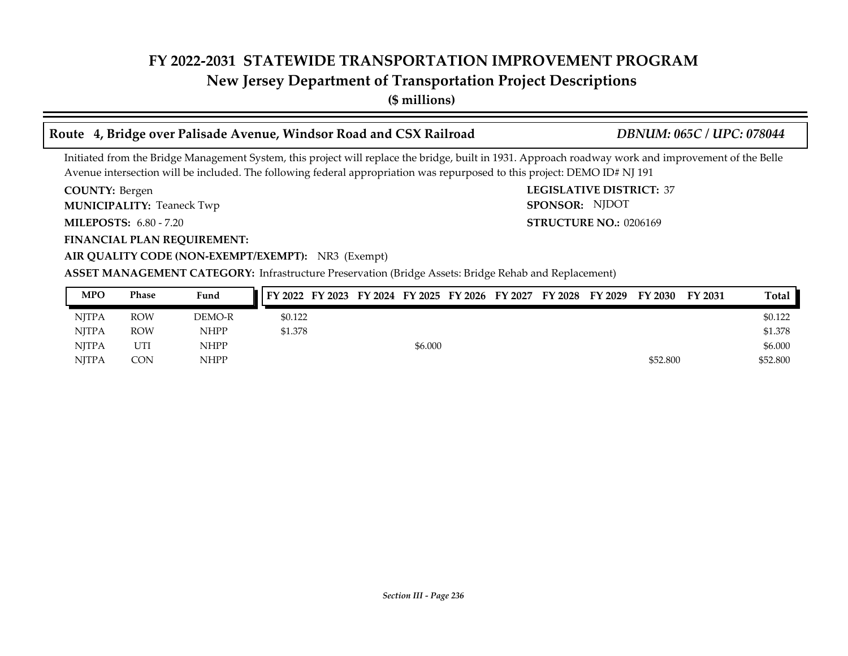# **New Jersey Department of Transportation Project Descriptions**

**(\$ millions)**

# **Route 4, Bridge over Palisade Avenue, Windsor Road and CSX Railroad** *DBNUM: 065C / UPC: 078044*

Initiated from the Bridge Management System, this project will replace the bridge, built in 1931. Approach roadway work and improvement of the Belle Avenue intersection will be included. The following federal appropriation was repurposed to this project: DEMO ID# NJ 191

COUNTY: Bergen

**MUNICIPALITY:** Teaneck Twp **SPONSOR:** 

**MILEPOSTS: STRUCTURE NO.:** 6.80 - 7.20

**FINANCIAL PLAN REQUIREMENT:**

**COUNTY: LEGISLATIVE DISTRICT:** 37 **STRUCTURE NO.: 0206169** SPONSOR: NJDOT

### **AIR QUALITY CODE (NON-EXEMPT/EXEMPT):** NR3 (Exempt)

| <b>MPO</b>   | Phase      | Fund        | FY 2022 FY 2023 FY 2024 FY 2025 FY 2026 FY 2027 FY 2028 FY 2029 |  |         |  |  | FY 2030  | FY 2031 | Total    |
|--------------|------------|-------------|-----------------------------------------------------------------|--|---------|--|--|----------|---------|----------|
| <b>NITPA</b> | <b>ROW</b> | DEMO-R      | \$0.122                                                         |  |         |  |  |          |         | \$0.122  |
| <b>NITPA</b> | <b>ROW</b> | <b>NHPP</b> | \$1.378                                                         |  |         |  |  |          |         | \$1.378  |
| <b>NITPA</b> | UTI        | <b>NHPP</b> |                                                                 |  | \$6.000 |  |  |          |         | \$6.000  |
| <b>NITPA</b> | CON        | <b>NHPP</b> |                                                                 |  |         |  |  | \$52,800 |         | \$52,800 |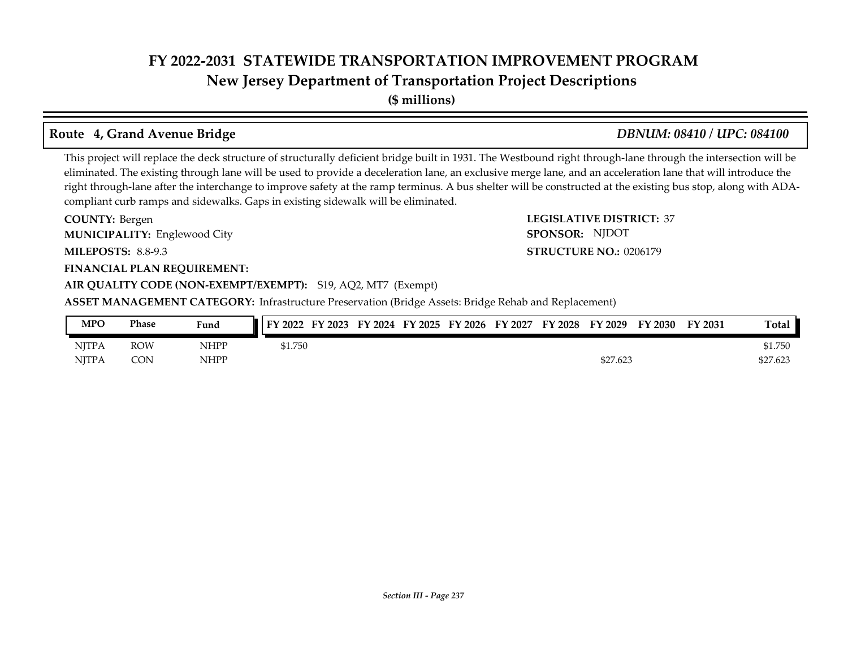**New Jersey Department of Transportation Project Descriptions**

**(\$ millions)**

# **Route 4, Grand Avenue Bridge** *DBNUM: 08410 / UPC: 084100*

This project will replace the deck structure of structurally deficient bridge built in 1931. The Westbound right through-lane through the intersection will be eliminated. The existing through lane will be used to provide a deceleration lane, an exclusive merge lane, and an acceleration lane that will introduce the right through-lane after the interchange to improve safety at the ramp terminus. A bus shelter will be constructed at the existing bus stop, along with ADAcompliant curb ramps and sidewalks. Gaps in existing sidewalk will be eliminated.

**COUNTY: LEGISLATIVE DISTRICT:** 37 **MILEPOSTS: STRUCTURE NO.:** 8.8-9.3 **FINANCIAL PLAN REQUIREMENT: AIR QUALITY CODE (NON-EXEMPT/EXEMPT):** S19, AQ2, MT7 (Exempt) COUNTY: Bergen Englewood City **MUNICIPALITY: SPONSOR: STRUCTURE NO.: 0206179 ASSET MANAGEMENT CATEGORY:** Infrastructure Preservation (Bridge Assets: Bridge Rehab and Replacement) SPONSOR: NJDOT

| <b>MPO</b>   | Phase      | Fund        | $\mathsf{I}$ FY 2022 | FY 2023 | FY 2024 |  | FY 2025 FY 2026 FY 2027 | <b>FY 2028</b> | FY 2029  | FY 2030 | FY 2031 | Total    |
|--------------|------------|-------------|----------------------|---------|---------|--|-------------------------|----------------|----------|---------|---------|----------|
| <b>NITPA</b> | ROW        | <b>NHPP</b> | 51.750               |         |         |  |                         |                |          |         |         | \$1.750  |
| <b>NJTPA</b> | <b>CON</b> | <b>NHPP</b> |                      |         |         |  |                         |                | \$27.623 |         |         | \$27.623 |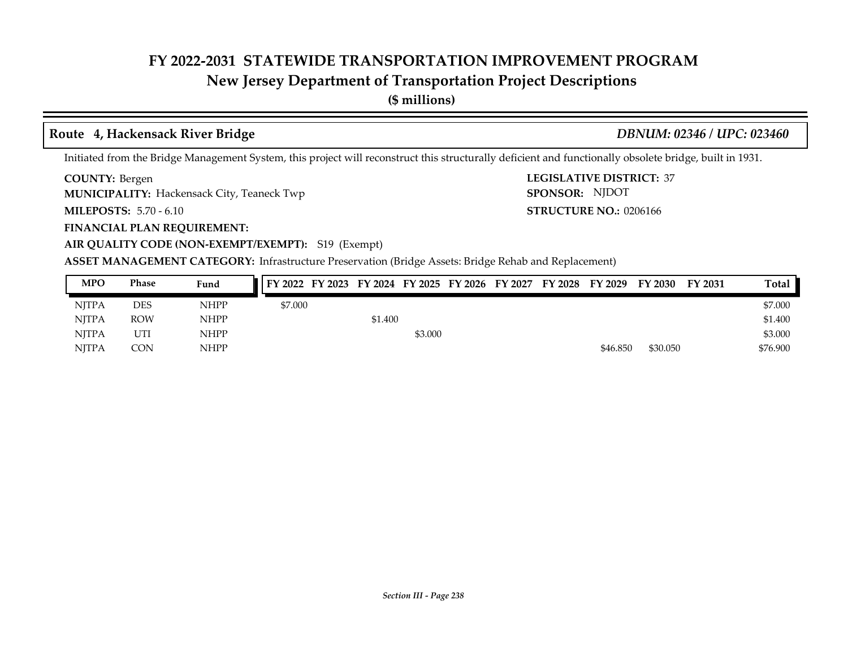# **New Jersey Department of Transportation Project Descriptions**

**(\$ millions)**

### **Route 4, Hackensack River Bridge** *DBNUM: 02346 / UPC: 023460*

Initiated from the Bridge Management System, this project will reconstruct this structurally deficient and functionally obsolete bridge, built in 1931.

**COUNTY: LEGISLATIVE DISTRICT:** 37 COUNTY: Bergen

**MUNICIPALITY:** Hackensack City, Teaneck Twp **SPONSOR: SPONSOR:** 

**MILEPOSTS: STRUCTURE NO.:** 5.70 - 6.10

**FINANCIAL PLAN REQUIREMENT:**

**STRUCTURE NO.: 0206166** SPONSOR: NJDOT

**AIR QUALITY CODE (NON-EXEMPT/EXEMPT):** S19 (Exempt)

| <b>MPO</b>   | <b>Phase</b> | Fund        | FY 2022 FY 2023 FY 2024 FY 2025 FY 2026 FY 2027 FY 2028 FY 2029 |         |         |  |          | FY 2030  | <b>FY 2031</b> | <b>Total</b> |
|--------------|--------------|-------------|-----------------------------------------------------------------|---------|---------|--|----------|----------|----------------|--------------|
| <b>NJTPA</b> | DES          | <b>NHPP</b> | \$7.000                                                         |         |         |  |          |          |                | \$7.000      |
| <b>NJTPA</b> | <b>ROW</b>   | <b>NHPP</b> |                                                                 | \$1.400 |         |  |          |          |                | \$1.400      |
| <b>NJTPA</b> | UTI          | <b>NHPP</b> |                                                                 |         | \$3.000 |  |          |          |                | \$3.000      |
| <b>NJTPA</b> | CON          | <b>NHPP</b> |                                                                 |         |         |  | \$46.850 | \$30.050 |                | \$76.900     |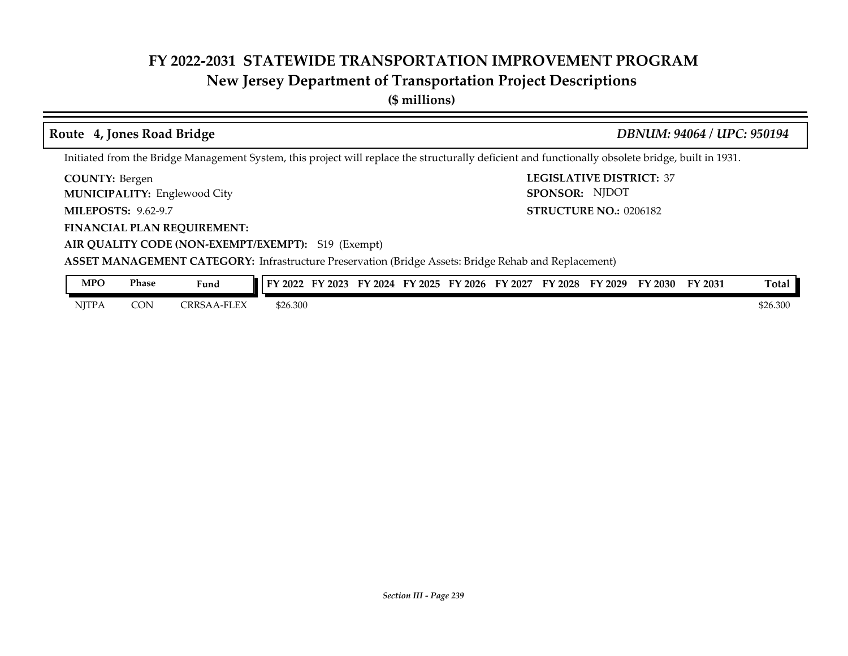# **New Jersey Department of Transportation Project Descriptions**

**(\$ millions)**

#### **COUNTY: LEGISLATIVE DISTRICT:** 37 **MILEPOSTS: STRUCTURE NO.:** 9.62-9.7 COUNTY: Bergen Englewood City **MUNICIPALITY: SPONSOR: STRUCTURE NO.: 0206182** Initiated from the Bridge Management System, this project will replace the structurally deficient and functionally obsolete bridge, built in 1931. **Route 4, Jones Road Bridge** *DBNUM: 94064 / UPC: 950194* SPONSOR: NJDOT

**FINANCIAL PLAN REQUIREMENT: AIR QUALITY CODE (NON-EXEMPT/EXEMPT):** S19 (Exempt)

| <b>MPO</b>   | Phase      | Fund                   | FY 2022  | FY 2023 | FY 2024 | FY 2025 | FY 2026 | FY 2027 | <b>FY 2028</b> | FY 2029 | FY 2030 | FY 2031 | Total    |
|--------------|------------|------------------------|----------|---------|---------|---------|---------|---------|----------------|---------|---------|---------|----------|
| <b>NJTPA</b> | <b>CON</b> | -FLEX<br><b>TRRSAA</b> | \$26.300 |         |         |         |         |         |                |         |         |         | \$26.300 |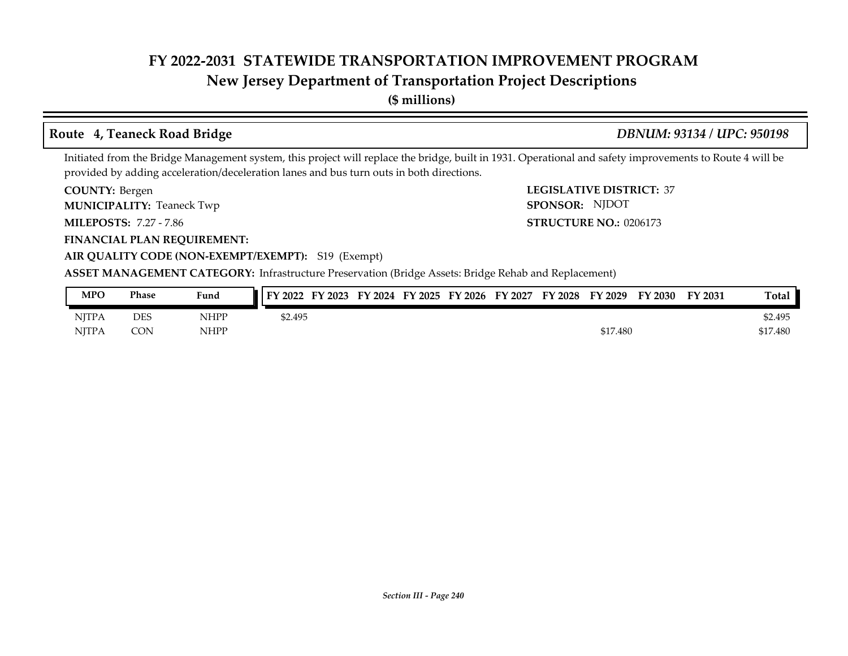# **New Jersey Department of Transportation Project Descriptions**

**(\$ millions)**

### **Route 4, Teaneck Road Bridge** *DBNUM: 93134 / UPC: 950198*

Initiated from the Bridge Management system, this project will replace the bridge, built in 1931. Operational and safety improvements to Route 4 will be provided by adding acceleration/deceleration lanes and bus turn outs in both directions.

COUNTY: Bergen

**MUNICIPALITY:** Teaneck Twp **SPONSOR:** 

**MILEPOSTS: STRUCTURE NO.:** 7.27 - 7.86

**FINANCIAL PLAN REQUIREMENT:**

**COUNTY: LEGISLATIVE DISTRICT:** 37 **STRUCTURE NO.: 0206173** SPONSOR: NJDOT

### **AIR QUALITY CODE (NON-EXEMPT/EXEMPT):** S19 (Exempt)

| MPO          | Phase      | Fund        | FY 2022<br>FY 2023 | FY 2024 FY 2025 | FY 2026 | FY 2027 | <b>FY 2028</b> | FY 2029  | FY 2030 | FY 2031 | <b>Total</b> |
|--------------|------------|-------------|--------------------|-----------------|---------|---------|----------------|----------|---------|---------|--------------|
| <b>NITPA</b> | <b>DES</b> | <b>NHPP</b> | \$2.495            |                 |         |         |                |          |         |         | \$2.495      |
| <b>NJTPA</b> | <b>CON</b> | <b>NHPP</b> |                    |                 |         |         |                | \$17.480 |         |         | \$17.480     |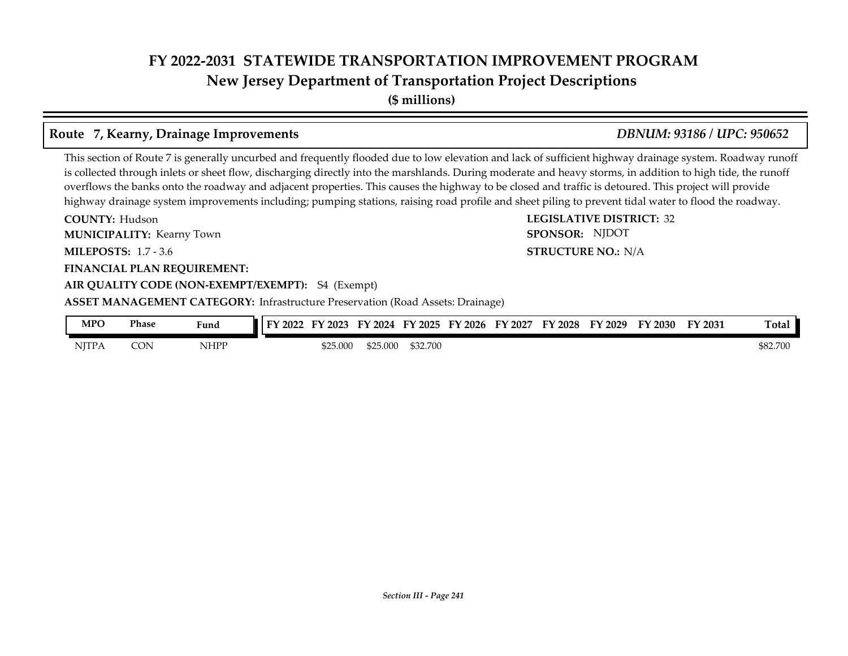# **FY 2022-2031 STATEWIDE TRANSPORTATION IMPROVEMENT PROGRAM New Jersey Department of Transportation Project Descriptions**

**(\$ millions)**

### **Route 7, Kearny, Drainage Improvements** *DBNUM: 93186 / UPC: 950652*

This section of Route 7 is generally uncurbed and frequently flooded due to low elevation and lack of sufficient highway drainage system. Roadway runoff is collected through inlets or sheet flow, discharging directly into the marshlands. During moderate and heavy storms, in addition to high tide, the runoff overflows the banks onto the roadway and adjacent properties. This causes the highway to be closed and traffic is detoured. This project will provide highway drainage system improvements including; pumping stations, raising road profile and sheet piling to prevent tidal water to flood the roadway.

**COUNTY: LEGISLATIVE DISTRICT:** 32 **MILEPOSTS: STRUCTURE NO.:** 1.7 - 3.6 **FINANCIAL PLAN REQUIREMENT: AIR QUALITY CODE (NON-EXEMPT/EXEMPT):** S4 (Exempt) **COUNTY: Hudson MUNICIPALITY:** Kearny Town **SPONSOR: STRUCTURE NO.: N/A ASSET MANAGEMENT CATEGORY:** Infrastructure Preservation (Road Assets: Drainage) SPONSOR: NJDOT

| MPO          | Phase | Fund        | FV<br>$\degree$ 2022 | 2023     | FY<br>2024        | FY 2025  | FY 2026 | Y 2027<br>ЕV | FY 2028 | FY 2029 | 2030 | FY 2031 | Total    |
|--------------|-------|-------------|----------------------|----------|-------------------|----------|---------|--------------|---------|---------|------|---------|----------|
| <b>NJTPA</b> | CON   | <b>NHPP</b> |                      | \$25.000 | $AD -$<br>000.5∠ر | \$32.700 |         |              |         |         |      |         | \$82.700 |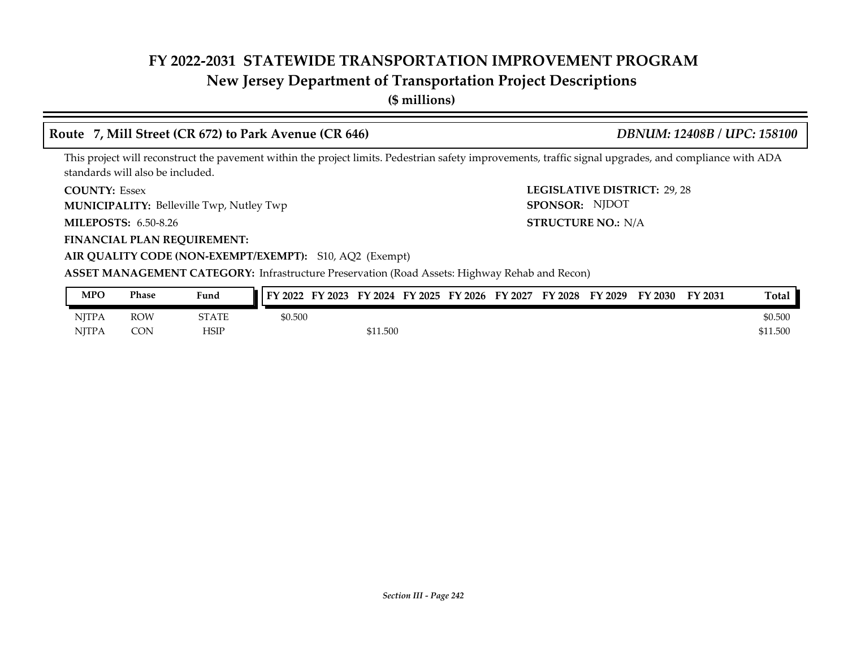# **New Jersey Department of Transportation Project Descriptions**

**(\$ millions)**

### **Route 7, Mill Street (CR 672) to Park Avenue (CR 646)** *DBNUM: 12408B / UPC: 158100*

This project will reconstruct the pavement within the project limits. Pedestrian safety improvements, traffic signal upgrades, and compliance with ADA standards will also be included.

**COUNTY: LEGISLATIVE DISTRICT:** 29, 28 **COUNTY: Essex** 

**MUNICIPALITY:** Belleville Twp, Nutley Twp **SPONSOR:** 

**MILEPOSTS: STRUCTURE NO.:** 6.50-8.26

**FINANCIAL PLAN REQUIREMENT:**

#### **AIR QUALITY CODE (NON-EXEMPT/EXEMPT):** S10, AQ2 (Exempt)

**ASSET MANAGEMENT CATEGORY:** Infrastructure Preservation (Road Assets: Highway Rehab and Recon)

| MPO          | Phase      | Fund  | FY 2022<br>FY 2023 | FY<br>FY 2025<br>$\frac{1}{2}$ 2024 | FY 2026 | FY 2027 | FY 2028 | FY 2029 | FY 2030 | FY 2031 | <b>Total</b> |
|--------------|------------|-------|--------------------|-------------------------------------|---------|---------|---------|---------|---------|---------|--------------|
| <b>NJTPA</b> | <b>ROW</b> | STATE | \$0.500            |                                     |         |         |         |         |         |         | \$0.500      |
| <b>NJTPA</b> | CON        | HSIP  |                    | \$11.500                            |         |         |         |         |         |         | \$11.500     |

STRUCTURE NO.: N/A

SPONSOR: NJDOT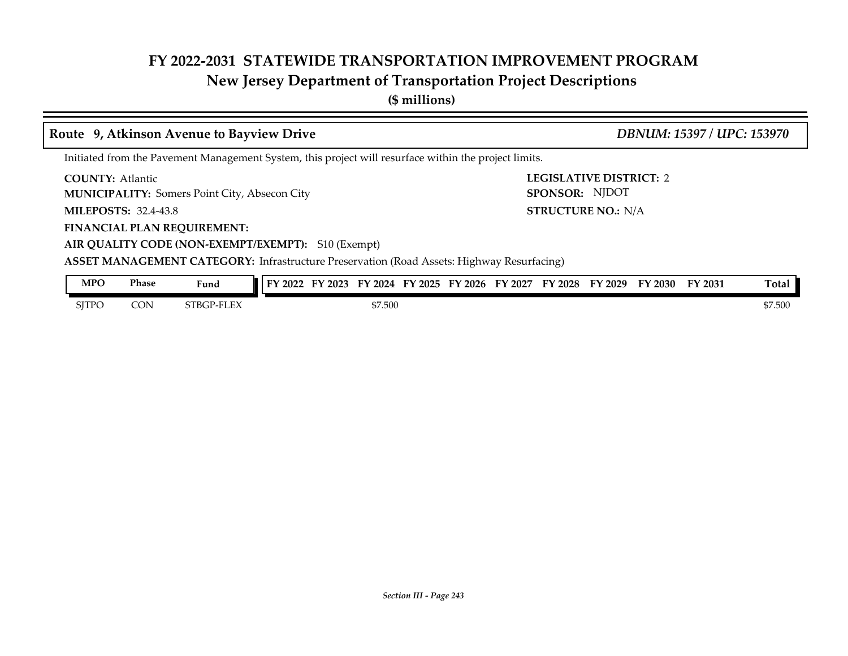# **New Jersey Department of Transportation Project Descriptions**

**(\$ millions)**

|                                                                                                                       |                                                                                                  | Route 9, Atkinson Avenue to Bayview Drive                                                             |                                                                         |         |  |  |  |  |                                                  |  | DBNUM: 15397 / UPC: 153970 |         |
|-----------------------------------------------------------------------------------------------------------------------|--------------------------------------------------------------------------------------------------|-------------------------------------------------------------------------------------------------------|-------------------------------------------------------------------------|---------|--|--|--|--|--------------------------------------------------|--|----------------------------|---------|
|                                                                                                                       |                                                                                                  | Initiated from the Pavement Management System, this project will resurface within the project limits. |                                                                         |         |  |  |  |  |                                                  |  |                            |         |
| <b>COUNTY: Atlantic</b>                                                                                               |                                                                                                  | <b>MUNICIPALITY:</b> Somers Point City, Absecon City                                                  |                                                                         |         |  |  |  |  | <b>LEGISLATIVE DISTRICT: 2</b><br>SPONSOR: NJDOT |  |                            |         |
| <b>MILEPOSTS: 32.4-43.8</b>                                                                                           |                                                                                                  |                                                                                                       |                                                                         |         |  |  |  |  |                                                  |  |                            |         |
| <b>STRUCTURE NO.: N/A</b><br><b>FINANCIAL PLAN REQUIREMENT:</b><br>AIR QUALITY CODE (NON-EXEMPT/EXEMPT): S10 (Exempt) |                                                                                                  |                                                                                                       |                                                                         |         |  |  |  |  |                                                  |  |                            |         |
|                                                                                                                       | <b>ASSET MANAGEMENT CATEGORY:</b> Infrastructure Preservation (Road Assets: Highway Resurfacing) |                                                                                                       |                                                                         |         |  |  |  |  |                                                  |  |                            |         |
| <b>MPO</b>                                                                                                            | Phase                                                                                            | Fund                                                                                                  | FY 2022 FY 2023 FY 2024 FY 2025 FY 2026 FY 2027 FY 2028 FY 2029 FY 2030 |         |  |  |  |  |                                                  |  | FY 2031                    | Total   |
| <b>SITPO</b>                                                                                                          | <b>CON</b>                                                                                       | STBGP-FLEX                                                                                            |                                                                         | \$7.500 |  |  |  |  |                                                  |  |                            | \$7.500 |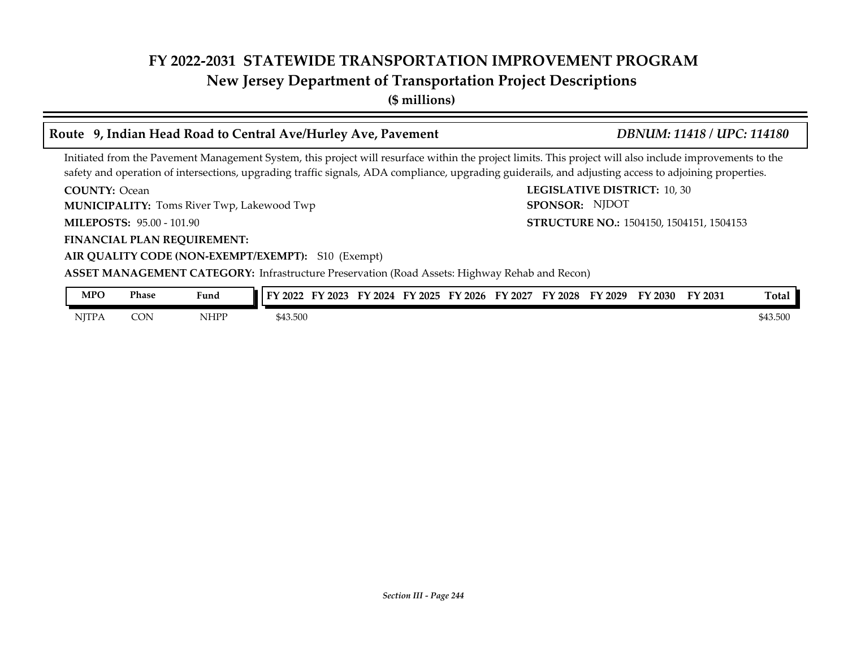# **New Jersey Department of Transportation Project Descriptions**

**(\$ millions)**

# **Route 9, Indian Head Road to Central Ave/Hurley Ave, Pavement** *DBNUM: 11418 / UPC: 114180*

Initiated from the Pavement Management System, this project will resurface within the project limits. This project will also include improvements to the safety and operation of intersections, upgrading traffic signals, ADA compliance, upgrading guiderails, and adjusting access to adjoining properties.

**COUNTY: LEGISLATIVE DISTRICT:** 10, 30 **COUNTY: Ocean** 

**MUNICIPALITY:** Toms River Twp, Lakewood Twp **SPONSOR:** 

**MILEPOSTS: STRUCTURE NO.:** 95.00 - 101.90

**FINANCIAL PLAN REQUIREMENT:**

#### **AIR QUALITY CODE (NON-EXEMPT/EXEMPT):** S10 (Exempt)

**ASSET MANAGEMENT CATEGORY:** Infrastructure Preservation (Road Assets: Highway Rehab and Recon)

| MPO          | Phase | Fund | FV<br>$'$ 2022 | TN.<br>2023 | EV<br>2024 | FY 2025 | FY 2026 | Y 2027<br>Е٧ | FY 2028 | FY 2029 | $^{\prime}$ 2030 | FY 2031 | Total    |
|--------------|-------|------|----------------|-------------|------------|---------|---------|--------------|---------|---------|------------------|---------|----------|
| <b>NJTPA</b> | CON   | NHPP | \$43.500       |             |            |         |         |              |         |         |                  |         | \$43.500 |

**STRUCTURE NO.: 1504150, 1504151, 1504153** 

SPONSOR: NJDOT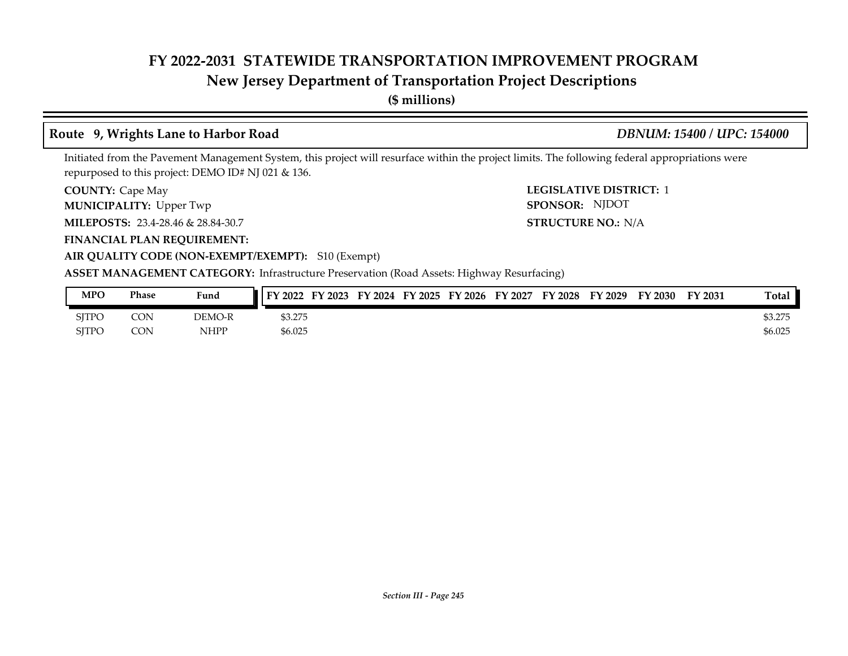# **New Jersey Department of Transportation Project Descriptions**

**(\$ millions)**

### **Route 9, Wrights Lane to Harbor Road** *DBNUM: 15400 / UPC: 154000*

Initiated from the Pavement Management System, this project will resurface within the project limits. The following federal appropriations were repurposed to this project: DEMO ID# NJ 021 & 136.

**COUNTY:** Cape May **COUNTY:** Cape May **COUNTY:** 2 **COUNTY: Cape May** 

**MUNICIPALITY:** Upper Twp **SPONSOR:** 

**MILEPOSTS: STRUCTURE NO.:** 23.4-28.46 & 28.84-30.7

**FINANCIAL PLAN REQUIREMENT:**

#### **AIR QUALITY CODE (NON-EXEMPT/EXEMPT):** S10 (Exempt)

**ASSET MANAGEMENT CATEGORY:** Infrastructure Preservation (Road Assets: Highway Resurfacing)

| <b>MPO</b>   | Phase      | Fund   | FY 2023<br>l I FY 2022 | FY 2024 FY 2025 FY 2026 FY 2027 FY 2028 |  |  | FY 2029 | FY 2030 | FY 2031 | <b>Total</b> |
|--------------|------------|--------|------------------------|-----------------------------------------|--|--|---------|---------|---------|--------------|
| SITPO        | <b>CON</b> | DEMO-R | \$3.275                |                                         |  |  |         |         |         | \$3.275      |
| <b>SITPO</b> | CON        | NHPP   | \$6.025                |                                         |  |  |         |         |         | \$6.025      |

STRUCTURE NO.: N/A

SPONSOR: NJDOT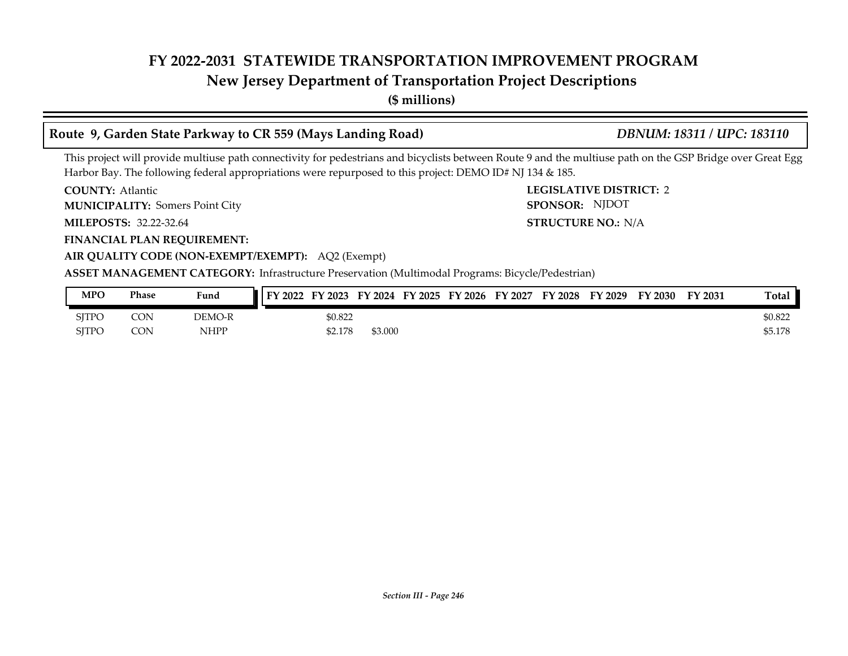# **New Jersey Department of Transportation Project Descriptions**

**(\$ millions)**

# **Route 9, Garden State Parkway to CR 559 (Mays Landing Road)** *DBNUM: 18311 / UPC: 183110*

This project will provide multiuse path connectivity for pedestrians and bicyclists between Route 9 and the multiuse path on the GSP Bridge over Great Egg Harbor Bay. The following federal appropriations were repurposed to this project: DEMO ID# NJ 134 & 185.

**COUNTY: LEGISLATIVE DISTRICT:** 2 **COUNTY: Atlantic** 

Somers Point City **MUNICIPALITY: SPONSOR:**

**MILEPOSTS: STRUCTURE NO.:** 32.22-32.64

**FINANCIAL PLAN REQUIREMENT:**

STRUCTURE NO.: N/A SPONSOR: NJDOT

**AIR QUALITY CODE (NON-EXEMPT/EXEMPT):** AQ2 (Exempt) **ASSET MANAGEMENT CATEGORY:** Infrastructure Preservation (Multimodal Programs: Bicycle/Pedestrian)

| MPO   | Phase | Fund        | <b>FY 2022</b> | FY 2023 |         |  | FY 2024 FY 2025 FY 2026 FY 2027 | FY 2028 FY 2029 | FY 2030 | <b>FY 2031</b> | Total   |
|-------|-------|-------------|----------------|---------|---------|--|---------------------------------|-----------------|---------|----------------|---------|
| SITPO | CON   | DEMO-R      |                | \$0.822 |         |  |                                 |                 |         |                | \$0.822 |
| SITPO | CON   | <b>NHPP</b> |                | \$2.178 | \$3.000 |  |                                 |                 |         |                | \$5.178 |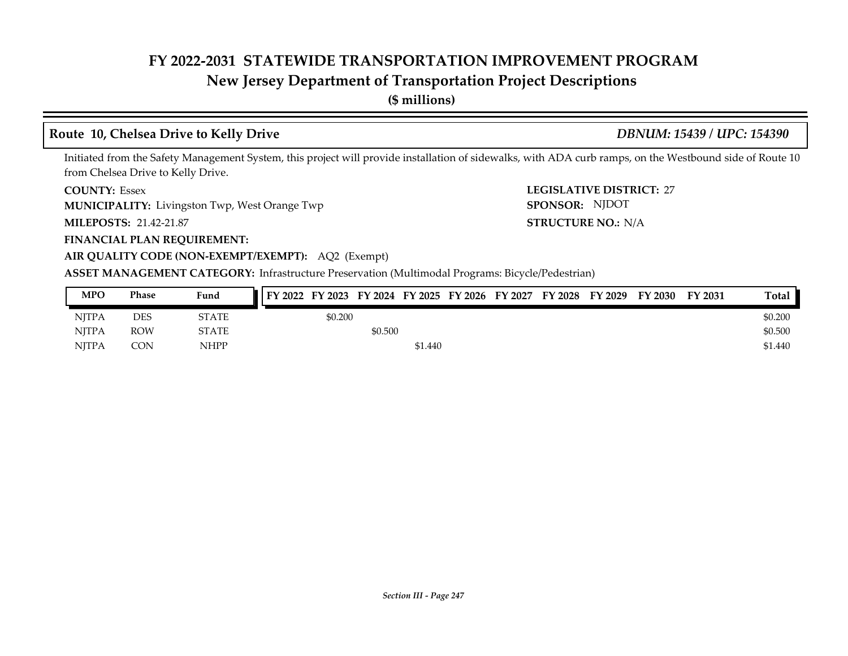# **New Jersey Department of Transportation Project Descriptions**

**(\$ millions)**

# **Route 10, Chelsea Drive to Kelly Drive** *DBNUM: 15439 / UPC: 154390*

Initiated from the Safety Management System, this project will provide installation of sidewalks, with ADA curb ramps, on the Westbound side of Route 10 from Chelsea Drive to Kelly Drive.

#### **COUNTY: LEGISLATIVE DISTRICT:** 27 **COUNTY: Essex**

**MUNICIPALITY:** Livingston Twp, West Orange Twp **SPONSOR:** 

**MILEPOSTS: STRUCTURE NO.:** 21.42-21.87

#### **FINANCIAL PLAN REQUIREMENT:**

### **AIR QUALITY CODE (NON-EXEMPT/EXEMPT):** AQ2 (Exempt)

**ASSET MANAGEMENT CATEGORY:** Infrastructure Preservation (Multimodal Programs: Bicycle/Pedestrian)

| <b>MPO</b>   | Phase      | Fund         | FY 2022 FY 2023 FY 2024 FY 2025 FY 2026 FY 2027 FY 2028 FY 2029 |         |         |  |  | FY 2030 | FY 2031 | Total   |
|--------------|------------|--------------|-----------------------------------------------------------------|---------|---------|--|--|---------|---------|---------|
| <b>NITPA</b> | DES        | <b>STATE</b> | \$0.200                                                         |         |         |  |  |         |         | \$0.200 |
| <b>NJTPA</b> | <b>ROW</b> | <b>STATE</b> |                                                                 | \$0.500 |         |  |  |         |         | \$0.500 |
| <b>NITPA</b> | CON        | <b>NHPP</b>  |                                                                 |         | \$1.440 |  |  |         |         | \$1.440 |

STRUCTURE NO.: N/A

SPONSOR: NJDOT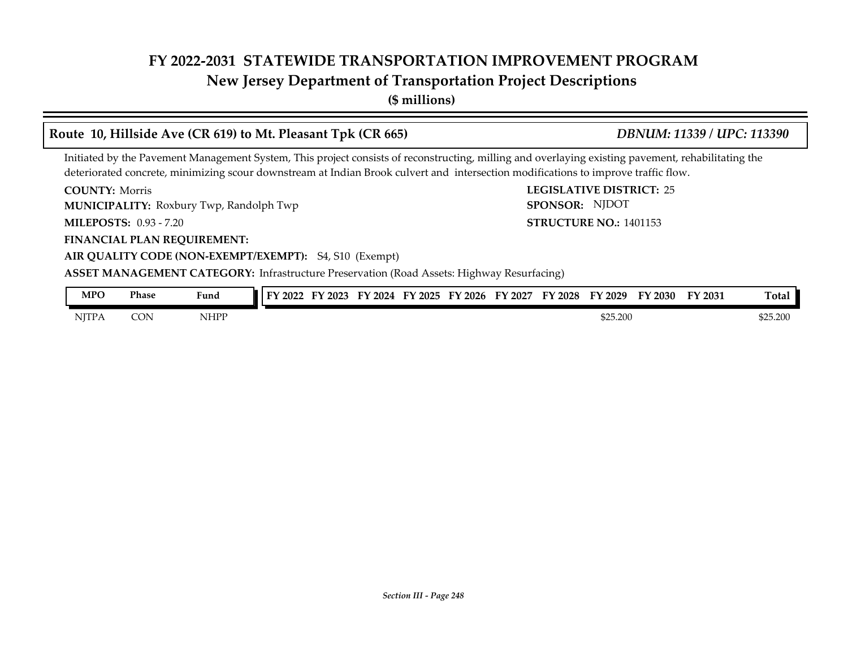# **New Jersey Department of Transportation Project Descriptions**

**(\$ millions)**

#### **COUNTY: LEGISLATIVE DISTRICT:** 25 **MILEPOSTS: STRUCTURE NO.:** 0.93 - 7.20 **FINANCIAL PLAN REQUIREMENT: AIR QUALITY CODE (NON-EXEMPT/EXEMPT):** S4, S10 (Exempt) **COUNTY: Morris MUNICIPALITY:** Roxbury Twp, Randolph Twp **CONSOR:** SPONSOR: **STRUCTURE NO.: 1401153 ASSET MANAGEMENT CATEGORY:** Infrastructure Preservation (Road Assets: Highway Resurfacing) Initiated by the Pavement Management System, This project consists of reconstructing, milling and overlaying existing pavement, rehabilitating the deteriorated concrete, minimizing scour downstream at Indian Brook culvert and intersection modifications to improve traffic flow. **Route 10, Hillside Ave (CR 619) to Mt. Pleasant Tpk (CR 665)** *DBNUM: 11339 / UPC: 113390* SPONSOR: NJDOT **MPO Phase Fund FY 2022 FY 2023 FY 2024 FY 2025 FY 2026 FY 2027 FY 2028 FY 2029 FY 2030 FY 2031 Total**

| MPO          | Phase | $\sim$ $\sim$<br>Fund | TУ.<br>2022 | $\angle 2023$<br>−<br>н. | FY 2024 | $Y$ 2025 | FY 2026 | FY 2027 | FY 2028 | FY 2029  | $\%$ 2030 $\%$ | FY 2031 | $\mathbf{r}$<br>∡otal ' |
|--------------|-------|-----------------------|-------------|--------------------------|---------|----------|---------|---------|---------|----------|----------------|---------|-------------------------|
| <b>NJTPA</b> | CON   | NHPP                  |             |                          |         |          |         |         |         | \$25.200 |                |         | \$25.200                |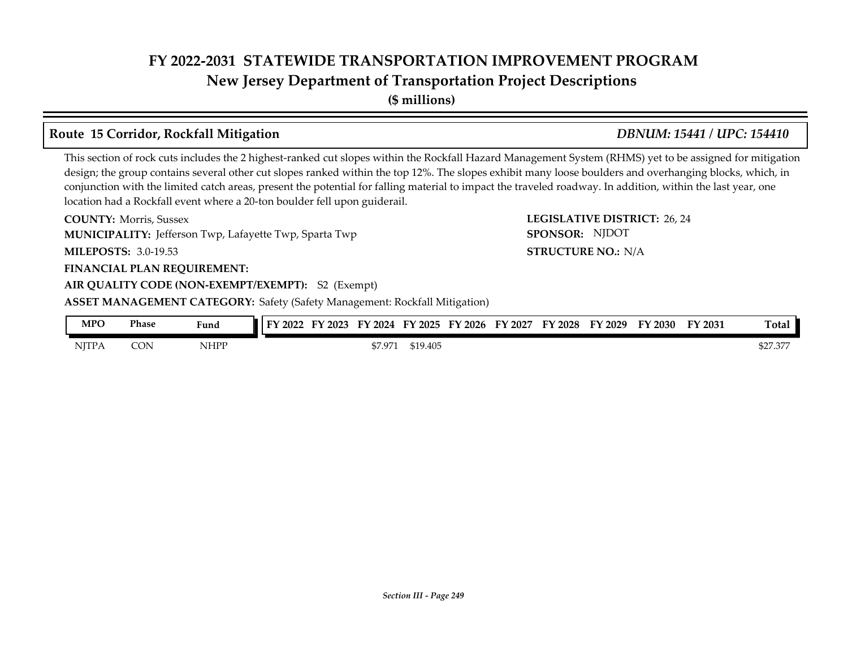**New Jersey Department of Transportation Project Descriptions**

**(\$ millions)**

# **Route 15 Corridor, Rockfall Mitigation** *DBNUM: 15441 / UPC: 154410*

This section of rock cuts includes the 2 highest-ranked cut slopes within the Rockfall Hazard Management System (RHMS) yet to be assigned for mitigation design; the group contains several other cut slopes ranked within the top 12%. The slopes exhibit many loose boulders and overhanging blocks, which, in conjunction with the limited catch areas, present the potential for falling material to impact the traveled roadway. In addition, within the last year, one location had a Rockfall event where a 20-ton boulder fell upon guiderail.

| <b>COUNTY: Morris, Sussex</b>                                                     | LEGISLATIVE DISTRICT: 26, 24 |
|-----------------------------------------------------------------------------------|------------------------------|
| <b>MUNICIPALITY:</b> Jefferson Twp, Lafayette Twp, Sparta Twp                     | SPONSOR: NJDOT               |
| <b>MILEPOSTS: 3.0-19.53</b>                                                       | <b>STRUCTURE NO.: N/A</b>    |
| <b>FINANCIAL PLAN REQUIREMENT:</b>                                                |                              |
| AIR QUALITY CODE (NON-EXEMPT/EXEMPT): S2 (Exempt)                                 |                              |
| <b>ASSET MANAGEMENT CATEGORY: Safety (Safety Management: Rockfall Mitigation)</b> |                              |

| MPC   | Phase | Fund | I FY 2022 | $\angle 2023$<br> | $'$ 2024<br>--<br>ы | FY 2025  | FY 2026 | FY 2027 | FY 2028 | FY 2029 | FY 2030 | FY 2031 | <b>Total</b>            |
|-------|-------|------|-----------|-------------------|---------------------|----------|---------|---------|---------|---------|---------|---------|-------------------------|
| NITPA | CON   | NHPP |           |                   | \$7.971             | \$19.405 |         |         |         |         |         |         | חחר חרי<br>. <i>۱</i> . |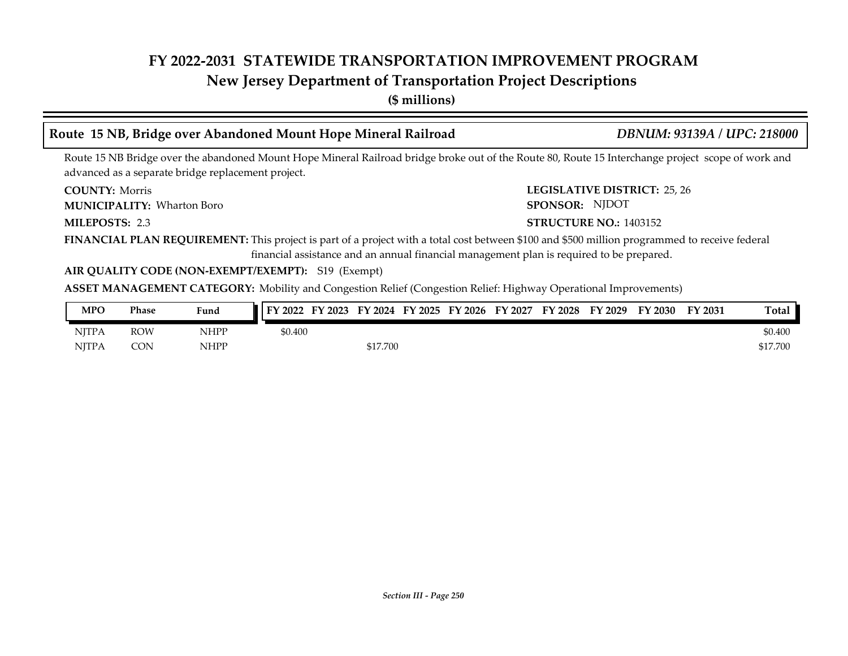# **New Jersey Department of Transportation Project Descriptions**

**(\$ millions)**

# **Route 15 NB, Bridge over Abandoned Mount Hope Mineral Railroad** *DBNUM: 93139A / UPC: 218000*

Route 15 NB Bridge over the abandoned Mount Hope Mineral Railroad bridge broke out of the Route 80, Route 15 Interchange project scope of work and advanced as a separate bridge replacement project.

**COUNTY: Morris** 

Wharton Boro **MUNICIPALITY: SPONSOR:**

MILEPOSTS: 2.3

**COUNTY: LEGISLATIVE DISTRICT:** 25, 26 SPONSOR: NJDOT

#### **MILEPOSTS: STRUCTURE NO.:** 1403152

**FINANCIAL PLAN REQUIREMENT:** This project is part of a project with a total cost between \$100 and \$500 million programmed to receive federal financial assistance and an annual financial management plan is required to be prepared.

#### **AIR QUALITY CODE (NON-EXEMPT/EXEMPT):** S19 (Exempt)

**ASSET MANAGEMENT CATEGORY:** Mobility and Congestion Relief (Congestion Relief: Highway Operational Improvements)

| MPO          | <b>Phase</b> | Fund | FY 2022 | FY 2023 FY 2024 FY 2025 FY 2026 FY 2027 |  | FY 2028 | FY 2029 | FY 2030 | FY 2031 | Total    |
|--------------|--------------|------|---------|-----------------------------------------|--|---------|---------|---------|---------|----------|
| <b>NITPA</b> | ROW          | NHPP | \$0.400 |                                         |  |         |         |         |         | \$0.400  |
| NITPA        | <b>CON</b>   | NHPP |         | \$17.700                                |  |         |         |         |         | \$17.700 |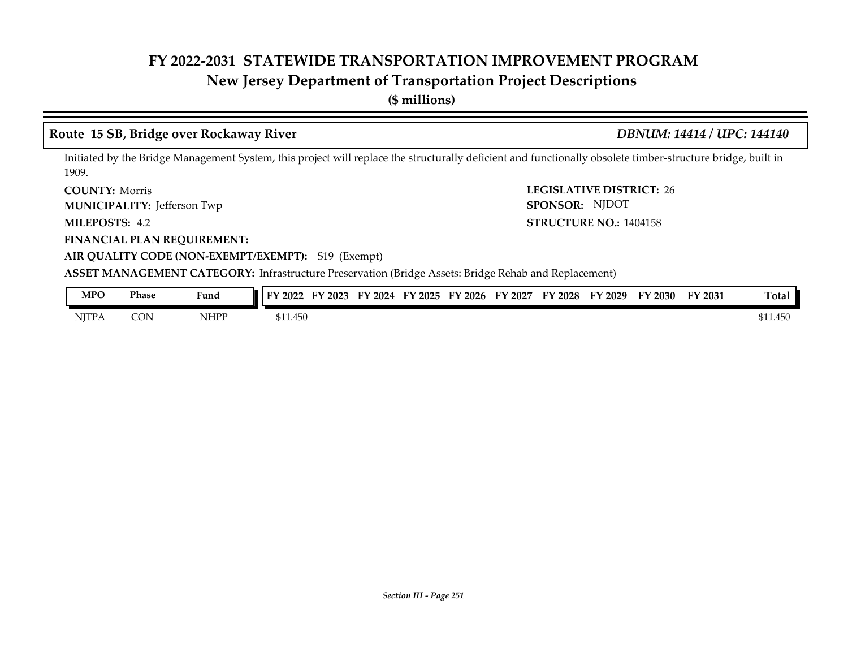# **New Jersey Department of Transportation Project Descriptions**

**(\$ millions)**

### **Route 15 SB, Bridge over Rockaway River** *DBNUM: 14414 / UPC: 144140*

Initiated by the Bridge Management System, this project will replace the structurally deficient and functionally obsolete timber-structure bridge, built in 1909.

**COUNTY: LEGISLATIVE DISTRICT:** 26 **COUNTY: Morris** 

Jefferson Twp **MUNICIPALITY: SPONSOR:**

MILEPOSTS: 4.2

**FINANCIAL PLAN REQUIREMENT:**

**AIR QUALITY CODE (NON-EXEMPT/EXEMPT):** S19 (Exempt)

**MILEPOSTS: STRUCTURE NO.:** 1404158 SPONSOR: NJDOT

| MPO          | Phase | Fund | FY 2022  | $\frac{1}{2}$ 2023 | FY<br>2024 | $\nabla$ 2025 $\nabla$ | $'$ 2026<br>EV | EY<br>2027 | $\mathbf{Y} 2028$ | FY 2029 | FY 2030 | FY 2031 | <b>Total</b>     |
|--------------|-------|------|----------|--------------------|------------|------------------------|----------------|------------|-------------------|---------|---------|---------|------------------|
| <b>NITPA</b> | CON   | NHPP | \$11.450 |                    |            |                        |                |            |                   |         |         |         | \$11.450<br>ጦ 11 |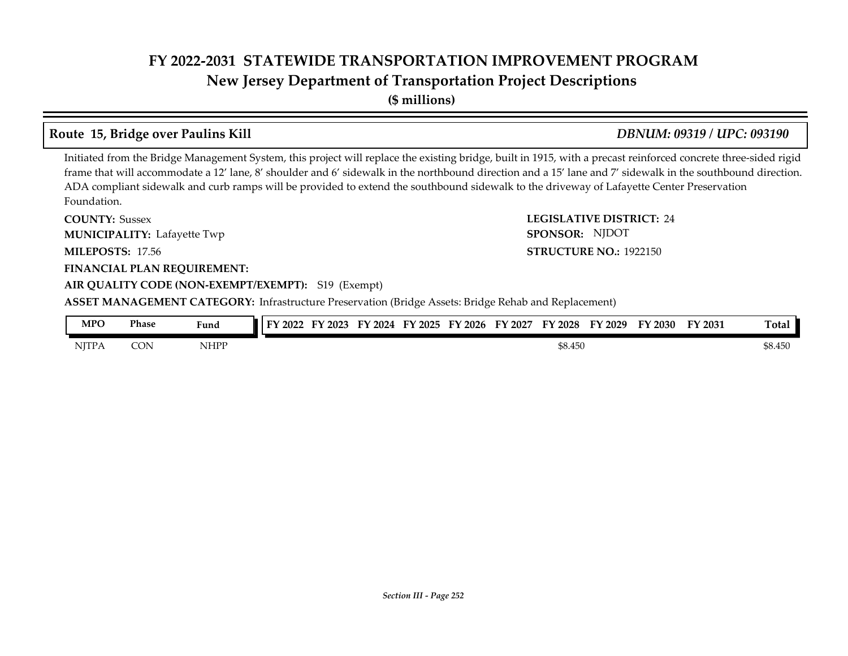**New Jersey Department of Transportation Project Descriptions**

**(\$ millions)**

# **Route 15, Bridge over Paulins Kill** *DBNUM: 09319 / UPC: 093190*

Initiated from the Bridge Management System, this project will replace the existing bridge, built in 1915, with a precast reinforced concrete three-sided rigid frame that will accommodate a 12' lane, 8' shoulder and 6' sidewalk in the northbound direction and a 15' lane and 7' sidewalk in the southbound direction. ADA compliant sidewalk and curb ramps will be provided to extend the southbound sidewalk to the driveway of Lafayette Center Preservation Foundation.

**COUNTY: LEGISLATIVE DISTRICT:** 24 **MILEPOSTS: STRUCTURE NO.:** 17.56 **FINANCIAL PLAN REQUIREMENT: AIR QUALITY CODE (NON-EXEMPT/EXEMPT):** S19 (Exempt) **COUNTY: Sussex MUNICIPALITY:** Lafayette Twp **SPONSOR: STRUCTURE NO.: 1922150 ASSET MANAGEMENT CATEGORY:** Infrastructure Preservation (Bridge Assets: Bridge Rehab and Replacement) SPONSOR: NJDOT

| MPO          | Phase | Fund | FV<br>$\langle 2022$ | 2023<br>ЕV | FY<br>2024 | FY 2025 | $'$ 2026<br>EV | <b>FY</b><br>' 2027 | FY 2028 | FY 2029 | $Y$ 2030 | FY 2031 | Total |
|--------------|-------|------|----------------------|------------|------------|---------|----------------|---------------------|---------|---------|----------|---------|-------|
| <b>NITPA</b> | CON   | NHPP |                      |            |            |         | \$8.450        |                     |         |         |          | \$8.450 |       |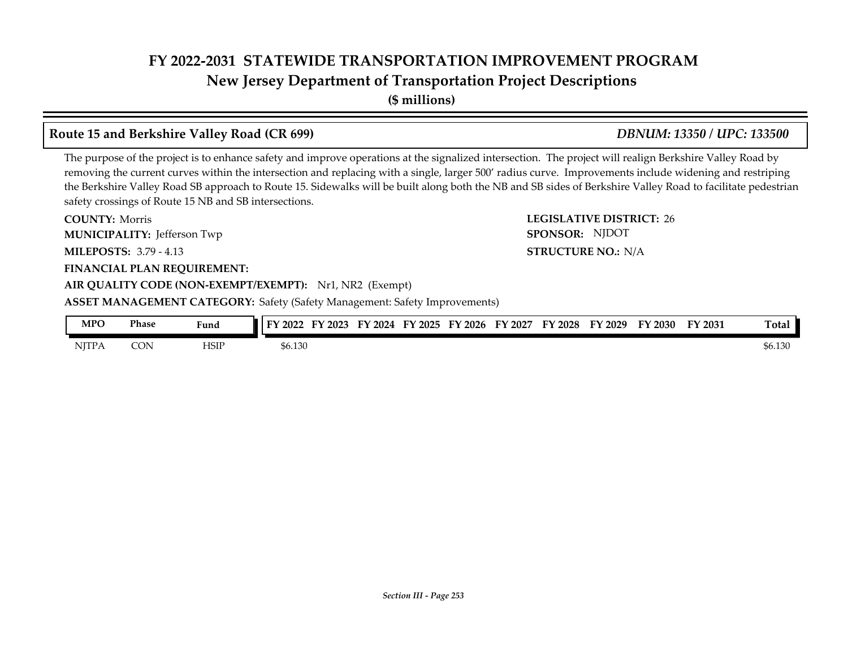**New Jersey Department of Transportation Project Descriptions**

**(\$ millions)**

### **Route 15 and Berkshire Valley Road (CR 699)** *DBNUM: 13350 / UPC: 133500*

The purpose of the project is to enhance safety and improve operations at the signalized intersection. The project will realign Berkshire Valley Road by removing the current curves within the intersection and replacing with a single, larger 500' radius curve. Improvements include widening and restriping the Berkshire Valley Road SB approach to Route 15. Sidewalks will be built along both the NB and SB sides of Berkshire Valley Road to facilitate pedestrian safety crossings of Route 15 NB and SB intersections.

**COUNTY: LEGISLATIVE DISTRICT:** 26 **MILEPOSTS: STRUCTURE NO.:** 3.79 - 4.13 **FINANCIAL PLAN REQUIREMENT:** AIR QUALITY CODE (NON-EXEMPT/EXEMPT): Nr1, NR2 (Exempt) **COUNTY: Morris** Jefferson Twp **MUNICIPALITY: SPONSOR: STRUCTURE NO.: N/A ASSET MANAGEMENT CATEGORY:** Safety (Safety Management: Safety Improvements) SPONSOR: NJDOT

| MPO          | Phase | Fund | тv<br>$^\prime$ 2022 | 2023<br>$\blacksquare$ | 2024<br>FУ | $\frac{1}{2025}$ | FY 2026 | 2027<br>EV. | FΥ<br>2028 | FY 2029 | $\mathbf{Y}$ 2030 | FY 2031 | <b>Total</b> |
|--------------|-------|------|----------------------|------------------------|------------|------------------|---------|-------------|------------|---------|-------------------|---------|--------------|
| <b>NITPA</b> | CON   | HSII | \$6.130              |                        |            |                  |         |             |            |         |                   |         | \$6.130      |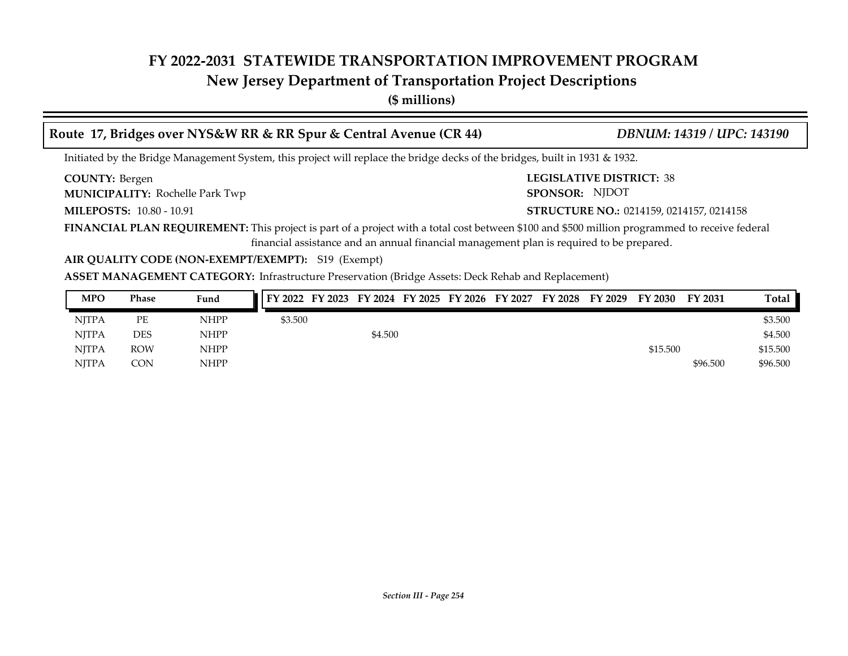## **New Jersey Department of Transportation Project Descriptions**

**(\$ millions)**

| Route 17, Bridges over NYS&W RR & RR Spur & Central Avenue (CR 44)                                                                            | <b>DBNUM: 14319 / UPC: 143190</b>               |
|-----------------------------------------------------------------------------------------------------------------------------------------------|-------------------------------------------------|
| Initiated by the Bridge Management System, this project will replace the bridge decks of the bridges, built in 1931 & 1932.                   |                                                 |
| <b>COUNTY: Bergen</b>                                                                                                                         | <b>LEGISLATIVE DISTRICT: 38</b>                 |
| <b>MUNICIPALITY: Rochelle Park Twp</b>                                                                                                        | SPONSOR: NJDOT                                  |
| <b>MILEPOSTS: 10.80 - 10.91</b>                                                                                                               | <b>STRUCTURE NO.: 0214159, 0214157, 0214158</b> |
| FINANCIAL PLAN REQUIREMENT: This project is part of a project with a total cost between \$100 and \$500 million programmed to receive federal |                                                 |
| financial assistance and an annual financial management plan is required to be prepared.                                                      |                                                 |

### **AIR QUALITY CODE (NON-EXEMPT/EXEMPT):** S19 (Exempt)

**ASSET MANAGEMENT CATEGORY:** Infrastructure Preservation (Bridge Assets: Deck Rehab and Replacement)

| <b>MPO</b>   | Phase      | Fund        | FY 2022 FY 2023 FY 2024 FY 2025 FY 2026 FY 2027 FY 2028 FY 2029 |         |  |  | FY 2030  | <b>FY 2031</b> | <b>Total</b> |
|--------------|------------|-------------|-----------------------------------------------------------------|---------|--|--|----------|----------------|--------------|
| <b>NITPA</b> | PE         | <b>NHPP</b> | \$3.500                                                         |         |  |  |          |                | \$3.500      |
| NITPA        | DES        | <b>NHPP</b> |                                                                 | \$4.500 |  |  |          |                | \$4.500      |
| <b>NITPA</b> | <b>ROW</b> | <b>NHPP</b> |                                                                 |         |  |  | \$15.500 |                | \$15.500     |
| <b>NITPA</b> | CON        | <b>NHPP</b> |                                                                 |         |  |  |          | \$96.500       | \$96.500     |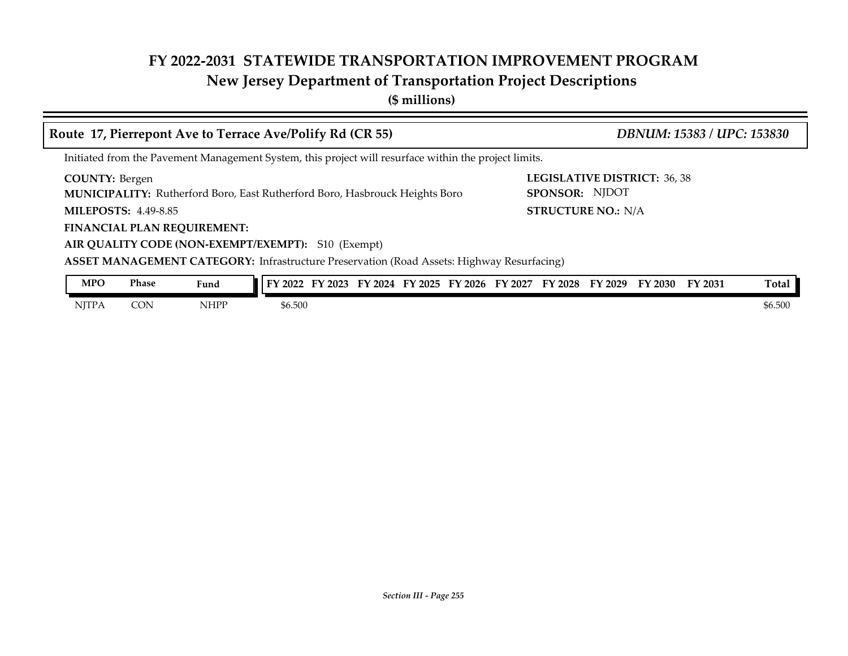## **New Jersey Department of Transportation Project Descriptions**

**(\$ millions)**

| Route 17, Pierrepont Ave to Terrace Ave/Polify Rd (CR 55)                                                     | DBNUM: 15383 / UPC: 153830                            |  |  |  |  |  |  |  |  |  |  |  |
|---------------------------------------------------------------------------------------------------------------|-------------------------------------------------------|--|--|--|--|--|--|--|--|--|--|--|
| Initiated from the Pavement Management System, this project will resurface within the project limits.         |                                                       |  |  |  |  |  |  |  |  |  |  |  |
| <b>COUNTY: Bergen</b><br><b>MUNICIPALITY:</b> Rutherford Boro, East Rutherford Boro, Hasbrouck Heights Boro   | <b>LEGISLATIVE DISTRICT: 36, 38</b><br>SPONSOR: NJDOT |  |  |  |  |  |  |  |  |  |  |  |
| <b>MILEPOSTS: 4.49-8.85</b>                                                                                   | <b>STRUCTURE NO.: N/A</b>                             |  |  |  |  |  |  |  |  |  |  |  |
| <b>FINANCIAL PLAN REQUIREMENT:</b>                                                                            |                                                       |  |  |  |  |  |  |  |  |  |  |  |
| AIR QUALITY CODE (NON-EXEMPT/EXEMPT): S10 (Exempt)                                                            |                                                       |  |  |  |  |  |  |  |  |  |  |  |
| <b>ASSET MANAGEMENT CATEGORY:</b> Infrastructure Preservation (Road Assets: Highway Resurfacing)              |                                                       |  |  |  |  |  |  |  |  |  |  |  |
| <b>Phase</b><br><b>MPO</b><br>FY 2022 FY 2023 FY 2024 FY 2025 FY 2026 FY 2027 FY 2028 FY 2029 FY 2030<br>Fund | Total<br>FY 2031                                      |  |  |  |  |  |  |  |  |  |  |  |

NJTPA CON NHPP \$6.500 \$6.500 \$6.500 \$6.500 \$6.500 \$6.500 \$6.500 \$6.500 \$6.500 \$6.500 \$6.500 \$6.500 \$6.500 \$6.500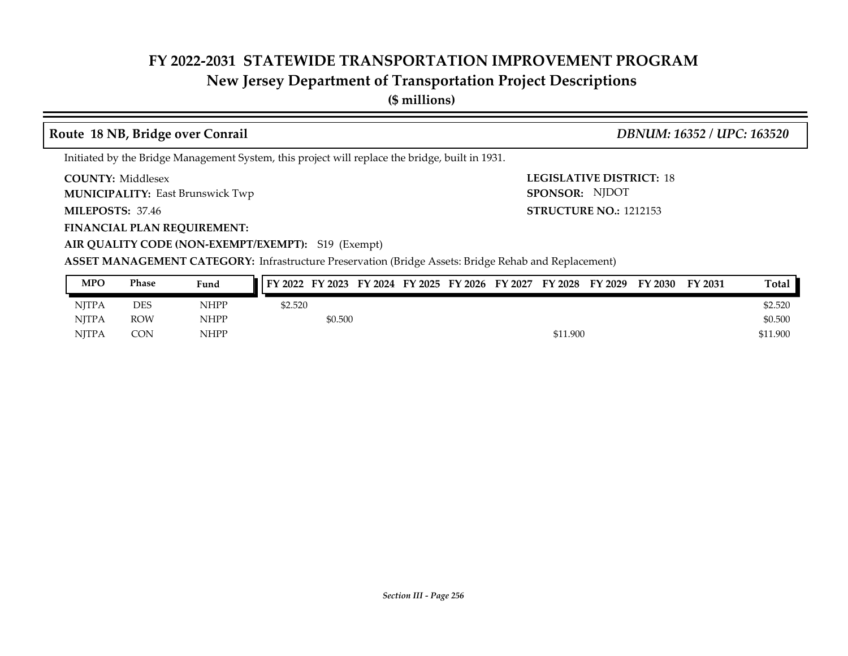## **New Jersey Department of Transportation Project Descriptions**

**(\$ millions)**

### **COUNTY: LEGISLATIVE DISTRICT:** 18 **MILEPOSTS: STRUCTURE NO.:** 1212153 **FINANCIAL PLAN REQUIREMENT: AIR QUALITY CODE (NON-EXEMPT/EXEMPT):** S19 (Exempt) **COUNTY: Middlesex MUNICIPALITY:** East Brunswick Twp **East Brunswick Twp SPONSOR: MILEPOSTS: 37.46** Initiated by the Bridge Management System, this project will replace the bridge, built in 1931. **Route 18 NB, Bridge over Conrail** *DBNUM: 16352 / UPC: 163520* SPONSOR: NJDOT

**ASSET MANAGEMENT CATEGORY:** Infrastructure Preservation (Bridge Assets: Bridge Rehab and Replacement)

| <b>MPO</b>   | Phase      | Fund        | FY 2022 FY 2023 FY 2024 FY 2025 FY 2026 FY 2027 FY 2028 FY 2029 |         |  |  |          | FY 2030 | FY 2031 | Total    |
|--------------|------------|-------------|-----------------------------------------------------------------|---------|--|--|----------|---------|---------|----------|
| <b>NITPA</b> | <b>DES</b> | NHPP        | \$2.520                                                         |         |  |  |          |         |         | \$2.520  |
| <b>NITPA</b> | <b>ROW</b> | <b>NHPP</b> |                                                                 | \$0.500 |  |  |          |         |         | \$0.500  |
| <b>NITPA</b> | CON        | <b>NHPP</b> |                                                                 |         |  |  | \$11.900 |         |         | \$11.900 |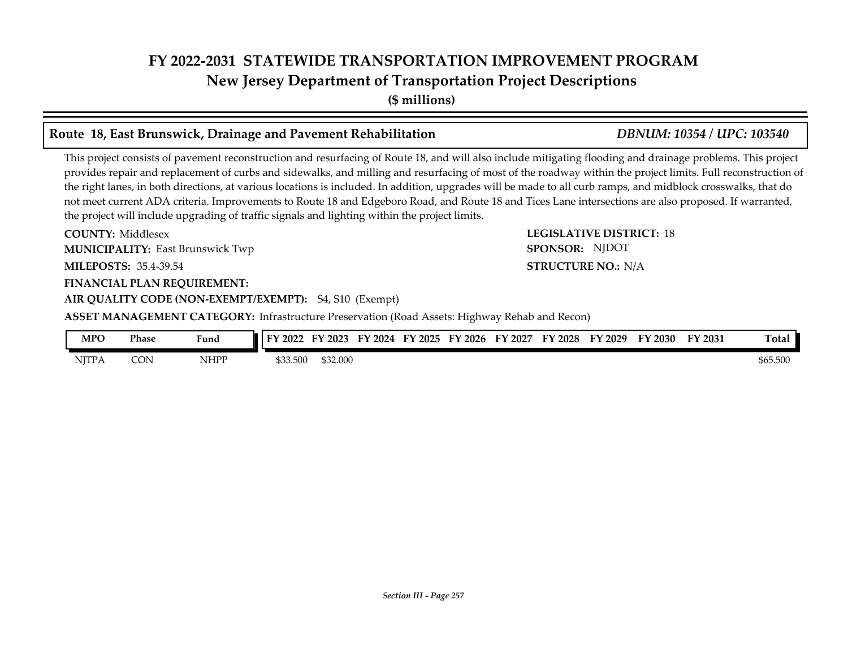## **FY 2022-2031 STATEWIDE TRANSPORTATION IMPROVEMENT PROGRAM New Jersey Department of Transportation Project Descriptions**

**(\$ millions)**

### **Route 18, East Brunswick, Drainage and Pavement Rehabilitation** *DBNUM: 10354 / UPC: 103540*

This project consists of pavement reconstruction and resurfacing of Route 18, and will also include mitigating flooding and drainage problems. This project provides repair and replacement of curbs and sidewalks, and milling and resurfacing of most of the roadway within the project limits. Full reconstruction of the right lanes, in both directions, at various locations is included. In addition, upgrades will be made to all curb ramps, and midblock crosswalks, that do not meet current ADA criteria. Improvements to Route 18 and Edgeboro Road, and Route 18 and Tices Lane intersections are also proposed. If warranted, the project will include upgrading of traffic signals and lighting within the project limits.

**COUNTY: LEGISLATIVE DISTRICT:** 18 **MILEPOSTS: STRUCTURE NO.:** 35.4-39.54 **FINANCIAL PLAN REQUIREMENT: AIR QUALITY CODE (NON-EXEMPT/EXEMPT):** S4, S10 (Exempt) **COUNTY: Middlesex MUNICIPALITY:** East Brunswick Twp **East Brunswick Twp SPONSOR:** 

**ASSET MANAGEMENT CATEGORY:** Infrastructure Preservation (Road Assets: Highway Rehab and Recon)

| <b>MPO</b>   | Phase | <b>The Contract of the Contract of the Contract of the Contract of the Contract of the Contract of the Contract o</b><br>Fund | I FY 2022 | 2023<br>тv | 2024<br>бν | '2025 | FY 2026 | FY 2027 | EV<br>$'$ 2028 | TY 2029 | FY 2030 | FY 2031 | <b>Total</b> |
|--------------|-------|-------------------------------------------------------------------------------------------------------------------------------|-----------|------------|------------|-------|---------|---------|----------------|---------|---------|---------|--------------|
| <b>NJTPA</b> | CON   | NHPP                                                                                                                          | \$33.500  | \$32.000   |            |       |         |         |                |         |         |         | \$65.500     |

**STRUCTURE NO.: N/A** SPONSOR: NJDOT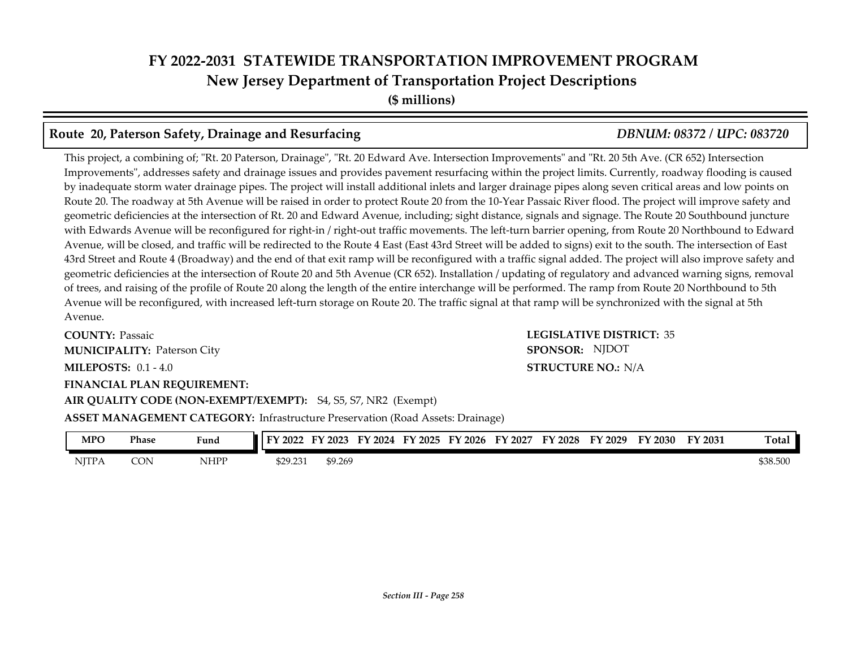## **FY 2022-2031 STATEWIDE TRANSPORTATION IMPROVEMENT PROGRAM New Jersey Department of Transportation Project Descriptions (\$ millions)**

### **Route 20, Paterson Safety, Drainage and Resurfacing** *DBNUM: 08372 / UPC: 083720*

This project, a combining of; "Rt. 20 Paterson, Drainage", "Rt. 20 Edward Ave. Intersection Improvements" and "Rt. 20 5th Ave. (CR 652) Intersection Improvements", addresses safety and drainage issues and provides pavement resurfacing within the project limits. Currently, roadway flooding is caused by inadequate storm water drainage pipes. The project will install additional inlets and larger drainage pipes along seven critical areas and low points on Route 20. The roadway at 5th Avenue will be raised in order to protect Route 20 from the 10-Year Passaic River flood. The project will improve safety and geometric deficiencies at the intersection of Rt. 20 and Edward Avenue, including; sight distance, signals and signage. The Route 20 Southbound juncture with Edwards Avenue will be reconfigured for right-in / right-out traffic movements. The left-turn barrier opening, from Route 20 Northbound to Edward Avenue, will be closed, and traffic will be redirected to the Route 4 East (East 43rd Street will be added to signs) exit to the south. The intersection of East 43rd Street and Route 4 (Broadway) and the end of that exit ramp will be reconfigured with a traffic signal added. The project will also improve safety and geometric deficiencies at the intersection of Route 20 and 5th Avenue (CR 652). Installation / updating of regulatory and advanced warning signs, removal of trees, and raising of the profile of Route 20 along the length of the entire interchange will be performed. The ramp from Route 20 Northbound to 5th Avenue will be reconfigured, with increased left-turn storage on Route 20. The traffic signal at that ramp will be synchronized with the signal at 5th Avenue.

**COUNTY: LEGISLATIVE DISTRICT:** 35 **MILEPOSTS: STRUCTURE NO.:** 0.1 - 4.0 **FINANCIAL PLAN REQUIREMENT:** AIR QUALITY CODE (NON-EXEMPT/EXEMPT): S4, S5, S7, NR2 (Exempt) **COUNTY: Passaic** Paterson City **MUNICIPALITY: SPONSOR:**

**STRUCTURE NO.: N/A** SPONSOR: NJDOT

**ASSET MANAGEMENT CATEGORY:** Infrastructure Preservation (Road Assets: Drainage)

| MPO          | Phase | Fund | FY 2022  | FY 2023 | FY 2024 | FY 2025 | FY 2026 | FY 2027 | FY 2028 | FY 2029 | FY 2030 | FY 2031 | Total    |
|--------------|-------|------|----------|---------|---------|---------|---------|---------|---------|---------|---------|---------|----------|
| <b>NJTPA</b> | CON   | NHPP | \$29.231 | \$9.269 |         |         |         |         |         |         |         |         | \$38.500 |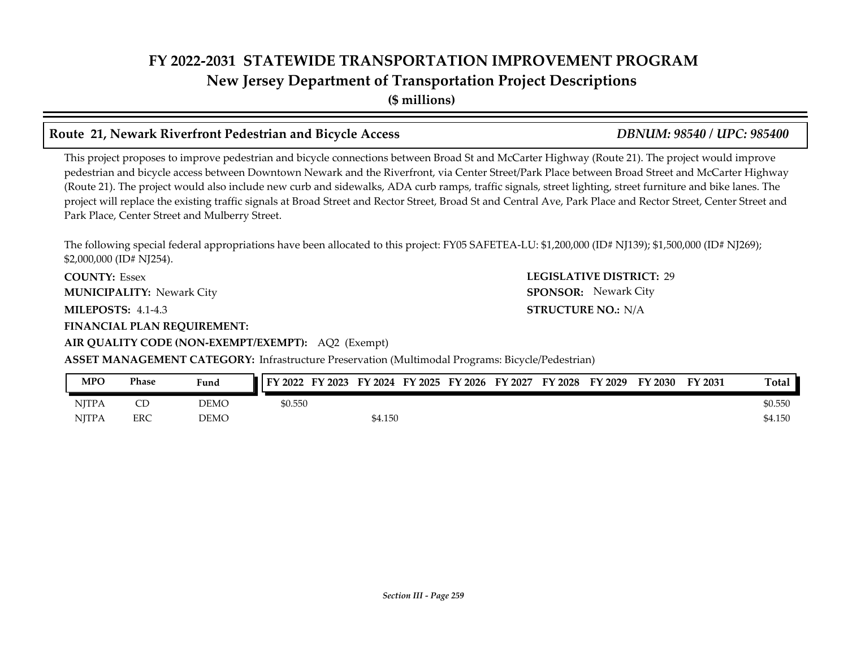## **FY 2022-2031 STATEWIDE TRANSPORTATION IMPROVEMENT PROGRAM New Jersey Department of Transportation Project Descriptions**

**(\$ millions)**

### **Route 21, Newark Riverfront Pedestrian and Bicycle Access** *DBNUM: 98540 / UPC: 985400*

This project proposes to improve pedestrian and bicycle connections between Broad St and McCarter Highway (Route 21). The project would improve pedestrian and bicycle access between Downtown Newark and the Riverfront, via Center Street/Park Place between Broad Street and McCarter Highway (Route 21). The project would also include new curb and sidewalks, ADA curb ramps, traffic signals, street lighting, street furniture and bike lanes. The project will replace the existing traffic signals at Broad Street and Rector Street, Broad St and Central Ave, Park Place and Rector Street, Center Street and Park Place, Center Street and Mulberry Street.

The following special federal appropriations have been allocated to this project: FY05 SAFETEA-LU: \$1,200,000 (ID# NJ139); \$1,500,000 (ID# NJ269); \$2,000,000 (ID# NJ254).

**COUNTY: LEGISLATIVE DISTRICT:** 29 **COUNTY: Essex MUNICIPALITY:** Newark City **SPONSOR:** 

**MILEPOSTS: STRUCTURE NO.:** 4.1-4.3

**FINANCIAL PLAN REQUIREMENT:**

**AIR QUALITY CODE (NON-EXEMPT/EXEMPT):** AQ2 (Exempt)

**ASSET MANAGEMENT CATEGORY:** Infrastructure Preservation (Multimodal Programs: Bicycle/Pedestrian)

| MPO          | Phase | Fund | FY 2022<br>FY 2023 |         |  | FY 2024 FY 2025 FY 2026 FY 2027 | FY 2028 | FY 2029 | FY 2030 | FY 2031 | <b>Total</b> |
|--------------|-------|------|--------------------|---------|--|---------------------------------|---------|---------|---------|---------|--------------|
| <b>NJTPA</b> | CD    | DEMO | \$0.550            |         |  |                                 |         |         |         |         | \$0.550      |
| <b>NITPA</b> | ERC   | DEMO |                    | \$4.150 |  |                                 |         |         |         |         | \$4.150      |

**STRUCTURE NO.: N/A** SPONSOR: Newark City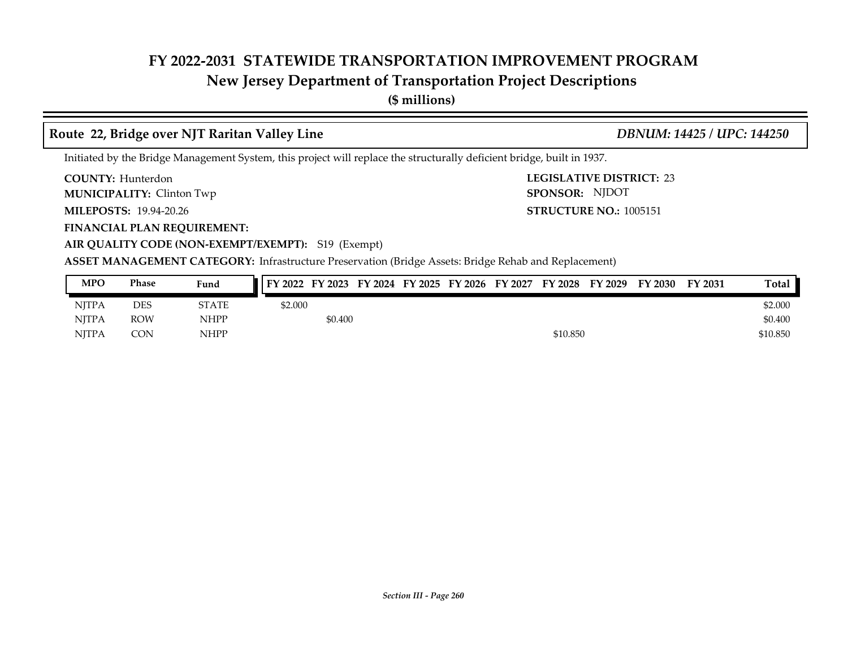## **New Jersey Department of Transportation Project Descriptions**

**(\$ millions)**

### **Route 22, Bridge over NJT Raritan Valley Line** *DBNUM: 14425 / UPC: 144250*

Initiated by the Bridge Management System, this project will replace the structurally deficient bridge, built in 1937.

**COUNTY: LEGISLATIVE DISTRICT:** 23 **COUNTY: Hunterdon** 

**MUNICIPALITY:** Clinton Twp **SPONSOR:** 

**MILEPOSTS: STRUCTURE NO.:** 19.94-20.26

**FINANCIAL PLAN REQUIREMENT:**

**STRUCTURE NO.: 1005151** SPONSOR: NJDOT

**AIR QUALITY CODE (NON-EXEMPT/EXEMPT):** S19 (Exempt)

**ASSET MANAGEMENT CATEGORY:** Infrastructure Preservation (Bridge Assets: Bridge Rehab and Replacement)

| <b>MPO</b>   | Phase      | Fund         | FY 2022 FY 2023 FY 2024 FY 2025 FY 2026 FY 2027 FY 2028 FY 2029 |         |  |  |          | FY 2030 | <b>FY 2031</b> | Total    |
|--------------|------------|--------------|-----------------------------------------------------------------|---------|--|--|----------|---------|----------------|----------|
| <b>NJTPA</b> | DES        | <b>STATE</b> | \$2.000                                                         |         |  |  |          |         |                | \$2.000  |
| <b>NITPA</b> | <b>ROW</b> | <b>NHPP</b>  |                                                                 | \$0.400 |  |  |          |         |                | \$0.400  |
| <b>NITPA</b> | CON        | <b>NHPP</b>  |                                                                 |         |  |  | \$10.850 |         |                | \$10.850 |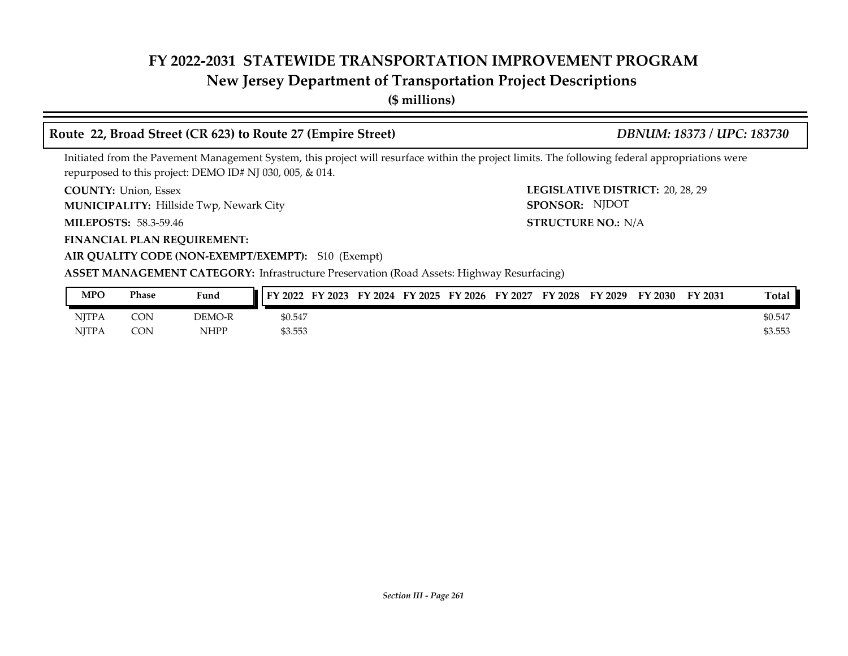## **New Jersey Department of Transportation Project Descriptions**

**(\$ millions)**

### **Route 22, Broad Street (CR 623) to Route 27 (Empire Street)** *DBNUM: 18373 / UPC: 183730*

Initiated from the Pavement Management System, this project will resurface within the project limits. The following federal appropriations were repurposed to this project: DEMO ID# NJ 030, 005, & 014.

**COUNTY: LEGISLATIVE DISTRICT:** 20, 28, 29 COUNTY: Union, Essex

**MUNICIPALITY:** Hillside Twp, Newark City **SPONSOR:** SPONSOR:

**MILEPOSTS: STRUCTURE NO.:** 58.3-59.46

**FINANCIAL PLAN REQUIREMENT:**

**AIR QUALITY CODE (NON-EXEMPT/EXEMPT):** S10 (Exempt)

**ASSET MANAGEMENT CATEGORY:** Infrastructure Preservation (Road Assets: Highway Resurfacing)

| <b>MPO</b> | Phase      | Fund   | FY 2022<br>FY 2023 | FY 2024 | FY 2025 | FY 2026 | FY 2027 | <b>FY 2028</b> | FY 2029 | FY 2030 | FY 2031 | Total   |
|------------|------------|--------|--------------------|---------|---------|---------|---------|----------------|---------|---------|---------|---------|
| NJTPA      | <b>CON</b> | DEMO-R | \$0.547            |         |         |         |         |                |         |         |         | \$0.547 |
| NITPA      | <b>CON</b> | NHPP   | \$3.553            |         |         |         |         |                |         |         |         | \$3.553 |

STRUCTURE NO.: N/A

SPONSOR: NJDOT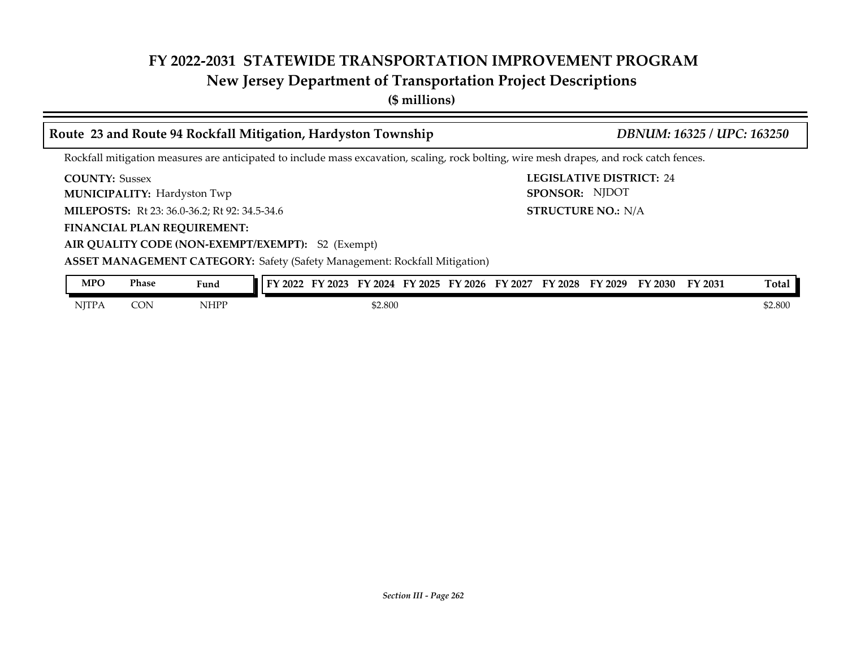## **New Jersey Department of Transportation Project Descriptions**

**(\$ millions)**

|                       |              | Route 23 and Route 94 Rockfall Mitigation, Hardyston Township                                                                            |  |         | DBNUM: 16325 / UPC: 163250 |                           |  |                                                                         |  |         |         |  |
|-----------------------|--------------|------------------------------------------------------------------------------------------------------------------------------------------|--|---------|----------------------------|---------------------------|--|-------------------------------------------------------------------------|--|---------|---------|--|
|                       |              | Rockfall mitigation measures are anticipated to include mass excavation, scaling, rock bolting, wire mesh drapes, and rock catch fences. |  |         |                            |                           |  |                                                                         |  |         |         |  |
| <b>COUNTY: Sussex</b> |              | <b>MUNICIPALITY: Hardyston Twp</b>                                                                                                       |  |         |                            |                           |  | <b>LEGISLATIVE DISTRICT: 24</b><br>SPONSOR: NJDOT                       |  |         |         |  |
|                       |              | MILEPOSTS: Rt 23: 36.0-36.2; Rt 92: 34.5-34.6                                                                                            |  |         |                            | <b>STRUCTURE NO.: N/A</b> |  |                                                                         |  |         |         |  |
|                       |              | <b>FINANCIAL PLAN REQUIREMENT:</b>                                                                                                       |  |         |                            |                           |  |                                                                         |  |         |         |  |
|                       |              | AIR QUALITY CODE (NON-EXEMPT/EXEMPT): S2 (Exempt)                                                                                        |  |         |                            |                           |  |                                                                         |  |         |         |  |
|                       |              | <b>ASSET MANAGEMENT CATEGORY: Safety (Safety Management: Rockfall Mitigation)</b>                                                        |  |         |                            |                           |  |                                                                         |  |         |         |  |
| <b>MPO</b>            | <b>Phase</b> | Fund                                                                                                                                     |  |         |                            |                           |  | FY 2022 FY 2023 FY 2024 FY 2025 FY 2026 FY 2027 FY 2028 FY 2029 FY 2030 |  | FY 2031 | Total   |  |
| <b>NITPA</b>          | <b>CON</b>   | <b>NHPP</b>                                                                                                                              |  | \$2.800 |                            |                           |  |                                                                         |  |         | \$2.800 |  |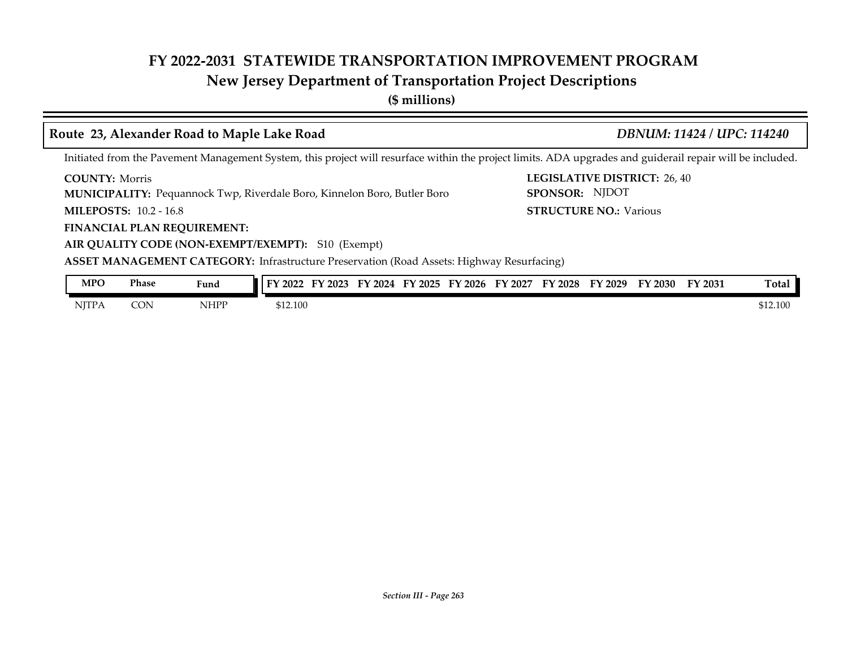## **New Jersey Department of Transportation Project Descriptions**

**(\$ millions)**

### **Route 23, Alexander Road to Maple Lake Road** *DBNUM: 11424 / UPC: 114240*

Initiated from the Pavement Management System, this project will resurface within the project limits. ADA upgrades and guiderail repair will be included.

**COUNTY: LEGISLATIVE DISTRICT:** 26, 40 **COUNTY: Morris** 

**MUNICIPALITY:** Pequannock Twp, Riverdale Boro, Kinnelon Boro, Butler Boro **SPONSOR:** 

**MILEPOSTS: STRUCTURE NO.:** 10.2 - 16.8

**FINANCIAL PLAN REQUIREMENT:**

**AIR QUALITY CODE (NON-EXEMPT/EXEMPT):** S10 (Exempt)

**ASSET MANAGEMENT CATEGORY:** Infrastructure Preservation (Road Assets: Highway Resurfacing)

| <b>MPO</b>   | Phase | Fund | 2022<br>г١ | $\frac{2023}{ }$ | 2024 | FY 2025 | FY 2026 | FY 2027 | '2028<br>FΥ | FY 2029 | FY 2030 | <sup>T</sup> Y 2031 | <b>Total</b> |
|--------------|-------|------|------------|------------------|------|---------|---------|---------|-------------|---------|---------|---------------------|--------------|
| <b>NJTPA</b> | CON   | NHPP | \$12,100   |                  |      |         |         |         |             |         |         |                     | \$12.100     |

**STRUCTURE NO.: Various** 

SPONSOR: NJDOT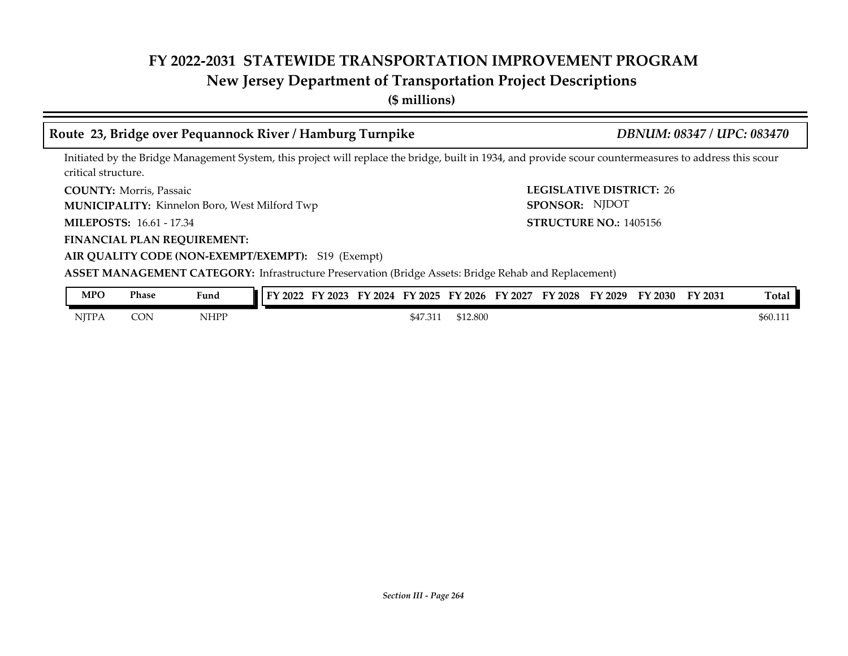## **New Jersey Department of Transportation Project Descriptions**

**(\$ millions)**

### **Route 23, Bridge over Pequannock River / Hamburg Turnpike** *DBNUM: 08347 / UPC: 083470*

Initiated by the Bridge Management System, this project will replace the bridge, built in 1934, and provide scour countermeasures to address this scour critical structure.

**COUNTY:** Morris, Passaic **COUNTY:** 26 COUNTY: Morris, Passaic

**MUNICIPALITY:** Kinnelon Boro, West Milford Twp **SPONSOR:** 

**MILEPOSTS: STRUCTURE NO.:** 16.61 - 17.34

**FINANCIAL PLAN REQUIREMENT:**

**AIR QUALITY CODE (NON-EXEMPT/EXEMPT):** S19 (Exempt)

**ASSET MANAGEMENT CATEGORY:** Infrastructure Preservation (Bridge Assets: Bridge Rehab and Replacement)

| <b>MPO</b>   | Phase      | Fund        | TY 2022 | F١<br>$'$ 2023 | FY 2024 | FY 2025  | FY 2026  | FY 2027 | FY 2028 | FY 2029 | FY 2030 | FY 2031 | Total                |
|--------------|------------|-------------|---------|----------------|---------|----------|----------|---------|---------|---------|---------|---------|----------------------|
| <b>NITPA</b> | <b>CON</b> | <b>NHPP</b> |         |                |         | \$47.311 | \$12.800 |         |         |         |         |         | \$60.11 <sub>1</sub> |

SPONSOR: NJDOT

**STRUCTURE NO.: 1405156**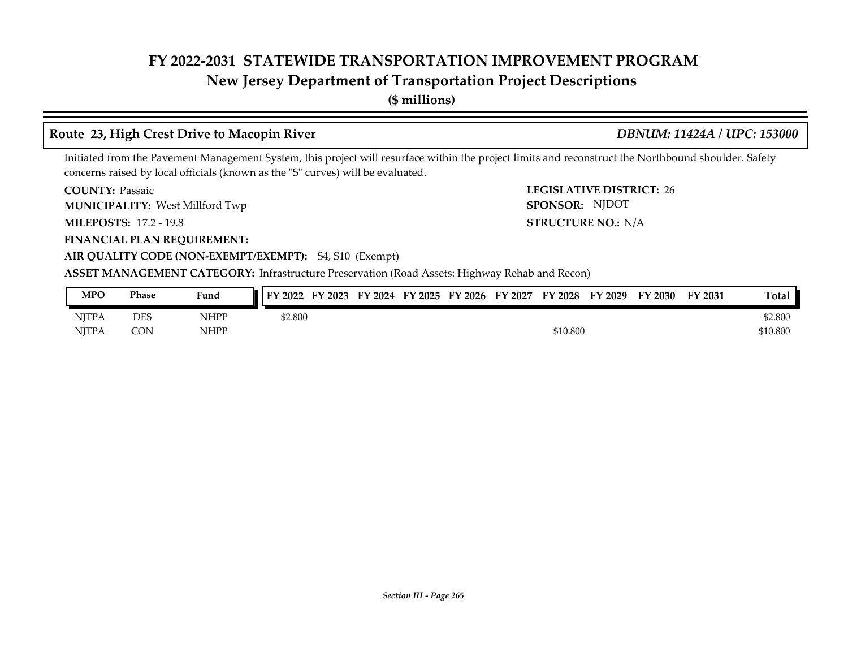## **New Jersey Department of Transportation Project Descriptions**

**(\$ millions)**

### **Route 23, High Crest Drive to Macopin River** *DBNUM: 11424A / UPC: 153000*

### Initiated from the Pavement Management System, this project will resurface within the project limits and reconstruct the Northbound shoulder. Safety concerns raised by local officials (known as the "S" curves) will be evaluated.

**COUNTY: LEGISLATIVE DISTRICT:** 26 **COUNTY: Passaic** 

West Millford Twp **MUNICIPALITY: SPONSOR:**

**MILEPOSTS: STRUCTURE NO.:** 17.2 - 19.8

**FINANCIAL PLAN REQUIREMENT:**

STRUCTURE NO.: N/A SPONSOR: NJDOT

## **AIR QUALITY CODE (NON-EXEMPT/EXEMPT):** S4, S10 (Exempt)

### **ASSET MANAGEMENT CATEGORY:** Infrastructure Preservation (Road Assets: Highway Rehab and Recon)

| <b>MPO</b>   | Phase      | Fund        | FY 2022<br>EV<br>12023 | FY 2024 | FY 2025 | FY 2026 | FY 2027 | FY 2028  | FY 2029 | FY 2030 | FY 2031 | Total    |
|--------------|------------|-------------|------------------------|---------|---------|---------|---------|----------|---------|---------|---------|----------|
| <b>NJTPA</b> | <b>DES</b> | <b>NHPP</b> | \$2.800                |         |         |         |         |          |         |         |         | \$2.800  |
| <b>NITPA</b> | CON        | <b>NHPP</b> |                        |         |         |         |         | \$10.800 |         |         |         | \$10.800 |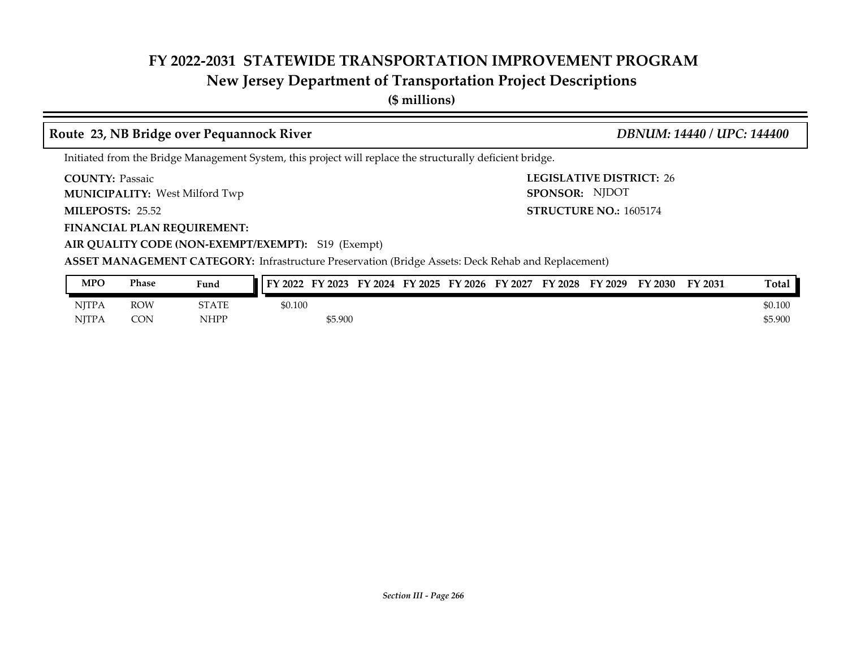## **New Jersey Department of Transportation Project Descriptions**

**(\$ millions)**

### **COUNTY: LEGISLATIVE DISTRICT:** 26 **MILEPOSTS: STRUCTURE NO.:** 25.52 **FINANCIAL PLAN REQUIREMENT: AIR QUALITY CODE (NON-EXEMPT/EXEMPT):** S19 (Exempt) **COUNTY: Passaic** West Milford Twp **MUNICIPALITY: SPONSOR: STRUCTURE NO.: 1605174 ASSET MANAGEMENT CATEGORY:** Infrastructure Preservation (Bridge Assets: Deck Rehab and Replacement) Initiated from the Bridge Management System, this project will replace the structurally deficient bridge. **Route 23, NB Bridge over Pequannock River** *DBNUM: 14440 / UPC: 144400* SPONSOR: NJDOT

| <b>MPO</b>   | Phase      | Fund        | FY 2027<br>FY 2026<br>FY 2028<br>FY 2024<br>FY 2025<br>FV<br>FY 2023<br>FY 2029<br>FY 2022 | Total<br>FY 2031<br>$\frac{2030}{ }$ |
|--------------|------------|-------------|--------------------------------------------------------------------------------------------|--------------------------------------|
| <b>NJTPA</b> | <b>ROW</b> | STATE       | \$0.100                                                                                    | \$0.100                              |
| <b>NITPA</b> | CON        | <b>NHPP</b> | \$5.900                                                                                    | \$5.900                              |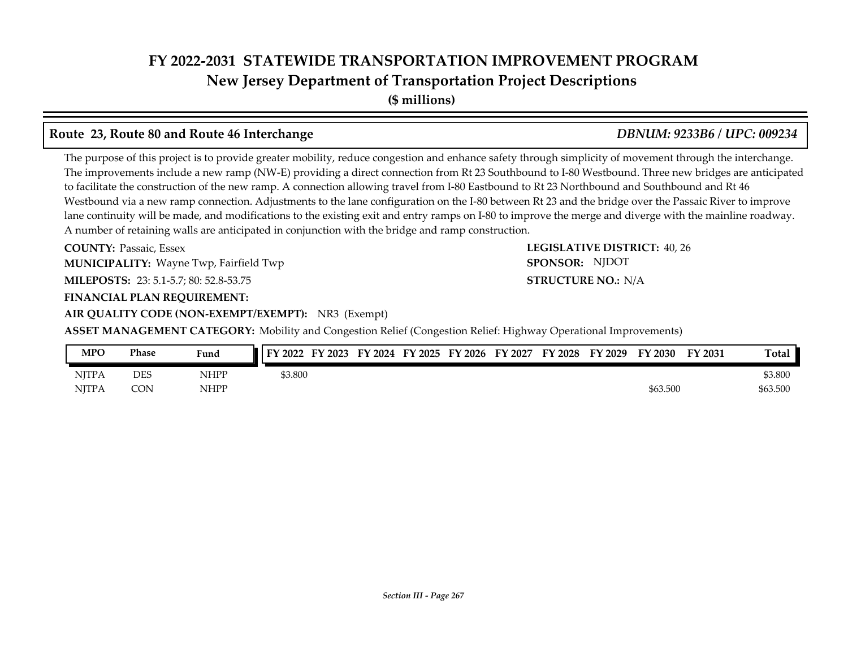## **FY 2022-2031 STATEWIDE TRANSPORTATION IMPROVEMENT PROGRAM New Jersey Department of Transportation Project Descriptions**

**(\$ millions)**

### **Route 23, Route 80 and Route 46 Interchange** *DBNUM: 9233B6 / UPC: 009234*

The purpose of this project is to provide greater mobility, reduce congestion and enhance safety through simplicity of movement through the interchange. The improvements include a new ramp (NW-E) providing a direct connection from Rt 23 Southbound to I-80 Westbound. Three new bridges are anticipated to facilitate the construction of the new ramp. A connection allowing travel from I-80 Eastbound to Rt 23 Northbound and Southbound and Rt 46 Westbound via a new ramp connection. Adjustments to the lane configuration on the I-80 between Rt 23 and the bridge over the Passaic River to improve lane continuity will be made, and modifications to the existing exit and entry ramps on I-80 to improve the merge and diverge with the mainline roadway. A number of retaining walls are anticipated in conjunction with the bridge and ramp construction.

**COUNTY: LEGISLATIVE DISTRICT:** 40, 26 **MILEPOSTS: STRUCTURE NO.:** 23: 5.1-5.7; 80: 52.8-53.75 **FINANCIAL PLAN REQUIREMENT: COUNTY: Passaic, Essex MUNICIPALITY:** Wayne Twp, Fairfield Twp **SPONSOR:** 

**AIR QUALITY CODE (NON-EXEMPT/EXEMPT):** NR3 (Exempt)

**ASSET MANAGEMENT CATEGORY:** Mobility and Congestion Relief (Congestion Relief: Highway Operational Improvements)

| MPO          | Phase      | Fund        | $\sqrt{1 + Y^2 2022}$ FY 2023 | FY 2024 FY 2025 FY 2026 FY 2027 |  | FY 2028 | FY 2029 | FY 2030  | FY 2031 | Total    |
|--------------|------------|-------------|-------------------------------|---------------------------------|--|---------|---------|----------|---------|----------|
| <b>NITPA</b> | <b>DES</b> | NHPP        | \$3.800                       |                                 |  |         |         |          |         | \$3.800  |
| <b>NITPA</b> | CON        | <b>NHPP</b> |                               |                                 |  |         |         | \$63.500 |         | \$63.500 |

### **STRUCTURE NO.: N/A**

SPONSOR: NJDOT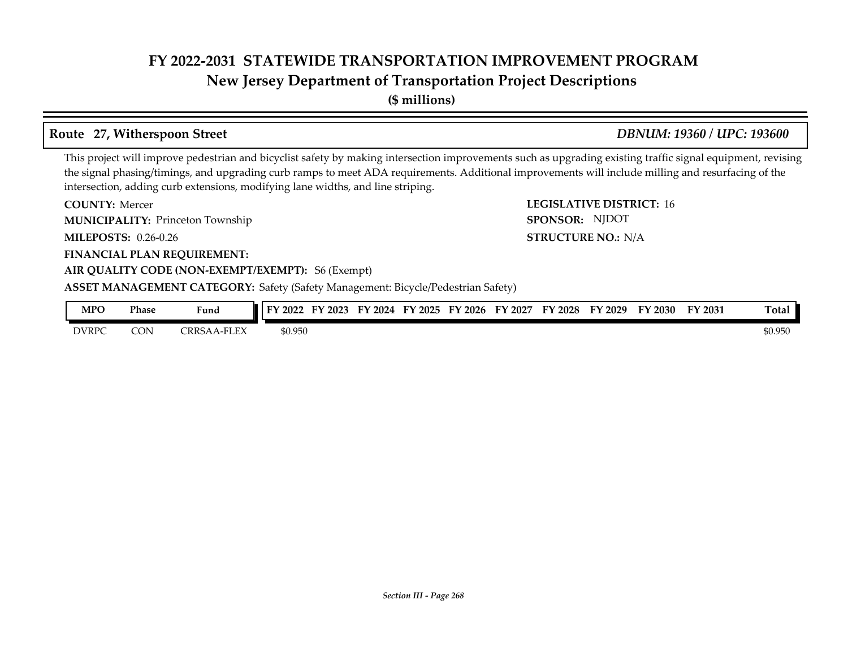## **New Jersey Department of Transportation Project Descriptions**

**(\$ millions)**

### **Route 27, Witherspoon Street** *DBNUM: 19360 / UPC: 193600*

**STRUCTURE NO.: N/A** 

SPONSOR: NJDOT

This project will improve pedestrian and bicyclist safety by making intersection improvements such as upgrading existing traffic signal equipment, revising the signal phasing/timings, and upgrading curb ramps to meet ADA requirements. Additional improvements will include milling and resurfacing of the intersection, adding curb extensions, modifying lane widths, and line striping.

**COUNTY: LEGISLATIVE DISTRICT:** 16 **COUNTY: Mercer MUNICIPALITY:** Princeton Township **EXECUTE: SPONSOR:** 

**MILEPOSTS: STRUCTURE NO.:** 0.26-0.26

**FINANCIAL PLAN REQUIREMENT:**

### **AIR QUALITY CODE (NON-EXEMPT/EXEMPT):** S6 (Exempt)

**ASSET MANAGEMENT CATEGORY:** Safety (Safety Management: Bicycle/Pedestrian Safety)

| MPO          | Phase | Fund                     | FY 2022 | $'$ 2023<br>EV | FY<br>$\degree$ 2024 | FY 2025 | FY 2026 | FY<br>' 2027 | $Y_{12028}$ | FY 2029 | FY 2030 | FY 2031 | Total   |
|--------------|-------|--------------------------|---------|----------------|----------------------|---------|---------|--------------|-------------|---------|---------|---------|---------|
| <b>DVRPC</b> | CON   | -FLEX<br><b>CRRSAA-1</b> | \$0.950 |                |                      |         |         |              |             |         |         |         | \$0.950 |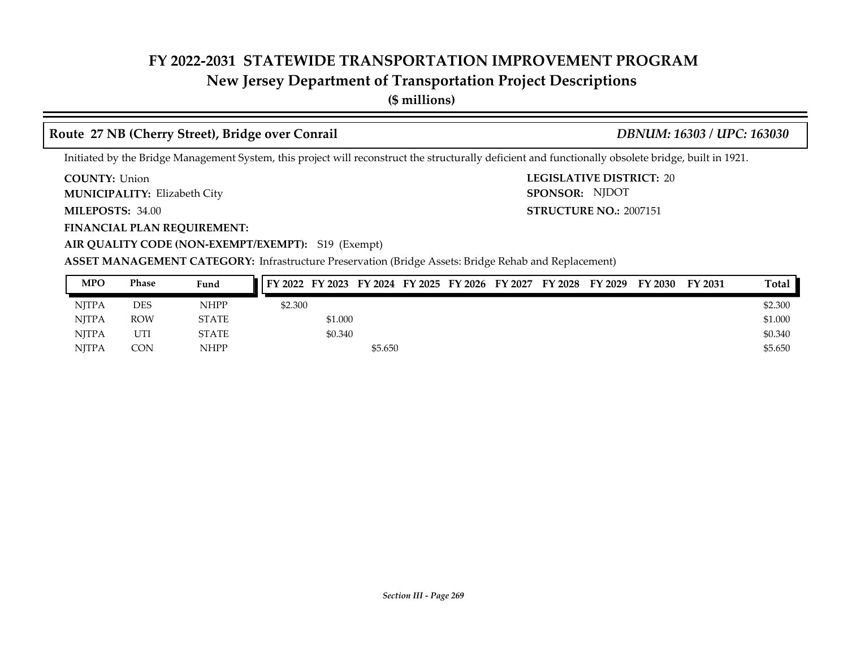## **New Jersey Department of Transportation Project Descriptions**

**(\$ millions)**

### **Route 27 NB (Cherry Street), Bridge over Conrail** *DBNUM: 16303 / UPC: 163030*

### Initiated by the Bridge Management System, this project will reconstruct the structurally deficient and functionally obsolete bridge, built in 1921.

**COUNTY: LEGISLATIVE DISTRICT:** 20 **COUNTY: Union** 

Elizabeth City **MUNICIPALITY: SPONSOR:**

**MILEPOSTS: 34.00** 

**FINANCIAL PLAN REQUIREMENT:**

**AIR QUALITY CODE (NON-EXEMPT/EXEMPT):** S19 (Exempt)

**MILEPOSTS: STRUCTURE NO.:** 2007151 SPONSOR: NJDOT

**ASSET MANAGEMENT CATEGORY:** Infrastructure Preservation (Bridge Assets: Bridge Rehab and Replacement)

| <b>MPO</b>   | <b>Phase</b> | Fund         |         |         |         |  | FY 2022 FY 2023 FY 2024 FY 2025 FY 2026 FY 2027 FY 2028 FY 2029 | FY 2030 | FY 2031 | Total   |
|--------------|--------------|--------------|---------|---------|---------|--|-----------------------------------------------------------------|---------|---------|---------|
| NITPA        | DES          | <b>NHPP</b>  | \$2.300 |         |         |  |                                                                 |         |         | \$2.300 |
| <b>NJTPA</b> | <b>ROW</b>   | <b>STATE</b> |         | \$1.000 |         |  |                                                                 |         |         | \$1.000 |
| NITPA        | UTI          | <b>STATE</b> |         | \$0.340 |         |  |                                                                 |         |         | \$0.340 |
| <b>NJTPA</b> | CON          | <b>NHPP</b>  |         |         | \$5.650 |  |                                                                 |         |         | \$5.650 |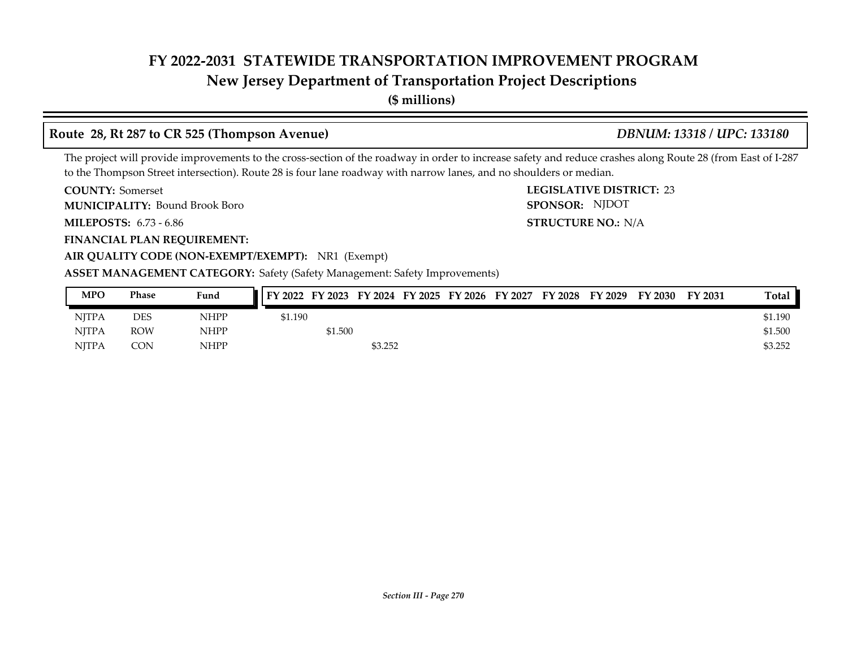## **New Jersey Department of Transportation Project Descriptions**

**(\$ millions)**

### **Route 28, Rt 287 to CR 525 (Thompson Avenue)** *DBNUM: 13318 / UPC: 133180*

STRUCTURE NO.: N/A

SPONSOR: NJDOT

The project will provide improvements to the cross-section of the roadway in order to increase safety and reduce crashes along Route 28 (from East of I-287 to the Thompson Street intersection). Route 28 is four lane roadway with narrow lanes, and no shoulders or median.

**COUNTY: LEGISLATIVE DISTRICT:** 23 **COUNTY: Somerset** 

Bound Brook Boro **MUNICIPALITY: SPONSOR:**

**MILEPOSTS: STRUCTURE NO.:** 6.73 - 6.86

**FINANCIAL PLAN REQUIREMENT:**

**AIR QUALITY CODE (NON-EXEMPT/EXEMPT):** NR1 (Exempt)

**ASSET MANAGEMENT CATEGORY:** Safety (Safety Management: Safety Improvements)

| <b>MPO</b>   | Phase      | Fund        | FY 2022 FY 2023 FY 2024 FY 2025 FY 2026 FY 2027 |         |         |  | FY 2028 FY 2029 | FY 2030 | FY 2031 | <b>Total</b> |
|--------------|------------|-------------|-------------------------------------------------|---------|---------|--|-----------------|---------|---------|--------------|
| NITPA        | <b>DES</b> | <b>NHPP</b> | \$1.190                                         |         |         |  |                 |         |         | \$1.190      |
| NITPA        | <b>ROW</b> | NHPP        |                                                 | \$1.500 |         |  |                 |         |         | \$1.500      |
| <b>NJTPA</b> | CON        | <b>NHPP</b> |                                                 |         | \$3.252 |  |                 |         |         | \$3.252      |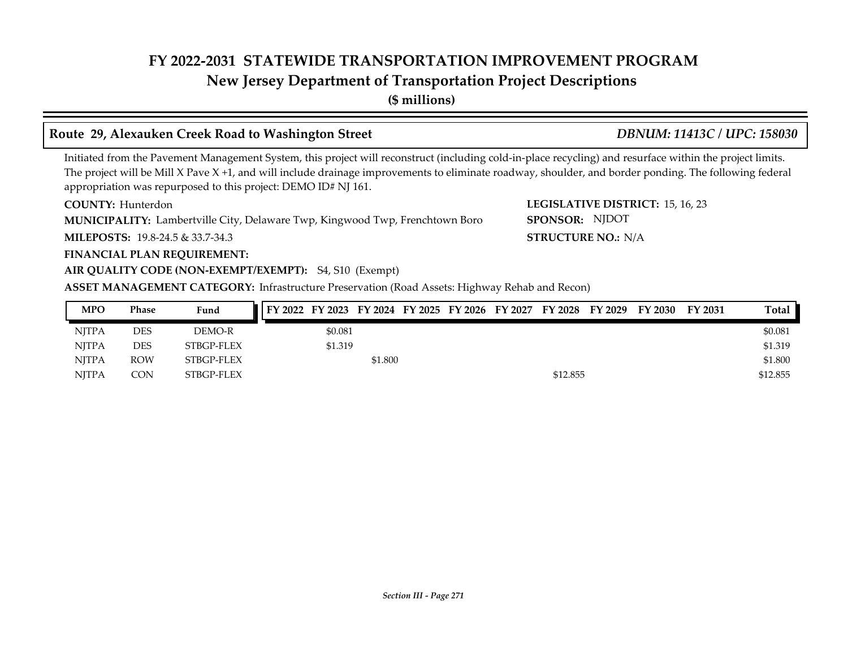## **New Jersey Department of Transportation Project Descriptions**

**(\$ millions)**

### **Route 29, Alexauken Creek Road to Washington Street** *DBNUM: 11413C / UPC: 158030*

**STRUCTURE NO.: N/A** 

SPONSOR: NJDOT

Initiated from the Pavement Management System, this project will reconstruct (including cold-in-place recycling) and resurface within the project limits. The project will be Mill X Pave  $X + 1$ , and will include drainage improvements to eliminate roadway, shoulder, and border ponding. The following federal appropriation was repurposed to this project: DEMO ID# NJ 161.

**COUNTY: LEGISLATIVE DISTRICT:** 15, 16, 23 **COUNTY: Hunterdon** 

Lambertville City, Delaware Twp, Kingwood Twp, Frenchtown Boro **MUNICIPALITY: SPONSOR:**

**MILEPOSTS: STRUCTURE NO.:** 19.8-24.5 & 33.7-34.3

**FINANCIAL PLAN REQUIREMENT:**

### **AIR QUALITY CODE (NON-EXEMPT/EXEMPT):** S4, S10 (Exempt)

**ASSET MANAGEMENT CATEGORY:** Infrastructure Preservation (Road Assets: Highway Rehab and Recon)

| <b>MPO</b>   | Phase      | Fund       |         |         |  |          | FY 2022 FY 2023 FY 2024 FY 2025 FY 2026 FY 2027 FY 2028 FY 2029 | FY 2030 | FY 2031 | Total    |
|--------------|------------|------------|---------|---------|--|----------|-----------------------------------------------------------------|---------|---------|----------|
| NITPA        | DES        | DEMO-R     | \$0.081 |         |  |          |                                                                 |         |         | \$0.081  |
| NITPA        | <b>DES</b> | STBGP-FLEX | \$1.319 |         |  |          |                                                                 |         |         | \$1.319  |
| NITPA        | <b>ROW</b> | STBGP-FLEX |         | \$1.800 |  |          |                                                                 |         |         | \$1.800  |
| <b>NITPA</b> | CON        | STBGP-FLEX |         |         |  | \$12.855 |                                                                 |         |         | \$12.855 |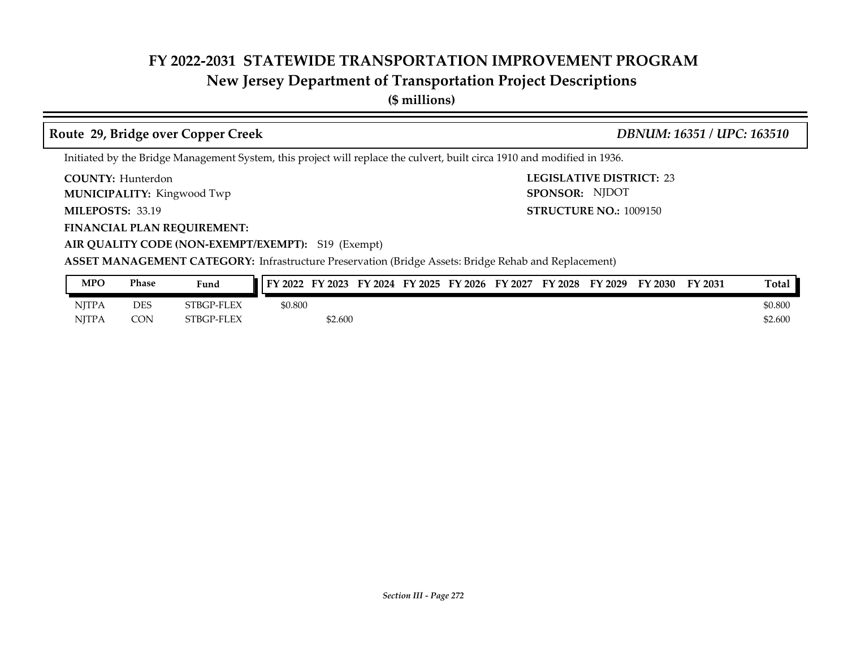## **New Jersey Department of Transportation Project Descriptions**

**(\$ millions)**

### **Route 29, Bridge over Copper Creek** *DBNUM: 16351 / UPC: 163510*

Initiated by the Bridge Management System, this project will replace the culvert, built circa 1910 and modified in 1936.

**COUNTY: LEGISLATIVE DISTRICT:** 23 **COUNTY: Hunterdon** 

**MUNICIPALITY:** Kingwood Twp **SPONSOR:** 

**MILEPOSTS: 33.19** 

**FINANCIAL PLAN REQUIREMENT:**

**MILEPOSTS: STRUCTURE NO.:** 1009150 SPONSOR: NJDOT

**AIR QUALITY CODE (NON-EXEMPT/EXEMPT):** S19 (Exempt)

**ASSET MANAGEMENT CATEGORY:** Infrastructure Preservation (Bridge Assets: Bridge Rehab and Replacement)

| <b>MPO</b>   | <b>Phase</b> | Fund              | FY 2022 | FY 2023 | FY 2024 FY 2025 | FY 2026 | FY 2027 | FY 2028 | FY 2029 | FY 2030 | FY 2031 | <b>Total</b> |
|--------------|--------------|-------------------|---------|---------|-----------------|---------|---------|---------|---------|---------|---------|--------------|
| <b>NITPA</b> | <b>DES</b>   | <b>STBGP-FLEX</b> | \$0.800 |         |                 |         |         |         |         |         |         | \$0.800      |
| <b>NITPA</b> | <b>CON</b>   | STBGP-FLEX        |         | \$2.600 |                 |         |         |         |         |         |         | \$2.600      |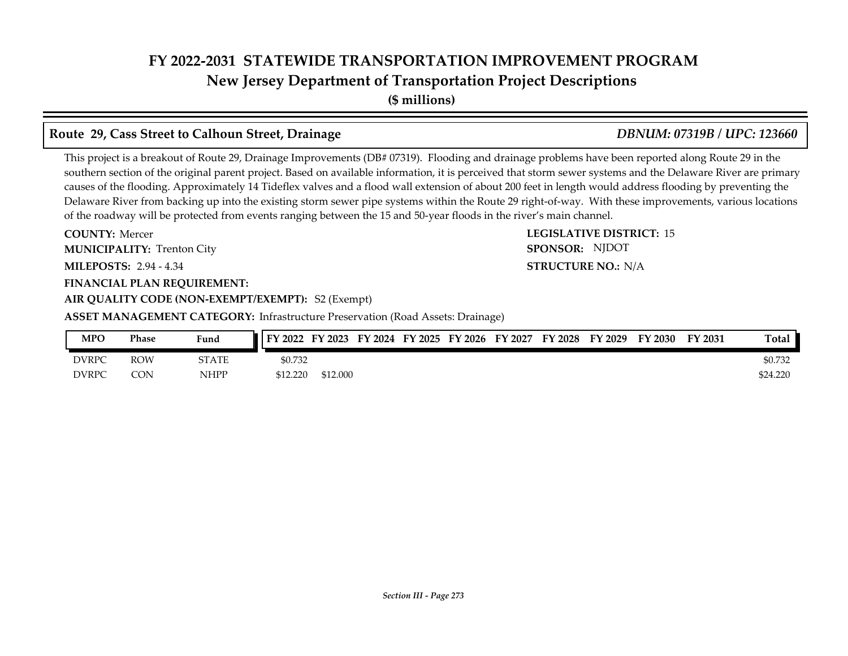**New Jersey Department of Transportation Project Descriptions**

**(\$ millions)**

### **Route 29, Cass Street to Calhoun Street, Drainage** *DBNUM: 07319B / UPC: 123660*

This project is a breakout of Route 29, Drainage Improvements (DB# 07319). Flooding and drainage problems have been reported along Route 29 in the southern section of the original parent project. Based on available information, it is perceived that storm sewer systems and the Delaware River are primary causes of the flooding. Approximately 14 Tideflex valves and a flood wall extension of about 200 feet in length would address flooding by preventing the Delaware River from backing up into the existing storm sewer pipe systems within the Route 29 right-of-way. With these improvements, various locations of the roadway will be protected from events ranging between the 15 and 50-year floods in the river's main channel.

**COUNTY: LEGISLATIVE DISTRICT:** 15 **MILEPOSTS: STRUCTURE NO.:** 2.94 - 4.34 **FINANCIAL PLAN REQUIREMENT: AIR QUALITY CODE (NON-EXEMPT/EXEMPT):** S2 (Exempt) **COUNTY: Mercer MUNICIPALITY:** Trenton City **SPONSOR: ASSET MANAGEMENT CATEGORY:** Infrastructure Preservation (Road Assets: Drainage)

**STRUCTURE NO.: N/A** SPONSOR: NJDOT

DVRPC ROW STATE \$0.732 \$0.732 \$0.732 \$0.732 DVRPC CON NHPP \$12.220 \$12.000 \$24.220 **MPO Phase Fund FY 2022 FY 2023 FY 2024 FY 2025 FY 2026 FY 2027 FY 2028 FY 2029 FY 2030 FY 2031 Total**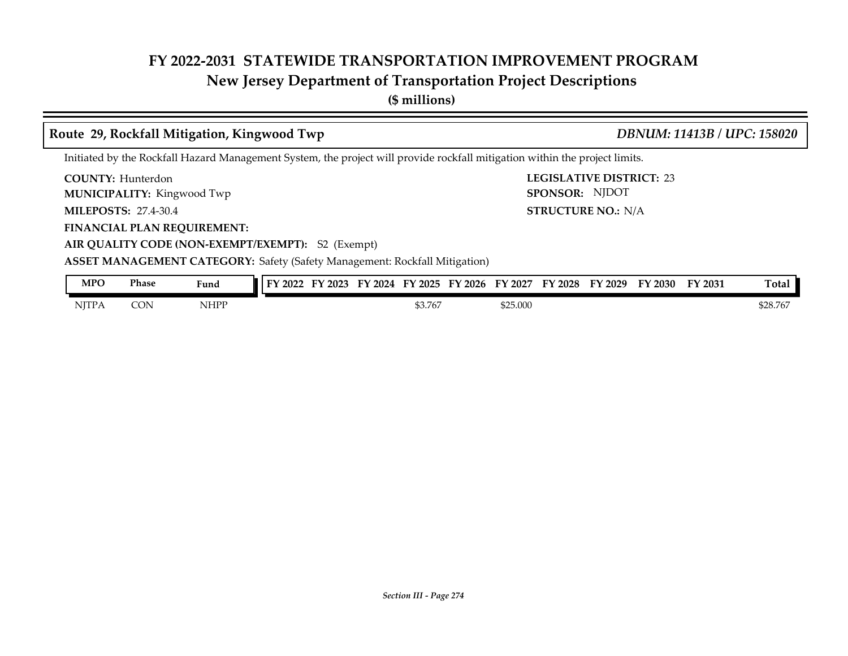## **New Jersey Department of Transportation Project Descriptions**

**(\$ millions)**

### **COUNTY: LEGISLATIVE DISTRICT:** 23 **MILEPOSTS: STRUCTURE NO.:** 27.4-30.4 **FINANCIAL PLAN REQUIREMENT: AIR QUALITY CODE (NON-EXEMPT/EXEMPT):** S2 (Exempt) **COUNTY: Hunterdon MUNICIPALITY:** Kingwood Twp **SPONSOR: STRUCTURE NO.: N/A ASSET MANAGEMENT CATEGORY:** Safety (Safety Management: Rockfall Mitigation) Initiated by the Rockfall Hazard Management System, the project will provide rockfall mitigation within the project limits. **Route 29, Rockfall Mitigation, Kingwood Twp** *DBNUM: 11413B / UPC: 158020* SPONSOR: NJDOT NJTPA CON NHPP \$3.767 \$25.000 \$28.767 \$25.000 \$28.767 **MPO Phase Fund FY 2022 FY 2023 FY 2024 FY 2025 FY 2026 FY 2027 FY 2028 FY 2029 FY 2030 FY 2031 Total**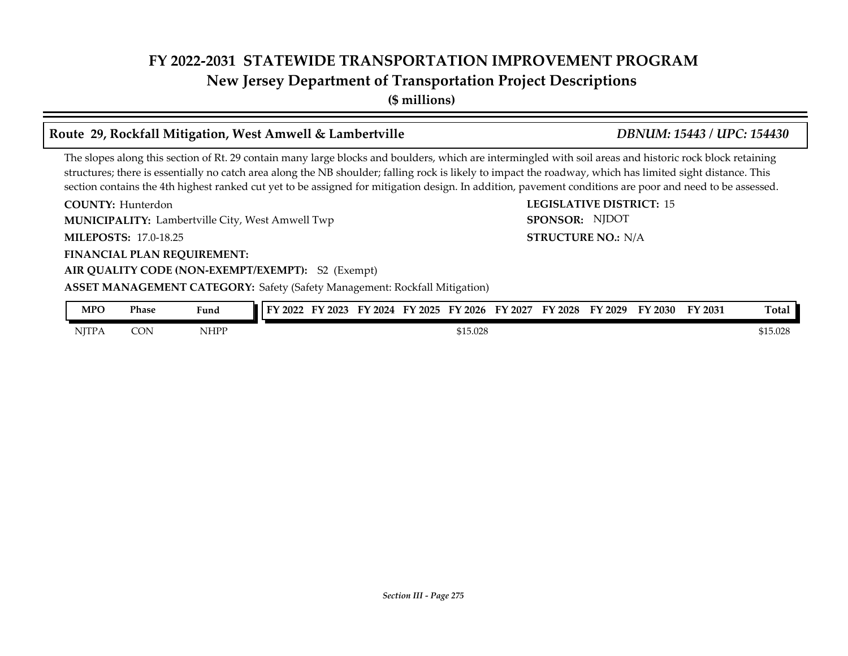## **FY 2022-2031 STATEWIDE TRANSPORTATION IMPROVEMENT PROGRAM New Jersey Department of Transportation Project Descriptions**

**(\$ millions)**

### **Route 29, Rockfall Mitigation, West Amwell & Lambertville** *DBNUM: 15443 / UPC: 154430*

The slopes along this section of Rt. 29 contain many large blocks and boulders, which are intermingled with soil areas and historic rock block retaining structures; there is essentially no catch area along the NB shoulder; falling rock is likely to impact the roadway, which has limited sight distance. This section contains the 4th highest ranked cut yet to be assigned for mitigation design. In addition, pavement conditions are poor and need to be assessed.

**COUNTY:** Hunterdon **COUNTY:** 15 **MILEPOSTS: STRUCTURE NO.:** 17.0-18.25 **FINANCIAL PLAN REQUIREMENT: AIR QUALITY CODE (NON-EXEMPT/EXEMPT):** S2 (Exempt) COUNTY: Hunterdon **MUNICIPALITY:** Lambertville City, West Amwell Twp **SPONSOR: STRUCTURE NO.: N/A ASSET MANAGEMENT CATEGORY:** Safety (Safety Management: Rockfall Mitigation) SPONSOR: NJDOT

| <b>MPO</b>   | Phase | Fund        | FY 2022 | <b>FY 2023</b> | FV<br>2024 | FY 2025 | FY 2026  | FY 2027 | FY 2028 | FY 2029 | FY 2030 | FY 2031 | <b>Total</b> |
|--------------|-------|-------------|---------|----------------|------------|---------|----------|---------|---------|---------|---------|---------|--------------|
| <b>NJTPA</b> | CON   | <b>NHPP</b> |         |                |            |         | \$15.028 |         |         |         |         |         | \$15.028     |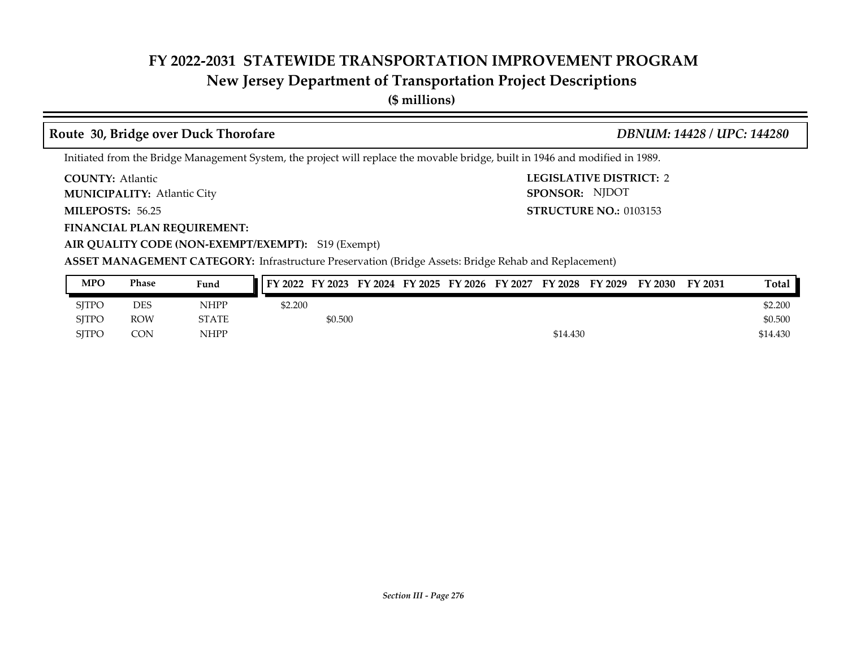## **New Jersey Department of Transportation Project Descriptions**

**(\$ millions)**

### **Route 30, Bridge over Duck Thorofare** *DBNUM: 14428 / UPC: 144280*

Initiated from the Bridge Management System, the project will replace the movable bridge, built in 1946 and modified in 1989.

**COUNTY: Atlantic** 

Atlantic City **MUNICIPALITY: SPONSOR:**

**MILEPOSTS: 56.25** 

**FINANCIAL PLAN REQUIREMENT:**

**AIR QUALITY CODE (NON-EXEMPT/EXEMPT):** S19 (Exempt)

**COUNTY: LEGISLATIVE DISTRICT:** 2 **MILEPOSTS: STRUCTURE NO.:** 0103153 SPONSOR: NJDOT

**ASSET MANAGEMENT CATEGORY:** Infrastructure Preservation (Bridge Assets: Bridge Rehab and Replacement)

| <b>MPO</b>   | Phase      | Fund         | FY 2022 FY 2023 FY 2024 FY 2025 FY 2026 FY 2027 FY 2028 FY 2029 |         |  |  |          | FY 2030 | FY 2031 | Total    |
|--------------|------------|--------------|-----------------------------------------------------------------|---------|--|--|----------|---------|---------|----------|
| <b>SITPC</b> | DES        | NHPP         | \$2.200                                                         |         |  |  |          |         |         | \$2,200  |
| <b>SITPO</b> | <b>ROW</b> | <b>STATE</b> |                                                                 | \$0.500 |  |  |          |         |         | \$0.500  |
| <b>SITPC</b> | <b>CON</b> | NHPP         |                                                                 |         |  |  | \$14.430 |         |         | \$14.430 |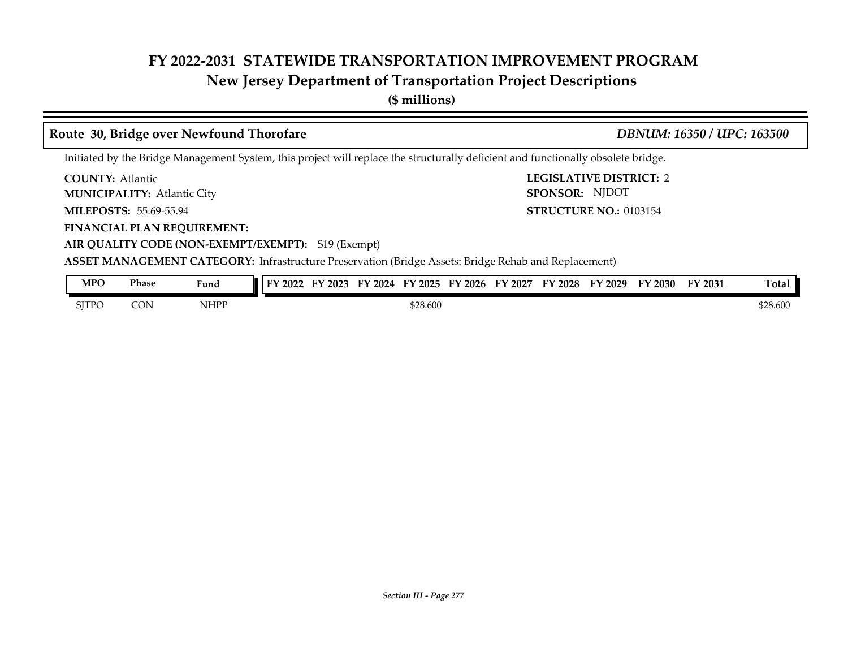## **New Jersey Department of Transportation Project Descriptions**

**(\$ millions)**

### **COUNTY: LEGISLATIVE DISTRICT:** 2 **MILEPOSTS: STRUCTURE NO.:** 55.69-55.94 **FINANCIAL PLAN REQUIREMENT: AIR QUALITY CODE (NON-EXEMPT/EXEMPT):** S19 (Exempt) **COUNTY: Atlantic** Atlantic City **MUNICIPALITY: SPONSOR: STRUCTURE NO.: 0103154 ASSET MANAGEMENT CATEGORY:** Infrastructure Preservation (Bridge Assets: Bridge Rehab and Replacement) Initiated by the Bridge Management System, this project will replace the structurally deficient and functionally obsolete bridge. **Route 30, Bridge over Newfound Thorofare** *DBNUM: 16350 / UPC: 163500* SPONSOR: NJDOT SJTPO CON NHPP \$28.600 \$28.600 \$28.600 \$28.600 \$28.600 **MPO Phase Fund FY 2022 FY 2023 FY 2024 FY 2025 FY 2026 FY 2027 FY 2028 FY 2029 FY 2030 FY 2031 Total**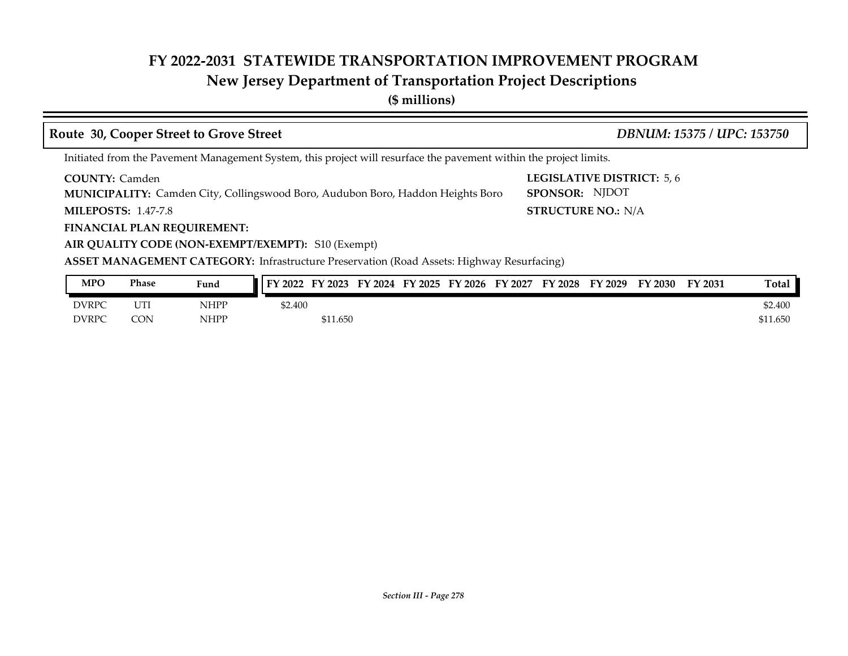## **New Jersey Department of Transportation Project Descriptions**

**(\$ millions)**

| Route 30, Cooper Street to Grove Street                                                                                                            | DBNUM: 15375 / UPC: 153750                         |
|----------------------------------------------------------------------------------------------------------------------------------------------------|----------------------------------------------------|
| Initiated from the Pavement Management System, this project will resurface the pavement within the project limits.                                 |                                                    |
| <b>COUNTY: Camden</b><br>MUNICIPALITY: Camden City, Collingswood Boro, Audubon Boro, Haddon Heights Boro                                           | <b>LEGISLATIVE DISTRICT: 5,6</b><br>SPONSOR: NJDOT |
| <b>MILEPOSTS: 1.47-7.8</b>                                                                                                                         | <b>STRUCTURE NO.: N/A</b>                          |
| <b>FINANCIAL PLAN REQUIREMENT:</b>                                                                                                                 |                                                    |
| AIR QUALITY CODE (NON-EXEMPT/EXEMPT): S10 (Exempt)                                                                                                 |                                                    |
| <b>ASSET MANAGEMENT CATEGORY:</b> Infrastructure Preservation (Road Assets: Highway Resurfacing)                                                   |                                                    |
| MDO<br>$\overline{\phantom{a}}$ EV 2002 EV 2024 EV 2025 EV 2024 EV 2027 EV 2029 EV 2020 EV 2021 EV 2021<br><b>Phace</b><br>$E \cdot \cdot \cdot A$ | $T_{\alpha}$ + $\alpha$ 1                          |

| <b>MPO</b> | <b>Phase</b> | Fund        | <b>II FY 2022</b> | FY 2023  |  | FY 2024 FY 2025 FY 2026 | FY 2027 | FY 2028 | FY 2029 | FY 2030 | FY 2031 | Total    |
|------------|--------------|-------------|-------------------|----------|--|-------------------------|---------|---------|---------|---------|---------|----------|
| DVRPC      | UTI          | <b>NHPP</b> | \$2.400           |          |  |                         |         |         |         |         |         | \$2.400  |
| DVRPC      | CON          | <b>NHPP</b> |                   | \$11.650 |  |                         |         |         |         |         |         | \$11.650 |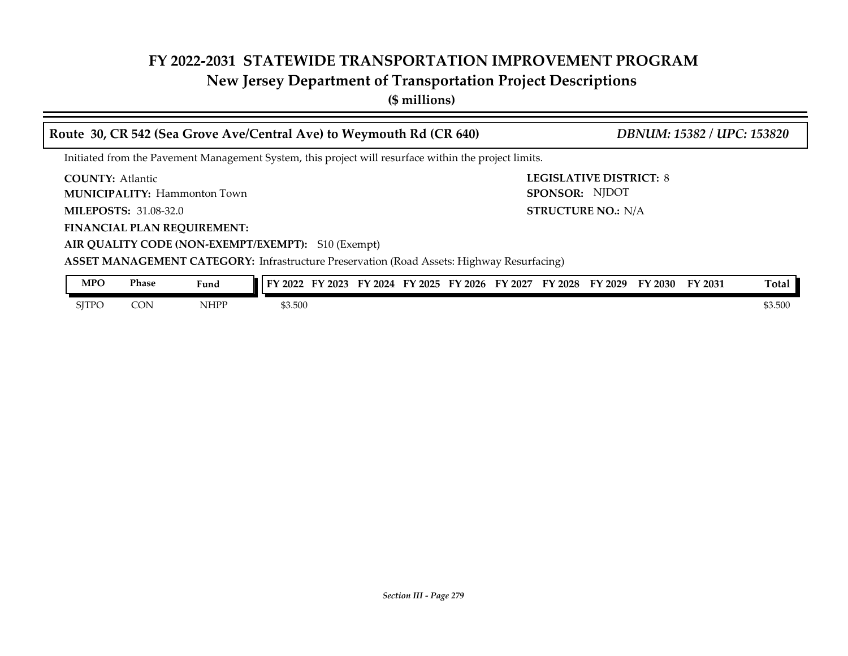## **New Jersey Department of Transportation Project Descriptions**

**(\$ millions)**

| Route 30, CR 542 (Sea Grove Ave/Central Ave) to Weymouth Rd (CR 640)                             | DBNUM: 15382 / UPC: 153820                                                                            |  |  |  |  |  |  |  |  |  |  |
|--------------------------------------------------------------------------------------------------|-------------------------------------------------------------------------------------------------------|--|--|--|--|--|--|--|--|--|--|
|                                                                                                  | Initiated from the Pavement Management System, this project will resurface within the project limits. |  |  |  |  |  |  |  |  |  |  |
| <b>COUNTY:</b> Atlantic<br><b>MUNICIPALITY: Hammonton Town</b>                                   | <b>LEGISLATIVE DISTRICT: 8</b><br>SPONSOR: NJDOT                                                      |  |  |  |  |  |  |  |  |  |  |
| <b>MILEPOSTS: 31.08-32.0</b>                                                                     | <b>STRUCTURE NO.: N/A</b>                                                                             |  |  |  |  |  |  |  |  |  |  |
| <b>FINANCIAL PLAN REQUIREMENT:</b>                                                               |                                                                                                       |  |  |  |  |  |  |  |  |  |  |
| AIR QUALITY CODE (NON-EXEMPT/EXEMPT): S10 (Exempt)                                               |                                                                                                       |  |  |  |  |  |  |  |  |  |  |
| <b>ASSET MANAGEMENT CATEGORY:</b> Infrastructure Preservation (Road Assets: Highway Resurfacing) |                                                                                                       |  |  |  |  |  |  |  |  |  |  |
| <b>MPO</b><br><b>Phase</b><br>Fund                                                               | FY 2022 FY 2023 FY 2024 FY 2025 FY 2026 FY 2027 FY 2028 FY 2029 FY 2030 FY 2031<br>Total              |  |  |  |  |  |  |  |  |  |  |

 $S$  STPO CON NHPP \$3.500  $$3.500$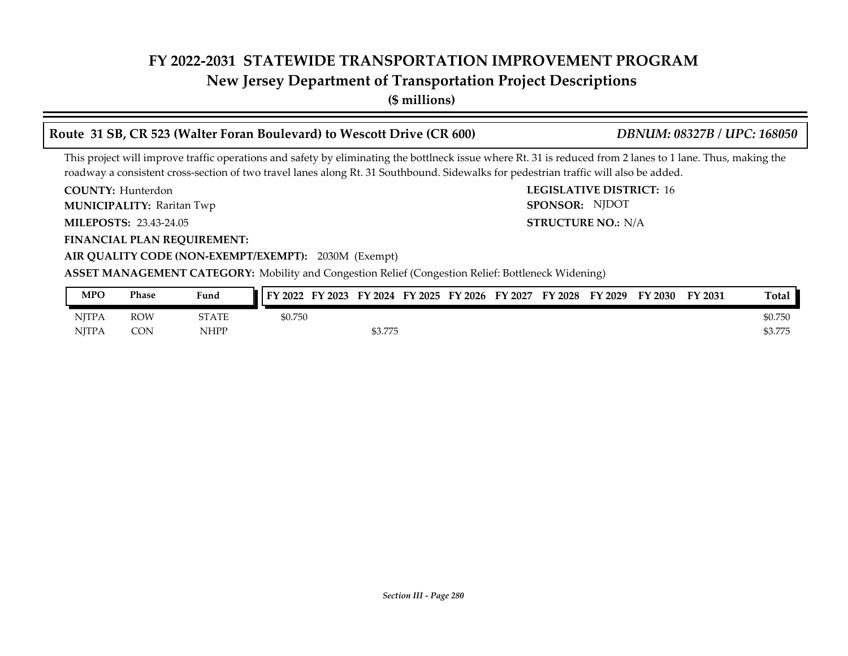## **New Jersey Department of Transportation Project Descriptions**

**(\$ millions)**

# **Route 31 SB, CR 523 (Walter Foran Boulevard) to Wescott Drive (CR 600)** *DBNUM: 08327B / UPC: 168050*

This project will improve traffic operations and safety by eliminating the bottlneck issue where Rt. 31 is reduced from 2 lanes to 1 lane. Thus, making the roadway a consistent cross-section of two travel lanes along Rt. 31 Southbound. Sidewalks for pedestrian traffic will also be added.

**COUNTY:** Hunterdon **COUNTY:** 16 **COUNTY: Hunterdon** 

**MUNICIPALITY:** Raritan Twp **SPONSOR:** 

**MILEPOSTS: STRUCTURE NO.:** 23.43-24.05

**FINANCIAL PLAN REQUIREMENT:**

**AIR QUALITY CODE (NON-EXEMPT/EXEMPT):** 2030M (Exempt)

**ASSET MANAGEMENT CATEGORY:** Mobility and Congestion Relief (Congestion Relief: Bottleneck Widening)

| <b>MPO</b>   | Phase      | Fund        | FY 2022<br>FY 2023 | FY 2024 FY 2025 | FY 2026 | FY 2027 | FY 2028 | FY 2029 | FY 2030 | FY 2031 | <b>Total</b> |
|--------------|------------|-------------|--------------------|-----------------|---------|---------|---------|---------|---------|---------|--------------|
| NJTPA        | <b>ROW</b> | STATE       | \$0.750            |                 |         |         |         |         |         |         | \$0.750      |
| <b>NITPA</b> | <b>CON</b> | <b>NHPP</b> |                    | \$3.775         |         |         |         |         |         |         | \$3.775      |

STRUCTURE NO.: N/A

SPONSOR: NJDOT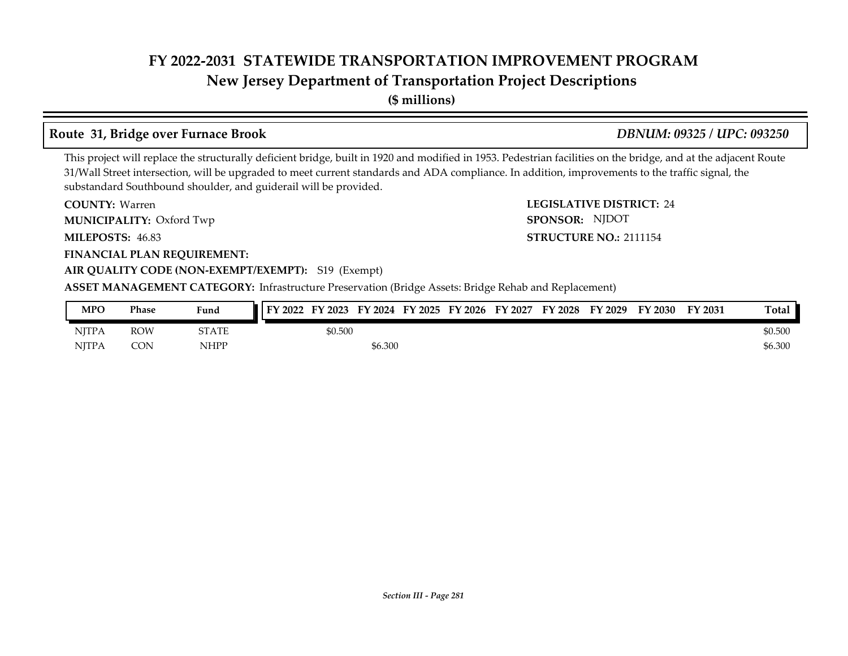## **New Jersey Department of Transportation Project Descriptions**

**(\$ millions)**

### **Route 31, Bridge over Furnace Brook** *DBNUM: 09325 / UPC: 093250*

**STRUCTURE NO.: 2111154** 

SPONSOR: NJDOT

This project will replace the structurally deficient bridge, built in 1920 and modified in 1953. Pedestrian facilities on the bridge, and at the adjacent Route 31/Wall Street intersection, will be upgraded to meet current standards and ADA compliance. In addition, improvements to the traffic signal, the substandard Southbound shoulder, and guiderail will be provided.

**COUNTY: LEGISLATIVE DISTRICT:** 24 COUNTY: Warren

**MUNICIPALITY:** Oxford Twp **CONSOR:** 

**MILEPOSTS: STRUCTURE NO.:** 46.83

**FINANCIAL PLAN REQUIREMENT:**

### **AIR QUALITY CODE (NON-EXEMPT/EXEMPT):** S19 (Exempt)

**ASSET MANAGEMENT CATEGORY:** Infrastructure Preservation (Bridge Assets: Bridge Rehab and Replacement)

| MPO          | Phase | Fund         | FY 2022 | FY 2023 |         |  | FY 2024 FY 2025 FY 2026 FY 2027 | FY 2028 | FY 2029 | FY 2030 | FY 2031 | Total   |
|--------------|-------|--------------|---------|---------|---------|--|---------------------------------|---------|---------|---------|---------|---------|
| <b>NITPA</b> | ROW   | <b>STATE</b> |         | \$0.500 |         |  |                                 |         |         |         |         | \$0.500 |
| <b>NITPA</b> | CON   | NHPP         |         |         | \$6.300 |  |                                 |         |         |         |         | \$6.300 |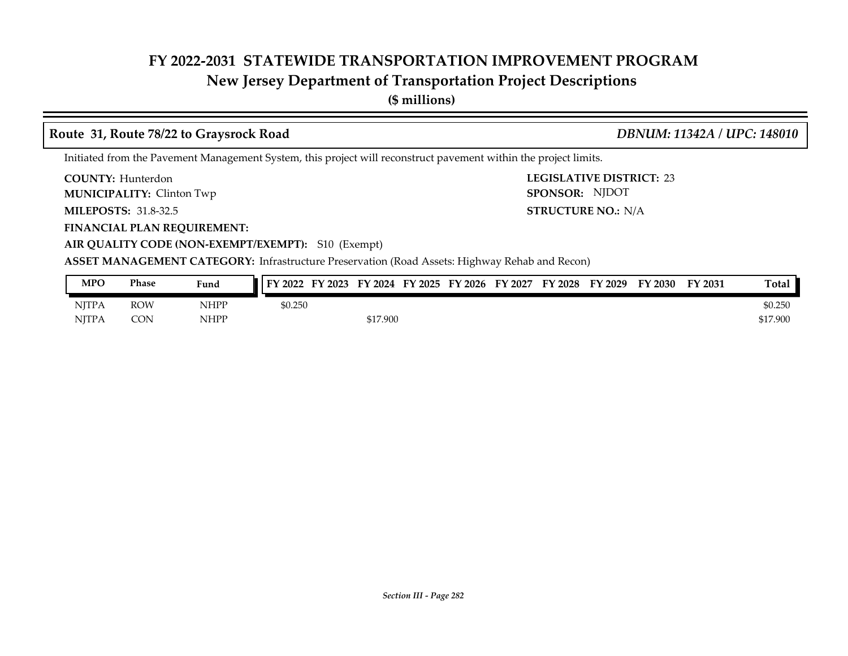## **New Jersey Department of Transportation Project Descriptions**

**(\$ millions)**

### **Route 31, Route 78/22 to Graysrock Road** *DBNUM: 11342A / UPC: 148010*

**STRUCTURE NO.: N/A** 

SPONSOR: NJDOT

Initiated from the Pavement Management System, this project will reconstruct pavement within the project limits.

**COUNTY: LEGISLATIVE DISTRICT:** 23 **COUNTY: Hunterdon** 

**MUNICIPALITY:** Clinton Twp **SPONSOR:** 

**MILEPOSTS: STRUCTURE NO.:** 31.8-32.5

**FINANCIAL PLAN REQUIREMENT:**

**AIR QUALITY CODE (NON-EXEMPT/EXEMPT):** S10 (Exempt)

**ASSET MANAGEMENT CATEGORY:** Infrastructure Preservation (Road Assets: Highway Rehab and Recon)

| MPO          | Phase      | Fund | FY 2023<br>FY 2022 |          | FY 2024 FY 2025 FY 2026 | FY 2027 | FY 2028 | FY 2029 | FY 2030 | FY 2031 | Total    |
|--------------|------------|------|--------------------|----------|-------------------------|---------|---------|---------|---------|---------|----------|
| <b>NJTPA</b> | <b>ROW</b> | NHPP | \$0.250            |          |                         |         |         |         |         |         | \$0.250  |
| NITPA        | <b>CON</b> | NHPP |                    | \$17.900 |                         |         |         |         |         |         | \$17.900 |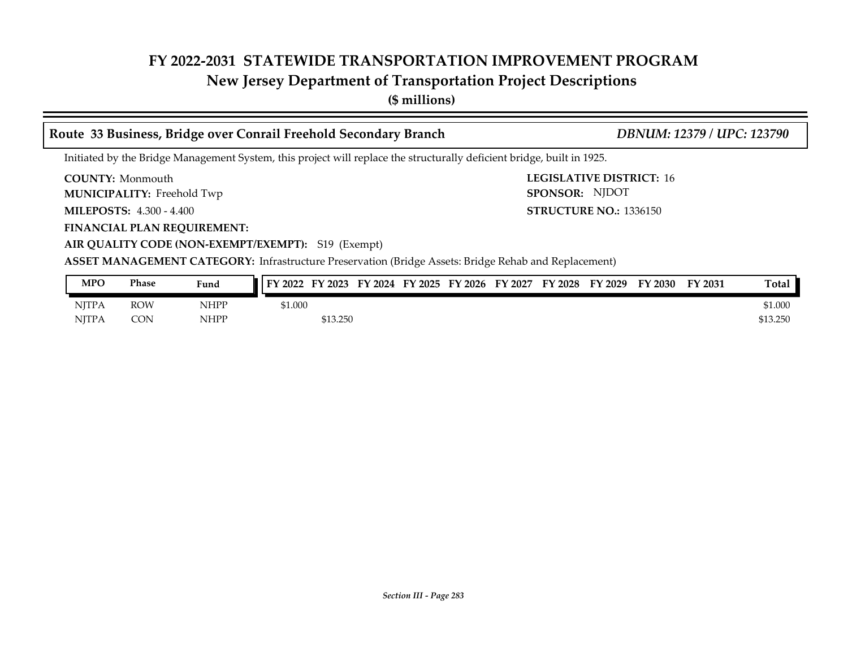## **New Jersey Department of Transportation Project Descriptions**

**(\$ millions)**

| Route 33 Business, Bridge over Conrail Freehold Secondary Branch                                                       | DBNUM: 12379 / UPC: 123790                        |
|------------------------------------------------------------------------------------------------------------------------|---------------------------------------------------|
| Initiated by the Bridge Management System, this project will replace the structurally deficient bridge, built in 1925. |                                                   |
| <b>COUNTY:</b> Monmouth<br>MUNICIPALITY: Freehold Twp                                                                  | <b>LEGISLATIVE DISTRICT: 16</b><br>SPONSOR: NJDOT |
| <b>MILEPOSTS: 4.300 - 4.400</b>                                                                                        | <b>STRUCTURE NO.: 1336150</b>                     |
| <b>FINANCIAL PLAN REQUIREMENT:</b>                                                                                     |                                                   |
| AIR QUALITY CODE (NON-EXEMPT/EXEMPT): S19 (Exempt)                                                                     |                                                   |
| ASSET MANAGEMENT CATEGORY: Infrastructure Preservation (Bridge Assets: Bridge Rehab and Replacement)                   |                                                   |

| <b>MPO</b>   | Phase      | Fund        | FY 2022<br>FY 2023<br>FY 2024 FY 2025<br>FY 2027<br>FY 2028<br>FY 2029<br>FY 2026<br>FY 2030<br>FY 2031 | Total    |
|--------------|------------|-------------|---------------------------------------------------------------------------------------------------------|----------|
| <b>NITPA</b> | <b>ROW</b> | <b>NHPP</b> | \$1.000                                                                                                 | \$1.000  |
| <b>NITPA</b> | CON        | <b>NHPP</b> | \$13.250                                                                                                | \$13.250 |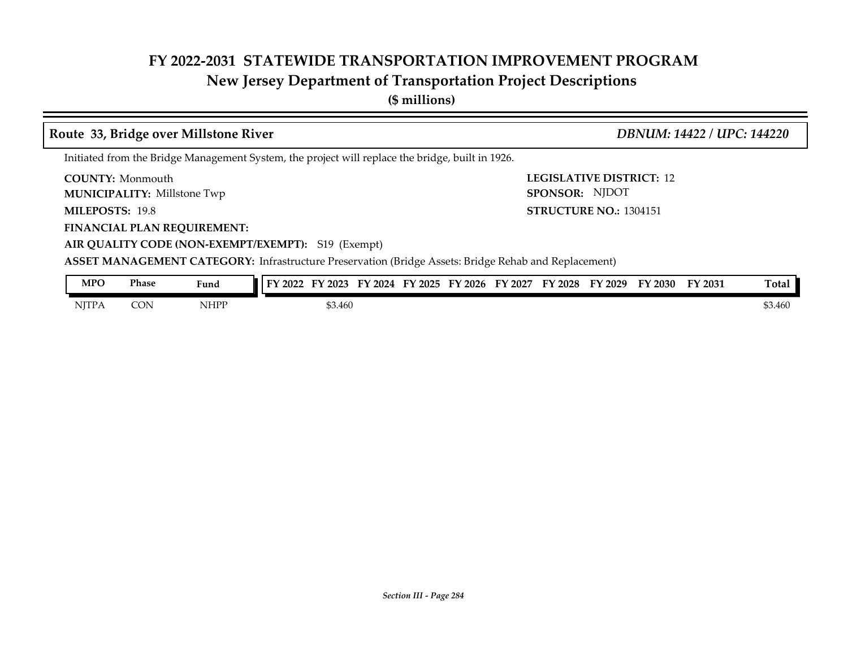## **New Jersey Department of Transportation Project Descriptions**

**(\$ millions)**

|                                                               |              | Route 33, Bridge over Millstone River |                                                                                                             |  | DBNUM: 14422 / UPC: 144220                        |  |                  |  |  |  |
|---------------------------------------------------------------|--------------|---------------------------------------|-------------------------------------------------------------------------------------------------------------|--|---------------------------------------------------|--|------------------|--|--|--|
|                                                               |              |                                       | Initiated from the Bridge Management System, the project will replace the bridge, built in 1926.            |  |                                                   |  |                  |  |  |  |
| <b>COUNTY:</b> Monmouth<br><b>MUNICIPALITY: Millstone Twp</b> |              |                                       |                                                                                                             |  | <b>LEGISLATIVE DISTRICT: 12</b><br>SPONSOR: NJDOT |  |                  |  |  |  |
| <b>MILEPOSTS: 19.8</b>                                        |              |                                       |                                                                                                             |  | <b>STRUCTURE NO.: 1304151</b>                     |  |                  |  |  |  |
|                                                               |              | <b>FINANCIAL PLAN REQUIREMENT:</b>    |                                                                                                             |  |                                                   |  |                  |  |  |  |
|                                                               |              |                                       | AIR QUALITY CODE (NON-EXEMPT/EXEMPT): S19 (Exempt)                                                          |  |                                                   |  |                  |  |  |  |
|                                                               |              |                                       | <b>ASSET MANAGEMENT CATEGORY:</b> Infrastructure Preservation (Bridge Assets: Bridge Rehab and Replacement) |  |                                                   |  |                  |  |  |  |
| <b>MPO</b>                                                    | <b>Phase</b> | Fund                                  | FY 2022 FY 2023 FY 2024 FY 2025 FY 2026 FY 2027 FY 2028 FY 2029 FY 2030                                     |  |                                                   |  | Total<br>FY 2031 |  |  |  |
| <b>NITPA</b>                                                  | <b>CON</b>   | <b>NHPP</b>                           | \$3.460                                                                                                     |  |                                                   |  | \$3.460          |  |  |  |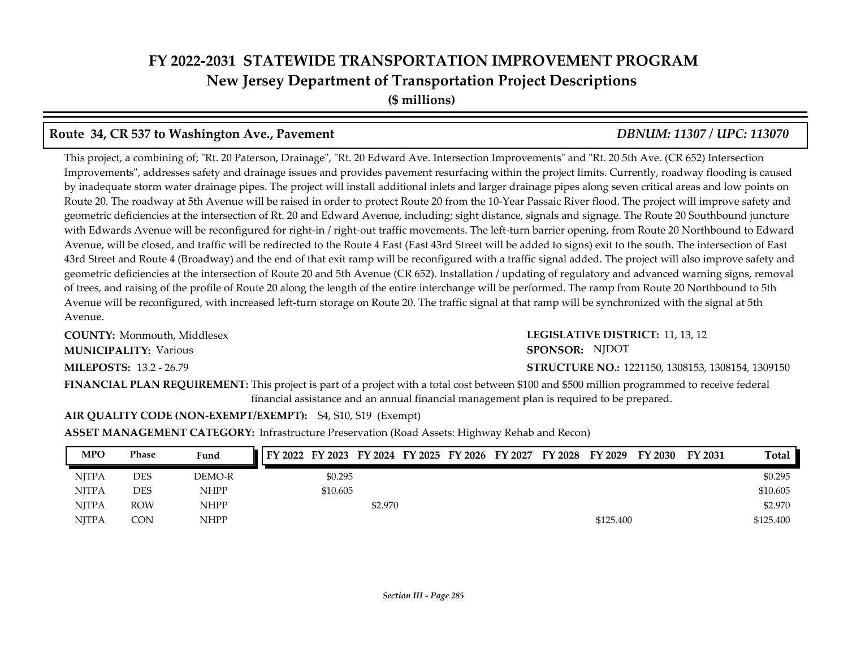## **FY 2022-2031 STATEWIDE TRANSPORTATION IMPROVEMENT PROGRAM New Jersey Department of Transportation Project Descriptions (\$ millions)**

### **Route 34, CR 537 to Washington Ave., Pavement** *DBNUM: 11307 / UPC: 113070*

This project, a combining of; "Rt. 20 Paterson, Drainage", "Rt. 20 Edward Ave. Intersection Improvements" and "Rt. 20 5th Ave. (CR 652) Intersection Improvements", addresses safety and drainage issues and provides pavement resurfacing within the project limits. Currently, roadway flooding is caused by inadequate storm water drainage pipes. The project will install additional inlets and larger drainage pipes along seven critical areas and low points on Route 20. The roadway at 5th Avenue will be raised in order to protect Route 20 from the 10-Year Passaic River flood. The project will improve safety and geometric deficiencies at the intersection of Rt. 20 and Edward Avenue, including; sight distance, signals and signage. The Route 20 Southbound juncture with Edwards Avenue will be reconfigured for right-in / right-out traffic movements. The left-turn barrier opening, from Route 20 Northbound to Edward Avenue, will be closed, and traffic will be redirected to the Route 4 East (East 43rd Street will be added to signs) exit to the south. The intersection of East 43rd Street and Route 4 (Broadway) and the end of that exit ramp will be reconfigured with a traffic signal added. The project will also improve safety and geometric deficiencies at the intersection of Route 20 and 5th Avenue (CR 652). Installation / updating of regulatory and advanced warning signs, removal of trees, and raising of the profile of Route 20 along the length of the entire interchange will be performed. The ramp from Route 20 Northbound to 5th Avenue will be reconfigured, with increased left-turn storage on Route 20. The traffic signal at that ramp will be synchronized with the signal at 5th Avenue.

**COUNTY: LEGISLATIVE DISTRICT:** Monmouth, Middlesex **MILEPOSTS: STRUCTURE NO.:** 13.2 - 26.79 **MUNICIPALITY:** Various **SPONSOR:** 

### LEGISLATIVE DISTRICT: 11, 13, 12 **STRUCTURE NO.: 1221150, 1308153, 1308154, 1309150** SPONSOR: NJDOT

**FINANCIAL PLAN REQUIREMENT:** This project is part of a project with a total cost between \$100 and \$500 million programmed to receive federal financial assistance and an annual financial management plan is required to be prepared.

### **AIR QUALITY CODE (NON-EXEMPT/EXEMPT):** S4, S10, S19 (Exempt)

**ASSET MANAGEMENT CATEGORY:** Infrastructure Preservation (Road Assets: Highway Rehab and Recon)

| <b>MPO</b>   | Phase      | Fund        | FY 2022 FY 2023 FY 2024 FY 2025 FY 2026 FY 2027 FY 2028 FY 2029 |         |  |  |           | FY 2030 | <b>FY 2031</b> | Total     |
|--------------|------------|-------------|-----------------------------------------------------------------|---------|--|--|-----------|---------|----------------|-----------|
| <b>NITPA</b> | DES        | DEMO-R      | \$0.295                                                         |         |  |  |           |         |                | \$0.295   |
| <b>NITPA</b> | DES        | <b>NHPP</b> | \$10.605                                                        |         |  |  |           |         |                | \$10.605  |
| <b>NITPA</b> | <b>ROW</b> | <b>NHPP</b> |                                                                 | \$2.970 |  |  |           |         |                | \$2.970   |
| <b>NITPA</b> | CON        | <b>NHPP</b> |                                                                 |         |  |  | \$125.400 |         |                | \$125.400 |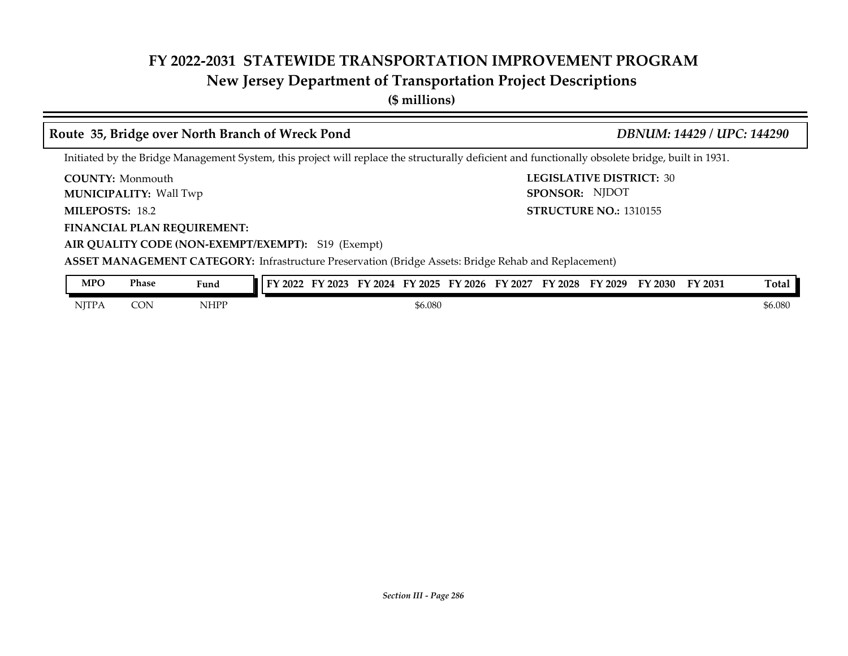## **New Jersey Department of Transportation Project Descriptions**

**(\$ millions)**

### **Route 35, Bridge over North Branch of Wreck Pond** *DBNUM: 14429 / UPC: 144290*

SPONSOR: NJDOT

Initiated by the Bridge Management System, this project will replace the structurally deficient and functionally obsolete bridge, built in 1931.

**COUNTY: LEGISLATIVE DISTRICT:** 30 **COUNTY: Monmouth** Wall Twp **MUNICIPALITY: SPONSOR:**

**MILEPOSTS: STRUCTURE NO.:** 1310155 MILEPOSTS: 18.2

**FINANCIAL PLAN REQUIREMENT:**

**AIR QUALITY CODE (NON-EXEMPT/EXEMPT):** S19 (Exempt)

**ASSET MANAGEMENT CATEGORY:** Infrastructure Preservation (Bridge Assets: Bridge Rehab and Replacement)

| MPO          | Phase | Fund | $'$ 2022 | FY 2023 | ГV<br>2024 | 12025   | $'$ 2026<br>$\blacksquare$ | FY 2027 | FY 2028 | FY 2029 | FY 2030 | FY 2031 | <b>Total</b> |
|--------------|-------|------|----------|---------|------------|---------|----------------------------|---------|---------|---------|---------|---------|--------------|
| <b>NJTPA</b> | CON   | NHPP |          |         |            | \$6.080 |                            |         |         |         |         |         | \$6.080      |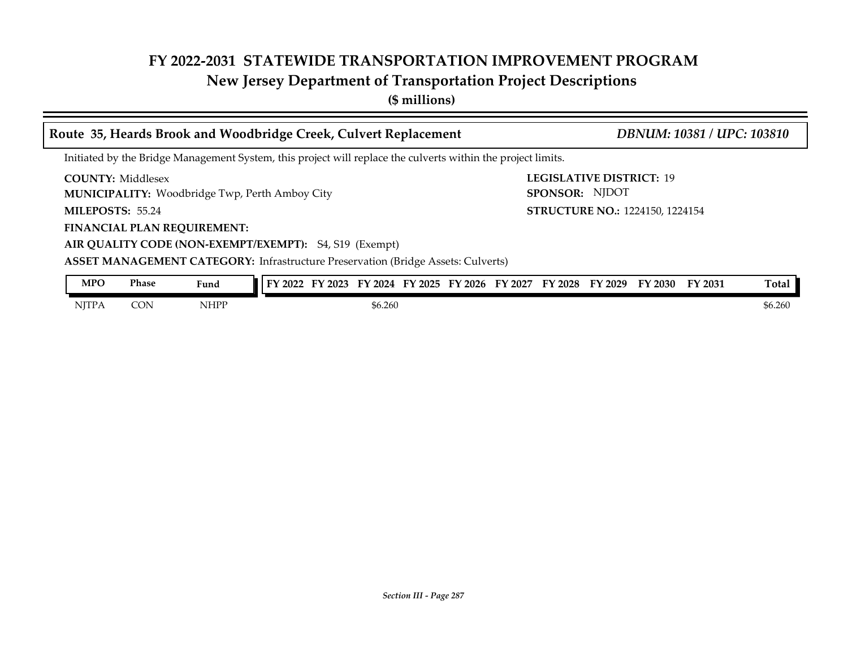## **New Jersey Department of Transportation Project Descriptions**

**(\$ millions)**

|                          |              |                                    | Route 35, Heards Brook and Woodbridge Creek, Culvert Replacement                                             | DBNUM: 10381 / UPC: 103810 |                                            |  |  |  |                                        |                |              |
|--------------------------|--------------|------------------------------------|--------------------------------------------------------------------------------------------------------------|----------------------------|--------------------------------------------|--|--|--|----------------------------------------|----------------|--------------|
|                          |              |                                    | Initiated by the Bridge Management System, this project will replace the culverts within the project limits. |                            |                                            |  |  |  |                                        |                |              |
| <b>COUNTY: Middlesex</b> |              |                                    | <b>MUNICIPALITY:</b> Woodbridge Twp, Perth Amboy City                                                        |                            | LEGISLATIVE DISTRICT: 19<br>SPONSOR: NJDOT |  |  |  |                                        |                |              |
| MILEPOSTS: 55.24         |              |                                    |                                                                                                              |                            |                                            |  |  |  | <b>STRUCTURE NO.: 1224150, 1224154</b> |                |              |
|                          |              | <b>FINANCIAL PLAN REQUIREMENT:</b> |                                                                                                              |                            |                                            |  |  |  |                                        |                |              |
|                          |              |                                    | AIR QUALITY CODE (NON-EXEMPT/EXEMPT): S4, S19 (Exempt)                                                       |                            |                                            |  |  |  |                                        |                |              |
|                          |              |                                    | <b>ASSET MANAGEMENT CATEGORY:</b> Infrastructure Preservation (Bridge Assets: Culverts)                      |                            |                                            |  |  |  |                                        |                |              |
| <b>MPO</b>               | <b>Phase</b> | Fund                               | FY 2022 FY 2023 FY 2024 FY 2025 FY 2026 FY 2027 FY 2028 FY 2029 FY 2030                                      |                            |                                            |  |  |  |                                        | <b>FY 2031</b> | <b>Total</b> |
| <b>NITPA</b>             | <b>CON</b>   | <b>NHPP</b>                        |                                                                                                              | \$6.260                    |                                            |  |  |  |                                        |                | \$6.260      |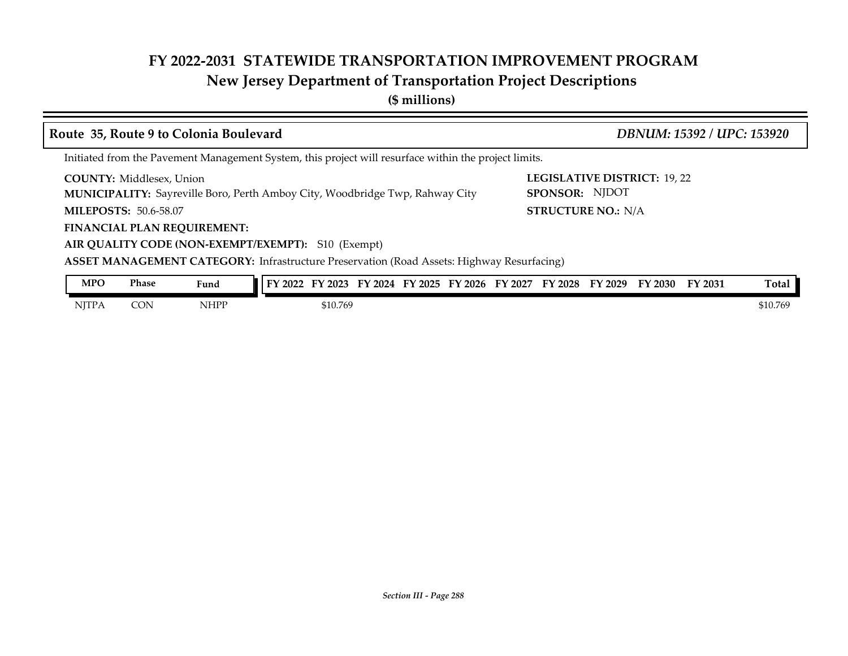## **New Jersey Department of Transportation Project Descriptions**

**(\$ millions)**

| Route 35, Route 9 to Colonia Boulevard                                                                |             |                                                                                                                                                                                                                                               | DBNUM: 15392 / UPC: 153920                                                         |  |  |  |  |  |  |  |
|-------------------------------------------------------------------------------------------------------|-------------|-----------------------------------------------------------------------------------------------------------------------------------------------------------------------------------------------------------------------------------------------|------------------------------------------------------------------------------------|--|--|--|--|--|--|--|
| Initiated from the Pavement Management System, this project will resurface within the project limits. |             |                                                                                                                                                                                                                                               |                                                                                    |  |  |  |  |  |  |  |
| <b>COUNTY:</b> Middlesex, Union<br><b>MILEPOSTS: 50.6-58.07</b><br><b>FINANCIAL PLAN REQUIREMENT:</b> |             | <b>MUNICIPALITY:</b> Sayreville Boro, Perth Amboy City, Woodbridge Twp, Rahway City<br>AIR QUALITY CODE (NON-EXEMPT/EXEMPT): S10 (Exempt)<br><b>ASSET MANAGEMENT CATEGORY:</b> Infrastructure Preservation (Road Assets: Highway Resurfacing) | <b>LEGISLATIVE DISTRICT: 19, 22</b><br>SPONSOR: NJDOT<br><b>STRUCTURE NO.: N/A</b> |  |  |  |  |  |  |  |
| <b>MPO</b><br><b>Phase</b>                                                                            | Fund        | FY 2022 FY 2023 FY 2024 FY 2025 FY 2026 FY 2027 FY 2028 FY 2029 FY 2030                                                                                                                                                                       | Total<br>FY 2031                                                                   |  |  |  |  |  |  |  |
| <b>NITPA</b><br><b>CON</b>                                                                            | <b>NHPP</b> | \$10.769                                                                                                                                                                                                                                      | \$10.769                                                                           |  |  |  |  |  |  |  |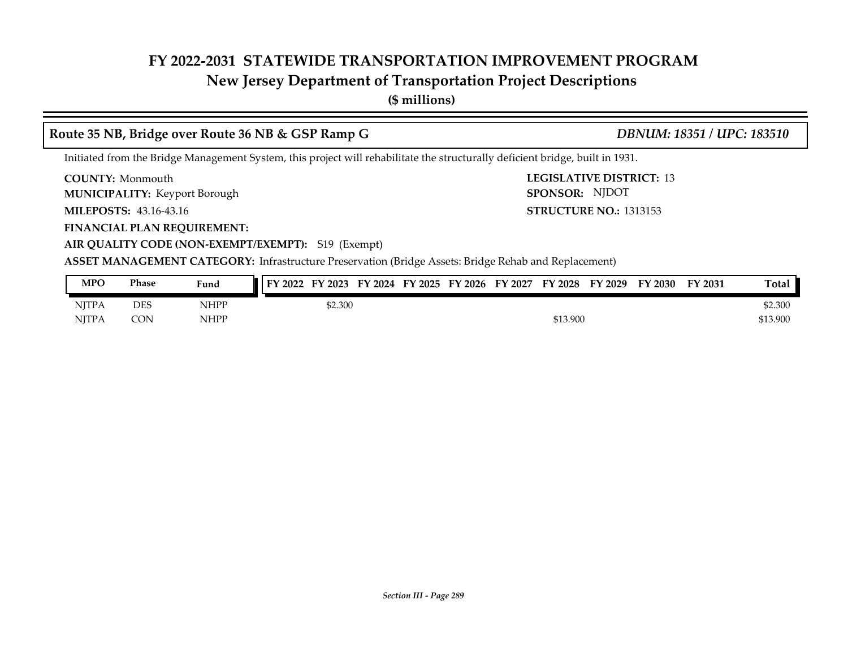## **New Jersey Department of Transportation Project Descriptions**

**(\$ millions)**

### **Route 35 NB, Bridge over Route 36 NB & GSP Ramp G** *DBNUM: 18351 / UPC: 183510*

Initiated from the Bridge Management System, this project will rehabilitate the structurally deficient bridge, built in 1931.

**COUNTY:** Monmouth **COUNTY:** 13 **COUNTY: Monmouth** 

**MUNICIPALITY:** Keyport Borough **SPONSOR:** 

**MILEPOSTS: STRUCTURE NO.:** 43.16-43.16

**FINANCIAL PLAN REQUIREMENT:**

**STRUCTURE NO.: 1313153** SPONSOR: NJDOT

**AIR QUALITY CODE (NON-EXEMPT/EXEMPT):** S19 (Exempt)

| <b>MPO</b>   | Phase | Fund        | FY 2022<br>FY 2023 | FY 2024 | FY 2025 | FY 2026 | FY 2027 | FY 2028  | FY 2029 | FY 2030 | FY 2031 | <b>Total</b> |
|--------------|-------|-------------|--------------------|---------|---------|---------|---------|----------|---------|---------|---------|--------------|
| <b>NJTPA</b> | DES   | <b>NHPP</b> | \$2.300            |         |         |         |         |          |         |         |         | \$2.300      |
| <b>NITPA</b> | CON   | <b>NHPP</b> |                    |         |         |         |         | \$13.900 |         |         |         | \$13.900     |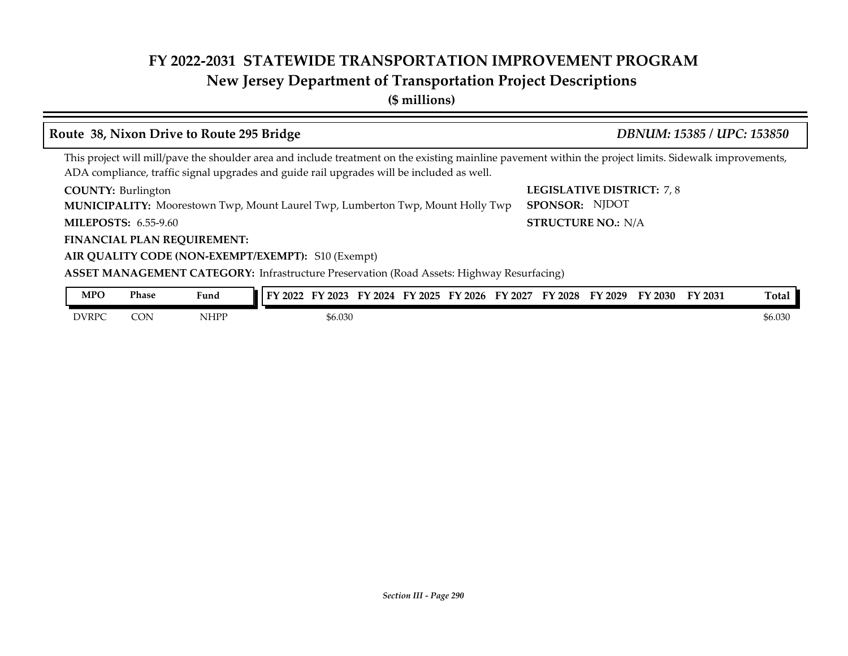## **New Jersey Department of Transportation Project Descriptions**

**(\$ millions)**

### **MUNICIPALITY:** Moorestown Twp, Mount Laurel Twp, Lumberton Twp, Mount Holly Twp **SPONSOR**: **COUNTY: LEGISLATIVE DISTRICT:** 7, 8 **MILEPOSTS: STRUCTURE NO.:** N/A **FINANCIAL PLAN REQUIREMENT: AIR QUALITY CODE (NON-EXEMPT/EXEMPT):** S10 (Exempt) **COUNTY: Burlington MILEPOSTS: 6.55-9.60 ASSET MANAGEMENT CATEGORY:** Infrastructure Preservation (Road Assets: Highway Resurfacing) This project will mill/pave the shoulder area and include treatment on the existing mainline pavement within the project limits. Sidewalk improvements, ADA compliance, traffic signal upgrades and guide rail upgrades will be included as well. **Route 38, Nixon Drive to Route 295 Bridge** *DBNUM: 15385 / UPC: 153850* SPONSOR: NJDOT DVRPC CON NHPP \$6.030 \$6.030 \$6.030 \$6.030 \$6.030 \$6.030 \$6.030 \$6.030 \$6.030 \$6.030 **MPO Phase Fund FY 2022 FY 2023 FY 2024 FY 2025 FY 2026 FY 2027 FY 2028 FY 2029 FY 2030 FY 2031 Total**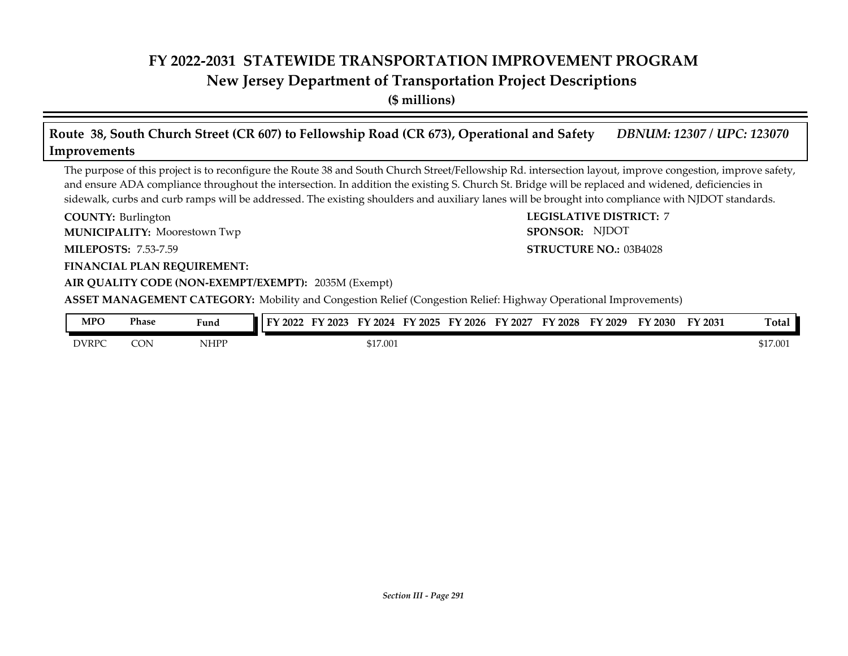### **New Jersey Department of Transportation Project Descriptions**

**(\$ millions)**

## **Route 38, South Church Street (CR 607) to Fellowship Road (CR 673), Operational and Safety** *DBNUM: 12307 / UPC: 123070* **Improvements**

The purpose of this project is to reconfigure the Route 38 and South Church Street/Fellowship Rd. intersection layout, improve congestion, improve safety, and ensure ADA compliance throughout the intersection. In addition the existing S. Church St. Bridge will be replaced and widened, deficiencies in sidewalk, curbs and curb ramps will be addressed. The existing shoulders and auxiliary lanes will be brought into compliance with NJDOT standards.

**COUNTY: LEGISLATIVE DISTRICT:** 7 **MILEPOSTS: STRUCTURE NO.:** 7.53-7.59 **FINANCIAL PLAN REQUIREMENT: AIR QUALITY CODE (NON-EXEMPT/EXEMPT):** 2035M (Exempt) COUNTY: Burlington Moorestown Twp **MUNICIPALITY: SPONSOR: STRUCTURE NO.: 03B4028 ASSET MANAGEMENT CATEGORY:** Mobility and Congestion Relief (Congestion Relief: Highway Operational Improvements) SPONSOR: NJDOT

| MPO          | Phase | Fund        | FY 2022 | 2023 | 2024<br>г١ | 2025 | FY 2026 | 2027<br>гл | 2028 | 12029<br>ГV | ТV.<br>2030 | FY 2031 | <b>Total</b> |
|--------------|-------|-------------|---------|------|------------|------|---------|------------|------|-------------|-------------|---------|--------------|
| <b>DVRPC</b> | CON   | <b>NHPP</b> |         |      | \$17.001   |      |         |            |      |             |             |         | \$17.001     |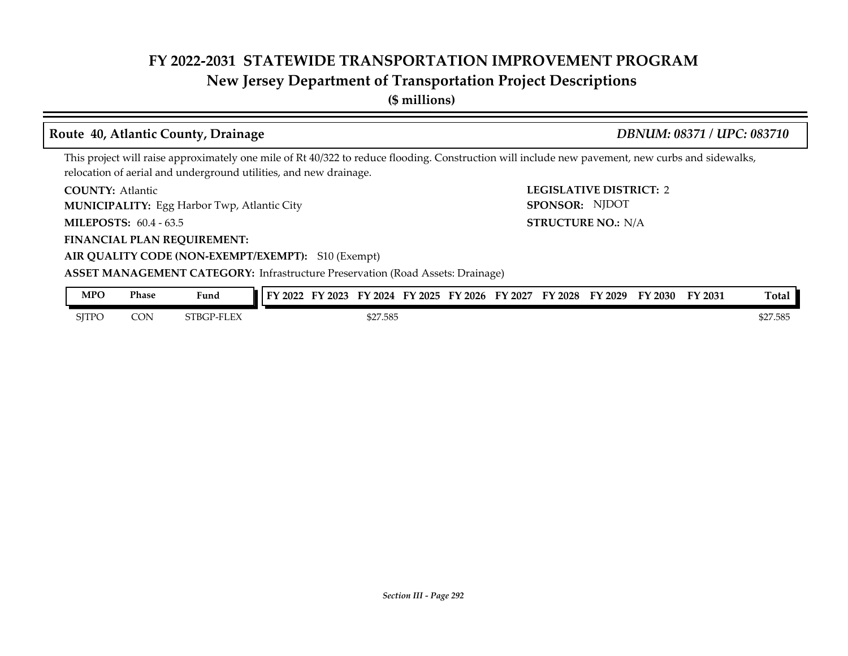## **New Jersey Department of Transportation Project Descriptions**

**(\$ millions)**

### **COUNTY: LEGISLATIVE DISTRICT:** 2 **MILEPOSTS: STRUCTURE NO.:** 60.4 - 63.5 **FINANCIAL PLAN REQUIREMENT: AIR QUALITY CODE (NON-EXEMPT/EXEMPT):** S10 (Exempt) **COUNTY: Atlantic MUNICIPALITY:** Egg Harbor Twp, Atlantic City **SPONSOR:** STRUCTURE NO.: N/A **ASSET MANAGEMENT CATEGORY:** Infrastructure Preservation (Road Assets: Drainage) This project will raise approximately one mile of Rt 40/322 to reduce flooding. Construction will include new pavement, new curbs and sidewalks, relocation of aerial and underground utilities, and new drainage. **Route 40, Atlantic County, Drainage** *DBNUM: 08371 / UPC: 083710* SPONSOR: NJDOT SJTPO CON STBGP-FLEX \$27.585 \$27.585 \$27.585 \$27.585 **MPO Phase Fund FY 2022 FY 2023 FY 2024 FY 2025 FY 2026 FY 2027 FY 2028 FY 2029 FY 2030 FY 2031 Total**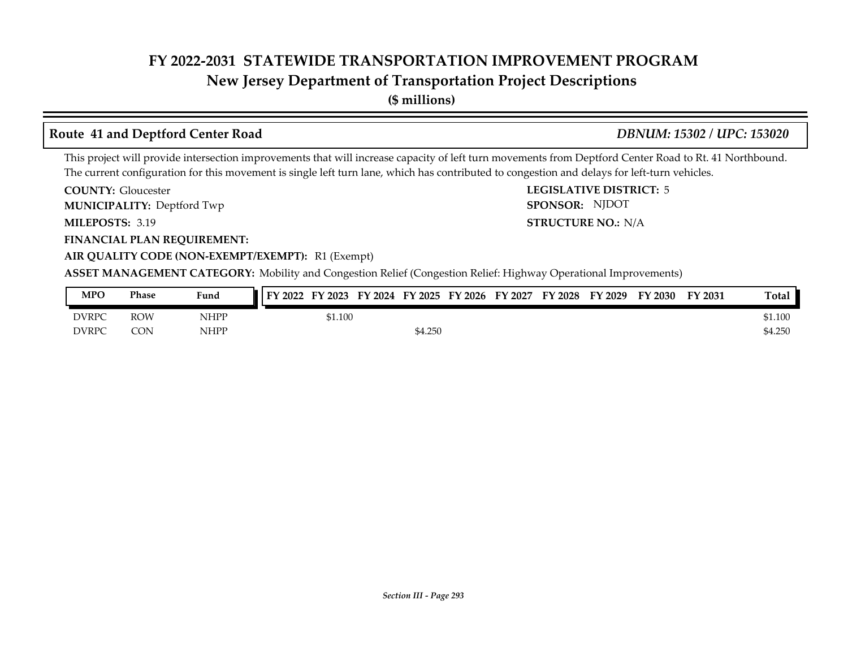## **New Jersey Department of Transportation Project Descriptions**

**(\$ millions)**

### **Route 41 and Deptford Center Road** *DBNUM: 15302 / UPC: 153020*

SPONSOR: NJDOT

This project will provide intersection improvements that will increase capacity of left turn movements from Deptford Center Road to Rt. 41 Northbound. The current configuration for this movement is single left turn lane, which has contributed to congestion and delays for left-turn vehicles.

**COUNTY: LEGISLATIVE DISTRICT:** 5 **COUNTY: Gloucester** 

**MUNICIPALITY:** Deptford Twp **SPONSOR:** 

**MILEPOSTS: STRUCTURE NO.:** N/A MILEPOSTS: 3.19

**FINANCIAL PLAN REQUIREMENT:**

**AIR QUALITY CODE (NON-EXEMPT/EXEMPT):** R1 (Exempt)

**ASSET MANAGEMENT CATEGORY:** Mobility and Congestion Relief (Congestion Relief: Highway Operational Improvements)

| MPO          | Phase      | Fund | $Y$ 2022 | FY 2023 | FY 2024 FY 2025 | FY 2026 | FY 2027 | <b>FY 2028</b> | FY 2029 | FY 2030 | FY 2031 | Total   |
|--------------|------------|------|----------|---------|-----------------|---------|---------|----------------|---------|---------|---------|---------|
| <b>DVRPC</b> | <b>ROW</b> | NHPP |          | 51.100  |                 |         |         |                |         |         |         | \$1.100 |
| <b>DVRPC</b> | <b>CON</b> | NHPP |          |         | \$4.250         |         |         |                |         |         |         | \$4.250 |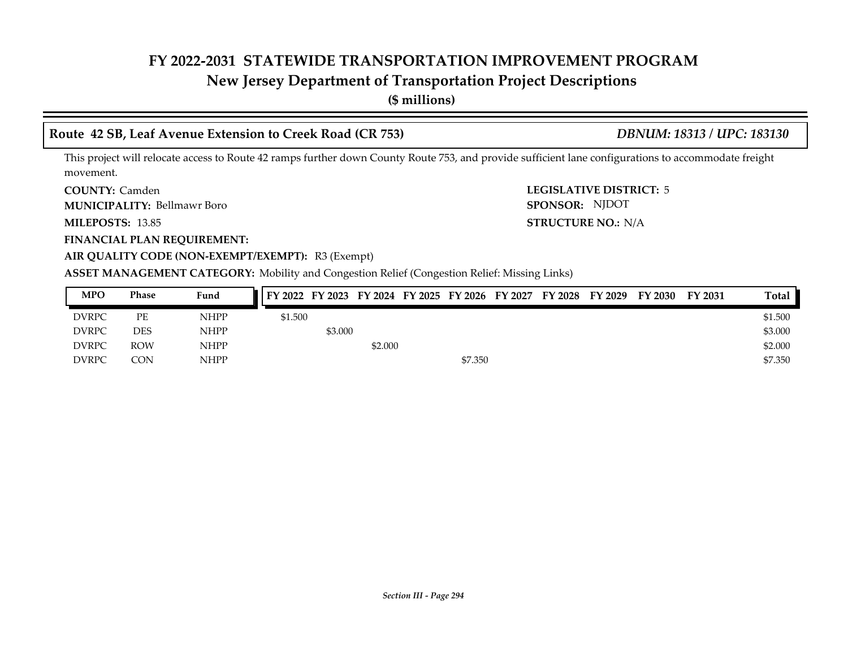## **New Jersey Department of Transportation Project Descriptions**

**(\$ millions)**

### **Route 42 SB, Leaf Avenue Extension to Creek Road (CR 753)** *DBNUM: 18313 / UPC: 183130*

This project will relocate access to Route 42 ramps further down County Route 753, and provide sufficient lane configurations to accommodate freight movement.

**COUNTY: LEGISLATIVE DISTRICT:** 5 **COUNTY: Camden** 

Bellmawr Boro **MUNICIPALITY: SPONSOR:**

**MILEPOSTS: 13.85** 

**FINANCIAL PLAN REQUIREMENT:**

**MILEPOSTS: STRUCTURE NO.:** N/A SPONSOR: NJDOT

**AIR QUALITY CODE (NON-EXEMPT/EXEMPT):** R3 (Exempt)

**ASSET MANAGEMENT CATEGORY:** Mobility and Congestion Relief (Congestion Relief: Missing Links)

| <b>MPO</b>   | Phase      | Fund        |         |         |         |         | FY 2022 FY 2023 FY 2024 FY 2025 FY 2026 FY 2027 | FY 2028 FY 2029 | FY 2030 | FY 2031 | <b>Total</b> |
|--------------|------------|-------------|---------|---------|---------|---------|-------------------------------------------------|-----------------|---------|---------|--------------|
| <b>DVRPC</b> | PE         | <b>NHPP</b> | \$1.500 |         |         |         |                                                 |                 |         |         | \$1.500      |
| <b>DVRPC</b> | <b>DES</b> | <b>NHPP</b> |         | \$3.000 |         |         |                                                 |                 |         |         | \$3.000      |
| <b>DVRPC</b> | <b>ROW</b> | <b>NHPP</b> |         |         | \$2.000 |         |                                                 |                 |         |         | \$2.000      |
| <b>DVRPC</b> | <b>CON</b> | <b>NHPP</b> |         |         |         | \$7.350 |                                                 |                 |         |         | \$7.350      |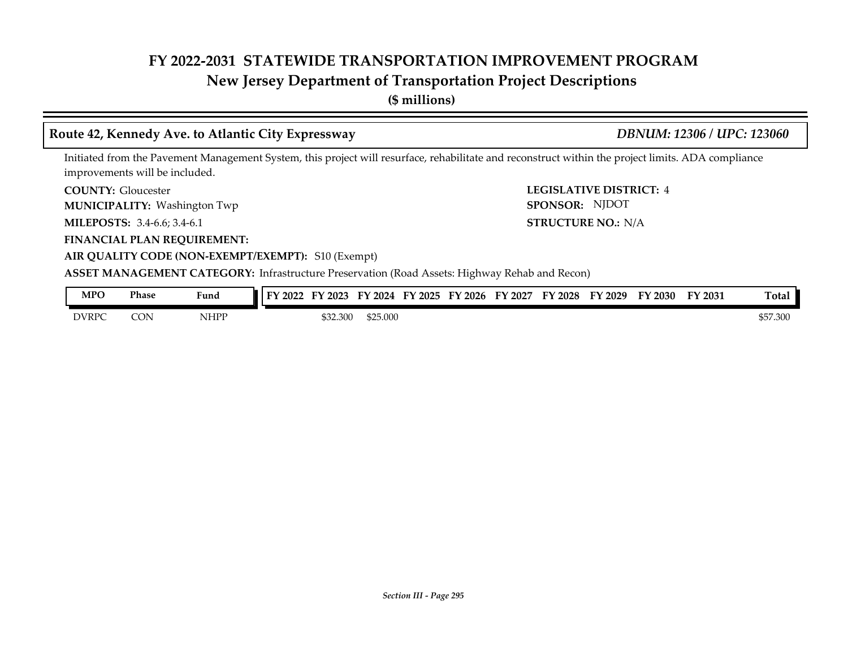## **New Jersey Department of Transportation Project Descriptions**

**(\$ millions)**

### **Route 42, Kennedy Ave. to Atlantic City Expressway** *DBNUM: 12306 / UPC: 123060*

**AIR QUALITY CODE (NON-EXEMPT/EXEMPT):** S10 (Exempt)

Initiated from the Pavement Management System, this project will resurface, rehabilitate and reconstruct within the project limits. ADA compliance improvements will be included.

**COUNTY: LEGISLATIVE DISTRICT:** 4 **COUNTY: Gloucester** 

Washington Twp **MUNICIPALITY: SPONSOR:**

**FINANCIAL PLAN REQUIREMENT:**

**MILEPOSTS: STRUCTURE NO.:** 3.4-6.6; 3.4-6.1 STRUCTURE NO.: N/A SPONSOR: NJDOT

### **ASSET MANAGEMENT CATEGORY:** Infrastructure Preservation (Road Assets: Highway Rehab and Recon)

| <b>MPO</b>   | Phase | Fund        | $\blacksquare$<br>$\cdot$ 2022 | 2023     | 2024<br><b>FY</b> | FY 2025 | $'$ 2026 | FY<br>2027 | FY 2028 | $Y$ 2029 | FY 2030 | FY 2031 | Total    |
|--------------|-------|-------------|--------------------------------|----------|-------------------|---------|----------|------------|---------|----------|---------|---------|----------|
| <b>DVRPC</b> | CON   | <b>NHPP</b> |                                | \$32.300 | \$25.000          |         |          |            |         |          |         |         | \$57,300 |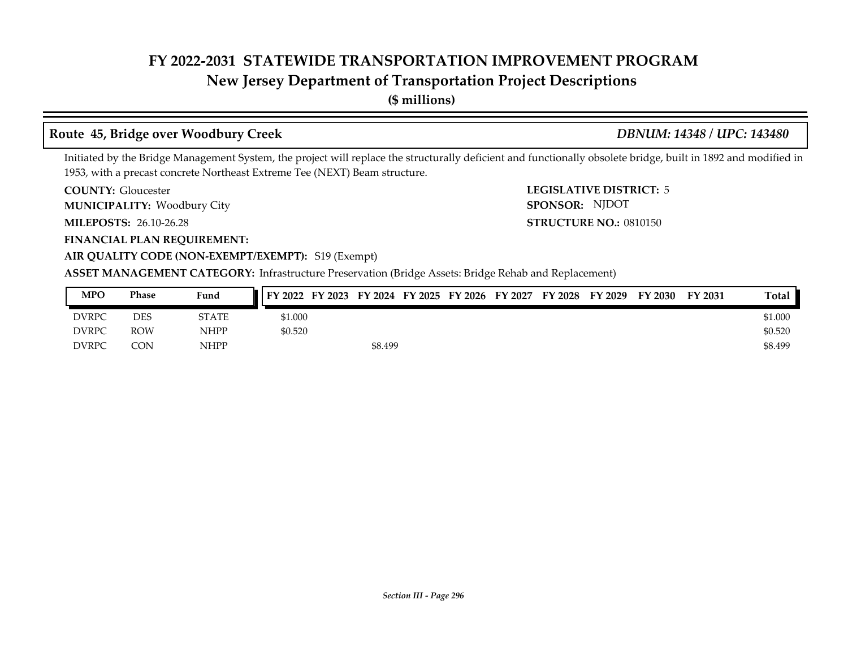## **New Jersey Department of Transportation Project Descriptions**

**(\$ millions)**

### **Route 45, Bridge over Woodbury Creek** *DBNUM: 14348 / UPC: 143480*

Initiated by the Bridge Management System, the project will replace the structurally deficient and functionally obsolete bridge, built in 1892 and modified in 1953, with a precast concrete Northeast Extreme Tee (NEXT) Beam structure.

**COUNTY: Gloucester** 

Woodbury City **MUNICIPALITY: SPONSOR:**

**MILEPOSTS: STRUCTURE NO.:** 26.10-26.28

**FINANCIAL PLAN REQUIREMENT:**

**COUNTY: LEGISLATIVE DISTRICT:** 5 **STRUCTURE NO.: 0810150** SPONSOR: NJDOT

### **AIR QUALITY CODE (NON-EXEMPT/EXEMPT):** S19 (Exempt)

| MPO          | Phase | Fund        | FY 2023<br>FY 2022 |         |  | FY 2024 FY 2025 FY 2026 FY 2027 | FY 2028 | FY 2029 | FY 2030 | FY 2031 | Total   |
|--------------|-------|-------------|--------------------|---------|--|---------------------------------|---------|---------|---------|---------|---------|
| <b>DVRPC</b> | DES   | STATE       | \$1.000            |         |  |                                 |         |         |         |         | \$1.000 |
| <b>DVRPC</b> | ROW   | <b>NHPP</b> | \$0.520            |         |  |                                 |         |         |         |         | \$0.520 |
| <b>DVRPC</b> | CON   | <b>NHPP</b> |                    | \$8.499 |  |                                 |         |         |         |         | \$8.499 |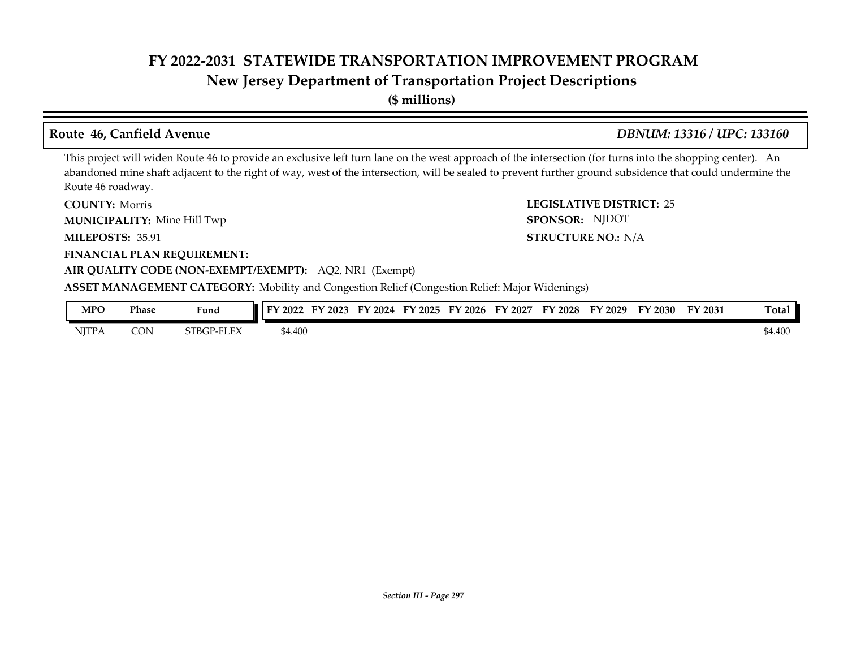## **New Jersey Department of Transportation Project Descriptions**

**(\$ millions)**

### **Route 46, Canfield Avenue** *DBNUM: 13316 / UPC: 133160*

**STRUCTURE NO.: N/A** 

SPONSOR: NJDOT

This project will widen Route 46 to provide an exclusive left turn lane on the west approach of the intersection (for turns into the shopping center). An abandoned mine shaft adjacent to the right of way, west of the intersection, will be sealed to prevent further ground subsidence that could undermine the Route 46 roadway.

**COUNTY: LEGISLATIVE DISTRICT:** 25 **COUNTY: Morris** 

Mine Hill Twp **MUNICIPALITY: SPONSOR:**

**MILEPOSTS: STRUCTURE NO.:** 35.91

**FINANCIAL PLAN REQUIREMENT:**

### **AIR QUALITY CODE (NON-EXEMPT/EXEMPT):** AQ2, NR1 (Exempt)

**ASSET MANAGEMENT CATEGORY:** Mobility and Congestion Relief (Congestion Relief: Major Widenings)

| MPO          | Phase      | Fund              | FY 2022 | '2023<br>EV | FY.<br>12024 | FY 2025 | FY 2026 | FY 2027 | <b>FY 2028</b> | FY 2029 | FY 2030 | FY 2031 | Total   |
|--------------|------------|-------------------|---------|-------------|--------------|---------|---------|---------|----------------|---------|---------|---------|---------|
| <b>NJTPA</b> | <b>CON</b> | <b>STBGP-FLEX</b> | \$4.400 |             |              |         |         |         |                |         |         |         | \$4.400 |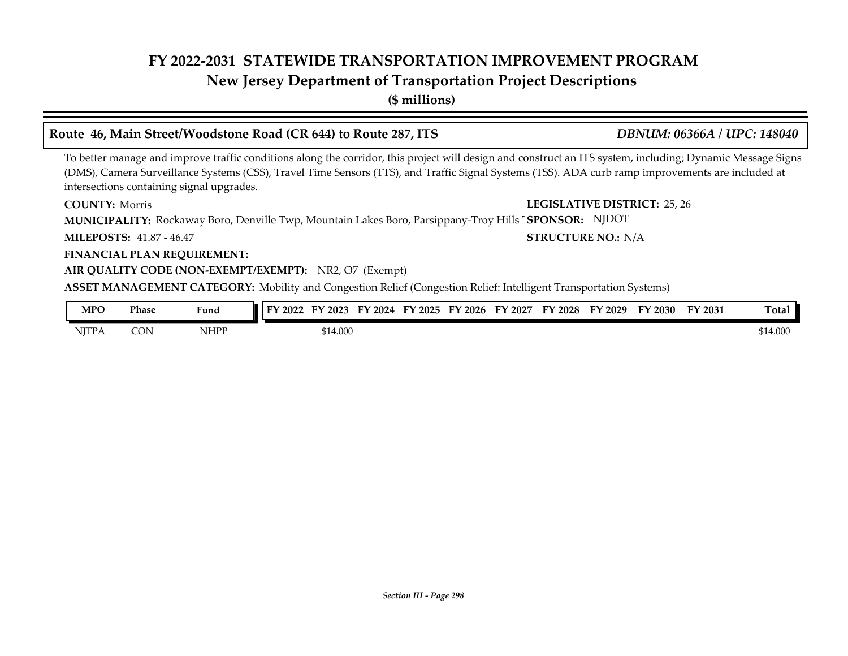## **New Jersey Department of Transportation Project Descriptions**

**(\$ millions)**

### **Route 46, Main Street/Woodstone Road (CR 644) to Route 287, ITS** *DBNUM: 06366A / UPC: 148040*

To better manage and improve traffic conditions along the corridor, this project will design and construct an ITS system, including; Dynamic Message Signs (DMS), Camera Surveillance Systems (CSS), Travel Time Sensors (TTS), and Traffic Signal Systems (TSS). ADA curb ramp improvements are included at intersections containing signal upgrades.

**COUNTY: Morris** 

**COUNTY: LEGISLATIVE DISTRICT:** 25, 26

**STRUCTURE NO.: N/A** 

**MUNICIPALITY:** Rockaway Boro, Denville Twp, Mountain Lakes Boro, Parsippany-Troy Hills <sup>T</sup> SPONSOR: NJDOT

**MILEPOSTS: STRUCTURE NO.:** 41.87 - 46.47

**FINANCIAL PLAN REQUIREMENT:**

### **AIR QUALITY CODE (NON-EXEMPT/EXEMPT):** NR2, O7 (Exempt)

**ASSET MANAGEMENT CATEGORY:** Mobility and Congestion Relief (Congestion Relief: Intelligent Transportation Systems)

| MPO          | Phase | $\mathbf{r}$ , $\mathbf{r}$<br>Fund | м<br>2022 | 2023     | 2024<br>FY | $\neg$<br>2025 | $^{\circ}$ 2026<br>EУ | EV<br>2027 | FY 2028 | ЕV<br>2029 | 2030<br>. . | FY 2031 | Total   |
|--------------|-------|-------------------------------------|-----------|----------|------------|----------------|-----------------------|------------|---------|------------|-------------|---------|---------|
| <b>NITPA</b> | CON   | NHPP                                |           | \$14.000 |            |                |                       |            |         |            |             |         | 514.000 |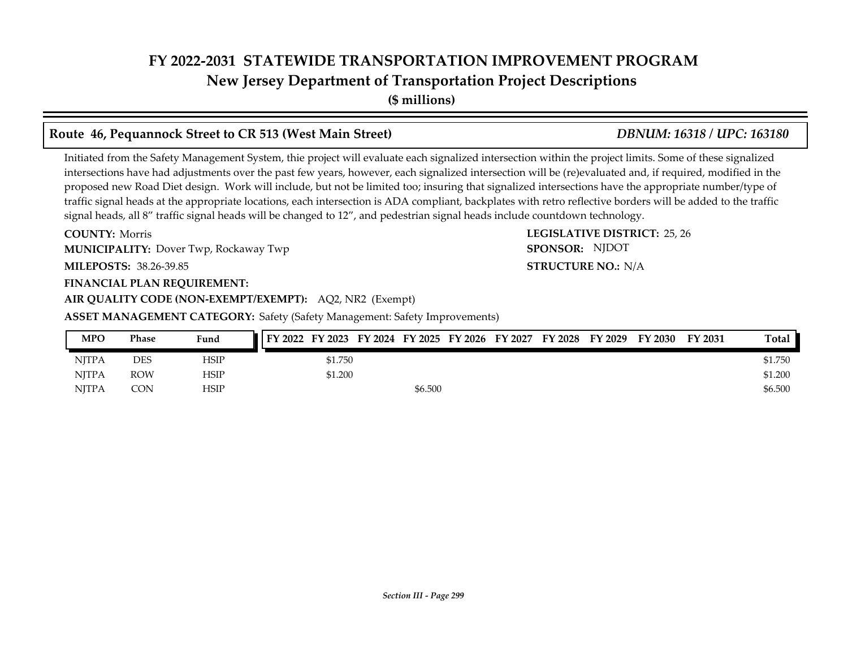**New Jersey Department of Transportation Project Descriptions**

**(\$ millions)**

## **Route 46, Pequannock Street to CR 513 (West Main Street)** *DBNUM: 16318 / UPC: 163180*

Initiated from the Safety Management System, thie project will evaluate each signalized intersection within the project limits. Some of these signalized intersections have had adjustments over the past few years, however, each signalized intersection will be (re)evaluated and, if required, modified in the proposed new Road Diet design. Work will include, but not be limited too; insuring that signalized intersections have the appropriate number/type of traffic signal heads at the appropriate locations, each intersection is ADA compliant, backplates with retro reflective borders will be added to the traffic signal heads, all 8" traffic signal heads will be changed to 12", and pedestrian signal heads include countdown technology.

**COUNTY: LEGISLATIVE DISTRICT:** 25, 26 **COUNTY: Morris MUNICIPALITY:** Dover Twp, Rockaway Twp **Example 2018 SPONSOR:** 

**MILEPOSTS: STRUCTURE NO.:** 38.26-39.85

### **FINANCIAL PLAN REQUIREMENT:**

**AIR QUALITY CODE (NON-EXEMPT/EXEMPT):** AQ2, NR2 (Exempt)

**ASSET MANAGEMENT CATEGORY:** Safety (Safety Management: Safety Improvements)

| <b>MPO</b>   | Phase      | Fund | FY 2022 FY 2023 FY 2024 FY 2025 FY 2026 FY 2027 FY 2028 FY 2029 |         |  |  | FY 2030 | FY 2031 | Total   |
|--------------|------------|------|-----------------------------------------------------------------|---------|--|--|---------|---------|---------|
| <b>NITPA</b> | DES        | HSIP | \$1.750                                                         |         |  |  |         |         | \$1.750 |
| <b>NITPA</b> | <b>ROW</b> | HSIP | \$1.200                                                         |         |  |  |         |         | \$1.200 |
| <b>NITPA</b> | CON        | HSIP |                                                                 | \$6.500 |  |  |         |         | \$6.500 |

**STRUCTURE NO.: N/A** 

SPONSOR: NJDOT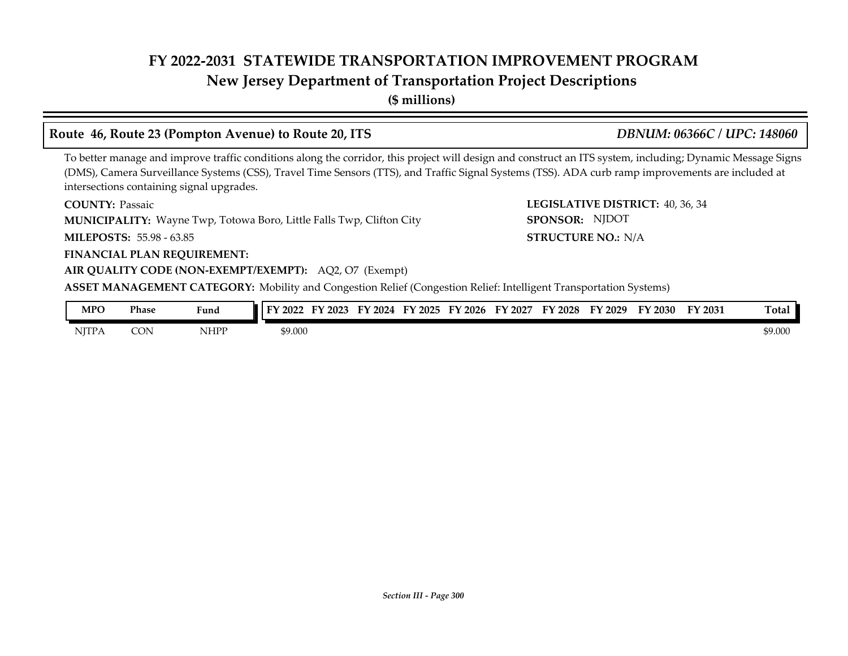## **New Jersey Department of Transportation Project Descriptions**

**(\$ millions)**

### **Route 46, Route 23 (Pompton Avenue) to Route 20, ITS** *DBNUM: 06366C / UPC: 148060*

To better manage and improve traffic conditions along the corridor, this project will design and construct an ITS system, including; Dynamic Message Signs (DMS), Camera Surveillance Systems (CSS), Travel Time Sensors (TTS), and Traffic Signal Systems (TSS). ADA curb ramp improvements are included at intersections containing signal upgrades.

**COUNTY: Passaic** 

**MUNICIPALITY:** Wayne Twp, Totowa Boro, Little Falls Twp, Clifton City **SPONSOR:** 

**MILEPOSTS: STRUCTURE NO.:** 55.98 - 63.85

**FINANCIAL PLAN REQUIREMENT:**

### **AIR QUALITY CODE (NON-EXEMPT/EXEMPT):** AQ2, O7 (Exempt)

**ASSET MANAGEMENT CATEGORY:** Mobility and Congestion Relief (Congestion Relief: Intelligent Transportation Systems)

| MPO          | Phase | Fund                                        | TУ.<br>2022 | 2023 | 2024<br>FV | $\neg$ $\vee$<br>2025 | ЕV<br>2026 | EV<br>2027 | FY 2028 | ЕV<br>2029 | 2030 | FY 2031 | Total   |
|--------------|-------|---------------------------------------------|-------------|------|------------|-----------------------|------------|------------|---------|------------|------|---------|---------|
| <b>NJTPA</b> | CON   | NHPP<br>the contract of the contract of the | \$9.000     |      |            |                       |            |            |         |            |      |         | \$9.000 |

**COUNTY: LEGISLATIVE DISTRICT:** 40, 36, 34 **STRUCTURE NO.: N/A** SPONSOR: NJDOT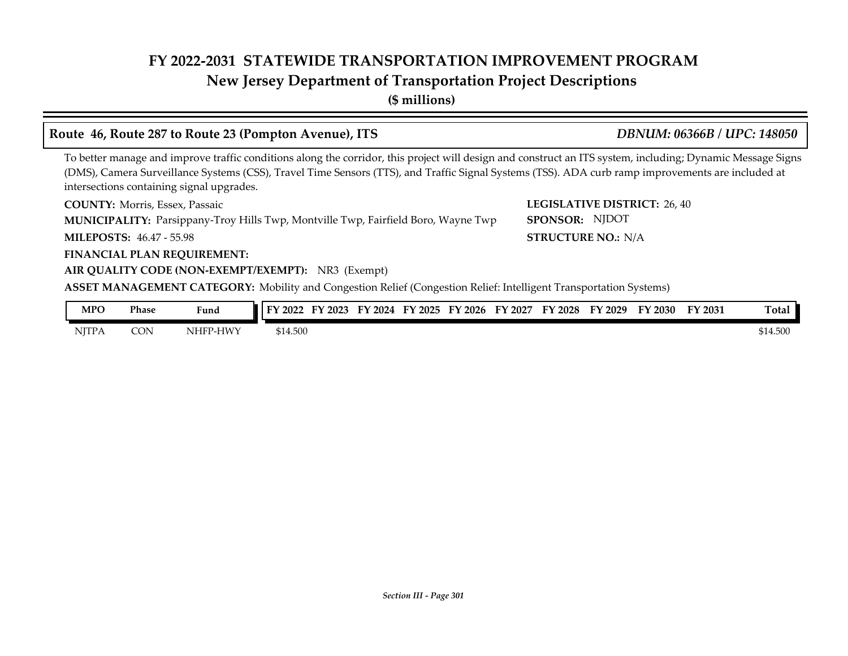## **New Jersey Department of Transportation Project Descriptions**

**(\$ millions)**

### **Route 46, Route 287 to Route 23 (Pompton Avenue), ITS** *DBNUM: 06366B / UPC: 148050*

### To better manage and improve traffic conditions along the corridor, this project will design and construct an ITS system, including; Dynamic Message Signs (DMS), Camera Surveillance Systems (CSS), Travel Time Sensors (TTS), and Traffic Signal Systems (TSS). ADA curb ramp improvements are included at intersections containing signal upgrades.

**COUNTY: LEGISLATIVE DISTRICT:** Morris, Essex, Passaic

**MUNICIPALITY:** Parsippany-Troy Hills Twp, Montville Twp, Fairfield Boro, Wayne Twp SPONSOR:

**MILEPOSTS: STRUCTURE NO.:** 46.47 - 55.98

### **FINANCIAL PLAN REQUIREMENT:**

### **AIR QUALITY CODE (NON-EXEMPT/EXEMPT):** NR3 (Exempt)

**ASSET MANAGEMENT CATEGORY:** Mobility and Congestion Relief (Congestion Relief: Intelligent Transportation Systems)

| <b>MPO</b>   | Phase | Fund     | FY 2022  | $'$ 2023<br>EV | FY<br>2024 | FY 2025 | FY 2026 | FY 2027 | FY 2028 | FY 2029 | FY 2030 | FY 2031 | Total    |
|--------------|-------|----------|----------|----------------|------------|---------|---------|---------|---------|---------|---------|---------|----------|
| <b>NJTPA</b> | CON   | NHFP-HWY | \$14.500 |                |            |         |         |         |         |         |         |         | \$14.500 |

**LEGISLATIVE DISTRICT: 26, 40** SPONSOR: NJDOT

**STRUCTURE NO.: N/A**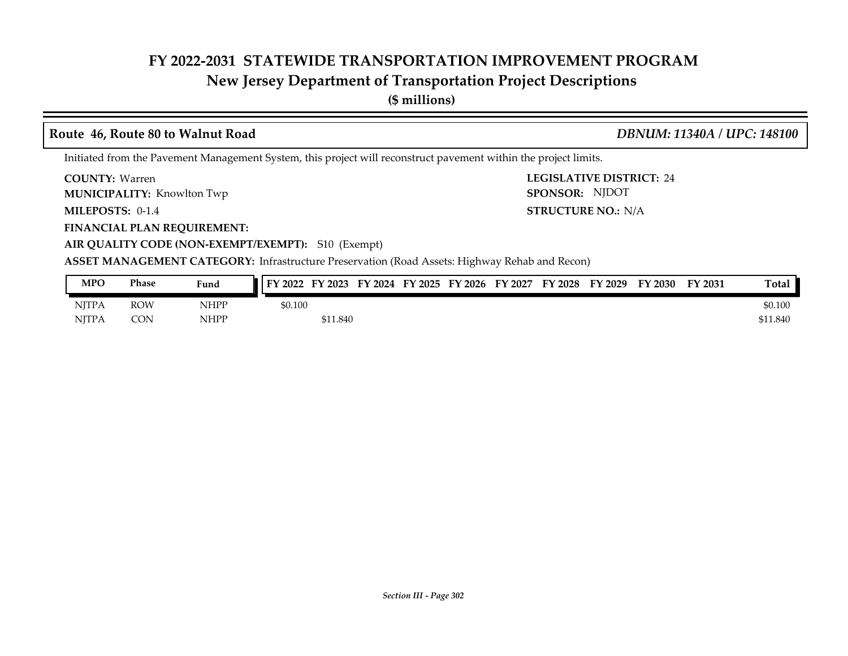## **New Jersey Department of Transportation Project Descriptions**

**(\$ millions)**

### **Route 46, Route 80 to Walnut Road** *DBNUM: 11340A / UPC: 148100*

SPONSOR: NJDOT

Initiated from the Pavement Management System, this project will reconstruct pavement within the project limits.

**COUNTY: LEGISLATIVE DISTRICT:** 24 COUNTY: Warren

**MUNICIPALITY:** Knowlton Twp **SPONSOR:** 

**MILEPOSTS: STRUCTURE NO.:** N/A **MILEPOSTS: 0-1.4** 

**FINANCIAL PLAN REQUIREMENT:**

**AIR QUALITY CODE (NON-EXEMPT/EXEMPT):** S10 (Exempt)

**ASSET MANAGEMENT CATEGORY:** Infrastructure Preservation (Road Assets: Highway Rehab and Recon)

| <b>MPO</b>   | Phase      | Fund | FY 2022 | FY 2023  | FY 2024 FY 2025 | FY 2026 | FY 2027 | FY 2028 | FY 2029 | FY 2030 | FY 2031 | Total    |
|--------------|------------|------|---------|----------|-----------------|---------|---------|---------|---------|---------|---------|----------|
| <b>NJTPA</b> | <b>ROW</b> | NHPP | \$0.100 |          |                 |         |         |         |         |         |         | \$0.100  |
| <b>NITPA</b> | CON        | NHPP |         | \$11.840 |                 |         |         |         |         |         |         | \$11.840 |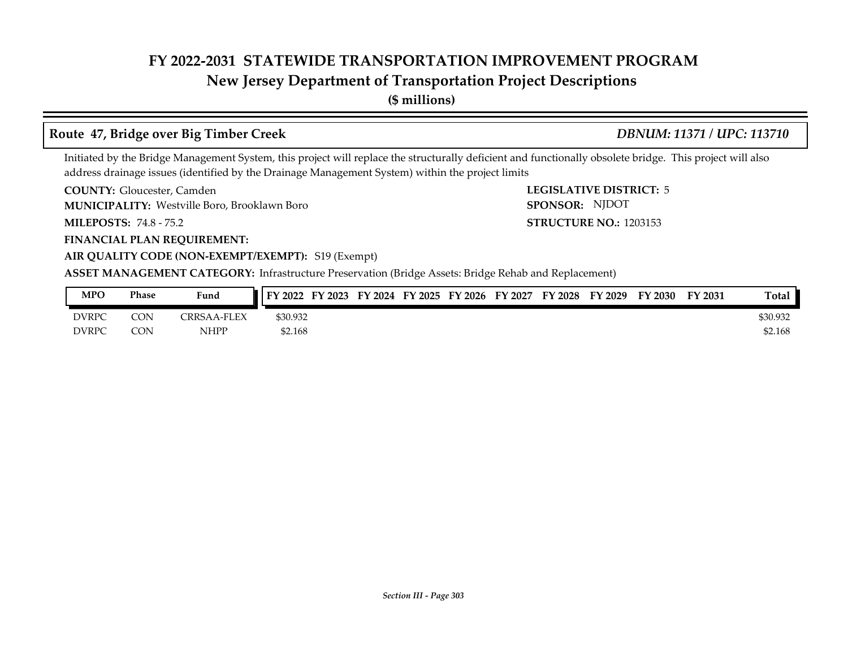## **New Jersey Department of Transportation Project Descriptions**

**(\$ millions)**

### **Route 47, Bridge over Big Timber Creek** *DBNUM: 11371 / UPC: 113710*

**LEGISLATIVE DISTRICT: 5** 

**STRUCTURE NO.: 1203153** 

SPONSOR: NJDOT

Initiated by the Bridge Management System, this project will replace the structurally deficient and functionally obsolete bridge. This project will also address drainage issues (identified by the Drainage Management System) within the project limits

**COUNTY: LEGISLATIVE DISTRICT:** Gloucester, Camden

Westville Boro, Brooklawn Boro **MUNICIPALITY: SPONSOR:**

**MILEPOSTS: STRUCTURE NO.:** 74.8 - 75.2

**FINANCIAL PLAN REQUIREMENT:**

**AIR QUALITY CODE (NON-EXEMPT/EXEMPT):** S19 (Exempt)

| MPO          | Phase      | Fund        | $\mathbf{Y}$ 2022 $\mathbf{I}$ | FY 2023 | FY 2024 | <b>FY 2025</b> | FY 2026 | FY 2027 | FY 2028 | FY 2029 | FY 2030 | FY 2031 | <b>Total</b> |
|--------------|------------|-------------|--------------------------------|---------|---------|----------------|---------|---------|---------|---------|---------|---------|--------------|
| <b>DVRPC</b> | CON        | CRRSAA-FLEX | \$30.932                       |         |         |                |         |         |         |         |         |         | \$30.932     |
| <b>DVRPC</b> | <b>CON</b> | NHPP        | \$2.168                        |         |         |                |         |         |         |         |         |         | \$2.168      |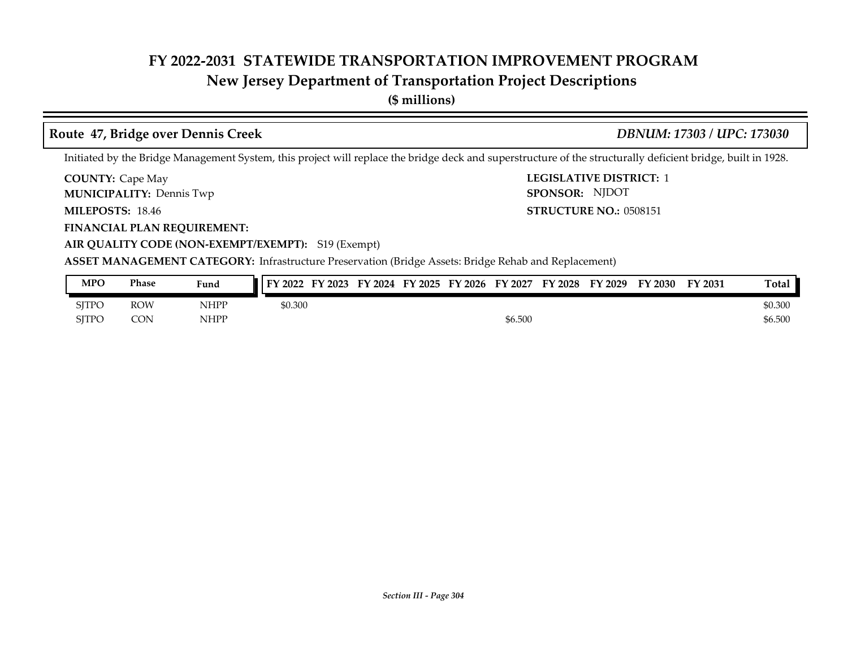## **New Jersey Department of Transportation Project Descriptions**

**(\$ millions)**

### **Route 47, Bridge over Dennis Creek** *DBNUM: 17303 / UPC: 173030*

Initiated by the Bridge Management System, this project will replace the bridge deck and superstructure of the structurally deficient bridge, built in 1928.

**COUNTY:** Cape May **COUNTY:** Cape May **COUNTY:** 2 **COUNTY: Cape May** 

**MUNICIPALITY:** Dennis Twp **SPONSOR:** 

**MILEPOSTS: STRUCTURE NO.:** 0508151 **MILEPOSTS: 18.46** 

**FINANCIAL PLAN REQUIREMENT:**

**AIR QUALITY CODE (NON-EXEMPT/EXEMPT):** S19 (Exempt)

**ASSET MANAGEMENT CATEGORY:** Infrastructure Preservation (Bridge Assets: Bridge Rehab and Replacement)

| <b>MPO</b>   | Phase      | Fund        | FY 2022<br>FY 2023 | FY 2024 FY 2025 FY 2026 | FY 2027 | <b>FY 2028</b> | FY 2029 | FY 2030 | FY 2031 | Total   |
|--------------|------------|-------------|--------------------|-------------------------|---------|----------------|---------|---------|---------|---------|
| <b>SITPO</b> | <b>ROW</b> | <b>NHPP</b> | \$0.300            |                         |         |                |         |         |         | \$0.300 |
| <b>SITPO</b> | <b>CON</b> | <b>NHPP</b> |                    |                         | \$6.500 |                |         |         |         | \$6.500 |

SPONSOR: NJDOT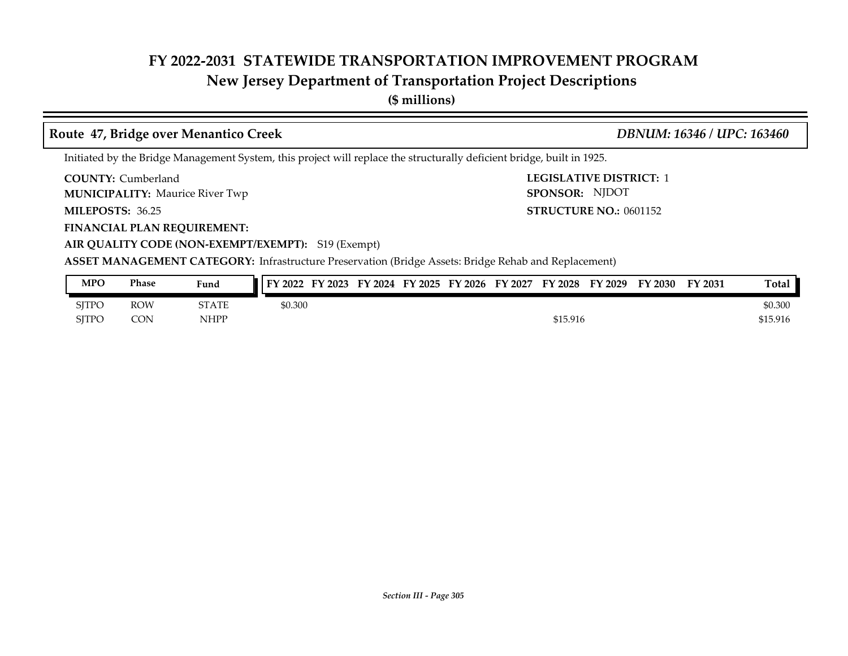## **New Jersey Department of Transportation Project Descriptions**

**(\$ millions)**

### **Route 47, Bridge over Menantico Creek** *DBNUM: 16346 / UPC: 163460*

SPONSOR: NJDOT

Initiated by the Bridge Management System, this project will replace the structurally deficient bridge, built in 1925.

**COUNTY: LEGISLATIVE DISTRICT:** 1 COUNTY: Cumberland

**MUNICIPALITY:** Maurice River Twp **SPONSOR:** 

**MILEPOSTS: STRUCTURE NO.:** 0601152 **MILEPOSTS: 36.25** 

**FINANCIAL PLAN REQUIREMENT:**

**AIR QUALITY CODE (NON-EXEMPT/EXEMPT):** S19 (Exempt)

| <b>MPO</b>   | Phase      | Fund         | FY 2022<br>FY 2023 | FY 2024 FY 2025 | FY 2026 | FY 2027 | FY 2028  | FY 2029 | FY 2030 | FY 2031 | <b>Total</b> |
|--------------|------------|--------------|--------------------|-----------------|---------|---------|----------|---------|---------|---------|--------------|
| SJTPC        | <b>ROW</b> | <b>STATE</b> | \$0.300            |                 |         |         |          |         |         |         | \$0.300      |
| <b>SITPC</b> | CON        | <b>NHPP</b>  |                    |                 |         |         | \$15.916 |         |         |         | \$15.916     |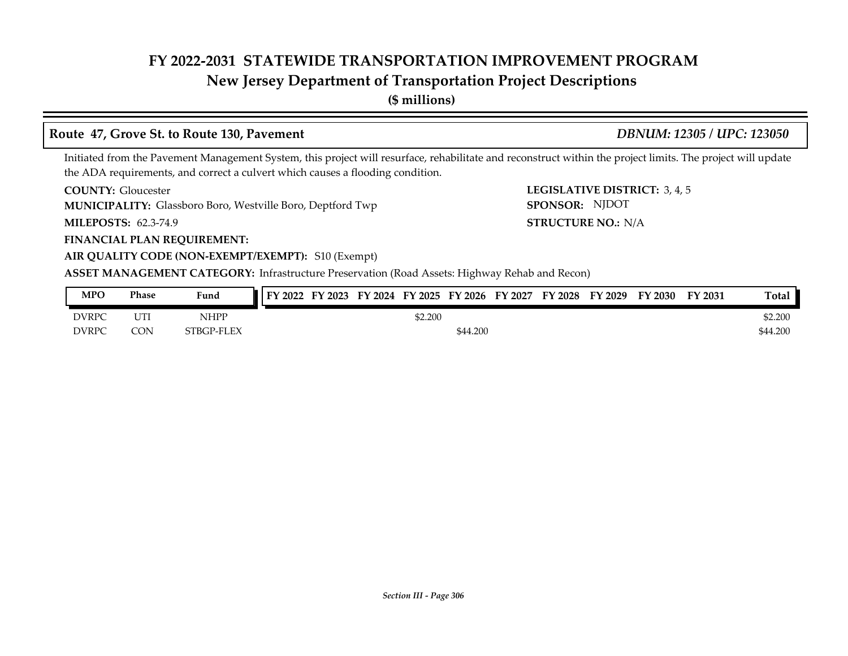## **New Jersey Department of Transportation Project Descriptions**

**(\$ millions)**

### **Route 47, Grove St. to Route 130, Pavement** *DBNUM: 12305 / UPC: 123050*

SPONSOR: NJDOT

Initiated from the Pavement Management System, this project will resurface, rehabilitate and reconstruct within the project limits. The project will update the ADA requirements, and correct a culvert which causes a flooding condition.

**COUNTY: LEGISLATIVE DISTRICT:** 3, 4, 5 **COUNTY: Gloucester** 

**MUNICIPALITY:** Glassboro Boro, Westville Boro, Deptford Twp **SPONSOR:** 

**MILEPOSTS: STRUCTURE NO.:** N/A **MILEPOSTS: 62.3-74.9** 

**FINANCIAL PLAN REQUIREMENT:**

**AIR QUALITY CODE (NON-EXEMPT/EXEMPT):** S10 (Exempt)

**ASSET MANAGEMENT CATEGORY:** Infrastructure Preservation (Road Assets: Highway Rehab and Recon)

| <b>MPO</b>   | Phase                | Fund        | FY 2022 | FY 2023 | FY 2024 | FY 2025 | $F\mathbf{V}$<br>$^{\prime}$ 2026 | FY<br>12027 | FY 2028 | FY 2029 | FY 2030 | FY 2031 | <b>Total</b> |
|--------------|----------------------|-------------|---------|---------|---------|---------|-----------------------------------|-------------|---------|---------|---------|---------|--------------|
| <b>DVRPC</b> | וידי ז<br><b>UI1</b> | <b>NHPP</b> |         |         |         | \$2.200 |                                   |             |         |         |         |         | \$2.200      |
| <b>DVRPC</b> | CON                  | STBGP-FLEX  |         |         |         |         | \$44.200                          |             |         |         |         |         | \$44.200     |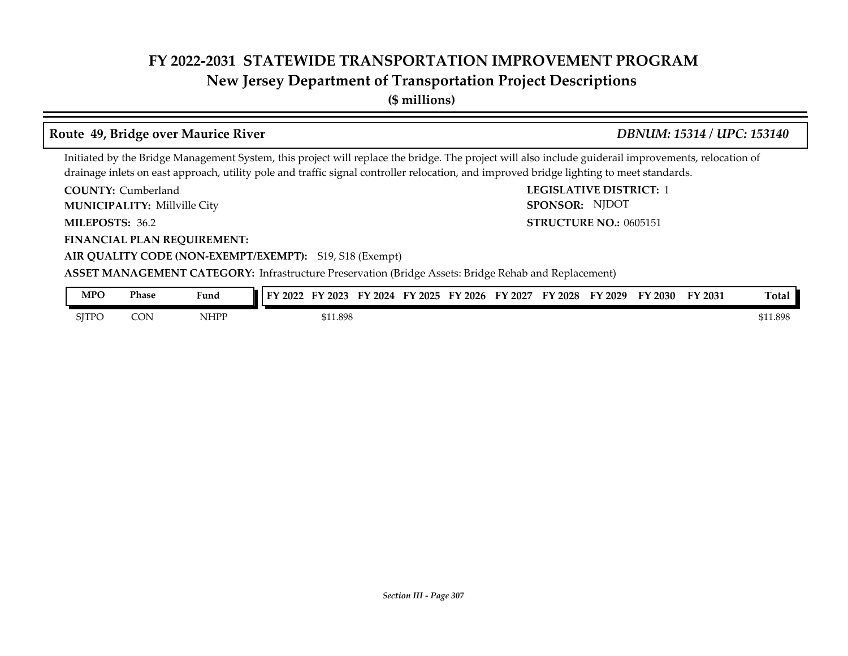## **New Jersey Department of Transportation Project Descriptions**

**(\$ millions)**

### **Route 49, Bridge over Maurice River** *DBNUM: 15314 / UPC: 153140*

Initiated by the Bridge Management System, this project will replace the bridge. The project will also include guiderail improvements, relocation of drainage inlets on east approach, utility pole and traffic signal controller relocation, and improved bridge lighting to meet standards.

**COUNTY: LEGISLATIVE DISTRICT:** 1 COUNTY: Cumberland

Millville City **MUNICIPALITY: SPONSOR:**

**MILEPOSTS: STRUCTURE NO.:** 36.2

**FINANCIAL PLAN REQUIREMENT:**

**STRUCTURE NO.: 0605151** SPONSOR: NJDOT

**AIR QUALITY CODE (NON-EXEMPT/EXEMPT):** S19, S18 (Exempt) **ASSET MANAGEMENT CATEGORY:** Infrastructure Preservation (Bridge Assets: Bridge Rehab and Replacement)

| <b>MPO</b>   | Phase | Fund | EV.<br>'2022 | FY 2023  | FV<br>2024 | $^{\prime}$ 2025<br>FУ | FY 2026 | EУ<br>Y 2027 | FY 2028 | FY 2029 | FY 2030 | FY 2031 | Total    |
|--------------|-------|------|--------------|----------|------------|------------------------|---------|--------------|---------|---------|---------|---------|----------|
| <b>SITPC</b> | CON   | NHPP |              | \$11.898 |            |                        |         |              |         |         |         |         | \$11.898 |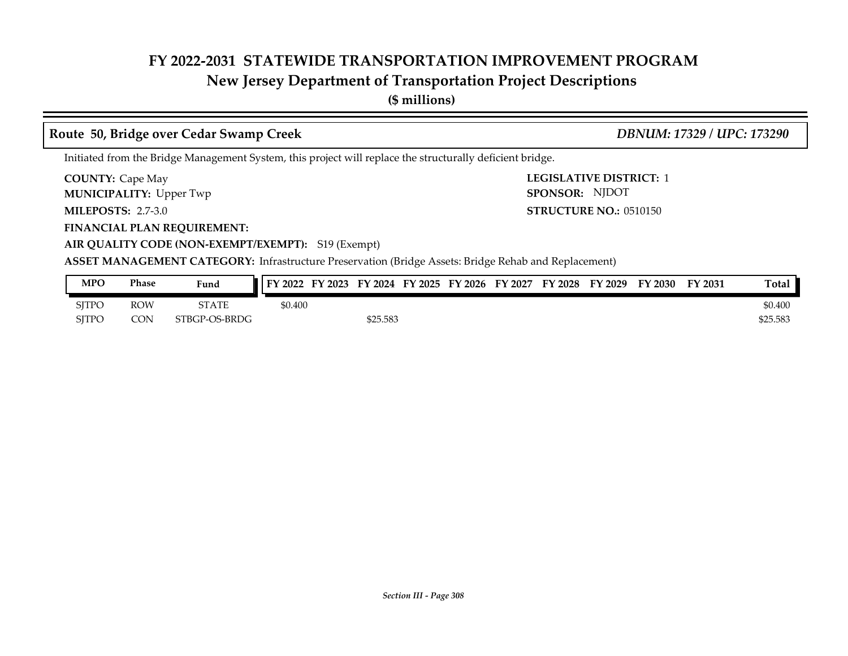## **New Jersey Department of Transportation Project Descriptions**

**(\$ millions)**

### **COUNTY:** Cape May **COUNTY:** Cape May **COUNTY:** 2 **MILEPOSTS: STRUCTURE NO.:** 2.7-3.0 **FINANCIAL PLAN REQUIREMENT: AIR QUALITY CODE (NON-EXEMPT/EXEMPT):** S19 (Exempt) **COUNTY: Cape May MUNICIPALITY:** Upper Twp **SPONSOR: STRUCTURE NO.: 0510150 ASSET MANAGEMENT CATEGORY:** Infrastructure Preservation (Bridge Assets: Bridge Rehab and Replacement) Initiated from the Bridge Management System, this project will replace the structurally deficient bridge. **Route 50, Bridge over Cedar Swamp Creek** *DBNUM: 17329 / UPC: 173290* SPONSOR: NJDOT

| MPO          | Phase | Fund          | FY 2023<br>FY 2022 | FY 2024  | FY 2025 | FY 2026 | FY 2027 | <b>FY 2028</b> | FY 2029 | FY 2030 | FY 2031 | Total    |
|--------------|-------|---------------|--------------------|----------|---------|---------|---------|----------------|---------|---------|---------|----------|
| <b>SITPO</b> | ROW   | <b>STATE</b>  | \$0.400            |          |         |         |         |                |         |         |         | \$0.400  |
| <b>SJTPO</b> | CON   | STBGP-OS-BRDG |                    | \$25.583 |         |         |         |                |         |         |         | \$25.583 |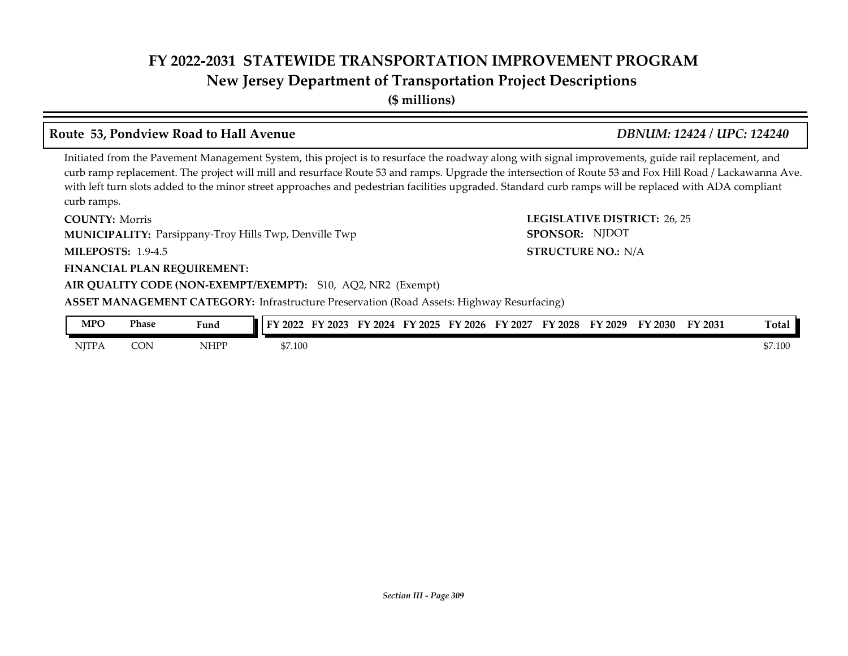## **FY 2022-2031 STATEWIDE TRANSPORTATION IMPROVEMENT PROGRAM New Jersey Department of Transportation Project Descriptions**

**(\$ millions)**

### **Route 53, Pondview Road to Hall Avenue** *DBNUM: 12424 / UPC: 124240*

Initiated from the Pavement Management System, this project is to resurface the roadway along with signal improvements, guide rail replacement, and curb ramp replacement. The project will mill and resurface Route 53 and ramps. Upgrade the intersection of Route 53 and Fox Hill Road / Lackawanna Ave. with left turn slots added to the minor street approaches and pedestrian facilities upgraded. Standard curb ramps will be replaced with ADA compliant curb ramps.

**COUNTY: Morris MUNICIPALITY:** Parsippany-Troy Hills Twp, Denville Twp **SPONSOR:** 

**MILEPOSTS: STRUCTURE NO.:** 1.9-4.5

### **FINANCIAL PLAN REQUIREMENT:**

### **AIR QUALITY CODE (NON-EXEMPT/EXEMPT):** S10, AQ2, NR2 (Exempt)

**ASSET MANAGEMENT CATEGORY:** Infrastructure Preservation (Road Assets: Highway Resurfacing)

| <b>MPO</b>   | Phase | Fund<br>$\sim$ $\sim$ $\sim$ $\sim$         | 2022    | 2023 | FY<br>2024 | FY 2025 | FY 2026 | Y 2027<br>ĽV | FY<br>'2028 | FY 2029 | FY 2030 | <b>FY 2031</b> | <b>Total</b> |
|--------------|-------|---------------------------------------------|---------|------|------------|---------|---------|--------------|-------------|---------|---------|----------------|--------------|
| <b>NJTPA</b> | CON   | NHPP<br>the contract of the contract of the | \$7.100 |      |            |         |         |              |             |         |         |                | \$7.100      |

**COUNTY: LEGISLATIVE DISTRICT:** 26, 25 SPONSOR: NJDOT

**STRUCTURE NO.: N/A**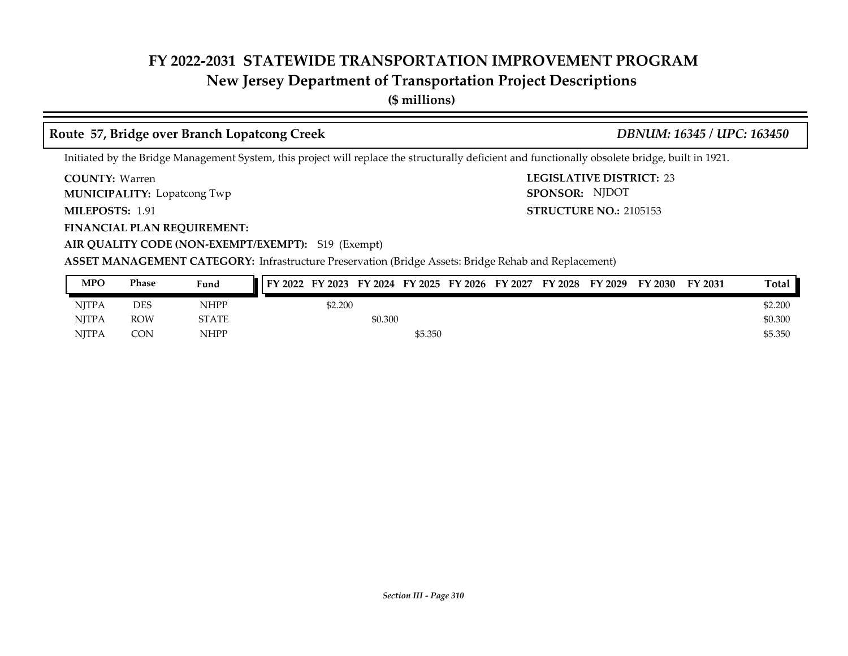## **New Jersey Department of Transportation Project Descriptions**

**(\$ millions)**

### **Route 57, Bridge over Branch Lopatcong Creek** *DBNUM: 16345 / UPC: 163450*

### Initiated by the Bridge Management System, this project will replace the structurally deficient and functionally obsolete bridge, built in 1921.

COUNTY: Warren

**MUNICIPALITY:** Lopatcong Twp **SPONSOR:** 

MILEPOSTS: 1.91

**FINANCIAL PLAN REQUIREMENT:**

**AIR QUALITY CODE (NON-EXEMPT/EXEMPT):** S19 (Exempt)

**COUNTY: LEGISLATIVE DISTRICT:** 23 **MILEPOSTS: STRUCTURE NO.:** 2105153 SPONSOR: NJDOT

| <b>MPO</b> | <b>Phase</b> | Fund         | FY 2022 FY 2023 FY 2024 FY 2025 FY 2026 FY 2027 |         |         |  | FY 2028 | FY 2029 | FY 2030 | FY 2031 | Total   |
|------------|--------------|--------------|-------------------------------------------------|---------|---------|--|---------|---------|---------|---------|---------|
| NITPA      | DES          | NHPP         | \$2.200                                         |         |         |  |         |         |         |         | \$2.200 |
| NITPA      | <b>ROW</b>   | <b>STATE</b> |                                                 | \$0.300 |         |  |         |         |         |         | \$0.300 |
| NITPA      | <b>CON</b>   | NHPP         |                                                 |         | \$5.350 |  |         |         |         |         | \$5.350 |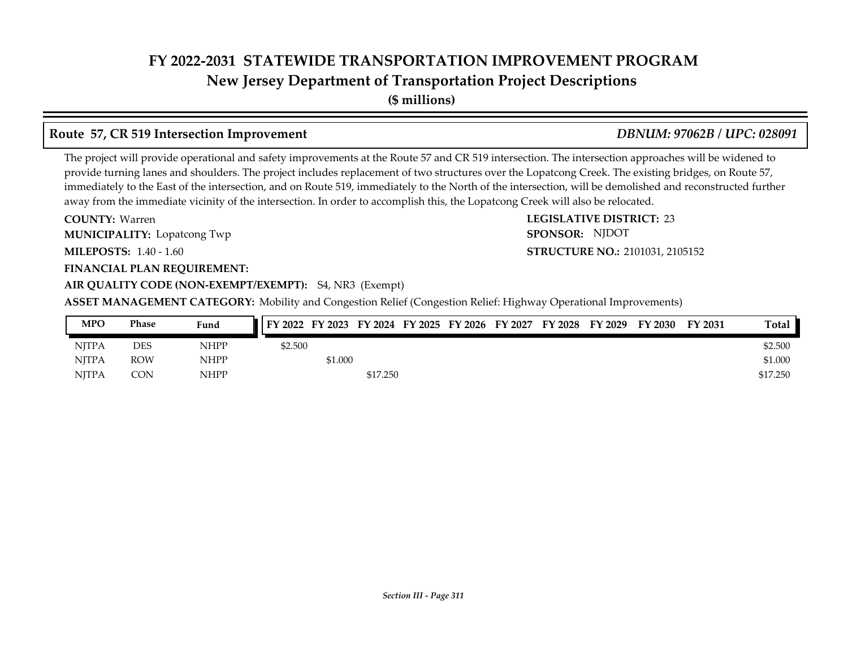**New Jersey Department of Transportation Project Descriptions**

**(\$ millions)**

## **Route 57, CR 519 Intersection Improvement** *DBNUM: 97062B / UPC: 028091*

The project will provide operational and safety improvements at the Route 57 and CR 519 intersection. The intersection approaches will be widened to provide turning lanes and shoulders. The project includes replacement of two structures over the Lopatcong Creek. The existing bridges, on Route 57, immediately to the East of the intersection, and on Route 519, immediately to the North of the intersection, will be demolished and reconstructed further away from the immediate vicinity of the intersection. In order to accomplish this, the Lopatcong Creek will also be relocated.

**COUNTY: LEGISLATIVE DISTRICT:** 23 **MILEPOSTS: STRUCTURE NO.:** 1.40 - 1.60 **FINANCIAL PLAN REQUIREMENT: AIR QUALITY CODE (NON-EXEMPT/EXEMPT):** S4, NR3 (Exempt) COUNTY: Warren **MUNICIPALITY:** Lopatcong Twp **SPONSOR:** 

**STRUCTURE NO.: 2101031, 2105152** SPONSOR: NJDOT

**ASSET MANAGEMENT CATEGORY:** Mobility and Congestion Relief (Congestion Relief: Highway Operational Improvements)

| MPO          | Phase      | Fund | FY 2022 FY 2023 FY 2024 FY 2025 FY 2026 FY 2027 FY 2028 FY 2029 |         |          |  |  | FY 2030 | FY 2031 | Total    |
|--------------|------------|------|-----------------------------------------------------------------|---------|----------|--|--|---------|---------|----------|
| <b>NITPA</b> | DES        | NHPP | \$2.500                                                         |         |          |  |  |         |         | \$2.500  |
| <b>NITPA</b> | <b>ROW</b> | NHPP |                                                                 | \$1.000 |          |  |  |         |         | \$1.000  |
| <b>NITPA</b> | <b>CON</b> | NHPP |                                                                 |         | \$17.250 |  |  |         |         | \$17.250 |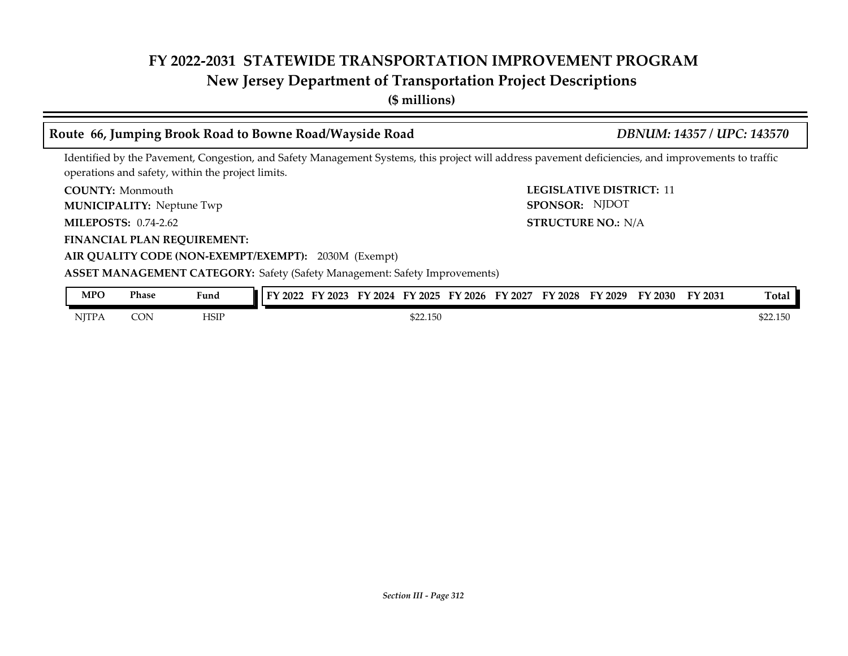## **New Jersey Department of Transportation Project Descriptions**

**(\$ millions)**

## **Route 66, Jumping Brook Road to Bowne Road/Wayside Road** *DBNUM: 14357 / UPC: 143570*

STRUCTURE NO.: N/A

SPONSOR: NJDOT

Identified by the Pavement, Congestion, and Safety Management Systems, this project will address pavement deficiencies, and improvements to traffic operations and safety, within the project limits.

**COUNTY:** Monmouth **COUNTY:** 11 **COUNTY: Monmouth** 

**MUNICIPALITY:** Neptune Twp **SPONSOR:** 

**MILEPOSTS: STRUCTURE NO.:** 0.74-2.62

**FINANCIAL PLAN REQUIREMENT:**

**AIR QUALITY CODE (NON-EXEMPT/EXEMPT):** 2030M (Exempt)

**ASSET MANAGEMENT CATEGORY:** Safety (Safety Management: Safety Improvements)

| MPO          | Phase | Fund         | 2022 | FY 2023 | 2024<br>TV. | $'$ 2025 | $Y$ 2026 | FY 2027 | FY 2028 | FY 2029 | FY 2030 | FY 2031 | $\sim$<br>l otal |
|--------------|-------|--------------|------|---------|-------------|----------|----------|---------|---------|---------|---------|---------|------------------|
| <b>NITPA</b> | CON   | HSIP<br>____ |      |         |             | \$22.150 |          |         |         |         |         |         | \$22.150         |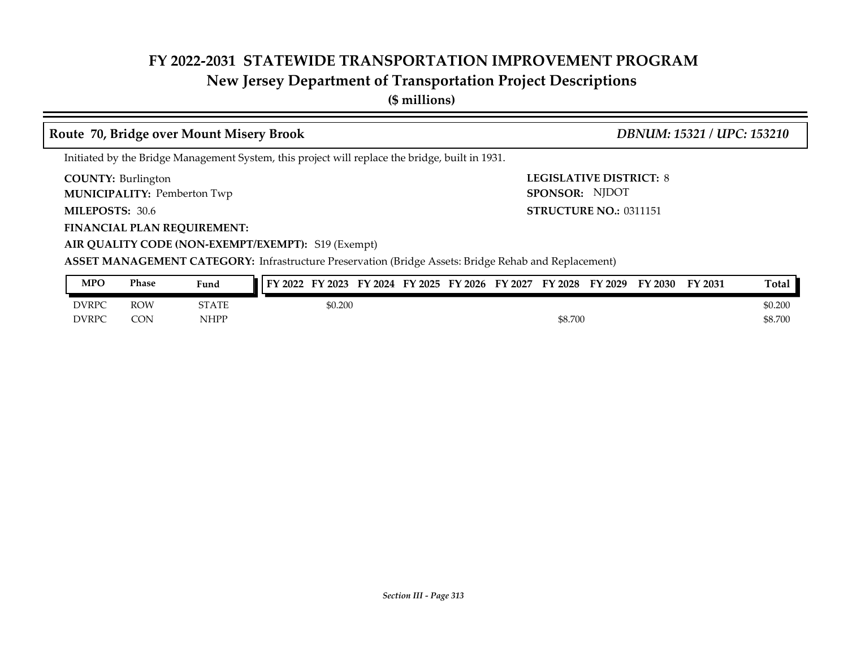## **New Jersey Department of Transportation Project Descriptions**

**(\$ millions)**

### **COUNTY: LEGISLATIVE DISTRICT:** 8 **MILEPOSTS: STRUCTURE NO.:** 0311151 **FINANCIAL PLAN REQUIREMENT: AIR QUALITY CODE (NON-EXEMPT/EXEMPT):** S19 (Exempt) COUNTY: Burlington **MUNICIPALITY:** Pemberton Twp **Example 2001 SPONSOR:** MILEPOSTS: 30.6 **ASSET MANAGEMENT CATEGORY:** Infrastructure Preservation (Bridge Assets: Bridge Rehab and Replacement) Initiated by the Bridge Management System, this project will replace the bridge, built in 1931. **Route 70, Bridge over Mount Misery Brook** *DBNUM: 15321 / UPC: 153210* SPONSOR: NJDOT

| <b>MPO</b>   | Phase      | Fund  | FY 2023<br>FY 2022 | FY 2024 FY 2025 | FY 2026 | FY 2027 | <b>FY 2028</b> | FY 2029 | FY 2030 | FY 2031 | Total   |
|--------------|------------|-------|--------------------|-----------------|---------|---------|----------------|---------|---------|---------|---------|
| <b>DVRPC</b> | ROW        | STATE | \$0.200            |                 |         |         |                |         |         |         | \$0.200 |
| <b>DVRPC</b> | <b>CON</b> | NHPP  |                    |                 |         |         | \$8.700        |         |         |         | \$8.700 |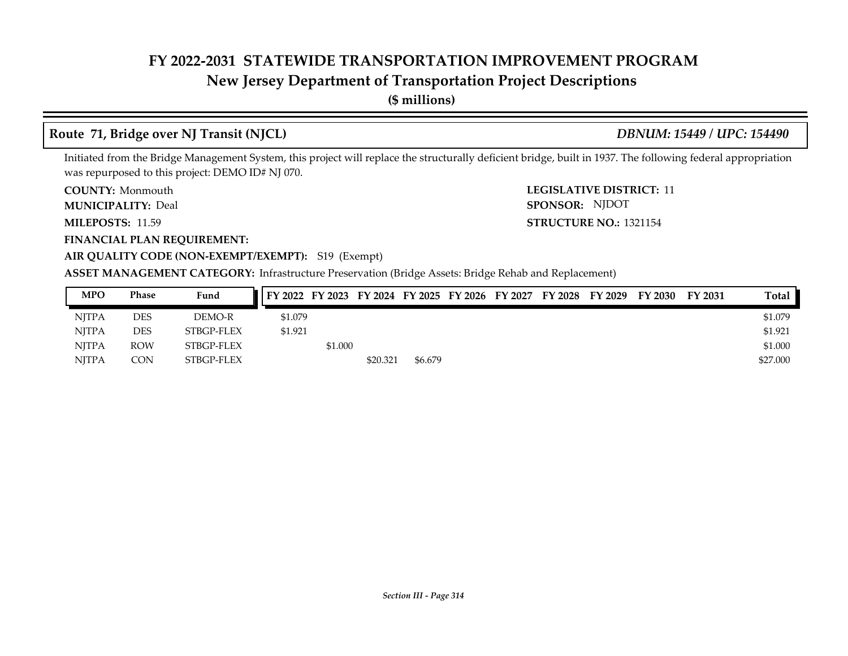## **New Jersey Department of Transportation Project Descriptions**

**(\$ millions)**

## **Route 71, Bridge over NJ Transit (NJCL)** *DBNUM: 15449 / UPC: 154490*

Initiated from the Bridge Management System, this project will replace the structurally deficient bridge, built in 1937. The following federal appropriation was repurposed to this project: DEMO ID# NJ 070.

**COUNTY: Monmouth** 

**MUNICIPALITY:** Deal **SPONSOR:** 

**MILEPOSTS: STRUCTURE NO.:** 11.59

**FINANCIAL PLAN REQUIREMENT:**

**COUNTY:** Monmouth **COUNTY:** 11 **STRUCTURE NO.: 1321154** SPONSOR: NJDOT

### **AIR QUALITY CODE (NON-EXEMPT/EXEMPT):** S19 (Exempt)

| <b>MPO</b>   | Phase      | Fund       |         |         |          |         | FY 2022 FY 2023 FY 2024 FY 2025 FY 2026 FY 2027 | FY 2028 FY 2029 | FY 2030 | FY 2031 | <b>Total</b> |
|--------------|------------|------------|---------|---------|----------|---------|-------------------------------------------------|-----------------|---------|---------|--------------|
| <b>NITPA</b> | DES        | DEMO-R     | \$1.079 |         |          |         |                                                 |                 |         |         | \$1.079      |
| <b>NJTPA</b> | DES        | STBGP-FLEX | \$1.921 |         |          |         |                                                 |                 |         |         | \$1.921      |
| NITPA        | <b>ROW</b> | STBGP-FLEX |         | \$1.000 |          |         |                                                 |                 |         |         | \$1.000      |
| NJTPA        | CON        | STBGP-FLEX |         |         | \$20.321 | \$6.679 |                                                 |                 |         |         | \$27.000     |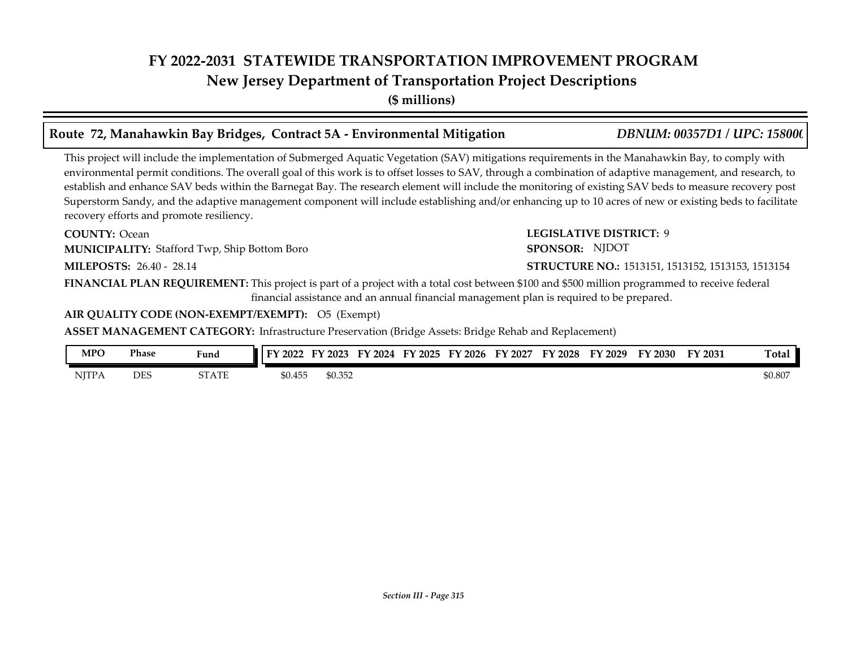## **FY 2022-2031 STATEWIDE TRANSPORTATION IMPROVEMENT PROGRAM New Jersey Department of Transportation Project Descriptions**

**(\$ millions)**

### **Route 72, Manahawkin Bay Bridges, Contract 5A - Environmental Mitigation** *DBNUM: 00357D1 / UPC: 158000*

This project will include the implementation of Submerged Aquatic Vegetation (SAV) mitigations requirements in the Manahawkin Bay, to comply with environmental permit conditions. The overall goal of this work is to offset losses to SAV, through a combination of adaptive management, and research, to establish and enhance SAV beds within the Barnegat Bay. The research element will include the monitoring of existing SAV beds to measure recovery post Superstorm Sandy, and the adaptive management component will include establishing and/or enhancing up to 10 acres of new or existing beds to facilitate recovery efforts and promote resiliency.

**COUNTY: LEGISLATIVE DISTRICT:** 9 **MILEPOSTS: STRUCTURE NO.:** 26.40 - 28.14 **FINANCIAL PLAN REQUIREMENT:** This project is part of a project with a total cost between \$100 and \$500 million programmed to receive federal **COUNTY: Ocean MUNICIPALITY:** Stafford Twp, Ship Bottom Boro **SPONSOR: STRUCTURE NO.: 1513151, 1513152, 1513153, 1513154** financial assistance and an annual financial management plan is required to be prepared. SPONSOR: NJDOT

**AIR QUALITY CODE (NON-EXEMPT/EXEMPT):** O5 (Exempt)

| MPO          | Phase      | Fund  | FY 2022 | FY 2023 | FV<br>2024 | FY 2025 | $Y$ 2026 | FY 2027 | FY<br>' 2028 | FY 2029 | FY 2030 | FY 2031 | Total   |
|--------------|------------|-------|---------|---------|------------|---------|----------|---------|--------------|---------|---------|---------|---------|
| <b>NITPA</b> | <b>DES</b> | STATE | \$0.455 | \$0.352 |            |         |          |         |              |         |         |         | \$0.807 |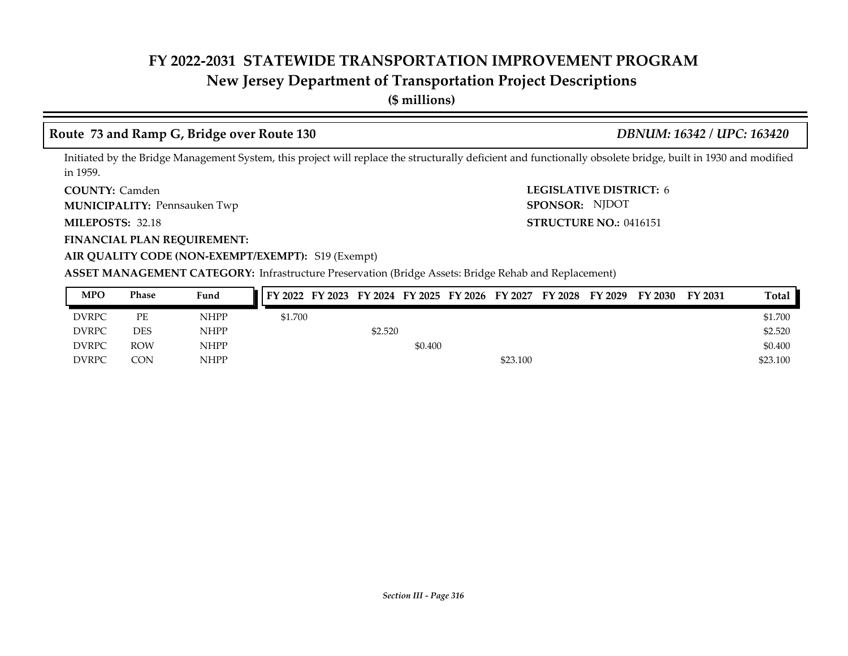## **New Jersey Department of Transportation Project Descriptions**

**(\$ millions)**

### **Route 73 and Ramp G, Bridge over Route 130** *DBNUM: 16342 / UPC: 163420*

Initiated by the Bridge Management System, this project will replace the structurally deficient and functionally obsolete bridge, built in 1930 and modified in 1959.

**COUNTY: LEGISLATIVE DISTRICT:** 6 **COUNTY: Camden** 

Pennsauken Twp **MUNICIPALITY: SPONSOR:**

MILEPOSTS: 32.18

**FINANCIAL PLAN REQUIREMENT:**

**MILEPOSTS: STRUCTURE NO.:** 0416151 SPONSOR: NJDOT

**AIR QUALITY CODE (NON-EXEMPT/EXEMPT):** S19 (Exempt)

| <b>MPO</b>   | <b>Phase</b> | Fund        | FY 2022 FY 2023 FY 2024 FY 2025 FY 2026 FY 2027 FY 2028 FY 2029 |         |         |          |  | FY 2030 | FY 2031 | Total    |
|--------------|--------------|-------------|-----------------------------------------------------------------|---------|---------|----------|--|---------|---------|----------|
| <b>DVRPC</b> | РE           | <b>NHPP</b> | \$1.700                                                         |         |         |          |  |         |         | \$1.700  |
| <b>DVRPC</b> | <b>DES</b>   | <b>NHPP</b> |                                                                 | \$2.520 |         |          |  |         |         | \$2.520  |
| <b>DVRPC</b> | <b>ROW</b>   | <b>NHPP</b> |                                                                 |         | \$0.400 |          |  |         |         | \$0.400  |
| <b>DVRPC</b> | CON          | <b>NHPP</b> |                                                                 |         |         | \$23.100 |  |         |         | \$23.100 |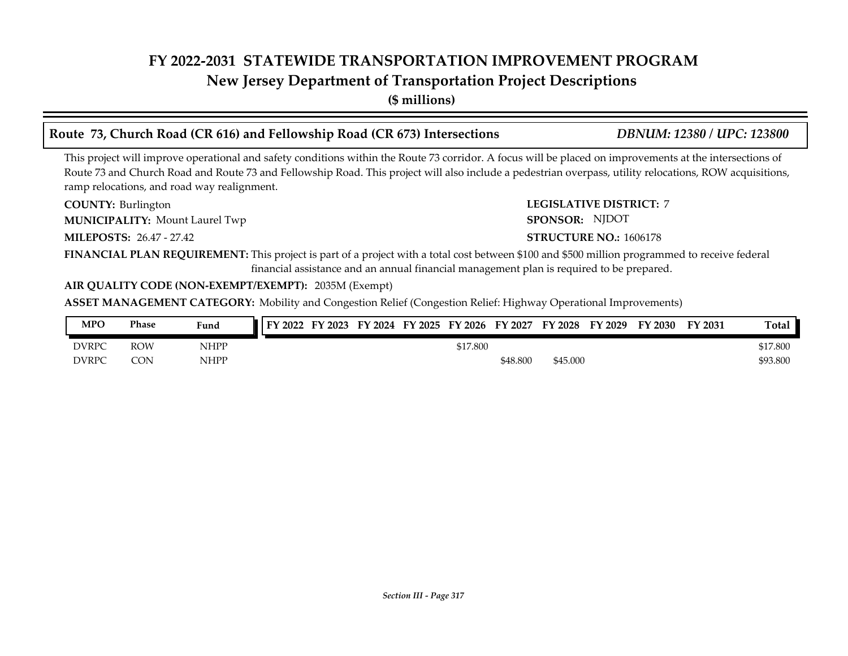### **New Jersey Department of Transportation Project Descriptions**

**(\$ millions)**

## **Route 73, Church Road (CR 616) and Fellowship Road (CR 673) Intersections** *DBNUM: 12380 / UPC: 123800*

This project will improve operational and safety conditions within the Route 73 corridor. A focus will be placed on improvements at the intersections of Route 73 and Church Road and Route 73 and Fellowship Road. This project will also include a pedestrian overpass, utility relocations, ROW acquisitions, ramp relocations, and road way realignment.

**COUNTY: LEGISLATIVE DISTRICT:** 7 COUNTY: Burlington

**MUNICIPALITY:** Mount Laurel Twp **SPONSOR:** 

**MILEPOSTS: STRUCTURE NO.:** 26.47 - 27.42

SPONSOR: NJDOT

### **STRUCTURE NO.: 1606178**

**FINANCIAL PLAN REQUIREMENT:** This project is part of a project with a total cost between \$100 and \$500 million programmed to receive federal financial assistance and an annual financial management plan is required to be prepared.

### **AIR QUALITY CODE (NON-EXEMPT/EXEMPT):** 2035M (Exempt)

**ASSET MANAGEMENT CATEGORY:** Mobility and Congestion Relief (Congestion Relief: Highway Operational Improvements)

| <b>MPO</b>   | Phase      | Fund        | FY 2022 | FY 2023 | FY 2024 | FY 2025 | FY 2026  | FY 2027  | FY 2028  | FY 2029 | FY 2030 | FY 2031 | Total    |
|--------------|------------|-------------|---------|---------|---------|---------|----------|----------|----------|---------|---------|---------|----------|
| <b>DVRPC</b> | ROW        | <b>NHPP</b> |         |         |         |         | \$17.800 |          |          |         |         |         | \$17.800 |
| <b>DVRPC</b> | <b>CON</b> | <b>NHPP</b> |         |         |         |         |          | \$48.800 | \$45.000 |         |         |         | \$93.800 |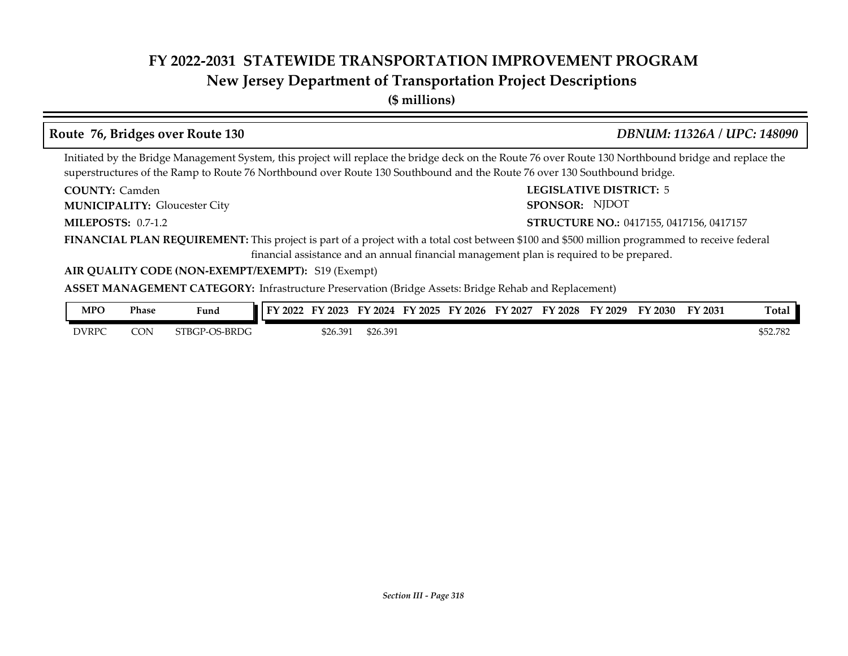## **New Jersey Department of Transportation Project Descriptions**

**(\$ millions)**

### **Route 76, Bridges over Route 130** *DBNUM: 11326A / UPC: 148090*

Initiated by the Bridge Management System, this project will replace the bridge deck on the Route 76 over Route 130 Northbound bridge and replace the superstructures of the Ramp to Route 76 Northbound over Route 130 Southbound and the Route 76 over 130 Southbound bridge.

**COUNTY: LEGISLATIVE DISTRICT:** 5 **COUNTY: Camden** 

Gloucester City **MUNICIPALITY: SPONSOR:**

**MILEPOSTS: 0.7-1.2** 

SPONSOR: NJDOT

### **MILEPOSTS: STRUCTURE NO.:** 0417155, 0417156, 0417157

**FINANCIAL PLAN REQUIREMENT:** This project is part of a project with a total cost between \$100 and \$500 million programmed to receive federal financial assistance and an annual financial management plan is required to be prepared.

### **AIR QUALITY CODE (NON-EXEMPT/EXEMPT):** S19 (Exempt)

| <b>MPO</b>   | Phase | Fund                 | FV<br>12022 | $'$ 2023 | FY<br>$\frac{1}{2}$ 2024 | FY 2025 | FY 2026 | FY 2027 | FY 2028 | FY 2029 | FY 2030 | $Y$ 2031 | Total    |
|--------------|-------|----------------------|-------------|----------|--------------------------|---------|---------|---------|---------|---------|---------|----------|----------|
| <b>DVRPC</b> | CON   | <b>STBGP-OS-BRDG</b> |             | \$26.391 | \$26.391                 |         |         |         |         |         |         |          | \$52.782 |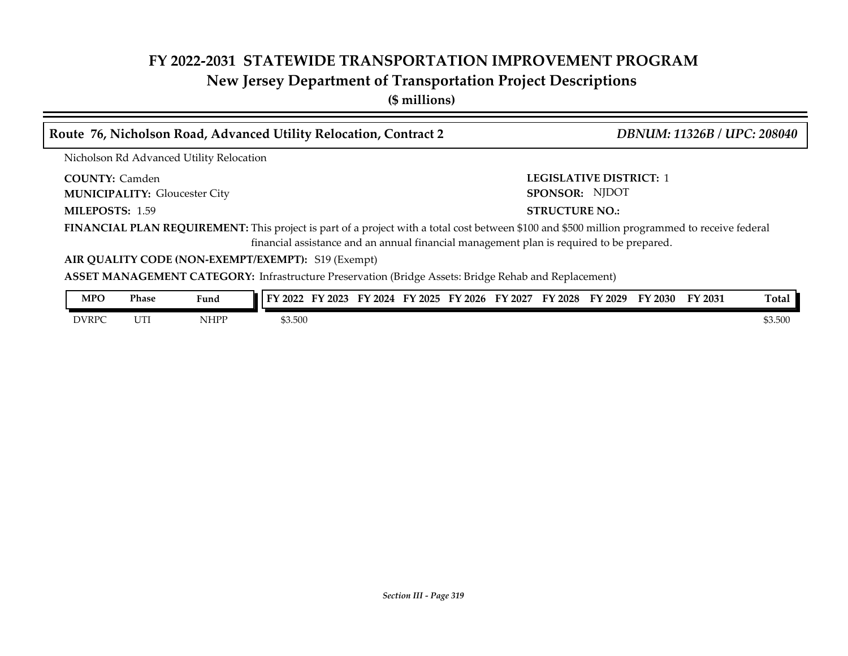## **New Jersey Department of Transportation Project Descriptions**

**(\$ millions)**

| Route 76, Nicholson Road, Advanced Utility Relocation, Contract 2                                                                             | <b>DBNUM: 11326B / UPC: 208040</b>                                                          |
|-----------------------------------------------------------------------------------------------------------------------------------------------|---------------------------------------------------------------------------------------------|
| Nicholson Rd Advanced Utility Relocation                                                                                                      |                                                                                             |
| <b>COUNTY: Camden</b><br><b>MUNICIPALITY: Gloucester City</b>                                                                                 | <b>LEGISLATIVE DISTRICT: 1</b><br>SPONSOR: NJDOT                                            |
| MILEPOSTS: 1.59                                                                                                                               | <b>STRUCTURE NO.:</b>                                                                       |
| FINANCIAL PLAN REQUIREMENT: This project is part of a project with a total cost between \$100 and \$500 million programmed to receive federal | financial assistance and an annual financial management plan is required to be prepared.    |
| AIR QUALITY CODE (NON-EXEMPT/EXEMPT): S19 (Exempt)                                                                                            |                                                                                             |
| <b>ASSET MANAGEMENT CATEGORY:</b> Infrastructure Preservation (Bridge Assets: Bridge Rehab and Replacement)                                   |                                                                                             |
| Phase<br><b>MPO</b><br>Fund                                                                                                                   | FY 2022 FY 2023 FY 2024 FY 2025 FY 2026 FY 2027 FY 2028 FY 2029 FY 2030<br>Total<br>FY 2031 |

DVRPC UTI NHPP \$3.500 \$3.500 \$3.500 \$3.500 \$3.500 \$3.500 \$3.500 \$3.500 \$3.500 \$3.500 \$3.500 \$3.500 \$3.500 \$3.500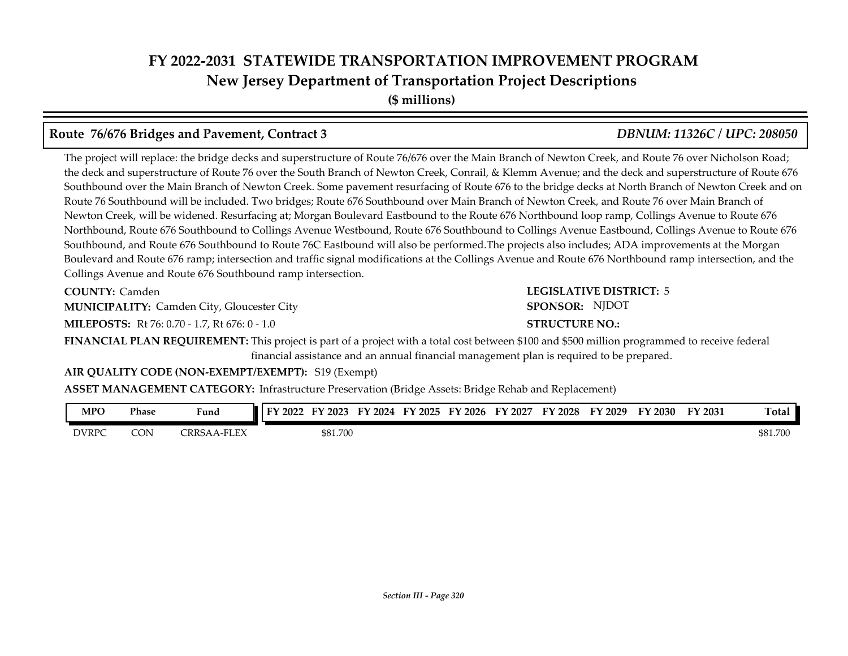# **FY 2022-2031 STATEWIDE TRANSPORTATION IMPROVEMENT PROGRAM New Jersey Department of Transportation Project Descriptions**

**(\$ millions)**

### **Route 76/676 Bridges and Pavement, Contract 3** *DBNUM: 11326C / UPC: 208050*

The project will replace: the bridge decks and superstructure of Route 76/676 over the Main Branch of Newton Creek, and Route 76 over Nicholson Road; the deck and superstructure of Route 76 over the South Branch of Newton Creek, Conrail, & Klemm Avenue; and the deck and superstructure of Route 676 Southbound over the Main Branch of Newton Creek. Some pavement resurfacing of Route 676 to the bridge decks at North Branch of Newton Creek and on Route 76 Southbound will be included. Two bridges; Route 676 Southbound over Main Branch of Newton Creek, and Route 76 over Main Branch of Newton Creek, will be widened. Resurfacing at; Morgan Boulevard Eastbound to the Route 676 Northbound loop ramp, Collings Avenue to Route 676 Northbound, Route 676 Southbound to Collings Avenue Westbound, Route 676 Southbound to Collings Avenue Eastbound, Collings Avenue to Route 676 Southbound, and Route 676 Southbound to Route 76C Eastbound will also be performed.The projects also includes; ADA improvements at the Morgan Boulevard and Route 676 ramp; intersection and traffic signal modifications at the Collings Avenue and Route 676 Northbound ramp intersection, and the Collings Avenue and Route 676 Southbound ramp intersection.

**COUNTY: Camden** 

**MUNICIPALITY:** Camden City, Gloucester City **SPONSOR:** 

**MILEPOSTS:** Rt 76: 0.70 - 1.7, Rt 676: 0 - 1.0

**FINANCIAL PLAN REQUIREMENT:** This project is part of a project with a total cost between \$100 and \$500 million programmed to receive federal financial assistance and an annual financial management plan is required to be prepared.

### **AIR QUALITY CODE (NON-EXEMPT/EXEMPT):** S19 (Exempt)

**ASSET MANAGEMENT CATEGORY:** Infrastructure Preservation (Bridge Assets: Bridge Rehab and Replacement)

| <b>MPO</b><br>the contract of the contract of | Phase | $\mathbf{r}$<br>Fund              | тv<br>2022 | ' 2023   | FУ<br>$\cdot$ 2024 | FY 2025 | $F\lambda$<br>$\degree$ 2026 | FY<br>2027 | FY 2028 | FY 2029 | FY 2030 | FY 2031 | <b>Total</b> |
|-----------------------------------------------|-------|-----------------------------------|------------|----------|--------------------|---------|------------------------------|------------|---------|---------|---------|---------|--------------|
| <b>DVRPC</b>                                  | CON   | T<br>CRRS<br>ы.<br>$\overline{ }$ |            | \$81.700 |                    |         |                              |            |         |         |         |         | \$81.700     |

**COUNTY: LEGISLATIVE DISTRICT:** 5 SPONSOR: NJDOT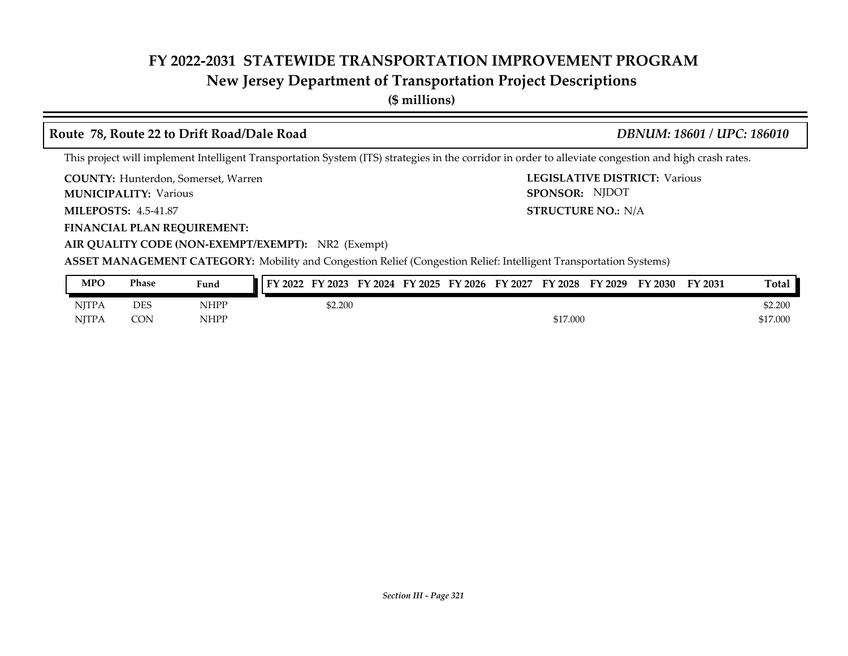## **New Jersey Department of Transportation Project Descriptions**

**(\$ millions)**

### **Route 78, Route 22 to Drift Road/Dale Road** *DBNUM: 18601 / UPC: 186010*

LEGISLATIVE DISTRICT: Various

**STRUCTURE NO.: N/A** 

SPONSOR: NJDOT

This project will implement Intelligent Transportation System (ITS) strategies in the corridor in order to alleviate congestion and high crash rates.

**COUNTY: LEGISLATIVE DISTRICT:** Hunterdon, Somerset, Warren

**MUNICIPALITY:** Various **SPONSOR:** 

**MILEPOSTS: STRUCTURE NO.:** 4.5-41.87

**FINANCIAL PLAN REQUIREMENT:**

**AIR QUALITY CODE (NON-EXEMPT/EXEMPT):** NR2 (Exempt)

**ASSET MANAGEMENT CATEGORY:** Mobility and Congestion Relief (Congestion Relief: Intelligent Transportation Systems)

| <b>MPO</b>   | Phase      | Fund        | FY 2022 | FY 2023 |  | FY 2024 FY 2025 FY 2026 | FY 2027 | FY 2028  | FY 2029 | FY 2030 | FY 2031 | <b>Total</b> |
|--------------|------------|-------------|---------|---------|--|-------------------------|---------|----------|---------|---------|---------|--------------|
| <b>NITPA</b> | <b>DES</b> | NHPP        |         | \$2.200 |  |                         |         |          |         |         |         | \$2.200      |
| <b>NJTPA</b> | CON        | <b>NHPP</b> |         |         |  |                         |         | \$17.000 |         |         |         | \$17.000     |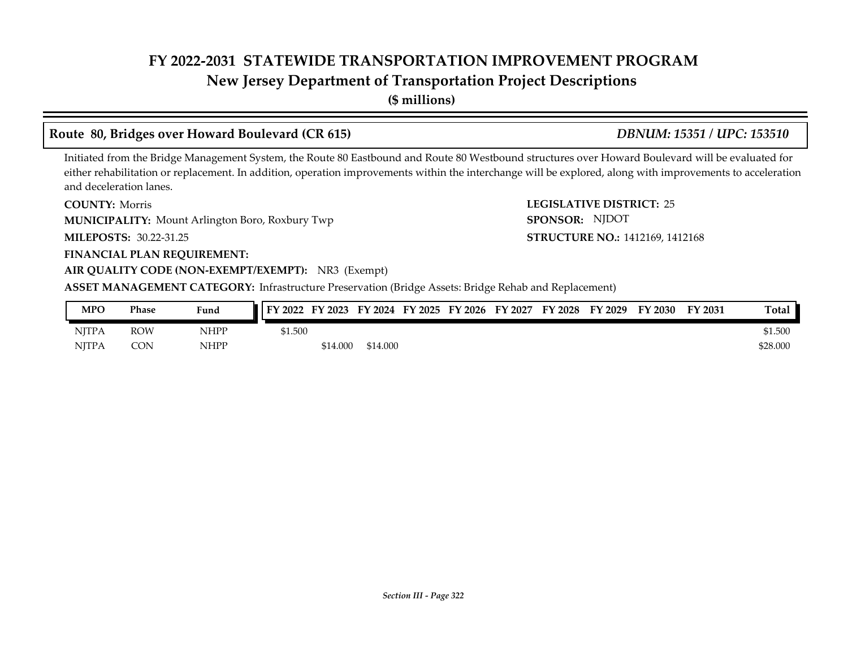## **New Jersey Department of Transportation Project Descriptions**

**(\$ millions)**

## **Route 80, Bridges over Howard Boulevard (CR 615)** *DBNUM: 15351 / UPC: 153510*

### Initiated from the Bridge Management System, the Route 80 Eastbound and Route 80 Westbound structures over Howard Boulevard will be evaluated for either rehabilitation or replacement. In addition, operation improvements within the interchange will be explored, along with improvements to acceleration and deceleration lanes.

**COUNTY: Morris** 

**MUNICIPALITY:** Mount Arlington Boro, Roxbury Twp **SPONSOR:** 

**MILEPOSTS: STRUCTURE NO.:** 30.22-31.25

### **FINANCIAL PLAN REQUIREMENT:**

### **AIR QUALITY CODE (NON-EXEMPT/EXEMPT):** NR3 (Exempt)

**ASSET MANAGEMENT CATEGORY:** Infrastructure Preservation (Bridge Assets: Bridge Rehab and Replacement)

| MPO          | <b>Phase</b> | Fund | FY 2022 | E)<br>$'$ 2023 | FY 2024  | FY 2025 | FY 2026 | FY<br>2027 | FY 2028 | FY 2029 | FY 2030 | FY 2031 | Total    |
|--------------|--------------|------|---------|----------------|----------|---------|---------|------------|---------|---------|---------|---------|----------|
| <b>NJTPA</b> | ROW          | NHPP | \$1.500 |                |          |         |         |            |         |         |         |         | \$1.500  |
| <b>NJTPA</b> | CON          | NHPP |         | \$14.000       | \$14.000 |         |         |            |         |         |         |         | \$28.000 |

**COUNTY: LEGISLATIVE DISTRICT:** 25 SPONSOR: NJDOT

# STRUCTURE NO.: 1412169, 1412168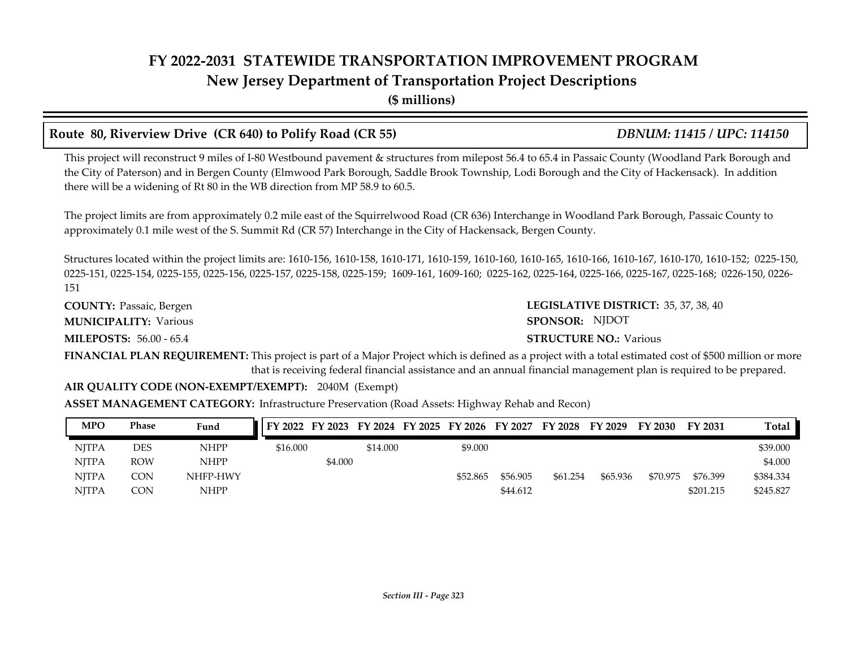## **FY 2022-2031 STATEWIDE TRANSPORTATION IMPROVEMENT PROGRAM New Jersey Department of Transportation Project Descriptions**

**(\$ millions)**

### **Route 80, Riverview Drive (CR 640) to Polify Road (CR 55)** *DBNUM: 11415 / UPC: 114150*

This project will reconstruct 9 miles of I-80 Westbound pavement & structures from milepost 56.4 to 65.4 in Passaic County (Woodland Park Borough and the City of Paterson) and in Bergen County (Elmwood Park Borough, Saddle Brook Township, Lodi Borough and the City of Hackensack). In addition there will be a widening of Rt 80 in the WB direction from MP 58.9 to 60.5.

The project limits are from approximately 0.2 mile east of the Squirrelwood Road (CR 636) Interchange in Woodland Park Borough, Passaic County to approximately 0.1 mile west of the S. Summit Rd (CR 57) Interchange in the City of Hackensack, Bergen County.

Structures located within the project limits are: 1610-156, 1610-158, 1610-171, 1610-159, 1610-160, 1610-165, 1610-166, 1610-167, 1610-170, 1610-152; 0225-150, 0225-151, 0225-154, 0225-155, 0225-156, 0225-157, 0225-158, 0225-159; 1609-161, 1609-160; 0225-162, 0225-164, 0225-166, 0225-167, 0225-168; 0226-150, 0226- 151

**COUNTY: LEGISLATIVE DISTRICT:** Passaic, Bergen **MILEPOSTS: STRUCTURE NO.:** 56.00 - 65.4 **MUNICIPALITY:** Various **SPONSOR:** 

LEGISLATIVE DISTRICT: 35, 37, 38, 40 SPONSOR: NJDOT

### **STRUCTURE NO.: Various**

**FINANCIAL PLAN REQUIREMENT:** This project is part of a Major Project which is defined as a project with a total estimated cost of \$500 million or more that is receiving federal financial assistance and an annual financial management plan is required to be prepared.

### **AIR QUALITY CODE (NON-EXEMPT/EXEMPT):** 2040M (Exempt)

**ASSET MANAGEMENT CATEGORY:** Infrastructure Preservation (Road Assets: Highway Rehab and Recon)

| <b>MPO</b>   | <b>Phase</b> | Fund        |          |         |          | FY 2022 FY 2023 FY 2024 FY 2025 FY 2026 FY 2027 |          | FY 2028  | FY 2029  | FY 2030  | FY 2031   | Total     |
|--------------|--------------|-------------|----------|---------|----------|-------------------------------------------------|----------|----------|----------|----------|-----------|-----------|
| <b>NITPA</b> | <b>DES</b>   | <b>NHPP</b> | \$16,000 |         | \$14.000 | \$9.000                                         |          |          |          |          |           | \$39.000  |
| <b>NITPA</b> | <b>ROW</b>   | <b>NHPP</b> |          | \$4.000 |          |                                                 |          |          |          |          |           | \$4.000   |
| <b>NITPA</b> | CON.         | NHFP-HWY    |          |         |          | \$52.865                                        | \$56.905 | \$61.254 | \$65.936 | \$70.975 | \$76.399  | \$384.334 |
| <b>NITPA</b> | CON          | <b>NHPP</b> |          |         |          |                                                 | \$44.612 |          |          |          | \$201.215 | \$245.827 |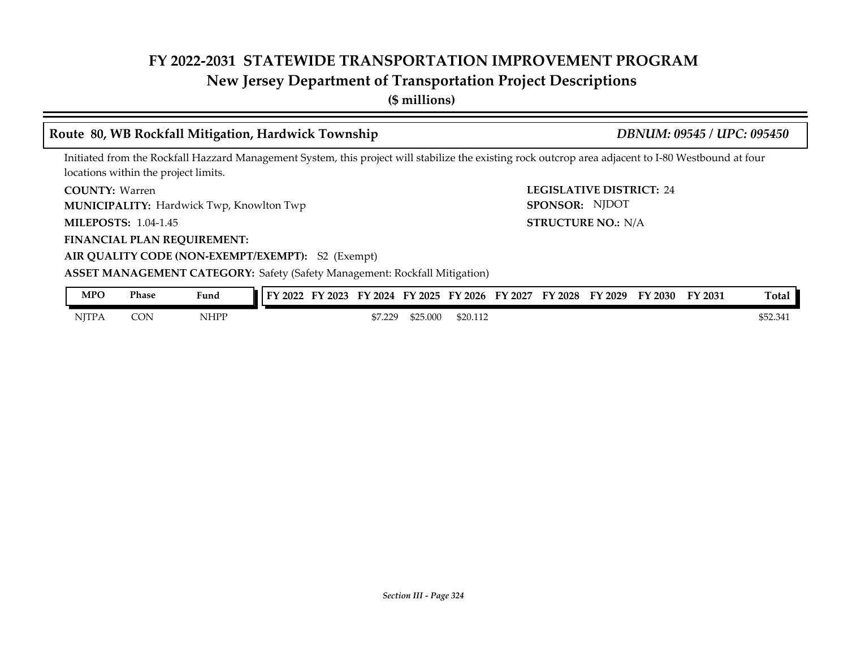# **New Jersey Department of Transportation Project Descriptions**

**(\$ millions)**

|                             |              |                                                 | Route 80, WB Rockfall Mitigation, Hardwick Township                                                                                                  |                      | DBNUM: 09545 / UPC: 095450 |                                 |  |         |         |          |  |
|-----------------------------|--------------|-------------------------------------------------|------------------------------------------------------------------------------------------------------------------------------------------------------|----------------------|----------------------------|---------------------------------|--|---------|---------|----------|--|
|                             |              | locations within the project limits.            | Initiated from the Rockfall Hazzard Management System, this project will stabilize the existing rock outcrop area adjacent to I-80 Westbound at four |                      |                            |                                 |  |         |         |          |  |
| <b>COUNTY: Warren</b>       |              |                                                 |                                                                                                                                                      |                      |                            | <b>LEGISLATIVE DISTRICT: 24</b> |  |         |         |          |  |
|                             |              | <b>MUNICIPALITY:</b> Hardwick Twp, Knowlton Twp |                                                                                                                                                      | SPONSOR: NJDOT       |                            |                                 |  |         |         |          |  |
| <b>MILEPOSTS: 1.04-1.45</b> |              |                                                 |                                                                                                                                                      |                      | <b>STRUCTURE NO.: N/A</b>  |                                 |  |         |         |          |  |
|                             |              | <b>FINANCIAL PLAN REQUIREMENT:</b>              |                                                                                                                                                      |                      |                            |                                 |  |         |         |          |  |
|                             |              |                                                 | AIR QUALITY CODE (NON-EXEMPT/EXEMPT): S2 (Exempt)                                                                                                    |                      |                            |                                 |  |         |         |          |  |
|                             |              |                                                 | <b>ASSET MANAGEMENT CATEGORY:</b> Safety (Safety Management: Rockfall Mitigation)                                                                    |                      |                            |                                 |  |         |         |          |  |
| <b>MPO</b>                  | <b>Phase</b> | Fund                                            | FY 2022 FY 2023 FY 2024 FY 2025 FY 2026 FY 2027 FY 2028 FY 2029                                                                                      |                      |                            |                                 |  | FY 2030 | FY 2031 | Total    |  |
| <b>NITPA</b>                | <b>CON</b>   | <b>NHPP</b>                                     | \$7.229                                                                                                                                              | \$20.112<br>\$25.000 |                            |                                 |  |         |         | \$52,341 |  |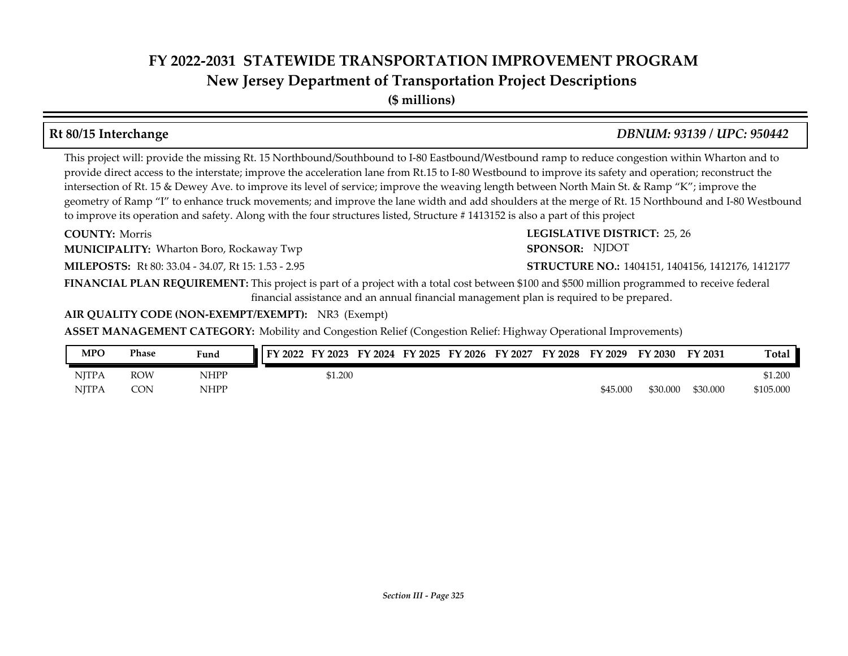## **New Jersey Department of Transportation Project Descriptions**

**(\$ millions)**

This project will: provide the missing Rt. 15 Northbound/Southbound to I-80 Eastbound/Westbound ramp to reduce congestion within Wharton and to provide direct access to the interstate; improve the acceleration lane from Rt.15 to I-80 Westbound to improve its safety and operation; reconstruct the intersection of Rt. 15 & Dewey Ave. to improve its level of service; improve the weaving length between North Main St. & Ramp "K"; improve the geometry of Ramp "I" to enhance truck movements; and improve the lane width and add shoulders at the merge of Rt. 15 Northbound and I-80 Westbound to improve its operation and safety. Along with the four structures listed, Structure #1413152 is also a part of this project

**COUNTY: Morris** 

**MUNICIPALITY:** Wharton Boro, Rockaway Twp **SPONSOR:** SPONSOR:

**MILEPOSTS:** Rt 80: 33.04 - 34.07, Rt 15: 1.53 - 2.95 **STRUCTURE NO.:** 

**FINANCIAL PLAN REQUIREMENT:** This project is part of a project with a total cost between \$100 and \$500 million programmed to receive federal financial assistance and an annual financial management plan is required to be prepared.

**AIR QUALITY CODE (NON-EXEMPT/EXEMPT):** NR3 (Exempt)

**ASSET MANAGEMENT CATEGORY:** Mobility and Congestion Relief (Congestion Relief: Highway Operational Improvements)

| MPO   | Phase      | Fund        | FY 2022 | FY 2023 | FY<br>2024 | FY 2025 | FY 2026 | FY 2027 | FY 2028 | FY 2029  | FY 2030  | FY 2031  | <b>Total</b> |
|-------|------------|-------------|---------|---------|------------|---------|---------|---------|---------|----------|----------|----------|--------------|
| NJTPA | <b>ROW</b> | <b>NHPP</b> |         | \$1.200 |            |         |         |         |         |          |          |          | \$1.200      |
| NITPA | CON        | <b>NHPP</b> |         |         |            |         |         |         |         | \$45.000 | \$30.000 | \$30,000 | \$105.000    |

**Rt 80/15 Interchange** *DBNUM: 93139 / UPC: 950442*

**COUNTY: LEGISLATIVE DISTRICT:** 25, 26

STRUCTURE NO.: 1404151, 1404156, 1412176, 1412177

SPONSOR: NJDOT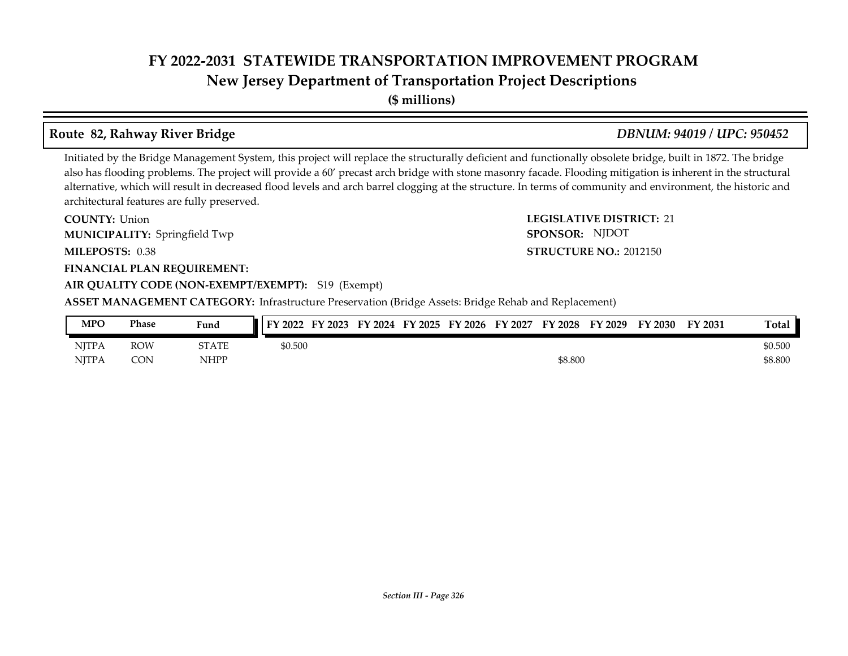**New Jersey Department of Transportation Project Descriptions**

**(\$ millions)**

## **Route 82, Rahway River Bridge** *DBNUM: 94019 / UPC: 950452*

Initiated by the Bridge Management System, this project will replace the structurally deficient and functionally obsolete bridge, built in 1872. The bridge also has flooding problems. The project will provide a 60' precast arch bridge with stone masonry facade. Flooding mitigation is inherent in the structural alternative, which will result in decreased flood levels and arch barrel clogging at the structure. In terms of community and environment, the historic and architectural features are fully preserved.

**COUNTY:** Union **COUNTY:** 21 **MILEPOSTS: STRUCTURE NO.:** 0.38 **FINANCIAL PLAN REQUIREMENT: AIR QUALITY CODE (NON-EXEMPT/EXEMPT):** S19 (Exempt) **COUNTY: Union** Springfield Twp **MUNICIPALITY: SPONSOR:**

**ASSET MANAGEMENT CATEGORY:** Infrastructure Preservation (Bridge Assets: Bridge Rehab and Replacement)

| MPO          | Phase      | Fund        | FY 2022 FY 2023 FY 2024 FY 2025 FY 2026 FY 2027 |  |  | FY 2028 | FY 2029 | FY 2030 | FY 2031 | Total   |
|--------------|------------|-------------|-------------------------------------------------|--|--|---------|---------|---------|---------|---------|
| <b>NITPA</b> | <b>ROW</b> | STATE       | \$0.500                                         |  |  |         |         |         |         | \$0.500 |
| <b>NITPA</b> | <b>CON</b> | <b>NHPP</b> |                                                 |  |  | \$8.800 |         |         |         | \$8.800 |

#### *Section III - Page 326*

# SPONSOR: NJDOT

#### **STRUCTURE NO.: 2012150**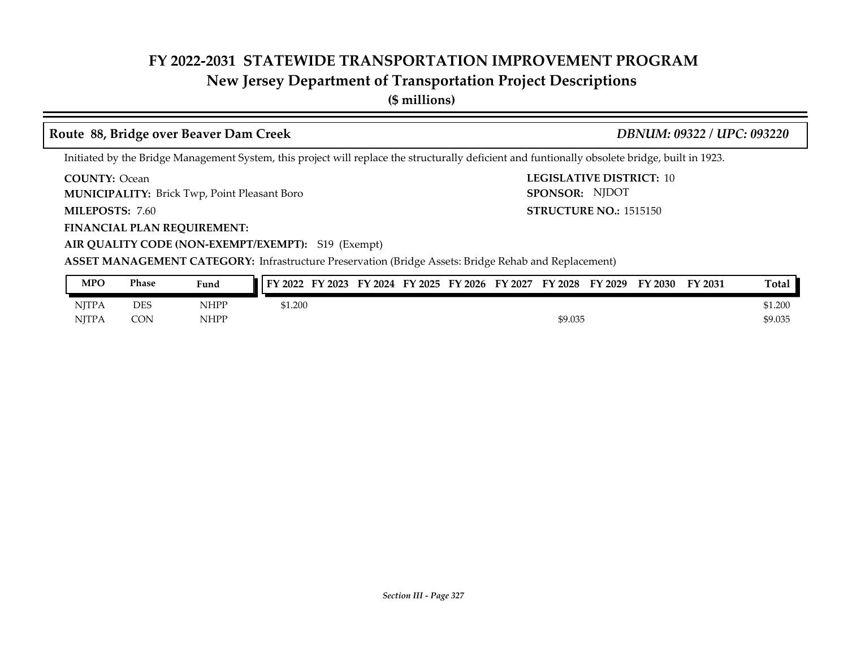## **New Jersey Department of Transportation Project Descriptions**

**(\$ millions)**

### **Route 88, Bridge over Beaver Dam Creek** *DBNUM: 09322 / UPC: 093220*

Initiated by the Bridge Management System, this project will replace the structurally deficient and funtionally obsolete bridge, built in 1923.

**COUNTY:** Ocean **LEGISLATIVE DISTRICT:** 10 **COUNTY: Ocean** 

**MUNICIPALITY:** Brick Twp, Point Pleasant Boro **SPONSOR: SPONSOR: SPONSOR:** 

MILEPOSTS: 7.60

**FINANCIAL PLAN REQUIREMENT:**

**AIR QUALITY CODE (NON-EXEMPT/EXEMPT):** S19 (Exempt)

**MILEPOSTS: STRUCTURE NO.:** 1515150 SPONSOR: NJDOT

| <b>MPO</b>   | Phase | Fund        | FY 2022<br>FY 2023 | FY 2024 | FY 2025 | FY 2026 | FY 2027 | FY 2028 | FY 2029 | FY 2030 | FY 2031 | <b>Total</b> |
|--------------|-------|-------------|--------------------|---------|---------|---------|---------|---------|---------|---------|---------|--------------|
| <b>NJTPA</b> | DES   | <b>NHPP</b> | \$1.200            |         |         |         |         |         |         |         |         | \$1.200      |
| <b>NJTPA</b> | CON   | <b>NHPP</b> |                    |         |         |         |         | \$9.035 |         |         |         | \$9.035      |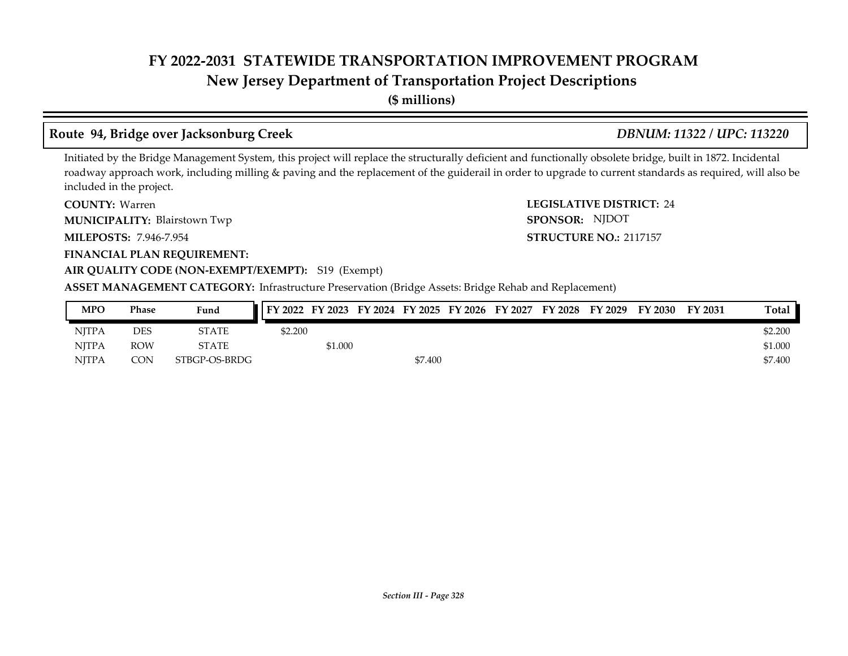# **New Jersey Department of Transportation Project Descriptions**

**(\$ millions)**

## **Route 94, Bridge over Jacksonburg Creek** *DBNUM: 11322 / UPC: 113220*

Initiated by the Bridge Management System, this project will replace the structurally deficient and functionally obsolete bridge, built in 1872. Incidental roadway approach work, including milling & paving and the replacement of the guiderail in order to upgrade to current standards as required, will also be included in the project.

**COUNTY: LEGISLATIVE DISTRICT:** 24 COUNTY: Warren

Blairstown Twp **MUNICIPALITY: SPONSOR:**

**MILEPOSTS: STRUCTURE NO.:** 7.946-7.954

**FINANCIAL PLAN REQUIREMENT:**

#### **AIR QUALITY CODE (NON-EXEMPT/EXEMPT):** S19 (Exempt)

**ASSET MANAGEMENT CATEGORY:** Infrastructure Preservation (Bridge Assets: Bridge Rehab and Replacement)

| MPO          | Phase      | Fund          | FY 2022 FY 2023 FY 2024 FY 2025 FY 2026 FY 2027 FY 2028 FY 2029 FY 2030 |         |         |  |  | FY 2031 | Total   |
|--------------|------------|---------------|-------------------------------------------------------------------------|---------|---------|--|--|---------|---------|
| <b>NITPA</b> | DES        | STATE         | \$2.200                                                                 |         |         |  |  |         | \$2.200 |
| <b>NITPA</b> | <b>ROW</b> | STATE         |                                                                         | \$1.000 |         |  |  |         | \$1.000 |
| <b>NITPA</b> | CON        | STBGP-OS-BRDG |                                                                         |         | \$7.400 |  |  |         | \$7.400 |

**STRUCTURE NO.: 2117157** 

SPONSOR: NJDOT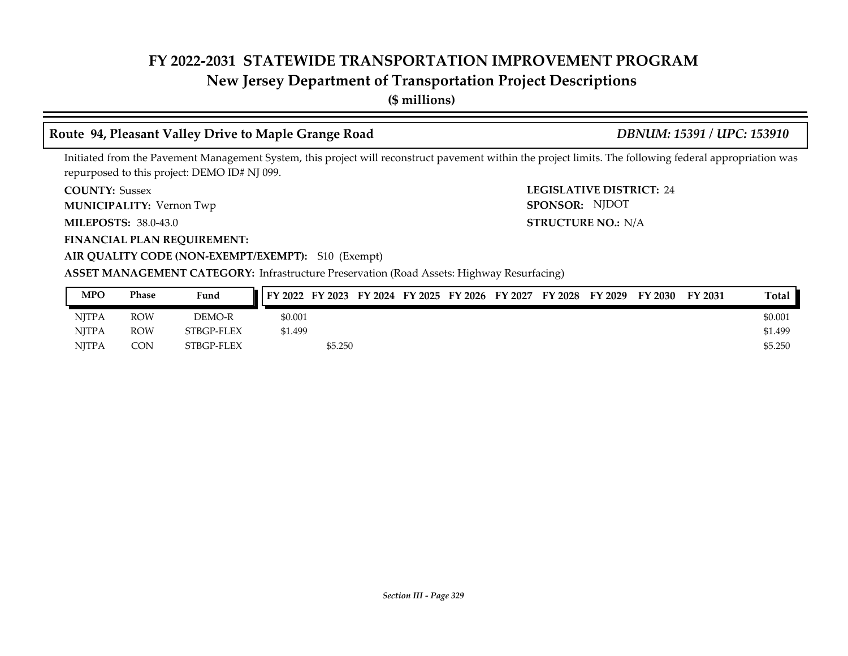## **New Jersey Department of Transportation Project Descriptions**

**(\$ millions)**

### **Route 94, Pleasant Valley Drive to Maple Grange Road** *DBNUM: 15391 / UPC: 153910*

STRUCTURE NO.: N/A

SPONSOR: NJDOT

Initiated from the Pavement Management System, this project will reconstruct pavement within the project limits. The following federal appropriation was repurposed to this project: DEMO ID# NJ 099.

**COUNTY: LEGISLATIVE DISTRICT:** 24 **COUNTY: Sussex** 

**MUNICIPALITY:** Vernon Twp **SPONSOR:** 

**MILEPOSTS: STRUCTURE NO.:** 38.0-43.0

#### **FINANCIAL PLAN REQUIREMENT:**

**AIR QUALITY CODE (NON-EXEMPT/EXEMPT):** S10 (Exempt)

**ASSET MANAGEMENT CATEGORY:** Infrastructure Preservation (Road Assets: Highway Resurfacing)

| <b>MPO</b>   | Phase      | Fund       |         |         |  | FY 2022 FY 2023 FY 2024 FY 2025 FY 2026 FY 2027 | FY 2028 | FY 2029 | FY 2030 | FY 2031 | Total   |
|--------------|------------|------------|---------|---------|--|-------------------------------------------------|---------|---------|---------|---------|---------|
| <b>NITPA</b> | <b>ROW</b> | DEMO-R     | \$0.001 |         |  |                                                 |         |         |         |         | \$0.001 |
| <b>NITPA</b> | <b>ROW</b> | STBGP-FLEX | \$1.499 |         |  |                                                 |         |         |         |         | \$1.499 |
| <b>NITPA</b> | CON        | STBGP-FLEX |         | \$5.250 |  |                                                 |         |         |         |         | \$5,250 |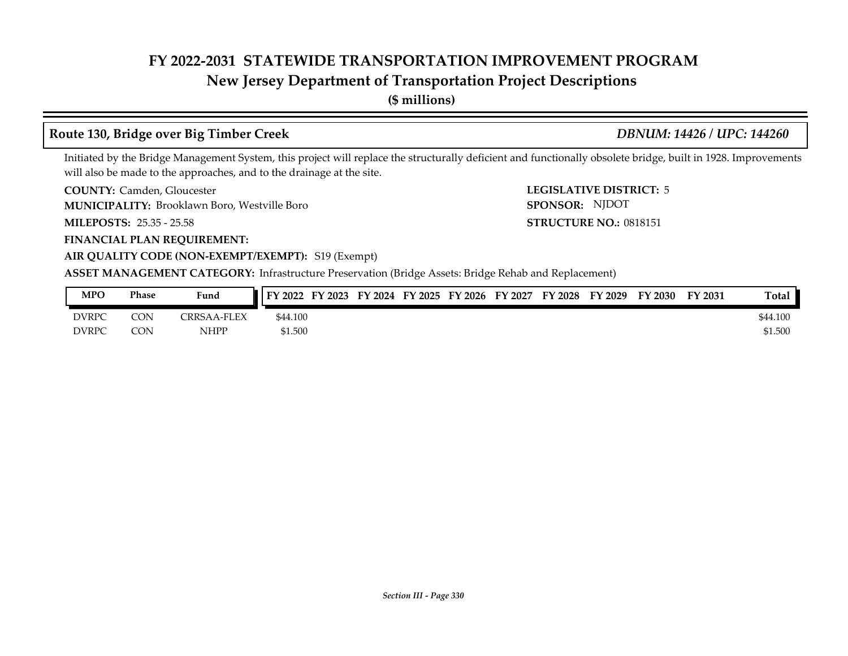## **New Jersey Department of Transportation Project Descriptions**

**(\$ millions)**

### **Route 130, Bridge over Big Timber Creek** *DBNUM: 14426 / UPC: 144260*

Initiated by the Bridge Management System, this project will replace the structurally deficient and functionally obsolete bridge, built in 1928. Improvements will also be made to the approaches, and to the drainage at the site.

**COUNTY: LEGISLATIVE DISTRICT:** Camden, Gloucester

Brooklawn Boro, Westville Boro **MUNICIPALITY: SPONSOR:**

**MILEPOSTS: STRUCTURE NO.:** 25.35 - 25.58

**FINANCIAL PLAN REQUIREMENT:**

**LEGISLATIVE DISTRICT: 5 STRUCTURE NO.: 0818151** SPONSOR: NJDOT

#### **AIR QUALITY CODE (NON-EXEMPT/EXEMPT):** S19 (Exempt)

| MPO          | Phase | Fund                    | FY 2022  | FY 2023 | FY 2024 FY 2025 | FY 2026 | FY 2027 | FY 2028 | FY 2029 | FY 2030 | FY 2031 | <b>Total</b> |
|--------------|-------|-------------------------|----------|---------|-----------------|---------|---------|---------|---------|---------|---------|--------------|
| <b>DVRPC</b> | CON   | <b>TRRSAA</b><br>-FL FX | \$44.100 |         |                 |         |         |         |         |         |         | \$44.100     |
| <b>DVRPC</b> | CON   | NHPP                    | \$1.500  |         |                 |         |         |         |         |         |         | \$1.500      |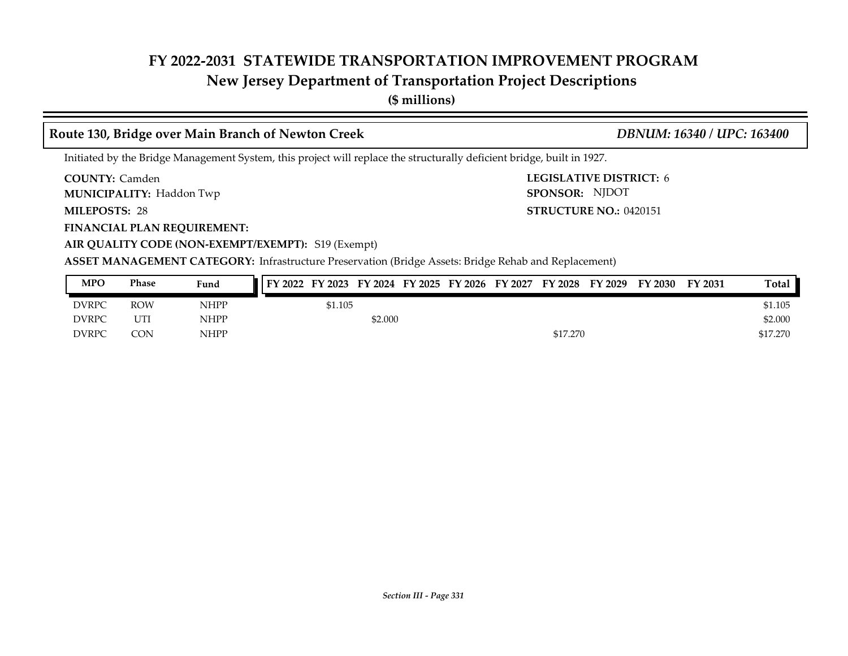# **New Jersey Department of Transportation Project Descriptions**

**(\$ millions)**

## **Route 130, Bridge over Main Branch of Newton Creek** *DBNUM: 16340 / UPC: 163400*

Initiated by the Bridge Management System, this project will replace the structurally deficient bridge, built in 1927.

**COUNTY: LEGISLATIVE DISTRICT:** 6 **COUNTY: Camden** 

**MUNICIPALITY:** Haddon Twp **Example 2008 SPONSOR:** 

MILEPOSTS: 28

**FINANCIAL PLAN REQUIREMENT:**

**MILEPOSTS: STRUCTURE NO.:** 0420151 SPONSOR: NJDOT

**AIR QUALITY CODE (NON-EXEMPT/EXEMPT):** S19 (Exempt)

| MPO          | Phase      | Fund | FY 2022 | FY 2023 FY 2024 FY 2025 FY 2026 FY 2027 |  | FY 2028  | FY 2029 | FY 2030 | FY 2031 | Total    |
|--------------|------------|------|---------|-----------------------------------------|--|----------|---------|---------|---------|----------|
| <b>DVRPC</b> | <b>ROW</b> | NHPP | \$1.105 |                                         |  |          |         |         |         | \$1.105  |
| <b>DVRPC</b> | UTI        | NHPP |         | \$2.000                                 |  |          |         |         |         | \$2.000  |
| <b>DVRPC</b> | CON        | NHPP |         |                                         |  | \$17,270 |         |         |         | \$17.270 |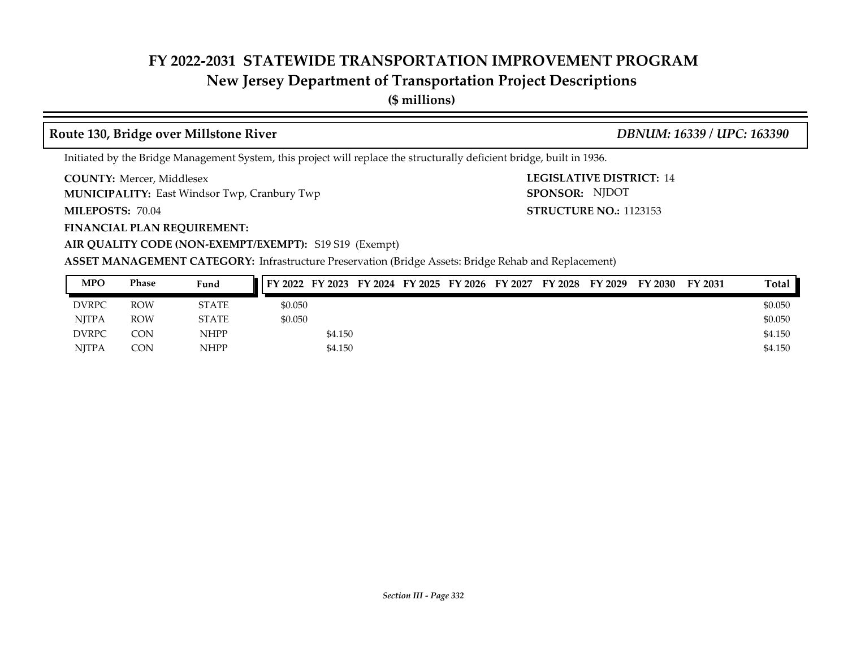# **New Jersey Department of Transportation Project Descriptions**

**(\$ millions)**

### **Route 130, Bridge over Millstone River** *DBNUM: 16339 / UPC: 163390*

Initiated by the Bridge Management System, this project will replace the structurally deficient bridge, built in 1936.

**COUNTY: LEGISLATIVE DISTRICT:** Mercer, Middlesex

**MUNICIPALITY:** East Windsor Twp, Cranbury Twp **SPONSOR:** SPONSOR:

**FINANCIAL PLAN REQUIREMENT:**

**MILEPOSTS: STRUCTURE NO.:** 70.04

**AIR QUALITY CODE (NON-EXEMPT/EXEMPT):** S19 S19 (Exempt)

**LEGISLATIVE DISTRICT: 14 STRUCTURE NO.: 1123153** SPONSOR: NJDOT

| <b>MPO</b>   | Phase      | Fund         |         |         |  | FY 2022 FY 2023 FY 2024 FY 2025 FY 2026 FY 2027 | FY 2028 | FY 2029 | FY 2030 | FY 2031 | Total   |
|--------------|------------|--------------|---------|---------|--|-------------------------------------------------|---------|---------|---------|---------|---------|
| <b>DVRPC</b> | <b>ROW</b> | <b>STATE</b> | \$0.050 |         |  |                                                 |         |         |         |         | \$0.050 |
| <b>NITPA</b> | <b>ROW</b> | <b>STATE</b> | \$0.050 |         |  |                                                 |         |         |         |         | \$0.050 |
| <b>DVRPC</b> | CON        | <b>NHPP</b>  |         | \$4.150 |  |                                                 |         |         |         |         | \$4.150 |
| <b>NJTPA</b> | <b>CON</b> | <b>NHPP</b>  |         | \$4.150 |  |                                                 |         |         |         |         | \$4.150 |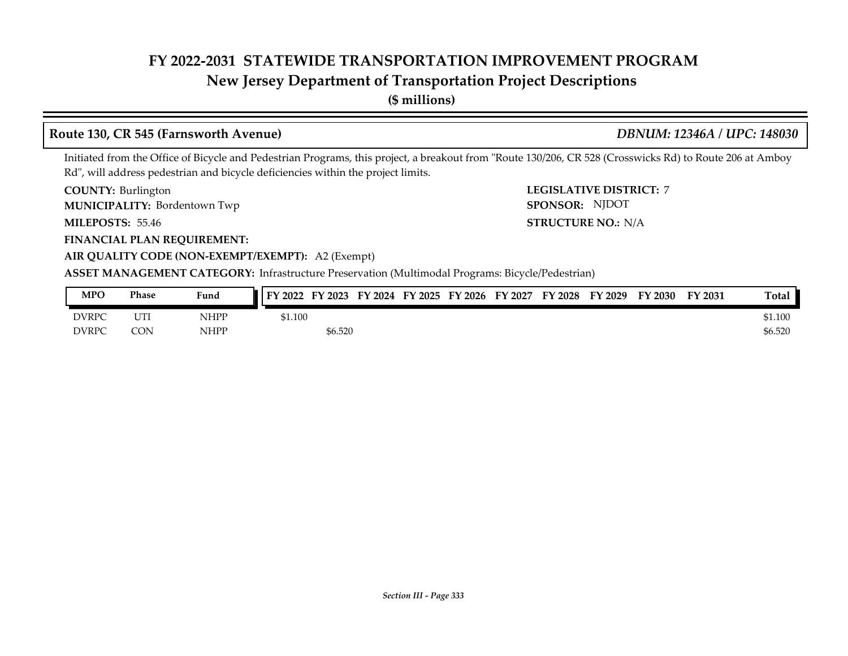## **New Jersey Department of Transportation Project Descriptions**

**(\$ millions)**

#### **Route 130, CR 545 (Farnsworth Avenue)** *DBNUM: 12346A / UPC: 148030*

Initiated from the Office of Bicycle and Pedestrian Programs, this project, a breakout from "Route 130/206, CR 528 (Crosswicks Rd) to Route 206 at Amboy Rd", will address pedestrian and bicycle deficiencies within the project limits.

**COUNTY: LEGISLATIVE DISTRICT:** 7 **COUNTY: Burlington** 

Bordentown Twp **MUNICIPALITY: SPONSOR:**

**MILEPOSTS: 55.46** 

**FINANCIAL PLAN REQUIREMENT:**

**MILEPOSTS: STRUCTURE NO.:** N/A SPONSOR: NJDOT

**AIR QUALITY CODE (NON-EXEMPT/EXEMPT):** A2 (Exempt) **ASSET MANAGEMENT CATEGORY:** Infrastructure Preservation (Multimodal Programs: Bicycle/Pedestrian)

| <b>MPO</b>   | Phase                        | Fund | FY 2022 | FY 2023 | FY<br>2024 | FY 2025 | FY 2026 | FY 2027 | FY 2028 | FY 2029 | <sup>T</sup> Y 2030 | FY 2031 | <b>Total</b> |
|--------------|------------------------------|------|---------|---------|------------|---------|---------|---------|---------|---------|---------------------|---------|--------------|
| <b>DVRPC</b> | <b>CITTING</b><br><b>UII</b> | NHPP | \$1.100 |         |            |         |         |         |         |         |                     |         | \$1.100      |
| <b>DVRPC</b> | CON                          | NHPP |         | \$6.520 |            |         |         |         |         |         |                     |         | \$6.520      |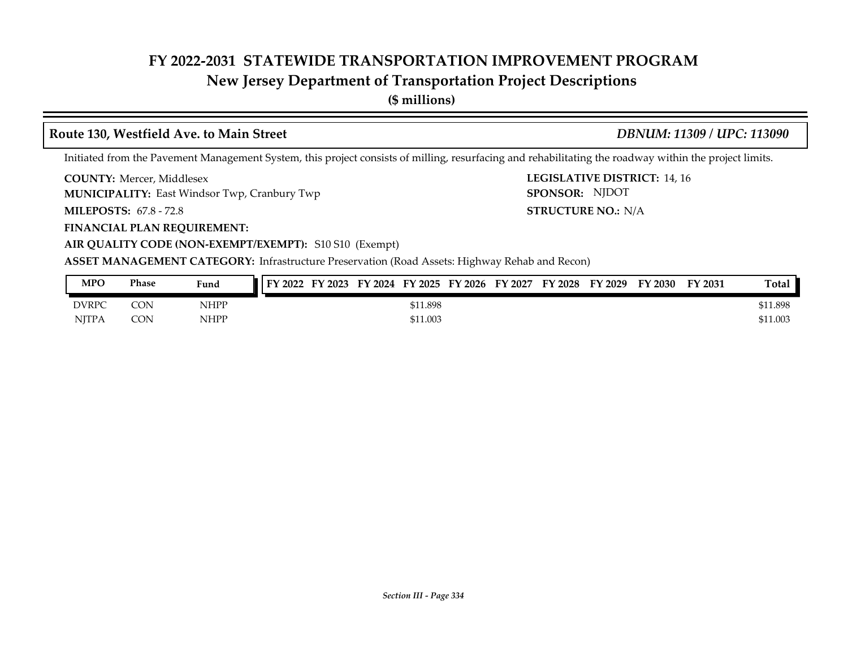## **New Jersey Department of Transportation Project Descriptions**

**(\$ millions)**

### **Route 130, Westfield Ave. to Main Street** *DBNUM: 11309 / UPC: 113090*

#### Initiated from the Pavement Management System, this project consists of milling, resurfacing and rehabilitating the roadway within the project limits.

**COUNTY: LEGISLATIVE DISTRICT:** 14, 16 **COUNTY: Mercer, Middlesex** 

**MUNICIPALITY:** East Windsor Twp, Cranbury Twp **SPONSOR:** SPONSOR:

**MILEPOSTS: STRUCTURE NO.:** 67.8 - 72.8

**FINANCIAL PLAN REQUIREMENT:**

**AIR QUALITY CODE (NON-EXEMPT/EXEMPT):** S10 S10 (Exempt)

**ASSET MANAGEMENT CATEGORY:** Infrastructure Preservation (Road Assets: Highway Rehab and Recon)

| MPO          | Phase      | Fund        | FY 2022<br>FY 2023 | FY 2024 FY 2025 FY 2026 FY 2027 |          |  | $FY$ 2028 | FY 2029 | FY 2030 | <b>FY 2031</b> | Total    |
|--------------|------------|-------------|--------------------|---------------------------------|----------|--|-----------|---------|---------|----------------|----------|
| DVRPC        | <b>CON</b> | <b>NHPP</b> |                    |                                 | \$11.898 |  |           |         |         |                | \$11.898 |
| <b>NITPA</b> | <b>CON</b> | <b>NHPP</b> |                    |                                 | \$11.003 |  |           |         |         |                | \$11.003 |

**STRUCTURE NO.: N/A** 

SPONSOR: NJDOT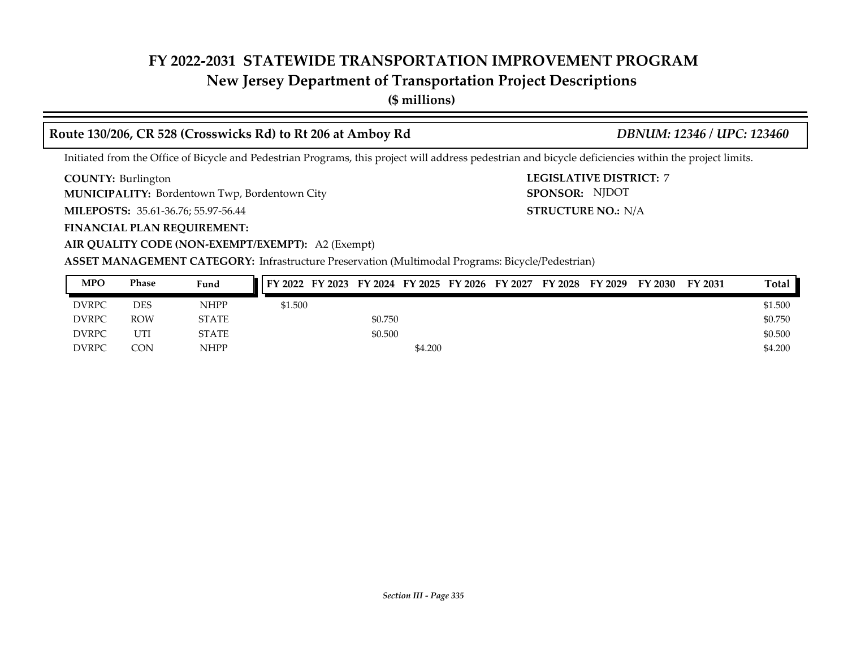## **New Jersey Department of Transportation Project Descriptions**

**(\$ millions)**

### **Route 130/206, CR 528 (Crosswicks Rd) to Rt 206 at Amboy Rd** *DBNUM: 12346 / UPC: 123460*

**STRUCTURE NO.: N/A** 

SPONSOR: NJDOT

Initiated from the Office of Bicycle and Pedestrian Programs, this project will address pedestrian and bicycle deficiencies within the project limits.

**COUNTY: LEGISLATIVE DISTRICT:** 7 COUNTY: Burlington

**MUNICIPALITY:** Bordentown Twp, Bordentown City **SPONSOR:** 

**MILEPOSTS: STRUCTURE NO.:** 35.61-36.76; 55.97-56.44

**FINANCIAL PLAN REQUIREMENT:**

**AIR QUALITY CODE (NON-EXEMPT/EXEMPT):** A2 (Exempt)

**ASSET MANAGEMENT CATEGORY:** Infrastructure Preservation (Multimodal Programs: Bicycle/Pedestrian)

| <b>MPO</b>   | Phase | Fund         | FY 2022 FY 2023 FY 2024 FY 2025 FY 2026 FY 2027 |         |         |  | FY 2028 | FY 2029 | <b>FY 2030</b> | FY 2031 | <b>Total</b> |
|--------------|-------|--------------|-------------------------------------------------|---------|---------|--|---------|---------|----------------|---------|--------------|
| <b>DVRPC</b> | DES   | <b>NHPP</b>  | \$1.500                                         |         |         |  |         |         |                |         | \$1.500      |
| <b>DVRPC</b> | ROW   | <b>STATE</b> |                                                 | \$0.750 |         |  |         |         |                |         | \$0.750      |
| <b>DVRPC</b> | UTI   | <b>STATE</b> |                                                 | \$0.500 |         |  |         |         |                |         | \$0.500      |
| <b>DVRPC</b> | CON   | <b>NHPP</b>  |                                                 |         | \$4.200 |  |         |         |                |         | \$4.200      |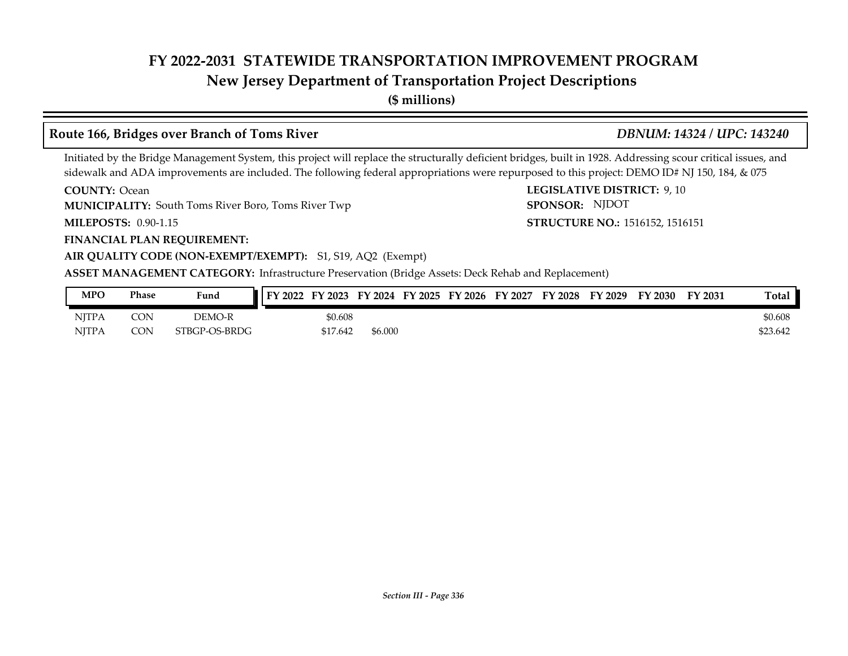# **New Jersey Department of Transportation Project Descriptions**

**(\$ millions)**

### **Route 166, Bridges over Branch of Toms River** *DBNUM: 14324 / UPC: 143240*

Initiated by the Bridge Management System, this project will replace the structurally deficient bridges, built in 1928. Addressing scour critical issues, and sidewalk and ADA improvements are included. The following federal appropriations were repurposed to this project: DEMO ID# NJ 150, 184, & 075

**COUNTY: Ocean** 

**MUNICIPALITY:** South Toms River Boro, Toms River Twp **SPONSOR:** 

**MILEPOSTS: STRUCTURE NO.:** 0.90-1.15

**COUNTY: LEGISLATIVE DISTRICT:** 9, 10 **STRUCTURE NO.: 1516152, 1516151** SPONSOR: NJDOT

**FINANCIAL PLAN REQUIREMENT:**

#### **AIR QUALITY CODE (NON-EXEMPT/EXEMPT):** S1, S19, AQ2 (Exempt)

| MPO          | Phase      | Fund          | FY 2022 | FY 2023  | FY 2024 | FY 2025 | FY 2026 | FY 2027 | FY 2028 | FY 2029 | FY 2030 | FY 2031 | <b>Total</b> |
|--------------|------------|---------------|---------|----------|---------|---------|---------|---------|---------|---------|---------|---------|--------------|
| <b>NJTPA</b> | <b>CON</b> | DEMO-R        |         | \$0.608  |         |         |         |         |         |         |         |         | \$0.608      |
| <b>NITPA</b> | <b>CON</b> | STBGP-OS-BRDG |         | \$17.642 | \$6.000 |         |         |         |         |         |         |         | \$23.642     |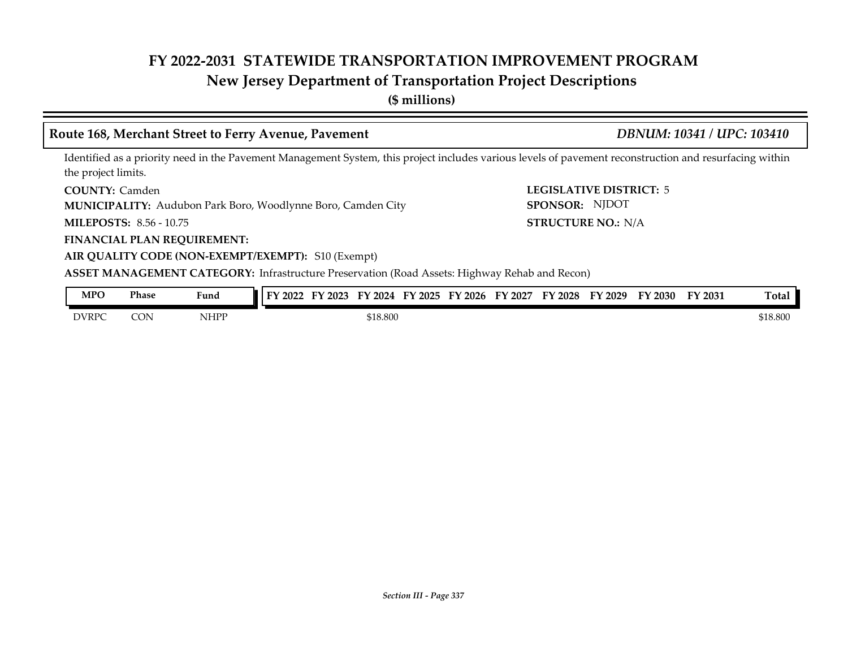## **New Jersey Department of Transportation Project Descriptions**

**(\$ millions)**

### **Route 168, Merchant Street to Ferry Avenue, Pavement** *DBNUM: 10341 / UPC: 103410*

Identified as a priority need in the Pavement Management System, this project includes various levels of pavement reconstruction and resurfacing within the project limits.

COUNTY: Camden

**MUNICIPALITY:** Audubon Park Boro, Woodlynne Boro, Camden City **SPONSOR:** 

**MILEPOSTS: STRUCTURE NO.:** 8.56 - 10.75

**FINANCIAL PLAN REQUIREMENT:**

**AIR QUALITY CODE (NON-EXEMPT/EXEMPT):** S10 (Exempt)

**COUNTY: LEGISLATIVE DISTRICT:** 5 STRUCTURE NO.: N/A SPONSOR: NJDOT

**ASSET MANAGEMENT CATEGORY:** Infrastructure Preservation (Road Assets: Highway Rehab and Recon)

| MPO          | Phase | $\mathbf{r}$<br>Fund | FY 2022 | $\cdot$ 2023 | FY<br>2024 | FY 2025 | '2026<br>FY | FY<br>' 2027 | <b>FY 2028</b> | FY 2029 | FY 2030 | FY 2031 | Total    |
|--------------|-------|----------------------|---------|--------------|------------|---------|-------------|--------------|----------------|---------|---------|---------|----------|
| <b>DVRPC</b> | CON   | <b>NHPP</b>          |         |              | \$18.800   |         |             |              |                |         |         |         | \$18.800 |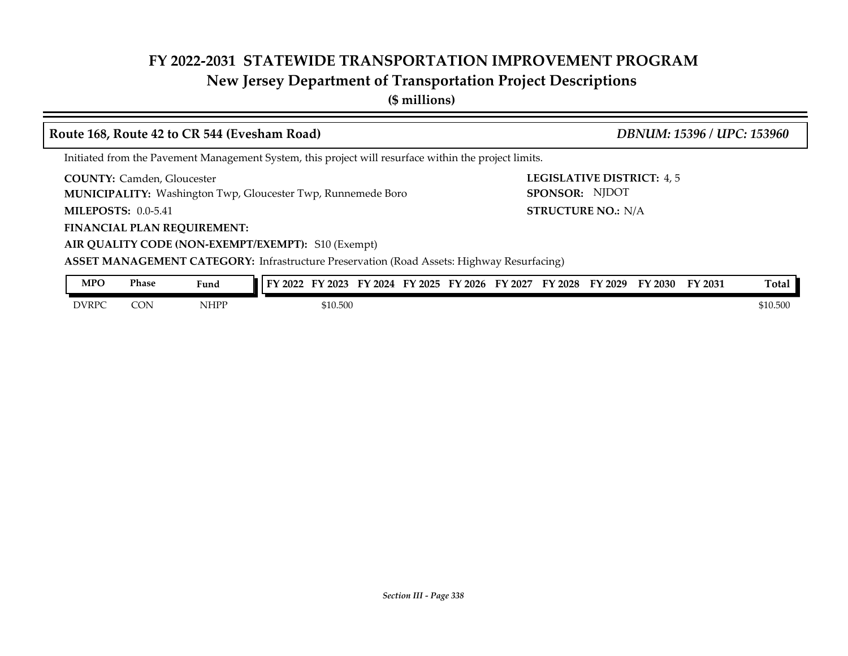# **New Jersey Department of Transportation Project Descriptions**

**(\$ millions)**

| Route 168, Route 42 to CR 544 (Evesham Road)                                                             | DBNUM: 15396 / UPC: 153960                  |
|----------------------------------------------------------------------------------------------------------|---------------------------------------------|
| Initiated from the Pavement Management System, this project will resurface within the project limits.    |                                             |
| <b>COUNTY: Camden, Gloucester</b><br><b>MUNICIPALITY:</b> Washington Twp, Gloucester Twp, Runnemede Boro | LEGISLATIVE DISTRICT: 4,5<br>SPONSOR: NJDOT |
| MILEPOSTS: $0.0-5.41$                                                                                    | <b>STRUCTURE NO.: N/A</b>                   |
| <b>FINANCIAL PLAN REQUIREMENT:</b>                                                                       |                                             |
| AIR QUALITY CODE (NON-EXEMPT/EXEMPT): S10 (Exempt)                                                       |                                             |
| <b>ASSET MANAGEMENT CATEGORY:</b> Infrastructure Preservation (Road Assets: Highway Resurfacing)         |                                             |
| <b>MPO</b><br><b>Phase</b><br>FY 2022 FY 2023 FY 2024 FY 2025 FY 2026 FY 2027 FY 2028 FY 2029<br>Fund    | Total<br>FY 2031<br>FY 2030                 |

DVRPC CON NHPP \$10.500 \$10.500 \$10.500 \$10.500 \$10.500 \$10.500 \$10.500 \$10.500 \$10.500 \$10.500 \$10.500 \$10.500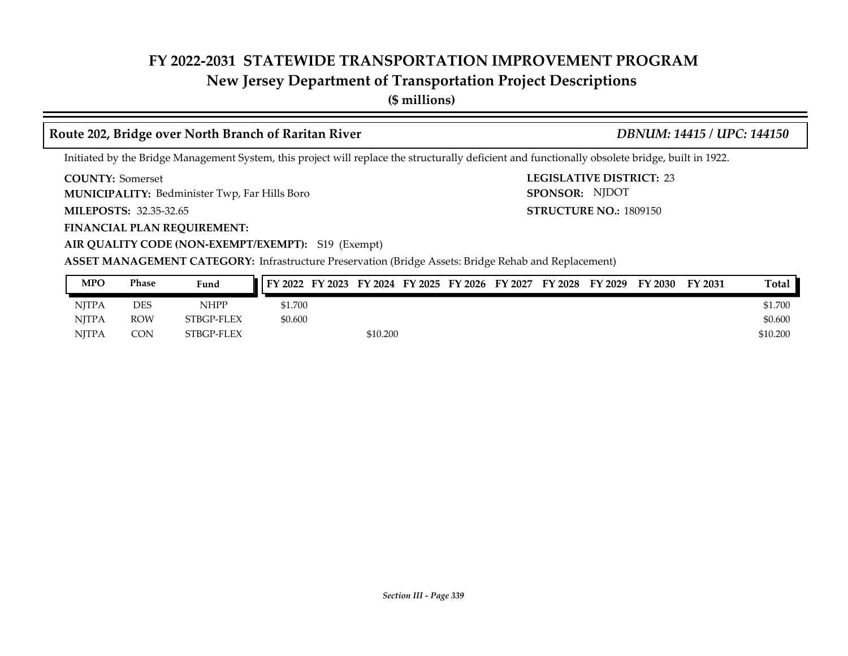## **New Jersey Department of Transportation Project Descriptions**

**(\$ millions)**

#### **Route 202, Bridge over North Branch of Raritan River** *DBNUM: 14415 / UPC: 144150*

**STRUCTURE NO.: 1809150** 

SPONSOR: NJDOT

Initiated by the Bridge Management System, this project will replace the structurally deficient and functionally obsolete bridge, built in 1922.

**COUNTY: LEGISLATIVE DISTRICT:** 23 **COUNTY: Somerset** 

Bedminister Twp, Far Hills Boro **MUNICIPALITY: SPONSOR:**

**MILEPOSTS: STRUCTURE NO.:** 32.35-32.65

**FINANCIAL PLAN REQUIREMENT:**

**AIR QUALITY CODE (NON-EXEMPT/EXEMPT):** S19 (Exempt)

| <b>MPO</b>   | Phase      | Fund        | FY 2022 | FY 2023 |          |  | FY 2024 FY 2025 FY 2026 FY 2027 | FY 2028 | FY 2029 | FY 2030 | FY 2031 | Total    |
|--------------|------------|-------------|---------|---------|----------|--|---------------------------------|---------|---------|---------|---------|----------|
| <b>NJTPA</b> | DES        | <b>NHPP</b> | \$1.700 |         |          |  |                                 |         |         |         |         | \$1.700  |
| <b>NITPA</b> | ROW        | STBGP-FLEX  | \$0.600 |         |          |  |                                 |         |         |         |         | \$0.600  |
| NITPA        | <b>CON</b> | STBGP-FLEX  |         |         | \$10.200 |  |                                 |         |         |         |         | \$10.200 |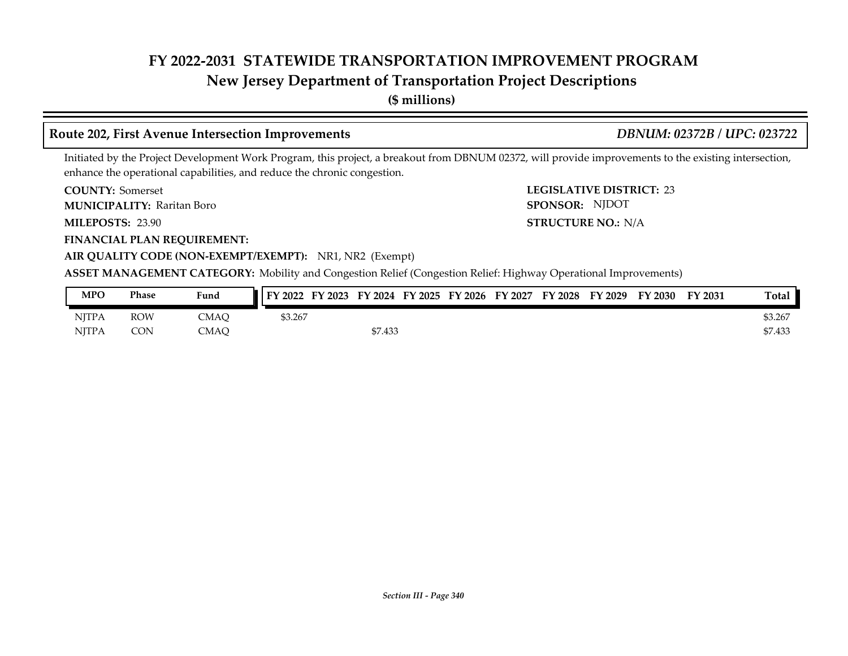## **New Jersey Department of Transportation Project Descriptions**

**(\$ millions)**

#### **Route 202, First Avenue Intersection Improvements** *DBNUM: 02372B / UPC: 023722*

Initiated by the Project Development Work Program, this project, a breakout from DBNUM 02372, will provide improvements to the existing intersection, enhance the operational capabilities, and reduce the chronic congestion.

**COUNTY: LEGISLATIVE DISTRICT:** 23 **COUNTY: Somerset** 

Raritan Boro **MUNICIPALITY: SPONSOR:**

MILEPOSTS: 23.90

**FINANCIAL PLAN REQUIREMENT:**

**MILEPOSTS: STRUCTURE NO.:** N/A SPONSOR: NJDOT

### **AIR QUALITY CODE (NON-EXEMPT/EXEMPT):** NR1, NR2 (Exempt)

**ASSET MANAGEMENT CATEGORY:** Mobility and Congestion Relief (Congestion Relief: Highway Operational Improvements)

| MPO          | Phase      | Fund | FY 2022 | FY 2023 |         | FY 2024 FY 2025 FY 2026 | FY 2027 | FY 2028 | FY 2029 | FY 2030 | FY 2031 | Total   |
|--------------|------------|------|---------|---------|---------|-------------------------|---------|---------|---------|---------|---------|---------|
| <b>NJTPA</b> | <b>ROW</b> | CMAC | \$3.267 |         |         |                         |         |         |         |         |         | \$3.267 |
| <b>NITPA</b> | <b>CON</b> | CMAO |         |         | \$7.433 |                         |         |         |         |         |         | \$7.433 |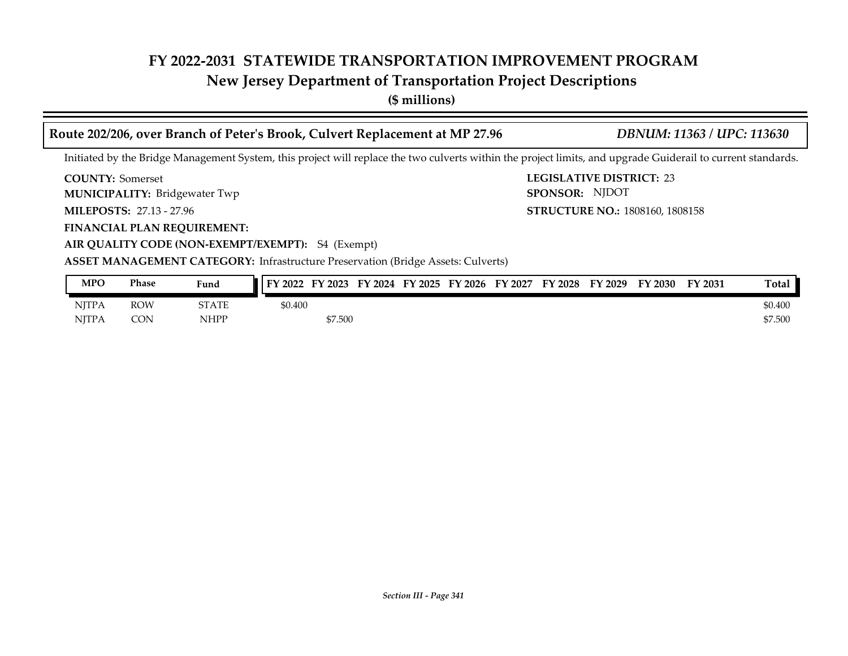# **New Jersey Department of Transportation Project Descriptions**

**(\$ millions)**

| Route 202/206, over Branch of Peter's Brook, Culvert Replacement at MP 27.96                                                                                 | DBNUM: 11363 / UPC: 113630                        |
|--------------------------------------------------------------------------------------------------------------------------------------------------------------|---------------------------------------------------|
| Initiated by the Bridge Management System, this project will replace the two culverts within the project limits, and upgrade Guiderail to current standards. |                                                   |
| <b>COUNTY:</b> Somerset<br><b>MUNICIPALITY: Bridgewater Twp</b>                                                                                              | <b>LEGISLATIVE DISTRICT: 23</b><br>SPONSOR: NJDOT |
| <b>MILEPOSTS: 27.13 - 27.96</b>                                                                                                                              | <b>STRUCTURE NO.: 1808160, 1808158</b>            |
| <b>FINANCIAL PLAN REQUIREMENT:</b>                                                                                                                           |                                                   |
| AIR QUALITY CODE (NON-EXEMPT/EXEMPT): S4 (Exempt)                                                                                                            |                                                   |
| <b>ASSET MANAGEMENT CATEGORY:</b> Infrastructure Preservation (Bridge Assets: Culverts)                                                                      |                                                   |
| <b>MPO</b><br><b>Phase</b><br>FY 2022 FY 2023 FY 2024 FY 2025 FY 2026 FY 2027 FY 2028 FY 2029 FY 2030<br>Fund                                                | Total<br>FY 2031                                  |

| <b>MPO</b> | Phase      | Fund         | $\blacksquare$ FY 2022 | FY 2023 |  | FY 2024 FY 2025 FY 2026 | FY 2027 | <b>FY 2028</b> | FY 2029 | FY 2030 | <b>FY 2031</b> | Total   |
|------------|------------|--------------|------------------------|---------|--|-------------------------|---------|----------------|---------|---------|----------------|---------|
| NITPA      | <b>ROW</b> | <b>STATE</b> | \$0.400                |         |  |                         |         |                |         |         |                | \$0.400 |
| NITPA      | <b>CON</b> | NHPP         |                        | \$7.500 |  |                         |         |                |         |         |                | \$7.500 |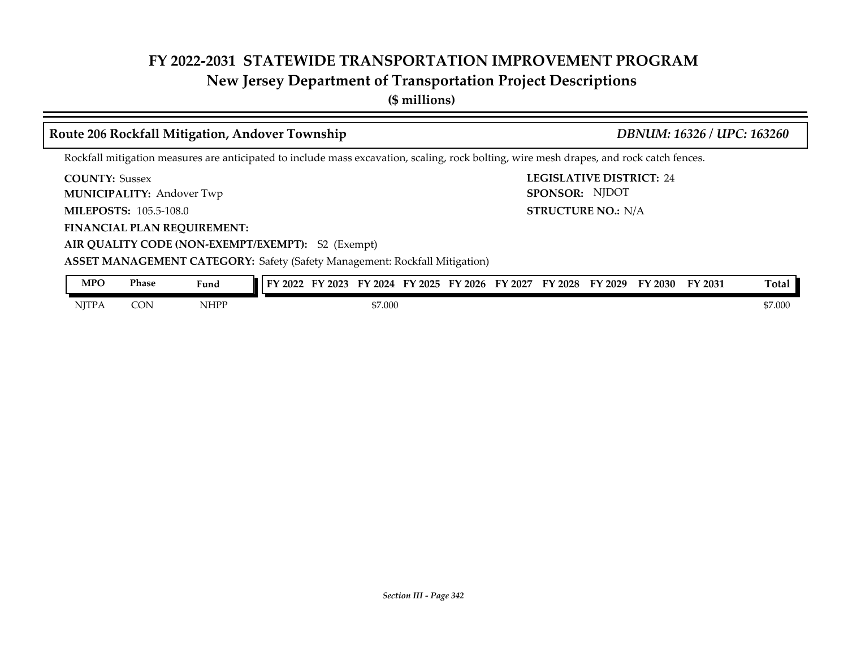# **New Jersey Department of Transportation Project Descriptions**

**(\$ millions)**

|                       |                                  | Route 206 Rockfall Mitigation, Andover Township                                                                                          |  |  |  |         |                                                                         | DBNUM: 16326 / UPC: 163260 |       |
|-----------------------|----------------------------------|------------------------------------------------------------------------------------------------------------------------------------------|--|--|--|---------|-------------------------------------------------------------------------|----------------------------|-------|
|                       |                                  | Rockfall mitigation measures are anticipated to include mass excavation, scaling, rock bolting, wire mesh drapes, and rock catch fences. |  |  |  |         |                                                                         |                            |       |
| <b>COUNTY: Sussex</b> | <b>MUNICIPALITY: Andover Twp</b> |                                                                                                                                          |  |  |  |         | <b>LEGISLATIVE DISTRICT: 24</b><br>SPONSOR: NJDOT                       |                            |       |
|                       | <b>MILEPOSTS: 105.5-108.0</b>    |                                                                                                                                          |  |  |  |         | <b>STRUCTURE NO.: N/A</b>                                               |                            |       |
|                       |                                  | <b>FINANCIAL PLAN REQUIREMENT:</b>                                                                                                       |  |  |  |         |                                                                         |                            |       |
|                       |                                  | AIR QUALITY CODE (NON-EXEMPT/EXEMPT): S2 (Exempt)                                                                                        |  |  |  |         |                                                                         |                            |       |
|                       |                                  | <b>ASSET MANAGEMENT CATEGORY:</b> Safety (Safety Management: Rockfall Mitigation)                                                        |  |  |  |         |                                                                         |                            |       |
| <b>MPO</b>            | <b>Phase</b>                     | Fund                                                                                                                                     |  |  |  |         | FY 2022 FY 2023 FY 2024 FY 2025 FY 2026 FY 2027 FY 2028 FY 2029 FY 2030 | FY 2031                    | Total |
| <b>NITPA</b>          | <b>CON</b>                       | <b>NHPP</b>                                                                                                                              |  |  |  | \$7.000 |                                                                         |                            |       |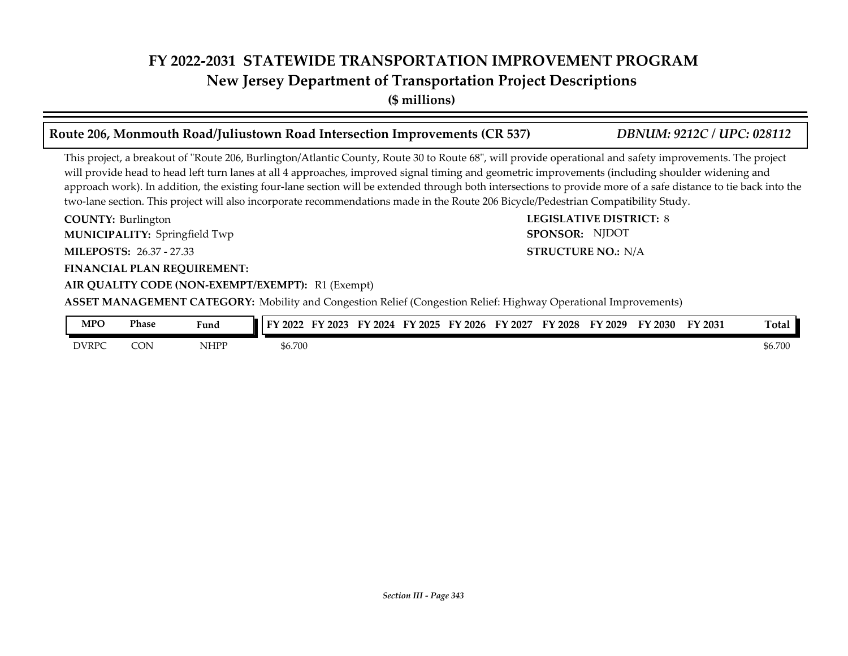**New Jersey Department of Transportation Project Descriptions**

**(\$ millions)**

#### **COUNTY: LEGISLATIVE DISTRICT:** 8 **MILEPOSTS: STRUCTURE NO.:** 26.37 - 27.33 **FINANCIAL PLAN REQUIREMENT: AIR QUALITY CODE (NON-EXEMPT/EXEMPT):** R1 (Exempt) **COUNTY: Burlington** Springfield Twp **MUNICIPALITY: SPONSOR: STRUCTURE NO.: N/A** This project, a breakout of "Route 206, Burlington/Atlantic County, Route 30 to Route 68", will provide operational and safety improvements. The project will provide head to head left turn lanes at all 4 approaches, improved signal timing and geometric improvements (including shoulder widening and approach work). In addition, the existing four-lane section will be extended through both intersections to provide more of a safe distance to tie back into the two-lane section. This project will also incorporate recommendations made in the Route 206 Bicycle/Pedestrian Compatibility Study. **Route 206, Monmouth Road/Juliustown Road Intersection Improvements (CR 537)** *DBNUM: 9212C / UPC: 028112* SPONSOR: NJDOT

**ASSET MANAGEMENT CATEGORY:** Mobility and Congestion Relief (Congestion Relief: Highway Operational Improvements)

| <b>MPO</b>   | Phase<br>. | Fund        | FY 2022 | FY 2023 | 2024<br>τν | тv<br>$\degree$ 2025 | FY 2026 | FY 2027 | FY 2028 | FY<br>2029 | FY 2030 | FY 2031 | Total   |
|--------------|------------|-------------|---------|---------|------------|----------------------|---------|---------|---------|------------|---------|---------|---------|
| <b>DVRPC</b> | CON        | <b>NHPP</b> | \$6.700 |         |            |                      |         |         |         |            |         |         | \$6.700 |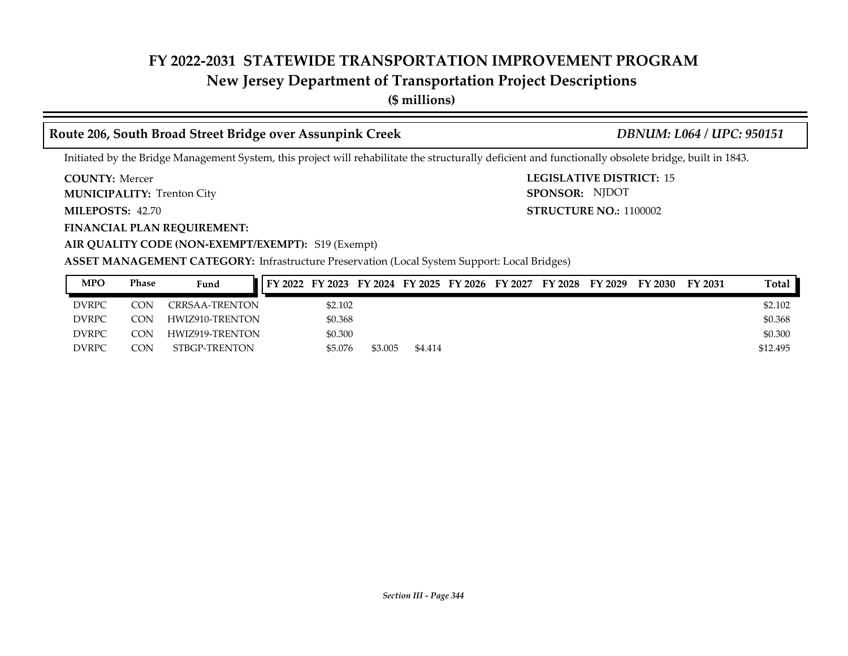## **New Jersey Department of Transportation Project Descriptions**

**(\$ millions)**

### **Route 206, South Broad Street Bridge over Assunpink Creek** *DBNUM: L064 / UPC: 950151*

Initiated by the Bridge Management System, this project will rehabilitate the structurally deficient and functionally obsolete bridge, built in 1843.

**COUNTY: LEGISLATIVE DISTRICT:** 15 **COUNTY: Mercer** 

**MUNICIPALITY:** Trenton City **SPONSOR:** 

**FINANCIAL PLAN REQUIREMENT:**

**MILEPOSTS: STRUCTURE NO.:** 42.70 **STRUCTURE NO.: 1100002** SPONSOR: NJDOT

**AIR QUALITY CODE (NON-EXEMPT/EXEMPT):** S19 (Exempt)

**ASSET MANAGEMENT CATEGORY:** Infrastructure Preservation (Local System Support: Local Bridges)

| MPO          | Phase | Fund            | FY 2022 FY 2023 FY 2024 FY 2025 FY 2026 FY 2027 |         |         |         |  | FY 2028 | FY 2029 | FY 2030 | FY 2031 | <b>Total</b> |
|--------------|-------|-----------------|-------------------------------------------------|---------|---------|---------|--|---------|---------|---------|---------|--------------|
| <b>DVRPC</b> | CON.  | CRRSAA-TRENTON  |                                                 | \$2.102 |         |         |  |         |         |         |         | \$2.102      |
| <b>DVRPC</b> | CON   | HWIZ910-TRENTON |                                                 | \$0.368 |         |         |  |         |         |         |         | \$0.368      |
| <b>DVRPC</b> | CON   | HWIZ919-TRENTON |                                                 | \$0.300 |         |         |  |         |         |         |         | \$0.300      |
| <b>DVRPC</b> | CON   | STBGP-TRENTON   |                                                 | \$5.076 | \$3.005 | \$4.414 |  |         |         |         |         | \$12,495     |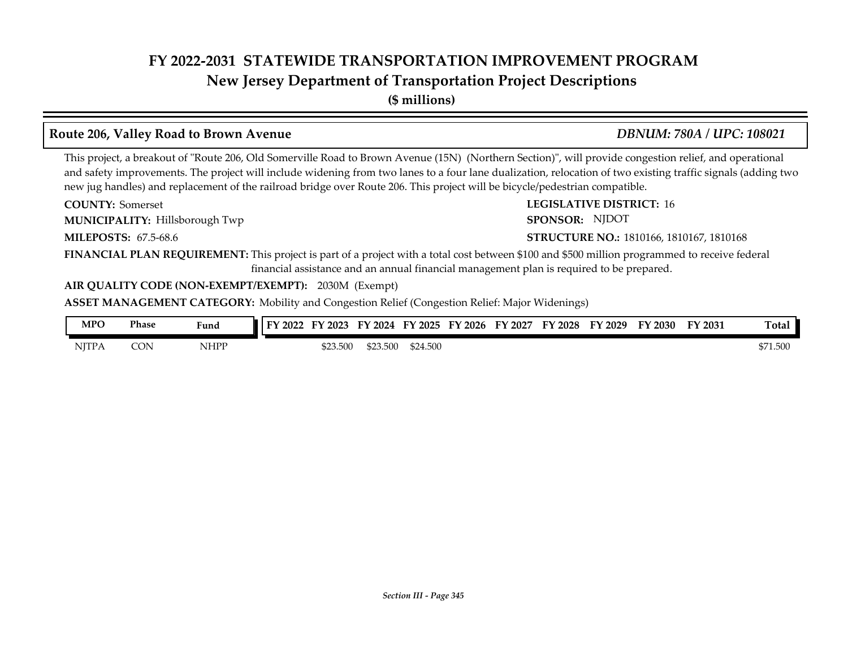### **New Jersey Department of Transportation Project Descriptions**

**(\$ millions)**

## **Route 206, Valley Road to Brown Avenue** *DBNUM: 780A / UPC: 108021*

This project, a breakout of "Route 206, Old Somerville Road to Brown Avenue (15N) (Northern Section)", will provide congestion relief, and operational and safety improvements. The project will include widening from two lanes to a four lane dualization, relocation of two existing traffic signals (adding two new jug handles) and replacement of the railroad bridge over Route 206. This project will be bicycle/pedestrian compatible.

**COUNTY: Somerset** 

**MUNICIPALITY:** Hillsborough Twp **SPONSOR:** 

**MILEPOSTS: STRUCTURE NO.:** 67.5-68.6

**COUNTY:** Somerset **LEGISLATIVE DISTRICT:** 16 SPONSOR: NJDOT

**STRUCTURE NO.: 1810166, 1810167, 1810168** 

**FINANCIAL PLAN REQUIREMENT:** This project is part of a project with a total cost between \$100 and \$500 million programmed to receive federal financial assistance and an annual financial management plan is required to be prepared.

#### **AIR QUALITY CODE (NON-EXEMPT/EXEMPT):** 2030M (Exempt)

**ASSET MANAGEMENT CATEGORY:** Mobility and Congestion Relief (Congestion Relief: Major Widenings)

| MPO          | Phase | Fund        | I FY 2022 | $\mathbf{r}\mathbf{v}$<br>2023 | 2024     | тv<br>2025 | 2026 | 2027<br>EУ | FΥ<br>$\langle 2028$ | FУ<br>2029 | FY 2030 | FY 2031 | <b>Total</b> |
|--------------|-------|-------------|-----------|--------------------------------|----------|------------|------|------------|----------------------|------------|---------|---------|--------------|
| <b>NJTPA</b> | CON   | <b>NHPP</b> |           | \$23.500                       | \$23.500 | \$24.500   |      |            |                      |            |         |         | \$71.500     |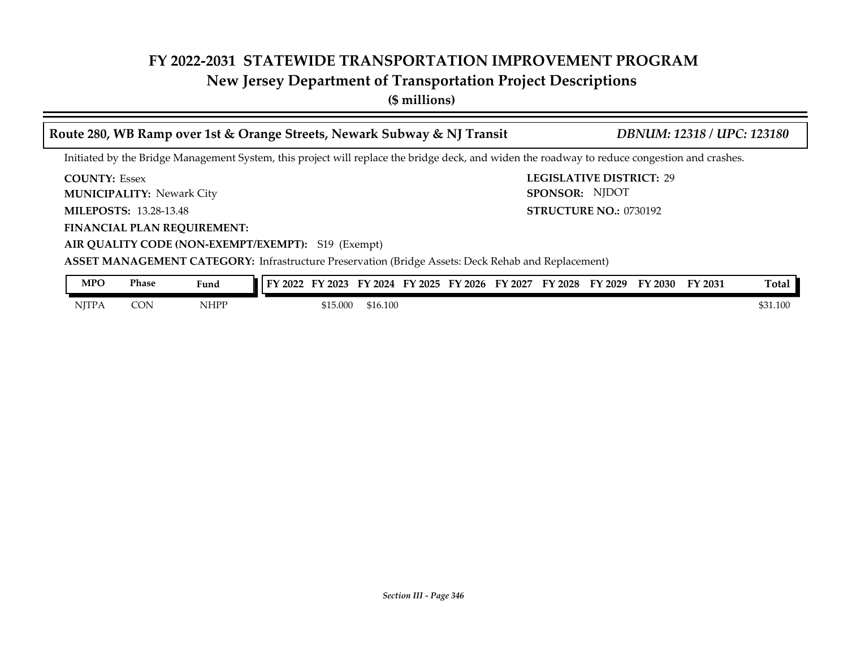# **New Jersey Department of Transportation Project Descriptions**

**(\$ millions)**

| Route 280, WB Ramp over 1st & Orange Streets, Newark Subway & NJ Transit |                                                                |                                                                                                                                               |  |          |          |  |  |  |  |                                                                         |  | <b>DBNUM: 12318 / UPC: 123180</b> |          |
|--------------------------------------------------------------------------|----------------------------------------------------------------|-----------------------------------------------------------------------------------------------------------------------------------------------|--|----------|----------|--|--|--|--|-------------------------------------------------------------------------|--|-----------------------------------|----------|
|                                                                          |                                                                | Initiated by the Bridge Management System, this project will replace the bridge deck, and widen the roadway to reduce congestion and crashes. |  |          |          |  |  |  |  |                                                                         |  |                                   |          |
| <b>COUNTY: Essex</b>                                                     |                                                                |                                                                                                                                               |  |          |          |  |  |  |  | <b>LEGISLATIVE DISTRICT: 29</b>                                         |  |                                   |          |
|                                                                          | <b>MUNICIPALITY: Newark City</b>                               |                                                                                                                                               |  |          |          |  |  |  |  | <b>SPONSOR: NJDOT</b>                                                   |  |                                   |          |
|                                                                          | <b>MILEPOSTS: 13.28-13.48</b><br><b>STRUCTURE NO.: 0730192</b> |                                                                                                                                               |  |          |          |  |  |  |  |                                                                         |  |                                   |          |
|                                                                          | <b>FINANCIAL PLAN REQUIREMENT:</b>                             |                                                                                                                                               |  |          |          |  |  |  |  |                                                                         |  |                                   |          |
|                                                                          |                                                                | AIR QUALITY CODE (NON-EXEMPT/EXEMPT): S19 (Exempt)                                                                                            |  |          |          |  |  |  |  |                                                                         |  |                                   |          |
|                                                                          |                                                                | <b>ASSET MANAGEMENT CATEGORY:</b> Infrastructure Preservation (Bridge Assets: Deck Rehab and Replacement)                                     |  |          |          |  |  |  |  |                                                                         |  |                                   |          |
| <b>MPO</b>                                                               | Phase                                                          | Fund                                                                                                                                          |  |          |          |  |  |  |  | FY 2022 FY 2023 FY 2024 FY 2025 FY 2026 FY 2027 FY 2028 FY 2029 FY 2030 |  | FY 2031                           | Total    |
| <b>NITPA</b>                                                             | <b>CON</b>                                                     | <b>NHPP</b>                                                                                                                                   |  | \$15.000 | \$16.100 |  |  |  |  |                                                                         |  |                                   | \$31.100 |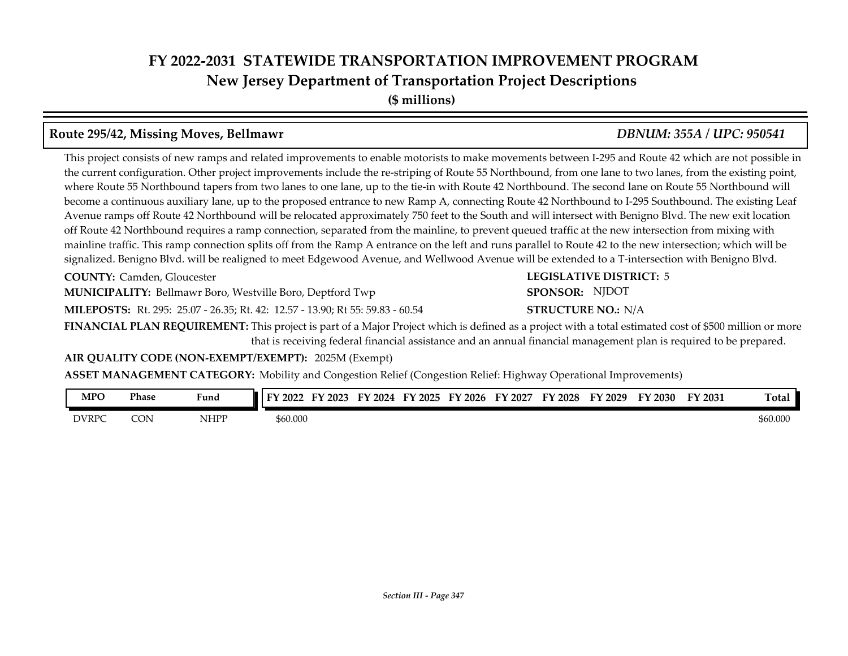# **FY 2022-2031 STATEWIDE TRANSPORTATION IMPROVEMENT PROGRAM New Jersey Department of Transportation Project Descriptions**

**(\$ millions)**

#### **Route 295/42, Missing Moves, Bellmawr** *DBNUM: 355A / UPC: 950541*

#### This project consists of new ramps and related improvements to enable motorists to make movements between I-295 and Route 42 which are not possible in the current configuration. Other project improvements include the re-striping of Route 55 Northbound, from one lane to two lanes, from the existing point, where Route 55 Northbound tapers from two lanes to one lane, up to the tie-in with Route 42 Northbound. The second lane on Route 55 Northbound will become a continuous auxiliary lane, up to the proposed entrance to new Ramp A, connecting Route 42 Northbound to I-295 Southbound. The existing Leaf Avenue ramps off Route 42 Northbound will be relocated approximately 750 feet to the South and will intersect with Benigno Blvd. The new exit location off Route 42 Northbound requires a ramp connection, separated from the mainline, to prevent queued traffic at the new intersection from mixing with mainline traffic. This ramp connection splits off from the Ramp A entrance on the left and runs parallel to Route 42 to the new intersection; which will be signalized. Benigno Blvd. will be realigned to meet Edgewood Avenue, and Wellwood Avenue will be extended to a T-intersection with Benigno Blvd.

**COUNTY: LEGISLATIVE DISTRICT:** Camden, Gloucester

**MUNICIPALITY:** Bellmawr Boro, Westville Boro, Deptford Twp **SPONSOR:** 

**MILEPOSTS:** Rt. 295: 25.07 - 26.35; Rt. 42: 12.57 - 13.90; Rt 55: 59.83 - 60.54 **STRUCTURE NO.:** 

**FINANCIAL PLAN REQUIREMENT:** This project is part of a Major Project which is defined as a project with a total estimated cost of \$500 million or more that is receiving federal financial assistance and an annual financial management plan is required to be prepared.

**AIR QUALITY CODE (NON-EXEMPT/EXEMPT):** 2025M (Exempt)

**ASSET MANAGEMENT CATEGORY:** Mobility and Congestion Relief (Congestion Relief: Highway Operational Improvements)

| MPO          | Phase      | $\mathbf{r}$<br>Fund | EУ<br>12022<br>2023 | 2024<br>FУ | 2025<br>TУ. | $\degree$ 2026<br>Е١ | 2027<br>FY | 2028<br>TV. | FY 2029 | T<br>'2030 | FY 2031 | m<br>l otal |
|--------------|------------|----------------------|---------------------|------------|-------------|----------------------|------------|-------------|---------|------------|---------|-------------|
| <b>DVRPC</b> | CON<br>ـرب | NHPP                 | \$60.000            |            |             |                      |            |             |         |            |         | \$60.000    |

**LEGISLATIVE DISTRICT: 5 STRUCTURE NO.: N/A** SPONSOR: NJDOT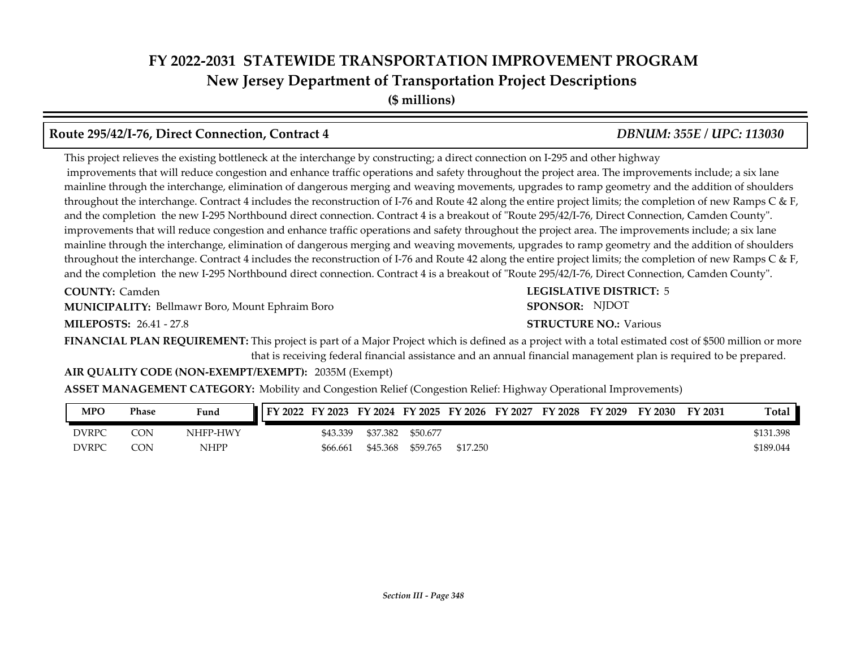# **FY 2022-2031 STATEWIDE TRANSPORTATION IMPROVEMENT PROGRAM New Jersey Department of Transportation Project Descriptions**

**(\$ millions)**

## **Route 295/42/I-76, Direct Connection, Contract 4** *DBNUM: 355E / UPC: 113030*

This project relieves the existing bottleneck at the interchange by constructing; a direct connection on I-295 and other highway improvements that will reduce congestion and enhance traffic operations and safety throughout the project area. The improvements include; a six lane mainline through the interchange, elimination of dangerous merging and weaving movements, upgrades to ramp geometry and the addition of shoulders throughout the interchange. Contract 4 includes the reconstruction of I-76 and Route 42 along the entire project limits; the completion of new Ramps C & F, and the completion the new I-295 Northbound direct connection. Contract 4 is a breakout of "Route 295/42/I-76, Direct Connection, Camden County". improvements that will reduce congestion and enhance traffic operations and safety throughout the project area. The improvements include; a six lane mainline through the interchange, elimination of dangerous merging and weaving movements, upgrades to ramp geometry and the addition of shoulders throughout the interchange. Contract 4 includes the reconstruction of I-76 and Route 42 along the entire project limits; the completion of new Ramps C & F, and the completion the new I-295 Northbound direct connection. Contract 4 is a breakout of "Route 295/42/I-76, Direct Connection, Camden County".

**COUNTY: Camden** 

**MUNICIPALITY:** Bellmawr Boro, Mount Ephraim Boro **Brown Boro SPONSOR:** 

**MILEPOSTS: STRUCTURE NO.:** 26.41 - 27.8

**COUNTY: LEGISLATIVE DISTRICT:** 5 **STRUCTURE NO.: Various** SPONSOR: NJDOT

**FINANCIAL PLAN REQUIREMENT:** This project is part of a Major Project which is defined as a project with a total estimated cost of \$500 million or more that is receiving federal financial assistance and an annual financial management plan is required to be prepared.

#### **AIR QUALITY CODE (NON-EXEMPT/EXEMPT):** 2035M (Exempt)

**ASSET MANAGEMENT CATEGORY:** Mobility and Congestion Relief (Congestion Relief: Highway Operational Improvements)

| <b>MPO</b> | Phase | Fund        | FY 2022 | FY 2023  | FY 2024 FY 2025 |          | FY 2026  | FY 2027 | FY 2028 | FY 2029 | FY 2030 | FY 2031 | <b>Total</b> |
|------------|-------|-------------|---------|----------|-----------------|----------|----------|---------|---------|---------|---------|---------|--------------|
| DVRPC      | CON   | NHFP-HWY    |         | \$43.339 | \$37.382        | \$50.677 |          |         |         |         |         |         | \$131.398    |
| DVRPC      | CON   | <b>NHPP</b> |         | \$66.661 | \$45.368        | \$59.765 | \$17.250 |         |         |         |         |         | \$189.044    |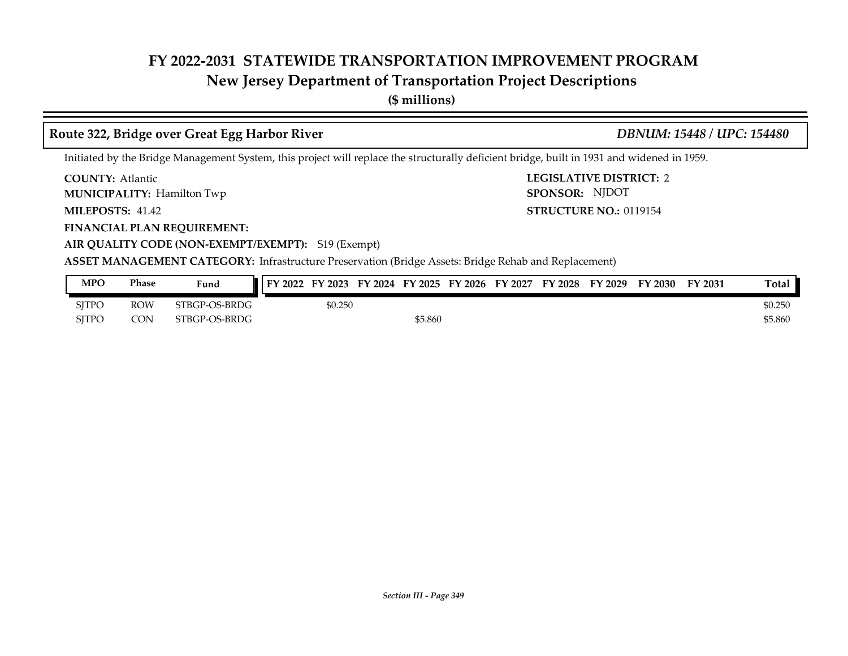## **New Jersey Department of Transportation Project Descriptions**

**(\$ millions)**

### **Route 322, Bridge over Great Egg Harbor River** *DBNUM: 15448 / UPC: 154480*

SPONSOR: NJDOT

Initiated by the Bridge Management System, this project will replace the structurally deficient bridge, built in 1931 and widened in 1959.

**COUNTY: LEGISLATIVE DISTRICT:** 2 **COUNTY: Atlantic** 

**MUNICIPALITY:** Hamilton Twp **SPONSOR:** 

**MILEPOSTS: STRUCTURE NO.:** 0119154 **MILEPOSTS: 41.42** 

**FINANCIAL PLAN REQUIREMENT:**

**AIR QUALITY CODE (NON-EXEMPT/EXEMPT):** S19 (Exempt)

| <b>MPO</b>   | Phase      | Fund          | FY 2022 | FY 2023 |         |  | FY 2024 FY 2025 FY 2026 FY 2027 FY 2028 FY 2029 | FY 2030 | FY 2031 | Total   |
|--------------|------------|---------------|---------|---------|---------|--|-------------------------------------------------|---------|---------|---------|
| <b>SITPO</b> | <b>ROW</b> | STBGP-OS-BRDG |         | \$0.250 |         |  |                                                 |         |         | \$0.250 |
| SITPC        | <b>CON</b> | STBGP-OS-BRDG |         |         | \$5.860 |  |                                                 |         |         | \$5.860 |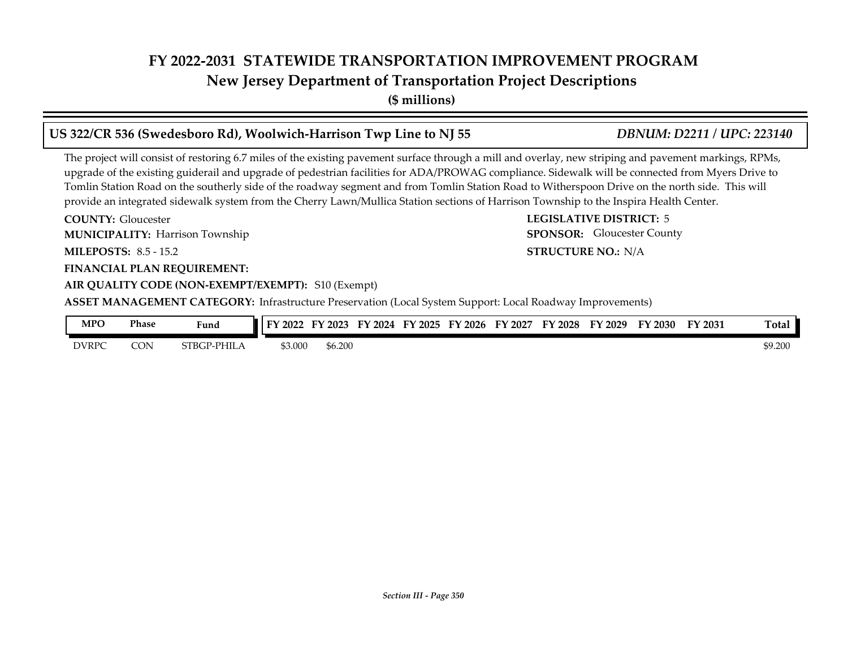**New Jersey Department of Transportation Project Descriptions**

**(\$ millions)**

## **US 322/CR 536 (Swedesboro Rd), Woolwich-Harrison Twp Line to NJ 55** *DBNUM: D2211 / UPC: 223140*

The project will consist of restoring 6.7 miles of the existing pavement surface through a mill and overlay, new striping and pavement markings, RPMs, upgrade of the existing guiderail and upgrade of pedestrian facilities for ADA/PROWAG compliance. Sidewalk will be connected from Myers Drive to Tomlin Station Road on the southerly side of the roadway segment and from Tomlin Station Road to Witherspoon Drive on the north side. This will provide an integrated sidewalk system from the Cherry Lawn/Mullica Station sections of Harrison Township to the Inspira Health Center.

**COUNTY: LEGISLATIVE DISTRICT:** 5 **MILEPOSTS: STRUCTURE NO.:** 8.5 - 15.2 **FINANCIAL PLAN REQUIREMENT: AIR QUALITY CODE (NON-EXEMPT/EXEMPT):** S10 (Exempt) **COUNTY: Gloucester** Harrison Township **MUNICIPALITY: SPONSOR: STRUCTURE NO.: N/A ASSET MANAGEMENT CATEGORY:** Infrastructure Preservation (Local System Support: Local Roadway Improvements) SPONSOR: Gloucester County

| MPO          | <b>Phase</b> | $\mathbf{r}$<br>Fund | FY<br>2022 | $\mathbf{r}$<br>2023 | Еν<br>2024 | $T^*$<br>2025<br>. | TY 2026 | 12027<br>ТV | FY<br>2028 | <sup>T</sup> Y 2029 | FY 2030 | FY 2031 | <b>Total</b> |
|--------------|--------------|----------------------|------------|----------------------|------------|--------------------|---------|-------------|------------|---------------------|---------|---------|--------------|
| <b>DVRPC</b> | CON          | PHILA<br>STBGP-      | 3.000ش     | \$6.200              |            |                    |         |             |            |                     |         |         | \$9.200      |

*Section III - Page 350*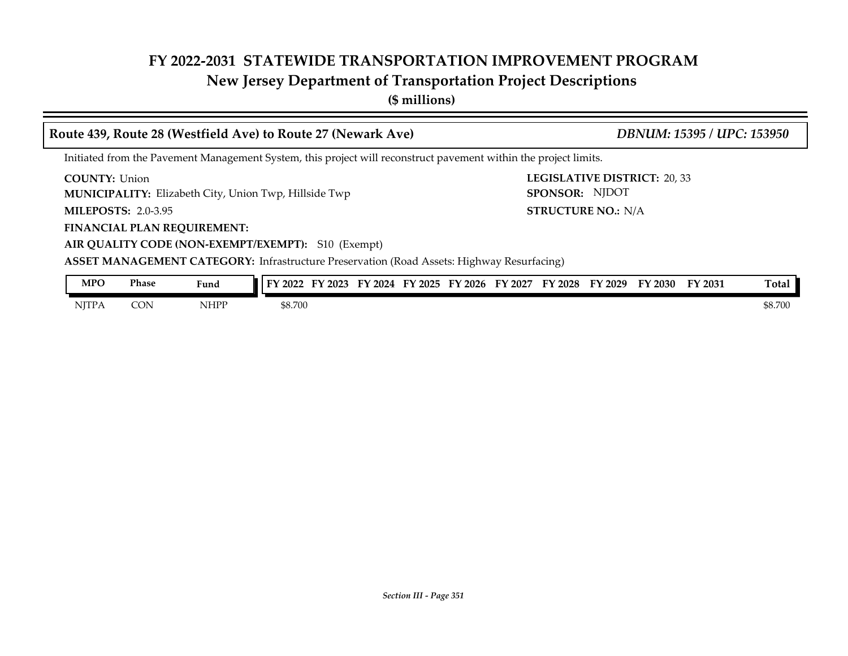# **New Jersey Department of Transportation Project Descriptions**

**(\$ millions)**

#### **COUNTY: LEGISLATIVE DISTRICT:** 20, 33 **MILEPOSTS: STRUCTURE NO.:** 2.0-3.95 **FINANCIAL PLAN REQUIREMENT: AIR QUALITY CODE (NON-EXEMPT/EXEMPT):** S10 (Exempt) **COUNTY: Union MUNICIPALITY:** Elizabeth City, Union Twp, Hillside Twp **SPONSOR: STRUCTURE NO.: N/A ASSET MANAGEMENT CATEGORY:** Infrastructure Preservation (Road Assets: Highway Resurfacing) Initiated from the Pavement Management System, this project will reconstruct pavement within the project limits. **Route 439, Route 28 (Westfield Ave) to Route 27 (Newark Ave)** *DBNUM: 15395 / UPC: 153950* SPONSOR: NJDOT

| <b>MPO</b>   | Phase<br>. | Fund                                        | FY 2022 | FY 2023 | FY 2024 | FY 2025 | FY 2026 | FY 2027 | FY 2028 | FY 2029 | FY 2030 | FY 2031 | Tota.   |
|--------------|------------|---------------------------------------------|---------|---------|---------|---------|---------|---------|---------|---------|---------|---------|---------|
| <b>NJTPA</b> | CON        | NHPP<br>the contract of the contract of the | \$8.700 |         |         |         |         |         |         |         |         |         | \$8.700 |